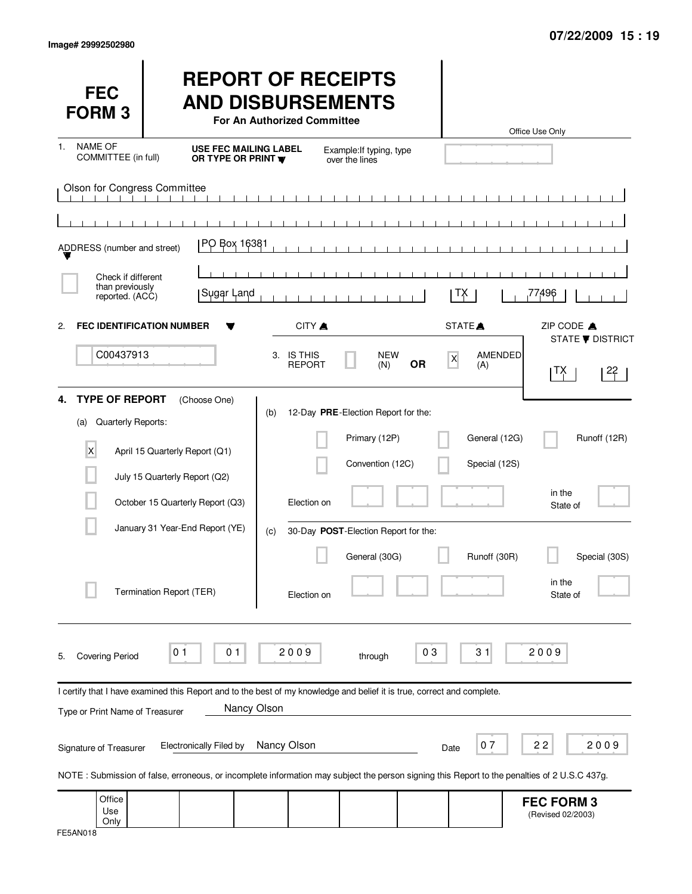| <b>FEC</b><br><b>FORM 3</b>                                   |                                                                                                                                                        | <b>REPORT OF RECEIPTS</b><br><b>AND DISBURSEMENTS</b><br><b>For An Authorized Committee</b>                                            |                                                                                                                  |           |                                | Office Use Only                                                                                                                                            |
|---------------------------------------------------------------|--------------------------------------------------------------------------------------------------------------------------------------------------------|----------------------------------------------------------------------------------------------------------------------------------------|------------------------------------------------------------------------------------------------------------------|-----------|--------------------------------|------------------------------------------------------------------------------------------------------------------------------------------------------------|
| <b>NAME OF</b><br>$1_{-}$<br>COMMITTEE (in full)              |                                                                                                                                                        | USE FEC MAILING LABEL<br>OR TYPE OR PRINT W                                                                                            | Example: If typing, type<br>over the lines                                                                       |           |                                |                                                                                                                                                            |
| Olson for Congress Committee                                  |                                                                                                                                                        |                                                                                                                                        |                                                                                                                  |           |                                |                                                                                                                                                            |
| ADDRESS (number and street)                                   |                                                                                                                                                        | PO Box 16381                                                                                                                           |                                                                                                                  |           |                                |                                                                                                                                                            |
| Check if different<br>than previously<br>reported. (ACC)      | Sugar Land                                                                                                                                             |                                                                                                                                        |                                                                                                                  |           | ΙX.                            | 77496                                                                                                                                                      |
| 2.                                                            | <b>FEC IDENTIFICATION NUMBER</b>                                                                                                                       | CITY A                                                                                                                                 |                                                                                                                  |           | STATE <sup>A</sup>             | ZIP CODE A<br><b>STATE ▼ DISTRICT</b>                                                                                                                      |
| C00437913                                                     |                                                                                                                                                        | 3. IS THIS<br><b>REPORT</b>                                                                                                            | <b>NEW</b><br>(N)                                                                                                | <b>OR</b> | AMENDED<br>$\mathsf X$<br>(A)  | 22<br>∣TX∣                                                                                                                                                 |
| <b>TYPE OF REPORT</b><br>4.<br>Quarterly Reports:<br>(a)<br>X | (Choose One)<br>April 15 Quarterly Report (Q1)<br>July 15 Quarterly Report (Q2)<br>October 15 Quarterly Report (Q3)<br>January 31 Year-End Report (YE) | (b)<br>Election on<br>(c)                                                                                                              | 12-Day PRE-Election Report for the:<br>Primary (12P)<br>Convention (12C)<br>30-Day POST-Election Report for the: |           | General (12G)<br>Special (12S) | Runoff (12R)<br>in the<br>State of                                                                                                                         |
|                                                               | Termination Report (TER)                                                                                                                               | Election on                                                                                                                            | General (30G)                                                                                                    |           | Runoff (30R)                   | Special (30S)<br>in the<br>State of                                                                                                                        |
| <b>Covering Period</b><br>5.                                  | 0 <sub>1</sub><br>0 <sub>1</sub>                                                                                                                       | 2009                                                                                                                                   | through                                                                                                          | 03        | 31                             | 2009                                                                                                                                                       |
| Type or Print Name of Treasurer                               |                                                                                                                                                        | I certify that I have examined this Report and to the best of my knowledge and belief it is true, correct and complete.<br>Nancy Olson |                                                                                                                  |           |                                |                                                                                                                                                            |
| Signature of Treasurer                                        | Electronically Filed by                                                                                                                                | Nancy Olson                                                                                                                            |                                                                                                                  | Date      | 07                             | 22<br>2009<br>NOTE: Submission of false, erroneous, or incomplete information may subject the person signing this Report to the penalties of 2 U.S.C 437g. |
| Office<br>Use<br>Only                                         |                                                                                                                                                        |                                                                                                                                        |                                                                                                                  |           |                                | <b>FEC FORM 3</b><br>(Revised 02/2003)                                                                                                                     |

| FE5AN018 |
|----------|
|----------|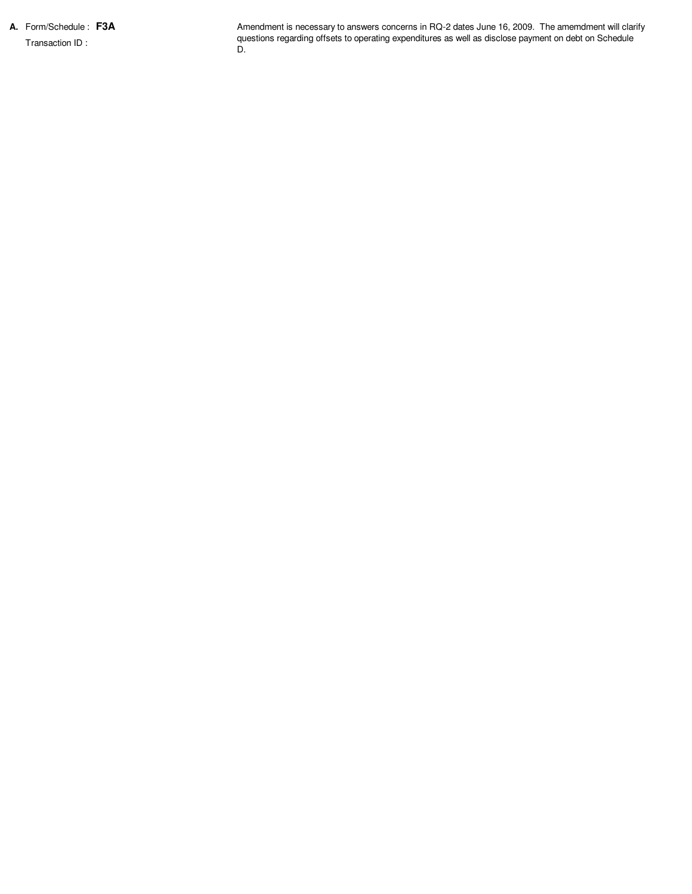**A.** Form/Schedule : **F3A** Transaction ID :

Amendment is necessary to answers concerns in RQ-2 dates June 16, 2009. The amemdment will clarify questions regarding offsets to operating expenditures as well as disclose payment on debt on Schedule D.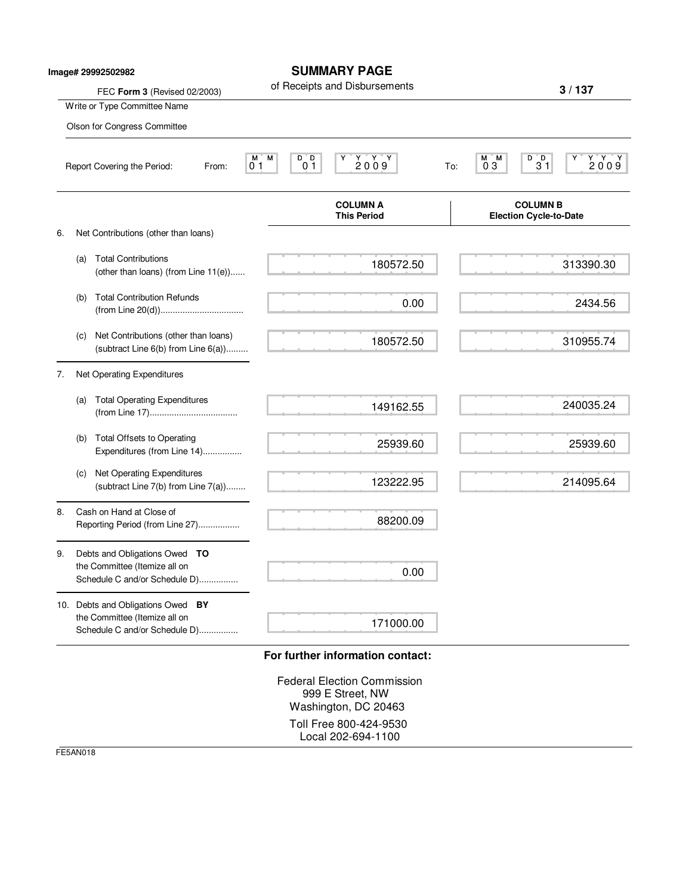| Image# 29992502982 |     | FEC Form 3 (Revised 02/2003)                                                                        | <b>SUMMARY PAGE</b><br>of Receipts and Disbursements                                       | 3/137                                                                                                     |
|--------------------|-----|-----------------------------------------------------------------------------------------------------|--------------------------------------------------------------------------------------------|-----------------------------------------------------------------------------------------------------------|
|                    |     | Write or Type Committee Name                                                                        |                                                                                            |                                                                                                           |
|                    |     | Olson for Congress Committee                                                                        |                                                                                            |                                                                                                           |
|                    |     | Report Covering the Period:<br>From:                                                                | D D<br>2009<br>M.<br>М<br>Y<br>0 <sub>1</sub><br>0 <sub>1</sub>                            | D D<br>$\begin{array}{c} \n 1.48 \rightarrow 0.04 \\  2.009\n \end{array}$<br>M M<br>Y<br>03<br>31<br>To: |
|                    |     |                                                                                                     | <b>COLUMN A</b><br><b>This Period</b>                                                      | <b>COLUMN B</b><br><b>Election Cycle-to-Date</b>                                                          |
| 6.                 |     | Net Contributions (other than loans)                                                                |                                                                                            |                                                                                                           |
|                    | (a) | <b>Total Contributions</b><br>(other than loans) (from Line 11(e))                                  | 180572.50                                                                                  | 313390.30                                                                                                 |
|                    | (b) | <b>Total Contribution Refunds</b>                                                                   | 0.00                                                                                       | 2434.56                                                                                                   |
|                    | (c) | Net Contributions (other than loans)<br>(subtract Line $6(b)$ from Line $6(a)$ )                    | 180572.50                                                                                  | 310955.74                                                                                                 |
| 7.                 |     | Net Operating Expenditures                                                                          |                                                                                            |                                                                                                           |
|                    | (a) | <b>Total Operating Expenditures</b>                                                                 | 149162.55                                                                                  | 240035.24                                                                                                 |
|                    | (b) | <b>Total Offsets to Operating</b><br>Expenditures (from Line 14)                                    | 25939.60                                                                                   | 25939.60                                                                                                  |
|                    | (c) | Net Operating Expenditures<br>(subtract Line 7(b) from Line 7(a))                                   | 123222.95                                                                                  | 214095.64                                                                                                 |
| 8.                 |     | Cash on Hand at Close of<br>Reporting Period (from Line 27)                                         | 88200.09                                                                                   |                                                                                                           |
| 9.                 |     | Debts and Obligations Owed TO<br>the Committee (Itemize all on<br>Schedule C and/or Schedule D)     | 0.00                                                                                       |                                                                                                           |
|                    |     | 10. Debts and Obligations Owed BY<br>the Committee (Itemize all on<br>Schedule C and/or Schedule D) | 171000.00                                                                                  |                                                                                                           |
|                    |     |                                                                                                     | For further information contact:<br><b>Federal Election Commission</b><br>999 E Street, NW |                                                                                                           |
|                    |     |                                                                                                     | Washington, DC 20463                                                                       |                                                                                                           |

Toll Free 800-424-9530 Local 202-694-1100

FE5AN018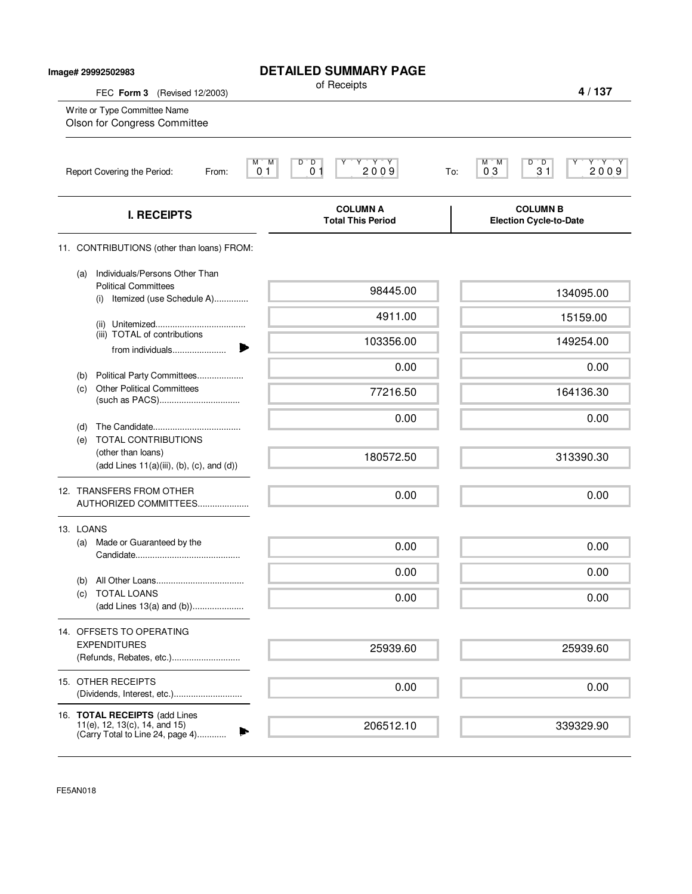| Image# 29992502983 |                                                                                                   | <b>DETAILED SUMMARY PAGE</b><br>of Receipts                                                                                     |                                                                                                                        |
|--------------------|---------------------------------------------------------------------------------------------------|---------------------------------------------------------------------------------------------------------------------------------|------------------------------------------------------------------------------------------------------------------------|
|                    | FEC Form 3 (Revised 12/2003)<br>Write or Type Committee Name<br>Olson for Congress Committee      |                                                                                                                                 | 4/137                                                                                                                  |
|                    | Report Covering the Period:<br>From:                                                              | $\begin{bmatrix} Y & Y & Y \\ 2 & 0 & 0 & 9 \end{bmatrix}$<br>М<br>M<br>$\overline{D}$<br>D<br>0 <sub>1</sub><br>0 <sub>1</sub> | $D^{\bullet}D$<br>$\begin{array}{c}\nY \rightarrow Y \rightarrow Y \\ 2009\n\end{array}$<br>M<br>'M<br>03<br>31<br>To: |
|                    | <b>I. RECEIPTS</b>                                                                                | <b>COLUMN A</b><br><b>Total This Period</b>                                                                                     | <b>COLUMN B</b><br><b>Election Cycle-to-Date</b>                                                                       |
|                    | 11. CONTRIBUTIONS (other than loans) FROM:                                                        |                                                                                                                                 |                                                                                                                        |
| (a)                | Individuals/Persons Other Than<br><b>Political Committees</b><br>Itemized (use Schedule A)<br>(i) | 98445.00                                                                                                                        | 134095.00                                                                                                              |
|                    |                                                                                                   | 4911.00                                                                                                                         | 15159.00                                                                                                               |
|                    | (iii) TOTAL of contributions                                                                      | 103356.00                                                                                                                       | 149254.00                                                                                                              |
|                    | from individuals                                                                                  | 0.00                                                                                                                            | 0.00                                                                                                                   |
| (b)<br>(c)         | Political Party Committees<br><b>Other Political Committees</b>                                   | 77216.50                                                                                                                        | 164136.30                                                                                                              |
| (d)                |                                                                                                   | 0.00                                                                                                                            | 0.00                                                                                                                   |
| (e)                | TOTAL CONTRIBUTIONS<br>(other than loans)<br>$(add Lines 11(a)(iii), (b), (c), and (d))$          | 180572.50                                                                                                                       | 313390.30                                                                                                              |
|                    | 12. TRANSFERS FROM OTHER<br>AUTHORIZED COMMITTEES                                                 | 0.00                                                                                                                            | 0.00                                                                                                                   |
| 13. LOANS          |                                                                                                   |                                                                                                                                 |                                                                                                                        |
| (a)                | Made or Guaranteed by the                                                                         | 0.00                                                                                                                            | 0.00                                                                                                                   |
|                    |                                                                                                   | 0.00                                                                                                                            | 0.00                                                                                                                   |
| (b)<br>(c)         | <b>TOTAL LOANS</b><br>(add Lines 13(a) and (b))                                                   | 0.00                                                                                                                            | 0.00                                                                                                                   |
|                    | 14. OFFSETS TO OPERATING                                                                          |                                                                                                                                 |                                                                                                                        |
|                    | <b>EXPENDITURES</b><br>(Refunds, Rebates, etc.)                                                   | 25939.60                                                                                                                        | 25939.60                                                                                                               |
|                    | 15. OTHER RECEIPTS<br>(Dividends, Interest, etc.)                                                 | 0.00                                                                                                                            | 0.00                                                                                                                   |
|                    | 16. TOTAL RECEIPTS (add Lines<br>11(e), 12, 13(c), 14, and 15)                                    |                                                                                                                                 |                                                                                                                        |
|                    | (Carry Total to Line 24, page 4)                                                                  | 206512.10                                                                                                                       | 339329.90                                                                                                              |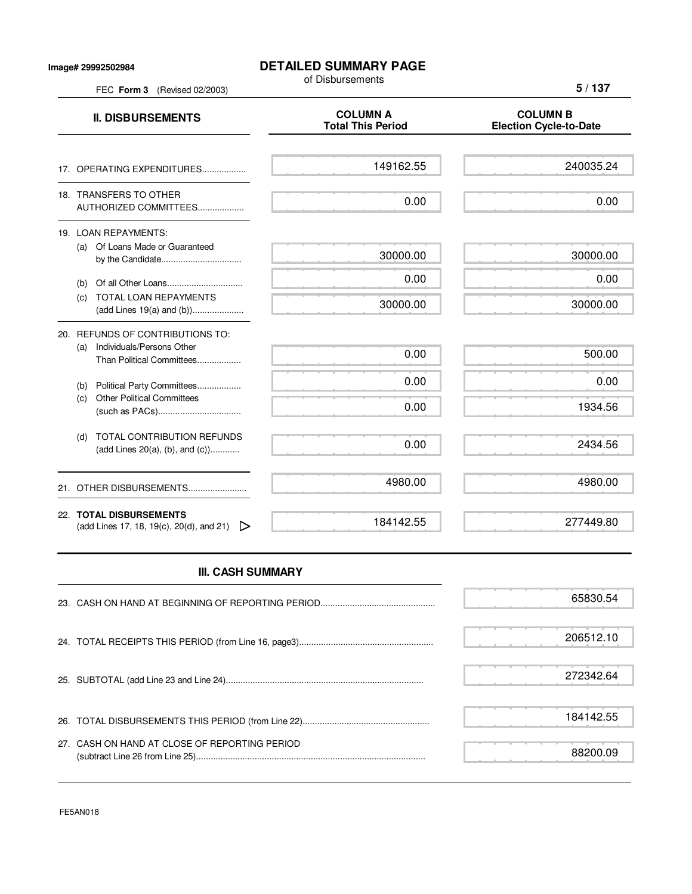## **Image# 29992502984**

## **DETAILED SUMMARY PAGE**

of Disbursements

FEC **Form 3** (Revised 02/2003)

**5 / 137**

| <b>II. DISBURSEMENTS</b>                                                                          | <b>COLUMN A</b><br><b>Total This Period</b> | <b>COLUMN B</b><br><b>Election Cycle-to-Date</b> |
|---------------------------------------------------------------------------------------------------|---------------------------------------------|--------------------------------------------------|
| 17. OPERATING EXPENDITURES                                                                        | 149162.55                                   | 240035.24                                        |
| 18. TRANSFERS TO OTHER<br>AUTHORIZED COMMITTEES                                                   | 0.00                                        | 0.00                                             |
| 19. LOAN REPAYMENTS:<br>(a) Of Loans Made or Guaranteed                                           | 30000.00                                    | 30000.00                                         |
| (b)<br><b>TOTAL LOAN REPAYMENTS</b><br>(C)<br>(add Lines 19(a) and (b))                           | 0.00<br>30000.00                            | 0.00<br>30000.00                                 |
| 20. REFUNDS OF CONTRIBUTIONS TO:<br>Individuals/Persons Other<br>(a)<br>Than Political Committees | 0.00                                        | 500.00                                           |
| Political Party Committees<br>(b)<br><b>Other Political Committees</b><br>(c)                     | 0.00<br>0.00                                | 0.00<br>1934.56                                  |
| <b>TOTAL CONTRIBUTION REFUNDS</b><br>(d)<br>(add Lines 20(a), (b), and (c))                       | 0.00                                        | 2434.56                                          |
| 21. OTHER DISBURSEMENTS                                                                           | 4980.00                                     | 4980.00                                          |
| 22. TOTAL DISBURSEMENTS<br>(add Lines 17, 18, 19(c), 20(d), and 21) $\triangleright$              | 184142.55                                   | 277449.80                                        |

## **III. CASH SUMMARY**

|                                               | 65830.54  |
|-----------------------------------------------|-----------|
|                                               | 206512.10 |
|                                               | 272342.64 |
|                                               | 184142.55 |
| 27. CASH ON HAND AT CLOSE OF REPORTING PERIOD | 88200.09  |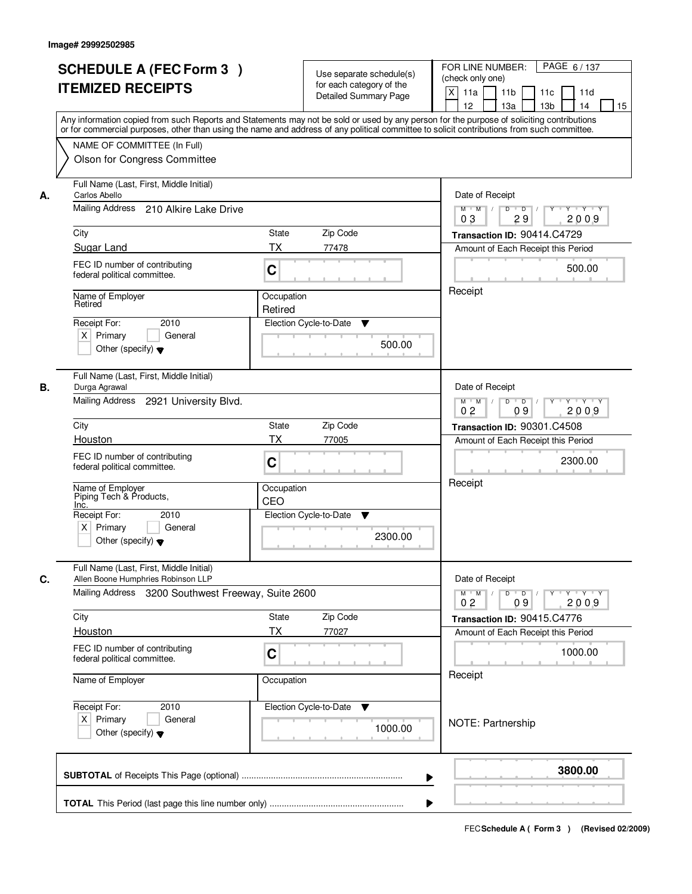|    | <b>SCHEDULE A (FEC Form 3)</b><br><b>ITEMIZED RECEIPTS</b><br>Any information copied from such Reports and Statements may not be sold or used by any person for the purpose of soliciting contributions   | Use separate schedule(s)<br>for each category of the<br><b>Detailed Summary Page</b> | PAGE 6/137<br>FOR LINE NUMBER:<br>(check only one)<br>$\boldsymbol{\mathsf{X}}$<br>11a<br>11 <sub>b</sub><br>11c<br>11d<br>12<br>13a<br>13 <sub>b</sub><br>14<br>15 |
|----|-----------------------------------------------------------------------------------------------------------------------------------------------------------------------------------------------------------|--------------------------------------------------------------------------------------|---------------------------------------------------------------------------------------------------------------------------------------------------------------------|
|    | or for commercial purposes, other than using the name and address of any political committee to solicit contributions from such committee.<br>NAME OF COMMITTEE (In Full)<br>Olson for Congress Committee |                                                                                      |                                                                                                                                                                     |
| А. | Full Name (Last, First, Middle Initial)<br>Carlos Abello<br>Mailing Address<br>210 Alkire Lake Drive                                                                                                      |                                                                                      | Date of Receipt<br>$Y - Y - Y$<br>D<br>$\overline{D}$<br>$M$ $M$ /                                                                                                  |
|    | City                                                                                                                                                                                                      | State<br>Zip Code                                                                    | 2009<br>03<br>29<br>Transaction ID: 90414.C4729                                                                                                                     |
|    | Sugar Land                                                                                                                                                                                                | <b>TX</b><br>77478                                                                   | Amount of Each Receipt this Period                                                                                                                                  |
|    | FEC ID number of contributing<br>federal political committee.                                                                                                                                             | C                                                                                    | 500.00                                                                                                                                                              |
|    | Name of Employer<br>Retired                                                                                                                                                                               | Occupation<br>Retired                                                                | Receipt                                                                                                                                                             |
|    | 2010<br>Receipt For:<br>$X$ Primary<br>General<br>Other (specify) $\blacktriangledown$                                                                                                                    | Election Cycle-to-Date<br>▼<br>500.00                                                |                                                                                                                                                                     |
| В. | Full Name (Last, First, Middle Initial)<br>Durga Agrawal                                                                                                                                                  |                                                                                      | Date of Receipt                                                                                                                                                     |
|    | Mailing Address 2921 University Blvd.                                                                                                                                                                     |                                                                                      | D<br>$M$ $M$ /<br>$\overline{D}$<br>Y<br>$Y + Y + Y$<br>0 <sub>2</sub><br>09<br>2009                                                                                |
|    | City                                                                                                                                                                                                      | Zip Code<br>State                                                                    | Transaction ID: 90301.C4508                                                                                                                                         |
|    | Houston                                                                                                                                                                                                   | <b>TX</b><br>77005                                                                   | Amount of Each Receipt this Period                                                                                                                                  |
|    | FEC ID number of contributing<br>federal political committee.                                                                                                                                             | C                                                                                    | 2300.00                                                                                                                                                             |
|    | Name of Employer<br>Piping Tech & Products,<br>Inc.                                                                                                                                                       | Occupation<br>CEO                                                                    | Receipt                                                                                                                                                             |
|    | Receipt For:<br>2010                                                                                                                                                                                      | Election Cycle-to-Date<br>▼                                                          |                                                                                                                                                                     |
|    | $X$ Primary<br>General<br>Other (specify) $\blacktriangledown$                                                                                                                                            | 2300.00                                                                              |                                                                                                                                                                     |
| C. | Full Name (Last, First, Middle Initial)<br>Allen Boone Humphries Robinson LLP                                                                                                                             |                                                                                      | Date of Receipt                                                                                                                                                     |
|    | Mailing Address 3200 Southwest Freeway, Suite 2600                                                                                                                                                        |                                                                                      | $M^+$ M<br>$D$ $D$ $l$<br>$Y - Y - Y$<br>$\sqrt{ }$<br>$Y^+$<br>2009<br>0 <sub>2</sub><br>09                                                                        |
|    | City                                                                                                                                                                                                      | Zip Code<br>State                                                                    | Transaction ID: 90415.C4776                                                                                                                                         |
|    | <b>Houston</b>                                                                                                                                                                                            | <b>TX</b><br>77027                                                                   | Amount of Each Receipt this Period                                                                                                                                  |
|    | FEC ID number of contributing<br>federal political committee.                                                                                                                                             | C                                                                                    | 1000.00                                                                                                                                                             |
|    | Name of Employer                                                                                                                                                                                          | Occupation                                                                           | Receipt                                                                                                                                                             |
|    | Receipt For:<br>2010<br>$X$ Primary<br>General<br>Other (specify) $\blacktriangledown$                                                                                                                    | Election Cycle-to-Date<br>v<br>1000.00                                               | NOTE: Partnership                                                                                                                                                   |
|    |                                                                                                                                                                                                           |                                                                                      | 3800.00<br>▶                                                                                                                                                        |
|    |                                                                                                                                                                                                           |                                                                                      |                                                                                                                                                                     |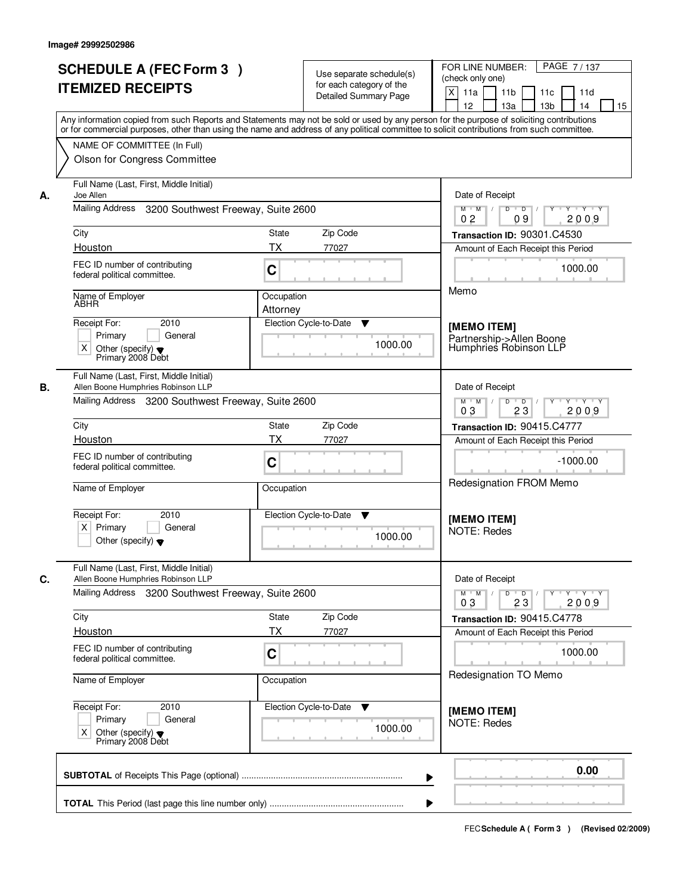|    |                                                                                                                                            |            |                             | PAGE 7/137                                                                                                            |  |  |
|----|--------------------------------------------------------------------------------------------------------------------------------------------|------------|-----------------------------|-----------------------------------------------------------------------------------------------------------------------|--|--|
|    | <b>SCHEDULE A (FEC Form 3)</b>                                                                                                             |            | Use separate schedule(s)    | FOR LINE NUMBER:<br>(check only one)                                                                                  |  |  |
|    | <b>ITEMIZED RECEIPTS</b>                                                                                                                   |            | for each category of the    | $\times$<br>11 <sub>b</sub><br>11a<br>11c<br>11d                                                                      |  |  |
|    |                                                                                                                                            |            | Detailed Summary Page       | 12<br>13a<br>13 <sub>b</sub><br>14<br>15                                                                              |  |  |
|    | Any information copied from such Reports and Statements may not be sold or used by any person for the purpose of soliciting contributions  |            |                             |                                                                                                                       |  |  |
|    | or for commercial purposes, other than using the name and address of any political committee to solicit contributions from such committee. |            |                             |                                                                                                                       |  |  |
|    | NAME OF COMMITTEE (In Full)                                                                                                                |            |                             |                                                                                                                       |  |  |
|    | Olson for Congress Committee                                                                                                               |            |                             |                                                                                                                       |  |  |
|    |                                                                                                                                            |            |                             |                                                                                                                       |  |  |
| А. | Full Name (Last, First, Middle Initial)<br>Joe Allen                                                                                       |            |                             | Date of Receipt                                                                                                       |  |  |
|    | Mailing Address<br>3200 Southwest Freeway, Suite 2600                                                                                      |            |                             | $\overline{D}$<br><b>TEY TEY</b><br>$M$ $M$ /<br>D<br>Y<br>0 <sub>2</sub><br>2009<br>09                               |  |  |
|    | City                                                                                                                                       | State      | Zip Code                    | Transaction ID: 90301.C4530                                                                                           |  |  |
|    | Houston                                                                                                                                    | <b>TX</b>  | 77027                       | Amount of Each Receipt this Period                                                                                    |  |  |
|    | FEC ID number of contributing                                                                                                              |            |                             |                                                                                                                       |  |  |
|    | federal political committee.                                                                                                               | C          |                             | 1000.00                                                                                                               |  |  |
|    |                                                                                                                                            | Occupation |                             | Memo                                                                                                                  |  |  |
|    | Name of Employer<br>ABHR                                                                                                                   | Attorney   |                             |                                                                                                                       |  |  |
|    | 2010<br>Receipt For:                                                                                                                       |            | Election Cycle-to-Date<br>▼ |                                                                                                                       |  |  |
|    | Primary<br>General                                                                                                                         |            |                             | [MEMO ITEM]<br>Partnership->Allen Boone                                                                               |  |  |
|    | X<br>Other (specify) $\blacktriangledown$                                                                                                  |            | 1000.00                     | Humphries Robinson LLP                                                                                                |  |  |
|    | Primary 2008 Debt                                                                                                                          |            |                             |                                                                                                                       |  |  |
| В. | Full Name (Last, First, Middle Initial)<br>Allen Boone Humphries Robinson LLP                                                              |            |                             | Date of Receipt                                                                                                       |  |  |
|    | Mailing Address 3200 Southwest Freeway, Suite 2600                                                                                         |            |                             | D<br>Y Y Y Y<br>$M$ $M$ /<br>$\overline{D}$<br>Y                                                                      |  |  |
|    |                                                                                                                                            |            |                             | 03<br>23<br>2009                                                                                                      |  |  |
|    | City                                                                                                                                       | State      | Zip Code                    | Transaction ID: 90415.C4777                                                                                           |  |  |
|    | Houston                                                                                                                                    | <b>TX</b>  | 77027                       | Amount of Each Receipt this Period                                                                                    |  |  |
|    | FEC ID number of contributing                                                                                                              |            |                             |                                                                                                                       |  |  |
|    | federal political committee.                                                                                                               | C          |                             | $-1000.00$                                                                                                            |  |  |
|    | Name of Employer                                                                                                                           | Occupation |                             | Redesignation FROM Memo                                                                                               |  |  |
|    |                                                                                                                                            |            |                             |                                                                                                                       |  |  |
|    | Receipt For:<br>2010                                                                                                                       |            | Election Cycle-to-Date<br>v |                                                                                                                       |  |  |
|    | $X$ Primary<br>General                                                                                                                     |            |                             | [MEMO ITEM]<br><b>NOTE: Redes</b>                                                                                     |  |  |
|    | Other (specify) $\blacktriangledown$                                                                                                       |            | 1000.00                     |                                                                                                                       |  |  |
|    |                                                                                                                                            |            |                             |                                                                                                                       |  |  |
| C. | Full Name (Last, First, Middle Initial)<br>Allen Boone Humphries Robinson LLP                                                              |            |                             | Date of Receipt                                                                                                       |  |  |
|    | Mailing Address 3200 Southwest Freeway, Suite 2600                                                                                         |            |                             | $M^{\prime}$ M $\rightarrow$ /<br>$D$ $D$ $/$<br>$\mathsf{Y} \dashv \mathsf{Y} \dashv \mathsf{Y}$<br>$Y$ <sup>U</sup> |  |  |
|    |                                                                                                                                            |            |                             | 2009<br>03<br>23                                                                                                      |  |  |
|    | City                                                                                                                                       | State      | Zip Code                    | Transaction ID: 90415.C4778                                                                                           |  |  |
|    | <b>Houston</b>                                                                                                                             | TX         | 77027                       | Amount of Each Receipt this Period                                                                                    |  |  |
|    | FEC ID number of contributing<br>federal political committee.                                                                              | C          |                             | 1000.00                                                                                                               |  |  |
|    | Name of Employer                                                                                                                           | Occupation |                             | Redesignation TO Memo                                                                                                 |  |  |
|    | Receipt For:<br>2010                                                                                                                       |            | Election Cycle-to-Date<br>v |                                                                                                                       |  |  |
|    | Primary<br>General                                                                                                                         |            |                             | [MEMO ITEM]<br>NOTE: Redes                                                                                            |  |  |
|    | X<br>Other (specify) $\blacktriangledown$                                                                                                  |            | 1000.00                     |                                                                                                                       |  |  |
|    | Primary 2008 Debt                                                                                                                          |            |                             |                                                                                                                       |  |  |
|    |                                                                                                                                            |            |                             |                                                                                                                       |  |  |
|    |                                                                                                                                            |            |                             | 0.00                                                                                                                  |  |  |
|    |                                                                                                                                            |            |                             |                                                                                                                       |  |  |
|    |                                                                                                                                            |            |                             |                                                                                                                       |  |  |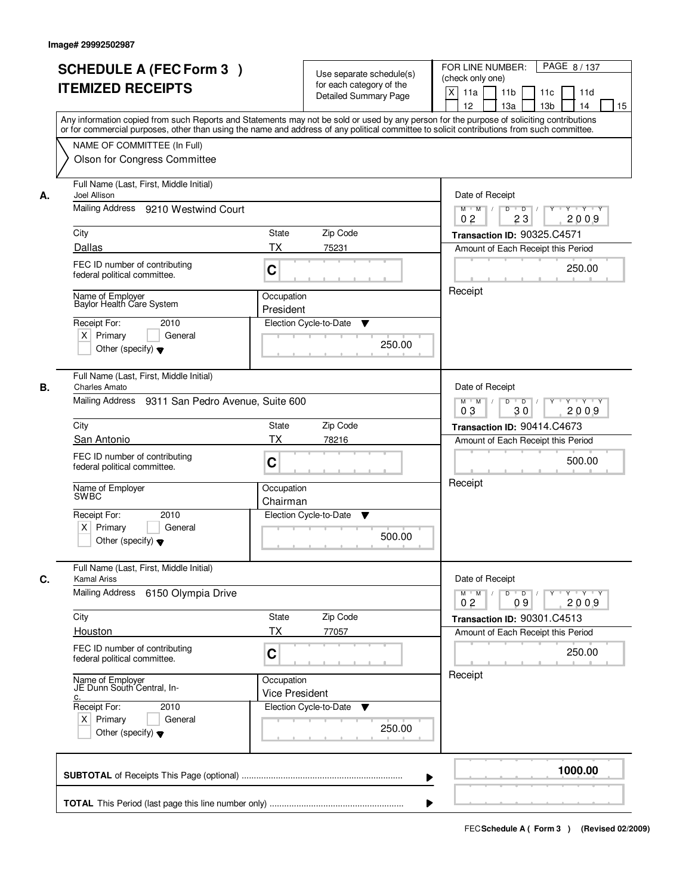|    | <b>SCHEDULE A (FEC Form 3)</b>                                                                                                                                                                                                                                                          |                                     |                                                      | PAGE 8/137<br>FOR LINE NUMBER:                                                                   |
|----|-----------------------------------------------------------------------------------------------------------------------------------------------------------------------------------------------------------------------------------------------------------------------------------------|-------------------------------------|------------------------------------------------------|--------------------------------------------------------------------------------------------------|
|    | <b>ITEMIZED RECEIPTS</b>                                                                                                                                                                                                                                                                |                                     | Use separate schedule(s)<br>for each category of the | (check only one)                                                                                 |
|    |                                                                                                                                                                                                                                                                                         |                                     | <b>Detailed Summary Page</b>                         | $\times$<br>11a<br>11 <sub>b</sub><br>11d<br>11c<br>12<br>13a<br>13 <sub>b</sub><br>14<br>15     |
|    | Any information copied from such Reports and Statements may not be sold or used by any person for the purpose of soliciting contributions<br>or for commercial purposes, other than using the name and address of any political committee to solicit contributions from such committee. |                                     |                                                      |                                                                                                  |
|    | NAME OF COMMITTEE (In Full)                                                                                                                                                                                                                                                             |                                     |                                                      |                                                                                                  |
|    | Olson for Congress Committee                                                                                                                                                                                                                                                            |                                     |                                                      |                                                                                                  |
| А. | Full Name (Last, First, Middle Initial)<br>Joel Allison                                                                                                                                                                                                                                 | Date of Receipt                     |                                                      |                                                                                                  |
|    | Mailing Address 9210 Westwind Court                                                                                                                                                                                                                                                     |                                     |                                                      | $Y \cup Y \cup Y$<br>$M$ $M$ /<br>D<br>$\overline{D}$<br>Y<br>23<br>2009<br>0 <sub>2</sub>       |
|    | City                                                                                                                                                                                                                                                                                    | <b>State</b>                        | Zip Code                                             | Transaction ID: 90325.C4571                                                                      |
|    | Dallas                                                                                                                                                                                                                                                                                  | TX                                  | 75231                                                | Amount of Each Receipt this Period                                                               |
|    | FEC ID number of contributing<br>federal political committee.                                                                                                                                                                                                                           | C                                   |                                                      | 250.00                                                                                           |
|    | Name of Employer<br>Baylor Health Care System                                                                                                                                                                                                                                           | Occupation<br>President             |                                                      | Receipt                                                                                          |
|    | Receipt For:<br>2010                                                                                                                                                                                                                                                                    |                                     | Election Cycle-to-Date<br>▼                          |                                                                                                  |
|    | $X$ Primary<br>General<br>Other (specify) $\blacktriangledown$                                                                                                                                                                                                                          |                                     | 250.00                                               |                                                                                                  |
|    | Full Name (Last, First, Middle Initial)                                                                                                                                                                                                                                                 |                                     |                                                      |                                                                                                  |
| В. | <b>Charles Amato</b><br>Mailing Address 9311 San Pedro Avenue, Suite 600                                                                                                                                                                                                                |                                     |                                                      | Date of Receipt<br>$M$ $M$ /<br>D<br>$\overline{\phantom{0}}$<br>$Y + Y + Y$<br>03<br>2009<br>30 |
|    | City                                                                                                                                                                                                                                                                                    | <b>State</b>                        | Zip Code                                             | Transaction ID: 90414.C4673                                                                      |
|    | San Antonio                                                                                                                                                                                                                                                                             | ТX                                  | 78216                                                | Amount of Each Receipt this Period                                                               |
|    | FEC ID number of contributing<br>federal political committee.                                                                                                                                                                                                                           | C                                   |                                                      | 500.00                                                                                           |
|    | Name of Employer<br><b>SWBC</b>                                                                                                                                                                                                                                                         | Occupation<br>Chairman              |                                                      | Receipt                                                                                          |
|    | Receipt For:<br>2010                                                                                                                                                                                                                                                                    |                                     | Election Cycle-to-Date<br>v                          |                                                                                                  |
|    | $X$ Primary<br>General<br>Other (specify) $\blacktriangledown$                                                                                                                                                                                                                          |                                     | 500.00                                               |                                                                                                  |
| C. | Full Name (Last, First, Middle Initial)<br><b>Kamal Ariss</b>                                                                                                                                                                                                                           |                                     |                                                      | Date of Receipt                                                                                  |
|    | <b>Mailing Address</b><br>6150 Olympia Drive                                                                                                                                                                                                                                            |                                     |                                                      | γ≕ γ ⊤γ<br>$M^+$ M<br>$D$ $D$<br>Y<br>2009<br>0 <sub>2</sub><br>09                               |
|    | City                                                                                                                                                                                                                                                                                    | State                               | Zip Code                                             | Transaction ID: 90301.C4513                                                                      |
|    | Houston                                                                                                                                                                                                                                                                                 | <b>TX</b>                           | 77057                                                | Amount of Each Receipt this Period                                                               |
|    | FEC ID number of contributing<br>federal political committee.                                                                                                                                                                                                                           | C                                   |                                                      | 250.00                                                                                           |
|    | Name of Employer<br>JE Dunn South Central, In-<br>c.                                                                                                                                                                                                                                    | Occupation<br><b>Vice President</b> |                                                      | Receipt                                                                                          |
|    | Receipt For:<br>2010                                                                                                                                                                                                                                                                    |                                     | Election Cycle-to-Date<br>v                          |                                                                                                  |
|    | $X$ Primary<br>General<br>Other (specify) $\blacktriangledown$                                                                                                                                                                                                                          |                                     | 250.00                                               |                                                                                                  |
|    |                                                                                                                                                                                                                                                                                         |                                     |                                                      | 1000.00                                                                                          |
|    |                                                                                                                                                                                                                                                                                         |                                     |                                                      |                                                                                                  |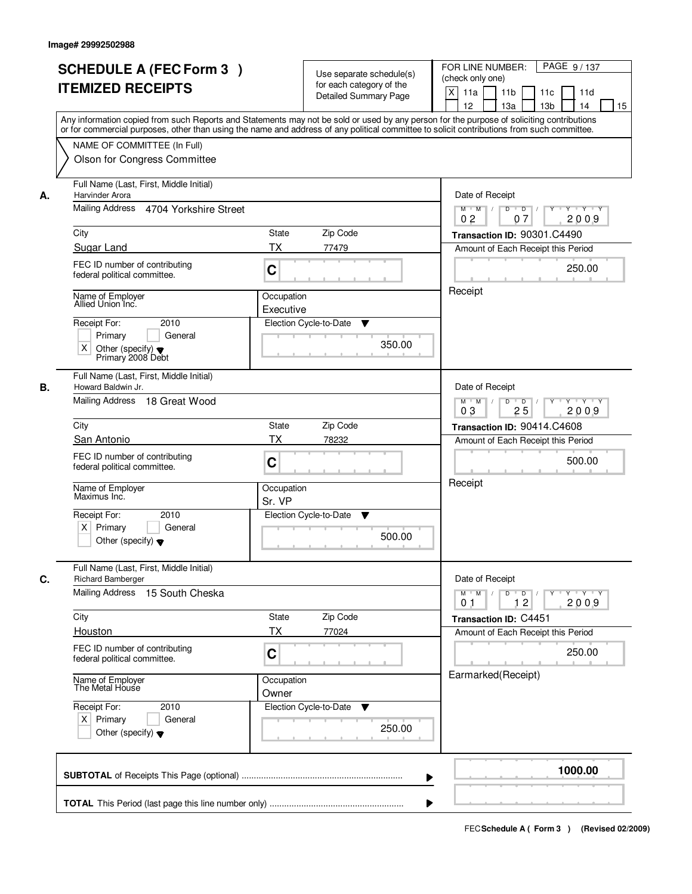| Use separate schedule(s)<br>(check only one)<br>for each category of the<br><b>ITEMIZED RECEIPTS</b><br>X<br>11a<br>11 <sub>b</sub><br>11c<br>11d<br><b>Detailed Summary Page</b><br>12<br>13a<br>13 <sub>b</sub><br>14<br>15<br>Any information copied from such Reports and Statements may not be sold or used by any person for the purpose of soliciting contributions<br>or for commercial purposes, other than using the name and address of any political committee to solicit contributions from such committee.<br>NAME OF COMMITTEE (In Full)<br>Olson for Congress Committee<br>Full Name (Last, First, Middle Initial)<br>Harvinder Arora<br>Date of Receipt<br>Mailing Address 4704 Yorkshire Street<br>$Y - Y - Y$<br>$M$ $M$<br>D<br>$\overline{D}$<br>07<br>2009<br>0 <sub>2</sub><br>City<br>State<br>Zip Code<br>Transaction ID: 90301.C4490<br>Sugar Land<br>ТX<br>77479<br>Amount of Each Receipt this Period<br>FEC ID number of contributing<br>C<br>250.00<br>federal political committee.<br>Receipt<br>Name of Employer<br>Allied Union Inc.<br>Occupation<br>Executive<br>Receipt For:<br>2010<br>Election Cycle-to-Date<br>▼<br>Primary<br>General<br>350.00<br>$\times$<br>Other (specify) $\blacktriangledown$<br>Primary 2008 Debt<br>Full Name (Last, First, Middle Initial)<br>Date of Receipt<br>Howard Baldwin Jr.<br>Mailing Address 18 Great Wood<br>D<br>$Y - Y - Y$<br>$M$ $M$ /<br>$\overline{D}$<br>03<br>25<br>2009<br>Zip Code<br>City<br><b>State</b><br>Transaction ID: 90414.C4608<br><b>TX</b><br>San Antonio<br>78232<br>Amount of Each Receipt this Period<br>FEC ID number of contributing<br>500.00<br>C<br>federal political committee.<br>Receipt<br>Name of Employer<br>Occupation<br>Maximus Inc.<br>Sr. VP<br>Receipt For:<br>2010<br>Election Cycle-to-Date<br>Y<br>$X$ Primary<br>General<br>500.00<br>Other (specify) $\blacktriangledown$<br>Full Name (Last, First, Middle Initial)<br>Date of Receipt<br><b>Richard Bamberger</b><br>Mailing Address 15 South Cheska<br>$M$ $M$<br>$D$ $D$ $/$<br>$Y \rightarrow Y \rightarrow Y$<br>$\top$ /<br>2009<br>12<br>01<br>Zip Code<br>City<br>State<br>Transaction ID: C4451<br><b>TX</b><br>Houston<br>77024<br>Amount of Each Receipt this Period<br>FEC ID number of contributing<br>250.00<br>C<br>federal political committee.<br>Earmarked(Receipt)<br>Name of Employer<br>The Metal House<br>Occupation<br>Owner<br>Receipt For:<br>Election Cycle-to-Date<br>2010<br>v<br>$X$ Primary<br>General<br>250.00<br>Other (specify) $\blacktriangledown$<br>1000.00 |    | <b>SCHEDULE A (FEC Form 3)</b> |  | PAGE 9/137<br>FOR LINE NUMBER: |
|-------------------------------------------------------------------------------------------------------------------------------------------------------------------------------------------------------------------------------------------------------------------------------------------------------------------------------------------------------------------------------------------------------------------------------------------------------------------------------------------------------------------------------------------------------------------------------------------------------------------------------------------------------------------------------------------------------------------------------------------------------------------------------------------------------------------------------------------------------------------------------------------------------------------------------------------------------------------------------------------------------------------------------------------------------------------------------------------------------------------------------------------------------------------------------------------------------------------------------------------------------------------------------------------------------------------------------------------------------------------------------------------------------------------------------------------------------------------------------------------------------------------------------------------------------------------------------------------------------------------------------------------------------------------------------------------------------------------------------------------------------------------------------------------------------------------------------------------------------------------------------------------------------------------------------------------------------------------------------------------------------------------------------------------------------------------------------------------------------------------------------------------------------------------------------------------------------------------------------------------------------------------------------------------------------------------------------------------------------------------------------------------------------------------------------------------------------------------------------------------------------------------------------------------------------------------------------|----|--------------------------------|--|--------------------------------|
|                                                                                                                                                                                                                                                                                                                                                                                                                                                                                                                                                                                                                                                                                                                                                                                                                                                                                                                                                                                                                                                                                                                                                                                                                                                                                                                                                                                                                                                                                                                                                                                                                                                                                                                                                                                                                                                                                                                                                                                                                                                                                                                                                                                                                                                                                                                                                                                                                                                                                                                                                                               |    |                                |  |                                |
|                                                                                                                                                                                                                                                                                                                                                                                                                                                                                                                                                                                                                                                                                                                                                                                                                                                                                                                                                                                                                                                                                                                                                                                                                                                                                                                                                                                                                                                                                                                                                                                                                                                                                                                                                                                                                                                                                                                                                                                                                                                                                                                                                                                                                                                                                                                                                                                                                                                                                                                                                                               |    |                                |  |                                |
|                                                                                                                                                                                                                                                                                                                                                                                                                                                                                                                                                                                                                                                                                                                                                                                                                                                                                                                                                                                                                                                                                                                                                                                                                                                                                                                                                                                                                                                                                                                                                                                                                                                                                                                                                                                                                                                                                                                                                                                                                                                                                                                                                                                                                                                                                                                                                                                                                                                                                                                                                                               |    |                                |  |                                |
|                                                                                                                                                                                                                                                                                                                                                                                                                                                                                                                                                                                                                                                                                                                                                                                                                                                                                                                                                                                                                                                                                                                                                                                                                                                                                                                                                                                                                                                                                                                                                                                                                                                                                                                                                                                                                                                                                                                                                                                                                                                                                                                                                                                                                                                                                                                                                                                                                                                                                                                                                                               |    |                                |  |                                |
|                                                                                                                                                                                                                                                                                                                                                                                                                                                                                                                                                                                                                                                                                                                                                                                                                                                                                                                                                                                                                                                                                                                                                                                                                                                                                                                                                                                                                                                                                                                                                                                                                                                                                                                                                                                                                                                                                                                                                                                                                                                                                                                                                                                                                                                                                                                                                                                                                                                                                                                                                                               |    |                                |  |                                |
|                                                                                                                                                                                                                                                                                                                                                                                                                                                                                                                                                                                                                                                                                                                                                                                                                                                                                                                                                                                                                                                                                                                                                                                                                                                                                                                                                                                                                                                                                                                                                                                                                                                                                                                                                                                                                                                                                                                                                                                                                                                                                                                                                                                                                                                                                                                                                                                                                                                                                                                                                                               |    |                                |  |                                |
|                                                                                                                                                                                                                                                                                                                                                                                                                                                                                                                                                                                                                                                                                                                                                                                                                                                                                                                                                                                                                                                                                                                                                                                                                                                                                                                                                                                                                                                                                                                                                                                                                                                                                                                                                                                                                                                                                                                                                                                                                                                                                                                                                                                                                                                                                                                                                                                                                                                                                                                                                                               | А. |                                |  |                                |
|                                                                                                                                                                                                                                                                                                                                                                                                                                                                                                                                                                                                                                                                                                                                                                                                                                                                                                                                                                                                                                                                                                                                                                                                                                                                                                                                                                                                                                                                                                                                                                                                                                                                                                                                                                                                                                                                                                                                                                                                                                                                                                                                                                                                                                                                                                                                                                                                                                                                                                                                                                               |    |                                |  |                                |
|                                                                                                                                                                                                                                                                                                                                                                                                                                                                                                                                                                                                                                                                                                                                                                                                                                                                                                                                                                                                                                                                                                                                                                                                                                                                                                                                                                                                                                                                                                                                                                                                                                                                                                                                                                                                                                                                                                                                                                                                                                                                                                                                                                                                                                                                                                                                                                                                                                                                                                                                                                               |    |                                |  |                                |
|                                                                                                                                                                                                                                                                                                                                                                                                                                                                                                                                                                                                                                                                                                                                                                                                                                                                                                                                                                                                                                                                                                                                                                                                                                                                                                                                                                                                                                                                                                                                                                                                                                                                                                                                                                                                                                                                                                                                                                                                                                                                                                                                                                                                                                                                                                                                                                                                                                                                                                                                                                               |    |                                |  |                                |
|                                                                                                                                                                                                                                                                                                                                                                                                                                                                                                                                                                                                                                                                                                                                                                                                                                                                                                                                                                                                                                                                                                                                                                                                                                                                                                                                                                                                                                                                                                                                                                                                                                                                                                                                                                                                                                                                                                                                                                                                                                                                                                                                                                                                                                                                                                                                                                                                                                                                                                                                                                               |    |                                |  |                                |
|                                                                                                                                                                                                                                                                                                                                                                                                                                                                                                                                                                                                                                                                                                                                                                                                                                                                                                                                                                                                                                                                                                                                                                                                                                                                                                                                                                                                                                                                                                                                                                                                                                                                                                                                                                                                                                                                                                                                                                                                                                                                                                                                                                                                                                                                                                                                                                                                                                                                                                                                                                               |    |                                |  |                                |
|                                                                                                                                                                                                                                                                                                                                                                                                                                                                                                                                                                                                                                                                                                                                                                                                                                                                                                                                                                                                                                                                                                                                                                                                                                                                                                                                                                                                                                                                                                                                                                                                                                                                                                                                                                                                                                                                                                                                                                                                                                                                                                                                                                                                                                                                                                                                                                                                                                                                                                                                                                               |    |                                |  |                                |
|                                                                                                                                                                                                                                                                                                                                                                                                                                                                                                                                                                                                                                                                                                                                                                                                                                                                                                                                                                                                                                                                                                                                                                                                                                                                                                                                                                                                                                                                                                                                                                                                                                                                                                                                                                                                                                                                                                                                                                                                                                                                                                                                                                                                                                                                                                                                                                                                                                                                                                                                                                               |    |                                |  |                                |
|                                                                                                                                                                                                                                                                                                                                                                                                                                                                                                                                                                                                                                                                                                                                                                                                                                                                                                                                                                                                                                                                                                                                                                                                                                                                                                                                                                                                                                                                                                                                                                                                                                                                                                                                                                                                                                                                                                                                                                                                                                                                                                                                                                                                                                                                                                                                                                                                                                                                                                                                                                               |    |                                |  |                                |
|                                                                                                                                                                                                                                                                                                                                                                                                                                                                                                                                                                                                                                                                                                                                                                                                                                                                                                                                                                                                                                                                                                                                                                                                                                                                                                                                                                                                                                                                                                                                                                                                                                                                                                                                                                                                                                                                                                                                                                                                                                                                                                                                                                                                                                                                                                                                                                                                                                                                                                                                                                               |    |                                |  |                                |
|                                                                                                                                                                                                                                                                                                                                                                                                                                                                                                                                                                                                                                                                                                                                                                                                                                                                                                                                                                                                                                                                                                                                                                                                                                                                                                                                                                                                                                                                                                                                                                                                                                                                                                                                                                                                                                                                                                                                                                                                                                                                                                                                                                                                                                                                                                                                                                                                                                                                                                                                                                               | В. |                                |  |                                |
|                                                                                                                                                                                                                                                                                                                                                                                                                                                                                                                                                                                                                                                                                                                                                                                                                                                                                                                                                                                                                                                                                                                                                                                                                                                                                                                                                                                                                                                                                                                                                                                                                                                                                                                                                                                                                                                                                                                                                                                                                                                                                                                                                                                                                                                                                                                                                                                                                                                                                                                                                                               |    |                                |  |                                |
|                                                                                                                                                                                                                                                                                                                                                                                                                                                                                                                                                                                                                                                                                                                                                                                                                                                                                                                                                                                                                                                                                                                                                                                                                                                                                                                                                                                                                                                                                                                                                                                                                                                                                                                                                                                                                                                                                                                                                                                                                                                                                                                                                                                                                                                                                                                                                                                                                                                                                                                                                                               |    |                                |  |                                |
|                                                                                                                                                                                                                                                                                                                                                                                                                                                                                                                                                                                                                                                                                                                                                                                                                                                                                                                                                                                                                                                                                                                                                                                                                                                                                                                                                                                                                                                                                                                                                                                                                                                                                                                                                                                                                                                                                                                                                                                                                                                                                                                                                                                                                                                                                                                                                                                                                                                                                                                                                                               |    |                                |  |                                |
|                                                                                                                                                                                                                                                                                                                                                                                                                                                                                                                                                                                                                                                                                                                                                                                                                                                                                                                                                                                                                                                                                                                                                                                                                                                                                                                                                                                                                                                                                                                                                                                                                                                                                                                                                                                                                                                                                                                                                                                                                                                                                                                                                                                                                                                                                                                                                                                                                                                                                                                                                                               |    |                                |  |                                |
|                                                                                                                                                                                                                                                                                                                                                                                                                                                                                                                                                                                                                                                                                                                                                                                                                                                                                                                                                                                                                                                                                                                                                                                                                                                                                                                                                                                                                                                                                                                                                                                                                                                                                                                                                                                                                                                                                                                                                                                                                                                                                                                                                                                                                                                                                                                                                                                                                                                                                                                                                                               |    |                                |  |                                |
|                                                                                                                                                                                                                                                                                                                                                                                                                                                                                                                                                                                                                                                                                                                                                                                                                                                                                                                                                                                                                                                                                                                                                                                                                                                                                                                                                                                                                                                                                                                                                                                                                                                                                                                                                                                                                                                                                                                                                                                                                                                                                                                                                                                                                                                                                                                                                                                                                                                                                                                                                                               |    |                                |  |                                |
|                                                                                                                                                                                                                                                                                                                                                                                                                                                                                                                                                                                                                                                                                                                                                                                                                                                                                                                                                                                                                                                                                                                                                                                                                                                                                                                                                                                                                                                                                                                                                                                                                                                                                                                                                                                                                                                                                                                                                                                                                                                                                                                                                                                                                                                                                                                                                                                                                                                                                                                                                                               |    |                                |  |                                |
|                                                                                                                                                                                                                                                                                                                                                                                                                                                                                                                                                                                                                                                                                                                                                                                                                                                                                                                                                                                                                                                                                                                                                                                                                                                                                                                                                                                                                                                                                                                                                                                                                                                                                                                                                                                                                                                                                                                                                                                                                                                                                                                                                                                                                                                                                                                                                                                                                                                                                                                                                                               | C. |                                |  |                                |
|                                                                                                                                                                                                                                                                                                                                                                                                                                                                                                                                                                                                                                                                                                                                                                                                                                                                                                                                                                                                                                                                                                                                                                                                                                                                                                                                                                                                                                                                                                                                                                                                                                                                                                                                                                                                                                                                                                                                                                                                                                                                                                                                                                                                                                                                                                                                                                                                                                                                                                                                                                               |    |                                |  |                                |
|                                                                                                                                                                                                                                                                                                                                                                                                                                                                                                                                                                                                                                                                                                                                                                                                                                                                                                                                                                                                                                                                                                                                                                                                                                                                                                                                                                                                                                                                                                                                                                                                                                                                                                                                                                                                                                                                                                                                                                                                                                                                                                                                                                                                                                                                                                                                                                                                                                                                                                                                                                               |    |                                |  |                                |
|                                                                                                                                                                                                                                                                                                                                                                                                                                                                                                                                                                                                                                                                                                                                                                                                                                                                                                                                                                                                                                                                                                                                                                                                                                                                                                                                                                                                                                                                                                                                                                                                                                                                                                                                                                                                                                                                                                                                                                                                                                                                                                                                                                                                                                                                                                                                                                                                                                                                                                                                                                               |    |                                |  |                                |
|                                                                                                                                                                                                                                                                                                                                                                                                                                                                                                                                                                                                                                                                                                                                                                                                                                                                                                                                                                                                                                                                                                                                                                                                                                                                                                                                                                                                                                                                                                                                                                                                                                                                                                                                                                                                                                                                                                                                                                                                                                                                                                                                                                                                                                                                                                                                                                                                                                                                                                                                                                               |    |                                |  |                                |
|                                                                                                                                                                                                                                                                                                                                                                                                                                                                                                                                                                                                                                                                                                                                                                                                                                                                                                                                                                                                                                                                                                                                                                                                                                                                                                                                                                                                                                                                                                                                                                                                                                                                                                                                                                                                                                                                                                                                                                                                                                                                                                                                                                                                                                                                                                                                                                                                                                                                                                                                                                               |    |                                |  |                                |
|                                                                                                                                                                                                                                                                                                                                                                                                                                                                                                                                                                                                                                                                                                                                                                                                                                                                                                                                                                                                                                                                                                                                                                                                                                                                                                                                                                                                                                                                                                                                                                                                                                                                                                                                                                                                                                                                                                                                                                                                                                                                                                                                                                                                                                                                                                                                                                                                                                                                                                                                                                               |    |                                |  |                                |
|                                                                                                                                                                                                                                                                                                                                                                                                                                                                                                                                                                                                                                                                                                                                                                                                                                                                                                                                                                                                                                                                                                                                                                                                                                                                                                                                                                                                                                                                                                                                                                                                                                                                                                                                                                                                                                                                                                                                                                                                                                                                                                                                                                                                                                                                                                                                                                                                                                                                                                                                                                               |    |                                |  |                                |
|                                                                                                                                                                                                                                                                                                                                                                                                                                                                                                                                                                                                                                                                                                                                                                                                                                                                                                                                                                                                                                                                                                                                                                                                                                                                                                                                                                                                                                                                                                                                                                                                                                                                                                                                                                                                                                                                                                                                                                                                                                                                                                                                                                                                                                                                                                                                                                                                                                                                                                                                                                               |    |                                |  |                                |
|                                                                                                                                                                                                                                                                                                                                                                                                                                                                                                                                                                                                                                                                                                                                                                                                                                                                                                                                                                                                                                                                                                                                                                                                                                                                                                                                                                                                                                                                                                                                                                                                                                                                                                                                                                                                                                                                                                                                                                                                                                                                                                                                                                                                                                                                                                                                                                                                                                                                                                                                                                               |    |                                |  |                                |
|                                                                                                                                                                                                                                                                                                                                                                                                                                                                                                                                                                                                                                                                                                                                                                                                                                                                                                                                                                                                                                                                                                                                                                                                                                                                                                                                                                                                                                                                                                                                                                                                                                                                                                                                                                                                                                                                                                                                                                                                                                                                                                                                                                                                                                                                                                                                                                                                                                                                                                                                                                               |    |                                |  |                                |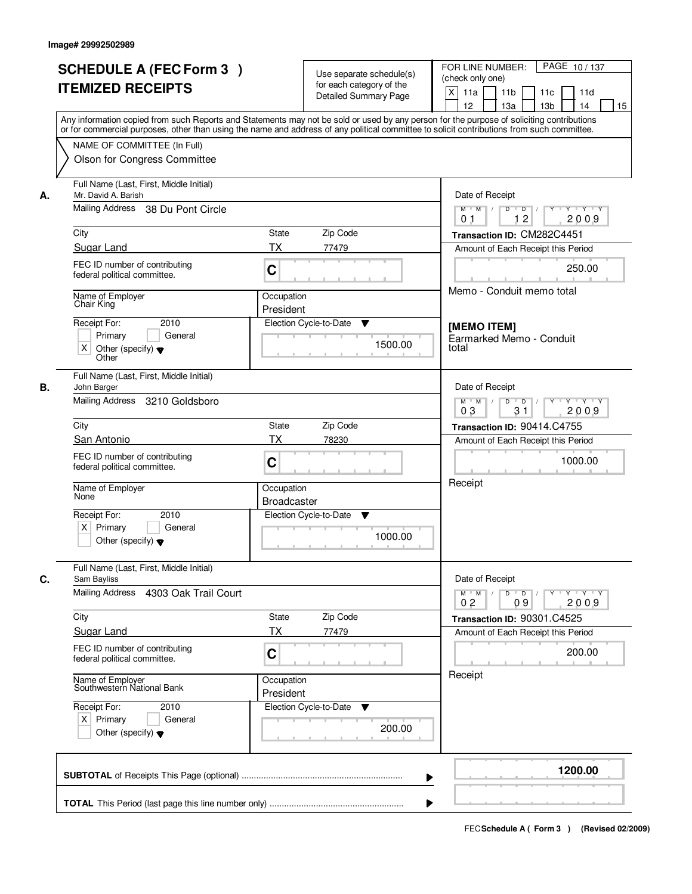| <b>SCHEDULE A (FEC Form 3)</b><br><b>ITEMIZED RECEIPTS</b>                                                           | Use separate schedule(s)<br>for each category of the<br>Detailed Summary Page                                                                                                                                                                                                           | PAGE 10/137<br>FOR LINE NUMBER:<br>(check only one)<br>X<br>11a<br>11 <sub>b</sub><br>11c<br>11d<br>12<br>13a<br>13 <sub>b</sub><br>14<br>15 |
|----------------------------------------------------------------------------------------------------------------------|-----------------------------------------------------------------------------------------------------------------------------------------------------------------------------------------------------------------------------------------------------------------------------------------|----------------------------------------------------------------------------------------------------------------------------------------------|
| NAME OF COMMITTEE (In Full)<br>Olson for Congress Committee                                                          | Any information copied from such Reports and Statements may not be sold or used by any person for the purpose of soliciting contributions<br>or for commercial purposes, other than using the name and address of any political committee to solicit contributions from such committee. |                                                                                                                                              |
| Full Name (Last, First, Middle Initial)<br>Mr. David A. Barish<br>А.<br>Mailing Address<br>38 Du Pont Circle<br>City | State<br>Zip Code                                                                                                                                                                                                                                                                       | Date of Receipt<br>$\Box$ D $\Box$ /<br>Y Y Y Y<br>$M$ $M$ /<br>D<br>Y<br>12<br>2009<br>0 <sub>1</sub><br>Transaction ID: CM282C4451         |
| Sugar Land                                                                                                           | TX<br>77479                                                                                                                                                                                                                                                                             | Amount of Each Receipt this Period                                                                                                           |
| FEC ID number of contributing<br>federal political committee.                                                        | C                                                                                                                                                                                                                                                                                       | 250.00                                                                                                                                       |
| Name of Employer<br>Chair King<br>Receipt For:<br>2010                                                               | Occupation<br>President<br>Election Cycle-to-Date<br>▼                                                                                                                                                                                                                                  | Memo - Conduit memo total<br>[MEMO ITEM]                                                                                                     |
| Primary<br>General<br>X<br>Other (specify) $\blacktriangledown$<br>Other                                             | 1500.00                                                                                                                                                                                                                                                                                 | Earmarked Memo - Conduit<br>total                                                                                                            |
| Full Name (Last, First, Middle Initial)<br>В.<br>John Barger<br>Mailing Address<br>3210 Goldsboro                    |                                                                                                                                                                                                                                                                                         | Date of Receipt<br>D<br>Y Y Y Y<br>$M$ $M$ /<br>$\Box$ D $\Box$ /<br>03<br>31<br>2009                                                        |
| City                                                                                                                 | Zip Code<br>State                                                                                                                                                                                                                                                                       | Transaction ID: 90414.C4755                                                                                                                  |
| San Antonio                                                                                                          | <b>TX</b><br>78230                                                                                                                                                                                                                                                                      | Amount of Each Receipt this Period                                                                                                           |
| FEC ID number of contributing<br>federal political committee.                                                        | C                                                                                                                                                                                                                                                                                       | 1000.00                                                                                                                                      |
| Name of Employer<br>None                                                                                             | Occupation<br><b>Broadcaster</b>                                                                                                                                                                                                                                                        | Receipt                                                                                                                                      |
| Receipt For:<br>2010<br>Primary<br>$\times$<br>General<br>Other (specify) $\blacktriangledown$                       | Election Cycle-to-Date<br>v<br>1000.00                                                                                                                                                                                                                                                  |                                                                                                                                              |
| Full Name (Last, First, Middle Initial)<br>С.<br>Sam Bayliss                                                         |                                                                                                                                                                                                                                                                                         | Date of Receipt                                                                                                                              |
| Mailing Address<br>4303 Oak Trail Court                                                                              |                                                                                                                                                                                                                                                                                         | $M^+$ M<br>$D$ $D$<br>Y Y Y Y<br>0 <sub>2</sub><br>2009<br>09                                                                                |
| City<br>Sugar Land                                                                                                   | Zip Code<br>State<br><b>TX</b><br>77479                                                                                                                                                                                                                                                 | Transaction ID: 90301.C4525<br>Amount of Each Receipt this Period                                                                            |
| FEC ID number of contributing<br>federal political committee.                                                        | C                                                                                                                                                                                                                                                                                       | 200.00                                                                                                                                       |
| Name of Employer<br>Southwestern National Bank                                                                       | Occupation<br>President                                                                                                                                                                                                                                                                 | Receipt                                                                                                                                      |
| Receipt For:<br>2010<br>$X$ Primary<br>General<br>Other (specify) $\blacktriangledown$                               | Election Cycle-to-Date<br>v<br>200.00                                                                                                                                                                                                                                                   |                                                                                                                                              |
|                                                                                                                      |                                                                                                                                                                                                                                                                                         | 1200.00                                                                                                                                      |
|                                                                                                                      |                                                                                                                                                                                                                                                                                         |                                                                                                                                              |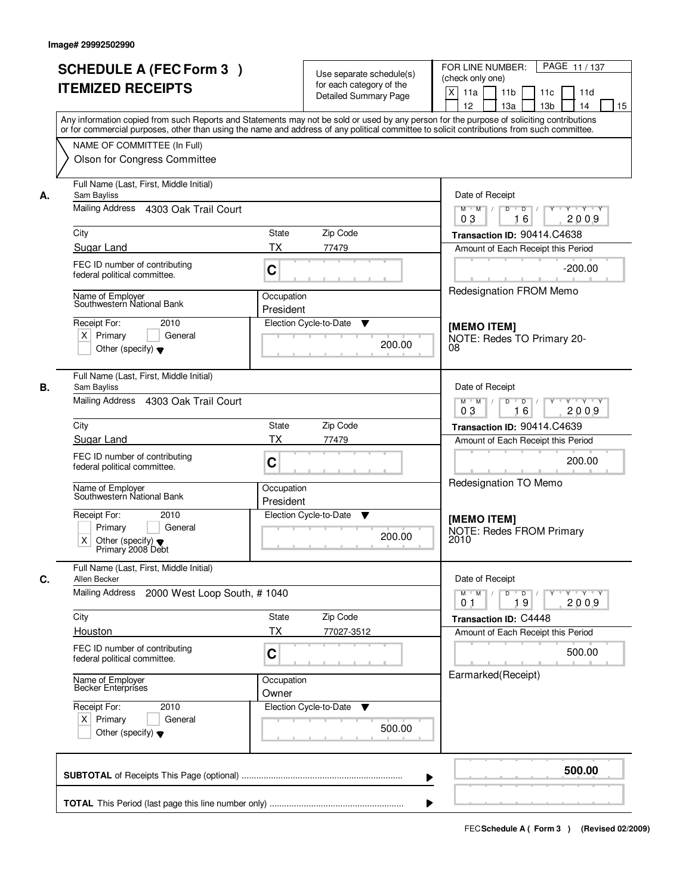| PAGE 11 / 137<br>FOR LINE NUMBER:                                                                                                                                                                                                                                                       |
|-----------------------------------------------------------------------------------------------------------------------------------------------------------------------------------------------------------------------------------------------------------------------------------------|
|                                                                                                                                                                                                                                                                                         |
| 11 <sub>b</sub><br>11c<br>11d                                                                                                                                                                                                                                                           |
| 13a<br>13 <sub>b</sub><br>14<br>15                                                                                                                                                                                                                                                      |
| Any information copied from such Reports and Statements may not be sold or used by any person for the purpose of soliciting contributions<br>or for commercial purposes, other than using the name and address of any political committee to solicit contributions from such committee. |
|                                                                                                                                                                                                                                                                                         |
|                                                                                                                                                                                                                                                                                         |
| Date of Receipt                                                                                                                                                                                                                                                                         |
| $Y + Y + Y$<br>D<br>$\overline{D}$<br>Y<br>16<br>2009                                                                                                                                                                                                                                   |
| Transaction ID: 90414.C4638                                                                                                                                                                                                                                                             |
| Amount of Each Receipt this Period                                                                                                                                                                                                                                                      |
| $-200.00$                                                                                                                                                                                                                                                                               |
| <b>Redesignation FROM Memo</b>                                                                                                                                                                                                                                                          |
|                                                                                                                                                                                                                                                                                         |
| [MEMO ITEM]<br>NOTE: Redes TO Primary 20-                                                                                                                                                                                                                                               |
|                                                                                                                                                                                                                                                                                         |
| Date of Receipt                                                                                                                                                                                                                                                                         |
| D<br>$D$ /<br>$Y$ <sup>U</sup><br>Y Y Y Y<br>16<br>2009                                                                                                                                                                                                                                 |
| Transaction ID: 90414.C4639                                                                                                                                                                                                                                                             |
| Amount of Each Receipt this Period                                                                                                                                                                                                                                                      |
| 200.00                                                                                                                                                                                                                                                                                  |
| Redesignation TO Memo                                                                                                                                                                                                                                                                   |
| [MEMO ITEM]                                                                                                                                                                                                                                                                             |
| <b>NOTE: Redes FROM Primary</b>                                                                                                                                                                                                                                                         |
|                                                                                                                                                                                                                                                                                         |
| Date of Receipt                                                                                                                                                                                                                                                                         |
| $D$ $D$<br>$Y \rightarrow Y \rightarrow Y$<br>2009<br>19                                                                                                                                                                                                                                |
| Transaction ID: C4448                                                                                                                                                                                                                                                                   |
| Amount of Each Receipt this Period                                                                                                                                                                                                                                                      |
| 500.00                                                                                                                                                                                                                                                                                  |
| Earmarked(Receipt)                                                                                                                                                                                                                                                                      |
|                                                                                                                                                                                                                                                                                         |
|                                                                                                                                                                                                                                                                                         |
|                                                                                                                                                                                                                                                                                         |
| 500.00                                                                                                                                                                                                                                                                                  |
|                                                                                                                                                                                                                                                                                         |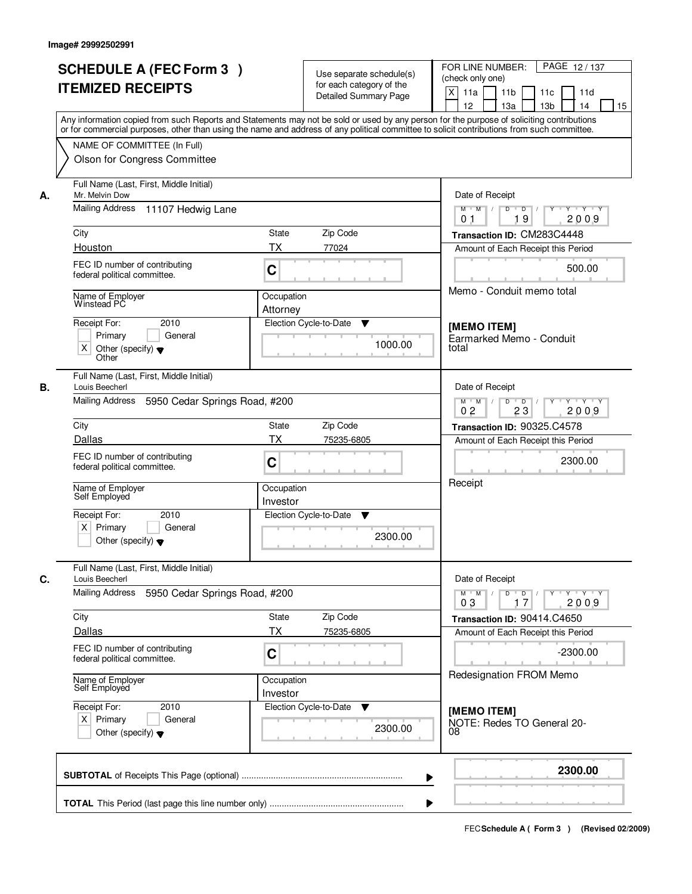|    | <b>SCHEDULE A (FEC Form 3)</b><br><b>ITEMIZED RECEIPTS</b>                                                             | Use separate schedule(s)<br>for each category of the<br><b>Detailed Summary Page</b>                                                                                                                                                                                                    | PAGE 12/137<br>FOR LINE NUMBER:<br>(check only one)<br>X<br>11a<br>11 <sub>b</sub><br>11c<br>11d |
|----|------------------------------------------------------------------------------------------------------------------------|-----------------------------------------------------------------------------------------------------------------------------------------------------------------------------------------------------------------------------------------------------------------------------------------|--------------------------------------------------------------------------------------------------|
|    | NAME OF COMMITTEE (In Full)                                                                                            | Any information copied from such Reports and Statements may not be sold or used by any person for the purpose of soliciting contributions<br>or for commercial purposes, other than using the name and address of any political committee to solicit contributions from such committee. | 12<br>13a<br>13 <sub>b</sub><br>14<br>15                                                         |
|    | Olson for Congress Committee<br>Full Name (Last, First, Middle Initial)                                                |                                                                                                                                                                                                                                                                                         |                                                                                                  |
| А. | Mr. Melvin Dow                                                                                                         | Date of Receipt                                                                                                                                                                                                                                                                         |                                                                                                  |
|    | Mailing Address 11107 Hedwig Lane                                                                                      |                                                                                                                                                                                                                                                                                         | $Y + Y + Y$<br>$M$ $M$ /<br>D<br>$\overline{D}$<br>19<br>2009<br>0 <sub>1</sub>                  |
|    | City                                                                                                                   | <b>State</b><br>Zip Code                                                                                                                                                                                                                                                                | Transaction ID: CM283C4448                                                                       |
|    | Houston                                                                                                                | <b>TX</b><br>77024                                                                                                                                                                                                                                                                      | Amount of Each Receipt this Period                                                               |
|    | FEC ID number of contributing<br>federal political committee.                                                          | C                                                                                                                                                                                                                                                                                       | 500.00                                                                                           |
|    | Name of Employer<br>Winstead PC                                                                                        | Occupation<br>Attorney                                                                                                                                                                                                                                                                  | Memo - Conduit memo total                                                                        |
|    | Receipt For:<br>2010<br>Primary<br>General<br>X<br>Other (specify) $\blacktriangledown$                                | Election Cycle-to-Date<br>▼<br>1000.00                                                                                                                                                                                                                                                  | [MEMO ITEM]<br>Earmarked Memo - Conduit<br>total                                                 |
| В. | Other<br>Full Name (Last, First, Middle Initial)<br>Louis Beecherl<br>Mailing Address<br>5950 Cedar Springs Road, #200 |                                                                                                                                                                                                                                                                                         | Date of Receipt<br>D<br>$Y - Y - Y$<br>$M$ $M$ /<br>$\overline{D}$                               |
|    |                                                                                                                        |                                                                                                                                                                                                                                                                                         | 0 <sub>2</sub><br>23<br>2009                                                                     |
|    | City<br>Dallas                                                                                                         | Zip Code<br><b>State</b><br>ТX                                                                                                                                                                                                                                                          | Transaction ID: 90325.C4578                                                                      |
|    | FEC ID number of contributing<br>federal political committee.                                                          | 75235-6805<br>C                                                                                                                                                                                                                                                                         | Amount of Each Receipt this Period<br>2300.00                                                    |
|    | Name of Employer<br>Self Employed                                                                                      | Occupation<br>Investor                                                                                                                                                                                                                                                                  | Receipt                                                                                          |
|    | Receipt For:<br>2010<br>$X$ Primary<br>General<br>Other (specify) $\blacktriangledown$                                 | Election Cycle-to-Date<br>v<br>2300.00                                                                                                                                                                                                                                                  |                                                                                                  |
| C. | Full Name (Last, First, Middle Initial)<br>Louis Beecherl                                                              |                                                                                                                                                                                                                                                                                         | Date of Receipt                                                                                  |
|    | Mailing Address<br>5950 Cedar Springs Road, #200                                                                       |                                                                                                                                                                                                                                                                                         | $D$ $D$<br>$Y \rightarrow Y \rightarrow Y$<br>$M^+$ M<br>2009<br>03<br>17                        |
|    | City<br>Dallas                                                                                                         | Zip Code<br>State<br><b>TX</b><br>75235-6805                                                                                                                                                                                                                                            | Transaction ID: 90414.C4650<br>Amount of Each Receipt this Period                                |
|    | FEC ID number of contributing<br>federal political committee.                                                          | C                                                                                                                                                                                                                                                                                       | $-2300.00$                                                                                       |
|    | Name of Employer<br>Self Employed                                                                                      | Occupation<br>Investor                                                                                                                                                                                                                                                                  | <b>Redesignation FROM Memo</b>                                                                   |
|    | Receipt For:<br>2010<br>$X$ Primary<br>General<br>Other (specify) $\blacktriangledown$                                 | Election Cycle-to-Date<br>v<br>2300.00                                                                                                                                                                                                                                                  | [MEMO ITEM]<br>NOTE: Redes TO General 20-<br>08                                                  |
|    |                                                                                                                        |                                                                                                                                                                                                                                                                                         | 2300.00                                                                                          |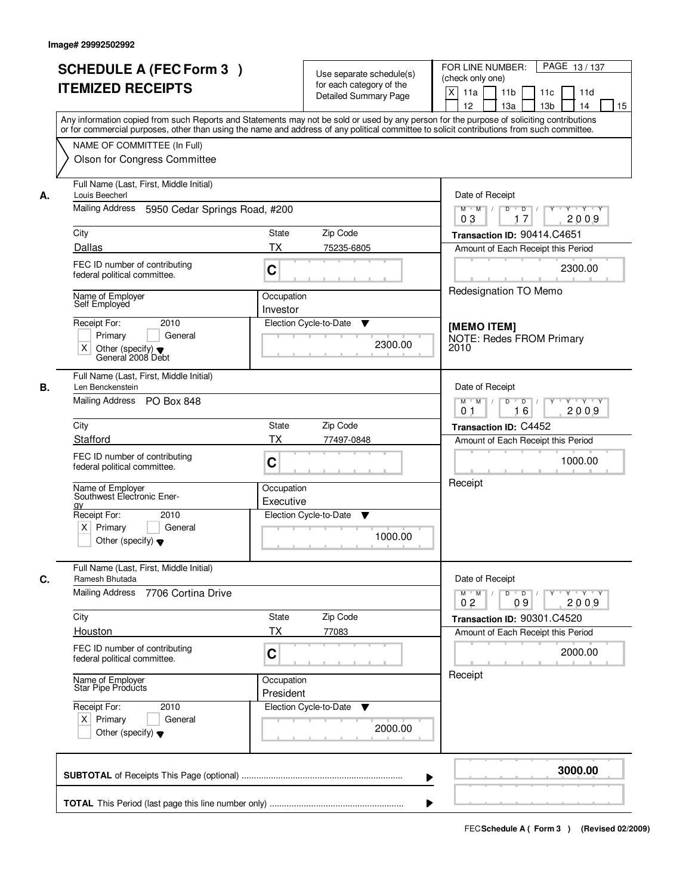|    | <b>SCHEDULE A (FEC Form 3)</b>                                                                                                                                                                                                                                                          |              | Use separate schedule(s)    | PAGE 13/137<br>FOR LINE NUMBER:                                                                                                             |
|----|-----------------------------------------------------------------------------------------------------------------------------------------------------------------------------------------------------------------------------------------------------------------------------------------|--------------|-----------------------------|---------------------------------------------------------------------------------------------------------------------------------------------|
|    | <b>ITEMIZED RECEIPTS</b>                                                                                                                                                                                                                                                                |              | for each category of the    | (check only one)                                                                                                                            |
|    |                                                                                                                                                                                                                                                                                         |              | Detailed Summary Page       | $\mathsf{X}$<br>11 <sub>b</sub><br>11a<br>11c<br>11d                                                                                        |
|    |                                                                                                                                                                                                                                                                                         |              |                             | 12<br>13 <sub>b</sub><br>14<br>15<br>13a                                                                                                    |
|    | Any information copied from such Reports and Statements may not be sold or used by any person for the purpose of soliciting contributions<br>or for commercial purposes, other than using the name and address of any political committee to solicit contributions from such committee. |              |                             |                                                                                                                                             |
|    |                                                                                                                                                                                                                                                                                         |              |                             |                                                                                                                                             |
|    | NAME OF COMMITTEE (In Full)                                                                                                                                                                                                                                                             |              |                             |                                                                                                                                             |
|    | Olson for Congress Committee                                                                                                                                                                                                                                                            |              |                             |                                                                                                                                             |
| А. | Full Name (Last, First, Middle Initial)<br>Louis Beecherl                                                                                                                                                                                                                               |              |                             | Date of Receipt                                                                                                                             |
|    | Mailing Address<br>5950 Cedar Springs Road, #200                                                                                                                                                                                                                                        |              |                             | $\overline{D}$<br>$Y - Y - Y$<br>$M$ $M$ /<br>D<br>17<br>2009<br>03                                                                         |
|    | City                                                                                                                                                                                                                                                                                    | <b>State</b> | Zip Code                    | Transaction ID: 90414.C4651                                                                                                                 |
|    | Dallas                                                                                                                                                                                                                                                                                  | <b>TX</b>    | 75235-6805                  | Amount of Each Receipt this Period                                                                                                          |
|    | FEC ID number of contributing                                                                                                                                                                                                                                                           |              |                             |                                                                                                                                             |
|    | federal political committee.                                                                                                                                                                                                                                                            | C            |                             | 2300.00                                                                                                                                     |
|    | Name of Employer                                                                                                                                                                                                                                                                        | Occupation   |                             | Redesignation TO Memo                                                                                                                       |
|    | Self Employed                                                                                                                                                                                                                                                                           | Investor     |                             |                                                                                                                                             |
|    | 2010<br>Receipt For:                                                                                                                                                                                                                                                                    |              | Election Cycle-to-Date<br>▼ |                                                                                                                                             |
|    | Primary<br>General                                                                                                                                                                                                                                                                      |              |                             | [MEMO ITEM]<br><b>NOTE: Redes FROM Primary</b>                                                                                              |
|    | X<br>Other (specify) $\blacktriangledown$                                                                                                                                                                                                                                               |              | 2300.00                     | 2010                                                                                                                                        |
|    | General 2008 Debt                                                                                                                                                                                                                                                                       |              |                             |                                                                                                                                             |
| В. | Full Name (Last, First, Middle Initial)<br>Len Benckenstein                                                                                                                                                                                                                             |              |                             | Date of Receipt                                                                                                                             |
|    | Mailing Address<br><b>PO Box 848</b>                                                                                                                                                                                                                                                    |              |                             | $M$ $M$ /<br>D<br>$\blacksquare$ $\blacksquare$ $\blacksquare$ $\blacksquare$ $\blacksquare$<br>Y Y Y Y<br>$Y$ <sup><math>\top</math></sup> |
|    |                                                                                                                                                                                                                                                                                         |              |                             | 16<br>0 <sub>1</sub><br>2009                                                                                                                |
|    | City                                                                                                                                                                                                                                                                                    | <b>State</b> | Zip Code                    | Transaction ID: C4452                                                                                                                       |
|    | Stafford                                                                                                                                                                                                                                                                                | <b>TX</b>    | 77497-0848                  | Amount of Each Receipt this Period                                                                                                          |
|    | FEC ID number of contributing                                                                                                                                                                                                                                                           |              |                             | 1000.00                                                                                                                                     |
|    | federal political committee.                                                                                                                                                                                                                                                            | C            |                             |                                                                                                                                             |
|    |                                                                                                                                                                                                                                                                                         | Occupation   |                             | Receipt                                                                                                                                     |
|    | Name of Employer<br>Southwest Electronic Ener-                                                                                                                                                                                                                                          | Executive    |                             |                                                                                                                                             |
|    | <b>QV</b><br>Receipt For:<br>2010                                                                                                                                                                                                                                                       |              | Election Cycle-to-Date<br>v |                                                                                                                                             |
|    | $X$ Primary<br>General                                                                                                                                                                                                                                                                  |              |                             |                                                                                                                                             |
|    | Other (specify) $\blacktriangledown$                                                                                                                                                                                                                                                    |              | 1000.00                     |                                                                                                                                             |
|    |                                                                                                                                                                                                                                                                                         |              |                             |                                                                                                                                             |
| C. | Full Name (Last, First, Middle Initial)<br>Ramesh Bhutada                                                                                                                                                                                                                               |              |                             | Date of Receipt                                                                                                                             |
|    | Mailing Address<br>7706 Cortina Drive                                                                                                                                                                                                                                                   |              |                             | $M$ M<br>$D$ $D$<br>Y Y Y Y<br>$\top$ /<br>$Y$ <sup>U</sup>                                                                                 |
|    |                                                                                                                                                                                                                                                                                         |              |                             | 2009<br>0 <sub>2</sub><br>09                                                                                                                |
|    | City                                                                                                                                                                                                                                                                                    | State        | Zip Code                    | Transaction ID: 90301.C4520                                                                                                                 |
|    | Houston                                                                                                                                                                                                                                                                                 | <b>TX</b>    | 77083                       | Amount of Each Receipt this Period                                                                                                          |
|    | FEC ID number of contributing<br>federal political committee.                                                                                                                                                                                                                           | C            |                             | 2000.00                                                                                                                                     |
|    |                                                                                                                                                                                                                                                                                         | Occupation   |                             | Receipt                                                                                                                                     |
|    | Name of Employer<br>Star Pipe Products                                                                                                                                                                                                                                                  | President    |                             |                                                                                                                                             |
|    | Receipt For:<br>2010                                                                                                                                                                                                                                                                    |              | Election Cycle-to-Date<br>v |                                                                                                                                             |
|    | $X$ Primary<br>General                                                                                                                                                                                                                                                                  |              |                             |                                                                                                                                             |
|    | Other (specify) $\blacktriangledown$                                                                                                                                                                                                                                                    |              | 2000.00                     |                                                                                                                                             |
|    |                                                                                                                                                                                                                                                                                         |              |                             |                                                                                                                                             |
|    |                                                                                                                                                                                                                                                                                         |              |                             | 3000.00                                                                                                                                     |
|    |                                                                                                                                                                                                                                                                                         |              |                             | ▶                                                                                                                                           |
|    |                                                                                                                                                                                                                                                                                         |              |                             |                                                                                                                                             |
|    |                                                                                                                                                                                                                                                                                         |              |                             |                                                                                                                                             |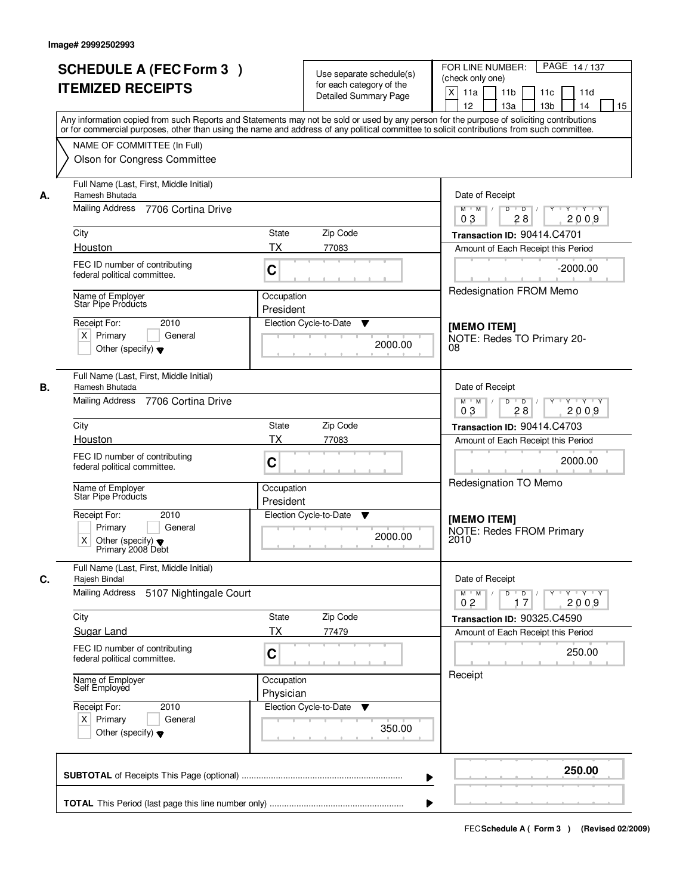|    | <b>SCHEDULE A (FEC Form 3)</b><br><b>ITEMIZED RECEIPTS</b>                                                                                                                                                                                                                                                                                             | Use separate schedule(s)<br>for each category of the<br><b>Detailed Summary Page</b>                   | PAGE 14/137<br>FOR LINE NUMBER:<br>(check only one)<br>X<br>11a<br>11 <sub>b</sub><br>11d<br>11c<br>12<br>13a<br>13 <sub>b</sub><br>14<br>15                                                                        |
|----|--------------------------------------------------------------------------------------------------------------------------------------------------------------------------------------------------------------------------------------------------------------------------------------------------------------------------------------------------------|--------------------------------------------------------------------------------------------------------|---------------------------------------------------------------------------------------------------------------------------------------------------------------------------------------------------------------------|
|    | Any information copied from such Reports and Statements may not be sold or used by any person for the purpose of soliciting contributions<br>or for commercial purposes, other than using the name and address of any political committee to solicit contributions from such committee.<br>NAME OF COMMITTEE (In Full)<br>Olson for Congress Committee |                                                                                                        |                                                                                                                                                                                                                     |
| А. | Full Name (Last, First, Middle Initial)<br>Ramesh Bhutada<br>Mailing Address 7706 Cortina Drive<br>City<br>Houston<br>FEC ID number of contributing<br>federal political committee.<br>Name of Employer<br>Star Pipe Products<br>Receipt For:<br>2010                                                                                                  | State<br>Zip Code<br><b>TX</b><br>77083<br>C<br>Occupation<br>President<br>Election Cycle-to-Date<br>▼ | Date of Receipt<br>$Y + Y + Y$<br>$M$ $M$ /<br>D<br>$\overline{D}$<br>28<br>2009<br>03<br>Transaction ID: 90414.C4701<br>Amount of Each Receipt this Period<br>$-2000.00$<br>Redesignation FROM Memo<br>[MEMO ITEM] |
|    | $X$ Primary<br>General<br>Other (specify) $\blacktriangledown$                                                                                                                                                                                                                                                                                         | 2000.00                                                                                                | NOTE: Redes TO Primary 20-<br>08                                                                                                                                                                                    |
| В. | Full Name (Last, First, Middle Initial)<br>Ramesh Bhutada<br>Mailing Address<br>7706 Cortina Drive                                                                                                                                                                                                                                                     |                                                                                                        | Date of Receipt<br>D<br>Y<br>Y Y Y Y<br>$M$ $M$ /<br>$\overline{D}$<br>03<br>28<br>2009                                                                                                                             |
|    | City                                                                                                                                                                                                                                                                                                                                                   | Zip Code<br><b>State</b>                                                                               | Transaction ID: 90414.C4703                                                                                                                                                                                         |
|    | Houston<br>FEC ID number of contributing<br>federal political committee.                                                                                                                                                                                                                                                                               | <b>TX</b><br>77083<br>C<br>Occupation                                                                  | Amount of Each Receipt this Period<br>2000.00<br>Redesignation TO Memo                                                                                                                                              |
|    | Name of Employer<br>Star Pipe Products<br>Receipt For:<br>2010<br>Primary<br>General<br>X.<br>Other (specify) $\blacktriangledown$<br>Primary 2008 Debt                                                                                                                                                                                                | President<br>Election Cycle-to-Date<br>v<br>2000.00                                                    | [MEMO ITEM]<br><b>NOTE: Redes FROM Primary</b><br>2010                                                                                                                                                              |
| C. | Full Name (Last, First, Middle Initial)<br>Rajesh Bindal<br><b>Mailing Address</b><br>5107 Nightingale Court                                                                                                                                                                                                                                           |                                                                                                        | Date of Receipt<br>$D$ $D$<br>γ≕ γ ⊤γ<br>$M^+$ M                                                                                                                                                                    |
|    | City                                                                                                                                                                                                                                                                                                                                                   | Zip Code<br>State                                                                                      | 2009<br>02<br>17<br>Transaction ID: 90325.C4590                                                                                                                                                                     |
|    | Sugar Land                                                                                                                                                                                                                                                                                                                                             | <b>TX</b><br>77479                                                                                     | Amount of Each Receipt this Period                                                                                                                                                                                  |
|    | FEC ID number of contributing<br>federal political committee.                                                                                                                                                                                                                                                                                          | C                                                                                                      | 250.00                                                                                                                                                                                                              |
|    | Name of Employer<br>Self Employed                                                                                                                                                                                                                                                                                                                      | Occupation<br>Physician                                                                                | Receipt                                                                                                                                                                                                             |
|    | Receipt For:<br>2010<br>$X$ Primary<br>General<br>Other (specify) $\blacktriangledown$                                                                                                                                                                                                                                                                 | Election Cycle-to-Date<br>v<br>350.00                                                                  |                                                                                                                                                                                                                     |
|    |                                                                                                                                                                                                                                                                                                                                                        |                                                                                                        | 250.00                                                                                                                                                                                                              |
|    |                                                                                                                                                                                                                                                                                                                                                        |                                                                                                        |                                                                                                                                                                                                                     |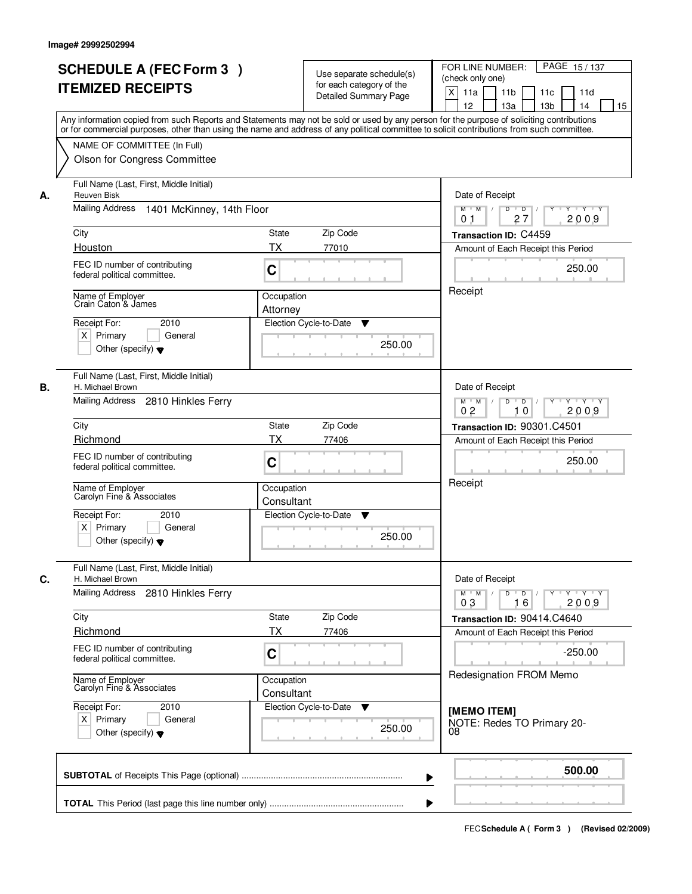|    |                                                                                                                                            |              |                             | PAGE 15/137<br>FOR LINE NUMBER:                                                                   |  |
|----|--------------------------------------------------------------------------------------------------------------------------------------------|--------------|-----------------------------|---------------------------------------------------------------------------------------------------|--|
|    | <b>SCHEDULE A (FEC Form 3)</b><br><b>ITEMIZED RECEIPTS</b>                                                                                 |              | Use separate schedule(s)    | (check only one)                                                                                  |  |
|    |                                                                                                                                            |              | for each category of the    | $\mathsf{X}$<br>11a<br>11 <sub>b</sub><br>11c<br>11d                                              |  |
|    |                                                                                                                                            |              | Detailed Summary Page       | 12<br>13a<br>13 <sub>b</sub><br>14<br>15                                                          |  |
|    | Any information copied from such Reports and Statements may not be sold or used by any person for the purpose of soliciting contributions  |              |                             |                                                                                                   |  |
|    | or for commercial purposes, other than using the name and address of any political committee to solicit contributions from such committee. |              |                             |                                                                                                   |  |
|    | NAME OF COMMITTEE (In Full)                                                                                                                |              |                             |                                                                                                   |  |
|    | Olson for Congress Committee                                                                                                               |              |                             |                                                                                                   |  |
| А. | Full Name (Last, First, Middle Initial)<br><b>Reuven Bisk</b>                                                                              |              |                             | Date of Receipt                                                                                   |  |
|    | Mailing Address 1401 McKinney, 14th Floor                                                                                                  |              |                             | T Y T Y<br>$M$ $M$ /<br>D<br>$\overline{D}$<br>Y<br>27<br>2009<br>0 <sub>1</sub>                  |  |
|    | City                                                                                                                                       | <b>State</b> | Zip Code                    | Transaction ID: C4459                                                                             |  |
|    | Houston                                                                                                                                    | <b>TX</b>    | 77010                       | Amount of Each Receipt this Period                                                                |  |
|    | FEC ID number of contributing                                                                                                              |              |                             |                                                                                                   |  |
|    | federal political committee.                                                                                                               | C            |                             | 250.00                                                                                            |  |
|    | Name of Employer                                                                                                                           | Occupation   |                             | Receipt                                                                                           |  |
|    | Crain Caton & James                                                                                                                        | Attorney     |                             |                                                                                                   |  |
|    | Receipt For:<br>2010                                                                                                                       |              | Election Cycle-to-Date<br>▼ |                                                                                                   |  |
|    | $X$ Primary<br>General                                                                                                                     |              | 250.00                      |                                                                                                   |  |
|    | Other (specify) $\blacktriangledown$                                                                                                       |              |                             |                                                                                                   |  |
|    | Full Name (Last, First, Middle Initial)                                                                                                    |              |                             |                                                                                                   |  |
| В. | H. Michael Brown                                                                                                                           |              |                             | Date of Receipt                                                                                   |  |
|    | Mailing Address<br>2810 Hinkles Ferry                                                                                                      |              |                             | D<br>$\overline{D}$ /<br>Y Y Y Y<br>$M$ $M$ /<br>$Y$ <sup>U</sup><br>0 <sub>2</sub><br>10<br>2009 |  |
|    | City                                                                                                                                       | <b>State</b> | Zip Code                    | Transaction ID: 90301.C4501                                                                       |  |
|    | Richmond                                                                                                                                   | <b>TX</b>    | 77406                       | Amount of Each Receipt this Period                                                                |  |
|    | FEC ID number of contributing                                                                                                              | C            |                             | 250.00                                                                                            |  |
|    | federal political committee.                                                                                                               |              |                             |                                                                                                   |  |
|    | Name of Employer<br>Carolyn Fine & Associates                                                                                              | Occupation   |                             | Receipt                                                                                           |  |
|    |                                                                                                                                            | Consultant   |                             |                                                                                                   |  |
|    | Receipt For:<br>2010                                                                                                                       |              | Election Cycle-to-Date<br>v |                                                                                                   |  |
|    | $X$ Primary<br>General                                                                                                                     |              | 250.00                      |                                                                                                   |  |
|    | Other (specify) $\blacktriangledown$                                                                                                       |              |                             |                                                                                                   |  |
| C. | Full Name (Last, First, Middle Initial)<br>H. Michael Brown                                                                                |              |                             | Date of Receipt                                                                                   |  |
|    | Mailing Address<br>2810 Hinkles Ferry                                                                                                      |              |                             | $M = M$<br>$D$ $D$ $/$<br>$\mathsf{Y} \dashv \mathsf{Y} \dashv \mathsf{Y}$<br>$Y^+$               |  |
|    |                                                                                                                                            |              |                             | 2009<br>03<br>16                                                                                  |  |
|    | City                                                                                                                                       | State        | Zip Code                    | Transaction ID: 90414.C4640                                                                       |  |
|    | Richmond                                                                                                                                   | <b>TX</b>    | 77406                       | Amount of Each Receipt this Period                                                                |  |
|    | FEC ID number of contributing                                                                                                              | C            |                             | $-250.00$                                                                                         |  |
|    | federal political committee.                                                                                                               |              |                             |                                                                                                   |  |
|    | Name of Employer<br>Carolyn Fine & Associates                                                                                              | Occupation   |                             | Redesignation FROM Memo                                                                           |  |
|    |                                                                                                                                            | Consultant   |                             |                                                                                                   |  |
|    | Receipt For:<br>2010                                                                                                                       |              | Election Cycle-to-Date<br>v | [MEMO ITEM]                                                                                       |  |
|    | $X$ Primary<br>General                                                                                                                     |              | 250.00                      | NOTE: Redes TO Primary 20-                                                                        |  |
|    | Other (specify) $\blacktriangledown$                                                                                                       |              |                             | 08                                                                                                |  |
|    |                                                                                                                                            |              |                             |                                                                                                   |  |
|    |                                                                                                                                            |              | ▶                           | 500.00                                                                                            |  |
|    |                                                                                                                                            |              |                             |                                                                                                   |  |
|    |                                                                                                                                            |              |                             |                                                                                                   |  |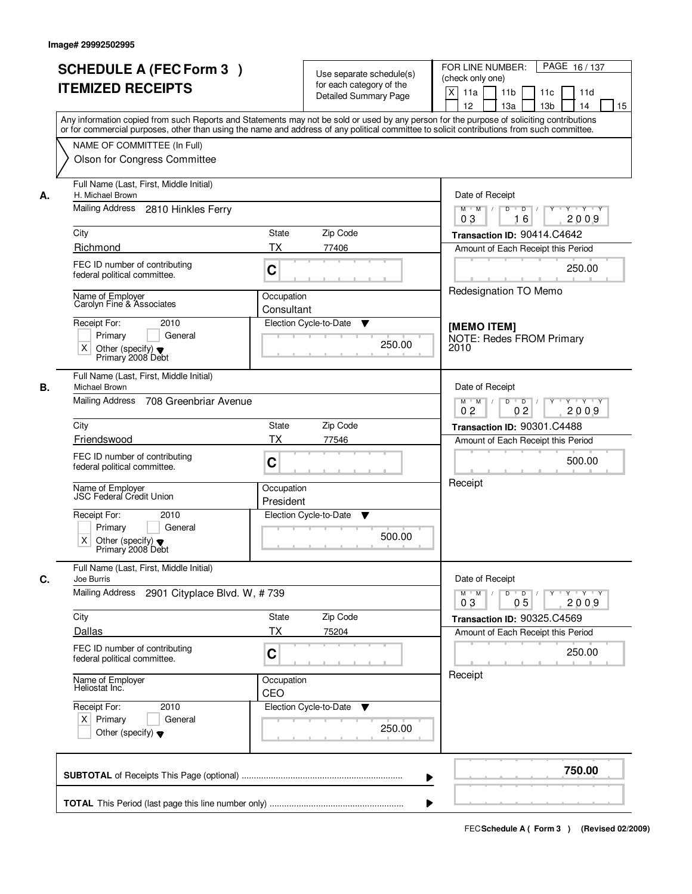|    | <b>SCHEDULE A (FEC Form 3)</b><br><b>ITEMIZED RECEIPTS</b><br>Any information copied from such Reports and Statements may not be sold or used by any person for the purpose of soliciting contributions   |                          | Use separate schedule(s)<br>for each category of the<br><b>Detailed Summary Page</b> | PAGE 16/137<br>FOR LINE NUMBER:<br>(check only one)<br>$\boldsymbol{\mathsf{X}}$<br>11 <sub>b</sub><br>11a<br>11c<br>11d<br>12<br>13a<br>13 <sub>b</sub><br>14<br>15 |
|----|-----------------------------------------------------------------------------------------------------------------------------------------------------------------------------------------------------------|--------------------------|--------------------------------------------------------------------------------------|----------------------------------------------------------------------------------------------------------------------------------------------------------------------|
|    | or for commercial purposes, other than using the name and address of any political committee to solicit contributions from such committee.<br>NAME OF COMMITTEE (In Full)<br>Olson for Congress Committee |                          |                                                                                      |                                                                                                                                                                      |
| А. | Full Name (Last, First, Middle Initial)<br>H. Michael Brown<br>Mailing Address<br>2810 Hinkles Ferry                                                                                                      |                          |                                                                                      | Date of Receipt<br>Y Y Y Y<br>$M$ $M$ /<br>D<br>$\overline{D}$<br>Y<br>2009<br>03<br>16                                                                              |
|    | City                                                                                                                                                                                                      | State<br>Zip Code        |                                                                                      | Transaction ID: 90414.C4642                                                                                                                                          |
|    | Richmond                                                                                                                                                                                                  | <b>TX</b><br>77406       |                                                                                      | Amount of Each Receipt this Period                                                                                                                                   |
|    | FEC ID number of contributing<br>federal political committee.                                                                                                                                             | C                        |                                                                                      | 250.00                                                                                                                                                               |
|    | Name of Employer<br>Carolyn Fine & Associates                                                                                                                                                             | Occupation<br>Consultant |                                                                                      | Redesignation TO Memo                                                                                                                                                |
|    | Receipt For:<br>2010<br>Primary<br>General<br>$\times$<br>Other (specify) $\blacktriangledown$<br>Primary 2008 Debt                                                                                       | Election Cycle-to-Date   | ▼<br>250.00                                                                          | [MEMO ITEM]<br><b>NOTE: Redes FROM Primary</b><br>2010                                                                                                               |
| В. | Full Name (Last, First, Middle Initial)<br>Michael Brown                                                                                                                                                  |                          |                                                                                      | Date of Receipt                                                                                                                                                      |
|    | Mailing Address<br>708 Greenbriar Avenue                                                                                                                                                                  |                          |                                                                                      | D<br>$M$ $M$ /<br>$\overline{D}$<br>$Y$ <sup><math>\top</math></sup><br>Y Y Y Y<br>0 <sub>2</sub><br>0 <sub>2</sub><br>2009                                          |
|    | City                                                                                                                                                                                                      | Zip Code<br>State        |                                                                                      | Transaction ID: 90301.C4488                                                                                                                                          |
|    | Friendswood                                                                                                                                                                                               | <b>TX</b><br>77546       |                                                                                      | Amount of Each Receipt this Period                                                                                                                                   |
|    | FEC ID number of contributing<br>federal political committee.                                                                                                                                             | C                        |                                                                                      | 500.00                                                                                                                                                               |
|    | Name of Employer<br><b>JSC Federal Credit Union</b>                                                                                                                                                       | Occupation<br>President  |                                                                                      | Receipt                                                                                                                                                              |
|    | Receipt For:<br>2010                                                                                                                                                                                      | Election Cycle-to-Date   | v                                                                                    |                                                                                                                                                                      |
|    | Primary<br>General<br>X<br>Other (specify) $\blacktriangledown$<br>Primary 2008 Debt                                                                                                                      |                          | 500.00                                                                               |                                                                                                                                                                      |
| C. | Full Name (Last, First, Middle Initial)<br>Joe Burris                                                                                                                                                     |                          |                                                                                      | Date of Receipt                                                                                                                                                      |
|    | <b>Mailing Address</b><br>2901 Cityplace Blvd. W, #739                                                                                                                                                    |                          |                                                                                      | $M$ M<br>$D$ $D$ $l$<br>$Y - Y - Y - Y$<br>$\vert$ /<br>$Y$ <sup><math>\top</math></sup><br>2009<br>03<br>05                                                         |
|    | City                                                                                                                                                                                                      | Zip Code<br>State        |                                                                                      | Transaction ID: 90325.C4569                                                                                                                                          |
|    | <b>Dallas</b><br>FEC ID number of contributing<br>federal political committee.                                                                                                                            | <b>TX</b><br>75204<br>C  |                                                                                      | Amount of Each Receipt this Period<br>250.00                                                                                                                         |
|    | Name of Employer<br>Heliostat Inc.                                                                                                                                                                        | Occupation<br>CEO        |                                                                                      | Receipt                                                                                                                                                              |
|    | Receipt For:<br>2010<br>$X$ Primary<br>General<br>Other (specify) $\blacktriangledown$                                                                                                                    | Election Cycle-to-Date   | v<br>250.00                                                                          |                                                                                                                                                                      |
|    |                                                                                                                                                                                                           |                          |                                                                                      | 750.00                                                                                                                                                               |
|    |                                                                                                                                                                                                           |                          |                                                                                      |                                                                                                                                                                      |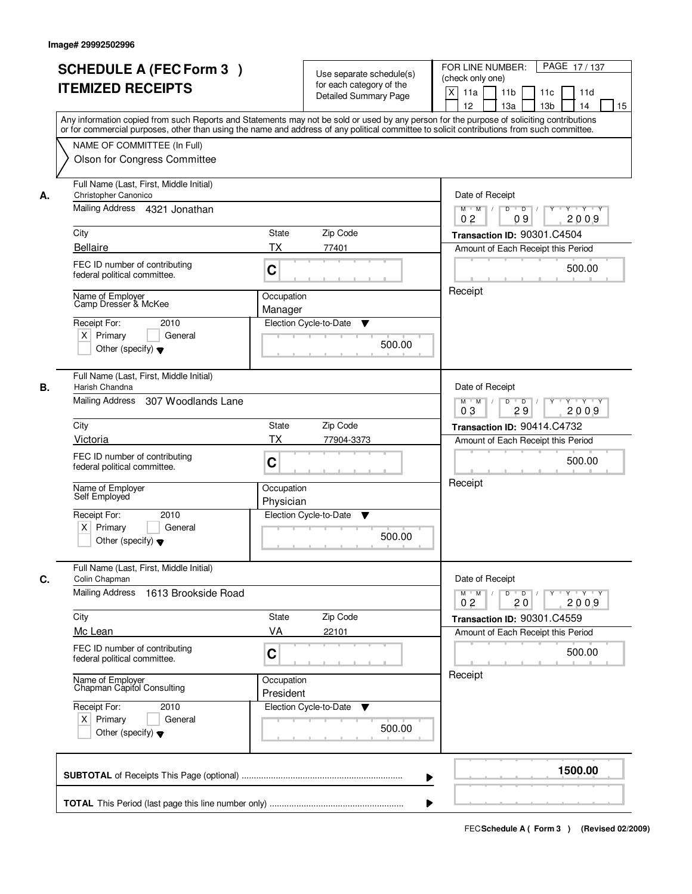|    | <b>SCHEDULE A (FEC Form 3)</b><br><b>ITEMIZED RECEIPTS</b><br>NAME OF COMMITTEE (In Full)<br>Olson for Congress Committee<br>Full Name (Last, First, Middle Initial)<br>Christopher Canonico | Use separate schedule(s)<br>for each category of the<br><b>Detailed Summary Page</b><br>Any information copied from such Reports and Statements may not be sold or used by any person for the purpose of soliciting contributions<br>or for commercial purposes, other than using the name and address of any political committee to solicit contributions from such committee. | PAGE 17/137<br>FOR LINE NUMBER:<br>(check only one)<br>$\boldsymbol{\mathsf{X}}$<br>11a<br>11 <sub>b</sub><br>11c<br>11d<br>12<br>13a<br>13 <sub>b</sub><br>14<br>15 |
|----|----------------------------------------------------------------------------------------------------------------------------------------------------------------------------------------------|---------------------------------------------------------------------------------------------------------------------------------------------------------------------------------------------------------------------------------------------------------------------------------------------------------------------------------------------------------------------------------|----------------------------------------------------------------------------------------------------------------------------------------------------------------------|
| А. |                                                                                                                                                                                              |                                                                                                                                                                                                                                                                                                                                                                                 |                                                                                                                                                                      |
|    |                                                                                                                                                                                              |                                                                                                                                                                                                                                                                                                                                                                                 |                                                                                                                                                                      |
|    |                                                                                                                                                                                              |                                                                                                                                                                                                                                                                                                                                                                                 |                                                                                                                                                                      |
|    |                                                                                                                                                                                              |                                                                                                                                                                                                                                                                                                                                                                                 |                                                                                                                                                                      |
|    |                                                                                                                                                                                              |                                                                                                                                                                                                                                                                                                                                                                                 |                                                                                                                                                                      |
|    |                                                                                                                                                                                              |                                                                                                                                                                                                                                                                                                                                                                                 | Date of Receipt                                                                                                                                                      |
|    | Mailing Address 4321 Jonathan                                                                                                                                                                |                                                                                                                                                                                                                                                                                                                                                                                 | $Y - Y - Y$<br>D<br>$\overline{D}$<br>$M$ $M$ /<br>2009<br>0 <sub>2</sub><br>09                                                                                      |
|    | City                                                                                                                                                                                         | State<br>Zip Code                                                                                                                                                                                                                                                                                                                                                               | Transaction ID: 90301.C4504                                                                                                                                          |
|    | <b>Bellaire</b>                                                                                                                                                                              | <b>TX</b><br>77401                                                                                                                                                                                                                                                                                                                                                              | Amount of Each Receipt this Period                                                                                                                                   |
|    | FEC ID number of contributing<br>federal political committee.                                                                                                                                | C                                                                                                                                                                                                                                                                                                                                                                               | 500.00                                                                                                                                                               |
|    | Name of Employer<br>Camp Dresser & McKee                                                                                                                                                     | Occupation<br>Manager                                                                                                                                                                                                                                                                                                                                                           | Receipt                                                                                                                                                              |
|    | Receipt For:<br>2010                                                                                                                                                                         | Election Cycle-to-Date<br>▼                                                                                                                                                                                                                                                                                                                                                     |                                                                                                                                                                      |
|    | $X$ Primary<br>General                                                                                                                                                                       | 500.00                                                                                                                                                                                                                                                                                                                                                                          |                                                                                                                                                                      |
|    | Other (specify) $\blacktriangledown$                                                                                                                                                         |                                                                                                                                                                                                                                                                                                                                                                                 |                                                                                                                                                                      |
| В. | Full Name (Last, First, Middle Initial)<br>Harish Chandna                                                                                                                                    |                                                                                                                                                                                                                                                                                                                                                                                 | Date of Receipt                                                                                                                                                      |
|    | Mailing Address<br>307 Woodlands Lane                                                                                                                                                        |                                                                                                                                                                                                                                                                                                                                                                                 | $M$ $M$ /<br>D<br>$\overline{D}$<br>Y<br>$Y + Y + Y$<br>03<br>29<br>2009                                                                                             |
|    | City                                                                                                                                                                                         | Zip Code<br>State                                                                                                                                                                                                                                                                                                                                                               | Transaction ID: 90414.C4732                                                                                                                                          |
|    | Victoria                                                                                                                                                                                     | <b>TX</b><br>77904-3373                                                                                                                                                                                                                                                                                                                                                         | Amount of Each Receipt this Period                                                                                                                                   |
|    | FEC ID number of contributing<br>federal political committee.                                                                                                                                | C                                                                                                                                                                                                                                                                                                                                                                               | 500.00                                                                                                                                                               |
|    | Name of Employer<br>Self Employed                                                                                                                                                            | Occupation<br>Physician                                                                                                                                                                                                                                                                                                                                                         | Receipt                                                                                                                                                              |
|    | Receipt For:<br>2010                                                                                                                                                                         | Election Cycle-to-Date<br>v                                                                                                                                                                                                                                                                                                                                                     |                                                                                                                                                                      |
|    | $X$ Primary<br>General<br>Other (specify) $\blacktriangledown$                                                                                                                               | 500.00                                                                                                                                                                                                                                                                                                                                                                          |                                                                                                                                                                      |
| C. | Full Name (Last, First, Middle Initial)<br>Colin Chapman                                                                                                                                     |                                                                                                                                                                                                                                                                                                                                                                                 | Date of Receipt                                                                                                                                                      |
|    | Mailing Address<br>1613 Brookside Road                                                                                                                                                       |                                                                                                                                                                                                                                                                                                                                                                                 | $M^+$ M<br>$D$ $D$ $l$<br>$Y - Y - Y - Y$<br>$\sqrt{ }$<br>$Y^+$<br>0 <sub>2</sub><br>2009<br>20                                                                     |
|    | City                                                                                                                                                                                         | Zip Code<br>State                                                                                                                                                                                                                                                                                                                                                               | Transaction ID: 90301.C4559                                                                                                                                          |
|    | Mc Lean                                                                                                                                                                                      | VA<br>22101                                                                                                                                                                                                                                                                                                                                                                     | Amount of Each Receipt this Period                                                                                                                                   |
|    | FEC ID number of contributing<br>federal political committee.                                                                                                                                | C                                                                                                                                                                                                                                                                                                                                                                               | 500.00                                                                                                                                                               |
|    | Name of Employer<br>Chapman Capitol Consulting                                                                                                                                               | Occupation<br>President                                                                                                                                                                                                                                                                                                                                                         | Receipt                                                                                                                                                              |
|    | Receipt For:<br>2010                                                                                                                                                                         | Election Cycle-to-Date<br>v                                                                                                                                                                                                                                                                                                                                                     |                                                                                                                                                                      |
|    | $X$ Primary<br>General<br>Other (specify) $\blacktriangledown$                                                                                                                               | 500.00                                                                                                                                                                                                                                                                                                                                                                          |                                                                                                                                                                      |
|    |                                                                                                                                                                                              |                                                                                                                                                                                                                                                                                                                                                                                 |                                                                                                                                                                      |
|    |                                                                                                                                                                                              |                                                                                                                                                                                                                                                                                                                                                                                 | 1500.00                                                                                                                                                              |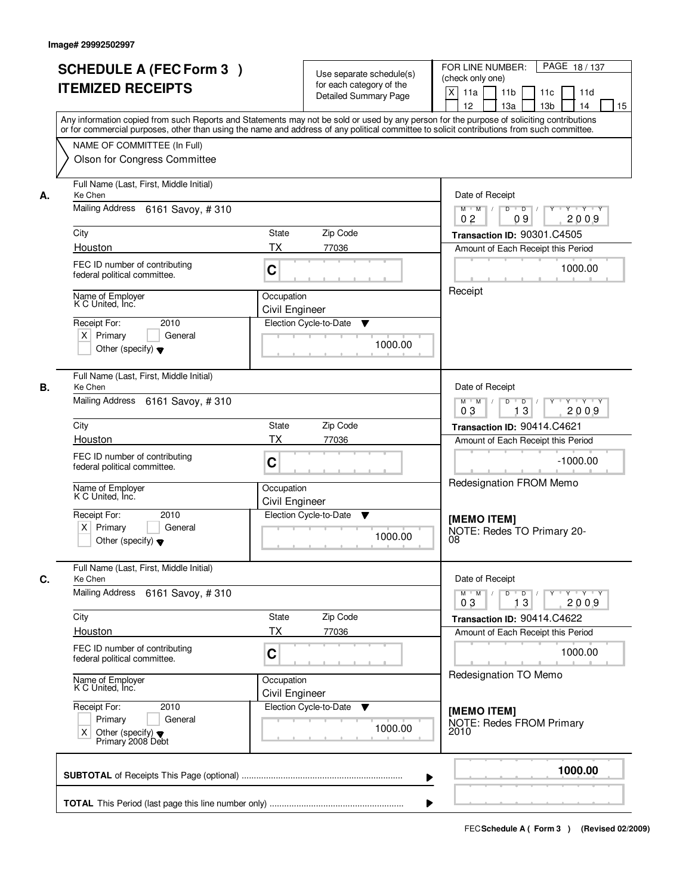|                                                 | <b>SCHEDULE A (FEC Form 3)</b><br><b>ITEMIZED RECEIPTS</b>                                      |                              | Use separate schedule(s)<br>for each category of the<br><b>Detailed Summary Page</b> | PAGE 18 / 137<br>FOR LINE NUMBER:<br>(check only one)<br>X<br>11 <sub>b</sub><br>11a<br>11 <sub>c</sub><br>11d<br>12<br>13 <sub>b</sub><br>14<br>13a<br>15<br>Any information copied from such Reports and Statements may not be sold or used by any person for the purpose of soliciting contributions |
|-------------------------------------------------|-------------------------------------------------------------------------------------------------|------------------------------|--------------------------------------------------------------------------------------|---------------------------------------------------------------------------------------------------------------------------------------------------------------------------------------------------------------------------------------------------------------------------------------------------------|
|                                                 | NAME OF COMMITTEE (In Full)<br>Olson for Congress Committee                                     |                              |                                                                                      | or for commercial purposes, other than using the name and address of any political committee to solicit contributions from such committee.                                                                                                                                                              |
| Ke Chen<br>А.                                   | Full Name (Last, First, Middle Initial)<br>Mailing Address 6161 Savoy, #310                     |                              |                                                                                      | Date of Receipt<br>$D$ $D$<br>Y<br>Y TY Y Y<br>$M$ $M$ /                                                                                                                                                                                                                                                |
| City<br>Houston                                 |                                                                                                 | <b>State</b><br><b>TX</b>    | Zip Code<br>77036                                                                    | 0 <sub>2</sub><br>09<br>2009<br>Transaction ID: 90301.C4505<br>Amount of Each Receipt this Period                                                                                                                                                                                                       |
|                                                 | FEC ID number of contributing<br>federal political committee.                                   | C                            |                                                                                      | 1000.00                                                                                                                                                                                                                                                                                                 |
| K C United, Inc.<br>Receipt For:<br>$X$ Primary | Name of Employer<br>2010<br>General<br>Other (specify) $\blacktriangledown$                     | Occupation<br>Civil Engineer | Election Cycle-to-Date<br>▼<br>1000.00                                               | Receipt                                                                                                                                                                                                                                                                                                 |
| Ke Chen<br>В.                                   | Full Name (Last, First, Middle Initial)<br>Mailing Address 6161 Savoy, #310                     |                              |                                                                                      | Date of Receipt<br>$M$ $M$ /<br>D<br>$\overline{D}$<br>Y<br>$Y + Y + Y$<br>03<br>13<br>2009                                                                                                                                                                                                             |
| City                                            |                                                                                                 | State                        | Zip Code                                                                             | Transaction ID: 90414.C4621                                                                                                                                                                                                                                                                             |
| Houston                                         | FEC ID number of contributing<br>federal political committee.                                   | TX<br>C                      | 77036                                                                                | Amount of Each Receipt this Period<br>$-1000.00$                                                                                                                                                                                                                                                        |
| Receipt For:<br>$X$ Primary                     | Name of Employer<br>K C United, Inc.<br>2010<br>General<br>Other (specify) $\blacktriangledown$ | Occupation<br>Civil Engineer | Election Cycle-to-Date<br>v<br>1000.00                                               | Redesignation FROM Memo<br>[MEMO ITEM]<br>NOTE: Redes TO Primary 20-<br>08                                                                                                                                                                                                                              |
| C.<br>Ke Chen                                   | Full Name (Last, First, Middle Initial)                                                         |                              |                                                                                      | Date of Receipt                                                                                                                                                                                                                                                                                         |
|                                                 | Mailing Address 6161 Savoy, #310                                                                |                              |                                                                                      | $D$ $D$ $l$<br>y y y y y y<br>$M$ $M$ /<br>03<br>13<br>2009                                                                                                                                                                                                                                             |
| City<br>Houston                                 |                                                                                                 | State<br>ТX                  | Zip Code<br>77036                                                                    | Transaction ID: 90414.C4622<br>Amount of Each Receipt this Period                                                                                                                                                                                                                                       |
|                                                 | FEC ID number of contributing<br>federal political committee.                                   | C                            |                                                                                      | 1000.00                                                                                                                                                                                                                                                                                                 |
|                                                 | Name of Employer<br>K C United, Inc.                                                            | Occupation<br>Civil Engineer |                                                                                      | Redesignation TO Memo                                                                                                                                                                                                                                                                                   |
| Receipt For:<br>X                               | 2010<br>Primary<br>General<br>Other (specify) $\blacktriangledown$<br>Primary 2008 Debt         |                              | Election Cycle-to-Date<br>v<br>1000.00                                               | [MEMO ITEM]<br>NOTE: Redes FROM Primary<br>2010                                                                                                                                                                                                                                                         |
|                                                 |                                                                                                 |                              |                                                                                      | 1000.00                                                                                                                                                                                                                                                                                                 |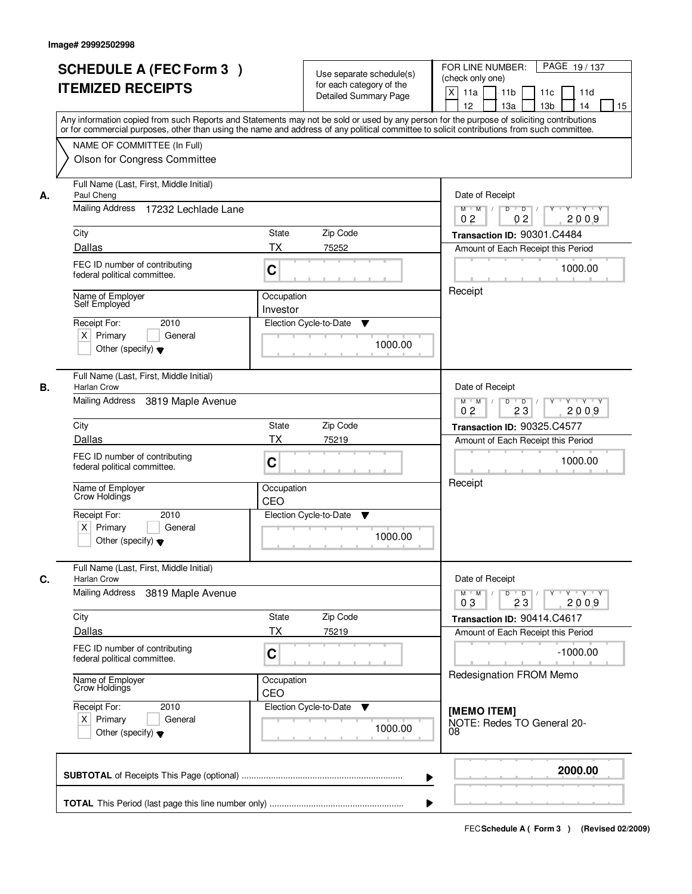|    | <b>SCHEDULE A (FEC Form 3)</b><br><b>ITEMIZED RECEIPTS</b>                                                                                                                                                                                                                                                                                             |                        | Use separate schedule(s)<br>for each category of the<br>Detailed Summary Page | PAGE 19/137<br>FOR LINE NUMBER:<br>(check only one)<br>$\mathsf{X}$<br>11a<br>11 <sub>b</sub><br>11c<br>11d<br>12<br>13a<br>13 <sub>b</sub><br>14<br>15 |
|----|--------------------------------------------------------------------------------------------------------------------------------------------------------------------------------------------------------------------------------------------------------------------------------------------------------------------------------------------------------|------------------------|-------------------------------------------------------------------------------|---------------------------------------------------------------------------------------------------------------------------------------------------------|
|    | Any information copied from such Reports and Statements may not be sold or used by any person for the purpose of soliciting contributions<br>or for commercial purposes, other than using the name and address of any political committee to solicit contributions from such committee.<br>NAME OF COMMITTEE (In Full)<br>Olson for Congress Committee |                        |                                                                               |                                                                                                                                                         |
| А. | Full Name (Last, First, Middle Initial)<br>Paul Cheng<br>Mailing Address 17232 Lechlade Lane                                                                                                                                                                                                                                                           |                        |                                                                               | Date of Receipt<br>$\overline{D}$<br>$Y - Y - Y$<br>$M$ $M$ /<br>D                                                                                      |
|    |                                                                                                                                                                                                                                                                                                                                                        |                        |                                                                               | 0 <sub>2</sub><br>02<br>2009                                                                                                                            |
|    | City                                                                                                                                                                                                                                                                                                                                                   | <b>State</b>           | Zip Code                                                                      | Transaction ID: 90301.C4484                                                                                                                             |
|    | Dallas<br>FEC ID number of contributing<br>federal political committee.                                                                                                                                                                                                                                                                                | <b>TX</b><br>C         | 75252                                                                         | Amount of Each Receipt this Period<br>1000.00                                                                                                           |
|    | Name of Employer<br>Self Employed                                                                                                                                                                                                                                                                                                                      | Occupation<br>Investor |                                                                               | Receipt                                                                                                                                                 |
|    | 2010<br>Receipt For:<br>$X$ Primary<br>General<br>Other (specify) $\blacktriangledown$                                                                                                                                                                                                                                                                 |                        | Election Cycle-to-Date<br>▼<br>1000.00                                        |                                                                                                                                                         |
| В. | Full Name (Last, First, Middle Initial)<br>Harlan Crow                                                                                                                                                                                                                                                                                                 |                        |                                                                               | Date of Receipt                                                                                                                                         |
|    | Mailing Address<br>3819 Maple Avenue                                                                                                                                                                                                                                                                                                                   |                        |                                                                               | D<br>$\blacksquare$ D $\blacksquare$ /<br>Y Y Y Y<br>$M$ $M$ /<br>$Y$ <sup>U</sup><br>0 <sub>2</sub><br>23<br>2009                                      |
|    | City                                                                                                                                                                                                                                                                                                                                                   | <b>State</b>           | Zip Code                                                                      | Transaction ID: 90325.C4577                                                                                                                             |
|    | Dallas                                                                                                                                                                                                                                                                                                                                                 | <b>TX</b>              | 75219                                                                         | Amount of Each Receipt this Period                                                                                                                      |
|    | FEC ID number of contributing<br>federal political committee.                                                                                                                                                                                                                                                                                          | C                      |                                                                               | 1000.00                                                                                                                                                 |
|    | Name of Employer<br>Crow Holdings                                                                                                                                                                                                                                                                                                                      | Occupation<br>CEO      |                                                                               | Receipt                                                                                                                                                 |
|    | Receipt For:<br>2010                                                                                                                                                                                                                                                                                                                                   |                        | Election Cycle-to-Date<br>▼                                                   |                                                                                                                                                         |
|    | $X$ Primary<br>General<br>Other (specify) $\blacktriangledown$                                                                                                                                                                                                                                                                                         |                        | 1000.00                                                                       |                                                                                                                                                         |
| C. | Full Name (Last, First, Middle Initial)<br>Harlan Crow                                                                                                                                                                                                                                                                                                 |                        |                                                                               | Date of Receipt                                                                                                                                         |
|    | Mailing Address<br>3819 Maple Avenue                                                                                                                                                                                                                                                                                                                   |                        |                                                                               | $M^{\prime}$ M $\rightarrow$ /<br>$D$ $D$ $/$<br>Y FY FY<br>$Y$ <sup><math>\top</math></sup><br>2009<br>03<br>23                                        |
|    | City                                                                                                                                                                                                                                                                                                                                                   | State                  | Zip Code                                                                      | Transaction ID: 90414.C4617                                                                                                                             |
|    | <b>Dallas</b>                                                                                                                                                                                                                                                                                                                                          | <b>TX</b>              | 75219                                                                         | Amount of Each Receipt this Period                                                                                                                      |
|    | FEC ID number of contributing<br>federal political committee.                                                                                                                                                                                                                                                                                          | C                      |                                                                               | $-1000.00$<br>Redesignation FROM Memo                                                                                                                   |
|    | Name of Employer<br>Crow Holdings                                                                                                                                                                                                                                                                                                                      | Occupation<br>CEO      |                                                                               |                                                                                                                                                         |
|    | Receipt For:<br>2010<br>$X$ Primary<br>General<br>Other (specify) $\blacktriangledown$                                                                                                                                                                                                                                                                 |                        | Election Cycle-to-Date<br>v<br>1000.00                                        | [MEMO ITEM]<br>NOTE: Redes TO General 20-<br>08                                                                                                         |
|    |                                                                                                                                                                                                                                                                                                                                                        |                        | ▶                                                                             | 2000.00                                                                                                                                                 |
|    |                                                                                                                                                                                                                                                                                                                                                        |                        |                                                                               |                                                                                                                                                         |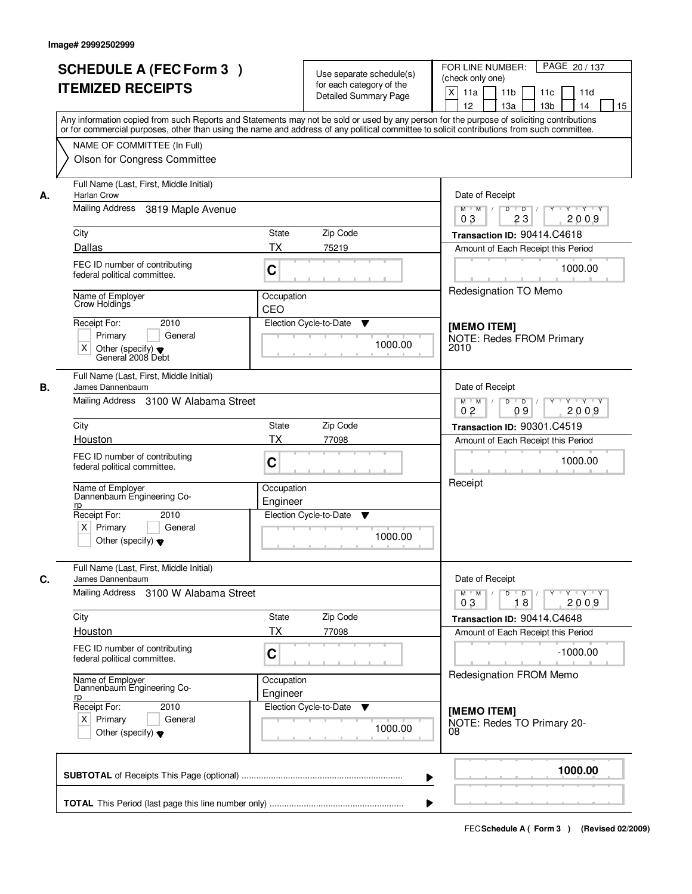|    | <b>SCHEDULE A (FEC Form 3)</b><br><b>ITEMIZED RECEIPTS</b>                                                   | Use separate schedule(s)<br>for each category of the<br><b>Detailed Summary Page</b>                                                                                                                                                                                                    | PAGE 20 / 137<br>FOR LINE NUMBER:<br>(check only one)<br>X<br>11a<br>11 <sub>b</sub><br>11c<br>11d<br>12<br>13a<br>13 <sub>b</sub><br>14<br>15 |
|----|--------------------------------------------------------------------------------------------------------------|-----------------------------------------------------------------------------------------------------------------------------------------------------------------------------------------------------------------------------------------------------------------------------------------|------------------------------------------------------------------------------------------------------------------------------------------------|
|    | NAME OF COMMITTEE (In Full)                                                                                  | Any information copied from such Reports and Statements may not be sold or used by any person for the purpose of soliciting contributions<br>or for commercial purposes, other than using the name and address of any political committee to solicit contributions from such committee. |                                                                                                                                                |
| А. | Olson for Congress Committee<br>Full Name (Last, First, Middle Initial)<br><b>Harlan Crow</b>                |                                                                                                                                                                                                                                                                                         | Date of Receipt                                                                                                                                |
|    | Mailing Address<br>3819 Maple Avenue                                                                         |                                                                                                                                                                                                                                                                                         | $M$ $M$ /<br>D<br>$\overline{D}$<br>Y Y Y Y<br>23<br>2009<br>03                                                                                |
|    | City                                                                                                         | State<br>Zip Code                                                                                                                                                                                                                                                                       | Transaction ID: 90414.C4618                                                                                                                    |
|    | Dallas                                                                                                       | <b>TX</b><br>75219                                                                                                                                                                                                                                                                      | Amount of Each Receipt this Period                                                                                                             |
|    | FEC ID number of contributing<br>federal political committee.                                                | C                                                                                                                                                                                                                                                                                       | 1000.00                                                                                                                                        |
|    | Name of Employer<br>Crow Holdings                                                                            | Occupation<br>CEO                                                                                                                                                                                                                                                                       | Redesignation TO Memo                                                                                                                          |
|    | Receipt For:<br>2010<br>Primary<br>General<br>X<br>Other (specify) $\blacktriangledown$<br>General 2008 Debt | Election Cycle-to-Date<br>▼<br>1000.00                                                                                                                                                                                                                                                  | [MEMO ITEM]<br><b>NOTE: Redes FROM Primary</b><br>2010                                                                                         |
| В. | Full Name (Last, First, Middle Initial)<br>James Dannenbaum                                                  |                                                                                                                                                                                                                                                                                         | Date of Receipt                                                                                                                                |
|    | Mailing Address 3100 W Alabama Street                                                                        |                                                                                                                                                                                                                                                                                         | D<br>$Y \vdash Y \vdash Y$<br>$M$ $M$ /<br>$\overline{D}$<br>Y<br>0 <sub>2</sub><br>09<br>2009                                                 |
|    | City                                                                                                         | Zip Code<br><b>State</b>                                                                                                                                                                                                                                                                | Transaction ID: 90301.C4519                                                                                                                    |
|    | Houston                                                                                                      | <b>TX</b><br>77098                                                                                                                                                                                                                                                                      | Amount of Each Receipt this Period                                                                                                             |
|    | FEC ID number of contributing<br>federal political committee.                                                | C                                                                                                                                                                                                                                                                                       | 1000.00                                                                                                                                        |
|    | Name of Employer<br>Dannenbaum Engineering Co-<br>rp                                                         | Occupation<br>Engineer                                                                                                                                                                                                                                                                  | Receipt                                                                                                                                        |
|    | Receipt For:<br>2010<br>$X$ Primary<br>General<br>Other (specify) $\blacktriangledown$                       | Election Cycle-to-Date<br>v<br>1000.00                                                                                                                                                                                                                                                  |                                                                                                                                                |
| C. | Full Name (Last, First, Middle Initial)<br>James Dannenbaum                                                  |                                                                                                                                                                                                                                                                                         | Date of Receipt                                                                                                                                |
|    | Mailing Address 3100 W Alabama Street                                                                        |                                                                                                                                                                                                                                                                                         | $D$ $D$ $/$<br>$Y - Y - Y - Y$<br>$M^+$ M<br>$\blacksquare$<br>$Y^+$<br>2009<br>03<br>18                                                       |
|    | City<br>Houston                                                                                              | Zip Code<br>State<br><b>TX</b><br>77098                                                                                                                                                                                                                                                 | Transaction ID: 90414.C4648<br>Amount of Each Receipt this Period                                                                              |
|    | FEC ID number of contributing<br>federal political committee.                                                | C                                                                                                                                                                                                                                                                                       | $-1000.00$                                                                                                                                     |
|    | Name of Employer<br>Dannenbaum Engineering Co-<br><u>rp</u>                                                  | Occupation<br>Engineer                                                                                                                                                                                                                                                                  | Redesignation FROM Memo                                                                                                                        |
|    | Receipt For:<br>2010<br>$X$ Primary<br>General<br>Other (specify) $\blacktriangledown$                       | Election Cycle-to-Date<br>v<br>1000.00                                                                                                                                                                                                                                                  | [MEMO ITEM]<br>NOTE: Redes TO Primary 20-<br>08                                                                                                |
|    |                                                                                                              |                                                                                                                                                                                                                                                                                         | 1000.00                                                                                                                                        |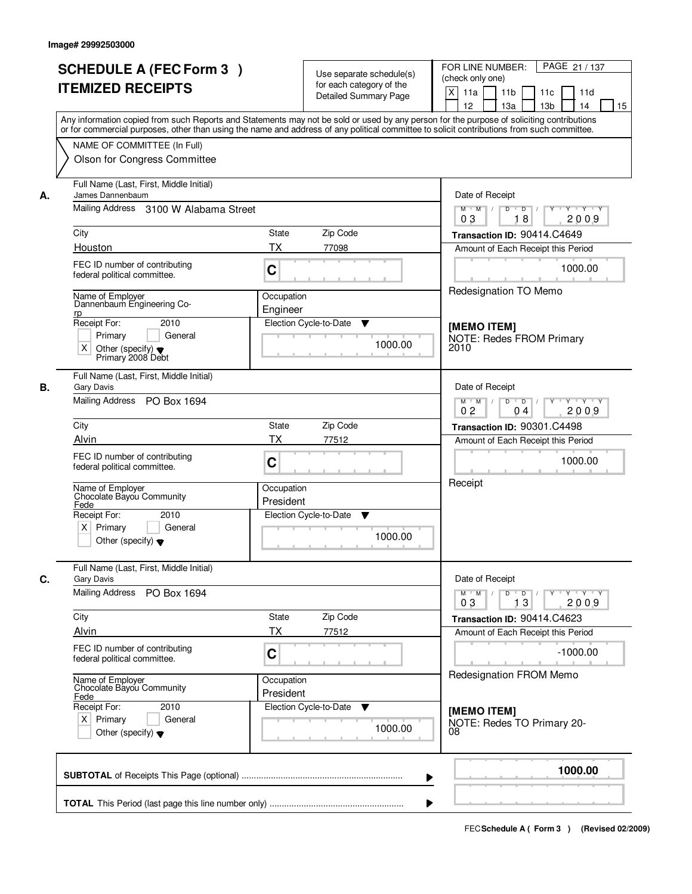|    | <b>SCHEDULE A (FEC Form 3)</b><br><b>ITEMIZED RECEIPTS</b>                                                                                                                                                                                                                              |                         | Use separate schedule(s)<br>for each category of the<br>Detailed Summary Page | FOR LINE NUMBER:<br>PAGE 21 / 137<br>(check only one)<br>$\mathsf{X}$<br>11a<br>11 <sub>b</sub><br>11c<br>11d |
|----|-----------------------------------------------------------------------------------------------------------------------------------------------------------------------------------------------------------------------------------------------------------------------------------------|-------------------------|-------------------------------------------------------------------------------|---------------------------------------------------------------------------------------------------------------|
|    | Any information copied from such Reports and Statements may not be sold or used by any person for the purpose of soliciting contributions<br>or for commercial purposes, other than using the name and address of any political committee to solicit contributions from such committee. |                         |                                                                               | 12<br>13 <sub>b</sub><br>14<br>15<br>13a                                                                      |
|    | NAME OF COMMITTEE (In Full)<br>Olson for Congress Committee                                                                                                                                                                                                                             |                         |                                                                               |                                                                                                               |
| А. | Full Name (Last, First, Middle Initial)<br>James Dannenbaum                                                                                                                                                                                                                             |                         |                                                                               | Date of Receipt                                                                                               |
|    | Mailing Address 3100 W Alabama Street                                                                                                                                                                                                                                                   |                         |                                                                               | $M$ $M$ /<br>$D$ $D$ $/$<br>$Y + Y + Y$<br>Y<br>18<br>2009<br>03                                              |
|    | City                                                                                                                                                                                                                                                                                    | <b>State</b>            | Zip Code                                                                      | Transaction ID: 90414.C4649                                                                                   |
|    | Houston                                                                                                                                                                                                                                                                                 | ТX                      | 77098                                                                         | Amount of Each Receipt this Period                                                                            |
|    | FEC ID number of contributing<br>federal political committee.                                                                                                                                                                                                                           | C                       |                                                                               | 1000.00                                                                                                       |
|    | Name of Employer<br>Dannenbaum Engineering Co-<br><u>rp</u>                                                                                                                                                                                                                             | Occupation<br>Engineer  |                                                                               | Redesignation TO Memo                                                                                         |
|    | Receipt For:<br>2010                                                                                                                                                                                                                                                                    |                         | Election Cycle-to-Date<br>v                                                   | [MEMO ITEM]                                                                                                   |
|    | Primary<br>General<br>X<br>Other (specify) $\blacktriangledown$<br>Primary 2008 Debt                                                                                                                                                                                                    |                         | 1000.00                                                                       | <b>NOTE: Redes FROM Primary</b><br>2010                                                                       |
| В. | Full Name (Last, First, Middle Initial)<br><b>Gary Davis</b>                                                                                                                                                                                                                            |                         |                                                                               | Date of Receipt                                                                                               |
|    | Mailing Address<br>PO Box 1694                                                                                                                                                                                                                                                          |                         |                                                                               | D<br>$M$ M<br>$\overline{D}$<br>Y 'Y 'Y<br>2009<br>02<br>04                                                   |
|    | City                                                                                                                                                                                                                                                                                    | State                   | Zip Code                                                                      | Transaction ID: 90301.C4498                                                                                   |
|    | Alvin                                                                                                                                                                                                                                                                                   | <b>TX</b>               | 77512                                                                         | Amount of Each Receipt this Period                                                                            |
|    | FEC ID number of contributing<br>federal political committee.                                                                                                                                                                                                                           | C                       |                                                                               | 1000.00<br>Receipt                                                                                            |
|    | Name of Employer<br>Chocolate Bayou Community<br>Fede                                                                                                                                                                                                                                   | Occupation<br>President |                                                                               |                                                                                                               |
|    | Receipt For:<br>2010<br>$\times$<br>Primary<br>General<br>Other (specify) $\blacktriangledown$                                                                                                                                                                                          |                         | Election Cycle-to-Date<br>v<br>1000.00                                        |                                                                                                               |
| С. | Full Name (Last, First, Middle Initial)<br>Gary Davis                                                                                                                                                                                                                                   |                         |                                                                               | Date of Receipt                                                                                               |
|    | Mailing Address PO Box 1694                                                                                                                                                                                                                                                             |                         |                                                                               | $Y$ $Y$ $Y$ $Y$<br>$D$ $D$ $I$<br>$M$ $M$ /<br>$\Gamma Y$<br>03<br>2009<br>13                                 |
|    | City                                                                                                                                                                                                                                                                                    | State                   | Zip Code                                                                      | Transaction ID: 90414.C4623                                                                                   |
|    | Alvin                                                                                                                                                                                                                                                                                   | <b>TX</b>               | 77512                                                                         | Amount of Each Receipt this Period                                                                            |
|    | FEC ID number of contributing<br>federal political committee.                                                                                                                                                                                                                           | C                       |                                                                               | $-1000.00$                                                                                                    |
|    | Name of Employer<br>Chocolate Bayou Community<br>Fede                                                                                                                                                                                                                                   | Occupation<br>President |                                                                               | Redesignation FROM Memo                                                                                       |
|    | Receipt For:<br>2010<br>$X$ Primary<br>General<br>Other (specify) $\blacktriangledown$                                                                                                                                                                                                  |                         | Election Cycle-to-Date<br>▼<br>1000.00                                        | [MEMO ITEM]<br>NOTE: Redes TO Primary 20-<br>08                                                               |
|    |                                                                                                                                                                                                                                                                                         |                         |                                                                               | 1000.00                                                                                                       |
|    |                                                                                                                                                                                                                                                                                         |                         |                                                                               |                                                                                                               |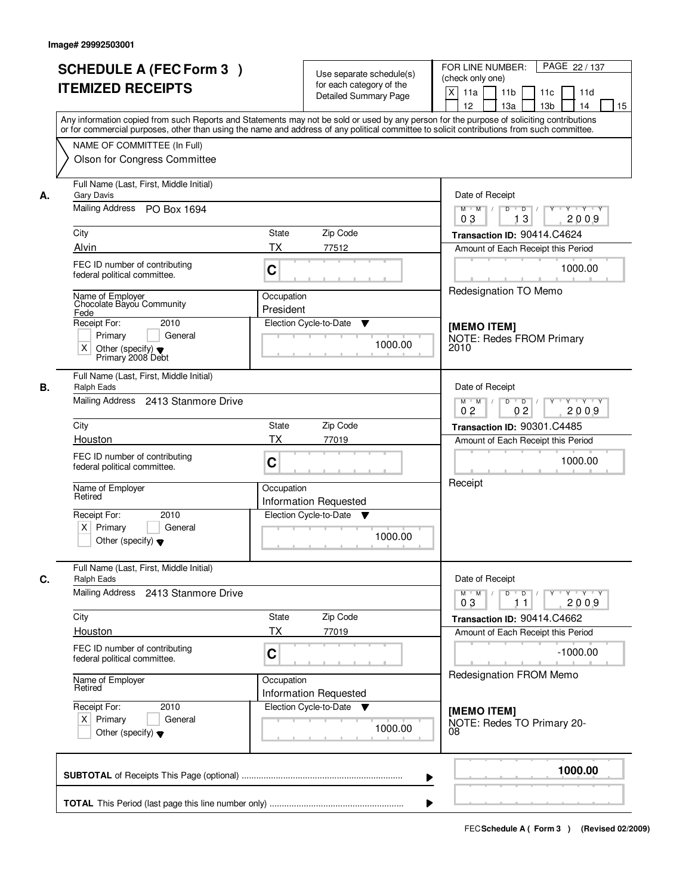|                                                                    | <b>SCHEDULE A (FEC Form 3)</b><br><b>ITEMIZED RECEIPTS</b>                     |                         | Use separate schedule(s)<br>for each category of the<br><b>Detailed Summary Page</b> | PAGE 22 / 137<br>FOR LINE NUMBER:<br>(check only one)<br>X<br>11a<br>11 <sub>b</sub><br>11d<br>11c<br>12<br>13a<br>13 <sub>b</sub><br>14<br>15                                                                                                                                          |
|--------------------------------------------------------------------|--------------------------------------------------------------------------------|-------------------------|--------------------------------------------------------------------------------------|-----------------------------------------------------------------------------------------------------------------------------------------------------------------------------------------------------------------------------------------------------------------------------------------|
|                                                                    | NAME OF COMMITTEE (In Full)<br>Olson for Congress Committee                    |                         |                                                                                      | Any information copied from such Reports and Statements may not be sold or used by any person for the purpose of soliciting contributions<br>or for commercial purposes, other than using the name and address of any political committee to solicit contributions from such committee. |
| <b>Gary Davis</b><br>А.<br>Mailing Address                         | Full Name (Last, First, Middle Initial)<br>PO Box 1694                         |                         |                                                                                      | Date of Receipt<br>$Y - Y - Y$<br>$M$ $M$ /<br>D<br>$\overline{D}$<br>Y                                                                                                                                                                                                                 |
| City<br>Alvin                                                      |                                                                                | State<br>TX             | Zip Code<br>77512                                                                    | 13<br>2009<br>03<br>Transaction ID: 90414.C4624                                                                                                                                                                                                                                         |
|                                                                    | FEC ID number of contributing<br>federal political committee.                  | C                       |                                                                                      | Amount of Each Receipt this Period<br>1000.00                                                                                                                                                                                                                                           |
| Name of Employer<br>Fede                                           | Chocolate Bayou Community                                                      | Occupation<br>President |                                                                                      | Redesignation TO Memo                                                                                                                                                                                                                                                                   |
| Receipt For:<br>Primary<br>X                                       | 2010<br>General<br>Other (specify) $\blacktriangledown$<br>Primary 2008 Debt   |                         | Election Cycle-to-Date<br>▼<br>1000.00                                               | [MEMO ITEM]<br><b>NOTE: Redes FROM Primary</b><br>2010                                                                                                                                                                                                                                  |
| В.<br>Ralph Eads                                                   | Full Name (Last, First, Middle Initial)<br>Mailing Address 2413 Stanmore Drive |                         |                                                                                      | Date of Receipt<br>$M$ $M$ /<br>D<br>$\overline{D}$ /<br>$Y + Y + Y$<br>0 <sub>2</sub><br>0 <sub>2</sub><br>2009                                                                                                                                                                        |
| City                                                               |                                                                                | State                   | Zip Code                                                                             | Transaction ID: 90301.C4485                                                                                                                                                                                                                                                             |
| Houston                                                            | FEC ID number of contributing<br>federal political committee.                  | <b>TX</b><br>C          | 77019                                                                                | Amount of Each Receipt this Period<br>1000.00                                                                                                                                                                                                                                           |
| Name of Employer<br>Retired<br>Receipt For:<br>Primary<br>$\times$ | 2010<br>General<br>Other (specify) $\blacktriangledown$                        | Occupation              | <b>Information Requested</b><br>Election Cycle-to-Date<br><b>V</b><br>1000.00        | Receipt                                                                                                                                                                                                                                                                                 |
| C.<br><b>Ralph Eads</b>                                            | Full Name (Last, First, Middle Initial)                                        |                         |                                                                                      | Date of Receipt                                                                                                                                                                                                                                                                         |
| Mailing Address                                                    | 2413 Stanmore Drive                                                            |                         |                                                                                      | $M$ $M$<br>$D$ $D$ $/$<br>Y FY FY<br>$Y$ <sup>-1</sup><br>2009<br>03<br>11                                                                                                                                                                                                              |
| City<br>Houston                                                    |                                                                                | State<br><b>TX</b>      | Zip Code<br>77019                                                                    | Transaction ID: 90414.C4662<br>Amount of Each Receipt this Period                                                                                                                                                                                                                       |
|                                                                    | FEC ID number of contributing<br>federal political committee.                  | C                       |                                                                                      | $-1000.00$                                                                                                                                                                                                                                                                              |
| Name of Employer<br>Retired                                        |                                                                                | Occupation              | <b>Information Requested</b>                                                         | Redesignation FROM Memo                                                                                                                                                                                                                                                                 |
| Receipt For:<br>$X$ Primary                                        | 2010<br>General<br>Other (specify) $\blacktriangledown$                        |                         | Election Cycle-to-Date<br>▼<br>1000.00                                               | [MEMO ITEM]<br>NOTE: Redes TO Primary 20-<br>08                                                                                                                                                                                                                                         |
|                                                                    |                                                                                |                         |                                                                                      | 1000.00                                                                                                                                                                                                                                                                                 |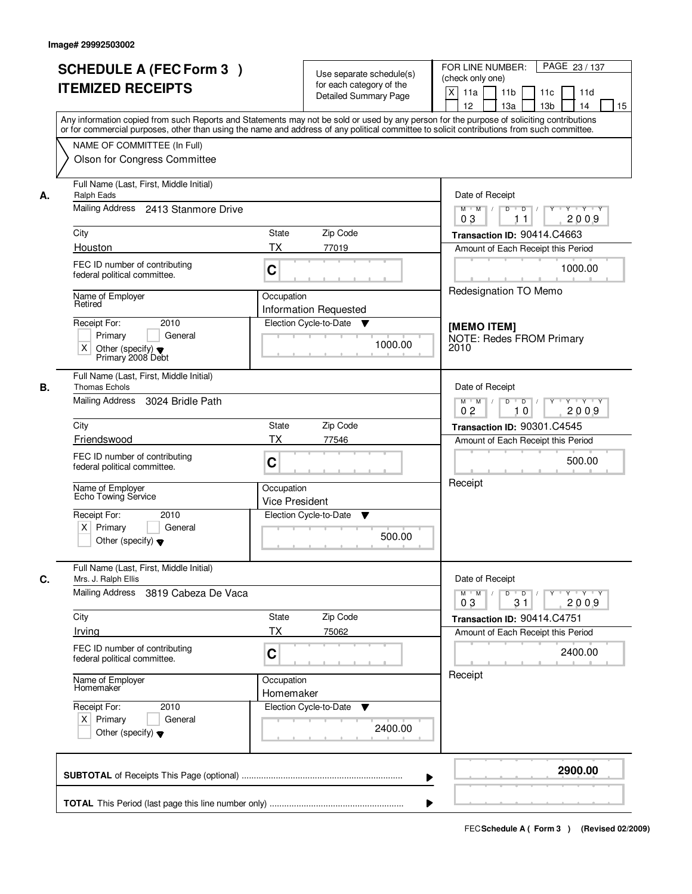| <b>SCHEDULE A (FEC Form 3)</b><br><b>ITEMIZED RECEIPTS</b>                                                                                                                                                                                                                                                                                | Use separate schedule(s)<br>for each category of the<br><b>Detailed Summary Page</b><br>Any information copied from such Reports and Statements may not be sold or used by any person for the purpose of soliciting contributions<br>or for commercial purposes, other than using the name and address of any political committee to solicit contributions from such committee. | PAGE 23 / 137<br>FOR LINE NUMBER:<br>(check only one)<br>$\mathsf{X}$<br>11 <sub>b</sub><br>11a<br>11c<br>11d<br>12 <sup>2</sup><br>13a<br>13 <sub>b</sub><br>14<br>15                                                |
|-------------------------------------------------------------------------------------------------------------------------------------------------------------------------------------------------------------------------------------------------------------------------------------------------------------------------------------------|---------------------------------------------------------------------------------------------------------------------------------------------------------------------------------------------------------------------------------------------------------------------------------------------------------------------------------------------------------------------------------|-----------------------------------------------------------------------------------------------------------------------------------------------------------------------------------------------------------------------|
| NAME OF COMMITTEE (In Full)<br>Olson for Congress Committee                                                                                                                                                                                                                                                                               |                                                                                                                                                                                                                                                                                                                                                                                 |                                                                                                                                                                                                                       |
| Full Name (Last, First, Middle Initial)<br><b>Ralph Eads</b><br>А.<br>Mailing Address 2413 Stanmore Drive<br>City<br>Houston<br>FEC ID number of contributing<br>federal political committee.<br>Name of Employer<br>Retired<br>2010<br>Receipt For:                                                                                      | State<br>Zip Code<br><b>TX</b><br>77019<br>C<br>Occupation<br><b>Information Requested</b><br>Election Cycle-to-Date<br>v                                                                                                                                                                                                                                                       | Date of Receipt<br>$Y$ $Y$ $Y$<br>$M$ $M$ /<br>$D$ $D$ $/$<br>$\overline{Y}$<br>0 <sub>3</sub><br>2009<br>11<br>Transaction ID: 90414.C4663<br>Amount of Each Receipt this Period<br>1000.00<br>Redesignation TO Memo |
| Primary<br>General<br>X<br>Other (specify) $\blacktriangledown$<br>Primary 2008 Debt                                                                                                                                                                                                                                                      | 1000.00                                                                                                                                                                                                                                                                                                                                                                         | [MEMO ITEM]<br><b>NOTE: Redes FROM Primary</b><br>2010                                                                                                                                                                |
| Full Name (Last, First, Middle Initial)<br><b>Thomas Echols</b><br>В.<br>Mailing Address<br>3024 Bridle Path<br>City<br>Friendswood<br>FEC ID number of contributing<br>federal political committee.<br>Name of Employer<br>Echo Towing Service<br>Receipt For:<br>2010<br>$X$ Primary<br>General<br>Other (specify) $\blacktriangledown$ | Zip Code<br><b>State</b><br>ТX<br>77546<br>C<br>Occupation<br><b>Vice President</b><br>Election Cycle-to-Date<br>▼<br>500.00                                                                                                                                                                                                                                                    | Date of Receipt<br>$Y - Y - Y$<br>$M$ $M$ /<br>D<br>$\Box$ D $\Box$ /<br>Y<br>0 <sub>2</sub><br>10<br>2009<br>Transaction ID: 90301.C4545<br>Amount of Each Receipt this Period<br>500.00<br>Receipt                  |
| Full Name (Last, First, Middle Initial)<br>C.<br>Mrs. J. Ralph Ellis<br>Mailing Address<br>3819 Cabeza De Vaca<br>City<br>Irving<br>FEC ID number of contributing<br>federal political committee.<br>Name of Employer<br>Homemaker<br>Receipt For:<br>2010<br>$X$ Primary<br>General<br>Other (specify) $\blacktriangledown$              | Zip Code<br>State<br>ТX<br>75062<br>C<br>Occupation<br>Homemaker<br>Election Cycle-to-Date<br><b>V</b><br>2400.00                                                                                                                                                                                                                                                               | Date of Receipt<br>$M = M$<br>$D$ $D$ $l$<br>03<br>31<br>2009<br>Transaction ID: 90414.C4751<br>Amount of Each Receipt this Period<br>2400.00<br>Receipt                                                              |
|                                                                                                                                                                                                                                                                                                                                           | ▶                                                                                                                                                                                                                                                                                                                                                                               | 2900.00                                                                                                                                                                                                               |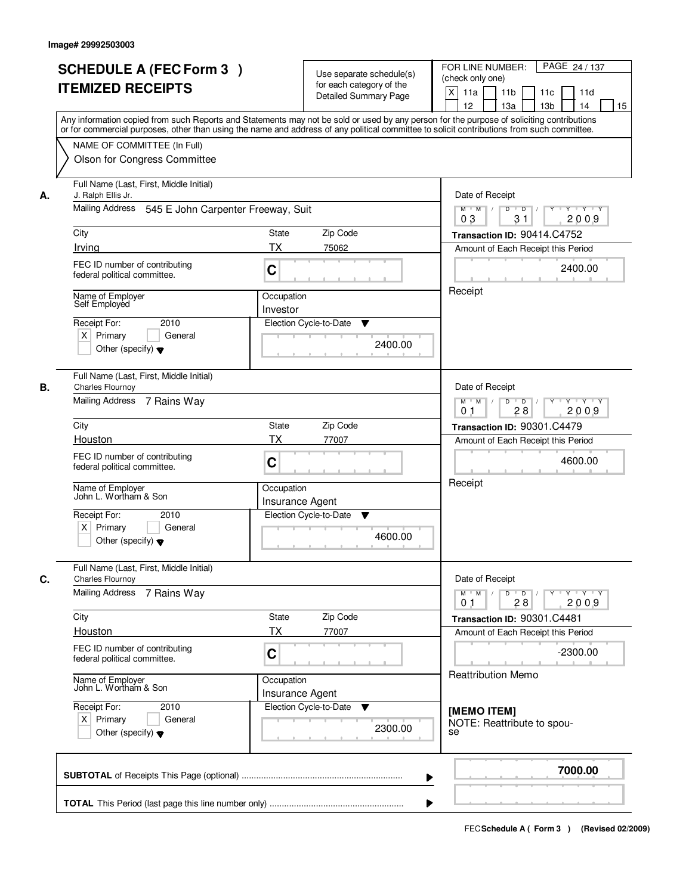|    | <b>SCHEDULE A (FEC Form 3)</b>                                 |                                                      | PAGE 24 / 137<br>FOR LINE NUMBER:                                                                                                                                                                                                                                                       |
|----|----------------------------------------------------------------|------------------------------------------------------|-----------------------------------------------------------------------------------------------------------------------------------------------------------------------------------------------------------------------------------------------------------------------------------------|
|    |                                                                | Use separate schedule(s)<br>for each category of the | (check only one)                                                                                                                                                                                                                                                                        |
|    | <b>ITEMIZED RECEIPTS</b>                                       | <b>Detailed Summary Page</b>                         | $\boldsymbol{\mathsf{X}}$<br>11a<br>11 <sub>b</sub><br>11c<br>11d                                                                                                                                                                                                                       |
|    |                                                                |                                                      | 12<br>13a<br>13 <sub>b</sub><br>14<br>15                                                                                                                                                                                                                                                |
|    |                                                                |                                                      | Any information copied from such Reports and Statements may not be sold or used by any person for the purpose of soliciting contributions<br>or for commercial purposes, other than using the name and address of any political committee to solicit contributions from such committee. |
|    | NAME OF COMMITTEE (In Full)                                    |                                                      |                                                                                                                                                                                                                                                                                         |
|    | Olson for Congress Committee                                   |                                                      |                                                                                                                                                                                                                                                                                         |
|    |                                                                |                                                      |                                                                                                                                                                                                                                                                                         |
| А. | Full Name (Last, First, Middle Initial)<br>J. Ralph Ellis Jr.  |                                                      | Date of Receipt                                                                                                                                                                                                                                                                         |
|    | Mailing Address 545 E John Carpenter Freeway, Suit             |                                                      | $Y - Y - Y$<br>D<br>$\overline{D}$<br>$M$ $M$ /<br>2009<br>03<br>31                                                                                                                                                                                                                     |
|    | City                                                           | <b>State</b><br>Zip Code                             | Transaction ID: 90414.C4752                                                                                                                                                                                                                                                             |
|    | Irving                                                         | <b>TX</b><br>75062                                   | Amount of Each Receipt this Period                                                                                                                                                                                                                                                      |
|    | FEC ID number of contributing                                  |                                                      | 2400.00                                                                                                                                                                                                                                                                                 |
|    | federal political committee.                                   | C                                                    |                                                                                                                                                                                                                                                                                         |
|    | Name of Employer                                               | Occupation                                           | Receipt                                                                                                                                                                                                                                                                                 |
|    | Self Employed                                                  | Investor                                             |                                                                                                                                                                                                                                                                                         |
|    | 2010<br>Receipt For:                                           | Election Cycle-to-Date<br>▼                          |                                                                                                                                                                                                                                                                                         |
|    | $X$ Primary<br>General                                         | 2400.00                                              |                                                                                                                                                                                                                                                                                         |
|    | Other (specify) $\blacktriangledown$                           |                                                      |                                                                                                                                                                                                                                                                                         |
|    | Full Name (Last, First, Middle Initial)                        |                                                      |                                                                                                                                                                                                                                                                                         |
| В. | <b>Charles Flournoy</b><br>Mailing Address 7 Rains Way         |                                                      | Date of Receipt<br>$M$ $M$ /<br>D<br>$\overline{D}$<br>Y<br>$Y + Y + Y$                                                                                                                                                                                                                 |
|    |                                                                |                                                      | 28<br>2009<br>0 <sub>1</sub>                                                                                                                                                                                                                                                            |
|    | City                                                           | Zip Code<br>State                                    | Transaction ID: 90301.C4479                                                                                                                                                                                                                                                             |
|    | Houston                                                        | TX<br>77007                                          | Amount of Each Receipt this Period                                                                                                                                                                                                                                                      |
|    | FEC ID number of contributing                                  | C                                                    | 4600.00                                                                                                                                                                                                                                                                                 |
|    | federal political committee.                                   |                                                      |                                                                                                                                                                                                                                                                                         |
|    | Name of Employer<br>John L. Wortham & Son                      | Occupation                                           | Receipt                                                                                                                                                                                                                                                                                 |
|    |                                                                | <b>Insurance Agent</b>                               |                                                                                                                                                                                                                                                                                         |
|    | Receipt For:<br>2010                                           | Election Cycle-to-Date<br>▼                          |                                                                                                                                                                                                                                                                                         |
|    | $X$ Primary<br>General<br>Other (specify) $\blacktriangledown$ | 4600.00                                              |                                                                                                                                                                                                                                                                                         |
|    |                                                                |                                                      |                                                                                                                                                                                                                                                                                         |
| C. | Full Name (Last, First, Middle Initial)<br>Charles Flournoy    |                                                      | Date of Receipt                                                                                                                                                                                                                                                                         |
|    | <b>Mailing Address</b><br>7 Rains Way                          |                                                      | $M$ $M$<br>$D$ $D$ $/$<br>$Y - Y - Y$<br>$Y$ <sup>-1</sup>                                                                                                                                                                                                                              |
|    |                                                                |                                                      | 2009<br>0 <sub>1</sub><br>28                                                                                                                                                                                                                                                            |
|    | City                                                           | Zip Code<br>State                                    | Transaction ID: 90301.C4481                                                                                                                                                                                                                                                             |
|    | Houston                                                        | <b>TX</b><br>77007                                   | Amount of Each Receipt this Period                                                                                                                                                                                                                                                      |
|    | FEC ID number of contributing<br>federal political committee.  | C                                                    | $-2300.00$                                                                                                                                                                                                                                                                              |
|    |                                                                |                                                      | <b>Reattribution Memo</b>                                                                                                                                                                                                                                                               |
|    | Name of Employer<br>John L. Wortham & Son                      | Occupation                                           |                                                                                                                                                                                                                                                                                         |
|    |                                                                | Insurance Agent                                      |                                                                                                                                                                                                                                                                                         |
|    | Receipt For:<br>2010<br>$X$ Primary<br>General                 | Election Cycle-to-Date<br>v                          | [MEMO ITEM]                                                                                                                                                                                                                                                                             |
|    | Other (specify) $\blacktriangledown$                           | 2300.00                                              | NOTE: Reattribute to spou-<br>se                                                                                                                                                                                                                                                        |
|    |                                                                |                                                      |                                                                                                                                                                                                                                                                                         |
|    |                                                                |                                                      | 7000.00                                                                                                                                                                                                                                                                                 |
|    |                                                                |                                                      | ▶                                                                                                                                                                                                                                                                                       |
|    |                                                                |                                                      |                                                                                                                                                                                                                                                                                         |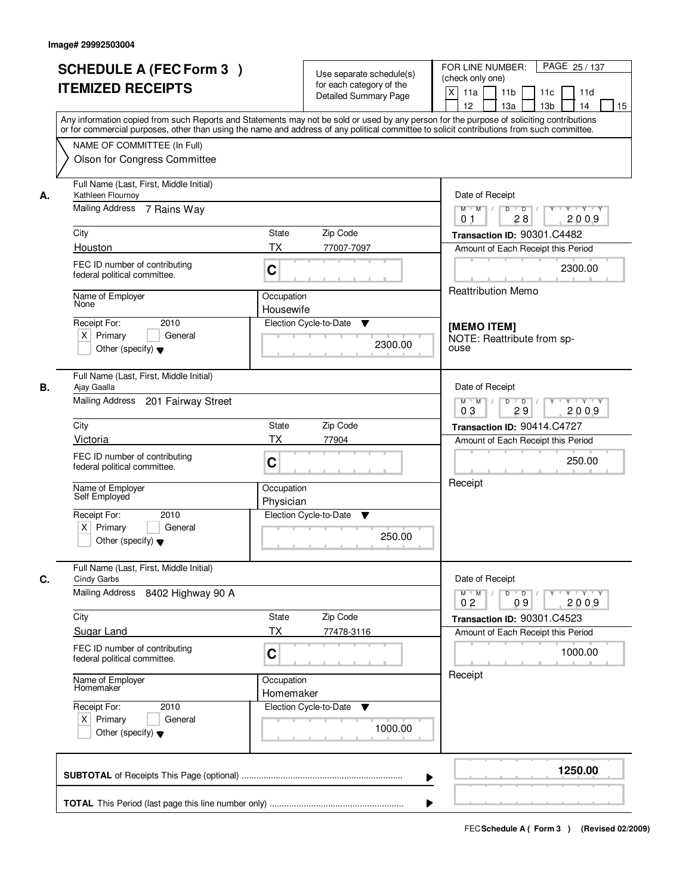|    | <b>SCHEDULE A (FEC Form 3)</b>                                                                                                                                                                                                                                                          |                         |                                                      | FOR LINE NUMBER:<br>PAGE 25 / 137                                                                               |
|----|-----------------------------------------------------------------------------------------------------------------------------------------------------------------------------------------------------------------------------------------------------------------------------------------|-------------------------|------------------------------------------------------|-----------------------------------------------------------------------------------------------------------------|
|    | <b>ITEMIZED RECEIPTS</b>                                                                                                                                                                                                                                                                |                         | Use separate schedule(s)<br>for each category of the | (check only one)                                                                                                |
|    |                                                                                                                                                                                                                                                                                         |                         | <b>Detailed Summary Page</b>                         | $\mathsf{X}$<br>11a<br>11 <sub>b</sub><br>11d<br>11c<br>12<br>13a<br>13 <sub>b</sub><br>14<br>15                |
|    | Any information copied from such Reports and Statements may not be sold or used by any person for the purpose of soliciting contributions<br>or for commercial purposes, other than using the name and address of any political committee to solicit contributions from such committee. |                         |                                                      |                                                                                                                 |
|    | NAME OF COMMITTEE (In Full)                                                                                                                                                                                                                                                             |                         |                                                      |                                                                                                                 |
|    | Olson for Congress Committee                                                                                                                                                                                                                                                            |                         |                                                      |                                                                                                                 |
| А. | Full Name (Last, First, Middle Initial)<br>Kathleen Flournoy                                                                                                                                                                                                                            |                         |                                                      | Date of Receipt                                                                                                 |
|    | Mailing Address 7 Rains Way                                                                                                                                                                                                                                                             |                         |                                                      | $\overline{D}$<br>$Y - Y - Y$<br>$M$ $M$ /<br>D<br>28<br>2009<br>01                                             |
|    | City                                                                                                                                                                                                                                                                                    | <b>State</b>            | Zip Code                                             | Transaction ID: 90301.C4482                                                                                     |
|    | Houston                                                                                                                                                                                                                                                                                 | <b>TX</b>               | 77007-7097                                           | Amount of Each Receipt this Period                                                                              |
|    | FEC ID number of contributing<br>federal political committee.                                                                                                                                                                                                                           | C                       |                                                      | 2300.00                                                                                                         |
|    | Name of Employer<br>None                                                                                                                                                                                                                                                                | Occupation<br>Housewife |                                                      | Reattribution Memo                                                                                              |
|    | 2010<br>Receipt For:                                                                                                                                                                                                                                                                    |                         | Election Cycle-to-Date<br>▼                          |                                                                                                                 |
|    | $X$ Primary<br>General                                                                                                                                                                                                                                                                  |                         |                                                      | [MEMO ITEM]<br>NOTE: Reattribute from sp-                                                                       |
|    | Other (specify) $\blacktriangledown$                                                                                                                                                                                                                                                    |                         | 2300.00                                              | ouse                                                                                                            |
| В. | Full Name (Last, First, Middle Initial)<br>Ajay Gaalla                                                                                                                                                                                                                                  |                         |                                                      | Date of Receipt                                                                                                 |
|    | Mailing Address<br>201 Fairway Street                                                                                                                                                                                                                                                   |                         |                                                      | $M$ $M$ /<br>D<br>$Y$ <sup>U</sup><br>Y Y Y Y<br>$\overline{D}$<br>03<br>29<br>2009                             |
|    | City                                                                                                                                                                                                                                                                                    | <b>State</b>            | Zip Code                                             | Transaction ID: 90414.C4727                                                                                     |
|    | Victoria                                                                                                                                                                                                                                                                                | <b>TX</b>               | 77904                                                | Amount of Each Receipt this Period                                                                              |
|    | FEC ID number of contributing<br>federal political committee.                                                                                                                                                                                                                           | C                       |                                                      | 250.00                                                                                                          |
|    | Name of Employer<br>Self Employed                                                                                                                                                                                                                                                       | Occupation<br>Physician |                                                      | Receipt                                                                                                         |
|    | Receipt For:<br>2010                                                                                                                                                                                                                                                                    |                         | Election Cycle-to-Date<br>v                          |                                                                                                                 |
|    | $X$ Primary<br>General<br>Other (specify) $\blacktriangledown$                                                                                                                                                                                                                          |                         | 250.00                                               |                                                                                                                 |
| C. | Full Name (Last, First, Middle Initial)<br><b>Cindy Garbs</b>                                                                                                                                                                                                                           |                         |                                                      | Date of Receipt                                                                                                 |
|    | Mailing Address<br>8402 Highway 90 A                                                                                                                                                                                                                                                    |                         |                                                      | $M$ M<br>$D$ $D$ $/$<br>Y Y Y Y<br>$\top$ /<br>$Y$ <sup><math>\top</math></sup><br>2009<br>0 <sub>2</sub><br>09 |
|    | City                                                                                                                                                                                                                                                                                    | State                   | Zip Code                                             | Transaction ID: 90301.C4523                                                                                     |
|    | <b>Sugar Land</b>                                                                                                                                                                                                                                                                       | <b>TX</b>               | 77478-3116                                           | Amount of Each Receipt this Period                                                                              |
|    | FEC ID number of contributing<br>federal political committee.                                                                                                                                                                                                                           | C                       |                                                      | 1000.00                                                                                                         |
|    | Name of Employer<br>Homemaker                                                                                                                                                                                                                                                           | Occupation<br>Homemaker |                                                      | Receipt                                                                                                         |
|    | Receipt For:<br>2010                                                                                                                                                                                                                                                                    |                         | Election Cycle-to-Date<br>v                          |                                                                                                                 |
|    | $X$ Primary<br>General<br>Other (specify) $\blacktriangledown$                                                                                                                                                                                                                          |                         | 1000.00                                              |                                                                                                                 |
|    |                                                                                                                                                                                                                                                                                         |                         |                                                      | 1250.00                                                                                                         |
|    |                                                                                                                                                                                                                                                                                         |                         |                                                      | ▶                                                                                                               |
|    |                                                                                                                                                                                                                                                                                         |                         |                                                      |                                                                                                                 |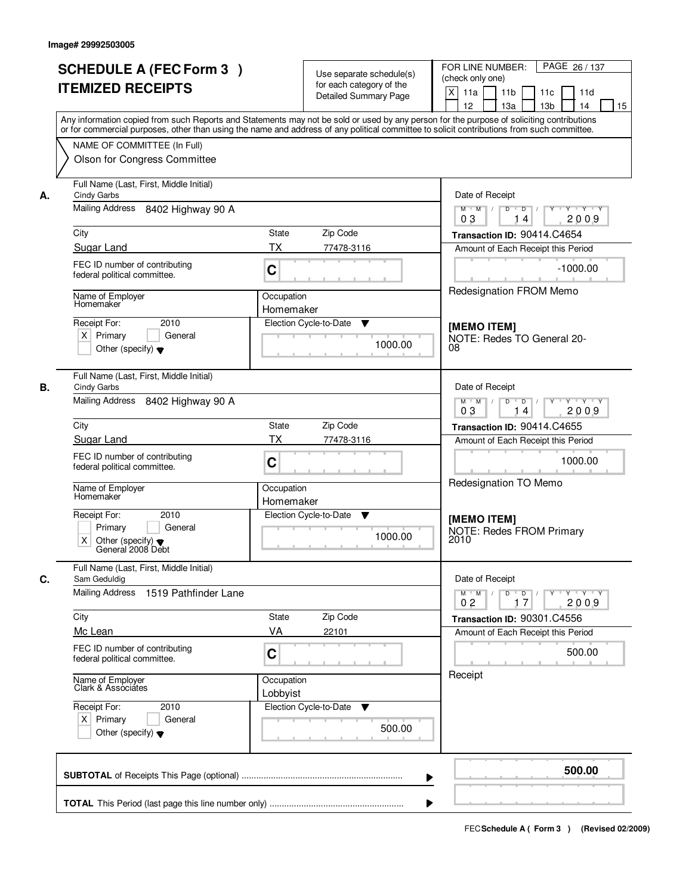|    | <b>SCHEDULE A (FEC Form 3)</b><br><b>ITEMIZED RECEIPTS</b><br>Any information copied from such Reports and Statements may not be sold or used by any person for the purpose of soliciting contributions   |                         | Use separate schedule(s)<br>for each category of the<br>Detailed Summary Page | FOR LINE NUMBER:<br>PAGE 26 / 137<br>(check only one)<br>$\mathsf{X}$<br>11 <sub>b</sub><br>11a<br>11c<br>11d<br>12<br>13a<br>13 <sub>b</sub><br>14<br>15 |
|----|-----------------------------------------------------------------------------------------------------------------------------------------------------------------------------------------------------------|-------------------------|-------------------------------------------------------------------------------|-----------------------------------------------------------------------------------------------------------------------------------------------------------|
|    | or for commercial purposes, other than using the name and address of any political committee to solicit contributions from such committee.<br>NAME OF COMMITTEE (In Full)<br>Olson for Congress Committee |                         |                                                                               |                                                                                                                                                           |
| А. | Full Name (Last, First, Middle Initial)<br>Cindy Garbs<br>Mailing Address 8402 Highway 90 A                                                                                                               |                         |                                                                               | Date of Receipt<br>$Y - Y - Y$<br>$M$ $M$ /<br>D<br>$\overline{D}$<br>2009<br>03<br>14                                                                    |
|    | City                                                                                                                                                                                                      | <b>State</b>            | Zip Code                                                                      | Transaction ID: 90414.C4654                                                                                                                               |
|    | Sugar Land                                                                                                                                                                                                | <b>TX</b>               | 77478-3116                                                                    | Amount of Each Receipt this Period                                                                                                                        |
|    | FEC ID number of contributing<br>federal political committee.                                                                                                                                             | C                       |                                                                               | $-1000.00$                                                                                                                                                |
|    | Name of Employer<br>Homemaker                                                                                                                                                                             | Occupation<br>Homemaker |                                                                               | <b>Redesignation FROM Memo</b>                                                                                                                            |
|    | 2010<br>Receipt For:<br>$X$ Primary<br>General<br>Other (specify) $\blacktriangledown$                                                                                                                    | Election Cycle-to-Date  | ▼<br>1000.00                                                                  | [MEMO ITEM]<br>NOTE: Redes TO General 20-<br>08                                                                                                           |
| В. | Full Name (Last, First, Middle Initial)<br>Cindy Garbs                                                                                                                                                    |                         |                                                                               | Date of Receipt                                                                                                                                           |
|    | Mailing Address 8402 Highway 90 A                                                                                                                                                                         |                         |                                                                               | $M$ $M$ /<br>D<br>$\Box$ D $\Box$<br>Y * Y * Y * Y<br>03<br>2009<br>14                                                                                    |
|    | City                                                                                                                                                                                                      | <b>State</b>            | Zip Code                                                                      | Transaction ID: 90414.C4655                                                                                                                               |
|    | Sugar Land                                                                                                                                                                                                | <b>TX</b>               | 77478-3116                                                                    | Amount of Each Receipt this Period                                                                                                                        |
|    | FEC ID number of contributing<br>federal political committee.                                                                                                                                             | C                       |                                                                               | 1000.00                                                                                                                                                   |
|    | Name of Employer<br>Homemaker                                                                                                                                                                             | Occupation<br>Homemaker |                                                                               | Redesignation TO Memo                                                                                                                                     |
|    | Receipt For:<br>2010<br>Primary<br>General<br>X<br>Other (specify) $\blacktriangledown$<br>General 2008 Debt                                                                                              | Election Cycle-to-Date  | v<br>1000.00                                                                  | [MEMO ITEM]<br><b>NOTE: Redes FROM Primary</b><br>2010                                                                                                    |
| C. | Full Name (Last, First, Middle Initial)<br>Sam Geduldig                                                                                                                                                   |                         |                                                                               | Date of Receipt                                                                                                                                           |
|    | Mailing Address 1519 Pathfinder Lane                                                                                                                                                                      |                         |                                                                               | $D$ $D$ $/$<br>$M^{\prime}$ M $\rightarrow$ /<br>$Y - Y - Y - Y$<br>$Y$ <sup>-1</sup><br>2009<br>0 <sub>2</sub><br>17                                     |
|    | City                                                                                                                                                                                                      | State                   | Zip Code                                                                      | Transaction ID: 90301.C4556                                                                                                                               |
|    | Mc Lean                                                                                                                                                                                                   | VA                      | 22101                                                                         | Amount of Each Receipt this Period                                                                                                                        |
|    | FEC ID number of contributing<br>federal political committee.                                                                                                                                             | C                       |                                                                               | 500.00                                                                                                                                                    |
|    | Name of Employer<br>Clark & Associates                                                                                                                                                                    | Occupation<br>Lobbyist  |                                                                               | Receipt                                                                                                                                                   |
|    | Receipt For:<br>2010<br>$X$ Primary<br>General<br>Other (specify) $\blacktriangledown$                                                                                                                    | Election Cycle-to-Date  | v<br>500.00                                                                   |                                                                                                                                                           |
|    |                                                                                                                                                                                                           |                         | ▶                                                                             | 500.00                                                                                                                                                    |
|    |                                                                                                                                                                                                           |                         |                                                                               |                                                                                                                                                           |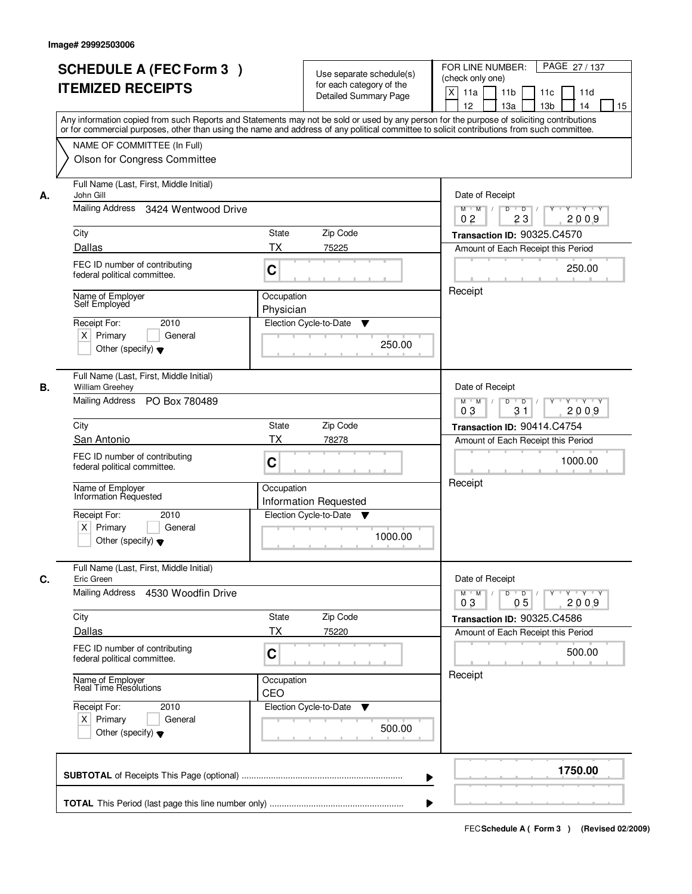|    | <b>SCHEDULE A (FEC Form 3)</b><br><b>ITEMIZED RECEIPTS</b>                                                                          | Use separate schedule(s)<br>for each category of the<br><b>Detailed Summary Page</b><br>Any information copied from such Reports and Statements may not be sold or used by any person for the purpose of soliciting contributions | PAGE 27 / 137<br>FOR LINE NUMBER:<br>(check only one)<br>X<br>11 <sub>b</sub><br>11a<br>11c<br>11d<br>12<br>13 <sub>b</sub><br>14<br>13a<br>15 |
|----|-------------------------------------------------------------------------------------------------------------------------------------|-----------------------------------------------------------------------------------------------------------------------------------------------------------------------------------------------------------------------------------|------------------------------------------------------------------------------------------------------------------------------------------------|
|    | NAME OF COMMITTEE (In Full)<br>Olson for Congress Committee                                                                         | or for commercial purposes, other than using the name and address of any political committee to solicit contributions from such committee.                                                                                        |                                                                                                                                                |
| А. | Full Name (Last, First, Middle Initial)<br>John Gill<br>Mailing Address 3424 Wentwood Drive                                         |                                                                                                                                                                                                                                   | Date of Receipt<br>$\overline{D}$<br>Y TY Y Y<br>$M$ $M$ /<br>D<br>Y<br>2009<br>0 <sub>2</sub><br>23                                           |
|    | City                                                                                                                                | <b>State</b><br>Zip Code                                                                                                                                                                                                          | Transaction ID: 90325.C4570                                                                                                                    |
|    | Dallas                                                                                                                              | ТX<br>75225                                                                                                                                                                                                                       | Amount of Each Receipt this Period                                                                                                             |
|    | FEC ID number of contributing<br>federal political committee.                                                                       | C                                                                                                                                                                                                                                 | 250.00                                                                                                                                         |
|    | Name of Employer<br>Self Employed<br>2010<br>Receipt For:<br>$X$ Primary<br>General<br>Other (specify) $\blacktriangledown$         | Occupation<br>Physician<br>Election Cycle-to-Date<br>▼<br>250.00                                                                                                                                                                  | Receipt                                                                                                                                        |
| В. | Full Name (Last, First, Middle Initial)<br><b>William Greehey</b><br>Mailing Address PO Box 780489                                  |                                                                                                                                                                                                                                   | Date of Receipt<br>$M$ $M$ /<br>D<br>$\overline{\phantom{0}}$ D<br>$Y + Y + Y$                                                                 |
|    | City                                                                                                                                | Zip Code<br>State                                                                                                                                                                                                                 | 31<br>03<br>2009                                                                                                                               |
|    | San Antonio                                                                                                                         | TX<br>78278                                                                                                                                                                                                                       | Transaction ID: 90414.C4754<br>Amount of Each Receipt this Period                                                                              |
|    | FEC ID number of contributing<br>federal political committee.                                                                       | C                                                                                                                                                                                                                                 | 1000.00                                                                                                                                        |
|    | Name of Employer<br>Information Requested<br>Receipt For:<br>2010<br>$X$ Primary<br>General<br>Other (specify) $\blacktriangledown$ | Occupation<br>Information Requested<br>Election Cycle-to-Date<br>▼<br>1000.00                                                                                                                                                     | Receipt                                                                                                                                        |
| C. | Full Name (Last, First, Middle Initial)<br>Eric Green                                                                               |                                                                                                                                                                                                                                   | Date of Receipt                                                                                                                                |
|    | Mailing Address 4530 Woodfin Drive                                                                                                  | $M$ $M$<br>$D$ $D$ $/$<br>Y 'Y 'Y<br>$Y^+$<br>03<br>05<br>2009                                                                                                                                                                    |                                                                                                                                                |
|    | City                                                                                                                                | Zip Code<br>State                                                                                                                                                                                                                 | Transaction ID: 90325.C4586                                                                                                                    |
|    | Dallas                                                                                                                              | ТX<br>75220                                                                                                                                                                                                                       | Amount of Each Receipt this Period                                                                                                             |
|    | FEC ID number of contributing<br>federal political committee.                                                                       | C                                                                                                                                                                                                                                 | 500.00                                                                                                                                         |
|    | Name of Employer<br>Real Time Resolutions                                                                                           | Occupation<br>CEO                                                                                                                                                                                                                 | Receipt                                                                                                                                        |
|    | Receipt For:<br>2010<br>$X$ Primary<br>General<br>Other (specify) $\blacktriangledown$                                              | Election Cycle-to-Date ▼<br>500.00                                                                                                                                                                                                |                                                                                                                                                |
|    |                                                                                                                                     |                                                                                                                                                                                                                                   | 1750.00                                                                                                                                        |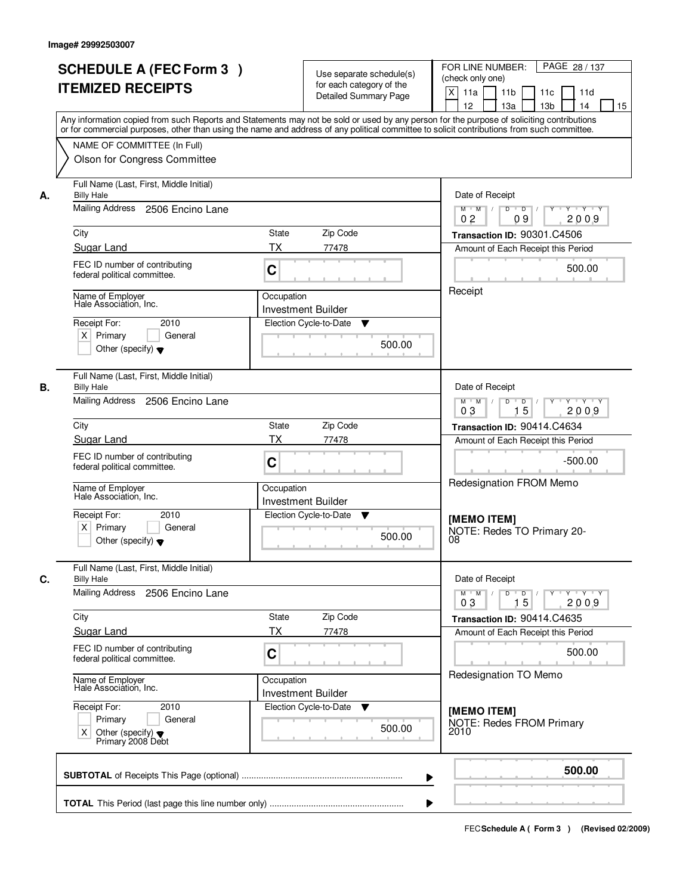|    | <b>SCHEDULE A (FEC Form 3)</b><br><b>ITEMIZED RECEIPTS</b>                                                                           | Use separate schedule(s)<br>for each category of the<br><b>Detailed Summary Page</b><br>Any information copied from such Reports and Statements may not be sold or used by any person for the purpose of soliciting contributions | PAGE 28 / 137<br>FOR LINE NUMBER:<br>(check only one)<br>X<br>11 <sub>b</sub><br>11a<br>11c<br>11d<br>12<br>13 <sub>b</sub><br>14<br>13a<br>15 |
|----|--------------------------------------------------------------------------------------------------------------------------------------|-----------------------------------------------------------------------------------------------------------------------------------------------------------------------------------------------------------------------------------|------------------------------------------------------------------------------------------------------------------------------------------------|
|    | NAME OF COMMITTEE (In Full)<br>Olson for Congress Committee                                                                          | or for commercial purposes, other than using the name and address of any political committee to solicit contributions from such committee.                                                                                        |                                                                                                                                                |
| А. | Full Name (Last, First, Middle Initial)<br><b>Billy Hale</b><br>Mailing Address<br>2506 Encino Lane                                  |                                                                                                                                                                                                                                   | Date of Receipt<br>$D$ $D$<br>Y<br>Y TY Y Y<br>$M$ $M$ /                                                                                       |
|    | City                                                                                                                                 | <b>State</b><br>Zip Code                                                                                                                                                                                                          | 0 <sub>2</sub><br>09<br>2009<br>Transaction ID: 90301.C4506                                                                                    |
|    | Sugar Land                                                                                                                           | ТX<br>77478                                                                                                                                                                                                                       | Amount of Each Receipt this Period                                                                                                             |
|    | FEC ID number of contributing<br>federal political committee.                                                                        | C                                                                                                                                                                                                                                 | 500.00                                                                                                                                         |
|    | Name of Employer<br>Hale Association, Inc.<br>Receipt For:<br>2010<br>$X$ Primary<br>General<br>Other (specify) $\blacktriangledown$ | Occupation<br><b>Investment Builder</b><br>Election Cycle-to-Date<br>▼<br>500.00                                                                                                                                                  | Receipt                                                                                                                                        |
| В. | Full Name (Last, First, Middle Initial)<br><b>Billy Hale</b><br>Mailing Address                                                      |                                                                                                                                                                                                                                   | Date of Receipt                                                                                                                                |
|    | 2506 Encino Lane                                                                                                                     |                                                                                                                                                                                                                                   | $M$ $M$ /<br>D<br>$\Box$ D $\Box$ /<br>Y<br>$Y + Y + Y$<br>15<br>03<br>2009                                                                    |
|    | City                                                                                                                                 | Zip Code<br>State                                                                                                                                                                                                                 | Transaction ID: 90414.C4634                                                                                                                    |
|    | Sugar Land                                                                                                                           | TX<br>77478                                                                                                                                                                                                                       | Amount of Each Receipt this Period                                                                                                             |
|    | FEC ID number of contributing<br>federal political committee.                                                                        | C                                                                                                                                                                                                                                 | $-500.00$                                                                                                                                      |
|    | Name of Employer<br>Hale Association, Inc.                                                                                           | Occupation<br>Investment Builder                                                                                                                                                                                                  | Redesignation FROM Memo                                                                                                                        |
|    | Receipt For:<br>2010<br>$X$ Primary<br>General<br>Other (specify) $\blacktriangledown$                                               | Election Cycle-to-Date<br>v<br>500.00                                                                                                                                                                                             | [MEMO ITEM]<br>NOTE: Redes TO Primary 20-<br>08                                                                                                |
| C. | Full Name (Last, First, Middle Initial)<br><b>Billy Hale</b>                                                                         |                                                                                                                                                                                                                                   | Date of Receipt                                                                                                                                |
|    | Mailing Address<br>2506 Encino Lane                                                                                                  |                                                                                                                                                                                                                                   | $D$ $D$ $l$<br><b>EYELYELYELY</b><br>$M$ $M$ /<br>03<br>15<br>2009                                                                             |
|    | City                                                                                                                                 | Zip Code<br>State                                                                                                                                                                                                                 | Transaction ID: 90414.C4635                                                                                                                    |
|    | <b>Sugar Land</b>                                                                                                                    | ТX<br>77478                                                                                                                                                                                                                       | Amount of Each Receipt this Period                                                                                                             |
|    | FEC ID number of contributing<br>federal political committee.                                                                        | C                                                                                                                                                                                                                                 | 500.00                                                                                                                                         |
|    | Name of Employer<br>Hale Association, Inc.                                                                                           | Occupation<br><b>Investment Builder</b>                                                                                                                                                                                           | Redesignation TO Memo                                                                                                                          |
|    | Receipt For:<br>2010<br>Primary<br>General<br>Other (specify) $\blacktriangledown$<br>X<br>Primary 2008 Debt                         | Election Cycle-to-Date<br>v<br>500.00                                                                                                                                                                                             | [MEMO ITEM]<br>NOTE: Redes FROM Primary<br>2010                                                                                                |
|    |                                                                                                                                      |                                                                                                                                                                                                                                   | 500.00                                                                                                                                         |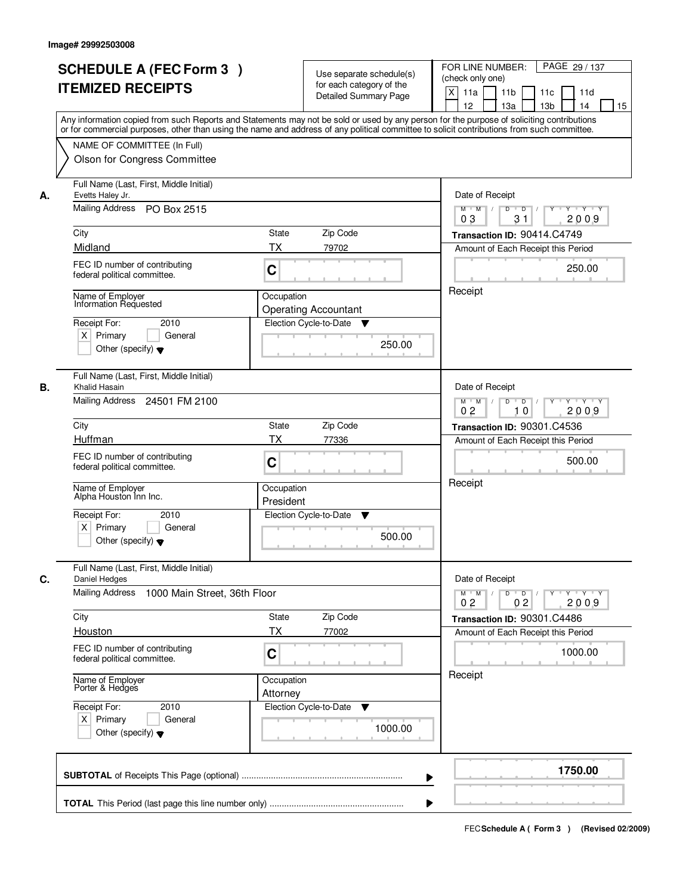|                                                                                                                                        | <b>SCHEDULE A (FEC Form 3)</b><br><b>ITEMIZED RECEIPTS</b>                                                                                                                                                                                                                                                                                               |                                                                                                                                                                                                       | Use separate schedule(s)<br>for each category of the<br><b>Detailed Summary Page</b> | PAGE 29 / 137<br>FOR LINE NUMBER:<br>(check only one)<br>X<br>11 <sub>b</sub><br>11a<br>11c<br>11d<br>12<br>13 <sub>b</sub><br>14<br>13a<br>15<br>Any information copied from such Reports and Statements may not be sold or used by any person for the purpose of soliciting contributions |  |
|----------------------------------------------------------------------------------------------------------------------------------------|----------------------------------------------------------------------------------------------------------------------------------------------------------------------------------------------------------------------------------------------------------------------------------------------------------------------------------------------------------|-------------------------------------------------------------------------------------------------------------------------------------------------------------------------------------------------------|--------------------------------------------------------------------------------------|---------------------------------------------------------------------------------------------------------------------------------------------------------------------------------------------------------------------------------------------------------------------------------------------|--|
|                                                                                                                                        | NAME OF COMMITTEE (In Full)<br>Olson for Congress Committee                                                                                                                                                                                                                                                                                              |                                                                                                                                                                                                       |                                                                                      | or for commercial purposes, other than using the name and address of any political committee to solicit contributions from such committee.                                                                                                                                                  |  |
| Evetts Haley Jr.<br>А.<br>City<br>Midland<br>Name of Employer<br>Receipt For:<br>$X$ Primary                                           | Full Name (Last, First, Middle Initial)<br>Mailing Address PO Box 2515<br>FEC ID number of contributing<br>federal political committee.<br>Information Requested<br>2010<br>General<br>Other (specify) $\blacktriangledown$                                                                                                                              | Date of Receipt<br>$\overline{D}$<br>$Y - Y - Y - Y$<br>$M$ $M$ /<br>D<br>Y<br>2009<br>0 <sub>3</sub><br>31<br>Transaction ID: 90414.C4749<br>Amount of Each Receipt this Period<br>250.00<br>Receipt |                                                                                      |                                                                                                                                                                                                                                                                                             |  |
| В.<br>City<br>Huffman<br>Other (specify) $\blacktriangledown$                                                                          | Full Name (Last, First, Middle Initial)<br>Khalid Hasain<br>Mailing Address 24501 FM 2100<br>Zip Code<br>State<br>TX<br>77336<br>FEC ID number of contributing<br>C<br>federal political committee.<br>Name of Employer<br>Occupation<br>Alpha Houston Inn Inc.<br>President<br>Receipt For:<br>Election Cycle-to-Date<br>2010<br>$X$ Primary<br>General |                                                                                                                                                                                                       |                                                                                      | Date of Receipt<br>$M$ $M$ /<br>D<br>$\Box$ D $\Box$ /<br>Y<br>$Y + Y + Y$<br>0 <sub>2</sub><br>10<br>2009<br>Transaction ID: 90301.C4536<br>Amount of Each Receipt this Period<br>500.00<br>Receipt                                                                                        |  |
| C.<br>Daniel Hedges<br><b>Mailing Address</b><br>City<br>Houston<br>Name of Employer<br>Porter & Hedges<br>Receipt For:<br>$X$ Primary | Full Name (Last, First, Middle Initial)<br>1000 Main Street, 36th Floor<br>FEC ID number of contributing<br>federal political committee.<br>2010<br>General<br>Other (specify) $\blacktriangledown$                                                                                                                                                      | State<br>ТX<br>C<br>Occupation<br>Attorney                                                                                                                                                            | Zip Code<br>77002<br>Election Cycle-to-Date<br>v<br>1000.00                          | Date of Receipt<br>$M$ $M$<br>$D$ $D$ $/$<br>Y 'Y 'Y<br>$Y^+$<br>0 <sub>2</sub><br>0 <sub>2</sub><br>2009<br>Transaction ID: 90301.C4486<br>Amount of Each Receipt this Period<br>1000.00<br>Receipt                                                                                        |  |
|                                                                                                                                        |                                                                                                                                                                                                                                                                                                                                                          |                                                                                                                                                                                                       |                                                                                      | 1750.00                                                                                                                                                                                                                                                                                     |  |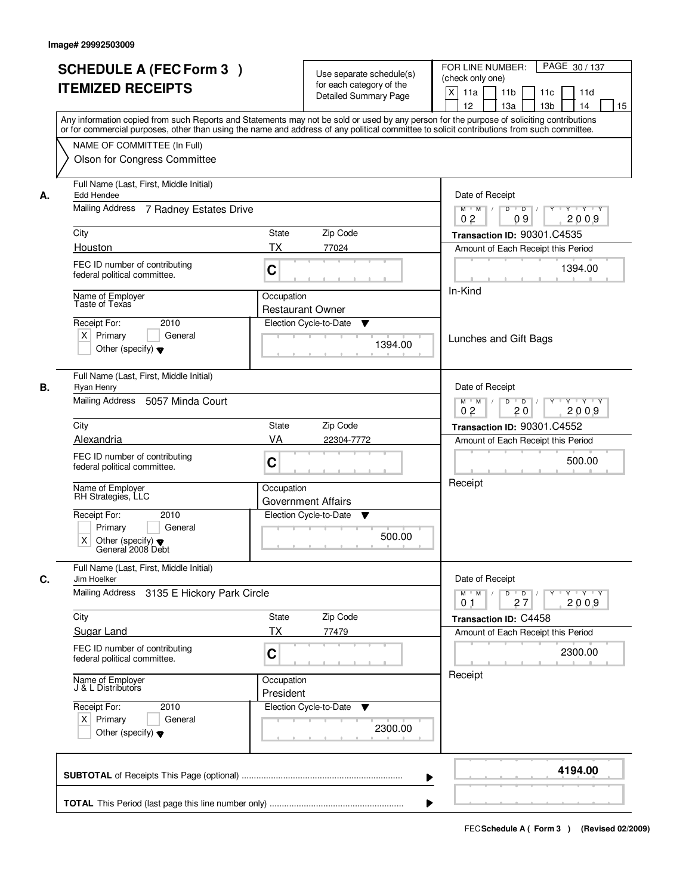|    | <b>SCHEDULE A (FEC Form 3)</b><br><b>ITEMIZED RECEIPTS</b><br>Any information copied from such Reports and Statements may not be sold or used by any person for the purpose of soliciting contributions<br>or for commercial purposes, other than using the name and address of any political committee to solicit contributions from such committee. |                         | Use separate schedule(s)<br>for each category of the<br><b>Detailed Summary Page</b> | PAGE 30 / 137<br>FOR LINE NUMBER:<br>(check only one)<br>$\mathsf{X}$<br>11 <sub>b</sub><br>11a<br>11c<br>11d<br>12<br>13 <sub>b</sub><br>13a<br>14<br>15 |
|----|-------------------------------------------------------------------------------------------------------------------------------------------------------------------------------------------------------------------------------------------------------------------------------------------------------------------------------------------------------|-------------------------|--------------------------------------------------------------------------------------|-----------------------------------------------------------------------------------------------------------------------------------------------------------|
|    | NAME OF COMMITTEE (In Full)<br>Olson for Congress Committee                                                                                                                                                                                                                                                                                           |                         |                                                                                      |                                                                                                                                                           |
| А. | Full Name (Last, First, Middle Initial)<br>Edd Hendee<br>Mailing Address<br>7 Radney Estates Drive                                                                                                                                                                                                                                                    |                         |                                                                                      | Date of Receipt<br>$Y + Y + Y$<br>$D$ $D$ $I$<br>$Y^{\dagger}$<br>$M$ $M$ /                                                                               |
|    |                                                                                                                                                                                                                                                                                                                                                       |                         |                                                                                      | 0 <sub>2</sub><br>09<br>2009                                                                                                                              |
|    | City                                                                                                                                                                                                                                                                                                                                                  | State                   | Zip Code                                                                             | Transaction ID: 90301.C4535                                                                                                                               |
|    | Houston                                                                                                                                                                                                                                                                                                                                               | ТX                      | 77024                                                                                | Amount of Each Receipt this Period                                                                                                                        |
|    | FEC ID number of contributing<br>federal political committee.                                                                                                                                                                                                                                                                                         | C                       |                                                                                      | 1394.00                                                                                                                                                   |
|    | Name of Employer<br>Taste of Texas                                                                                                                                                                                                                                                                                                                    | In-Kind                 |                                                                                      |                                                                                                                                                           |
|    | 2010<br>Receipt For:                                                                                                                                                                                                                                                                                                                                  | <b>Restaurant Owner</b> | Election Cycle-to-Date<br>▼                                                          |                                                                                                                                                           |
|    | $X$ Primary<br>General<br>Other (specify) $\blacktriangledown$                                                                                                                                                                                                                                                                                        |                         | 1394.00                                                                              | Lunches and Gift Bags                                                                                                                                     |
| В. | Full Name (Last, First, Middle Initial)<br>Ryan Henry                                                                                                                                                                                                                                                                                                 |                         |                                                                                      | Date of Receipt                                                                                                                                           |
|    | Mailing Address<br>5057 Minda Court                                                                                                                                                                                                                                                                                                                   |                         |                                                                                      | $M$ $M$ /<br>D<br>$\Box$ D $\Box$ /<br>Y 'Y 'Y<br>0 <sub>2</sub><br>20<br>2009                                                                            |
|    | City                                                                                                                                                                                                                                                                                                                                                  | <b>State</b>            | Zip Code                                                                             | Transaction ID: 90301.C4552                                                                                                                               |
|    | Alexandria                                                                                                                                                                                                                                                                                                                                            | VA                      | 22304-7772                                                                           | Amount of Each Receipt this Period                                                                                                                        |
|    | FEC ID number of contributing<br>federal political committee.                                                                                                                                                                                                                                                                                         | C                       |                                                                                      | 500.00                                                                                                                                                    |
|    | Name of Employer<br>RH Strategies, LLC                                                                                                                                                                                                                                                                                                                | Occupation              | <b>Government Affairs</b>                                                            | Receipt                                                                                                                                                   |
|    | Receipt For:<br>2010<br>General<br>Primary<br>Χ<br>Other (specify) $\blacktriangledown$<br>General 2008 Debt                                                                                                                                                                                                                                          |                         | Election Cycle-to-Date<br>v<br>500.00                                                |                                                                                                                                                           |
| C. | Full Name (Last, First, Middle Initial)<br>Jim Hoelker<br>Mailing Address<br>3135 E Hickory Park Circle                                                                                                                                                                                                                                               |                         |                                                                                      | Date of Receipt<br>$M = M$<br>$D$ $D$ $/$<br>$\mathsf{Y} \dashv \mathsf{Y} \dashv \mathsf{Y} \dashv \mathsf{Y}$<br>27<br>2009<br>01                       |
|    | City                                                                                                                                                                                                                                                                                                                                                  | State                   | Zip Code                                                                             | Transaction ID: C4458                                                                                                                                     |
|    | <b>Sugar Land</b>                                                                                                                                                                                                                                                                                                                                     | ТX                      | 77479                                                                                | Amount of Each Receipt this Period                                                                                                                        |
|    | FEC ID number of contributing<br>federal political committee.                                                                                                                                                                                                                                                                                         | C                       |                                                                                      | 2300.00                                                                                                                                                   |
|    | Name of Employer<br>J & L Distributors                                                                                                                                                                                                                                                                                                                | Occupation<br>President |                                                                                      | Receipt                                                                                                                                                   |
|    | Receipt For:<br>2010<br>$X$ Primary<br>General<br>Other (specify) $\blacktriangledown$                                                                                                                                                                                                                                                                |                         | Election Cycle-to-Date<br>v<br>2300.00                                               |                                                                                                                                                           |
|    |                                                                                                                                                                                                                                                                                                                                                       |                         | ▶                                                                                    | 4194.00                                                                                                                                                   |
|    |                                                                                                                                                                                                                                                                                                                                                       |                         |                                                                                      |                                                                                                                                                           |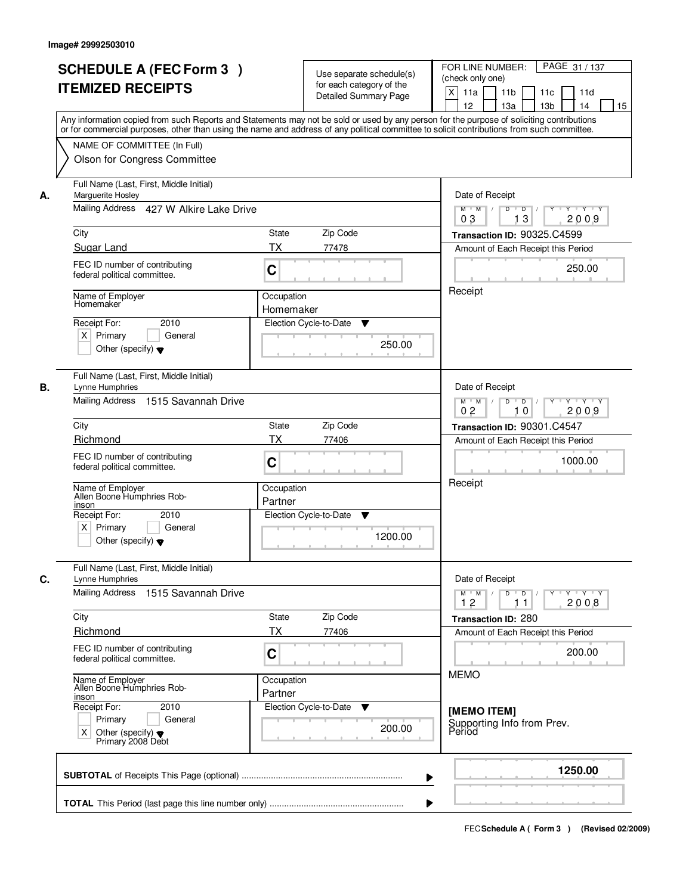|    | <b>SCHEDULE A (FEC Form 3)</b><br><b>ITEMIZED RECEIPTS</b>                                                                                        | Use separate schedule(s)<br>for each category of the<br><b>Detailed Summary Page</b><br>Any information copied from such Reports and Statements may not be sold or used by any person for the purpose of soliciting contributions | PAGE 31 / 137<br>FOR LINE NUMBER:<br>(check only one)<br>X<br>11 <sub>b</sub><br>11a<br>11c<br>11d<br>12<br>13 <sub>b</sub><br>14<br>13a<br>15 |
|----|---------------------------------------------------------------------------------------------------------------------------------------------------|-----------------------------------------------------------------------------------------------------------------------------------------------------------------------------------------------------------------------------------|------------------------------------------------------------------------------------------------------------------------------------------------|
|    | NAME OF COMMITTEE (In Full)<br>Olson for Congress Committee                                                                                       | or for commercial purposes, other than using the name and address of any political committee to solicit contributions from such committee.                                                                                        |                                                                                                                                                |
| А. | Full Name (Last, First, Middle Initial)<br>Marguerite Hosley<br>Mailing Address 427 W Alkire Lake Drive                                           |                                                                                                                                                                                                                                   | Date of Receipt<br>$D$ $D$ $I$<br>Y<br>$Y - Y - Y - Y$<br>$M$ $M$ /                                                                            |
|    | City                                                                                                                                              | State<br>Zip Code                                                                                                                                                                                                                 | 0 <sub>3</sub><br>13<br>2009<br>Transaction ID: 90325.C4599                                                                                    |
|    | Sugar Land                                                                                                                                        | ТX<br>77478                                                                                                                                                                                                                       | Amount of Each Receipt this Period                                                                                                             |
|    | FEC ID number of contributing<br>federal political committee.                                                                                     | C                                                                                                                                                                                                                                 | 250.00                                                                                                                                         |
|    | Name of Employer<br>Homemaker<br>2010<br>Receipt For:<br>$X$ Primary<br>General<br>Other (specify) $\blacktriangledown$                           | Occupation<br>Homemaker<br>Election Cycle-to-Date<br>▼<br>250.00                                                                                                                                                                  | Receipt                                                                                                                                        |
| В. | Full Name (Last, First, Middle Initial)<br>Lynne Humphries<br>Mailing Address<br>1515 Savannah Drive                                              |                                                                                                                                                                                                                                   | Date of Receipt<br>$M$ $M$ /<br>D<br>$\overline{D}$<br>Y<br>$Y + Y + Y$<br>0 <sub>2</sub><br>10<br>2009                                        |
|    | City                                                                                                                                              | Zip Code<br>State                                                                                                                                                                                                                 | Transaction ID: 90301.C4547                                                                                                                    |
|    | Richmond                                                                                                                                          | TX<br>77406                                                                                                                                                                                                                       | Amount of Each Receipt this Period                                                                                                             |
|    | FEC ID number of contributing<br>federal political committee.                                                                                     | C                                                                                                                                                                                                                                 | 1000.00                                                                                                                                        |
|    | Name of Employer<br>Allen Boone Humphries Rob-<br>inson<br>Receipt For:<br>2010<br>$X$ Primary<br>General<br>Other (specify) $\blacktriangledown$ | Occupation<br>Partner<br>Election Cycle-to-Date<br>v<br>1200.00                                                                                                                                                                   | Receipt                                                                                                                                        |
| C. | Full Name (Last, First, Middle Initial)<br>Lynne Humphries                                                                                        |                                                                                                                                                                                                                                   | Date of Receipt                                                                                                                                |
|    | <b>Mailing Address</b><br>1515 Savannah Drive                                                                                                     |                                                                                                                                                                                                                                   | $M$ $M$<br>$D$ $D$ $l$<br>$Y - Y - Y - Y$<br>$\mathbf{Y}$<br>2008<br>12<br>11                                                                  |
|    | City                                                                                                                                              | Zip Code<br>State                                                                                                                                                                                                                 | Transaction ID: 280                                                                                                                            |
|    | Richmond<br>FEC ID number of contributing<br>federal political committee.                                                                         | ТX<br>77406<br>C                                                                                                                                                                                                                  | Amount of Each Receipt this Period<br>200.00                                                                                                   |
|    | Name of Employer<br>Allen Boone Humphries Rob-<br>inson                                                                                           | Occupation<br>Partner                                                                                                                                                                                                             | <b>MEMO</b>                                                                                                                                    |
|    | Receipt For:<br>2010<br>Primary<br>General<br>Other (specify) $\blacktriangledown$<br>Χ<br>Primary 2008 Debt                                      | Election Cycle-to-Date ▼<br>200.00                                                                                                                                                                                                | [MEMO ITEM]<br>Supporting Info from Prev.<br>Period                                                                                            |
|    |                                                                                                                                                   |                                                                                                                                                                                                                                   | 1250.00                                                                                                                                        |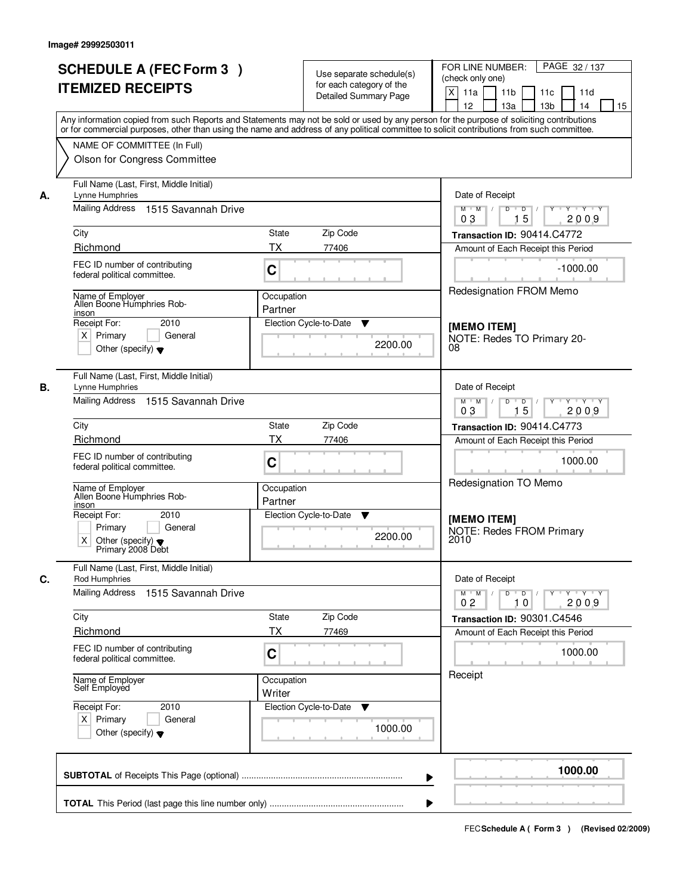|                                   | <b>SCHEDULE A (FEC Form 3)</b>                                       |                       |                             |                          | FOR LINE NUMBER:<br>PAGE 32 / 137                                                                                                                                                                                                                                                       |
|-----------------------------------|----------------------------------------------------------------------|-----------------------|-----------------------------|--------------------------|-----------------------------------------------------------------------------------------------------------------------------------------------------------------------------------------------------------------------------------------------------------------------------------------|
|                                   |                                                                      |                       | for each category of the    | Use separate schedule(s) | (check only one)                                                                                                                                                                                                                                                                        |
|                                   | <b>ITEMIZED RECEIPTS</b>                                             |                       | Detailed Summary Page       |                          | X<br>11a<br>11 <sub>b</sub><br>11 <sub>c</sub><br>11d                                                                                                                                                                                                                                   |
|                                   |                                                                      |                       |                             |                          | 12<br>13 <sub>b</sub><br>14<br>15<br>13a                                                                                                                                                                                                                                                |
|                                   |                                                                      |                       |                             |                          | Any information copied from such Reports and Statements may not be sold or used by any person for the purpose of soliciting contributions<br>or for commercial purposes, other than using the name and address of any political committee to solicit contributions from such committee. |
|                                   | NAME OF COMMITTEE (In Full)                                          |                       |                             |                          |                                                                                                                                                                                                                                                                                         |
|                                   | Olson for Congress Committee                                         |                       |                             |                          |                                                                                                                                                                                                                                                                                         |
| Lynne Humphries<br>А.             | Full Name (Last, First, Middle Initial)                              |                       |                             |                          | Date of Receipt                                                                                                                                                                                                                                                                         |
| <b>Mailing Address</b>            | 1515 Savannah Drive                                                  |                       |                             |                          | $M$ $M$ /<br>D<br>$\overline{D}$ /<br>Y Y Y Y<br>Y<br>15<br>2009<br>03                                                                                                                                                                                                                  |
| City                              |                                                                      | State                 | Zip Code                    |                          | Transaction ID: 90414.C4772                                                                                                                                                                                                                                                             |
| Richmond                          |                                                                      | <b>TX</b>             | 77406                       |                          | Amount of Each Receipt this Period                                                                                                                                                                                                                                                      |
| federal political committee.      | FEC ID number of contributing                                        | C                     |                             |                          | $-1000.00$                                                                                                                                                                                                                                                                              |
| Name of Employer                  | Allen Boone Humphries Rob-                                           | Occupation<br>Partner |                             |                          | Redesignation FROM Memo                                                                                                                                                                                                                                                                 |
| inson<br>Receipt For:             | 2010                                                                 |                       | Election Cycle-to-Date<br>▼ |                          |                                                                                                                                                                                                                                                                                         |
| $X$ Primary                       | General                                                              |                       |                             |                          | [MEMO ITEM]<br>NOTE: Redes TO Primary 20-                                                                                                                                                                                                                                               |
|                                   | Other (specify) $\blacktriangledown$                                 |                       |                             | 2200.00                  | 08                                                                                                                                                                                                                                                                                      |
| В.<br>Lynne Humphries             | Full Name (Last, First, Middle Initial)                              |                       |                             |                          | Date of Receipt                                                                                                                                                                                                                                                                         |
| <b>Mailing Address</b>            | 1515 Savannah Drive                                                  |                       |                             |                          | $M$ M<br>D<br>D<br>Y 'Y 'Y<br>15<br>03<br>2009                                                                                                                                                                                                                                          |
| City                              |                                                                      | State                 | Zip Code                    |                          | Transaction ID: 90414.C4773                                                                                                                                                                                                                                                             |
| Richmond                          |                                                                      | <b>TX</b>             | 77406                       |                          | Amount of Each Receipt this Period                                                                                                                                                                                                                                                      |
| federal political committee.      | FEC ID number of contributing                                        | C                     |                             |                          | 1000.00                                                                                                                                                                                                                                                                                 |
| Name of Employer<br>inson         | Allen Boone Humphries Rob-                                           | Occupation<br>Partner |                             |                          | Redesignation TO Memo                                                                                                                                                                                                                                                                   |
| Receipt For:                      | 2010                                                                 |                       | Election Cycle-to-Date<br>v |                          | [MEMO ITEM]                                                                                                                                                                                                                                                                             |
| Primary<br>X                      | General<br>Other (specify) $\blacktriangledown$<br>Primary 2008 Debt |                       |                             | 2200.00                  | <b>NOTE: Redes FROM Primary</b><br>2010                                                                                                                                                                                                                                                 |
| Rod Humphries<br>С.               | Full Name (Last, First, Middle Initial)                              |                       |                             |                          | Date of Receipt                                                                                                                                                                                                                                                                         |
| <b>Mailing Address</b>            | 1515 Savannah Drive                                                  |                       |                             |                          | $D$ $D$<br>Y TY Y Y<br>$M$ $M$<br>Y<br>0 <sub>2</sub><br>2009<br>10                                                                                                                                                                                                                     |
| City                              |                                                                      | State                 | Zip Code                    |                          | Transaction ID: 90301.C4546                                                                                                                                                                                                                                                             |
| Richmond                          |                                                                      | ТX                    | 77469                       |                          | Amount of Each Receipt this Period                                                                                                                                                                                                                                                      |
| federal political committee.      | FEC ID number of contributing                                        | С                     |                             |                          | 1000.00                                                                                                                                                                                                                                                                                 |
| Name of Employer<br>Self Employed |                                                                      | Occupation<br>Writer  |                             |                          | Receipt                                                                                                                                                                                                                                                                                 |
| Receipt For:                      | 2010                                                                 |                       | Election Cycle-to-Date<br>▼ |                          |                                                                                                                                                                                                                                                                                         |
| $X$ Primary                       | General<br>Other (specify) $\blacktriangledown$                      |                       |                             | 1000.00                  |                                                                                                                                                                                                                                                                                         |
|                                   |                                                                      |                       |                             |                          | 1000.00                                                                                                                                                                                                                                                                                 |
|                                   |                                                                      |                       |                             |                          |                                                                                                                                                                                                                                                                                         |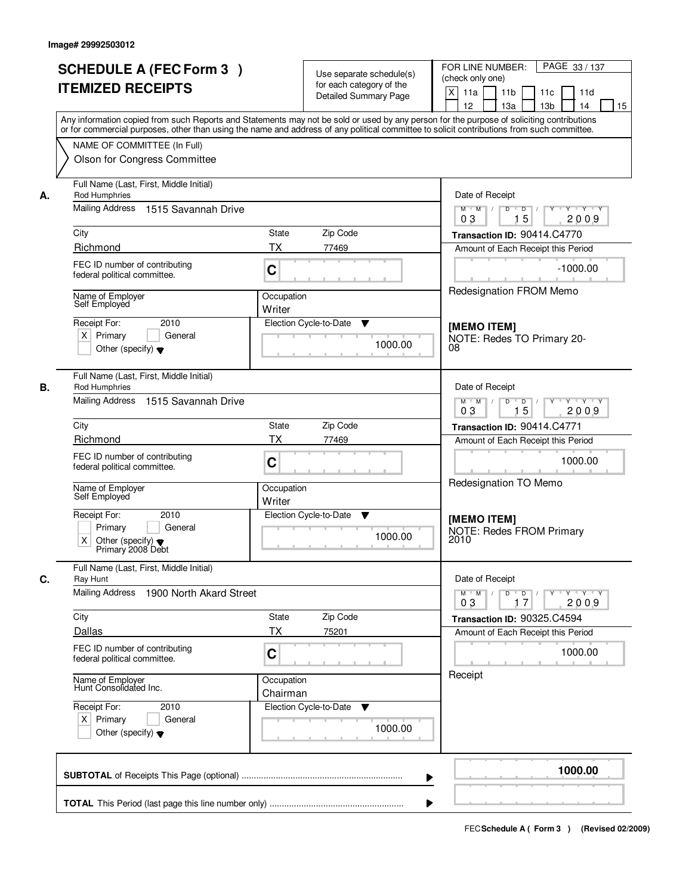|    | <b>SCHEDULE A (FEC Form 3)</b><br><b>ITEMIZED RECEIPTS</b>                                                                                                                                                                                                                                                                                             | Use separate schedule(s)<br>for each category of the<br><b>Detailed Summary Page</b> | PAGE 33 / 137<br>FOR LINE NUMBER:<br>(check only one)<br>X<br>11a<br>11 <sub>b</sub><br>11c<br>11d<br>12<br>13a<br>13 <sub>b</sub><br>14<br>15                                                            |
|----|--------------------------------------------------------------------------------------------------------------------------------------------------------------------------------------------------------------------------------------------------------------------------------------------------------------------------------------------------------|--------------------------------------------------------------------------------------|-----------------------------------------------------------------------------------------------------------------------------------------------------------------------------------------------------------|
|    | Any information copied from such Reports and Statements may not be sold or used by any person for the purpose of soliciting contributions<br>or for commercial purposes, other than using the name and address of any political committee to solicit contributions from such committee.<br>NAME OF COMMITTEE (In Full)<br>Olson for Congress Committee |                                                                                      |                                                                                                                                                                                                           |
| А. | Full Name (Last, First, Middle Initial)<br>Rod Humphries<br>Mailing Address 1515 Savannah Drive<br>City<br>Richmond<br>FEC ID number of contributing<br>federal political committee.<br>Name of Employer<br>Self Employed                                                                                                                              | State<br>Zip Code<br>ТX<br>77469<br>C<br>Occupation<br>Writer                        | Date of Receipt<br>$Y + Y + Y$<br>$M$ $M$ /<br>D<br>$\overline{D}$<br>Y<br>15<br>2009<br>03<br>Transaction ID: 90414.C4770<br>Amount of Each Receipt this Period<br>$-1000.00$<br>Redesignation FROM Memo |
|    | Receipt For:<br>2010<br>$X$ Primary<br>General<br>Other (specify) $\blacktriangledown$                                                                                                                                                                                                                                                                 | Election Cycle-to-Date<br>▼<br>1000.00                                               | [MEMO ITEM]<br>NOTE: Redes TO Primary 20-<br>08                                                                                                                                                           |
| В. | Full Name (Last, First, Middle Initial)<br>Rod Humphries<br>1515 Savannah Drive<br>Mailing Address                                                                                                                                                                                                                                                     |                                                                                      | Date of Receipt<br>$M$ $M$ /<br>D<br>$D$ /<br>$Y$ <sup>U</sup><br>Y Y Y Y<br>15<br>03<br>2009                                                                                                             |
|    | City<br>Richmond<br>FEC ID number of contributing<br>federal political committee.<br>Name of Employer                                                                                                                                                                                                                                                  | Zip Code<br><b>State</b><br><b>TX</b><br>77469<br>C<br>Occupation                    | Transaction ID: 90414.C4771<br>Amount of Each Receipt this Period<br>1000.00<br>Redesignation TO Memo                                                                                                     |
|    | Self Employed<br>Receipt For:<br>2010<br>Primary<br>General<br>X.<br>Other (specify) $\blacktriangledown$<br>Primary 2008 Debt                                                                                                                                                                                                                         | Writer<br>Election Cycle-to-Date<br>v<br>1000.00                                     | [MEMO ITEM]<br><b>NOTE: Redes FROM Primary</b><br>2010                                                                                                                                                    |
| C. | Full Name (Last, First, Middle Initial)<br>Ray Hunt<br>Mailing Address<br>1900 North Akard Street                                                                                                                                                                                                                                                      |                                                                                      | Date of Receipt<br>$D$ $D$<br>Y Y Y Y<br>$M^+$ M<br>$\mathbb{L}$<br>2009<br>03<br>17                                                                                                                      |
|    | City<br>Dallas<br>FEC ID number of contributing<br>federal political committee.                                                                                                                                                                                                                                                                        | Zip Code<br>State<br><b>TX</b><br>75201<br>C                                         | Transaction ID: 90325.C4594<br>Amount of Each Receipt this Period<br>1000.00                                                                                                                              |
|    | Name of Employer<br>Hunt Consolidated Inc.<br>Receipt For:<br>2010<br>$X$ Primary<br>General<br>Other (specify) $\blacktriangledown$                                                                                                                                                                                                                   | Occupation<br>Chairman<br>Election Cycle-to-Date<br>v<br>1000.00                     | Receipt                                                                                                                                                                                                   |
|    |                                                                                                                                                                                                                                                                                                                                                        |                                                                                      | 1000.00                                                                                                                                                                                                   |
|    |                                                                                                                                                                                                                                                                                                                                                        |                                                                                      |                                                                                                                                                                                                           |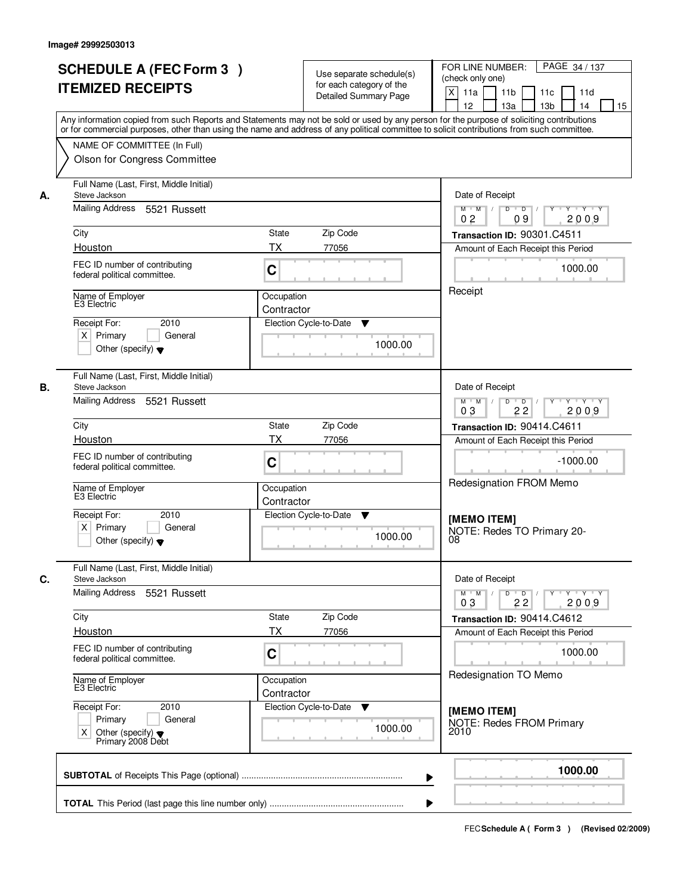|    | <b>SCHEDULE A (FEC Form 3)</b><br><b>ITEMIZED RECEIPTS</b><br>Any information copied from such Reports and Statements may not be sold or used by any person for the purpose of soliciting contributions   |                          | Use separate schedule(s)<br>for each category of the<br><b>Detailed Summary Page</b> | PAGE 34 / 137<br>FOR LINE NUMBER:<br>(check only one)<br>$\mathsf{X}$<br>11 <sub>b</sub><br>11a<br>11c<br>11d<br>13 <sub>b</sub><br>12<br>13a<br>14<br>15 |
|----|-----------------------------------------------------------------------------------------------------------------------------------------------------------------------------------------------------------|--------------------------|--------------------------------------------------------------------------------------|-----------------------------------------------------------------------------------------------------------------------------------------------------------|
|    | or for commercial purposes, other than using the name and address of any political committee to solicit contributions from such committee.<br>NAME OF COMMITTEE (In Full)<br>Olson for Congress Committee |                          |                                                                                      |                                                                                                                                                           |
| А. | Full Name (Last, First, Middle Initial)<br>Steve Jackson<br>Mailing Address 5521 Russett                                                                                                                  |                          |                                                                                      | Date of Receipt<br>$Y + Y + Y$<br>$M$ $M$ /<br>$D$ $D$ $/$<br>$\overline{Y}$<br>0 <sub>2</sub><br>2009<br>09                                              |
|    | City                                                                                                                                                                                                      | State                    | Zip Code                                                                             | Transaction ID: 90301.C4511                                                                                                                               |
|    | Houston                                                                                                                                                                                                   | ТX                       | 77056                                                                                | Amount of Each Receipt this Period                                                                                                                        |
|    | FEC ID number of contributing<br>federal political committee.                                                                                                                                             | C                        |                                                                                      | 1000.00                                                                                                                                                   |
|    | Name of Employer<br>E3 Electric                                                                                                                                                                           | Occupation<br>Contractor |                                                                                      | Receipt                                                                                                                                                   |
|    | 2010<br>Receipt For:<br>$X$ Primary<br>General<br>Other (specify) $\blacktriangledown$                                                                                                                    |                          | Election Cycle-to-Date<br>▼<br>1000.00                                               |                                                                                                                                                           |
| В. | Full Name (Last, First, Middle Initial)<br>Steve Jackson                                                                                                                                                  |                          |                                                                                      | Date of Receipt                                                                                                                                           |
|    | Mailing Address<br>5521 Russett                                                                                                                                                                           |                          |                                                                                      | $Y - Y - Y$<br>$M$ $M$ /<br>D<br>$\overline{\phantom{0}}$<br>2009<br>03<br>22                                                                             |
|    | City                                                                                                                                                                                                      | <b>State</b>             | Zip Code                                                                             | Transaction ID: 90414.C4611                                                                                                                               |
|    | Houston                                                                                                                                                                                                   | <b>TX</b>                | 77056                                                                                | Amount of Each Receipt this Period                                                                                                                        |
|    | FEC ID number of contributing<br>federal political committee.                                                                                                                                             | C                        |                                                                                      | $-1000.00$<br>Redesignation FROM Memo                                                                                                                     |
|    | Name of Employer<br>E3 Electric                                                                                                                                                                           | Occupation<br>Contractor |                                                                                      |                                                                                                                                                           |
|    | 2010<br>Receipt For:<br>$X$ Primary<br>General<br>Other (specify) $\blacktriangledown$                                                                                                                    |                          | Election Cycle-to-Date<br>▼<br>1000.00                                               | [MEMO ITEM]<br>NOTE: Redes TO Primary 20-<br>08                                                                                                           |
| C. | Full Name (Last, First, Middle Initial)<br>Steve Jackson                                                                                                                                                  |                          |                                                                                      | Date of Receipt                                                                                                                                           |
|    | Mailing Address<br>5521 Russett                                                                                                                                                                           |                          |                                                                                      | $D$ $D$ $/$<br>$M$ $M$ /<br>$Y + Y + Y$<br>Y<br>03<br>22<br>2009                                                                                          |
|    | City                                                                                                                                                                                                      | <b>State</b><br>ТX       | Zip Code                                                                             | Transaction ID: 90414.C4612                                                                                                                               |
|    | Houston                                                                                                                                                                                                   |                          | 77056                                                                                | Amount of Each Receipt this Period                                                                                                                        |
|    | FEC ID number of contributing<br>federal political committee.                                                                                                                                             | C                        |                                                                                      | 1000.00<br>Redesignation TO Memo                                                                                                                          |
|    | Name of Employer<br>E3 Electric                                                                                                                                                                           | Occupation<br>Contractor |                                                                                      |                                                                                                                                                           |
|    | Receipt For:<br>2010<br>Primary<br>General<br>Other (specify) $\blacktriangledown$<br>X.<br>Primary 2008 Debt                                                                                             |                          | Election Cycle-to-Date<br>v<br>1000.00                                               | [MEMO ITEM]<br>NOTE: Redes FROM Primary<br>2010                                                                                                           |
|    |                                                                                                                                                                                                           |                          |                                                                                      | 1000.00<br>▶                                                                                                                                              |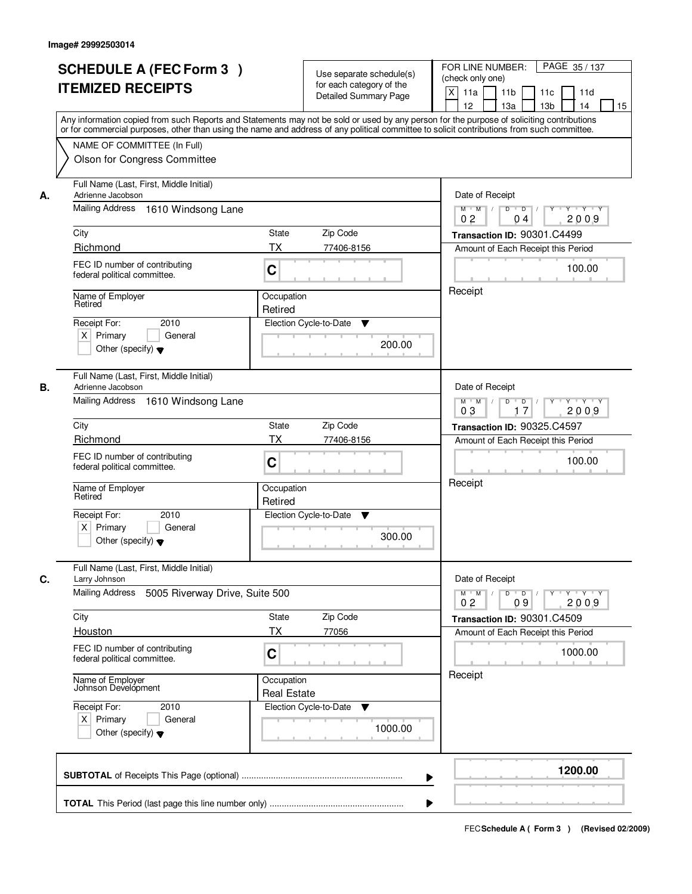|    | <b>SCHEDULE A (FEC Form 3)</b><br><b>ITEMIZED RECEIPTS</b>                                                                                                                                                                                                                              |                                   | Use separate schedule(s)<br>for each category of the | PAGE 35/137<br>FOR LINE NUMBER:<br>(check only one)                                                                         |
|----|-----------------------------------------------------------------------------------------------------------------------------------------------------------------------------------------------------------------------------------------------------------------------------------------|-----------------------------------|------------------------------------------------------|-----------------------------------------------------------------------------------------------------------------------------|
|    |                                                                                                                                                                                                                                                                                         |                                   | <b>Detailed Summary Page</b>                         | $\boldsymbol{\mathsf{X}}$<br>11a<br>11 <sub>b</sub><br>11c<br>11d<br>12<br>13a<br>13 <sub>b</sub><br>14<br>15               |
|    | Any information copied from such Reports and Statements may not be sold or used by any person for the purpose of soliciting contributions<br>or for commercial purposes, other than using the name and address of any political committee to solicit contributions from such committee. |                                   |                                                      |                                                                                                                             |
|    | NAME OF COMMITTEE (In Full)                                                                                                                                                                                                                                                             |                                   |                                                      |                                                                                                                             |
|    | Olson for Congress Committee                                                                                                                                                                                                                                                            |                                   |                                                      |                                                                                                                             |
| А. | Full Name (Last, First, Middle Initial)<br>Adrienne Jacobson                                                                                                                                                                                                                            |                                   |                                                      | Date of Receipt                                                                                                             |
|    | Mailing Address 1610 Windsong Lane                                                                                                                                                                                                                                                      |                                   |                                                      | $Y - Y - Y$<br>$M$ $M$ /<br>D<br>$\overline{D}$<br>2009<br>0 <sub>2</sub><br>04                                             |
|    | City                                                                                                                                                                                                                                                                                    | <b>State</b>                      | Zip Code                                             | Transaction ID: 90301.C4499                                                                                                 |
|    | Richmond                                                                                                                                                                                                                                                                                | <b>TX</b>                         | 77406-8156                                           | Amount of Each Receipt this Period                                                                                          |
|    | FEC ID number of contributing<br>federal political committee.                                                                                                                                                                                                                           | C                                 |                                                      | 100.00                                                                                                                      |
|    | Name of Employer<br>Retired                                                                                                                                                                                                                                                             | Receipt                           |                                                      |                                                                                                                             |
|    | 2010<br>Receipt For:                                                                                                                                                                                                                                                                    | Retired<br>Election Cycle-to-Date | ▼                                                    |                                                                                                                             |
|    | $X$ Primary<br>General<br>Other (specify) $\blacktriangledown$                                                                                                                                                                                                                          |                                   | 200.00                                               |                                                                                                                             |
|    | Full Name (Last, First, Middle Initial)                                                                                                                                                                                                                                                 |                                   |                                                      |                                                                                                                             |
| В. | Adrienne Jacobson                                                                                                                                                                                                                                                                       |                                   |                                                      | Date of Receipt                                                                                                             |
|    | Mailing Address 1610 Windsong Lane                                                                                                                                                                                                                                                      |                                   |                                                      | D<br>$Y - Y - Y$<br>$M$ $M$ /<br>$\overline{D}$<br>$Y$ <sup><math>\top</math></sup><br>03<br>17<br>2009                     |
|    | City                                                                                                                                                                                                                                                                                    | State                             | Zip Code                                             | Transaction ID: 90325.C4597                                                                                                 |
|    | Richmond                                                                                                                                                                                                                                                                                | <b>TX</b>                         | 77406-8156                                           | Amount of Each Receipt this Period                                                                                          |
|    | FEC ID number of contributing<br>federal political committee.                                                                                                                                                                                                                           | C                                 |                                                      | 100.00                                                                                                                      |
|    | Name of Employer<br>Retired                                                                                                                                                                                                                                                             | Occupation<br>Retired             |                                                      | Receipt                                                                                                                     |
|    | Receipt For:<br>2010                                                                                                                                                                                                                                                                    | Election Cycle-to-Date            | v                                                    |                                                                                                                             |
|    | $X$ Primary<br>General<br>Other (specify) $\blacktriangledown$                                                                                                                                                                                                                          |                                   | 300.00                                               |                                                                                                                             |
| C. | Full Name (Last, First, Middle Initial)<br>Larry Johnson                                                                                                                                                                                                                                |                                   |                                                      | Date of Receipt                                                                                                             |
|    | Mailing Address<br>5005 Riverway Drive, Suite 500                                                                                                                                                                                                                                       |                                   |                                                      | $M^+$ M<br>$D$ $D$ $/$<br>$Y - Y - Y - Y$<br>$\sqrt{ }$<br>$Y$ <sup><math>\top</math></sup><br>2009<br>0 <sub>2</sub><br>09 |
|    | City                                                                                                                                                                                                                                                                                    | State                             | Zip Code                                             | Transaction ID: 90301.C4509                                                                                                 |
|    | Houston                                                                                                                                                                                                                                                                                 | <b>TX</b>                         | 77056                                                | Amount of Each Receipt this Period                                                                                          |
|    | FEC ID number of contributing<br>federal political committee.                                                                                                                                                                                                                           | C                                 |                                                      | 1000.00                                                                                                                     |
|    | Name of Employer<br>Johnson Development                                                                                                                                                                                                                                                 | Occupation<br><b>Real Estate</b>  |                                                      | Receipt                                                                                                                     |
|    | Receipt For:<br>2010                                                                                                                                                                                                                                                                    | Election Cycle-to-Date            | v                                                    |                                                                                                                             |
|    | $X$ Primary<br>General<br>Other (specify) $\blacktriangledown$                                                                                                                                                                                                                          |                                   | 1000.00                                              |                                                                                                                             |
|    |                                                                                                                                                                                                                                                                                         |                                   |                                                      | 1200.00                                                                                                                     |
|    |                                                                                                                                                                                                                                                                                         |                                   | ▶                                                    |                                                                                                                             |
|    |                                                                                                                                                                                                                                                                                         |                                   |                                                      |                                                                                                                             |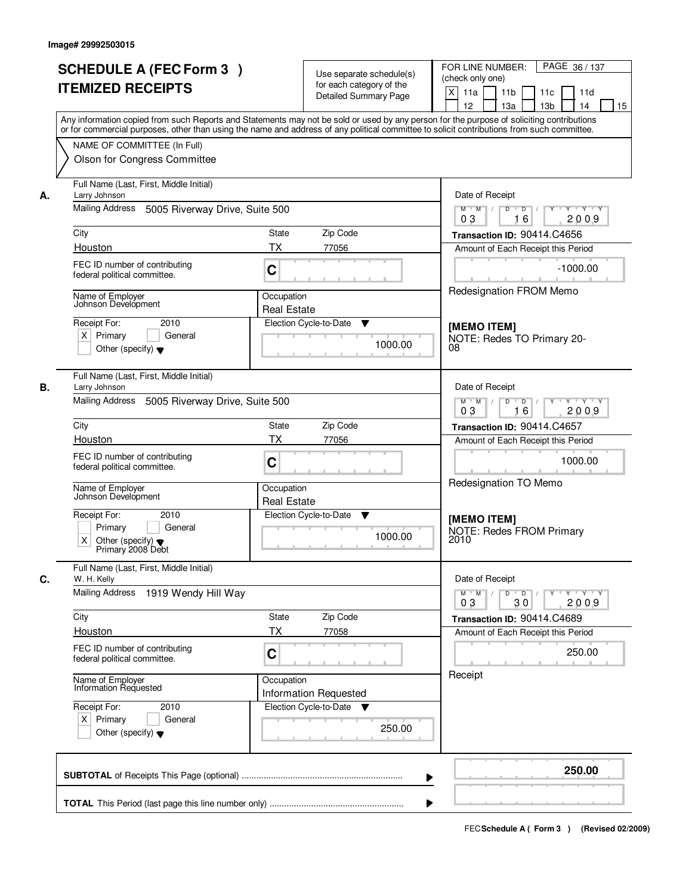| <b>SCHEDULE A (FEC Form 3)</b><br><b>ITEMIZED RECEIPTS</b>                                |                                                         | Use separate schedule(s)<br>for each category of the                  | FOR LINE NUMBER:<br>PAGE 36 / 137<br>(check only one)                                                                                                                                                                                                                                   |
|-------------------------------------------------------------------------------------------|---------------------------------------------------------|-----------------------------------------------------------------------|-----------------------------------------------------------------------------------------------------------------------------------------------------------------------------------------------------------------------------------------------------------------------------------------|
|                                                                                           |                                                         | Detailed Summary Page                                                 | X<br>11a<br>11 <sub>b</sub><br>11 <sub>c</sub><br>11d<br>12<br>13 <sub>b</sub><br>14<br>15<br>13a                                                                                                                                                                                       |
|                                                                                           |                                                         |                                                                       | Any information copied from such Reports and Statements may not be sold or used by any person for the purpose of soliciting contributions<br>or for commercial purposes, other than using the name and address of any political committee to solicit contributions from such committee. |
| NAME OF COMMITTEE (In Full)<br>Olson for Congress Committee                               |                                                         |                                                                       |                                                                                                                                                                                                                                                                                         |
| Full Name (Last, First, Middle Initial)                                                   |                                                         |                                                                       |                                                                                                                                                                                                                                                                                         |
| Larry Johnson<br>А.<br>Mailing Address<br>5005 Riverway Drive, Suite 500                  |                                                         |                                                                       | Date of Receipt<br>$M$ $M$ /<br>$\overline{D}$<br>$\overline{D}$ /<br>Y Y Y Y<br>Y                                                                                                                                                                                                      |
| City                                                                                      | Zip Code<br>State                                       |                                                                       | 2009<br>03<br>16<br>Transaction ID: 90414.C4656                                                                                                                                                                                                                                         |
| Houston                                                                                   | <b>TX</b>                                               | 77056                                                                 | Amount of Each Receipt this Period                                                                                                                                                                                                                                                      |
| FEC ID number of contributing<br>federal political committee.                             | C                                                       |                                                                       | $-1000.00$                                                                                                                                                                                                                                                                              |
| Name of Employer<br>Johnson Develópment                                                   | Occupation<br><b>Real Estate</b>                        |                                                                       | Redesignation FROM Memo                                                                                                                                                                                                                                                                 |
| Receipt For:                                                                              | 2010                                                    | Election Cycle-to-Date<br>▼                                           | [MEMO ITEM]                                                                                                                                                                                                                                                                             |
| $X$ Primary<br>Other (specify) $\blacktriangledown$                                       | General                                                 | 1000.00                                                               | NOTE: Redes TO Primary 20-<br>08                                                                                                                                                                                                                                                        |
| Full Name (Last, First, Middle Initial)<br>В.<br>Larry Johnson                            |                                                         |                                                                       | Date of Receipt                                                                                                                                                                                                                                                                         |
| Mailing Address<br>5005 Riverway Drive, Suite 500                                         |                                                         |                                                                       | $M$ M<br>D<br>$\overline{D}$<br>Y 'Y 'Y<br>03<br>16<br>2009                                                                                                                                                                                                                             |
| City                                                                                      | State                                                   | Zip Code                                                              | Transaction ID: 90414.C4657                                                                                                                                                                                                                                                             |
| Houston                                                                                   | <b>TX</b>                                               | 77056                                                                 | Amount of Each Receipt this Period                                                                                                                                                                                                                                                      |
| FEC ID number of contributing<br>federal political committee.                             | C                                                       |                                                                       | 1000.00<br>Redesignation TO Memo                                                                                                                                                                                                                                                        |
| Name of Employer<br>Johnson Development                                                   | Occupation<br><b>Real Estate</b>                        |                                                                       |                                                                                                                                                                                                                                                                                         |
| Receipt For:<br>Primary<br>X<br>Other (specify) $\blacktriangledown$<br>Primary 2008 Debt | 2010<br>General                                         | Election Cycle-to-Date<br>v<br>1000.00                                | [MEMO ITEM]<br><b>NOTE: Redes FROM Primary</b><br>2010                                                                                                                                                                                                                                  |
| Full Name (Last, First, Middle Initial)<br>С.<br>W. H. Kelly                              |                                                         |                                                                       | Date of Receipt                                                                                                                                                                                                                                                                         |
| <b>Mailing Address</b><br>1919 Wendy Hill Way                                             |                                                         |                                                                       | $D$ $D$<br>Y TY Y Y<br>$M^+$ M<br>Y<br>03<br>2009<br>30                                                                                                                                                                                                                                 |
| City<br>Houston                                                                           | State<br>ТX                                             | Zip Code<br>77058                                                     | Transaction ID: 90414.C4689                                                                                                                                                                                                                                                             |
| FEC ID number of contributing<br>federal political committee.                             | С                                                       |                                                                       | Amount of Each Receipt this Period<br>250.00                                                                                                                                                                                                                                            |
|                                                                                           | Name of Employer<br>Information Requested<br>Occupation |                                                                       | Receipt                                                                                                                                                                                                                                                                                 |
| Receipt For:<br>$X$ Primary<br>Other (specify) $\blacktriangledown$                       | 2010<br>General                                         | <b>Information Requested</b><br>Election Cycle-to-Date<br>▼<br>250.00 |                                                                                                                                                                                                                                                                                         |
|                                                                                           |                                                         |                                                                       | 250.00                                                                                                                                                                                                                                                                                  |
|                                                                                           |                                                         |                                                                       |                                                                                                                                                                                                                                                                                         |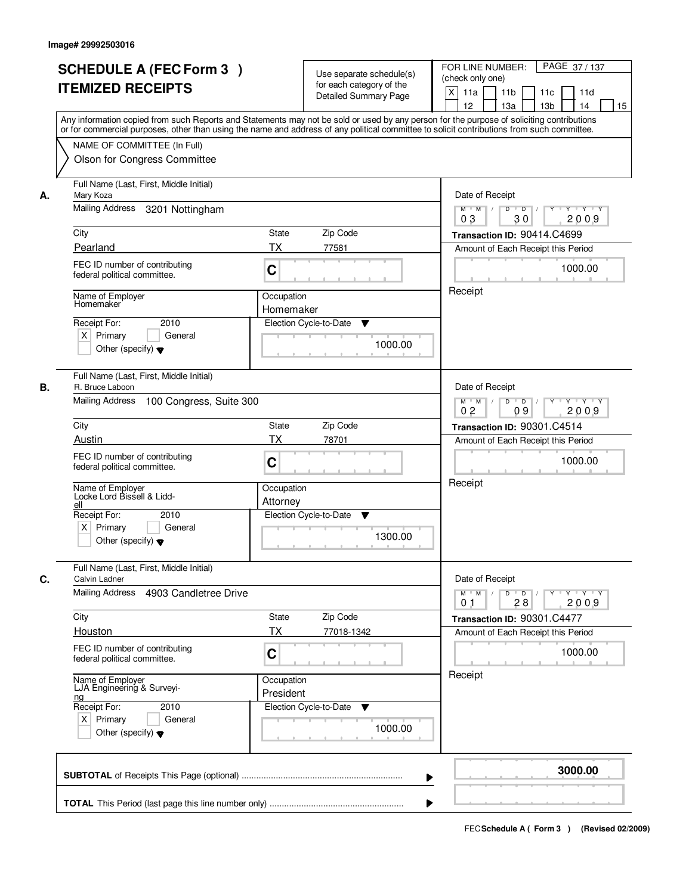|    | <b>SCHEDULE A (FEC Form 3)</b><br><b>ITEMIZED RECEIPTS</b><br>Any information copied from such Reports and Statements may not be sold or used by any person for the purpose of soliciting contributions   |                         | Use separate schedule(s)<br>for each category of the<br><b>Detailed Summary Page</b> | PAGE 37/137<br>FOR LINE NUMBER:<br>(check only one)<br>X<br>11a<br>11 <sub>b</sub><br>11c<br>11d<br>12<br>13 <sub>b</sub><br>13a<br>14<br>15 |
|----|-----------------------------------------------------------------------------------------------------------------------------------------------------------------------------------------------------------|-------------------------|--------------------------------------------------------------------------------------|----------------------------------------------------------------------------------------------------------------------------------------------|
|    | or for commercial purposes, other than using the name and address of any political committee to solicit contributions from such committee.<br>NAME OF COMMITTEE (In Full)<br>Olson for Congress Committee |                         |                                                                                      |                                                                                                                                              |
| А. | Full Name (Last, First, Middle Initial)<br>Mary Koza<br>Mailing Address<br>3201 Nottingham<br>City                                                                                                        | State                   | Zip Code                                                                             | Date of Receipt<br>$D$ $D$ $1$<br>$Y^+$<br>Y Y Y Y<br>$M$ $M$ /<br>03<br>30<br>2009                                                          |
|    | Pearland                                                                                                                                                                                                  | ТX                      |                                                                                      | Transaction ID: 90414.C4699                                                                                                                  |
|    | FEC ID number of contributing<br>federal political committee.                                                                                                                                             | C                       | 77581                                                                                | Amount of Each Receipt this Period<br>1000.00                                                                                                |
|    | Name of Employer<br>Homemaker<br>2010<br>Receipt For:<br>$X$ Primary<br>General<br>Other (specify) $\blacktriangledown$                                                                                   | Occupation<br>Homemaker | Election Cycle-to-Date<br>▼<br>1000.00                                               | Receipt                                                                                                                                      |
| В. | Full Name (Last, First, Middle Initial)<br>R. Bruce Laboon<br>Mailing Address<br>100 Congress, Suite 300                                                                                                  |                         |                                                                                      | Date of Receipt<br>$Y - Y - Y$<br>$M$ M<br>D<br>$\overline{D}$<br>Y<br>2009<br>0 <sub>2</sub><br>09                                          |
|    | City                                                                                                                                                                                                      | <b>State</b>            | Zip Code                                                                             | Transaction ID: 90301.C4514                                                                                                                  |
|    | Austin                                                                                                                                                                                                    | <b>TX</b>               | 78701                                                                                | Amount of Each Receipt this Period                                                                                                           |
|    | FEC ID number of contributing<br>federal political committee.                                                                                                                                             | C                       |                                                                                      | 1000.00                                                                                                                                      |
|    | Name of Employer<br>Locke Lord Bissell & Lidd-<br>ell<br>Receipt For:<br>2010                                                                                                                             | Occupation<br>Attorney  | Election Cycle-to-Date<br>v                                                          | Receipt                                                                                                                                      |
|    | $X$ Primary<br>General<br>Other (specify) $\blacktriangledown$                                                                                                                                            |                         | 1300.00                                                                              |                                                                                                                                              |
| C. | Full Name (Last, First, Middle Initial)<br>Calvin Ladner<br>Mailing Address<br>4903 Candletree Drive                                                                                                      |                         |                                                                                      | Date of Receipt<br>$D$ $D$ $/$<br>$M$ $M$ /<br>$Y + Y + Y$<br>$Y$ <sup><math>\top</math></sup>                                               |
|    |                                                                                                                                                                                                           |                         |                                                                                      | 2009<br>0 <sub>1</sub><br>28                                                                                                                 |
|    | City                                                                                                                                                                                                      | State                   | Zip Code                                                                             | Transaction ID: 90301.C4477                                                                                                                  |
|    | Houston                                                                                                                                                                                                   | ТX                      | 77018-1342                                                                           | Amount of Each Receipt this Period                                                                                                           |
|    | FEC ID number of contributing<br>federal political committee.                                                                                                                                             | C                       |                                                                                      | 1000.00                                                                                                                                      |
|    | Name of Employer<br>LJA Engineering & Surveyi-<br><u>ng</u><br>Receipt For:<br>2010<br>$X$ Primary<br>General<br>Other (specify) $\blacktriangledown$                                                     | Occupation<br>President | Election Cycle-to-Date<br>v<br>1000.00                                               | Receipt                                                                                                                                      |
|    |                                                                                                                                                                                                           |                         | ▶                                                                                    | 3000.00                                                                                                                                      |
|    |                                                                                                                                                                                                           |                         |                                                                                      |                                                                                                                                              |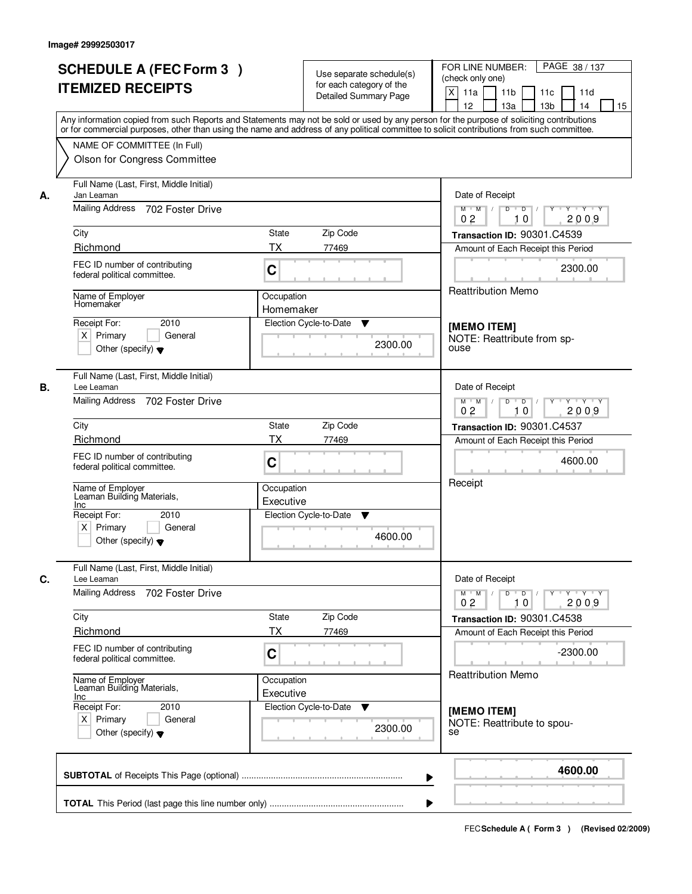|    |                                                                                                                                            |                         |                              | PAGE 38 / 137<br>FOR LINE NUMBER:                                                                                                                                                                                                                   |
|----|--------------------------------------------------------------------------------------------------------------------------------------------|-------------------------|------------------------------|-----------------------------------------------------------------------------------------------------------------------------------------------------------------------------------------------------------------------------------------------------|
|    | <b>SCHEDULE A (FEC Form 3)</b>                                                                                                             |                         | Use separate schedule(s)     | (check only one)                                                                                                                                                                                                                                    |
|    | <b>ITEMIZED RECEIPTS</b>                                                                                                                   |                         | for each category of the     | $\mathsf{X}$<br>11 <sub>b</sub><br>11a<br>11c<br>11d                                                                                                                                                                                                |
|    |                                                                                                                                            |                         | <b>Detailed Summary Page</b> | 12<br>13a<br>13 <sub>b</sub><br>14<br>15                                                                                                                                                                                                            |
|    | Any information copied from such Reports and Statements may not be sold or used by any person for the purpose of soliciting contributions  |                         |                              |                                                                                                                                                                                                                                                     |
|    | or for commercial purposes, other than using the name and address of any political committee to solicit contributions from such committee. |                         |                              |                                                                                                                                                                                                                                                     |
|    | NAME OF COMMITTEE (In Full)                                                                                                                |                         |                              |                                                                                                                                                                                                                                                     |
|    | Olson for Congress Committee                                                                                                               |                         |                              |                                                                                                                                                                                                                                                     |
| А. | Full Name (Last, First, Middle Initial)<br>Jan Leaman                                                                                      |                         |                              | Date of Receipt                                                                                                                                                                                                                                     |
|    | Mailing Address 702 Foster Drive                                                                                                           |                         |                              | $\overline{D}$<br>$Y - Y - Y$<br>$M$ $M$ /<br>D<br>0 <sub>2</sub><br>2009<br>10                                                                                                                                                                     |
|    | City                                                                                                                                       | <b>State</b>            | Zip Code                     | Transaction ID: 90301.C4539                                                                                                                                                                                                                         |
|    | Richmond                                                                                                                                   | <b>TX</b>               | 77469                        | Amount of Each Receipt this Period                                                                                                                                                                                                                  |
|    | FEC ID number of contributing<br>federal political committee.                                                                              | C                       |                              | 2300.00                                                                                                                                                                                                                                             |
|    |                                                                                                                                            | Occupation              |                              | Reattribution Memo                                                                                                                                                                                                                                  |
|    | Name of Employer<br>Homemaker                                                                                                              | Homemaker               |                              |                                                                                                                                                                                                                                                     |
|    | 2010<br>Receipt For:                                                                                                                       |                         | Election Cycle-to-Date<br>▼  | [MEMO ITEM]                                                                                                                                                                                                                                         |
|    | $X$ Primary<br>General                                                                                                                     |                         |                              | NOTE: Reattribute from sp-                                                                                                                                                                                                                          |
|    | Other (specify) $\blacktriangledown$                                                                                                       |                         | 2300.00                      | ouse                                                                                                                                                                                                                                                |
| В. | Full Name (Last, First, Middle Initial)<br>Lee Leaman                                                                                      |                         |                              | Date of Receipt                                                                                                                                                                                                                                     |
|    | Mailing Address 702 Foster Drive                                                                                                           |                         |                              | $M$ $M$ /<br>D<br>$\Box$ D $\Box$ /<br>Y Y Y Y Y                                                                                                                                                                                                    |
|    |                                                                                                                                            |                         |                              | 0 <sub>2</sub><br>10<br>2009                                                                                                                                                                                                                        |
|    | City                                                                                                                                       | <b>State</b>            | Zip Code                     | Transaction ID: 90301.C4537                                                                                                                                                                                                                         |
|    | Richmond                                                                                                                                   | ТX                      | 77469                        | Amount of Each Receipt this Period                                                                                                                                                                                                                  |
|    | FEC ID number of contributing<br>federal political committee.                                                                              | C                       |                              | 4600.00                                                                                                                                                                                                                                             |
|    | Name of Employer<br>Leaman Building Materials,                                                                                             | Occupation              |                              | Receipt                                                                                                                                                                                                                                             |
|    | Inc                                                                                                                                        | Executive               |                              |                                                                                                                                                                                                                                                     |
|    | Receipt For:<br>2010                                                                                                                       |                         | Election Cycle-to-Date<br>▼  |                                                                                                                                                                                                                                                     |
|    | $X$ Primary<br>General                                                                                                                     |                         | 4600.00                      |                                                                                                                                                                                                                                                     |
|    | Other (specify) $\blacktriangledown$                                                                                                       |                         |                              |                                                                                                                                                                                                                                                     |
| C. | Full Name (Last, First, Middle Initial)<br>Lee Leaman                                                                                      |                         |                              | Date of Receipt                                                                                                                                                                                                                                     |
|    | Mailing Address<br>702 Foster Drive                                                                                                        |                         |                              | $M = M$<br>$D$ $D$ $/$<br>$\begin{array}{c c c c c c} \hline & \mathsf{Y} & \mathsf{I} & \mathsf{Y} & \mathsf{I} & \mathsf{Y} \end{array} \begin{array}{c c c c} \hline \mathsf{Y} & \mathsf{I} & \mathsf{Y} & \mathsf{I} & \mathsf{Y} \end{array}$ |
|    |                                                                                                                                            |                         |                              | 2009<br>0 <sub>2</sub><br>10                                                                                                                                                                                                                        |
|    | City<br>Richmond                                                                                                                           | State<br><b>TX</b>      | Zip Code                     | Transaction ID: 90301.C4538                                                                                                                                                                                                                         |
|    |                                                                                                                                            |                         | 77469                        | Amount of Each Receipt this Period                                                                                                                                                                                                                  |
|    | FEC ID number of contributing<br>federal political committee.                                                                              | C                       |                              | $-2300.00$                                                                                                                                                                                                                                          |
|    | Name of Employer<br>Leaman Building Materials,<br>Inc                                                                                      | Occupation<br>Executive |                              | Reattribution Memo                                                                                                                                                                                                                                  |
|    | Receipt For:<br>2010                                                                                                                       |                         | Election Cycle-to-Date<br>v  | [MEMO ITEM]                                                                                                                                                                                                                                         |
|    | $X$ Primary<br>General                                                                                                                     |                         | 2300.00                      | NOTE: Reattribute to spou-                                                                                                                                                                                                                          |
|    | Other (specify) $\blacktriangledown$                                                                                                       |                         |                              | se                                                                                                                                                                                                                                                  |
|    |                                                                                                                                            |                         |                              | 4600.00                                                                                                                                                                                                                                             |
|    |                                                                                                                                            |                         |                              | ▶                                                                                                                                                                                                                                                   |
|    |                                                                                                                                            |                         |                              |                                                                                                                                                                                                                                                     |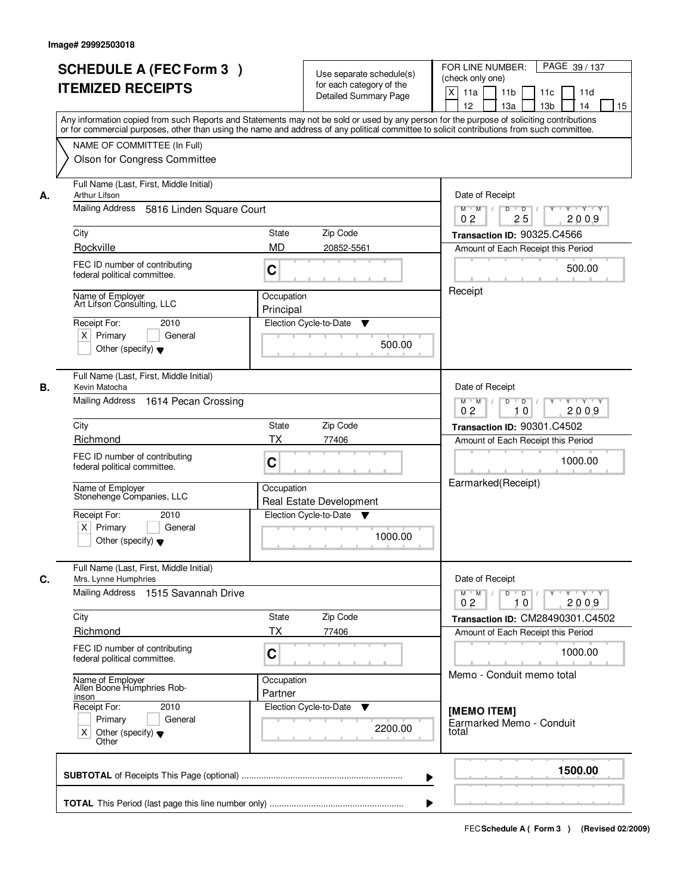|    | <b>SCHEDULE A (FEC Form 3)</b><br><b>ITEMIZED RECEIPTS</b><br>Any information copied from such Reports and Statements may not be sold or used by any person for the purpose of soliciting contributions   |                       | Use separate schedule(s)<br>for each category of the<br><b>Detailed Summary Page</b> | PAGE 39 / 137<br>FOR LINE NUMBER:<br>(check only one)<br>X<br>11 <sub>b</sub><br>11a<br>11 <sub>c</sub><br>11d<br>12<br>13 <sub>b</sub><br>13a<br>14<br>15                                                                                                                                                                                                                                                                                                                          |
|----|-----------------------------------------------------------------------------------------------------------------------------------------------------------------------------------------------------------|-----------------------|--------------------------------------------------------------------------------------|-------------------------------------------------------------------------------------------------------------------------------------------------------------------------------------------------------------------------------------------------------------------------------------------------------------------------------------------------------------------------------------------------------------------------------------------------------------------------------------|
|    | or for commercial purposes, other than using the name and address of any political committee to solicit contributions from such committee.<br>NAME OF COMMITTEE (In Full)<br>Olson for Congress Committee |                       |                                                                                      |                                                                                                                                                                                                                                                                                                                                                                                                                                                                                     |
| А. | Full Name (Last, First, Middle Initial)<br>Arthur Lifson                                                                                                                                                  | Date of Receipt       |                                                                                      |                                                                                                                                                                                                                                                                                                                                                                                                                                                                                     |
|    | Mailing Address 5816 Linden Square Court                                                                                                                                                                  |                       |                                                                                      | $\overline{D}$<br>Y Y Y Y<br>D<br>Y<br>$M$ $M$ /<br>0 <sub>2</sub><br>25<br>2009                                                                                                                                                                                                                                                                                                                                                                                                    |
|    | City                                                                                                                                                                                                      | <b>State</b>          | Zip Code                                                                             | Transaction ID: 90325.C4566                                                                                                                                                                                                                                                                                                                                                                                                                                                         |
|    | Rockville                                                                                                                                                                                                 | <b>MD</b>             | 20852-5561                                                                           | Amount of Each Receipt this Period                                                                                                                                                                                                                                                                                                                                                                                                                                                  |
|    | FEC ID number of contributing<br>federal political committee.                                                                                                                                             | C                     |                                                                                      | 500.00                                                                                                                                                                                                                                                                                                                                                                                                                                                                              |
|    | Name of Employer<br>Art Lifson Consulting, LLC                                                                                                                                                            | Occupation            |                                                                                      | Receipt                                                                                                                                                                                                                                                                                                                                                                                                                                                                             |
|    | Receipt For:<br>2010                                                                                                                                                                                      | Principal             | Election Cycle-to-Date<br>▼                                                          |                                                                                                                                                                                                                                                                                                                                                                                                                                                                                     |
|    | $X$ Primary<br>General<br>Other (specify) $\blacktriangledown$                                                                                                                                            |                       | 500.00                                                                               |                                                                                                                                                                                                                                                                                                                                                                                                                                                                                     |
| В. | Full Name (Last, First, Middle Initial)<br>Kevin Matocha                                                                                                                                                  |                       |                                                                                      | Date of Receipt                                                                                                                                                                                                                                                                                                                                                                                                                                                                     |
|    | Mailing Address 1614 Pecan Crossing                                                                                                                                                                       |                       |                                                                                      | $M$ $M$ /<br>D<br>$\overline{\phantom{0}}$<br>Y Y Y Y<br>0 <sub>2</sub><br>10<br>2009                                                                                                                                                                                                                                                                                                                                                                                               |
|    | City                                                                                                                                                                                                      | State                 | Zip Code                                                                             | Transaction ID: 90301.C4502                                                                                                                                                                                                                                                                                                                                                                                                                                                         |
|    | Richmond                                                                                                                                                                                                  | TX                    | 77406                                                                                | Amount of Each Receipt this Period                                                                                                                                                                                                                                                                                                                                                                                                                                                  |
|    | FEC ID number of contributing<br>federal political committee.                                                                                                                                             | C                     |                                                                                      | 1000.00                                                                                                                                                                                                                                                                                                                                                                                                                                                                             |
|    | Name of Employer<br>Stonehenge Companies, LLC                                                                                                                                                             | Occupation            | Real Estate Development                                                              | Earmarked(Receipt)                                                                                                                                                                                                                                                                                                                                                                                                                                                                  |
|    | 2010<br>Receipt For:<br>$X$ Primary<br>General<br>Other (specify) $\blacktriangledown$                                                                                                                    |                       | Election Cycle-to-Date<br>▼<br>1000.00                                               |                                                                                                                                                                                                                                                                                                                                                                                                                                                                                     |
| C. | Full Name (Last, First, Middle Initial)<br>Mrs. Lynne Humphries<br>Mailing Address 1515 Savannah Drive                                                                                                    |                       |                                                                                      | Date of Receipt<br>$\begin{array}{c c c c c c c c} \hline \textbf{0} & \textbf{0} & \textbf{0} & \textbf{0} & \textbf{0} & \textbf{0} & \textbf{0} & \textbf{0} & \textbf{0} & \textbf{0} & \textbf{0} & \textbf{0} & \textbf{0} & \textbf{0} & \textbf{0} & \textbf{0} & \textbf{0} & \textbf{0} & \textbf{0} & \textbf{0} & \textbf{0} & \textbf{0} & \textbf{0} & \textbf{0} & \textbf{0} & \textbf{0} & \textbf{0} & \textbf{0} &$<br>$M$ $M$ /<br>0 <sub>2</sub><br>2009<br>10 |
|    | City                                                                                                                                                                                                      | State                 | Zip Code                                                                             | Transaction ID: CM28490301.C4502                                                                                                                                                                                                                                                                                                                                                                                                                                                    |
|    | Richmond                                                                                                                                                                                                  | ТX                    | 77406                                                                                | Amount of Each Receipt this Period                                                                                                                                                                                                                                                                                                                                                                                                                                                  |
|    | FEC ID number of contributing<br>federal political committee.                                                                                                                                             | C                     |                                                                                      | 1000.00<br>Memo - Conduit memo total                                                                                                                                                                                                                                                                                                                                                                                                                                                |
|    | Name of Employer<br>Allen Boone Humphries Rob-<br>inson                                                                                                                                                   | Occupation<br>Partner |                                                                                      |                                                                                                                                                                                                                                                                                                                                                                                                                                                                                     |
|    | Receipt For:<br>2010<br>Primary<br>General<br>Other (specify) $\blacktriangledown$<br>X<br>Other                                                                                                          |                       | Election Cycle-to-Date ▼<br>2200.00                                                  | [MEMO ITEM]<br>Earmarked Memo - Conduit<br>total                                                                                                                                                                                                                                                                                                                                                                                                                                    |
|    |                                                                                                                                                                                                           |                       |                                                                                      | 1500.00<br>▶                                                                                                                                                                                                                                                                                                                                                                                                                                                                        |
|    |                                                                                                                                                                                                           |                       |                                                                                      |                                                                                                                                                                                                                                                                                                                                                                                                                                                                                     |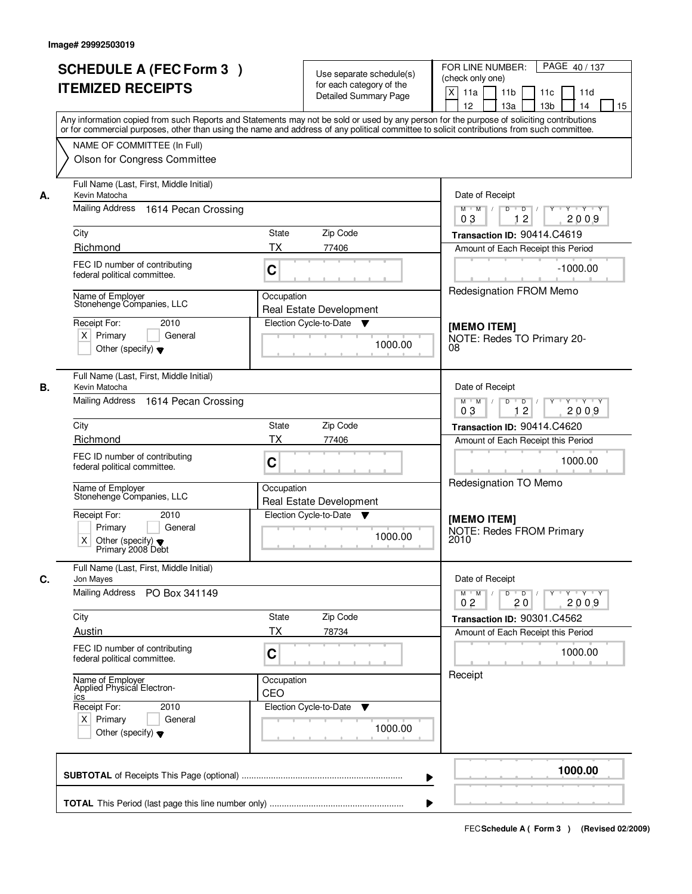| <b>SCHEDULE A (FEC Form 3)</b> |                                                                                                                                                                                                                                                                                         |                                                                  | Use separate schedule(s)<br>for each category of the |         | FOR LINE NUMBER:<br>PAGE 40/137<br>(check only one)                                            |
|--------------------------------|-----------------------------------------------------------------------------------------------------------------------------------------------------------------------------------------------------------------------------------------------------------------------------------------|------------------------------------------------------------------|------------------------------------------------------|---------|------------------------------------------------------------------------------------------------|
|                                | <b>ITEMIZED RECEIPTS</b>                                                                                                                                                                                                                                                                |                                                                  | Detailed Summary Page                                |         | $\times$<br>11a<br>11 <sub>b</sub><br>11c<br>11d<br>12<br>13 <sub>b</sub><br>14<br>15<br>13a   |
|                                | Any information copied from such Reports and Statements may not be sold or used by any person for the purpose of soliciting contributions<br>or for commercial purposes, other than using the name and address of any political committee to solicit contributions from such committee. |                                                                  |                                                      |         |                                                                                                |
|                                | NAME OF COMMITTEE (In Full)                                                                                                                                                                                                                                                             |                                                                  |                                                      |         |                                                                                                |
|                                | Olson for Congress Committee                                                                                                                                                                                                                                                            |                                                                  |                                                      |         |                                                                                                |
| А.                             | Full Name (Last, First, Middle Initial)<br>Kevin Matocha                                                                                                                                                                                                                                | Date of Receipt                                                  |                                                      |         |                                                                                                |
|                                | Mailing Address 1614 Pecan Crossing                                                                                                                                                                                                                                                     | $M$ $M$ /<br>$D$ $D$ $/$<br>$Y + Y + Y$<br>Y<br>12<br>2009<br>03 |                                                      |         |                                                                                                |
|                                | City                                                                                                                                                                                                                                                                                    | <b>State</b>                                                     | Zip Code                                             |         | Transaction ID: 90414.C4619                                                                    |
|                                | Richmond                                                                                                                                                                                                                                                                                | <b>TX</b>                                                        | 77406                                                |         | Amount of Each Receipt this Period                                                             |
|                                | FEC ID number of contributing<br>federal political committee.                                                                                                                                                                                                                           | C                                                                |                                                      |         | $-1000.00$                                                                                     |
|                                | Name of Employer<br>Stonehenge Companies, LLC                                                                                                                                                                                                                                           | Occupation                                                       | Real Estate Development                              |         | Redesignation FROM Memo                                                                        |
|                                | Receipt For:<br>2010                                                                                                                                                                                                                                                                    |                                                                  | Election Cycle-to-Date ▼                             |         | [MEMO ITEM]                                                                                    |
|                                | $X$ Primary<br>General                                                                                                                                                                                                                                                                  |                                                                  |                                                      | 1000.00 | NOTE: Redes TO Primary 20-                                                                     |
|                                | Other (specify) $\blacktriangledown$                                                                                                                                                                                                                                                    |                                                                  |                                                      |         | 08                                                                                             |
| В.                             | Full Name (Last, First, Middle Initial)<br>Kevin Matocha                                                                                                                                                                                                                                |                                                                  |                                                      |         | Date of Receipt                                                                                |
|                                | Mailing Address 1614 Pecan Crossing                                                                                                                                                                                                                                                     |                                                                  |                                                      |         | $M$ M<br>D<br>D<br>Y Y Y Y<br>12<br>2009<br>03                                                 |
|                                | City                                                                                                                                                                                                                                                                                    | State                                                            | Zip Code                                             |         | Transaction ID: 90414.C4620                                                                    |
|                                | Richmond                                                                                                                                                                                                                                                                                | <b>TX</b>                                                        | 77406                                                |         | Amount of Each Receipt this Period                                                             |
|                                | FEC ID number of contributing<br>federal political committee.                                                                                                                                                                                                                           |                                                                  |                                                      | 1000.00 |                                                                                                |
|                                | Name of Employer<br>Stonehenge Companies, LLC                                                                                                                                                                                                                                           | Occupation                                                       | Real Estate Development                              |         | Redesignation TO Memo                                                                          |
|                                | Receipt For:<br>2010                                                                                                                                                                                                                                                                    |                                                                  | Election Cycle-to-Date<br>v                          |         | [MEMO ITEM]                                                                                    |
|                                | Primary<br>General<br>X<br>Other (specify) $\blacktriangledown$<br>Primary 2008 Debt                                                                                                                                                                                                    |                                                                  |                                                      | 1000.00 | <b>NOTE: Redes FROM Primary</b><br>2010                                                        |
| С.                             | Full Name (Last, First, Middle Initial)<br>Jon Mayes                                                                                                                                                                                                                                    |                                                                  |                                                      |         | Date of Receipt                                                                                |
|                                | <b>Mailing Address</b><br>PO Box 341149                                                                                                                                                                                                                                                 |                                                                  |                                                      |         | $D$ $D$<br>Y Y Y Y<br>$M$ $M$<br>Y<br>$\sqrt{ }$<br>$\sqrt{ }$<br>0 <sub>2</sub><br>2009<br>20 |
|                                | City                                                                                                                                                                                                                                                                                    | State                                                            | Zip Code                                             |         | Transaction ID: 90301.C4562                                                                    |
|                                | Austin                                                                                                                                                                                                                                                                                  | <b>TX</b>                                                        | 78734                                                |         | Amount of Each Receipt this Period                                                             |
|                                | FEC ID number of contributing<br>federal political committee.                                                                                                                                                                                                                           | C                                                                |                                                      |         | 1000.00                                                                                        |
|                                | Name of Employer<br>Applied Physical Electron-<br>ics                                                                                                                                                                                                                                   | Occupation<br>CEO                                                |                                                      |         | Receipt                                                                                        |
|                                | Receipt For:<br>2010                                                                                                                                                                                                                                                                    |                                                                  | Election Cycle-to-Date<br>▼                          |         |                                                                                                |
|                                | $X$ Primary<br>General<br>Other (specify) $\blacktriangledown$                                                                                                                                                                                                                          |                                                                  |                                                      | 1000.00 |                                                                                                |
|                                |                                                                                                                                                                                                                                                                                         |                                                                  |                                                      |         | 1000.00                                                                                        |
|                                |                                                                                                                                                                                                                                                                                         |                                                                  |                                                      |         |                                                                                                |
|                                |                                                                                                                                                                                                                                                                                         |                                                                  |                                                      |         |                                                                                                |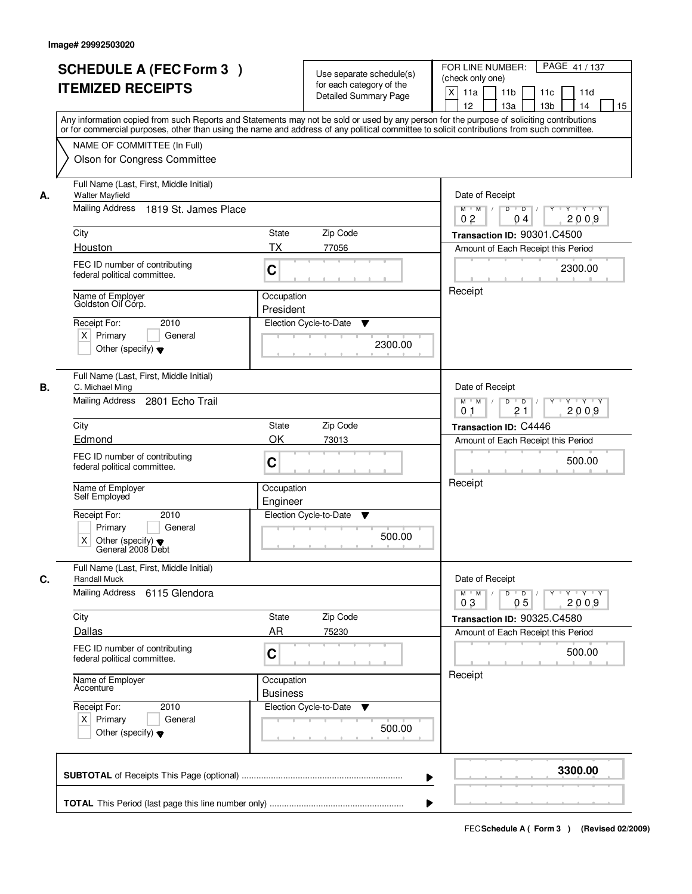|    | <b>SCHEDULE A (FEC Form 3)</b><br><b>ITEMIZED RECEIPTS</b>                                                                                                                                                                                                                                                                                             |                                                                              | Use separate schedule(s)<br>for each category of the<br><b>Detailed Summary Page</b> | PAGE 41 / 137<br>FOR LINE NUMBER:<br>(check only one)<br>X<br>11 <sub>b</sub><br>11a<br>11 <sub>c</sub><br>11d<br>12<br>13 <sub>b</sub><br>14<br>13a<br>15                                     |
|----|--------------------------------------------------------------------------------------------------------------------------------------------------------------------------------------------------------------------------------------------------------------------------------------------------------------------------------------------------------|------------------------------------------------------------------------------|--------------------------------------------------------------------------------------|------------------------------------------------------------------------------------------------------------------------------------------------------------------------------------------------|
|    | Any information copied from such Reports and Statements may not be sold or used by any person for the purpose of soliciting contributions<br>or for commercial purposes, other than using the name and address of any political committee to solicit contributions from such committee.<br>NAME OF COMMITTEE (In Full)<br>Olson for Congress Committee |                                                                              |                                                                                      |                                                                                                                                                                                                |
| А. | Full Name (Last, First, Middle Initial)<br><b>Walter Mayfield</b><br>Mailing Address 1819 St. James Place<br>City<br>Houston<br>FEC ID number of contributing<br>federal political committee.<br>Name of Employer<br>Goldston Oil Córp.<br>2010<br>Receipt For:<br>$X$ Primary<br>General<br>Other (specify) $\blacktriangledown$                      | <b>State</b><br>ТX<br>C<br>Occupation<br>President<br>Election Cycle-to-Date | Zip Code<br>77056<br>▼<br>2300.00                                                    | Date of Receipt<br>$D$ $D$ $I$<br>Y<br>$Y - Y - Y - Y$<br>$M$ $M$ /<br>0 <sub>2</sub><br>2009<br>04<br>Transaction ID: 90301.C4500<br>Amount of Each Receipt this Period<br>2300.00<br>Receipt |
| В. | Full Name (Last, First, Middle Initial)<br>C. Michael Ming<br>Mailing Address<br>2801 Echo Trail<br>City<br>Edmond<br>FEC ID number of contributing<br>federal political committee.<br>Name of Employer<br>Self Employed<br>Receipt For:<br>2010<br>General<br>Primary<br>Χ<br>Other (specify) $\blacktriangledown$<br>General 2008 Debt               | State<br>OK<br>C<br>Occupation<br>Engineer<br>Election Cycle-to-Date         | Zip Code<br>73013<br>▼<br>500.00                                                     | Date of Receipt<br>$M$ $M$ /<br>D<br>$\overline{D}$<br>$Y + Y + Y$<br>21<br>2009<br>0 <sub>1</sub><br>Transaction ID: C4446<br>Amount of Each Receipt this Period<br>500.00<br>Receipt         |
| C. | Full Name (Last, First, Middle Initial)<br><b>Randall Muck</b><br>Mailing Address<br>6115 Glendora<br>City<br>Dallas<br>FEC ID number of contributing<br>federal political committee.<br>Name of Employer<br>Accenture<br>Receipt For:<br>2010<br>$X$ Primary<br>General<br>Other (specify) $\blacktriangledown$                                       | State<br>AR<br>C<br>Occupation<br><b>Business</b>                            | Zip Code<br>75230<br>Election Cycle-to-Date ▼<br>500.00                              | Date of Receipt<br>$M$ $M$ $M$<br>$D$ $D$ $I$<br>$Y - Y - Y - Y$<br>$Y^+$<br>2009<br>03<br>05<br>Transaction ID: 90325.C4580<br>Amount of Each Receipt this Period<br>500.00<br>Receipt        |
|    |                                                                                                                                                                                                                                                                                                                                                        |                                                                              |                                                                                      | 3300.00                                                                                                                                                                                        |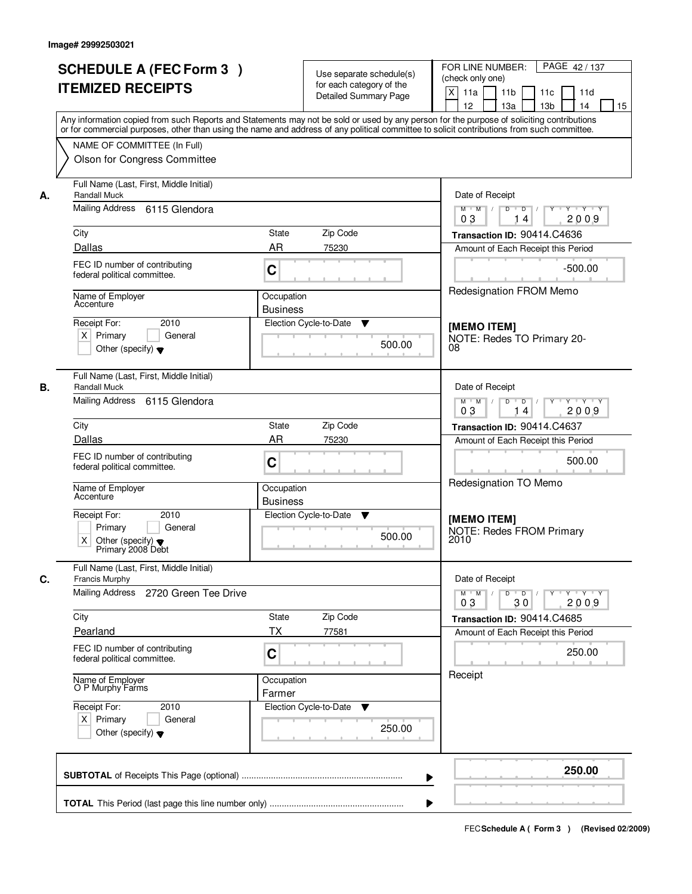|    | <b>SCHEDULE A (FEC Form 3)</b><br><b>ITEMIZED RECEIPTS</b><br>Any information copied from such Reports and Statements may not be sold or used by any person for the purpose of soliciting contributions   |                               | Use separate schedule(s)<br>for each category of the<br><b>Detailed Summary Page</b> | FOR LINE NUMBER:<br>PAGE 42/137<br>(check only one)<br>$\mathsf{X}$<br>11a<br>11 <sub>b</sub><br>11c<br>11d<br>12<br>13a<br>13 <sub>b</sub><br>14<br>15 |
|----|-----------------------------------------------------------------------------------------------------------------------------------------------------------------------------------------------------------|-------------------------------|--------------------------------------------------------------------------------------|---------------------------------------------------------------------------------------------------------------------------------------------------------|
|    | or for commercial purposes, other than using the name and address of any political committee to solicit contributions from such committee.<br>NAME OF COMMITTEE (In Full)<br>Olson for Congress Committee |                               |                                                                                      |                                                                                                                                                         |
| А. | Full Name (Last, First, Middle Initial)<br><b>Randall Muck</b><br>Mailing Address 6115 Glendora                                                                                                           |                               |                                                                                      | Date of Receipt<br>$\overline{D}$<br>$Y + Y + Y$<br>$M$ $M$ /<br>D<br>Y<br>2009<br>03<br>14                                                             |
|    | City                                                                                                                                                                                                      | <b>State</b>                  | Zip Code                                                                             | Transaction ID: 90414.C4636                                                                                                                             |
|    | Dallas                                                                                                                                                                                                    | AR                            | 75230                                                                                | Amount of Each Receipt this Period                                                                                                                      |
|    | FEC ID number of contributing<br>federal political committee.                                                                                                                                             | C                             |                                                                                      | $-500.00$                                                                                                                                               |
|    | Name of Employer<br>Accenture                                                                                                                                                                             | Occupation<br><b>Business</b> |                                                                                      | Redesignation FROM Memo                                                                                                                                 |
|    | 2010<br>Receipt For:<br>$X$ Primary<br>General<br>Other (specify) $\blacktriangledown$                                                                                                                    |                               | Election Cycle-to-Date<br>▼<br>500.00                                                | [MEMO ITEM]<br>NOTE: Redes TO Primary 20-<br>08                                                                                                         |
| В. | Full Name (Last, First, Middle Initial)<br><b>Randall Muck</b>                                                                                                                                            |                               |                                                                                      | Date of Receipt                                                                                                                                         |
|    | Mailing Address 6115 Glendora                                                                                                                                                                             |                               |                                                                                      | $M$ $M$ /<br>D<br>$\blacksquare$ D $\blacksquare$ /<br>Y * Y * Y * Y<br>03<br>2009<br>14                                                                |
|    | City                                                                                                                                                                                                      | <b>State</b>                  | Zip Code                                                                             | Transaction ID: 90414.C4637                                                                                                                             |
|    | Dallas                                                                                                                                                                                                    | <b>AR</b>                     | 75230                                                                                | Amount of Each Receipt this Period                                                                                                                      |
|    | FEC ID number of contributing<br>federal political committee.                                                                                                                                             | C                             |                                                                                      | 500.00                                                                                                                                                  |
|    | Name of Employer<br>Accenture                                                                                                                                                                             | Occupation<br><b>Business</b> |                                                                                      | Redesignation TO Memo                                                                                                                                   |
|    | Receipt For:<br>2010<br>Primary<br>General<br>$\times$<br>Other (specify) $\blacktriangledown$<br>Primary 2008 Debt                                                                                       |                               | Election Cycle-to-Date<br>v<br>500.00                                                | [MEMO ITEM]<br><b>NOTE: Redes FROM Primary</b><br>2010                                                                                                  |
| C. | Full Name (Last, First, Middle Initial)<br>Francis Murphy                                                                                                                                                 |                               |                                                                                      | Date of Receipt                                                                                                                                         |
|    | Mailing Address<br>2720 Green Tee Drive                                                                                                                                                                   |                               |                                                                                      | $M^{\prime}$ M $\rightarrow$ /<br>$D$ $D$ $/$<br>Y FY FY<br>$Y$ <sup><math>\top</math></sup><br>2009<br>03<br>30                                        |
|    | City                                                                                                                                                                                                      | State                         | Zip Code                                                                             | Transaction ID: 90414.C4685                                                                                                                             |
|    | Pearland                                                                                                                                                                                                  | <b>TX</b>                     | 77581                                                                                | Amount of Each Receipt this Period                                                                                                                      |
|    | FEC ID number of contributing<br>federal political committee.                                                                                                                                             | C                             |                                                                                      | 250.00                                                                                                                                                  |
|    | Name of Employer<br>O P Murphy Farms                                                                                                                                                                      | Occupation<br>Farmer          |                                                                                      | Receipt                                                                                                                                                 |
|    | Receipt For:<br>2010<br>$X$ Primary<br>General<br>Other (specify) $\blacktriangledown$                                                                                                                    |                               | Election Cycle-to-Date<br>v<br>250.00                                                |                                                                                                                                                         |
|    |                                                                                                                                                                                                           |                               |                                                                                      | 250.00<br>▶                                                                                                                                             |
|    |                                                                                                                                                                                                           |                               |                                                                                      |                                                                                                                                                         |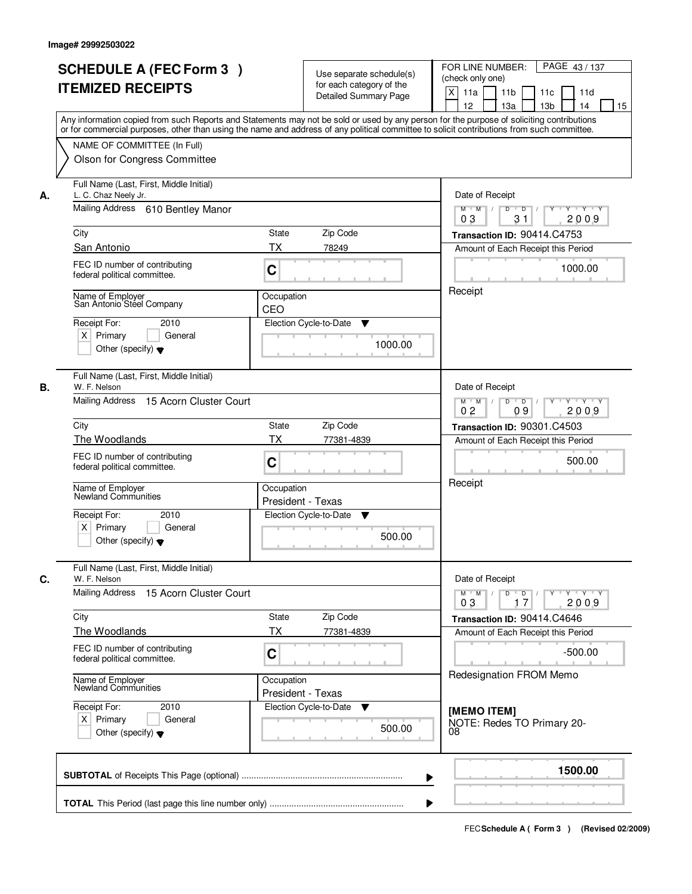|    | <b>SCHEDULE A (FEC Form 3)</b><br><b>ITEMIZED RECEIPTS</b>                                                                              | Use separate schedule(s)<br>for each category of the<br><b>Detailed Summary Page</b><br>Any information copied from such Reports and Statements may not be sold or used by any person for the purpose of soliciting contributions | PAGE 43/137<br>FOR LINE NUMBER:<br>(check only one)<br>X<br>11 <sub>b</sub><br>11a<br>11 <sub>c</sub><br>11d<br>12<br>13 <sub>b</sub><br>14<br>13a<br>15 |
|----|-----------------------------------------------------------------------------------------------------------------------------------------|-----------------------------------------------------------------------------------------------------------------------------------------------------------------------------------------------------------------------------------|----------------------------------------------------------------------------------------------------------------------------------------------------------|
|    | NAME OF COMMITTEE (In Full)<br>Olson for Congress Committee                                                                             | or for commercial purposes, other than using the name and address of any political committee to solicit contributions from such committee.                                                                                        |                                                                                                                                                          |
| А. | Full Name (Last, First, Middle Initial)<br>L. C. Chaz Neely Jr.<br>Mailing Address 610 Bentley Manor                                    |                                                                                                                                                                                                                                   | Date of Receipt<br>$\overline{D}$<br>$Y - Y - Y - Y$<br>$M$ $M$ /<br>D<br>Y<br>0 <sub>3</sub><br>31<br>2009                                              |
|    | City                                                                                                                                    | <b>State</b><br>Zip Code                                                                                                                                                                                                          | Transaction ID: 90414.C4753                                                                                                                              |
|    | San Antonio                                                                                                                             | ТX<br>78249                                                                                                                                                                                                                       | Amount of Each Receipt this Period                                                                                                                       |
|    | FEC ID number of contributing<br>federal political committee.                                                                           | C                                                                                                                                                                                                                                 | 1000.00                                                                                                                                                  |
|    | Name of Employer<br>San Antonio Steel Company<br>Receipt For:<br>2010<br>$X$ Primary<br>General<br>Other (specify) $\blacktriangledown$ | Occupation<br>CEO<br>Election Cycle-to-Date<br>▼<br>1000.00                                                                                                                                                                       | Receipt                                                                                                                                                  |
| В. | Full Name (Last, First, Middle Initial)<br>W. F. Nelson<br>Mailing Address 15 Acorn Cluster Court                                       |                                                                                                                                                                                                                                   | Date of Receipt<br>$M$ $M$ /<br>D<br>$\overline{\phantom{0}}$ D<br>$Y + Y + Y$                                                                           |
|    |                                                                                                                                         |                                                                                                                                                                                                                                   | 0 <sub>2</sub><br>09<br>2009                                                                                                                             |
|    | City                                                                                                                                    | Zip Code<br>State                                                                                                                                                                                                                 | Transaction ID: 90301.C4503                                                                                                                              |
|    | The Woodlands                                                                                                                           | TX<br>77381-4839                                                                                                                                                                                                                  | Amount of Each Receipt this Period                                                                                                                       |
|    | FEC ID number of contributing<br>federal political committee.                                                                           | C                                                                                                                                                                                                                                 | 500.00                                                                                                                                                   |
|    | Name of Employer<br>Newland Communities<br>Receipt For:<br>2010<br>$X$ Primary<br>General                                               | Occupation<br>President - Texas<br>Election Cycle-to-Date<br>v<br>500.00                                                                                                                                                          | Receipt                                                                                                                                                  |
|    | Other (specify) $\blacktriangledown$<br>Full Name (Last, First, Middle Initial)                                                         |                                                                                                                                                                                                                                   |                                                                                                                                                          |
| C. | W. F. Nelson                                                                                                                            |                                                                                                                                                                                                                                   | Date of Receipt                                                                                                                                          |
|    | Mailing Address 15 Acorn Cluster Court                                                                                                  |                                                                                                                                                                                                                                   | $M$ $M$<br>$D$ $D$ $l$<br>  Y + Y + Y + Y<br>03<br>2009<br>17                                                                                            |
|    | City<br>The Woodlands                                                                                                                   | Zip Code<br>State<br>ТX<br>77381-4839                                                                                                                                                                                             | Transaction ID: 90414.C4646<br>Amount of Each Receipt this Period                                                                                        |
|    | FEC ID number of contributing<br>federal political committee.                                                                           | C                                                                                                                                                                                                                                 | $-500.00$                                                                                                                                                |
|    | Name of Employer<br>Newland Communities                                                                                                 | Occupation<br>President - Texas                                                                                                                                                                                                   | Redesignation FROM Memo                                                                                                                                  |
|    | Receipt For:<br>2010<br>$X$ Primary<br>General<br>Other (specify) $\blacktriangledown$                                                  | Election Cycle-to-Date<br>▼<br>500.00                                                                                                                                                                                             | [MEMO ITEM]<br>NOTE: Redes TO Primary 20-<br>08                                                                                                          |
|    |                                                                                                                                         |                                                                                                                                                                                                                                   | 1500.00                                                                                                                                                  |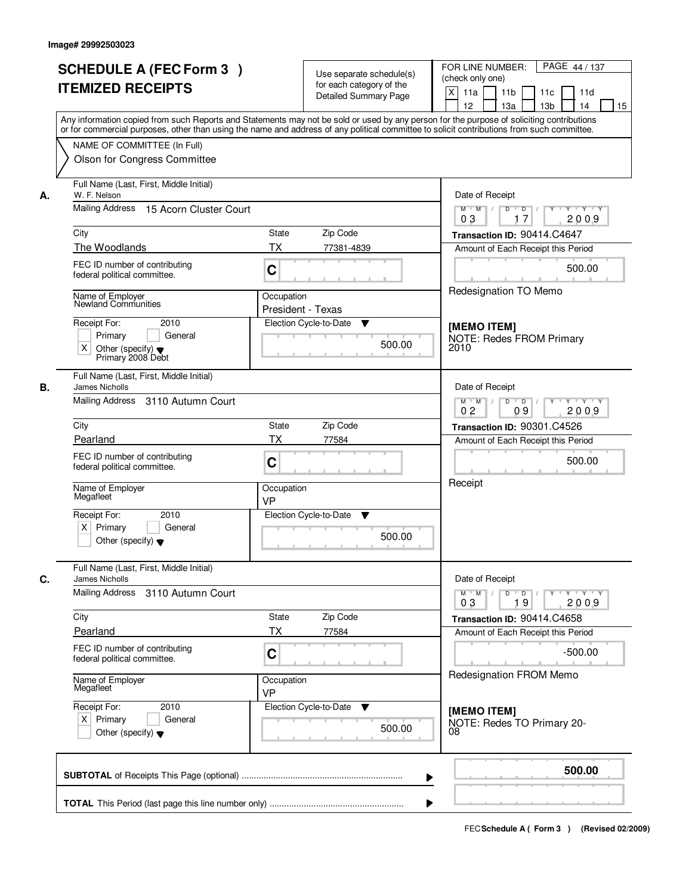|    | <b>SCHEDULE A (FEC Form 3)</b>                                                                                                             |                   | Use separate schedule(s)           | PAGE 44 / 137<br>FOR LINE NUMBER:<br>(check only one)               |
|----|--------------------------------------------------------------------------------------------------------------------------------------------|-------------------|------------------------------------|---------------------------------------------------------------------|
|    | <b>ITEMIZED RECEIPTS</b>                                                                                                                   |                   | for each category of the           | $\mathsf{X}$<br>11 <sub>b</sub><br>11d                              |
|    |                                                                                                                                            |                   | <b>Detailed Summary Page</b>       | 11a<br>11c<br>12<br>13a<br>13 <sub>b</sub><br>14<br>15              |
|    | Any information copied from such Reports and Statements may not be sold or used by any person for the purpose of soliciting contributions  |                   |                                    |                                                                     |
|    | or for commercial purposes, other than using the name and address of any political committee to solicit contributions from such committee. |                   |                                    |                                                                     |
|    | NAME OF COMMITTEE (In Full)                                                                                                                |                   |                                    |                                                                     |
|    | Olson for Congress Committee                                                                                                               |                   |                                    |                                                                     |
|    |                                                                                                                                            |                   |                                    |                                                                     |
| А. | Full Name (Last, First, Middle Initial)<br>W. F. Nelson                                                                                    | Date of Receipt   |                                    |                                                                     |
|    | Mailing Address 15 Acorn Cluster Court                                                                                                     |                   |                                    | $\overline{D}$<br>$Y - Y - Y$<br>$M$ $M$ /<br>D<br>17<br>2009<br>03 |
|    | City                                                                                                                                       | <b>State</b>      | Zip Code                           | Transaction ID: 90414.C4647                                         |
|    | The Woodlands                                                                                                                              | <b>TX</b>         | 77381-4839                         | Amount of Each Receipt this Period                                  |
|    | FEC ID number of contributing                                                                                                              |                   |                                    |                                                                     |
|    | federal political committee.                                                                                                               | C                 |                                    | 500.00                                                              |
|    |                                                                                                                                            |                   |                                    | Redesignation TO Memo                                               |
|    | Name of Employer<br>Newland Communities                                                                                                    | Occupation        |                                    |                                                                     |
|    |                                                                                                                                            | President - Texas |                                    |                                                                     |
|    | Receipt For:<br>2010<br>Primary<br>General                                                                                                 |                   | Election Cycle-to-Date<br>▼        | [MEMO ITEM]                                                         |
|    | $\times$<br>Other (specify) $\blacktriangledown$                                                                                           |                   | 500.00                             | <b>NOTE: Redes FROM Primary</b><br>2010                             |
|    | Primary 2008 Debt                                                                                                                          |                   |                                    |                                                                     |
| В. | Full Name (Last, First, Middle Initial)<br>James Nicholls                                                                                  |                   |                                    | Date of Receipt                                                     |
|    | Mailing Address 3110 Autumn Court                                                                                                          |                   |                                    | $D$ $D$ $/$<br>Y * Y * Y * Y<br>$M$ $M$ /                           |
|    |                                                                                                                                            |                   |                                    | 0 <sub>2</sub><br>09<br>2009                                        |
|    | City                                                                                                                                       | <b>State</b>      | Zip Code                           | Transaction ID: 90301.C4526                                         |
|    | Pearland                                                                                                                                   | <b>TX</b>         | 77584                              | Amount of Each Receipt this Period                                  |
|    | FEC ID number of contributing                                                                                                              |                   |                                    | 500.00                                                              |
|    | federal political committee.                                                                                                               | C                 |                                    |                                                                     |
|    | Name of Employer                                                                                                                           | Occupation        |                                    | Receipt                                                             |
|    | Megafleet                                                                                                                                  | <b>VP</b>         |                                    |                                                                     |
|    | Receipt For:<br>2010                                                                                                                       |                   | Election Cycle-to-Date<br>v        |                                                                     |
|    | $X$ Primary<br>General                                                                                                                     |                   |                                    |                                                                     |
|    | Other (specify) $\blacktriangledown$                                                                                                       |                   | 500.00                             |                                                                     |
|    |                                                                                                                                            |                   |                                    |                                                                     |
| C. | Full Name (Last, First, Middle Initial)<br><b>James Nicholls</b>                                                                           |                   |                                    | Date of Receipt                                                     |
|    | Mailing Address 3110 Autumn Court                                                                                                          |                   |                                    | $M^{\prime}$ M $\rightarrow$ /<br>$D$ $D$ $/$<br>Y Y Y Y<br>$Y^+$   |
|    |                                                                                                                                            |                   |                                    | 2009<br>03<br>19                                                    |
|    | City                                                                                                                                       | State             | Zip Code                           | Transaction ID: 90414.C4658                                         |
|    | Pearland                                                                                                                                   | <b>TX</b>         | 77584                              | Amount of Each Receipt this Period                                  |
|    | FEC ID number of contributing<br>federal political committee.                                                                              | C                 |                                    | $-500.00$                                                           |
|    |                                                                                                                                            |                   |                                    |                                                                     |
|    | Name of Employer<br>Megafleet                                                                                                              | Occupation<br>VP  |                                    | Redesignation FROM Memo                                             |
|    | Receipt For:<br>2010                                                                                                                       |                   | Election Cycle-to-Date<br><b>V</b> |                                                                     |
|    | $X$ Primary<br>General                                                                                                                     |                   |                                    | [MEMO ITEM]                                                         |
|    | Other (specify) $\blacktriangledown$                                                                                                       |                   | 500.00                             | NOTE: Redes TO Primary 20-<br>08                                    |
|    |                                                                                                                                            |                   |                                    |                                                                     |
|    |                                                                                                                                            |                   |                                    |                                                                     |
|    |                                                                                                                                            |                   | ▶                                  | 500.00                                                              |
|    |                                                                                                                                            |                   |                                    |                                                                     |
|    |                                                                                                                                            |                   |                                    |                                                                     |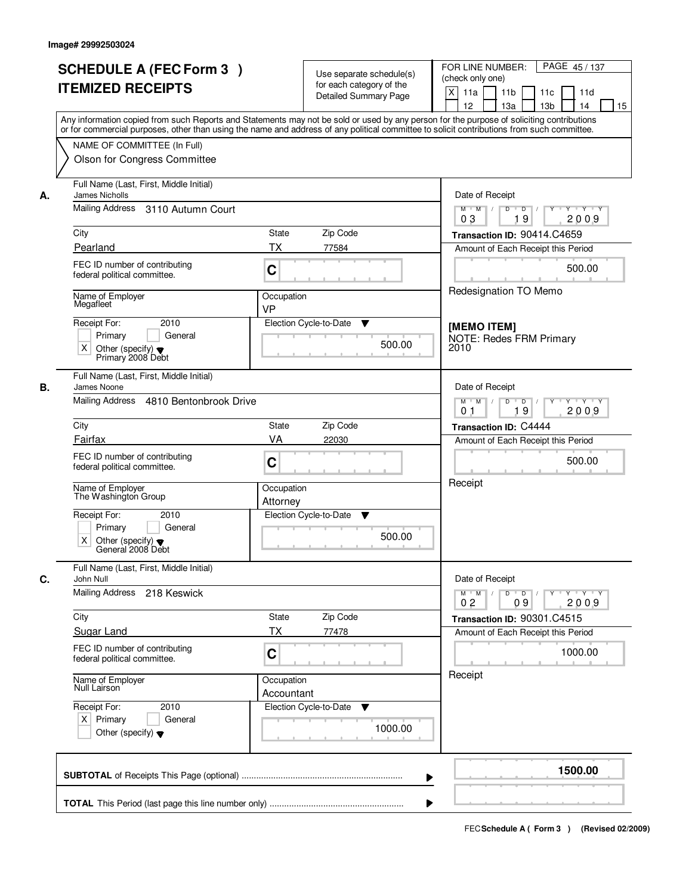| <b>SCHEDULE A (FEC Form 3)</b>                                                                                                                                                                                                                                                          |                                                      | PAGE 45/137<br>FOR LINE NUMBER:                                                                                 |  |  |  |
|-----------------------------------------------------------------------------------------------------------------------------------------------------------------------------------------------------------------------------------------------------------------------------------------|------------------------------------------------------|-----------------------------------------------------------------------------------------------------------------|--|--|--|
|                                                                                                                                                                                                                                                                                         | Use separate schedule(s)<br>for each category of the | (check only one)                                                                                                |  |  |  |
| <b>ITEMIZED RECEIPTS</b>                                                                                                                                                                                                                                                                | <b>Detailed Summary Page</b>                         | $\mathsf{X}$<br>11 <sub>b</sub><br>11a<br>11c<br>11d                                                            |  |  |  |
|                                                                                                                                                                                                                                                                                         |                                                      | 12<br>13a<br>13 <sub>b</sub><br>14<br>15                                                                        |  |  |  |
| Any information copied from such Reports and Statements may not be sold or used by any person for the purpose of soliciting contributions<br>or for commercial purposes, other than using the name and address of any political committee to solicit contributions from such committee. |                                                      |                                                                                                                 |  |  |  |
| NAME OF COMMITTEE (In Full)                                                                                                                                                                                                                                                             |                                                      |                                                                                                                 |  |  |  |
| Olson for Congress Committee                                                                                                                                                                                                                                                            |                                                      |                                                                                                                 |  |  |  |
|                                                                                                                                                                                                                                                                                         |                                                      |                                                                                                                 |  |  |  |
| Full Name (Last, First, Middle Initial)<br><b>James Nicholls</b><br>А.                                                                                                                                                                                                                  |                                                      |                                                                                                                 |  |  |  |
| Mailing Address 3110 Autumn Court                                                                                                                                                                                                                                                       |                                                      | $\overline{D}$<br>$Y - Y - Y$<br>$M$ $M$ /<br>D<br>Y<br>19<br>2009<br>03                                        |  |  |  |
| City                                                                                                                                                                                                                                                                                    | <b>State</b><br>Zip Code                             | Transaction ID: 90414.C4659                                                                                     |  |  |  |
| Pearland                                                                                                                                                                                                                                                                                | <b>TX</b><br>77584                                   | Amount of Each Receipt this Period                                                                              |  |  |  |
| FEC ID number of contributing<br>federal political committee.                                                                                                                                                                                                                           | C                                                    | 500.00                                                                                                          |  |  |  |
| Name of Employer                                                                                                                                                                                                                                                                        | Occupation                                           | Redesignation TO Memo                                                                                           |  |  |  |
| Megafleet                                                                                                                                                                                                                                                                               | <b>VP</b>                                            |                                                                                                                 |  |  |  |
| 2010<br>Receipt For:                                                                                                                                                                                                                                                                    | Election Cycle-to-Date<br>▼                          | [MEMO ITEM]                                                                                                     |  |  |  |
| Primary<br>General                                                                                                                                                                                                                                                                      | 500.00                                               | <b>NOTE: Redes FRM Primary</b>                                                                                  |  |  |  |
| $\times$<br>Other (specify) $\blacktriangledown$<br>Primary 2008 Debt                                                                                                                                                                                                                   |                                                      | 2010                                                                                                            |  |  |  |
| Full Name (Last, First, Middle Initial)                                                                                                                                                                                                                                                 |                                                      |                                                                                                                 |  |  |  |
| В.<br>James Noone<br>Mailing Address 4810 Bentonbrook Drive                                                                                                                                                                                                                             |                                                      | Date of Receipt<br>$M$ $M$ /<br>$D$ $D$ $/$<br>$Y$ <sup>U</sup><br>Y Y Y Y                                      |  |  |  |
|                                                                                                                                                                                                                                                                                         |                                                      | 19<br>0 <sub>1</sub><br>2009                                                                                    |  |  |  |
| City                                                                                                                                                                                                                                                                                    | Zip Code<br><b>State</b>                             | Transaction ID: C4444                                                                                           |  |  |  |
| Fairfax                                                                                                                                                                                                                                                                                 | VA<br>22030                                          | Amount of Each Receipt this Period                                                                              |  |  |  |
| FEC ID number of contributing                                                                                                                                                                                                                                                           | C                                                    | 500.00                                                                                                          |  |  |  |
| federal political committee.                                                                                                                                                                                                                                                            |                                                      |                                                                                                                 |  |  |  |
| Name of Employer<br>The Washington Group                                                                                                                                                                                                                                                | Occupation                                           | Receipt                                                                                                         |  |  |  |
|                                                                                                                                                                                                                                                                                         | Attorney                                             |                                                                                                                 |  |  |  |
| Receipt For:<br>2010                                                                                                                                                                                                                                                                    | Election Cycle-to-Date<br>v                          |                                                                                                                 |  |  |  |
| Primary<br>General<br>X                                                                                                                                                                                                                                                                 | 500.00                                               |                                                                                                                 |  |  |  |
| Other (specify) $\blacktriangledown$<br>General 2008 Debt                                                                                                                                                                                                                               |                                                      |                                                                                                                 |  |  |  |
| Full Name (Last, First, Middle Initial)<br>C.<br>John Null                                                                                                                                                                                                                              |                                                      | Date of Receipt                                                                                                 |  |  |  |
| Mailing Address<br>218 Keswick                                                                                                                                                                                                                                                          |                                                      | $M$ M<br>$D$ $D$ $/$<br>Y FY FY<br>$\top$ /<br>$Y$ <sup><math>\top</math></sup><br>2009<br>0 <sub>2</sub><br>09 |  |  |  |
| City                                                                                                                                                                                                                                                                                    | Zip Code<br>State                                    | Transaction ID: 90301.C4515                                                                                     |  |  |  |
| <b>Sugar Land</b>                                                                                                                                                                                                                                                                       | <b>TX</b><br>77478                                   | Amount of Each Receipt this Period                                                                              |  |  |  |
| FEC ID number of contributing                                                                                                                                                                                                                                                           |                                                      | 1000.00                                                                                                         |  |  |  |
| federal political committee.                                                                                                                                                                                                                                                            | C                                                    |                                                                                                                 |  |  |  |
| Name of Employer<br>Null Lairson                                                                                                                                                                                                                                                        | Occupation                                           | Receipt                                                                                                         |  |  |  |
|                                                                                                                                                                                                                                                                                         | Accountant                                           |                                                                                                                 |  |  |  |
| Receipt For:<br>2010<br>$X$ Primary<br>General                                                                                                                                                                                                                                          | Election Cycle-to-Date<br>v                          |                                                                                                                 |  |  |  |
| Other (specify) $\blacktriangledown$                                                                                                                                                                                                                                                    | 1000.00                                              |                                                                                                                 |  |  |  |
|                                                                                                                                                                                                                                                                                         |                                                      |                                                                                                                 |  |  |  |
|                                                                                                                                                                                                                                                                                         |                                                      | 1500.00                                                                                                         |  |  |  |
|                                                                                                                                                                                                                                                                                         | ▶                                                    |                                                                                                                 |  |  |  |
|                                                                                                                                                                                                                                                                                         |                                                      |                                                                                                                 |  |  |  |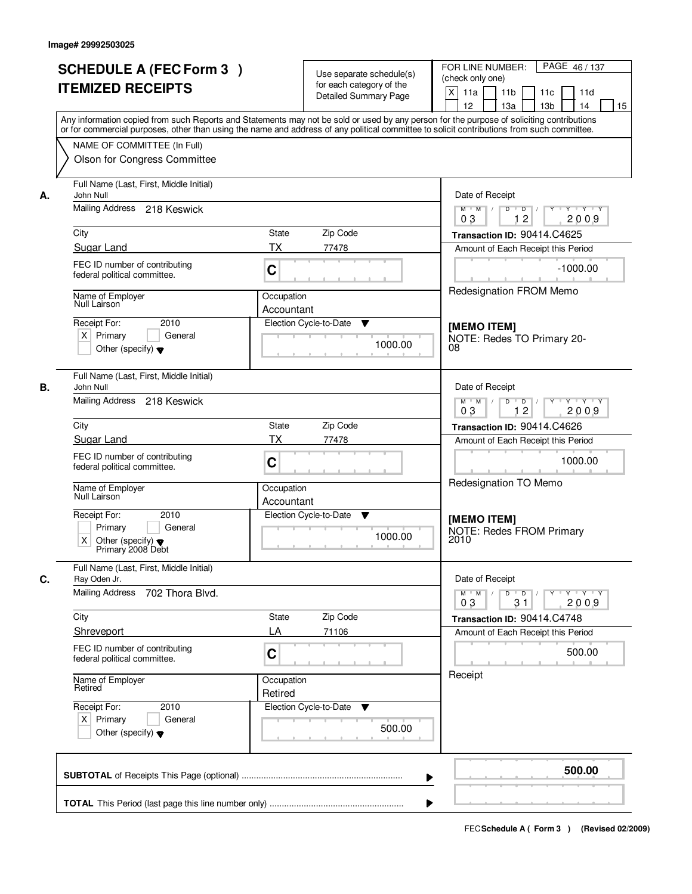| <b>SCHEDULE A (FEC Form 3)</b><br><b>ITEMIZED RECEIPTS</b>                                                                                                                                                                                                                                                                            | Use separate schedule(s)<br>for each category of the<br><b>Detailed Summary Page</b>                                                                                                                                                                                                    | PAGE 46/137<br>FOR LINE NUMBER:<br>(check only one)<br>X<br>11a<br>11 <sub>b</sub><br>11c<br>11d<br>12<br>13a<br>13 <sub>b</sub><br>14<br>15                                                                                                                                |  |
|---------------------------------------------------------------------------------------------------------------------------------------------------------------------------------------------------------------------------------------------------------------------------------------------------------------------------------------|-----------------------------------------------------------------------------------------------------------------------------------------------------------------------------------------------------------------------------------------------------------------------------------------|-----------------------------------------------------------------------------------------------------------------------------------------------------------------------------------------------------------------------------------------------------------------------------|--|
| NAME OF COMMITTEE (In Full)<br>Olson for Congress Committee                                                                                                                                                                                                                                                                           | Any information copied from such Reports and Statements may not be sold or used by any person for the purpose of soliciting contributions<br>or for commercial purposes, other than using the name and address of any political committee to solicit contributions from such committee. |                                                                                                                                                                                                                                                                             |  |
| Full Name (Last, First, Middle Initial)<br>John Null<br>А.<br>Mailing Address 218 Keswick<br>City<br>Sugar Land<br>FEC ID number of contributing<br>federal political committee.<br>Name of Employer<br>Null Lairson<br>Receipt For:<br>2010<br>$X$ Primary<br>General<br>Other (specify) $\blacktriangledown$                        | State<br>Zip Code<br>ТX<br>77478<br>C<br>Occupation<br>Accountant<br>Election Cycle-to-Date<br>▼<br>1000.00                                                                                                                                                                             | Date of Receipt<br>$Y + Y + Y$<br>$M$ $M$ /<br>$\overline{D}$<br>$\overline{D}$ /<br>Y<br>12<br>2009<br>03<br>Transaction ID: 90414.C4625<br>Amount of Each Receipt this Period<br>$-1000.00$<br>Redesignation FROM Memo<br>[MEMO ITEM]<br>NOTE: Redes TO Primary 20-<br>08 |  |
| Full Name (Last, First, Middle Initial)<br>В.<br>John Null<br>Mailing Address 218 Keswick<br>City<br>Sugar Land<br>FEC ID number of contributing<br>federal political committee.<br>Name of Employer<br>Null Lairson<br>Receipt For:<br>2010<br>Primary<br>General<br>X.<br>Other (specify) $\blacktriangledown$<br>Primary 2008 Debt | Zip Code<br><b>State</b><br><b>TX</b><br>77478<br>C<br>Occupation<br>Accountant<br>Election Cycle-to-Date<br>v<br>1000.00                                                                                                                                                               | Date of Receipt<br>$M$ $M$ /<br>D<br>$\Box$ D $\Box$<br>$Y$ <sup>U</sup><br>Y Y Y Y<br>12<br>03<br>2009<br>Transaction ID: 90414.C4626<br>Amount of Each Receipt this Period<br>1000.00<br>Redesignation TO Memo<br>[MEMO ITEM]<br><b>NOTE: Redes FROM Primary</b><br>2010  |  |
| Full Name (Last, First, Middle Initial)<br>C.<br>Ray Oden Jr.<br>Mailing Address<br>702 Thora Blvd.<br>City<br>Shreveport<br>FEC ID number of contributing<br>federal political committee.<br>Name of Employer<br>Retired<br>Receipt For:<br>2010<br>$X$ Primary<br>General<br>Other (specify) $\blacktriangledown$                   | Zip Code<br>State<br>LA<br>71106<br>C<br>Occupation<br>Retired<br>Election Cycle-to-Date<br>▼<br>500.00                                                                                                                                                                                 | Date of Receipt<br>$M$ $M$<br>$D$ $D$ $/$<br>Y Y Y Y<br>2009<br>0 <sub>3</sub><br>31<br>Transaction ID: 90414.C4748<br>Amount of Each Receipt this Period<br>500.00<br>Receipt                                                                                              |  |
|                                                                                                                                                                                                                                                                                                                                       |                                                                                                                                                                                                                                                                                         | 500.00                                                                                                                                                                                                                                                                      |  |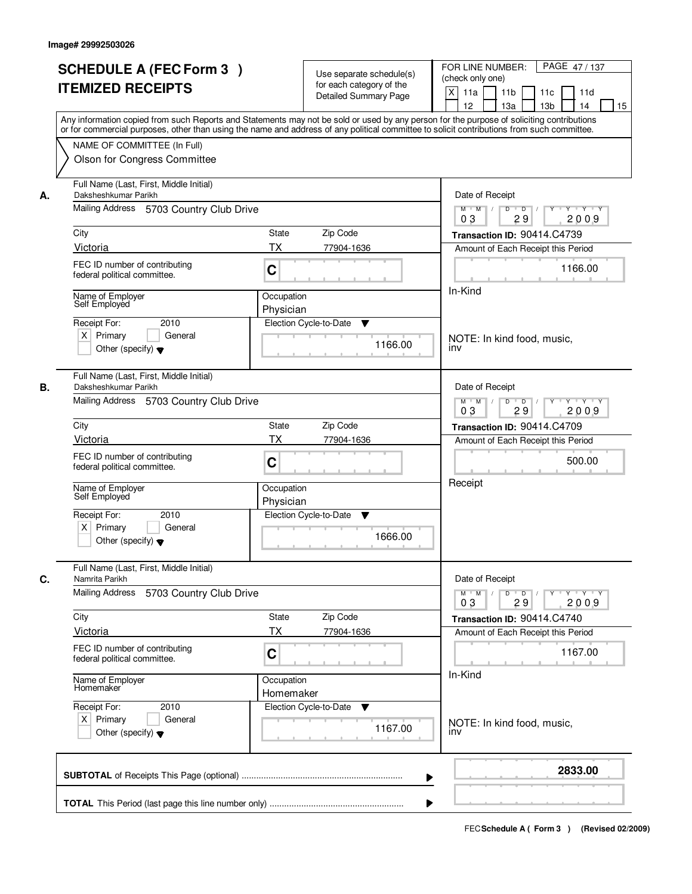|    | <b>SCHEDULE A (FEC Form 3)</b><br><b>ITEMIZED RECEIPTS</b>                                                 | Use separate schedule(s)<br>for each category of the<br><b>Detailed Summary Page</b><br>Any information copied from such Reports and Statements may not be sold or used by any person for the purpose of soliciting contributions | PAGE 47/137<br>FOR LINE NUMBER:<br>(check only one)<br>$\mathsf{X}$<br>11a<br>11 <sub>b</sub><br>11c<br>11d<br>12 <sup>2</sup><br>13a<br>13 <sub>b</sub><br>14<br>15 |
|----|------------------------------------------------------------------------------------------------------------|-----------------------------------------------------------------------------------------------------------------------------------------------------------------------------------------------------------------------------------|----------------------------------------------------------------------------------------------------------------------------------------------------------------------|
|    | NAME OF COMMITTEE (In Full)<br>Olson for Congress Committee                                                | or for commercial purposes, other than using the name and address of any political committee to solicit contributions from such committee.                                                                                        |                                                                                                                                                                      |
| А. | Full Name (Last, First, Middle Initial)<br>Daksheshkumar Parikh<br>Mailing Address 5703 Country Club Drive |                                                                                                                                                                                                                                   | Date of Receipt<br>$Y + Y + Y$<br>$D$ $D$<br>Y<br>$M$ $M$ /                                                                                                          |
|    |                                                                                                            |                                                                                                                                                                                                                                   | 03<br>29<br>2009                                                                                                                                                     |
|    | City                                                                                                       | State<br>Zip Code                                                                                                                                                                                                                 | Transaction ID: 90414.C4739                                                                                                                                          |
|    | Victoria                                                                                                   | <b>TX</b><br>77904-1636                                                                                                                                                                                                           | Amount of Each Receipt this Period                                                                                                                                   |
|    | FEC ID number of contributing<br>federal political committee.                                              | C                                                                                                                                                                                                                                 | 1166.00                                                                                                                                                              |
|    | Name of Employer                                                                                           | Occupation                                                                                                                                                                                                                        | In-Kind                                                                                                                                                              |
|    | Self Employed                                                                                              | Physician                                                                                                                                                                                                                         |                                                                                                                                                                      |
|    | 2010<br>Receipt For:                                                                                       | Election Cycle-to-Date<br>v                                                                                                                                                                                                       |                                                                                                                                                                      |
|    | $X$ Primary<br>General<br>Other (specify) $\blacktriangledown$                                             | 1166.00                                                                                                                                                                                                                           | NOTE: In kind food, music,<br>inv                                                                                                                                    |
| В. | Full Name (Last, First, Middle Initial)<br>Daksheshkumar Parikh                                            |                                                                                                                                                                                                                                   | Date of Receipt                                                                                                                                                      |
|    | Mailing Address 5703 Country Club Drive                                                                    |                                                                                                                                                                                                                                   | $M$ $M$ /<br>D<br>$\Box$ D $\Box$ /<br>Y 'Y 'Y<br>03<br>29<br>2009                                                                                                   |
|    | City                                                                                                       | <b>State</b><br>Zip Code                                                                                                                                                                                                          | Transaction ID: 90414.C4709                                                                                                                                          |
|    | Victoria                                                                                                   | <b>TX</b><br>77904-1636                                                                                                                                                                                                           | Amount of Each Receipt this Period                                                                                                                                   |
|    | FEC ID number of contributing<br>federal political committee.                                              | C                                                                                                                                                                                                                                 | 500.00                                                                                                                                                               |
|    | Name of Employer<br>Self Employed                                                                          | Occupation<br>Physician                                                                                                                                                                                                           | Receipt                                                                                                                                                              |
|    | Receipt For:<br>2010<br>$X$ Primary<br>General<br>Other (specify) $\blacktriangledown$                     | Election Cycle-to-Date<br>v<br>1666.00                                                                                                                                                                                            |                                                                                                                                                                      |
|    | Full Name (Last, First, Middle Initial)                                                                    |                                                                                                                                                                                                                                   |                                                                                                                                                                      |
| C. | Namrita Parikh<br>Mailing Address<br>5703 Country Club Drive                                               |                                                                                                                                                                                                                                   | Date of Receipt<br>$M$ $M$<br>$D$ $D$ $/$<br>y y y y y y<br>03<br>29<br>2009                                                                                         |
|    | City                                                                                                       | Zip Code<br>State                                                                                                                                                                                                                 | Transaction ID: 90414.C4740                                                                                                                                          |
|    | <b>Victoria</b>                                                                                            | ТX<br>77904-1636                                                                                                                                                                                                                  | Amount of Each Receipt this Period                                                                                                                                   |
|    | FEC ID number of contributing<br>federal political committee.                                              | C                                                                                                                                                                                                                                 | 1167.00                                                                                                                                                              |
|    | Name of Employer<br>Homemaker                                                                              | Occupation<br>Homemaker                                                                                                                                                                                                           | In-Kind                                                                                                                                                              |
|    | Receipt For:<br>2010<br>$X$ Primary<br>General<br>Other (specify) $\blacktriangledown$                     | Election Cycle-to-Date<br>v<br>1167.00                                                                                                                                                                                            | NOTE: In kind food, music,<br><b>INV</b>                                                                                                                             |
|    |                                                                                                            | ▶                                                                                                                                                                                                                                 | 2833.00                                                                                                                                                              |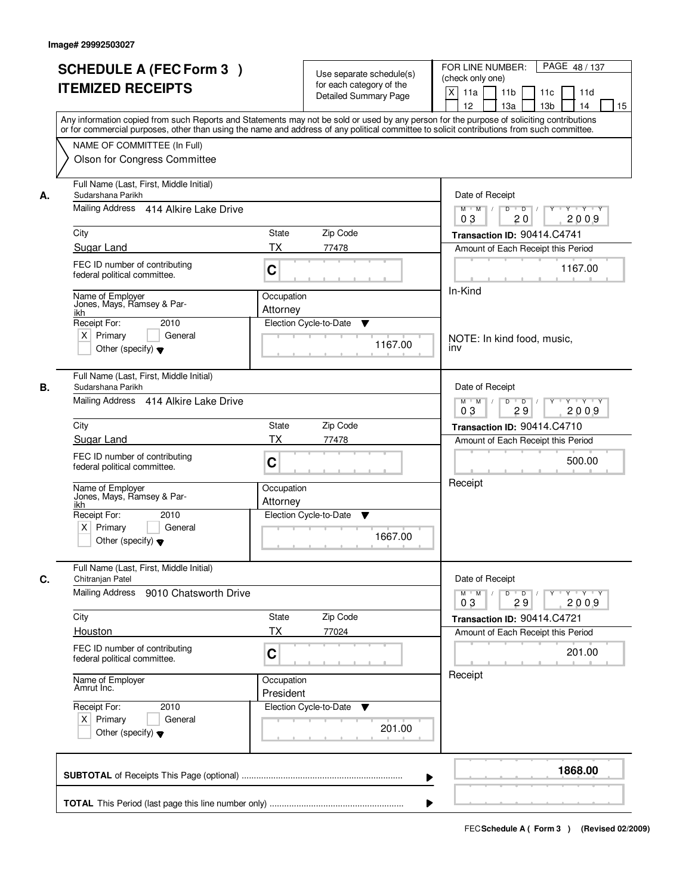|    | <b>SCHEDULE A (FEC Form 3)</b><br><b>ITEMIZED RECEIPTS</b><br>Any information copied from such Reports and Statements may not be sold or used by any person for the purpose of soliciting contributions   |                         | Use separate schedule(s)<br>for each category of the<br><b>Detailed Summary Page</b> | PAGE 48/137<br>FOR LINE NUMBER:<br>(check only one)<br>$\mathsf{X}$<br>11 <sub>b</sub><br>11a<br>11c<br>11d<br>12<br>13 <sub>b</sub><br>14<br>13a<br>15 |
|----|-----------------------------------------------------------------------------------------------------------------------------------------------------------------------------------------------------------|-------------------------|--------------------------------------------------------------------------------------|---------------------------------------------------------------------------------------------------------------------------------------------------------|
|    | or for commercial purposes, other than using the name and address of any political committee to solicit contributions from such committee.<br>NAME OF COMMITTEE (In Full)<br>Olson for Congress Committee |                         |                                                                                      |                                                                                                                                                         |
| А. | Full Name (Last, First, Middle Initial)<br>Sudarshana Parikh<br>Mailing Address 414 Alkire Lake Drive                                                                                                     |                         |                                                                                      | Date of Receipt<br>$Y + Y + Y$<br>$D$ $D$ $I$<br>Y<br>$M$ $M$ /                                                                                         |
|    | City                                                                                                                                                                                                      | State                   | Zip Code                                                                             | 0 <sub>3</sub><br>20<br>2009<br>Transaction ID: 90414.C4741                                                                                             |
|    | Sugar Land                                                                                                                                                                                                | ТX                      | 77478                                                                                | Amount of Each Receipt this Period                                                                                                                      |
|    | FEC ID number of contributing<br>federal political committee.                                                                                                                                             | C                       |                                                                                      | 1167.00                                                                                                                                                 |
|    | Name of Employer<br>Jones, Mays, Ramsey & Par-<br>ikh<br>Receipt For:<br>2010                                                                                                                             | Occupation<br>Attorney  | Election Cycle-to-Date<br>▼                                                          | In-Kind                                                                                                                                                 |
|    | $X$ Primary<br>General<br>Other (specify) $\blacktriangledown$                                                                                                                                            |                         | 1167.00                                                                              | NOTE: In kind food, music,<br>inv                                                                                                                       |
| В. | Full Name (Last, First, Middle Initial)<br>Sudarshana Parikh<br>Mailing Address 414 Alkire Lake Drive                                                                                                     |                         |                                                                                      | Date of Receipt<br>$M$ $M$ /<br>D<br>$\overline{D}$<br>$Y + Y + Y$                                                                                      |
|    |                                                                                                                                                                                                           |                         |                                                                                      | 03<br>29<br>2009                                                                                                                                        |
|    | City                                                                                                                                                                                                      | <b>State</b>            | Zip Code                                                                             | Transaction ID: 90414.C4710                                                                                                                             |
|    | Sugar Land<br>FEC ID number of contributing<br>federal political committee.                                                                                                                               | <b>TX</b><br>C          | 77478                                                                                | Amount of Each Receipt this Period<br>500.00                                                                                                            |
|    | Name of Employer<br>Jones, Mays, Ramsey & Par-<br>ikh                                                                                                                                                     | Occupation<br>Attorney  |                                                                                      | Receipt                                                                                                                                                 |
|    | Receipt For:<br>2010<br>$X$ Primary<br>General<br>Other (specify) $\blacktriangledown$                                                                                                                    |                         | Election Cycle-to-Date<br>v<br>1667.00                                               |                                                                                                                                                         |
| C. | Full Name (Last, First, Middle Initial)<br>Chitranjan Patel<br>Mailing Address<br>9010 Chatsworth Drive                                                                                                   |                         |                                                                                      | Date of Receipt<br>$M = M$<br>$D$ $D$ $/$<br>y y y y y y<br>03<br>29<br>2009                                                                            |
|    | City                                                                                                                                                                                                      | State                   | Zip Code                                                                             | Transaction ID: 90414.C4721                                                                                                                             |
|    | Houston                                                                                                                                                                                                   | ТX                      | 77024                                                                                | Amount of Each Receipt this Period                                                                                                                      |
|    | FEC ID number of contributing<br>federal political committee.                                                                                                                                             | C                       |                                                                                      | 201.00<br>Receipt                                                                                                                                       |
|    | Name of Employer<br>Amrut Inc.                                                                                                                                                                            | Occupation<br>President |                                                                                      |                                                                                                                                                         |
|    | Receipt For:<br>2010<br>$X$ Primary<br>General<br>Other (specify) $\blacktriangledown$                                                                                                                    |                         | Election Cycle-to-Date ▼<br>201.00                                                   |                                                                                                                                                         |
|    |                                                                                                                                                                                                           |                         |                                                                                      | 1868.00<br>▶                                                                                                                                            |
|    |                                                                                                                                                                                                           |                         |                                                                                      |                                                                                                                                                         |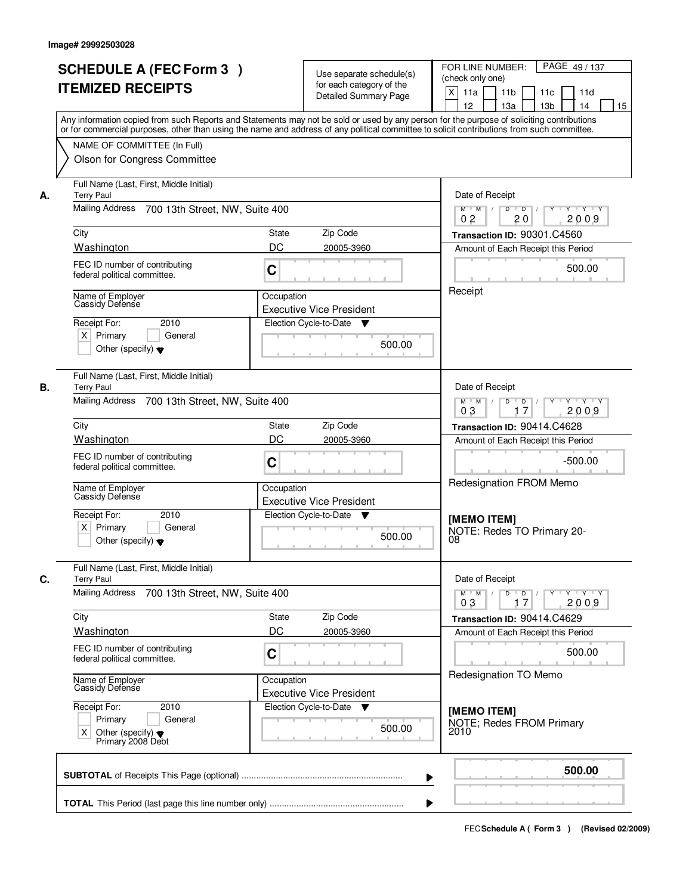|    | <b>SCHEDULE A (FEC Form 3)</b><br><b>ITEMIZED RECEIPTS</b>                                                                                                                                                                                                                              |                                                        | Use separate schedule(s)<br>for each category of the<br><b>Detailed Summary Page</b> | PAGE 49 / 137<br>FOR LINE NUMBER:<br>(check only one)<br>$\mathsf{X}$<br>11 <sub>b</sub><br>11a<br>11c<br>11d |
|----|-----------------------------------------------------------------------------------------------------------------------------------------------------------------------------------------------------------------------------------------------------------------------------------------|--------------------------------------------------------|--------------------------------------------------------------------------------------|---------------------------------------------------------------------------------------------------------------|
|    | Any information copied from such Reports and Statements may not be sold or used by any person for the purpose of soliciting contributions<br>or for commercial purposes, other than using the name and address of any political committee to solicit contributions from such committee. |                                                        |                                                                                      | 12<br>13a<br>13 <sub>b</sub><br>14<br>15                                                                      |
|    | NAME OF COMMITTEE (In Full)<br>Olson for Congress Committee                                                                                                                                                                                                                             |                                                        |                                                                                      |                                                                                                               |
| А. | Full Name (Last, First, Middle Initial)<br><b>Terry Paul</b>                                                                                                                                                                                                                            |                                                        |                                                                                      | Date of Receipt                                                                                               |
|    | Mailing Address 700 13th Street, NW, Suite 400                                                                                                                                                                                                                                          |                                                        |                                                                                      | $Y + Y + Y$<br>$D$ $D$ $/$<br>$\overline{Y}$<br>$M$ $M$ /<br>0 <sub>2</sub><br>2009<br>20                     |
|    | City                                                                                                                                                                                                                                                                                    | State                                                  | Zip Code                                                                             | Transaction ID: 90301.C4560                                                                                   |
|    | Washington                                                                                                                                                                                                                                                                              | DC                                                     | 20005-3960                                                                           | Amount of Each Receipt this Period                                                                            |
|    | FEC ID number of contributing<br>federal political committee.                                                                                                                                                                                                                           | C                                                      |                                                                                      | 500.00                                                                                                        |
|    | Name of Employer<br>Cassidy Defense                                                                                                                                                                                                                                                     | Occupation                                             | <b>Executive Vice President</b>                                                      | Receipt                                                                                                       |
|    | 2010<br>Receipt For:                                                                                                                                                                                                                                                                    |                                                        | Election Cycle-to-Date<br>v                                                          |                                                                                                               |
|    | $X$ Primary<br>General<br>Other (specify) $\bullet$                                                                                                                                                                                                                                     |                                                        | 500.00                                                                               |                                                                                                               |
| В. | Full Name (Last, First, Middle Initial)<br><b>Terry Paul</b>                                                                                                                                                                                                                            |                                                        |                                                                                      | Date of Receipt                                                                                               |
|    | Mailing Address 700 13th Street, NW, Suite 400                                                                                                                                                                                                                                          | $Y - Y - Y$<br>$M$ $M$ /<br>D<br>D<br>2009<br>03<br>17 |                                                                                      |                                                                                                               |
|    | City                                                                                                                                                                                                                                                                                    | <b>State</b>                                           | Zip Code                                                                             | Transaction ID: 90414.C4628                                                                                   |
|    | Washington                                                                                                                                                                                                                                                                              | DC                                                     | 20005-3960                                                                           | Amount of Each Receipt this Period                                                                            |
|    | FEC ID number of contributing<br>federal political committee.                                                                                                                                                                                                                           | C                                                      |                                                                                      | $-500.00$<br>Redesignation FROM Memo                                                                          |
|    | Name of Employer<br>Cassidy Defense                                                                                                                                                                                                                                                     | Occupation                                             | <b>Executive Vice President</b>                                                      |                                                                                                               |
|    | Receipt For:<br>2010<br>$X$ Primary<br>General<br>Other (specify) $\blacktriangledown$                                                                                                                                                                                                  |                                                        | Election Cycle-to-Date ▼<br>500.00                                                   | <b>IMEMO ITEMI</b><br>NOTE: Redes TO Primary 20-<br>08                                                        |
| C. | Full Name (Last, First, Middle Initial)<br><b>Terry Paul</b>                                                                                                                                                                                                                            | Date of Receipt                                        |                                                                                      |                                                                                                               |
|    | <b>Mailing Address</b><br>700 13th Street, NW, Suite 400                                                                                                                                                                                                                                |                                                        |                                                                                      | $D$ $D$ $/$<br>$M$ $M$ /<br>Y Y Y Y Y<br>03<br>2009<br>17                                                     |
|    | City                                                                                                                                                                                                                                                                                    | State                                                  | Zip Code                                                                             | Transaction ID: 90414.C4629                                                                                   |
|    | Washington                                                                                                                                                                                                                                                                              | DC                                                     | 20005-3960                                                                           | Amount of Each Receipt this Period                                                                            |
|    | FEC ID number of contributing<br>federal political committee.                                                                                                                                                                                                                           | C                                                      |                                                                                      | 500.00<br>Redesignation TO Memo                                                                               |
|    | Name of Employer<br>Cassidy Defense                                                                                                                                                                                                                                                     | Occupation                                             | <b>Executive Vice President</b>                                                      |                                                                                                               |
|    | Receipt For:<br>2010<br>Primary<br>General<br>Other (specify) $\blacktriangledown$<br>X.<br>Primary 2008 Debt                                                                                                                                                                           |                                                        | Election Cycle-to-Date<br>v<br>500.00                                                | [MEMO ITEM]<br>NOTE; Redes FROM Primary<br>2010                                                               |
|    |                                                                                                                                                                                                                                                                                         |                                                        |                                                                                      | 500.00                                                                                                        |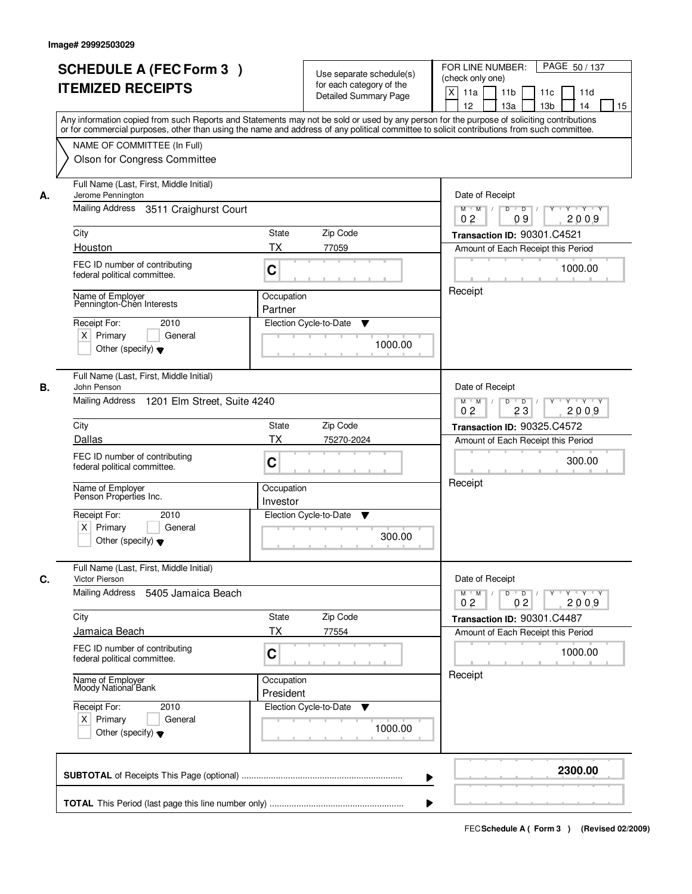|    | <b>SCHEDULE A (FEC Form 3)</b>                                                                                                             |                                                                                      | Use separate schedule(s)     | PAGE 50/137<br>FOR LINE NUMBER:<br>(check only one)                                                           |
|----|--------------------------------------------------------------------------------------------------------------------------------------------|--------------------------------------------------------------------------------------|------------------------------|---------------------------------------------------------------------------------------------------------------|
|    | <b>ITEMIZED RECEIPTS</b>                                                                                                                   |                                                                                      | for each category of the     |                                                                                                               |
|    |                                                                                                                                            |                                                                                      | <b>Detailed Summary Page</b> | $\boldsymbol{\mathsf{X}}$<br>11a<br>11 <sub>b</sub><br>11c<br>11d<br>12<br>13a<br>13 <sub>b</sub><br>14<br>15 |
|    | Any information copied from such Reports and Statements may not be sold or used by any person for the purpose of soliciting contributions  |                                                                                      |                              |                                                                                                               |
|    | or for commercial purposes, other than using the name and address of any political committee to solicit contributions from such committee. |                                                                                      |                              |                                                                                                               |
|    | NAME OF COMMITTEE (In Full)                                                                                                                |                                                                                      |                              |                                                                                                               |
|    | Olson for Congress Committee                                                                                                               |                                                                                      |                              |                                                                                                               |
|    |                                                                                                                                            |                                                                                      |                              |                                                                                                               |
| А. | Full Name (Last, First, Middle Initial)<br>Jerome Pennington                                                                               | Date of Receipt                                                                      |                              |                                                                                                               |
|    | Mailing Address 3511 Craighurst Court                                                                                                      | $Y - Y - Y$<br>D<br>$\overline{D}$<br>$M$ $M$ /                                      |                              |                                                                                                               |
|    |                                                                                                                                            | 2009<br>0 <sub>2</sub><br>09                                                         |                              |                                                                                                               |
|    | City                                                                                                                                       | <b>State</b>                                                                         | Zip Code                     | Transaction ID: 90301.C4521                                                                                   |
|    | Houston                                                                                                                                    | <b>TX</b>                                                                            | 77059                        | Amount of Each Receipt this Period                                                                            |
|    | FEC ID number of contributing                                                                                                              |                                                                                      |                              |                                                                                                               |
|    | federal political committee.                                                                                                               | C                                                                                    |                              | 1000.00                                                                                                       |
|    |                                                                                                                                            |                                                                                      |                              | Receipt                                                                                                       |
|    | Name of Employer<br>Pennington-Chen Interests                                                                                              | Occupation<br>Partner                                                                |                              |                                                                                                               |
|    | Receipt For:<br>2010                                                                                                                       |                                                                                      | Election Cycle-to-Date<br>▼  |                                                                                                               |
|    | $X$ Primary<br>General                                                                                                                     |                                                                                      |                              |                                                                                                               |
|    | Other (specify) $\blacktriangledown$                                                                                                       |                                                                                      | 1000.00                      |                                                                                                               |
|    |                                                                                                                                            |                                                                                      |                              |                                                                                                               |
|    | Full Name (Last, First, Middle Initial)                                                                                                    |                                                                                      |                              |                                                                                                               |
| В. | John Penson                                                                                                                                | Date of Receipt                                                                      |                              |                                                                                                               |
|    | Mailing Address 1201 Elm Street, Suite 4240                                                                                                | $M$ $M$ /<br>D<br>$\overline{D}$<br>Y<br>$Y + Y + Y$<br>0 <sub>2</sub><br>23<br>2009 |                              |                                                                                                               |
|    | City                                                                                                                                       |                                                                                      |                              |                                                                                                               |
|    | Dallas                                                                                                                                     | State<br>TX                                                                          | Zip Code<br>75270-2024       | Transaction ID: 90325.C4572                                                                                   |
|    |                                                                                                                                            |                                                                                      |                              | Amount of Each Receipt this Period                                                                            |
|    | FEC ID number of contributing<br>federal political committee.                                                                              | C                                                                                    |                              | 300.00                                                                                                        |
|    |                                                                                                                                            |                                                                                      |                              | Receipt                                                                                                       |
|    | Name of Employer<br>Penson Properties Inc.                                                                                                 | Occupation                                                                           |                              |                                                                                                               |
|    |                                                                                                                                            | Investor                                                                             |                              |                                                                                                               |
|    | Receipt For:<br>2010                                                                                                                       |                                                                                      | Election Cycle-to-Date<br>v  |                                                                                                               |
|    | $X$ Primary<br>General<br>Other (specify) $\blacktriangledown$                                                                             |                                                                                      | 300.00                       |                                                                                                               |
|    |                                                                                                                                            |                                                                                      |                              |                                                                                                               |
| C. | Full Name (Last, First, Middle Initial)<br><b>Victor Pierson</b>                                                                           | Date of Receipt                                                                      |                              |                                                                                                               |
|    | Mailing Address<br>5405 Jamaica Beach                                                                                                      |                                                                                      |                              | $M^+$ M<br>$D$ $D$ $/$<br>$Y - Y - Y - Y$<br>$\frac{1}{2}$<br>$Y^+$                                           |
|    |                                                                                                                                            |                                                                                      |                              | 0 <sub>2</sub><br>2009<br>0 <sub>2</sub>                                                                      |
|    | City                                                                                                                                       | State                                                                                | Zip Code                     | Transaction ID: 90301.C4487                                                                                   |
|    | Jamaica Beach                                                                                                                              | <b>TX</b>                                                                            | 77554                        | Amount of Each Receipt this Period                                                                            |
|    | FEC ID number of contributing                                                                                                              |                                                                                      |                              | 1000.00                                                                                                       |
|    | federal political committee.                                                                                                               | C                                                                                    |                              |                                                                                                               |
|    |                                                                                                                                            | Occupation                                                                           |                              | Receipt                                                                                                       |
|    | Name of Employer<br>Moody National Bank                                                                                                    | President                                                                            |                              |                                                                                                               |
|    | Receipt For:<br>2010                                                                                                                       |                                                                                      | Election Cycle-to-Date<br>v  |                                                                                                               |
|    | $X$ Primary<br>General                                                                                                                     |                                                                                      |                              |                                                                                                               |
|    | Other (specify) $\blacktriangledown$                                                                                                       |                                                                                      | 1000.00                      |                                                                                                               |
|    |                                                                                                                                            |                                                                                      |                              |                                                                                                               |
|    |                                                                                                                                            |                                                                                      |                              | 2300.00                                                                                                       |
|    |                                                                                                                                            |                                                                                      | ▶                            |                                                                                                               |
|    |                                                                                                                                            |                                                                                      |                              |                                                                                                               |
|    |                                                                                                                                            |                                                                                      |                              |                                                                                                               |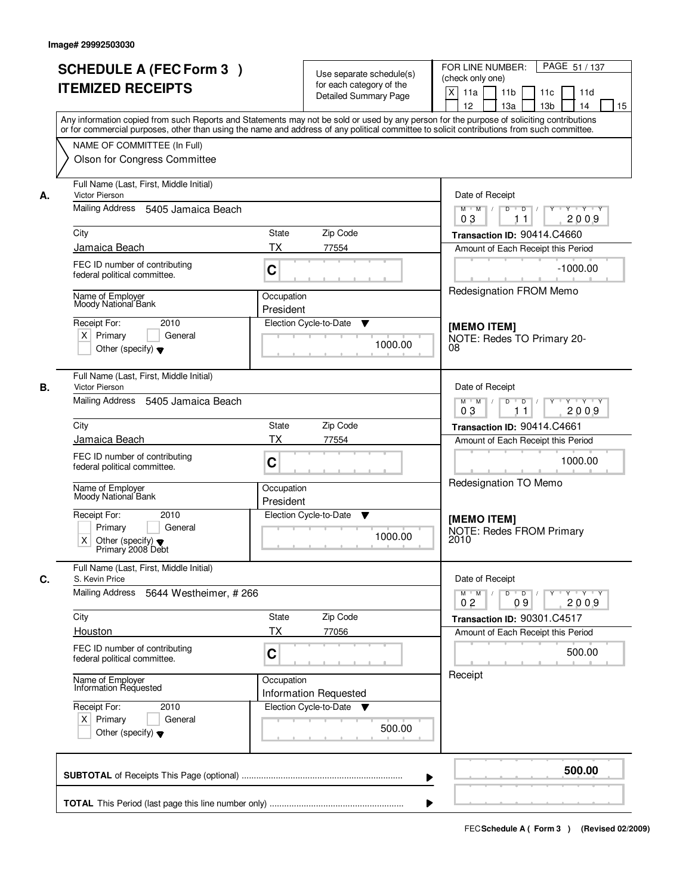|    | <b>SCHEDULE A (FEC Form 3)</b><br><b>ITEMIZED RECEIPTS</b>                                                    | Use separate schedule(s)<br>for each category of the<br><b>Detailed Summary Page</b>                                                                                                                                                                                                    | PAGE 51 / 137<br>FOR LINE NUMBER:<br>(check only one)<br>X<br>11a<br>11 <sub>b</sub><br>11c<br>11d<br>12<br>13a<br>13 <sub>b</sub><br>14<br>15 |
|----|---------------------------------------------------------------------------------------------------------------|-----------------------------------------------------------------------------------------------------------------------------------------------------------------------------------------------------------------------------------------------------------------------------------------|------------------------------------------------------------------------------------------------------------------------------------------------|
|    | NAME OF COMMITTEE (In Full)                                                                                   | Any information copied from such Reports and Statements may not be sold or used by any person for the purpose of soliciting contributions<br>or for commercial purposes, other than using the name and address of any political committee to solicit contributions from such committee. |                                                                                                                                                |
|    | Olson for Congress Committee                                                                                  |                                                                                                                                                                                                                                                                                         |                                                                                                                                                |
| А. | Full Name (Last, First, Middle Initial)<br>Victor Pierson                                                     | Date of Receipt                                                                                                                                                                                                                                                                         |                                                                                                                                                |
|    | Mailing Address 5405 Jamaica Beach                                                                            | $Y - Y - Y$<br>$M$ $M$ /<br>D<br>$\overline{D}$<br>2009<br>03<br>11                                                                                                                                                                                                                     |                                                                                                                                                |
|    | City                                                                                                          | State<br>Zip Code                                                                                                                                                                                                                                                                       | Transaction ID: 90414.C4660                                                                                                                    |
|    | Jamaica Beach                                                                                                 | <b>TX</b><br>77554                                                                                                                                                                                                                                                                      | Amount of Each Receipt this Period                                                                                                             |
|    | FEC ID number of contributing<br>federal political committee.                                                 | C                                                                                                                                                                                                                                                                                       | $-1000.00$                                                                                                                                     |
|    | Name of Employer<br>Moody National Bank                                                                       | Occupation<br>President                                                                                                                                                                                                                                                                 | Redesignation FROM Memo                                                                                                                        |
|    | Receipt For:<br>2010<br>$X$ Primary<br>General<br>Other (specify) $\blacktriangledown$                        | Election Cycle-to-Date<br>▼<br>1000.00                                                                                                                                                                                                                                                  | [MEMO ITEM]<br>NOTE: Redes TO Primary 20-<br>08                                                                                                |
| В. | Full Name (Last, First, Middle Initial)<br><b>Victor Pierson</b>                                              |                                                                                                                                                                                                                                                                                         | Date of Receipt                                                                                                                                |
|    | Mailing Address 5405 Jamaica Beach                                                                            | $M$ $M$ /<br>D<br>$Y$ <sup>U</sup><br>$Y \vdash Y \vdash Y$<br>$D$ /<br>0 <sub>3</sub><br>2009<br>11                                                                                                                                                                                    |                                                                                                                                                |
|    | City                                                                                                          | Zip Code<br><b>State</b>                                                                                                                                                                                                                                                                | Transaction ID: 90414.C4661                                                                                                                    |
|    | Jamaica Beach                                                                                                 | <b>TX</b><br>77554                                                                                                                                                                                                                                                                      | Amount of Each Receipt this Period                                                                                                             |
|    | FEC ID number of contributing<br>federal political committee.                                                 | C                                                                                                                                                                                                                                                                                       | 1000.00                                                                                                                                        |
|    | Name of Employer<br>Moody National Bank                                                                       | Occupation<br>President                                                                                                                                                                                                                                                                 | Redesignation TO Memo                                                                                                                          |
|    | Receipt For:<br>2010<br>Primary<br>General<br>X.<br>Other (specify) $\blacktriangledown$<br>Primary 2008 Debt | Election Cycle-to-Date<br>v<br>1000.00                                                                                                                                                                                                                                                  | [MEMO ITEM]<br><b>NOTE: Redes FROM Primary</b><br>2010                                                                                         |
| C. | Full Name (Last, First, Middle Initial)<br>S. Kevin Price                                                     | Date of Receipt                                                                                                                                                                                                                                                                         |                                                                                                                                                |
|    | Mailing Address<br>5644 Westheimer, #266                                                                      | $D$ $D$<br>γ≕ γ ⊤γ<br>$M^+$ M<br>2009<br>02<br>09                                                                                                                                                                                                                                       |                                                                                                                                                |
|    | City<br>Houston                                                                                               | Zip Code<br>State<br><b>TX</b><br>77056                                                                                                                                                                                                                                                 | Transaction ID: 90301.C4517<br>Amount of Each Receipt this Period                                                                              |
|    | FEC ID number of contributing<br>federal political committee.                                                 | C                                                                                                                                                                                                                                                                                       | 500.00                                                                                                                                         |
|    | Name of Employer<br>Information Requested                                                                     | Occupation<br><b>Information Requested</b>                                                                                                                                                                                                                                              | Receipt                                                                                                                                        |
|    | Receipt For:<br>2010<br>$X$ Primary<br>General<br>Other (specify) $\blacktriangledown$                        | Election Cycle-to-Date<br>▼<br>500.00                                                                                                                                                                                                                                                   |                                                                                                                                                |
|    |                                                                                                               |                                                                                                                                                                                                                                                                                         | 500.00                                                                                                                                         |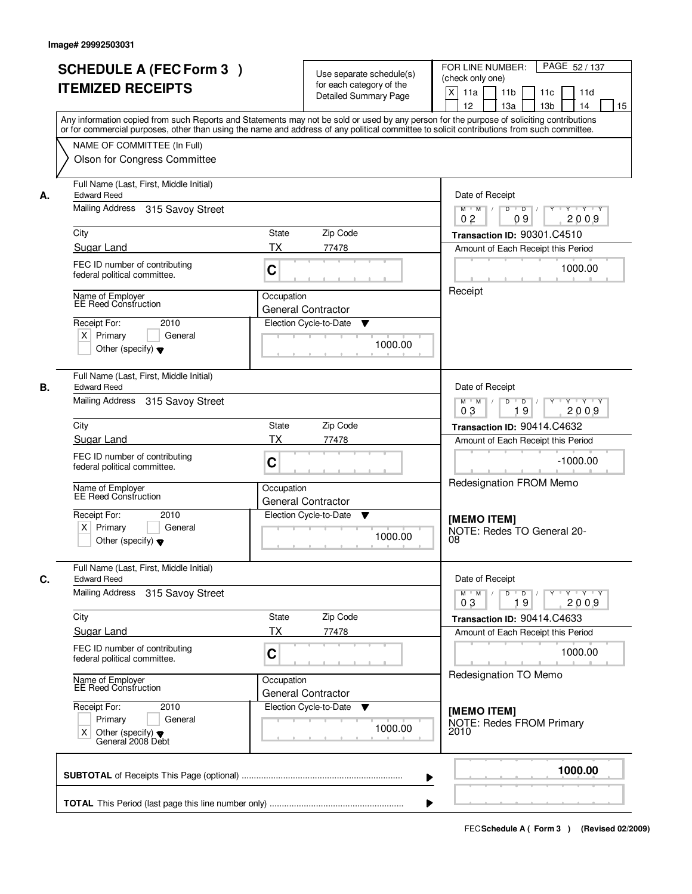| <b>ITEMIZED RECEIPTS</b><br>NAME OF COMMITTEE (In Full)<br>Olson for Congress Committee<br>Full Name (Last, First, Middle Initial)<br>315 Savoy Street<br>FEC ID number of contributing<br>federal political committee.<br>Name of Employer<br>EE Reed Construction<br>2010<br>General<br>Other (specify) $\blacktriangledown$<br>Full Name (Last, First, Middle Initial)<br>315 Savoy Street | <b>Detailed Summary Page</b><br>Any information copied from such Reports and Statements may not be sold or used by any person for the purpose of soliciting contributions<br>or for commercial purposes, other than using the name and address of any political committee to solicit contributions from such committee.<br>State<br>Zip Code<br><b>TX</b><br>77478<br>C<br>Occupation<br>General Contractor<br>Election Cycle-to-Date<br>v<br>1000.00 | $\boldsymbol{\mathsf{X}}$<br>11a<br>11 <sub>b</sub><br>11c<br>11d<br>12<br>13a<br>13 <sub>b</sub><br>14<br>15<br>Date of Receipt<br>$Y - Y - Y$<br>$M$ $M$ /<br>D<br>$\overline{D}$<br>2009<br>0 <sub>2</sub><br>09<br>Transaction ID: 90301.C4510<br>Amount of Each Receipt this Period<br>1000.00<br>Receipt |
|-----------------------------------------------------------------------------------------------------------------------------------------------------------------------------------------------------------------------------------------------------------------------------------------------------------------------------------------------------------------------------------------------|-------------------------------------------------------------------------------------------------------------------------------------------------------------------------------------------------------------------------------------------------------------------------------------------------------------------------------------------------------------------------------------------------------------------------------------------------------|----------------------------------------------------------------------------------------------------------------------------------------------------------------------------------------------------------------------------------------------------------------------------------------------------------------|
|                                                                                                                                                                                                                                                                                                                                                                                               |                                                                                                                                                                                                                                                                                                                                                                                                                                                       |                                                                                                                                                                                                                                                                                                                |
|                                                                                                                                                                                                                                                                                                                                                                                               |                                                                                                                                                                                                                                                                                                                                                                                                                                                       |                                                                                                                                                                                                                                                                                                                |
|                                                                                                                                                                                                                                                                                                                                                                                               |                                                                                                                                                                                                                                                                                                                                                                                                                                                       |                                                                                                                                                                                                                                                                                                                |
|                                                                                                                                                                                                                                                                                                                                                                                               |                                                                                                                                                                                                                                                                                                                                                                                                                                                       |                                                                                                                                                                                                                                                                                                                |
|                                                                                                                                                                                                                                                                                                                                                                                               |                                                                                                                                                                                                                                                                                                                                                                                                                                                       |                                                                                                                                                                                                                                                                                                                |
|                                                                                                                                                                                                                                                                                                                                                                                               |                                                                                                                                                                                                                                                                                                                                                                                                                                                       |                                                                                                                                                                                                                                                                                                                |
|                                                                                                                                                                                                                                                                                                                                                                                               |                                                                                                                                                                                                                                                                                                                                                                                                                                                       |                                                                                                                                                                                                                                                                                                                |
|                                                                                                                                                                                                                                                                                                                                                                                               |                                                                                                                                                                                                                                                                                                                                                                                                                                                       |                                                                                                                                                                                                                                                                                                                |
|                                                                                                                                                                                                                                                                                                                                                                                               |                                                                                                                                                                                                                                                                                                                                                                                                                                                       |                                                                                                                                                                                                                                                                                                                |
|                                                                                                                                                                                                                                                                                                                                                                                               |                                                                                                                                                                                                                                                                                                                                                                                                                                                       |                                                                                                                                                                                                                                                                                                                |
|                                                                                                                                                                                                                                                                                                                                                                                               |                                                                                                                                                                                                                                                                                                                                                                                                                                                       |                                                                                                                                                                                                                                                                                                                |
|                                                                                                                                                                                                                                                                                                                                                                                               |                                                                                                                                                                                                                                                                                                                                                                                                                                                       |                                                                                                                                                                                                                                                                                                                |
|                                                                                                                                                                                                                                                                                                                                                                                               |                                                                                                                                                                                                                                                                                                                                                                                                                                                       |                                                                                                                                                                                                                                                                                                                |
|                                                                                                                                                                                                                                                                                                                                                                                               |                                                                                                                                                                                                                                                                                                                                                                                                                                                       | Date of Receipt                                                                                                                                                                                                                                                                                                |
|                                                                                                                                                                                                                                                                                                                                                                                               |                                                                                                                                                                                                                                                                                                                                                                                                                                                       | D<br>$\blacksquare$ D $\blacksquare$ /<br>Y 'Y 'Y<br>$M$ $M$ /<br>$Y$ <sup><math>\top</math></sup><br>03<br>19<br>2009                                                                                                                                                                                         |
|                                                                                                                                                                                                                                                                                                                                                                                               | Zip Code<br>State                                                                                                                                                                                                                                                                                                                                                                                                                                     | Transaction ID: 90414.C4632                                                                                                                                                                                                                                                                                    |
|                                                                                                                                                                                                                                                                                                                                                                                               | <b>TX</b><br>77478                                                                                                                                                                                                                                                                                                                                                                                                                                    | Amount of Each Receipt this Period                                                                                                                                                                                                                                                                             |
| FEC ID number of contributing<br>federal political committee.                                                                                                                                                                                                                                                                                                                                 | C                                                                                                                                                                                                                                                                                                                                                                                                                                                     | $-1000.00$                                                                                                                                                                                                                                                                                                     |
| Name of Employer<br>EE Reed Construction                                                                                                                                                                                                                                                                                                                                                      | Occupation<br><b>General Contractor</b>                                                                                                                                                                                                                                                                                                                                                                                                               | Redesignation FROM Memo                                                                                                                                                                                                                                                                                        |
| 2010                                                                                                                                                                                                                                                                                                                                                                                          | Election Cycle-to-Date<br>v                                                                                                                                                                                                                                                                                                                                                                                                                           | [MEMO ITEM]                                                                                                                                                                                                                                                                                                    |
| General<br>Other (specify) $\blacktriangledown$                                                                                                                                                                                                                                                                                                                                               | 1000.00                                                                                                                                                                                                                                                                                                                                                                                                                                               | NOTE: Redes TO General 20-<br>08                                                                                                                                                                                                                                                                               |
| Full Name (Last, First, Middle Initial)                                                                                                                                                                                                                                                                                                                                                       |                                                                                                                                                                                                                                                                                                                                                                                                                                                       | Date of Receipt                                                                                                                                                                                                                                                                                                |
| 315 Savoy Street                                                                                                                                                                                                                                                                                                                                                                              | $D$ $D$ $/$<br>$Y - Y - Y$<br>$M$ $M$ /<br>$Y$ <sup>U</sup><br>2009<br>03<br>19                                                                                                                                                                                                                                                                                                                                                                       |                                                                                                                                                                                                                                                                                                                |
|                                                                                                                                                                                                                                                                                                                                                                                               | Zip Code<br>State                                                                                                                                                                                                                                                                                                                                                                                                                                     | Transaction ID: 90414.C4633                                                                                                                                                                                                                                                                                    |
|                                                                                                                                                                                                                                                                                                                                                                                               | <b>TX</b><br>77478                                                                                                                                                                                                                                                                                                                                                                                                                                    | Amount of Each Receipt this Period                                                                                                                                                                                                                                                                             |
| FEC ID number of contributing<br>federal political committee.                                                                                                                                                                                                                                                                                                                                 | C                                                                                                                                                                                                                                                                                                                                                                                                                                                     | 1000.00                                                                                                                                                                                                                                                                                                        |
| Name of Employer<br>EE Reed Construction                                                                                                                                                                                                                                                                                                                                                      | Occupation<br><b>General Contractor</b>                                                                                                                                                                                                                                                                                                                                                                                                               | Redesignation TO Memo                                                                                                                                                                                                                                                                                          |
|                                                                                                                                                                                                                                                                                                                                                                                               | Election Cycle-to-Date<br>v                                                                                                                                                                                                                                                                                                                                                                                                                           | [MEMO ITEM]                                                                                                                                                                                                                                                                                                    |
|                                                                                                                                                                                                                                                                                                                                                                                               | 1000.00                                                                                                                                                                                                                                                                                                                                                                                                                                               | NOTE: Redes FROM Primary<br>2010                                                                                                                                                                                                                                                                               |
| General<br>Other (specify) $\blacktriangledown$<br>General 2008 Debt                                                                                                                                                                                                                                                                                                                          |                                                                                                                                                                                                                                                                                                                                                                                                                                                       | 1000.00                                                                                                                                                                                                                                                                                                        |
|                                                                                                                                                                                                                                                                                                                                                                                               | 2010                                                                                                                                                                                                                                                                                                                                                                                                                                                  |                                                                                                                                                                                                                                                                                                                |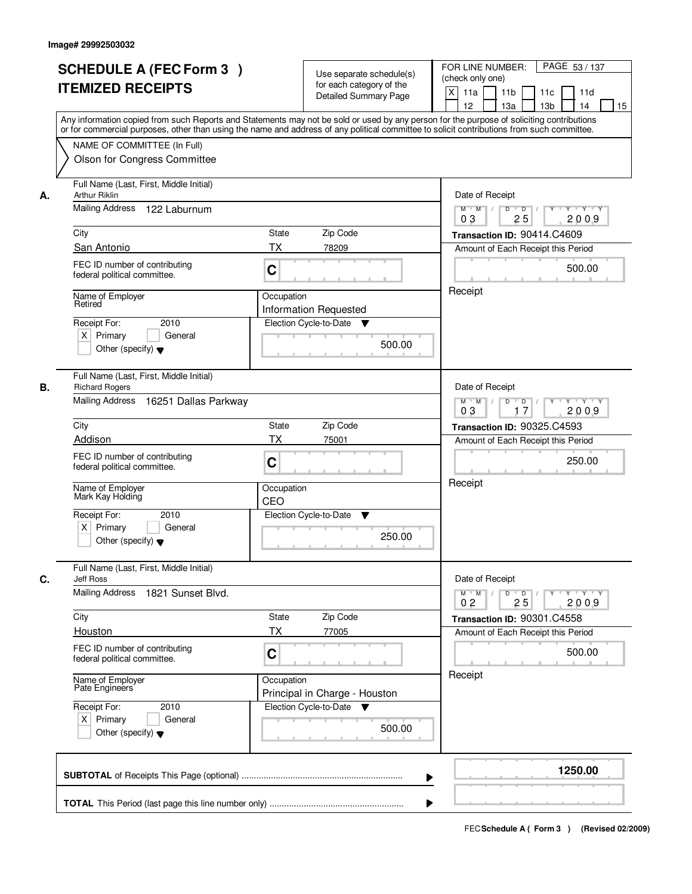| State<br>Zip Code<br>ТX<br>78209<br>C<br>Occupation<br><b>Information Requested</b><br>Election Cycle-to-Date<br>▼<br>500.00<br>Zip Code<br><b>State</b><br><b>TX</b><br>75001<br>C<br>Occupation<br>CEO | 12<br>13 <sub>b</sub><br>13a<br>14<br>15<br>Any information copied from such Reports and Statements may not be sold or used by any person for the purpose of soliciting contributions<br>or for commercial purposes, other than using the name and address of any political committee to solicit contributions from such committee.<br>Date of Receipt<br>$D$ $D$ $I$<br>$Y^+$<br>Y Y Y Y<br>$M$ $M$ /<br>0 <sub>3</sub><br>25<br>2009<br>Transaction ID: 90414.C4609<br>Amount of Each Receipt this Period<br>500.00<br>Receipt<br>Date of Receipt<br>$Y - Y - Y$<br>$M$ $M$ /<br>D<br>$\overline{D}$<br>2009<br>03<br>17<br>Transaction ID: 90325.C4593<br>Amount of Each Receipt this Period<br>250.00<br>Receipt |  |
|----------------------------------------------------------------------------------------------------------------------------------------------------------------------------------------------------------|----------------------------------------------------------------------------------------------------------------------------------------------------------------------------------------------------------------------------------------------------------------------------------------------------------------------------------------------------------------------------------------------------------------------------------------------------------------------------------------------------------------------------------------------------------------------------------------------------------------------------------------------------------------------------------------------------------------------|--|
|                                                                                                                                                                                                          |                                                                                                                                                                                                                                                                                                                                                                                                                                                                                                                                                                                                                                                                                                                      |  |
|                                                                                                                                                                                                          |                                                                                                                                                                                                                                                                                                                                                                                                                                                                                                                                                                                                                                                                                                                      |  |
|                                                                                                                                                                                                          |                                                                                                                                                                                                                                                                                                                                                                                                                                                                                                                                                                                                                                                                                                                      |  |
|                                                                                                                                                                                                          |                                                                                                                                                                                                                                                                                                                                                                                                                                                                                                                                                                                                                                                                                                                      |  |
|                                                                                                                                                                                                          |                                                                                                                                                                                                                                                                                                                                                                                                                                                                                                                                                                                                                                                                                                                      |  |
|                                                                                                                                                                                                          |                                                                                                                                                                                                                                                                                                                                                                                                                                                                                                                                                                                                                                                                                                                      |  |
|                                                                                                                                                                                                          |                                                                                                                                                                                                                                                                                                                                                                                                                                                                                                                                                                                                                                                                                                                      |  |
|                                                                                                                                                                                                          |                                                                                                                                                                                                                                                                                                                                                                                                                                                                                                                                                                                                                                                                                                                      |  |
|                                                                                                                                                                                                          |                                                                                                                                                                                                                                                                                                                                                                                                                                                                                                                                                                                                                                                                                                                      |  |
|                                                                                                                                                                                                          |                                                                                                                                                                                                                                                                                                                                                                                                                                                                                                                                                                                                                                                                                                                      |  |
|                                                                                                                                                                                                          |                                                                                                                                                                                                                                                                                                                                                                                                                                                                                                                                                                                                                                                                                                                      |  |
|                                                                                                                                                                                                          |                                                                                                                                                                                                                                                                                                                                                                                                                                                                                                                                                                                                                                                                                                                      |  |
|                                                                                                                                                                                                          |                                                                                                                                                                                                                                                                                                                                                                                                                                                                                                                                                                                                                                                                                                                      |  |
|                                                                                                                                                                                                          |                                                                                                                                                                                                                                                                                                                                                                                                                                                                                                                                                                                                                                                                                                                      |  |
|                                                                                                                                                                                                          |                                                                                                                                                                                                                                                                                                                                                                                                                                                                                                                                                                                                                                                                                                                      |  |
| Election Cycle-to-Date<br>v<br>250.00                                                                                                                                                                    |                                                                                                                                                                                                                                                                                                                                                                                                                                                                                                                                                                                                                                                                                                                      |  |
|                                                                                                                                                                                                          | Date of Receipt                                                                                                                                                                                                                                                                                                                                                                                                                                                                                                                                                                                                                                                                                                      |  |
| <b>Jeff Ross</b><br>Mailing Address<br>1821 Sunset Blvd.                                                                                                                                                 |                                                                                                                                                                                                                                                                                                                                                                                                                                                                                                                                                                                                                                                                                                                      |  |
| Zip Code                                                                                                                                                                                                 | Transaction ID: 90301.C4558                                                                                                                                                                                                                                                                                                                                                                                                                                                                                                                                                                                                                                                                                          |  |
|                                                                                                                                                                                                          | Amount of Each Receipt this Period                                                                                                                                                                                                                                                                                                                                                                                                                                                                                                                                                                                                                                                                                   |  |
|                                                                                                                                                                                                          | 500.00                                                                                                                                                                                                                                                                                                                                                                                                                                                                                                                                                                                                                                                                                                               |  |
|                                                                                                                                                                                                          | Receipt                                                                                                                                                                                                                                                                                                                                                                                                                                                                                                                                                                                                                                                                                                              |  |
| v<br>500.00                                                                                                                                                                                              |                                                                                                                                                                                                                                                                                                                                                                                                                                                                                                                                                                                                                                                                                                                      |  |
|                                                                                                                                                                                                          | 1250.00                                                                                                                                                                                                                                                                                                                                                                                                                                                                                                                                                                                                                                                                                                              |  |
|                                                                                                                                                                                                          | State<br>ТX<br>77005<br>C<br>Occupation<br>Principal in Charge - Houston<br>Election Cycle-to-Date                                                                                                                                                                                                                                                                                                                                                                                                                                                                                                                                                                                                                   |  |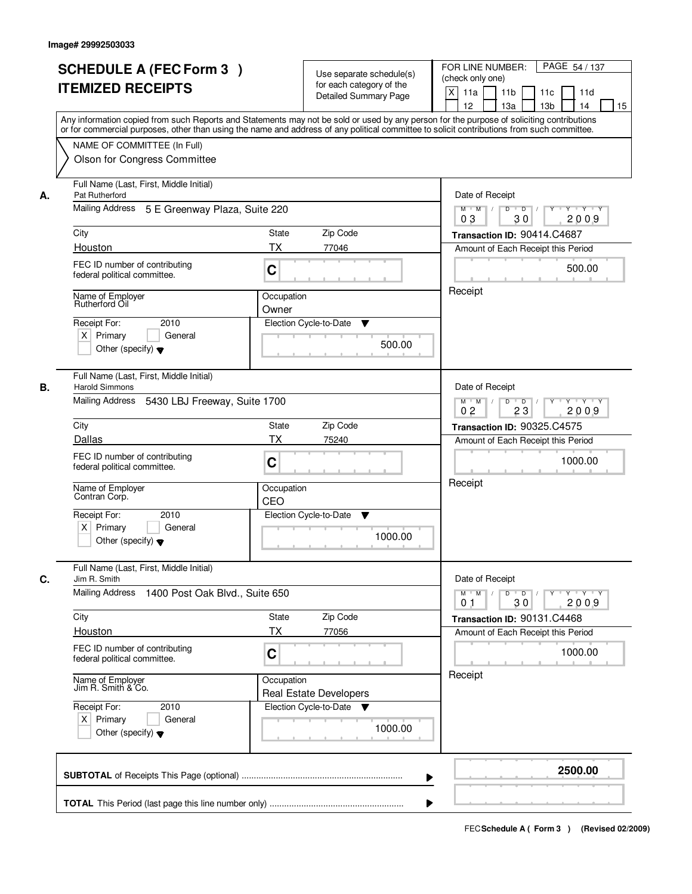| <b>SCHEDULE A (FEC Form 3)</b><br><b>ITEMIZED RECEIPTS</b>                                |                                               | Use separate schedule(s)<br>for each category of the<br><b>Detailed Summary Page</b> | PAGE 54 / 137<br>FOR LINE NUMBER:<br>(check only one)<br>X<br>11 <sub>b</sub><br>11a<br>11 <sub>c</sub><br>11d<br>12<br>13 <sub>b</sub><br>14<br>13a<br>15<br>Any information copied from such Reports and Statements may not be sold or used by any person for the purpose of soliciting contributions |
|-------------------------------------------------------------------------------------------|-----------------------------------------------|--------------------------------------------------------------------------------------|---------------------------------------------------------------------------------------------------------------------------------------------------------------------------------------------------------------------------------------------------------------------------------------------------------|
| NAME OF COMMITTEE (In Full)<br>Olson for Congress Committee                               |                                               |                                                                                      | or for commercial purposes, other than using the name and address of any political committee to solicit contributions from such committee.                                                                                                                                                              |
| Full Name (Last, First, Middle Initial)<br>Pat Rutherford<br>А.                           | Mailing Address 5 E Greenway Plaza, Suite 220 | Date of Receipt<br>$D$ $D$<br>$Y - Y - Y - Y$<br>$M$ $M$ /<br>Y                      |                                                                                                                                                                                                                                                                                                         |
|                                                                                           |                                               | 0 <sub>3</sub><br>30<br>2009                                                         |                                                                                                                                                                                                                                                                                                         |
| City                                                                                      | <b>State</b>                                  | Zip Code                                                                             | Transaction ID: 90414.C4687                                                                                                                                                                                                                                                                             |
| Houston                                                                                   | <b>TX</b>                                     | 77046                                                                                | Amount of Each Receipt this Period                                                                                                                                                                                                                                                                      |
| FEC ID number of contributing<br>federal political committee.                             | C                                             |                                                                                      | 500.00                                                                                                                                                                                                                                                                                                  |
| Name of Employer<br>Rutherford Oil                                                        | Occupation                                    |                                                                                      | Receipt                                                                                                                                                                                                                                                                                                 |
|                                                                                           | Owner                                         |                                                                                      |                                                                                                                                                                                                                                                                                                         |
| Receipt For:<br>$X$ Primary<br>Other (specify) $\blacktriangledown$                       | 2010<br>General                               | Election Cycle-to-Date<br>▼<br>500.00                                                |                                                                                                                                                                                                                                                                                                         |
| Full Name (Last, First, Middle Initial)<br><b>Harold Simmons</b><br>В.<br>Mailing Address | 5430 LBJ Freeway, Suite 1700                  |                                                                                      | Date of Receipt<br>$M$ $M$ /<br>D<br>$\overline{\phantom{0}}$ D<br>Y 'Y 'Y                                                                                                                                                                                                                              |
|                                                                                           |                                               | 0 <sub>2</sub><br>23<br>2009                                                         |                                                                                                                                                                                                                                                                                                         |
| City                                                                                      | State                                         | Zip Code                                                                             | <b>Transaction ID: 90325.C4575</b>                                                                                                                                                                                                                                                                      |
| Dallas<br>FEC ID number of contributing<br>federal political committee.                   | <b>TX</b><br>C                                | 75240                                                                                | Amount of Each Receipt this Period<br>1000.00                                                                                                                                                                                                                                                           |
| Name of Employer<br>Contran Corp.                                                         | Occupation<br>CEO                             |                                                                                      | Receipt                                                                                                                                                                                                                                                                                                 |
| Receipt For:<br>$X$ Primary<br>Other (specify) $\blacktriangledown$                       | 2010<br>General                               | Election Cycle-to-Date<br>▼<br>1000.00                                               |                                                                                                                                                                                                                                                                                                         |
| Full Name (Last, First, Middle Initial)<br>C.<br>Jim R. Smith<br>Mailing Address          | 1400 Post Oak Blvd., Suite 650                |                                                                                      | Date of Receipt<br>$M$ $M$<br>$D$ $D$ $/$<br>$Y$ <sup>U</sup><br>Y 'Y 'Y<br>30<br>2009<br>01                                                                                                                                                                                                            |
| City                                                                                      | State                                         | Zip Code                                                                             | Transaction ID: 90131.C4468                                                                                                                                                                                                                                                                             |
| Houston                                                                                   | ТX                                            | 77056                                                                                | Amount of Each Receipt this Period                                                                                                                                                                                                                                                                      |
| FEC ID number of contributing<br>federal political committee.                             | C                                             |                                                                                      | 1000.00                                                                                                                                                                                                                                                                                                 |
| Name of Employer<br>Jim R. Smith & Co.                                                    | Occupation                                    | <b>Real Estate Developers</b>                                                        | Receipt                                                                                                                                                                                                                                                                                                 |
| Receipt For:<br>$X$ Primary<br>Other (specify) $\blacktriangledown$                       | 2010<br>General                               | Election Cycle-to-Date<br>1000.00                                                    |                                                                                                                                                                                                                                                                                                         |
|                                                                                           |                                               |                                                                                      | 2500.00                                                                                                                                                                                                                                                                                                 |
|                                                                                           |                                               |                                                                                      |                                                                                                                                                                                                                                                                                                         |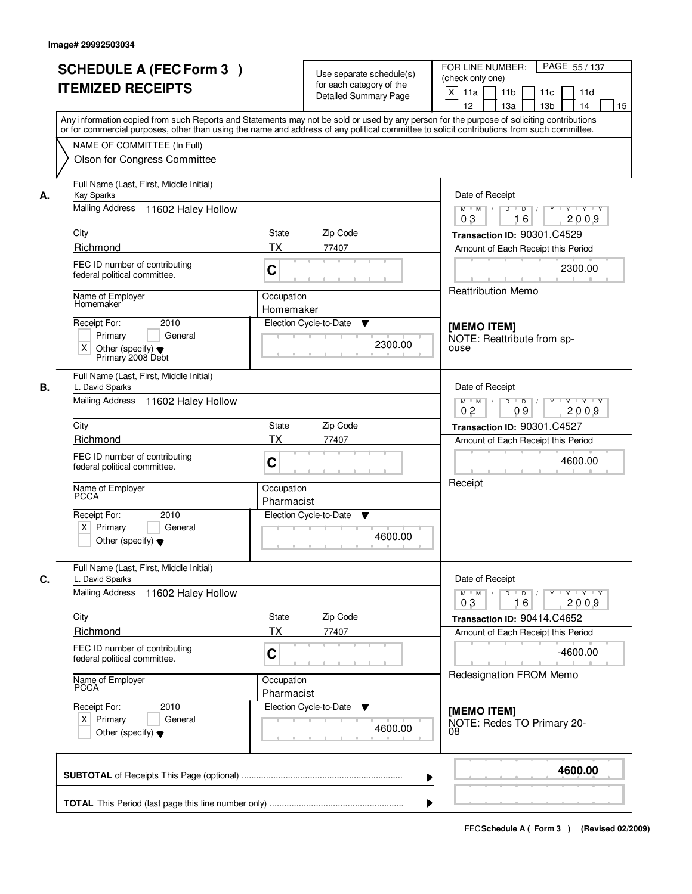|    | <b>SCHEDULE A (FEC Form 3)</b><br><b>ITEMIZED RECEIPTS</b>                                                                                                                                                                                                                                                                                             | Use separate schedule(s)<br>for each category of the<br><b>Detailed Summary Page</b> | PAGE 55 / 137<br>FOR LINE NUMBER:<br>(check only one)<br>X<br>11a<br>11 <sub>b</sub><br>11c<br>11d<br>12<br>13a<br>13 <sub>b</sub><br>14<br>15 |
|----|--------------------------------------------------------------------------------------------------------------------------------------------------------------------------------------------------------------------------------------------------------------------------------------------------------------------------------------------------------|--------------------------------------------------------------------------------------|------------------------------------------------------------------------------------------------------------------------------------------------|
|    | Any information copied from such Reports and Statements may not be sold or used by any person for the purpose of soliciting contributions<br>or for commercial purposes, other than using the name and address of any political committee to solicit contributions from such committee.<br>NAME OF COMMITTEE (In Full)<br>Olson for Congress Committee |                                                                                      |                                                                                                                                                |
| А. | Full Name (Last, First, Middle Initial)<br><b>Kay Sparks</b><br>Mailing Address 11602 Haley Hollow                                                                                                                                                                                                                                                     | Date of Receipt<br>$Y + Y + Y$<br>$M$ $M$ /<br>D<br>$\overline{D}$<br>Y              |                                                                                                                                                |
|    |                                                                                                                                                                                                                                                                                                                                                        | 16<br>2009<br>03                                                                     |                                                                                                                                                |
|    | City                                                                                                                                                                                                                                                                                                                                                   | State<br>Zip Code                                                                    | Transaction ID: 90301.C4529                                                                                                                    |
|    | Richmond<br>FEC ID number of contributing<br>federal political committee.                                                                                                                                                                                                                                                                              | ТX<br>77407<br>C                                                                     | Amount of Each Receipt this Period<br>2300.00                                                                                                  |
|    | Name of Employer<br>Homemaker                                                                                                                                                                                                                                                                                                                          | <b>Reattribution Memo</b>                                                            |                                                                                                                                                |
|    | Receipt For:<br>2010<br>Primary<br>General<br>X<br>Other (specify) $\blacktriangledown$<br>Primary 2008 Debt                                                                                                                                                                                                                                           | Election Cycle-to-Date<br>▼<br>2300.00                                               | [MEMO ITEM]<br>NOTE: Reattribute from sp-<br>ouse                                                                                              |
| В. | Full Name (Last, First, Middle Initial)<br>L. David Sparks<br>Mailing Address<br>11602 Haley Hollow                                                                                                                                                                                                                                                    |                                                                                      | Date of Receipt<br>D<br>$Y \vdash Y \vdash Y$<br>$M$ $M$ /<br>$\overline{D}$<br>Y<br>0 <sub>2</sub><br>09<br>2009                              |
|    | City                                                                                                                                                                                                                                                                                                                                                   | Zip Code<br><b>State</b>                                                             | Transaction ID: 90301.C4527                                                                                                                    |
|    | Richmond                                                                                                                                                                                                                                                                                                                                               | <b>TX</b><br>77407                                                                   | Amount of Each Receipt this Period                                                                                                             |
|    | FEC ID number of contributing<br>federal political committee.                                                                                                                                                                                                                                                                                          | C                                                                                    | 4600.00                                                                                                                                        |
|    | Name of Employer<br><b>PCCA</b>                                                                                                                                                                                                                                                                                                                        | Occupation<br>Pharmacist                                                             | Receipt                                                                                                                                        |
|    | Receipt For:<br>2010<br>$X$ Primary<br>General<br>Other (specify) $\blacktriangledown$                                                                                                                                                                                                                                                                 | Election Cycle-to-Date<br>v<br>4600.00                                               |                                                                                                                                                |
| C. | Full Name (Last, First, Middle Initial)<br>L. David Sparks                                                                                                                                                                                                                                                                                             |                                                                                      | Date of Receipt                                                                                                                                |
|    | Mailing Address<br>11602 Haley Hollow                                                                                                                                                                                                                                                                                                                  | $D$ $D$ $/$<br>$Y \rightarrow Y \rightarrow Y$<br>$M^+$ M<br>2009<br>03<br>16        |                                                                                                                                                |
|    | City                                                                                                                                                                                                                                                                                                                                                   | Zip Code<br>State                                                                    | Transaction ID: 90414.C4652                                                                                                                    |
|    | Richmond<br>FEC ID number of contributing<br>federal political committee.                                                                                                                                                                                                                                                                              | <b>TX</b><br>77407<br>C                                                              | Amount of Each Receipt this Period<br>$-4600.00$                                                                                               |
|    | Name of Employer<br>PCCA                                                                                                                                                                                                                                                                                                                               | Occupation<br>Pharmacist                                                             | Redesignation FROM Memo                                                                                                                        |
|    | Receipt For:<br>2010<br>$X$ Primary<br>General<br>Other (specify) $\blacktriangledown$                                                                                                                                                                                                                                                                 | Election Cycle-to-Date<br>▼<br>4600.00                                               | [MEMO ITEM]<br>NOTE: Redes TO Primary 20-<br>08                                                                                                |
|    |                                                                                                                                                                                                                                                                                                                                                        |                                                                                      | 4600.00                                                                                                                                        |
|    |                                                                                                                                                                                                                                                                                                                                                        |                                                                                      |                                                                                                                                                |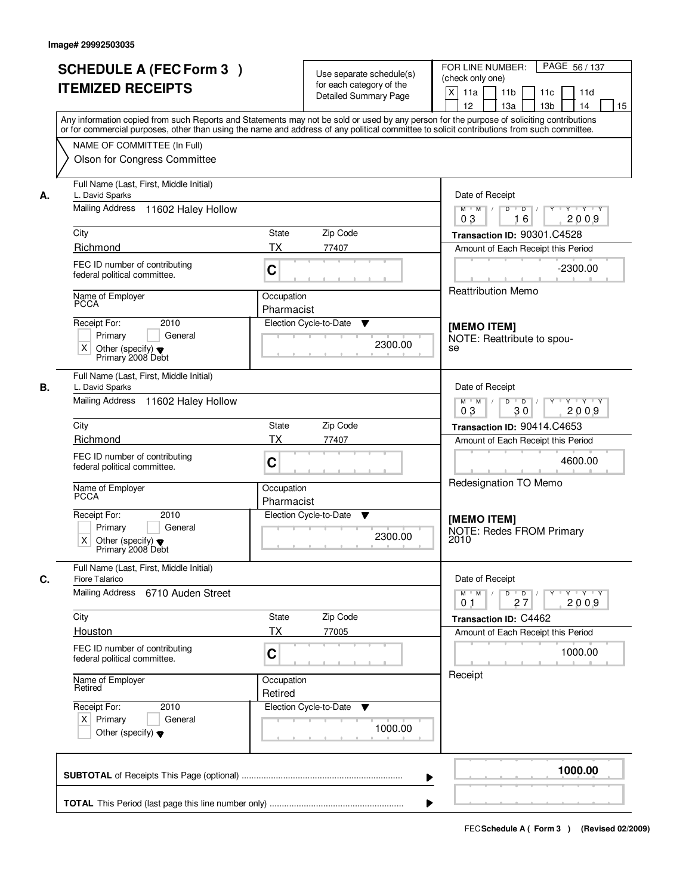|    | <b>SCHEDULE A (FEC Form 3)</b>                                                                                                                                                                                                                                                          |                                                                                         |                                                      | PAGE 56/137<br>FOR LINE NUMBER:                                     |  |
|----|-----------------------------------------------------------------------------------------------------------------------------------------------------------------------------------------------------------------------------------------------------------------------------------------|-----------------------------------------------------------------------------------------|------------------------------------------------------|---------------------------------------------------------------------|--|
|    |                                                                                                                                                                                                                                                                                         |                                                                                         | Use separate schedule(s)<br>for each category of the | (check only one)                                                    |  |
|    | <b>ITEMIZED RECEIPTS</b>                                                                                                                                                                                                                                                                |                                                                                         | <b>Detailed Summary Page</b>                         | $\mathsf{X}$<br>11 <sub>b</sub><br>11a<br>11c<br>11d                |  |
|    |                                                                                                                                                                                                                                                                                         |                                                                                         |                                                      | 12<br>13a<br>13 <sub>b</sub><br>14<br>15                            |  |
|    | Any information copied from such Reports and Statements may not be sold or used by any person for the purpose of soliciting contributions<br>or for commercial purposes, other than using the name and address of any political committee to solicit contributions from such committee. |                                                                                         |                                                      |                                                                     |  |
|    | NAME OF COMMITTEE (In Full)                                                                                                                                                                                                                                                             |                                                                                         |                                                      |                                                                     |  |
|    | Olson for Congress Committee                                                                                                                                                                                                                                                            |                                                                                         |                                                      |                                                                     |  |
| А. | Full Name (Last, First, Middle Initial)<br>L. David Sparks                                                                                                                                                                                                                              | Date of Receipt                                                                         |                                                      |                                                                     |  |
|    | Mailing Address 11602 Haley Hollow                                                                                                                                                                                                                                                      | $\blacksquare$ D $\blacksquare$ /<br>Y Y Y Y<br>$M$ $M$ /<br>D<br>Y<br>16<br>2009<br>03 |                                                      |                                                                     |  |
|    | City                                                                                                                                                                                                                                                                                    | <b>State</b>                                                                            | Zip Code                                             | Transaction ID: 90301.C4528                                         |  |
|    | Richmond                                                                                                                                                                                                                                                                                | <b>TX</b>                                                                               | 77407                                                | Amount of Each Receipt this Period                                  |  |
|    | FEC ID number of contributing<br>federal political committee.                                                                                                                                                                                                                           | C                                                                                       |                                                      | $-2300.00$                                                          |  |
|    | Name of Employer                                                                                                                                                                                                                                                                        | Occupation                                                                              |                                                      | Reattribution Memo                                                  |  |
|    | <b>PCCA</b>                                                                                                                                                                                                                                                                             | Pharmacist                                                                              |                                                      |                                                                     |  |
|    | 2010<br>Receipt For:                                                                                                                                                                                                                                                                    |                                                                                         | Election Cycle-to-Date<br>▼                          | [MEMO ITEM]                                                         |  |
|    | Primary<br>General                                                                                                                                                                                                                                                                      |                                                                                         |                                                      | NOTE: Reattribute to spou-                                          |  |
|    | $\times$<br>Other (specify) $\blacktriangledown$<br>Primary 2008 Debt                                                                                                                                                                                                                   |                                                                                         | 2300.00                                              | se                                                                  |  |
| В. | Full Name (Last, First, Middle Initial)<br>L. David Sparks                                                                                                                                                                                                                              |                                                                                         |                                                      | Date of Receipt                                                     |  |
|    | Mailing Address 11602 Haley Hollow                                                                                                                                                                                                                                                      |                                                                                         |                                                      | $M$ $M$ /<br>D<br>$\overline{D}$ /<br>Y Y Y Y Y<br>03<br>30<br>2009 |  |
|    | City                                                                                                                                                                                                                                                                                    | <b>State</b>                                                                            | Zip Code                                             | Transaction ID: 90414.C4653                                         |  |
|    | Richmond                                                                                                                                                                                                                                                                                | <b>TX</b>                                                                               | 77407                                                | Amount of Each Receipt this Period                                  |  |
|    | FEC ID number of contributing<br>federal political committee.                                                                                                                                                                                                                           | C                                                                                       |                                                      | 4600.00                                                             |  |
|    | Name of Employer<br><b>PCCA</b>                                                                                                                                                                                                                                                         | Occupation<br>Pharmacist                                                                |                                                      | Redesignation TO Memo                                               |  |
|    | Receipt For:<br>2010                                                                                                                                                                                                                                                                    |                                                                                         | Election Cycle-to-Date<br>$\blacktriangledown$       | [MEMO ITEM]                                                         |  |
|    | Primary<br>General<br>$\times$<br>Other (specify) $\blacktriangledown$                                                                                                                                                                                                                  |                                                                                         | 2300.00                                              | <b>NOTE: Redes FROM Primary</b><br>2010                             |  |
|    | Primary 2008 Debt<br>Full Name (Last, First, Middle Initial)                                                                                                                                                                                                                            |                                                                                         |                                                      |                                                                     |  |
| C. | Fiore Talarico                                                                                                                                                                                                                                                                          |                                                                                         |                                                      | Date of Receipt                                                     |  |
|    | Mailing Address<br>6710 Auden Street                                                                                                                                                                                                                                                    | $D \quad D \quad   \quad /$<br>$M = M$<br>$Y - Y - Y - Y$<br>Y<br>2009<br>27<br>01      |                                                      |                                                                     |  |
|    | City                                                                                                                                                                                                                                                                                    | State                                                                                   | Zip Code                                             | Transaction ID: C4462                                               |  |
|    | Houston                                                                                                                                                                                                                                                                                 | <b>TX</b>                                                                               | 77005                                                | Amount of Each Receipt this Period                                  |  |
|    | FEC ID number of contributing<br>federal political committee.                                                                                                                                                                                                                           | C                                                                                       |                                                      | 1000.00                                                             |  |
|    | Name of Employer<br>Retired                                                                                                                                                                                                                                                             | Occupation<br>Retired                                                                   |                                                      | Receipt                                                             |  |
|    | Receipt For:<br>2010                                                                                                                                                                                                                                                                    |                                                                                         | Election Cycle-to-Date<br>v                          |                                                                     |  |
|    | $X$ Primary<br>General<br>Other (specify) $\blacktriangledown$                                                                                                                                                                                                                          |                                                                                         | 1000.00                                              |                                                                     |  |
|    |                                                                                                                                                                                                                                                                                         |                                                                                         |                                                      | 1000.00                                                             |  |
|    |                                                                                                                                                                                                                                                                                         |                                                                                         |                                                      | ▶                                                                   |  |
|    |                                                                                                                                                                                                                                                                                         |                                                                                         |                                                      |                                                                     |  |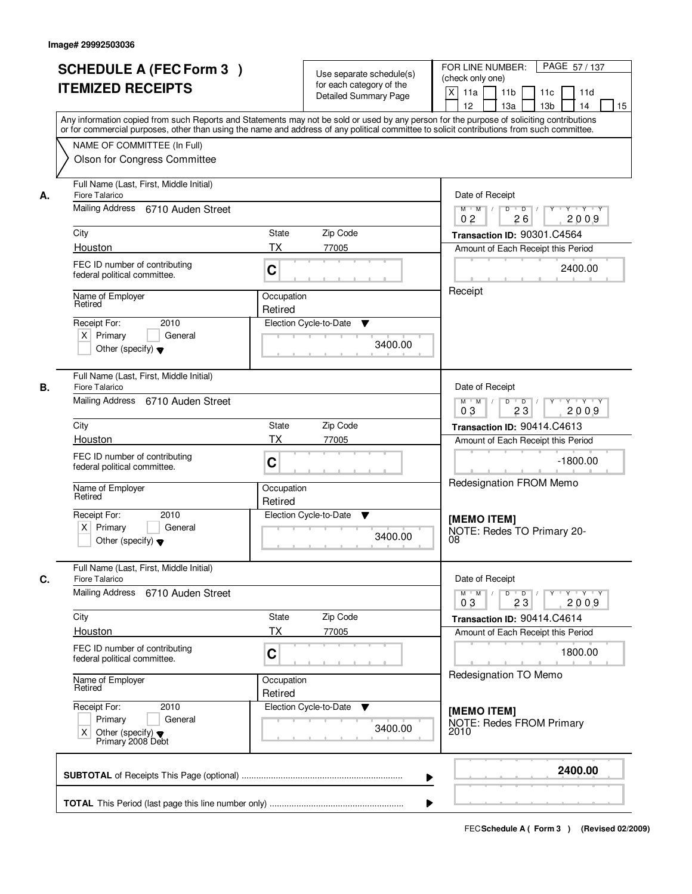|    | <b>SCHEDULE A (FEC Form 3)</b><br><b>ITEMIZED RECEIPTS</b>                                                   | Use separate schedule(s)<br>for each category of the<br><b>Detailed Summary Page</b><br>Any information copied from such Reports and Statements may not be sold or used by any person for the purpose of soliciting contributions | PAGE 57/137<br>FOR LINE NUMBER:<br>(check only one)<br>$\mathsf{X}$<br>11 <sub>b</sub><br>11a<br>11c<br>11d<br>13 <sub>b</sub><br>14<br>12 <sup>2</sup><br>13a<br>15 |
|----|--------------------------------------------------------------------------------------------------------------|-----------------------------------------------------------------------------------------------------------------------------------------------------------------------------------------------------------------------------------|----------------------------------------------------------------------------------------------------------------------------------------------------------------------|
|    | NAME OF COMMITTEE (In Full)<br>Olson for Congress Committee                                                  | or for commercial purposes, other than using the name and address of any political committee to solicit contributions from such committee.                                                                                        |                                                                                                                                                                      |
| А. | Full Name (Last, First, Middle Initial)<br>Fiore Talarico                                                    |                                                                                                                                                                                                                                   | Date of Receipt                                                                                                                                                      |
|    | Mailing Address 6710 Auden Street                                                                            | $Y + Y + Y$<br>$D$ $D$ $I$<br>Y<br>$M$ $M$ /<br>0 <sub>2</sub><br>2009<br>26                                                                                                                                                      |                                                                                                                                                                      |
|    | City                                                                                                         | State<br>Zip Code                                                                                                                                                                                                                 | Transaction ID: 90301.C4564                                                                                                                                          |
|    | Houston                                                                                                      | <b>TX</b><br>77005                                                                                                                                                                                                                | Amount of Each Receipt this Period                                                                                                                                   |
|    | FEC ID number of contributing<br>federal political committee.                                                | C                                                                                                                                                                                                                                 | 2400.00                                                                                                                                                              |
|    | Name of Employer<br>Retired                                                                                  | Receipt                                                                                                                                                                                                                           |                                                                                                                                                                      |
|    | 2010<br>Receipt For:                                                                                         | Retired<br>Election Cycle-to-Date<br>▼                                                                                                                                                                                            |                                                                                                                                                                      |
|    | $X$ Primary<br>General                                                                                       |                                                                                                                                                                                                                                   |                                                                                                                                                                      |
|    | Other (specify) $\blacktriangledown$                                                                         | 3400.00                                                                                                                                                                                                                           |                                                                                                                                                                      |
| В. | Full Name (Last, First, Middle Initial)<br>Fiore Talarico                                                    | Date of Receipt                                                                                                                                                                                                                   |                                                                                                                                                                      |
|    | Mailing Address 6710 Auden Street                                                                            | $Y - Y - Y$<br>$M$ $M$ /<br>D<br>$\overline{D}$<br>03<br>23<br>2009                                                                                                                                                               |                                                                                                                                                                      |
|    | City                                                                                                         | Zip Code<br><b>State</b>                                                                                                                                                                                                          | Transaction ID: 90414.C4613                                                                                                                                          |
|    | Houston                                                                                                      | <b>TX</b><br>77005                                                                                                                                                                                                                | Amount of Each Receipt this Period                                                                                                                                   |
|    | FEC ID number of contributing<br>federal political committee.                                                | C                                                                                                                                                                                                                                 | $-1800.00$                                                                                                                                                           |
|    | Name of Employer<br>Retired                                                                                  | Occupation<br>Retired                                                                                                                                                                                                             | Redesignation FROM Memo                                                                                                                                              |
|    | Receipt For:<br>2010<br>$X$ Primary<br>General<br>Other (specify) $\blacktriangledown$                       | Election Cycle-to-Date<br>v<br>3400.00                                                                                                                                                                                            | [MEMO ITEM]<br>NOTE: Redes TO Primary 20-<br>08                                                                                                                      |
| C. | Full Name (Last, First, Middle Initial)<br><b>Fiore Talarico</b>                                             |                                                                                                                                                                                                                                   | Date of Receipt                                                                                                                                                      |
|    | Mailing Address 6710 Auden Street                                                                            | $M$ $M$<br>$D$ $D$ $/$<br>$\begin{array}{cccccccccc} &\mathsf{Y} &\mathsf{I} &\mathsf{Y} &\mathsf{I} &\mathsf{Y} &\mathsf{I} &\mathsf{Y}\end{array}$<br>03<br>23<br>2009                                                          |                                                                                                                                                                      |
|    | City                                                                                                         | Zip Code<br>State                                                                                                                                                                                                                 | Transaction ID: 90414.C4614                                                                                                                                          |
|    | Houston                                                                                                      | ТX<br>77005                                                                                                                                                                                                                       | Amount of Each Receipt this Period                                                                                                                                   |
|    | FEC ID number of contributing<br>federal political committee.                                                | C                                                                                                                                                                                                                                 | 1800.00                                                                                                                                                              |
|    | Name of Employer<br>Retired                                                                                  | Occupation<br>Retired                                                                                                                                                                                                             | Redesignation TO Memo                                                                                                                                                |
|    | Receipt For:<br>2010<br>Primary<br>General<br>Other (specify) $\blacktriangledown$<br>X<br>Primary 2008 Debt | Election Cycle-to-Date ▼<br>3400.00                                                                                                                                                                                               | [MEMO ITEM]<br><b>NOTE: Redes FROM Primary</b><br>2010                                                                                                               |
|    |                                                                                                              |                                                                                                                                                                                                                                   | 2400.00                                                                                                                                                              |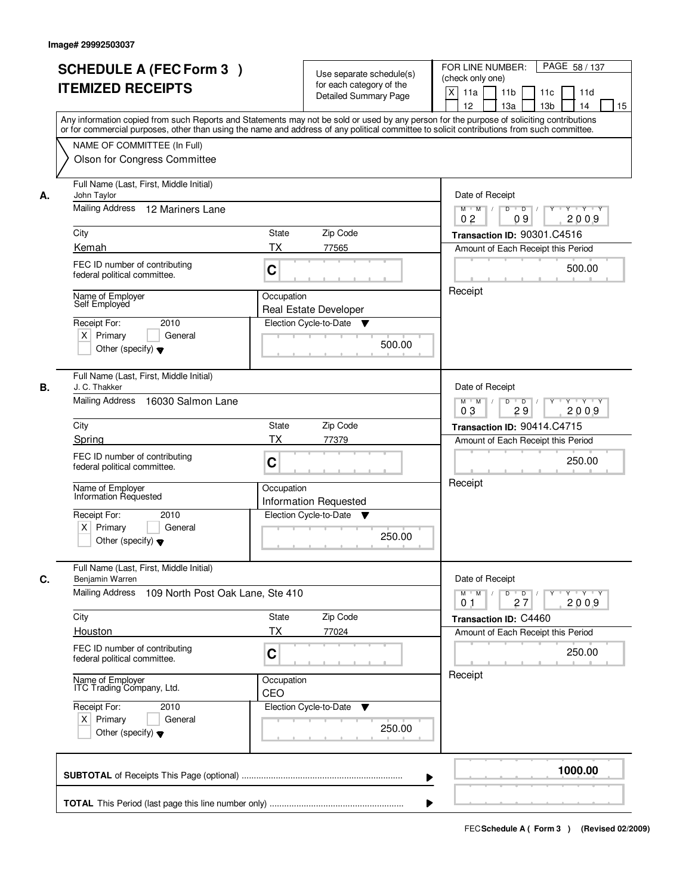|    | <b>SCHEDULE A (FEC Form 3)</b><br><b>ITEMIZED RECEIPTS</b><br>Any information copied from such Reports and Statements may not be sold or used by any person for the purpose of soliciting contributions<br>or for commercial purposes, other than using the name and address of any political committee to solicit contributions from such committee. |                   | Use separate schedule(s)<br>for each category of the<br><b>Detailed Summary Page</b> | PAGE 58 / 137<br>FOR LINE NUMBER:<br>(check only one)<br>X<br>11a<br>11 <sub>b</sub><br>11c<br>11d<br>12<br>13 <sub>b</sub><br>13a<br>14<br>15 |
|----|-------------------------------------------------------------------------------------------------------------------------------------------------------------------------------------------------------------------------------------------------------------------------------------------------------------------------------------------------------|-------------------|--------------------------------------------------------------------------------------|------------------------------------------------------------------------------------------------------------------------------------------------|
|    | NAME OF COMMITTEE (In Full)<br>Olson for Congress Committee                                                                                                                                                                                                                                                                                           |                   |                                                                                      |                                                                                                                                                |
| А. | Full Name (Last, First, Middle Initial)<br>John Taylor<br><b>Mailing Address</b><br>12 Mariners Lane                                                                                                                                                                                                                                                  |                   |                                                                                      | Date of Receipt<br>$D$ $D$ $1$<br>$\overline{Y}$<br>Y Y Y Y<br>$M$ $M$ /<br>0 <sub>2</sub><br>09<br>2009                                       |
|    | City                                                                                                                                                                                                                                                                                                                                                  | State             | Zip Code                                                                             | Transaction ID: 90301.C4516                                                                                                                    |
|    | Kemah                                                                                                                                                                                                                                                                                                                                                 | ТX                | 77565                                                                                | Amount of Each Receipt this Period                                                                                                             |
|    | FEC ID number of contributing<br>federal political committee.                                                                                                                                                                                                                                                                                         | C                 |                                                                                      | 500.00                                                                                                                                         |
|    | Name of Employer<br>Self Employed                                                                                                                                                                                                                                                                                                                     | Occupation        | <b>Real Estate Developer</b>                                                         | Receipt                                                                                                                                        |
|    | 2010<br>Receipt For:<br>$X$ Primary<br>General<br>Other (specify) $\blacktriangledown$                                                                                                                                                                                                                                                                |                   | Election Cycle-to-Date<br>▼<br>500.00                                                |                                                                                                                                                |
| В. | Full Name (Last, First, Middle Initial)<br>J. C. Thakker<br>Mailing Address 16030 Salmon Lane                                                                                                                                                                                                                                                         |                   |                                                                                      | Date of Receipt<br>$Y - Y - Y$<br>$M$ M<br>D<br>$\overline{D}$                                                                                 |
|    |                                                                                                                                                                                                                                                                                                                                                       |                   | 2009<br>03<br>29                                                                     |                                                                                                                                                |
|    | City                                                                                                                                                                                                                                                                                                                                                  | <b>State</b>      | Zip Code                                                                             | Transaction ID: 90414.C4715                                                                                                                    |
|    | Spring                                                                                                                                                                                                                                                                                                                                                | <b>TX</b>         | 77379                                                                                | Amount of Each Receipt this Period                                                                                                             |
|    | FEC ID number of contributing<br>federal political committee.                                                                                                                                                                                                                                                                                         | C                 |                                                                                      | 250.00                                                                                                                                         |
|    | Name of Employer<br>Information Requested                                                                                                                                                                                                                                                                                                             | Occupation        | <b>Information Requested</b>                                                         | Receipt                                                                                                                                        |
|    | Receipt For:<br>2010<br>$X$ Primary<br>General<br>Other (specify) $\blacktriangledown$                                                                                                                                                                                                                                                                |                   | Election Cycle-to-Date<br>▼<br>250.00                                                |                                                                                                                                                |
| C. | Full Name (Last, First, Middle Initial)<br>Benjamin Warren                                                                                                                                                                                                                                                                                            | Date of Receipt   |                                                                                      |                                                                                                                                                |
|    | Mailing Address<br>109 North Post Oak Lane, Ste 410                                                                                                                                                                                                                                                                                                   |                   |                                                                                      | $D$ $D$ $/$<br>$M$ $M$ /<br>Y<br>Y Y Y Y<br>2009<br>01<br>27                                                                                   |
|    | City                                                                                                                                                                                                                                                                                                                                                  | <b>State</b>      | Zip Code                                                                             | Transaction ID: C4460                                                                                                                          |
|    | Houston<br>FEC ID number of contributing<br>federal political committee.                                                                                                                                                                                                                                                                              | ТX<br>C           | 77024                                                                                | Amount of Each Receipt this Period<br>250.00                                                                                                   |
|    | Name of Employer<br>ITC Trading Company, Ltd.                                                                                                                                                                                                                                                                                                         | Occupation<br>CEO |                                                                                      | Receipt                                                                                                                                        |
|    | Receipt For:<br>2010<br>$X$ Primary<br>General<br>Other (specify) $\blacktriangledown$                                                                                                                                                                                                                                                                |                   | Election Cycle-to-Date<br>v<br>250.00                                                |                                                                                                                                                |
|    |                                                                                                                                                                                                                                                                                                                                                       |                   | ▶                                                                                    | 1000.00                                                                                                                                        |
|    |                                                                                                                                                                                                                                                                                                                                                       |                   |                                                                                      |                                                                                                                                                |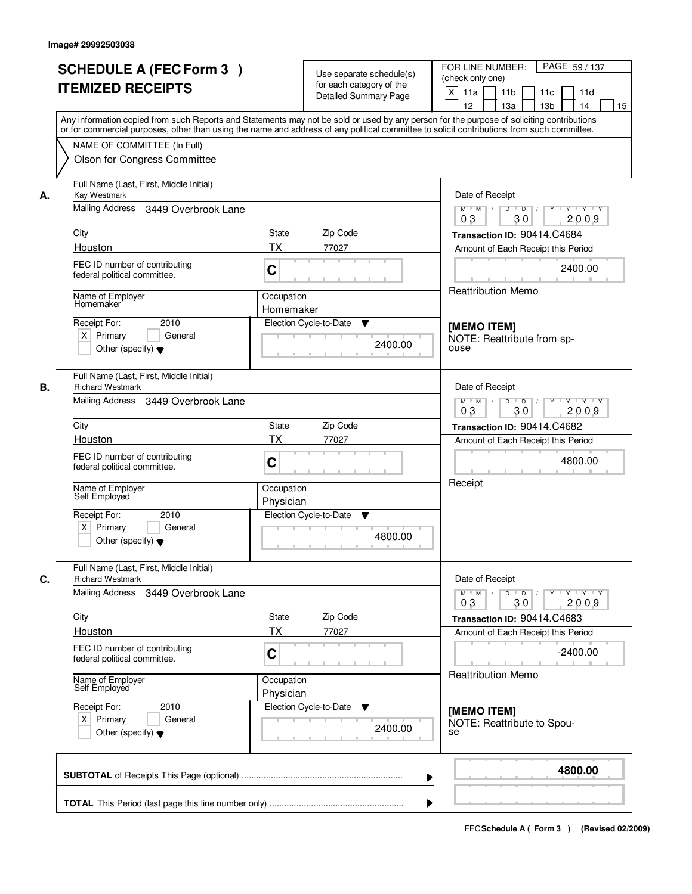|    | <b>SCHEDULE A (FEC Form 3)</b><br><b>ITEMIZED RECEIPTS</b>                                                                                                                                                                                                                                                                                             | Use separate schedule(s)<br>for each category of the<br><b>Detailed Summary Page</b> | PAGE 59 / 137<br>FOR LINE NUMBER:<br>(check only one)<br>X<br>11a<br>11 <sub>b</sub><br>11c<br>11d<br>12<br>13a<br>13 <sub>b</sub><br>14<br>15 |
|----|--------------------------------------------------------------------------------------------------------------------------------------------------------------------------------------------------------------------------------------------------------------------------------------------------------------------------------------------------------|--------------------------------------------------------------------------------------|------------------------------------------------------------------------------------------------------------------------------------------------|
|    | Any information copied from such Reports and Statements may not be sold or used by any person for the purpose of soliciting contributions<br>or for commercial purposes, other than using the name and address of any political committee to solicit contributions from such committee.<br>NAME OF COMMITTEE (In Full)<br>Olson for Congress Committee |                                                                                      |                                                                                                                                                |
| А. | Full Name (Last, First, Middle Initial)<br>Kay Westmark<br>Mailing Address<br>3449 Overbrook Lane                                                                                                                                                                                                                                                      | Date of Receipt<br>$Y + Y + Y$<br>$M$ $M$ /<br>D<br>$\overline{D}$                   |                                                                                                                                                |
|    |                                                                                                                                                                                                                                                                                                                                                        | 30<br>2009<br>03                                                                     |                                                                                                                                                |
|    | City                                                                                                                                                                                                                                                                                                                                                   | State<br>Zip Code                                                                    | Transaction ID: 90414.C4684                                                                                                                    |
|    | Houston                                                                                                                                                                                                                                                                                                                                                | ТX<br>77027                                                                          | Amount of Each Receipt this Period                                                                                                             |
|    | FEC ID number of contributing<br>federal political committee.                                                                                                                                                                                                                                                                                          | C                                                                                    | 2400.00                                                                                                                                        |
|    | Name of Employer<br>Homemaker                                                                                                                                                                                                                                                                                                                          | Occupation<br>Homemaker                                                              | <b>Reattribution Memo</b>                                                                                                                      |
|    |                                                                                                                                                                                                                                                                                                                                                        |                                                                                      |                                                                                                                                                |
|    | Receipt For:<br>2010<br>$X$ Primary<br>General<br>Other (specify) $\blacktriangledown$                                                                                                                                                                                                                                                                 | Election Cycle-to-Date<br>▼<br>2400.00                                               | [MEMO ITEM]<br>NOTE: Reattribute from sp-<br>ouse                                                                                              |
| В. | Full Name (Last, First, Middle Initial)<br><b>Richard Westmark</b>                                                                                                                                                                                                                                                                                     |                                                                                      | Date of Receipt                                                                                                                                |
|    | Mailing Address 3449 Overbrook Lane                                                                                                                                                                                                                                                                                                                    |                                                                                      | $M$ $M$ /<br>D<br>$\blacksquare$ D $\blacksquare$ /<br>Y<br>Y Y Y Y<br>03<br>30<br>2009                                                        |
|    | City                                                                                                                                                                                                                                                                                                                                                   | Zip Code<br><b>State</b>                                                             | Transaction ID: 90414.C4682                                                                                                                    |
|    | Houston                                                                                                                                                                                                                                                                                                                                                | <b>TX</b><br>77027                                                                   | Amount of Each Receipt this Period                                                                                                             |
|    | FEC ID number of contributing<br>federal political committee.                                                                                                                                                                                                                                                                                          | C                                                                                    | 4800.00                                                                                                                                        |
|    | Name of Employer<br>Self Employed                                                                                                                                                                                                                                                                                                                      | Occupation<br>Physician                                                              | Receipt                                                                                                                                        |
|    | Receipt For:<br>2010<br>$X$ Primary<br>General<br>Other (specify) $\blacktriangledown$                                                                                                                                                                                                                                                                 | Election Cycle-to-Date<br>v<br>4800.00                                               |                                                                                                                                                |
| C. | Full Name (Last, First, Middle Initial)<br><b>Richard Westmark</b>                                                                                                                                                                                                                                                                                     |                                                                                      | Date of Receipt                                                                                                                                |
|    | Mailing Address 3449 Overbrook Lane                                                                                                                                                                                                                                                                                                                    |                                                                                      | $D$ $D$ $/$<br>$Y \rightarrow Y \rightarrow Y$<br>$M^+$ M<br>$\mathbb{L}$<br><b>Y</b><br>2009<br>0 <sub>3</sub><br>30                          |
|    | City                                                                                                                                                                                                                                                                                                                                                   | Zip Code<br>State                                                                    | Transaction ID: 90414.C4683                                                                                                                    |
|    | Houston                                                                                                                                                                                                                                                                                                                                                | <b>TX</b><br>77027                                                                   | Amount of Each Receipt this Period                                                                                                             |
|    | FEC ID number of contributing<br>federal political committee.                                                                                                                                                                                                                                                                                          | C                                                                                    | $-2400.00$<br><b>Reattribution Memo</b>                                                                                                        |
|    | Name of Employer<br>Self Employed                                                                                                                                                                                                                                                                                                                      | Occupation<br>Physician                                                              |                                                                                                                                                |
|    | Receipt For:<br>2010<br>$X$ Primary<br>General<br>Other (specify) $\blacktriangledown$                                                                                                                                                                                                                                                                 | Election Cycle-to-Date<br>▼<br>2400.00                                               | [MEMO ITEM]<br>NOTE: Reattribute to Spou-<br>se                                                                                                |
|    |                                                                                                                                                                                                                                                                                                                                                        | ▶                                                                                    | 4800.00                                                                                                                                        |
|    |                                                                                                                                                                                                                                                                                                                                                        |                                                                                      |                                                                                                                                                |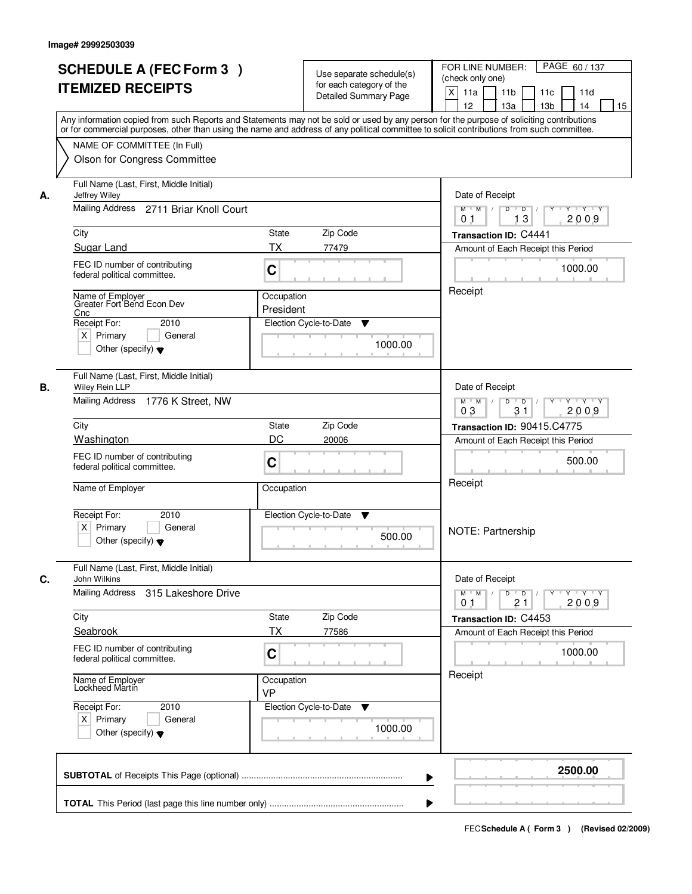|    | <b>SCHEDULE A (FEC Form 3)</b>                                                                                                             |                                                                                                   |                                                   | FOR LINE NUMBER:<br>PAGE 60 / 137                                |
|----|--------------------------------------------------------------------------------------------------------------------------------------------|---------------------------------------------------------------------------------------------------|---------------------------------------------------|------------------------------------------------------------------|
|    |                                                                                                                                            |                                                                                                   | Use separate schedule(s)                          | (check only one)                                                 |
|    | <b>ITEMIZED RECEIPTS</b>                                                                                                                   |                                                                                                   | for each category of the<br>Detailed Summary Page | $\mathsf{X}$<br>11a<br>11 <sub>b</sub><br>11d<br>11c             |
|    |                                                                                                                                            |                                                                                                   |                                                   | 12<br>13a<br>13 <sub>b</sub><br>14<br>15                         |
|    | Any information copied from such Reports and Statements may not be sold or used by any person for the purpose of soliciting contributions  |                                                                                                   |                                                   |                                                                  |
|    | or for commercial purposes, other than using the name and address of any political committee to solicit contributions from such committee. |                                                                                                   |                                                   |                                                                  |
|    | NAME OF COMMITTEE (In Full)                                                                                                                |                                                                                                   |                                                   |                                                                  |
|    | Olson for Congress Committee                                                                                                               |                                                                                                   |                                                   |                                                                  |
| А. | Full Name (Last, First, Middle Initial)<br>Jeffrey Wiley                                                                                   | Date of Receipt                                                                                   |                                                   |                                                                  |
|    | Mailing Address 2711 Briar Knoll Court                                                                                                     | D<br>$\overline{D}$<br>Y Y Y Y<br>$M$ $M$ /<br>13<br>2009<br>0 <sub>1</sub>                       |                                                   |                                                                  |
|    | City                                                                                                                                       | <b>State</b>                                                                                      | Zip Code                                          | Transaction ID: C4441                                            |
|    | Sugar Land                                                                                                                                 | <b>TX</b>                                                                                         | 77479                                             | Amount of Each Receipt this Period                               |
|    | FEC ID number of contributing                                                                                                              |                                                                                                   |                                                   | 1000.00                                                          |
|    | federal political committee.                                                                                                               | C                                                                                                 |                                                   |                                                                  |
|    | Occupation<br>Name of Employer                                                                                                             |                                                                                                   |                                                   | Receipt                                                          |
|    | Greater Fort Bend Econ Dev<br>Cnc                                                                                                          | President                                                                                         |                                                   |                                                                  |
|    | Receipt For:<br>2010                                                                                                                       |                                                                                                   | Election Cycle-to-Date<br>▼                       |                                                                  |
|    | $X$ Primary<br>General                                                                                                                     |                                                                                                   | 1000.00                                           |                                                                  |
|    | Other (specify) $\blacktriangledown$                                                                                                       |                                                                                                   |                                                   |                                                                  |
|    | Full Name (Last, First, Middle Initial)                                                                                                    |                                                                                                   |                                                   |                                                                  |
| В. | Wiley Rein LLP<br>Mailing Address 1776 K Street, NW                                                                                        |                                                                                                   |                                                   | Date of Receipt<br>$M$ $M$ /<br>D<br>$Y$ <sup>U</sup><br>Y Y Y Y |
|    |                                                                                                                                            |                                                                                                   |                                                   | $\blacksquare$ D $\blacksquare$ /<br>03<br>31<br>2009            |
|    | City                                                                                                                                       | <b>State</b>                                                                                      | Zip Code                                          | Transaction ID: 90415.C4775                                      |
|    | Washington                                                                                                                                 | DC                                                                                                | 20006                                             | Amount of Each Receipt this Period                               |
|    | FEC ID number of contributing                                                                                                              | C                                                                                                 |                                                   | 500.00                                                           |
|    | federal political committee.                                                                                                               |                                                                                                   |                                                   |                                                                  |
|    | Name of Employer                                                                                                                           | Occupation                                                                                        |                                                   | Receipt                                                          |
|    | Receipt For:<br>2010                                                                                                                       |                                                                                                   | Election Cycle-to-Date<br>v                       |                                                                  |
|    | $X$ Primary<br>General                                                                                                                     |                                                                                                   | 500.00                                            | NOTE: Partnership                                                |
|    | Other (specify) $\blacktriangledown$                                                                                                       |                                                                                                   |                                                   |                                                                  |
| C. | Full Name (Last, First, Middle Initial)<br>John Wilkins                                                                                    |                                                                                                   |                                                   | Date of Receipt                                                  |
|    | Mailing Address<br>315 Lakeshore Drive                                                                                                     | $D$ $D$ $I$<br>$M = M$<br>$Y - Y - Y - Y$<br>$Y$ <sup><math>\top</math></sup><br>2009<br>21<br>01 |                                                   |                                                                  |
|    | City                                                                                                                                       | State                                                                                             | Zip Code                                          | Transaction ID: C4453                                            |
|    | Seabrook                                                                                                                                   | <b>TX</b>                                                                                         | 77586                                             | Amount of Each Receipt this Period                               |
|    | FEC ID number of contributing                                                                                                              |                                                                                                   |                                                   |                                                                  |
|    | federal political committee.                                                                                                               | C                                                                                                 |                                                   | 1000.00                                                          |
|    | Name of Employer<br>Lockheed Martin                                                                                                        | Occupation<br>VP                                                                                  |                                                   | Receipt                                                          |
|    | Receipt For:<br>2010                                                                                                                       |                                                                                                   | Election Cycle-to-Date<br>v                       |                                                                  |
|    | $X$ Primary<br>General                                                                                                                     |                                                                                                   |                                                   |                                                                  |
|    | Other (specify) $\blacktriangledown$                                                                                                       |                                                                                                   | 1000.00                                           |                                                                  |
|    |                                                                                                                                            |                                                                                                   |                                                   |                                                                  |
|    |                                                                                                                                            |                                                                                                   |                                                   | 2500.00<br>▶                                                     |
|    |                                                                                                                                            |                                                                                                   |                                                   |                                                                  |
|    |                                                                                                                                            |                                                                                                   |                                                   |                                                                  |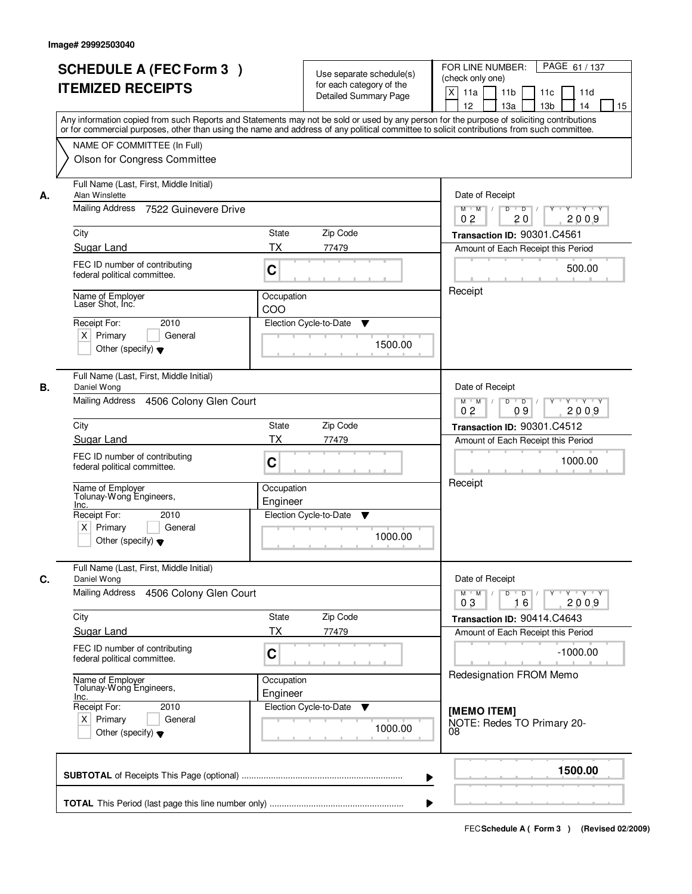|    | <b>SCHEDULE A (FEC Form 3)</b><br><b>ITEMIZED RECEIPTS</b>                                                                                    | Use separate schedule(s)<br>for each category of the<br><b>Detailed Summary Page</b><br>Any information copied from such Reports and Statements may not be sold or used by any person for the purpose of soliciting contributions<br>or for commercial purposes, other than using the name and address of any political committee to solicit contributions from such committee. | PAGE 61/137<br>FOR LINE NUMBER:<br>(check only one)<br>$\mathsf{X}$<br>11a<br>11 <sub>b</sub><br>11c<br>11d<br>12 <sup>2</sup><br>13a<br>13 <sub>b</sub><br>14<br>15                                                                                                                                                                                                                                                                               |
|----|-----------------------------------------------------------------------------------------------------------------------------------------------|---------------------------------------------------------------------------------------------------------------------------------------------------------------------------------------------------------------------------------------------------------------------------------------------------------------------------------------------------------------------------------|----------------------------------------------------------------------------------------------------------------------------------------------------------------------------------------------------------------------------------------------------------------------------------------------------------------------------------------------------------------------------------------------------------------------------------------------------|
|    | NAME OF COMMITTEE (In Full)<br>Olson for Congress Committee                                                                                   |                                                                                                                                                                                                                                                                                                                                                                                 |                                                                                                                                                                                                                                                                                                                                                                                                                                                    |
| А. | Full Name (Last, First, Middle Initial)<br>Alan Winslette<br>Mailing Address<br>7522 Guinevere Drive                                          |                                                                                                                                                                                                                                                                                                                                                                                 | Date of Receipt<br>$Y + Y + Y$<br>$D$ $D$ $1$<br>$Y$ <sup>U</sup><br>$M$ $M$ /<br>0 <sub>2</sub><br>20<br>2009                                                                                                                                                                                                                                                                                                                                     |
|    | City                                                                                                                                          | State<br>Zip Code                                                                                                                                                                                                                                                                                                                                                               | Transaction ID: 90301.C4561                                                                                                                                                                                                                                                                                                                                                                                                                        |
|    | Sugar Land                                                                                                                                    | <b>TX</b><br>77479                                                                                                                                                                                                                                                                                                                                                              | Amount of Each Receipt this Period                                                                                                                                                                                                                                                                                                                                                                                                                 |
|    | FEC ID number of contributing<br>federal political committee.                                                                                 | C                                                                                                                                                                                                                                                                                                                                                                               | 500.00                                                                                                                                                                                                                                                                                                                                                                                                                                             |
|    | Name of Employer<br>Laser Shot, Inc.<br>2010<br>Receipt For:<br>$X$ Primary<br>General<br>Other (specify) $\blacktriangledown$                | Occupation<br>COO<br>Election Cycle-to-Date<br>▼<br>1500.00                                                                                                                                                                                                                                                                                                                     | Receipt                                                                                                                                                                                                                                                                                                                                                                                                                                            |
| В. | Full Name (Last, First, Middle Initial)<br>Daniel Wong<br>Mailing Address 4506 Colony Glen Court                                              |                                                                                                                                                                                                                                                                                                                                                                                 | Date of Receipt<br>$M$ $M$ /<br>D<br>$\overline{\phantom{0}}$<br>Y 'Y 'Y<br>0 <sub>2</sub><br>09<br>2009                                                                                                                                                                                                                                                                                                                                           |
|    | City                                                                                                                                          | Zip Code<br><b>State</b>                                                                                                                                                                                                                                                                                                                                                        | Transaction ID: 90301.C4512                                                                                                                                                                                                                                                                                                                                                                                                                        |
|    | Sugar Land<br>FEC ID number of contributing<br>federal political committee.                                                                   | <b>TX</b><br>77479<br>C                                                                                                                                                                                                                                                                                                                                                         | Amount of Each Receipt this Period<br>1000.00<br>Receipt                                                                                                                                                                                                                                                                                                                                                                                           |
|    | Name of Employer<br>Tolunay-Wong Engineers,<br>Inc.<br>Receipt For:<br>2010<br>$X$ Primary<br>General<br>Other (specify) $\blacktriangledown$ | Occupation<br>Engineer<br>Election Cycle-to-Date<br>v<br>1000.00                                                                                                                                                                                                                                                                                                                |                                                                                                                                                                                                                                                                                                                                                                                                                                                    |
| C. | Full Name (Last, First, Middle Initial)<br>Daniel Wong                                                                                        |                                                                                                                                                                                                                                                                                                                                                                                 | Date of Receipt                                                                                                                                                                                                                                                                                                                                                                                                                                    |
|    | <b>Mailing Address</b><br>4506 Colony Glen Court                                                                                              |                                                                                                                                                                                                                                                                                                                                                                                 | $M$ $M$<br>$\begin{array}{c c c c c c c c} \hline \textbf{0} & \textbf{0} & \textbf{0} & \textbf{0} & \textbf{0} & \textbf{0} & \textbf{0} & \textbf{0} & \textbf{0} & \textbf{0} & \textbf{0} & \textbf{0} & \textbf{0} & \textbf{0} & \textbf{0} & \textbf{0} & \textbf{0} & \textbf{0} & \textbf{0} & \textbf{0} & \textbf{0} & \textbf{0} & \textbf{0} & \textbf{0} & \textbf{0} & \textbf{0} & \textbf{0} & \textbf{0} &$<br>03<br>2009<br>16 |
|    | City                                                                                                                                          | Zip Code<br>State                                                                                                                                                                                                                                                                                                                                                               | Transaction ID: 90414.C4643                                                                                                                                                                                                                                                                                                                                                                                                                        |
|    | Sugar Land<br>FEC ID number of contributing<br>federal political committee.                                                                   | ТX<br>77479<br>C                                                                                                                                                                                                                                                                                                                                                                | Amount of Each Receipt this Period<br>$-1000.00$                                                                                                                                                                                                                                                                                                                                                                                                   |
|    | Name of Employer<br>Tolunay-Wong Engineers,<br>Inc.                                                                                           | Occupation<br>Engineer                                                                                                                                                                                                                                                                                                                                                          | Redesignation FROM Memo                                                                                                                                                                                                                                                                                                                                                                                                                            |
|    | Receipt For:<br>2010<br>$X$ Primary<br>General<br>Other (specify) $\blacktriangledown$                                                        | Election Cycle-to-Date<br>1000.00                                                                                                                                                                                                                                                                                                                                               | [MEMO ITEM]<br>NOTE: Redes TO Primary 20-<br>08                                                                                                                                                                                                                                                                                                                                                                                                    |
|    |                                                                                                                                               |                                                                                                                                                                                                                                                                                                                                                                                 | 1500.00<br>▶                                                                                                                                                                                                                                                                                                                                                                                                                                       |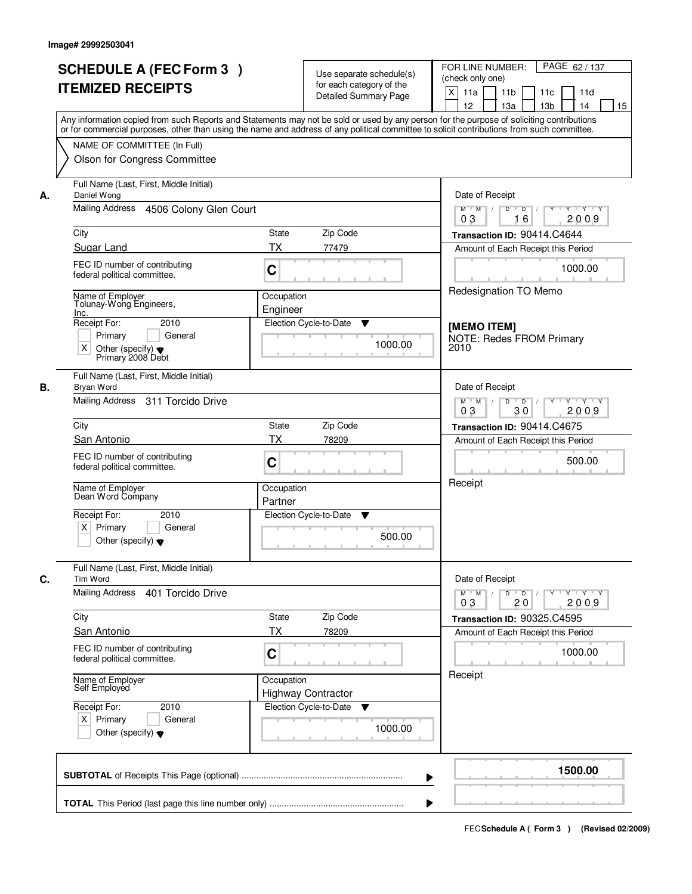|    | <b>SCHEDULE A (FEC Form 3)</b><br><b>ITEMIZED RECEIPTS</b>                                                                                                                                                                                                                                                                                             |                        | Use separate schedule(s)<br>for each category of the<br><b>Detailed Summary Page</b> | PAGE 62 / 137<br>FOR LINE NUMBER:<br>(check only one)<br>X<br>11a<br>11 <sub>b</sub><br>11d<br>11c<br>12<br>13a<br>13 <sub>b</sub><br>14<br>15 |
|----|--------------------------------------------------------------------------------------------------------------------------------------------------------------------------------------------------------------------------------------------------------------------------------------------------------------------------------------------------------|------------------------|--------------------------------------------------------------------------------------|------------------------------------------------------------------------------------------------------------------------------------------------|
|    | Any information copied from such Reports and Statements may not be sold or used by any person for the purpose of soliciting contributions<br>or for commercial purposes, other than using the name and address of any political committee to solicit contributions from such committee.<br>NAME OF COMMITTEE (In Full)<br>Olson for Congress Committee |                        |                                                                                      |                                                                                                                                                |
| А. | Full Name (Last, First, Middle Initial)<br>Daniel Wong<br>Mailing Address<br>4506 Colony Glen Court                                                                                                                                                                                                                                                    |                        |                                                                                      | Date of Receipt<br>$Y - Y - Y$<br>$M$ $M$ /<br>D<br>$\overline{D}$<br>Y<br>2009<br>03<br>16                                                    |
|    | City                                                                                                                                                                                                                                                                                                                                                   | State                  | Zip Code                                                                             | Transaction ID: 90414.C4644                                                                                                                    |
|    | Sugar Land                                                                                                                                                                                                                                                                                                                                             | TX                     | 77479                                                                                | Amount of Each Receipt this Period                                                                                                             |
|    | FEC ID number of contributing<br>federal political committee.                                                                                                                                                                                                                                                                                          | C                      |                                                                                      | 1000.00                                                                                                                                        |
|    | Name of Employer<br>Tolunay-Wong Engineers,<br>Inc.                                                                                                                                                                                                                                                                                                    | Occupation<br>Engineer |                                                                                      | Redesignation TO Memo                                                                                                                          |
|    | Receipt For:<br>2010<br>General<br>Primary<br>X<br>Other (specify) $\blacktriangledown$<br>Primary 2008 Debt                                                                                                                                                                                                                                           |                        | Election Cycle-to-Date<br>▼<br>1000.00                                               | [MEMO ITEM]<br><b>NOTE: Redes FROM Primary</b><br>2010                                                                                         |
| В. | Full Name (Last, First, Middle Initial)<br>Bryan Word<br>Mailing Address 311 Torcido Drive                                                                                                                                                                                                                                                             |                        |                                                                                      | Date of Receipt<br>$M$ $M$ /<br>D<br>$\overline{D}$ /<br>$Y + Y + Y$                                                                           |
|    |                                                                                                                                                                                                                                                                                                                                                        |                        |                                                                                      | 03<br>2009<br>30                                                                                                                               |
|    | City                                                                                                                                                                                                                                                                                                                                                   | State                  | Zip Code                                                                             | Transaction ID: 90414.C4675                                                                                                                    |
|    | San Antonio<br>FEC ID number of contributing<br>federal political committee.                                                                                                                                                                                                                                                                           | <b>TX</b><br>C         | 78209                                                                                | Amount of Each Receipt this Period<br>500.00                                                                                                   |
|    | Name of Employer<br>Dean Word Company                                                                                                                                                                                                                                                                                                                  | Occupation<br>Partner  |                                                                                      | Receipt                                                                                                                                        |
|    | Receipt For:<br>2010<br>Primary<br>$\times$<br>General<br>Other (specify) $\blacktriangledown$                                                                                                                                                                                                                                                         |                        | Election Cycle-to-Date<br>Y<br>500.00                                                |                                                                                                                                                |
| С. | Full Name (Last, First, Middle Initial)<br>Tim Word                                                                                                                                                                                                                                                                                                    |                        |                                                                                      | Date of Receipt                                                                                                                                |
|    | Mailing Address<br>401 Torcido Drive                                                                                                                                                                                                                                                                                                                   |                        |                                                                                      | $M^+$ M<br>$D$ $D$<br>Y Y Y Y<br>0 <sub>3</sub><br>2009<br>20                                                                                  |
|    | City<br>San Antonio                                                                                                                                                                                                                                                                                                                                    | State<br><b>TX</b>     | Zip Code<br>78209                                                                    | Transaction ID: 90325.C4595<br>Amount of Each Receipt this Period                                                                              |
|    | FEC ID number of contributing<br>federal political committee.                                                                                                                                                                                                                                                                                          | C                      |                                                                                      | 1000.00                                                                                                                                        |
|    | Name of Employer<br>Self Employed                                                                                                                                                                                                                                                                                                                      | Occupation             | <b>Highway Contractor</b>                                                            | Receipt                                                                                                                                        |
|    | Receipt For:<br>2010<br>$X$ Primary<br>General<br>Other (specify) $\blacktriangledown$                                                                                                                                                                                                                                                                 |                        | Election Cycle-to-Date<br>v<br>1000.00                                               |                                                                                                                                                |
|    |                                                                                                                                                                                                                                                                                                                                                        |                        |                                                                                      | 1500.00                                                                                                                                        |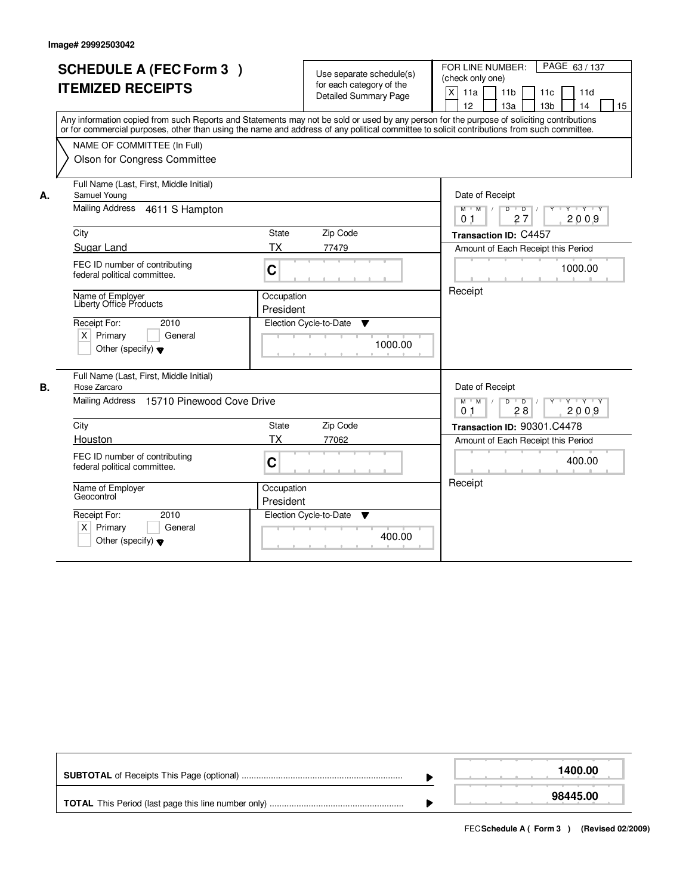|    | <b>SCHEDULE A (FEC Form 3)</b>                                                                 |                         | Use separate schedule(s)               | PAGE 63/137<br>FOR LINE NUMBER:                                                                                                                                                                                                                                                         |
|----|------------------------------------------------------------------------------------------------|-------------------------|----------------------------------------|-----------------------------------------------------------------------------------------------------------------------------------------------------------------------------------------------------------------------------------------------------------------------------------------|
|    | <b>ITEMIZED RECEIPTS</b>                                                                       |                         | for each category of the               | (check only one)                                                                                                                                                                                                                                                                        |
|    |                                                                                                |                         | <b>Detailed Summary Page</b>           | X<br>11a<br>11 <sub>b</sub><br>11d<br>11c<br>12<br>13a<br>13 <sub>b</sub><br>14<br>15                                                                                                                                                                                                   |
|    |                                                                                                |                         |                                        | Any information copied from such Reports and Statements may not be sold or used by any person for the purpose of soliciting contributions<br>or for commercial purposes, other than using the name and address of any political committee to solicit contributions from such committee. |
|    | NAME OF COMMITTEE (In Full)                                                                    |                         |                                        |                                                                                                                                                                                                                                                                                         |
|    | Olson for Congress Committee                                                                   |                         |                                        |                                                                                                                                                                                                                                                                                         |
| А. | Full Name (Last, First, Middle Initial)<br>Samuel Young                                        |                         |                                        | Date of Receipt                                                                                                                                                                                                                                                                         |
|    | <b>Mailing Address</b><br>4611 S Hampton                                                       |                         |                                        | $M$ $M$<br>D<br>$\overline{D}$<br>Y 'Y 'Y<br>27<br>2009<br>0 <sub>1</sub>                                                                                                                                                                                                               |
|    | City                                                                                           | <b>State</b>            | Zip Code                               | Transaction ID: C4457                                                                                                                                                                                                                                                                   |
|    | Sugar Land                                                                                     | <b>TX</b>               | 77479                                  | Amount of Each Receipt this Period                                                                                                                                                                                                                                                      |
|    | FEC ID number of contributing<br>federal political committee.                                  | $\mathbf C$             |                                        | 1000.00                                                                                                                                                                                                                                                                                 |
|    | Name of Employer<br>Liberty Office Products                                                    | Occupation<br>President |                                        | Receipt                                                                                                                                                                                                                                                                                 |
|    | Receipt For:<br>2010<br>$X$ Primary<br>General<br>Other (specify) $\blacktriangledown$         |                         | Election Cycle-to-Date<br>▼<br>1000.00 |                                                                                                                                                                                                                                                                                         |
| В. | Full Name (Last, First, Middle Initial)<br>Rose Zarcaro                                        |                         |                                        | Date of Receipt                                                                                                                                                                                                                                                                         |
|    | 15710 Pinewood Cove Drive<br>Mailing Address                                                   |                         |                                        | $D$ $D$ $/$<br>$Y + Y + Y$<br>$M$ $M$ /<br>$Y$ <sup>U</sup><br>2009<br>0 <sub>1</sub><br>28                                                                                                                                                                                             |
|    | City                                                                                           | <b>State</b>            | Zip Code                               | Transaction ID: 90301.C4478                                                                                                                                                                                                                                                             |
|    | Houston                                                                                        | <b>TX</b>               | 77062                                  | Amount of Each Receipt this Period                                                                                                                                                                                                                                                      |
|    | FEC ID number of contributing<br>federal political committee.                                  | C                       |                                        | 400.00                                                                                                                                                                                                                                                                                  |
|    | Name of Employer<br>Geocontrol                                                                 | Occupation<br>President |                                        | Receipt                                                                                                                                                                                                                                                                                 |
|    | 2010<br>Receipt For:<br>Primary<br>$\times$<br>General<br>Other (specify) $\blacktriangledown$ |                         | Election Cycle-to-Date<br>▼<br>400.00  |                                                                                                                                                                                                                                                                                         |

|  | 1400.00  |
|--|----------|
|  | 98445.00 |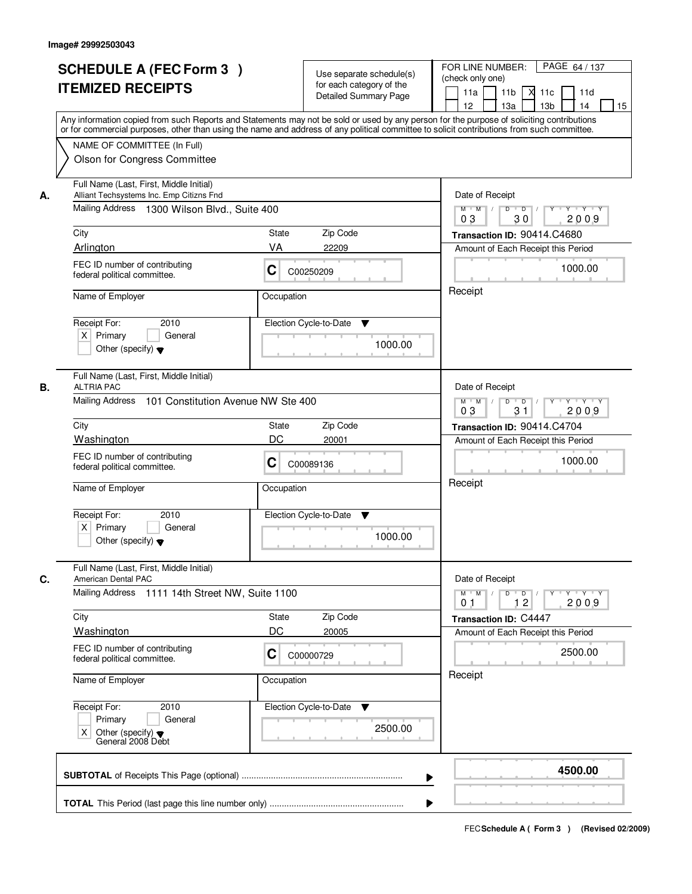|                                            | <b>SCHEDULE A (FEC Form 3)</b><br><b>ITEMIZED RECEIPTS</b>                                                                          |                                                | Use separate schedule(s)<br>for each category of the<br><b>Detailed Summary Page</b><br>Any information copied from such Reports and Statements may not be sold or used by any person for the purpose of soliciting contributions | FOR LINE NUMBER:<br>(check only one)<br>11a<br>12 | PAGE 64 / 137<br>11 <sub>b</sub><br>-XI<br>11c<br>11d<br>13 <sub>b</sub><br>14<br>13a<br>15 |  |
|--------------------------------------------|-------------------------------------------------------------------------------------------------------------------------------------|------------------------------------------------|-----------------------------------------------------------------------------------------------------------------------------------------------------------------------------------------------------------------------------------|---------------------------------------------------|---------------------------------------------------------------------------------------------|--|
|                                            | NAME OF COMMITTEE (In Full)<br>Olson for Congress Committee                                                                         |                                                | or for commercial purposes, other than using the name and address of any political committee to solicit contributions from such committee.                                                                                        |                                                   |                                                                                             |  |
| А.                                         | Full Name (Last, First, Middle Initial)<br>Alliant Techsystems Inc. Emp Citizns Fnd<br>Mailing Address 1300 Wilson Blvd., Suite 400 | Date of Receipt<br>$M$ $M$ /<br>0 <sub>3</sub> | $D$ $D$ $1$<br>Y<br>$Y - Y - Y - Y$<br>2009<br>30                                                                                                                                                                                 |                                                   |                                                                                             |  |
| City                                       |                                                                                                                                     | <b>State</b>                                   | Zip Code                                                                                                                                                                                                                          |                                                   | Transaction ID: 90414.C4680                                                                 |  |
| Arlington                                  |                                                                                                                                     | VA                                             | 22209                                                                                                                                                                                                                             |                                                   | Amount of Each Receipt this Period                                                          |  |
|                                            | FEC ID number of contributing<br>federal political committee.                                                                       | C00250209                                      | Receipt                                                                                                                                                                                                                           | 1000.00                                           |                                                                                             |  |
|                                            | Name of Employer<br>Occupation                                                                                                      |                                                |                                                                                                                                                                                                                                   |                                                   |                                                                                             |  |
| Receipt For:<br>$X$ Primary                | 2010<br>General<br>Other (specify) $\blacktriangledown$                                                                             |                                                | Election Cycle-to-Date<br>▼<br>1000.00                                                                                                                                                                                            |                                                   |                                                                                             |  |
|                                            | Full Name (Last, First, Middle Initial)                                                                                             |                                                |                                                                                                                                                                                                                                   |                                                   |                                                                                             |  |
| <b>ALTRIA PAC</b><br>В.<br>Mailing Address | 101 Constitution Avenue NW Ste 400                                                                                                  |                                                |                                                                                                                                                                                                                                   | Date of Receipt<br>$M$ $M$ /<br>03                | $Y \vdash Y \vdash Y$<br>D<br>$\overline{\phantom{0}}$ D<br>31<br>2009                      |  |
| City                                       |                                                                                                                                     | State                                          | Zip Code                                                                                                                                                                                                                          |                                                   | Transaction ID: 90414.C4704                                                                 |  |
| Washington                                 |                                                                                                                                     | DC                                             | 20001                                                                                                                                                                                                                             | Amount of Each Receipt this Period                |                                                                                             |  |
|                                            | FEC ID number of contributing<br>C<br>federal political committee.                                                                  |                                                | C00089136                                                                                                                                                                                                                         |                                                   | 1000.00                                                                                     |  |
| Name of Employer                           |                                                                                                                                     | Occupation                                     |                                                                                                                                                                                                                                   | Receipt                                           |                                                                                             |  |
| Receipt For:<br>$X$ Primary                | 2010<br>General<br>Other (specify) $\blacktriangledown$                                                                             |                                                | Election Cycle-to-Date<br>Y<br>1000.00                                                                                                                                                                                            |                                                   |                                                                                             |  |
| C.<br>American Dental PAC                  | Full Name (Last, First, Middle Initial)                                                                                             |                                                |                                                                                                                                                                                                                                   | Date of Receipt                                   |                                                                                             |  |
|                                            | <b>Mailing Address</b><br>1111 14th Street NW, Suite 1100                                                                           |                                                |                                                                                                                                                                                                                                   |                                                   | $D$ $D$ $l$<br>$Y^+$<br>$Y + Y + Y$<br>2009<br>12                                           |  |
| City                                       |                                                                                                                                     | State                                          | Zip Code                                                                                                                                                                                                                          | Transaction ID: C4447                             |                                                                                             |  |
| Washington                                 |                                                                                                                                     | DC                                             | 20005                                                                                                                                                                                                                             |                                                   | Amount of Each Receipt this Period                                                          |  |
|                                            | FEC ID number of contributing<br>federal political committee.                                                                       | C                                              | C00000729                                                                                                                                                                                                                         |                                                   | 2500.00                                                                                     |  |
| Name of Employer                           |                                                                                                                                     | Occupation                                     |                                                                                                                                                                                                                                   | Receipt                                           |                                                                                             |  |
| Receipt For:<br>Primary<br>Χ               | 2010<br>General<br>Other (specify) $\blacktriangledown$<br>General 2008 Debt                                                        |                                                | Election Cycle-to-Date ▼<br>2500.00                                                                                                                                                                                               |                                                   |                                                                                             |  |
|                                            |                                                                                                                                     |                                                |                                                                                                                                                                                                                                   |                                                   | 4500.00                                                                                     |  |
|                                            |                                                                                                                                     |                                                |                                                                                                                                                                                                                                   |                                                   |                                                                                             |  |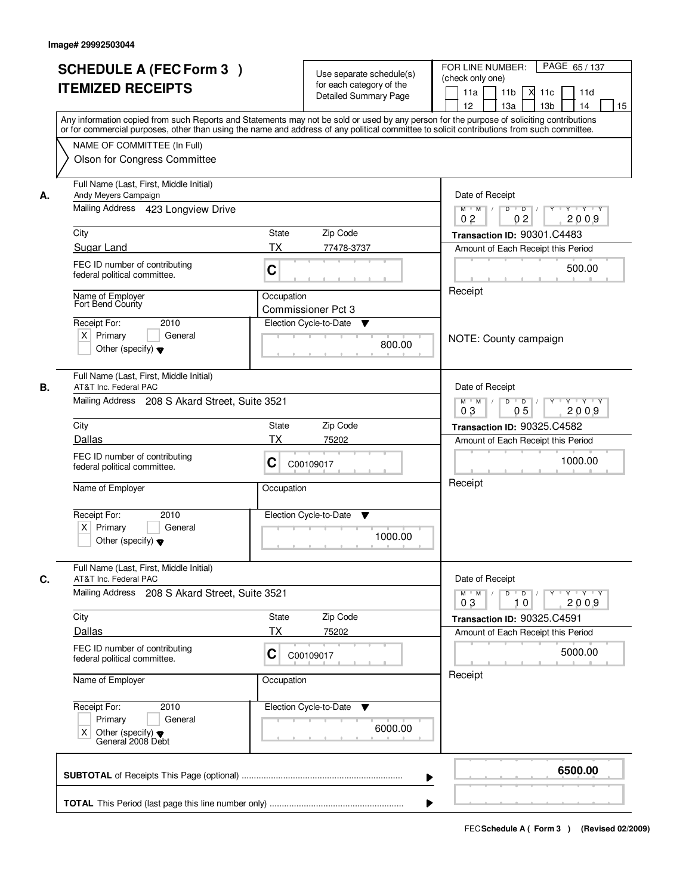| <b>SCHEDULE A (FEC Form 3)</b><br><b>ITEMIZED RECEIPTS</b>                                                  | Use separate schedule(s)<br>for each category of the<br><b>Detailed Summary Page</b><br>Any information copied from such Reports and Statements may not be sold or used by any person for the purpose of soliciting contributions<br>or for commercial purposes, other than using the name and address of any political committee to solicit contributions from such committee. | PAGE 65/137<br>FOR LINE NUMBER:<br>(check only one)<br>11 <sub>b</sub><br>11a<br>11c<br>11d<br>м<br>13 <sub>b</sub><br>14<br>12 <sup>2</sup><br>13a<br>15 |
|-------------------------------------------------------------------------------------------------------------|---------------------------------------------------------------------------------------------------------------------------------------------------------------------------------------------------------------------------------------------------------------------------------------------------------------------------------------------------------------------------------|-----------------------------------------------------------------------------------------------------------------------------------------------------------|
| NAME OF COMMITTEE (In Full)<br>Olson for Congress Committee                                                 |                                                                                                                                                                                                                                                                                                                                                                                 |                                                                                                                                                           |
| Full Name (Last, First, Middle Initial)<br>Andy Meyers Campaign<br>А.<br>Mailing Address 423 Longview Drive |                                                                                                                                                                                                                                                                                                                                                                                 | Date of Receipt<br>$Y + Y + Y$<br>$D$ $D$ $1$<br>Y<br>$M$ $M$ /<br>0 <sub>2</sub><br>02<br>2009                                                           |
| City                                                                                                        | State<br>Zip Code                                                                                                                                                                                                                                                                                                                                                               | Transaction ID: 90301.C4483                                                                                                                               |
| Sugar Land                                                                                                  | <b>TX</b><br>77478-3737                                                                                                                                                                                                                                                                                                                                                         | Amount of Each Receipt this Period                                                                                                                        |
| FEC ID number of contributing<br>federal political committee.                                               | C                                                                                                                                                                                                                                                                                                                                                                               | 500.00                                                                                                                                                    |
| Name of Employer<br>Fort Bend County<br>2010<br>Receipt For:                                                | Occupation<br>Commissioner Pct 3<br>Election Cycle-to-Date<br>v                                                                                                                                                                                                                                                                                                                 | Receipt                                                                                                                                                   |
| $X$ Primary<br>General<br>Other (specify) $\blacktriangledown$                                              | 800.00                                                                                                                                                                                                                                                                                                                                                                          | NOTE: County campaign                                                                                                                                     |
| Full Name (Last, First, Middle Initial)<br>В.<br>AT&T Inc. Federal PAC                                      |                                                                                                                                                                                                                                                                                                                                                                                 | Date of Receipt                                                                                                                                           |
| Mailing Address 208 S Akard Street, Suite 3521                                                              |                                                                                                                                                                                                                                                                                                                                                                                 | $M$ $M$ /<br>D<br>$\overline{D}$<br>Y 'Y 'Y<br>03<br>05<br>2009                                                                                           |
| City                                                                                                        | Zip Code<br><b>State</b>                                                                                                                                                                                                                                                                                                                                                        | Transaction ID: 90325.C4582                                                                                                                               |
| Dallas                                                                                                      | ТX<br>75202                                                                                                                                                                                                                                                                                                                                                                     | Amount of Each Receipt this Period                                                                                                                        |
| FEC ID number of contributing<br>federal political committee.                                               | C<br>C00109017                                                                                                                                                                                                                                                                                                                                                                  | 1000.00                                                                                                                                                   |
| Name of Employer                                                                                            | Occupation                                                                                                                                                                                                                                                                                                                                                                      | Receipt                                                                                                                                                   |
| Receipt For:<br>2010<br>$X$ Primary<br>General<br>Other (specify) $\blacktriangledown$                      | Election Cycle-to-Date<br>▼<br>1000.00                                                                                                                                                                                                                                                                                                                                          |                                                                                                                                                           |
| Full Name (Last, First, Middle Initial)<br>C.<br>AT&T Inc. Federal PAC                                      |                                                                                                                                                                                                                                                                                                                                                                                 | Date of Receipt                                                                                                                                           |
| Mailing Address 208 S Akard Street, Suite 3521                                                              |                                                                                                                                                                                                                                                                                                                                                                                 | $D$ $D$ $I$<br>$M$ $M$<br>03<br>2009<br>10                                                                                                                |
| City                                                                                                        | Zip Code<br>State                                                                                                                                                                                                                                                                                                                                                               | Transaction ID: 90325.C4591                                                                                                                               |
| Dallas                                                                                                      | ТX<br>75202                                                                                                                                                                                                                                                                                                                                                                     | Amount of Each Receipt this Period                                                                                                                        |
| FEC ID number of contributing<br>federal political committee.                                               | C<br>C00109017                                                                                                                                                                                                                                                                                                                                                                  | 5000.00                                                                                                                                                   |
| Name of Employer                                                                                            | Occupation                                                                                                                                                                                                                                                                                                                                                                      | Receipt                                                                                                                                                   |
| Receipt For:<br>2010<br>Primary<br>General<br>Other (specify) ♥<br>General 2008 Debt<br>X                   | Election Cycle-to-Date ▼<br>6000.00                                                                                                                                                                                                                                                                                                                                             |                                                                                                                                                           |
|                                                                                                             | ▶                                                                                                                                                                                                                                                                                                                                                                               | 6500.00                                                                                                                                                   |
|                                                                                                             |                                                                                                                                                                                                                                                                                                                                                                                 |                                                                                                                                                           |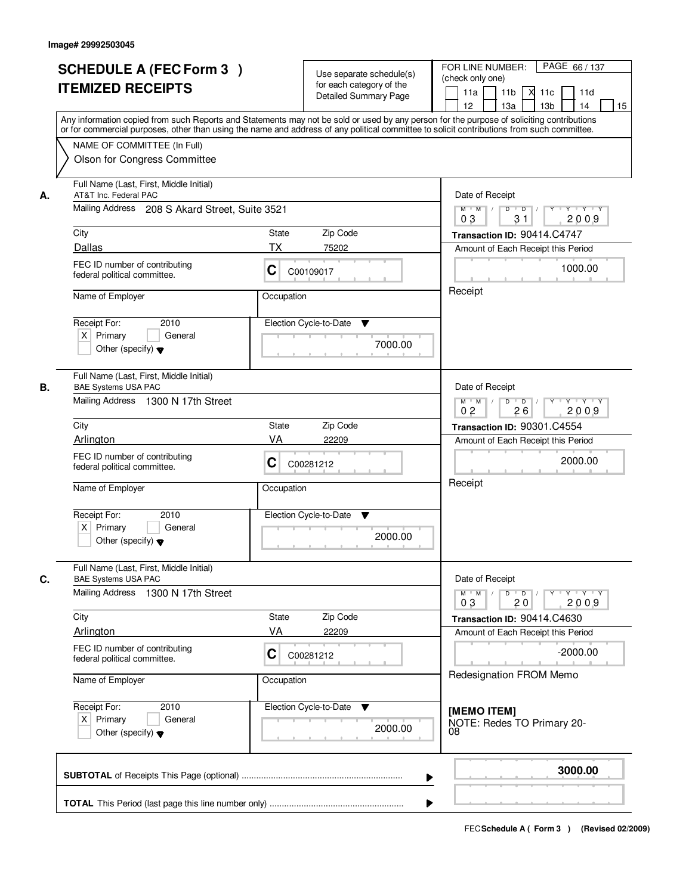|    | <b>SCHEDULE A (FEC Form 3)</b><br><b>ITEMIZED RECEIPTS</b><br>Any information copied from such Reports and Statements may not be sold or used by any person for the purpose of soliciting contributions   |                                                | Use separate schedule(s)<br>for each category of the<br><b>Detailed Summary Page</b> | PAGE 66 / 137<br>FOR LINE NUMBER:<br>(check only one)<br>11 <sub>b</sub><br>11a<br><b>X</b><br>11c<br>11d<br>13 <sub>b</sub><br>14<br>12<br>13a<br>15 |  |  |
|----|-----------------------------------------------------------------------------------------------------------------------------------------------------------------------------------------------------------|------------------------------------------------|--------------------------------------------------------------------------------------|-------------------------------------------------------------------------------------------------------------------------------------------------------|--|--|
|    | or for commercial purposes, other than using the name and address of any political committee to solicit contributions from such committee.<br>NAME OF COMMITTEE (In Full)<br>Olson for Congress Committee |                                                |                                                                                      |                                                                                                                                                       |  |  |
| А. | Full Name (Last, First, Middle Initial)<br>AT&T Inc. Federal PAC                                                                                                                                          |                                                |                                                                                      | Date of Receipt<br>$D$ $D$<br>$Y$ <sup>U</sup><br>$Y - Y - Y - Y$                                                                                     |  |  |
|    |                                                                                                                                                                                                           | Mailing Address 208 S Akard Street, Suite 3521 |                                                                                      |                                                                                                                                                       |  |  |
|    | City                                                                                                                                                                                                      | <b>State</b>                                   | Zip Code                                                                             | Transaction ID: 90414.C4747                                                                                                                           |  |  |
|    | Dallas                                                                                                                                                                                                    | <b>TX</b>                                      | 75202                                                                                | Amount of Each Receipt this Period                                                                                                                    |  |  |
|    | FEC ID number of contributing<br>federal political committee.                                                                                                                                             | C                                              | C00109017                                                                            | 1000.00                                                                                                                                               |  |  |
|    | Name of Employer                                                                                                                                                                                          | Occupation                                     |                                                                                      | Receipt                                                                                                                                               |  |  |
|    | 2010<br>Receipt For:<br>$X$ Primary<br>General<br>Other (specify) $\blacktriangledown$                                                                                                                    |                                                | Election Cycle-to-Date<br>▼<br>7000.00                                               |                                                                                                                                                       |  |  |
|    | Full Name (Last, First, Middle Initial)                                                                                                                                                                   |                                                |                                                                                      |                                                                                                                                                       |  |  |
| В. | <b>BAE Systems USA PAC</b><br>Mailing Address 1300 N 17th Street                                                                                                                                          |                                                |                                                                                      | Date of Receipt<br>$Y \vdash Y \vdash Y$<br>$M$ $M$ /<br>D<br>$\overline{D}$ /<br>Y<br>0 <sub>2</sub><br>26<br>2009                                   |  |  |
|    | City                                                                                                                                                                                                      | State                                          | Zip Code                                                                             | Transaction ID: 90301.C4554                                                                                                                           |  |  |
|    | Arlington                                                                                                                                                                                                 | VA                                             | 22209                                                                                | Amount of Each Receipt this Period                                                                                                                    |  |  |
|    | FEC ID number of contributing<br>federal political committee.                                                                                                                                             | C                                              | C00281212                                                                            | 2000.00                                                                                                                                               |  |  |
|    | Name of Employer                                                                                                                                                                                          | Occupation                                     |                                                                                      | Receipt                                                                                                                                               |  |  |
|    | Receipt For:<br>2010<br>$X$ Primary<br>General<br>Other (specify) $\blacktriangledown$                                                                                                                    |                                                | Election Cycle-to-Date<br>v<br>2000.00                                               |                                                                                                                                                       |  |  |
| C. | Full Name (Last, First, Middle Initial)<br><b>BAE Systems USA PAC</b><br>Mailing Address 1300 N 17th Street                                                                                               |                                                |                                                                                      | Date of Receipt<br>$M$ $M$<br>$D$ $D$ $l$<br><u> Y FY FY FY </u><br>2009<br>03<br>20                                                                  |  |  |
|    | City                                                                                                                                                                                                      | State                                          | Zip Code                                                                             | Transaction ID: 90414.C4630                                                                                                                           |  |  |
|    | Arlington                                                                                                                                                                                                 | VA                                             | 22209                                                                                | Amount of Each Receipt this Period                                                                                                                    |  |  |
|    | FEC ID number of contributing<br>federal political committee.                                                                                                                                             | C                                              | C00281212                                                                            | $-2000.00$<br>Redesignation FROM Memo                                                                                                                 |  |  |
|    | Name of Employer                                                                                                                                                                                          | Occupation                                     |                                                                                      |                                                                                                                                                       |  |  |
|    | Receipt For:<br>2010<br>$X$ Primary<br>General<br>Other (specify) $\blacktriangledown$                                                                                                                    |                                                | Election Cycle-to-Date ▼<br>2000.00                                                  | [MEMO ITEM]<br>NOTE: Redes TO Primary 20-<br>08                                                                                                       |  |  |
|    |                                                                                                                                                                                                           |                                                |                                                                                      | 3000.00<br>▶                                                                                                                                          |  |  |
|    |                                                                                                                                                                                                           |                                                |                                                                                      |                                                                                                                                                       |  |  |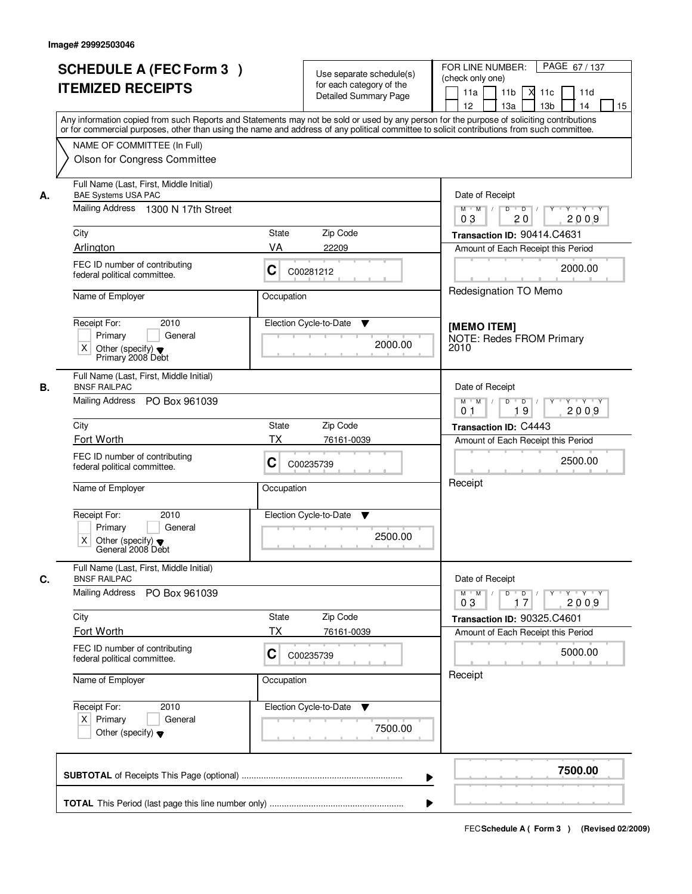|    |                                                                                                                                                                                                                                                                                         |              |                                                   | PAGE 67/137<br>FOR LINE NUMBER:                                                        |  |  |
|----|-----------------------------------------------------------------------------------------------------------------------------------------------------------------------------------------------------------------------------------------------------------------------------------------|--------------|---------------------------------------------------|----------------------------------------------------------------------------------------|--|--|
|    | <b>SCHEDULE A (FEC Form 3)</b>                                                                                                                                                                                                                                                          |              | Use separate schedule(s)                          | (check only one)                                                                       |  |  |
|    | <b>ITEMIZED RECEIPTS</b>                                                                                                                                                                                                                                                                |              | for each category of the<br>Detailed Summary Page | 11a<br>11 <sub>b</sub><br>×<br>11c<br>11d                                              |  |  |
|    |                                                                                                                                                                                                                                                                                         |              |                                                   | 12<br>13a<br>13 <sub>b</sub><br>14<br>15                                               |  |  |
|    | Any information copied from such Reports and Statements may not be sold or used by any person for the purpose of soliciting contributions<br>or for commercial purposes, other than using the name and address of any political committee to solicit contributions from such committee. |              |                                                   |                                                                                        |  |  |
|    | NAME OF COMMITTEE (In Full)                                                                                                                                                                                                                                                             |              |                                                   |                                                                                        |  |  |
|    | Olson for Congress Committee                                                                                                                                                                                                                                                            |              |                                                   |                                                                                        |  |  |
| А. | Full Name (Last, First, Middle Initial)<br><b>BAE Systems USA PAC</b>                                                                                                                                                                                                                   |              |                                                   | Date of Receipt                                                                        |  |  |
|    | Mailing Address 1300 N 17th Street                                                                                                                                                                                                                                                      |              |                                                   | $Y + Y + Y$<br>$M$ $M$ /<br>D<br>$\overline{D}$<br>Y<br>2009<br>20<br>03               |  |  |
|    | City                                                                                                                                                                                                                                                                                    | <b>State</b> | Zip Code                                          | Transaction ID: 90414.C4631                                                            |  |  |
|    | Arlington                                                                                                                                                                                                                                                                               | VA           | 22209                                             | Amount of Each Receipt this Period                                                     |  |  |
|    | FEC ID number of contributing<br>federal political committee.                                                                                                                                                                                                                           | C            | C00281212                                         | 2000.00                                                                                |  |  |
|    | Name of Employer                                                                                                                                                                                                                                                                        | Occupation   |                                                   | Redesignation TO Memo                                                                  |  |  |
|    | Receipt For:<br>2010                                                                                                                                                                                                                                                                    |              | Election Cycle-to-Date<br>▼                       | [MEMO ITEM]                                                                            |  |  |
|    | Primary<br>General                                                                                                                                                                                                                                                                      |              | 2000.00                                           | <b>NOTE: Redes FROM Primary</b>                                                        |  |  |
|    | $\times$<br>Other (specify) $\blacktriangledown$<br>Primary 2008 Debt                                                                                                                                                                                                                   |              |                                                   | 2010                                                                                   |  |  |
| В. | Full Name (Last, First, Middle Initial)<br><b>BNSF RAILPAC</b>                                                                                                                                                                                                                          |              |                                                   | Date of Receipt                                                                        |  |  |
|    | Mailing Address<br>PO Box 961039                                                                                                                                                                                                                                                        |              |                                                   | $M$ $M$ /<br>$D$ $D$ $1$<br>Y<br>$Y \vdash Y \vdash Y$<br>19<br>2009<br>0 <sub>1</sub> |  |  |
|    | City                                                                                                                                                                                                                                                                                    | <b>State</b> | Zip Code                                          | Transaction ID: C4443                                                                  |  |  |
|    | Fort Worth                                                                                                                                                                                                                                                                              | ТX           | 76161-0039                                        | Amount of Each Receipt this Period                                                     |  |  |
|    | FEC ID number of contributing<br>federal political committee.                                                                                                                                                                                                                           | C            | C00235739                                         | 2500.00                                                                                |  |  |
|    | Name of Employer                                                                                                                                                                                                                                                                        | Occupation   |                                                   | Receipt                                                                                |  |  |
|    | Receipt For:<br>2010                                                                                                                                                                                                                                                                    |              | Election Cycle-to-Date<br>v                       |                                                                                        |  |  |
|    | Primary<br>General<br>X<br>Other (specify) $\blacktriangledown$<br>General 2008 Debt                                                                                                                                                                                                    |              | 2500.00                                           |                                                                                        |  |  |
| C. | Full Name (Last, First, Middle Initial)<br><b>BNSF RAILPAC</b>                                                                                                                                                                                                                          |              |                                                   | Date of Receipt                                                                        |  |  |
|    | Mailing Address<br>PO Box 961039                                                                                                                                                                                                                                                        |              |                                                   | $M$ $M$<br>$D$ $D$<br>γ≕ γ ⊤γ<br>2009<br>03<br>17                                      |  |  |
|    | City                                                                                                                                                                                                                                                                                    | State        | Zip Code                                          | Transaction ID: 90325.C4601                                                            |  |  |
|    | Fort Worth                                                                                                                                                                                                                                                                              | <b>TX</b>    | 76161-0039                                        | Amount of Each Receipt this Period                                                     |  |  |
|    | FEC ID number of contributing<br>federal political committee.                                                                                                                                                                                                                           | C            | C00235739                                         | 5000.00                                                                                |  |  |
|    | Name of Employer                                                                                                                                                                                                                                                                        | Occupation   |                                                   | Receipt                                                                                |  |  |
|    | Receipt For:<br>2010                                                                                                                                                                                                                                                                    |              | Election Cycle-to-Date<br>v                       |                                                                                        |  |  |
|    | $X$ Primary<br>General                                                                                                                                                                                                                                                                  |              | 7500.00                                           |                                                                                        |  |  |
|    | Other (specify) $\blacktriangledown$                                                                                                                                                                                                                                                    |              |                                                   |                                                                                        |  |  |
|    |                                                                                                                                                                                                                                                                                         |              |                                                   | 7500.00                                                                                |  |  |
|    |                                                                                                                                                                                                                                                                                         |              |                                                   |                                                                                        |  |  |
|    |                                                                                                                                                                                                                                                                                         |              |                                                   |                                                                                        |  |  |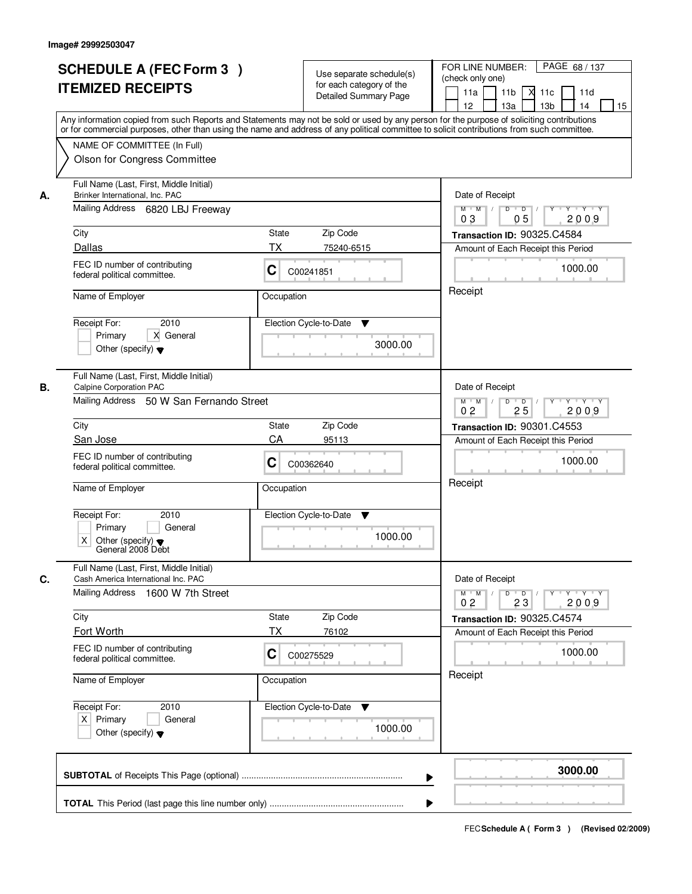|    | <b>SCHEDULE A (FEC Form 3)</b><br><b>ITEMIZED RECEIPTS</b><br>Any information copied from such Reports and Statements may not be sold or used by any person for the purpose of soliciting contributions<br>or for commercial purposes, other than using the name and address of any political committee to solicit contributions from such committee. |            | Use separate schedule(s)<br>for each category of the<br><b>Detailed Summary Page</b> | PAGE 68 / 137<br>FOR LINE NUMBER:<br>(check only one)<br>11 <sub>b</sub><br>11a<br><b>X</b><br>11c<br>11d<br>13 <sub>b</sub><br>12<br>13a<br>14<br>15 |
|----|-------------------------------------------------------------------------------------------------------------------------------------------------------------------------------------------------------------------------------------------------------------------------------------------------------------------------------------------------------|------------|--------------------------------------------------------------------------------------|-------------------------------------------------------------------------------------------------------------------------------------------------------|
|    | NAME OF COMMITTEE (In Full)<br>Olson for Congress Committee                                                                                                                                                                                                                                                                                           |            |                                                                                      |                                                                                                                                                       |
| А. | Full Name (Last, First, Middle Initial)<br>Brinker International, Inc. PAC<br>Mailing Address 6820 LBJ Freeway                                                                                                                                                                                                                                        |            |                                                                                      | Date of Receipt<br>$M$ $M$<br>$D$ $D$ $/$<br>$\overline{Y}$<br>Y Y Y Y<br>0 <sub>3</sub><br>05<br>2009                                                |
|    | City                                                                                                                                                                                                                                                                                                                                                  | State      | Zip Code                                                                             | Transaction ID: 90325.C4584                                                                                                                           |
|    | Dallas                                                                                                                                                                                                                                                                                                                                                | ТX         | 75240-6515                                                                           | Amount of Each Receipt this Period                                                                                                                    |
|    | FEC ID number of contributing<br>federal political committee.                                                                                                                                                                                                                                                                                         | C          | C00241851                                                                            | 1000.00                                                                                                                                               |
|    | Name of Employer                                                                                                                                                                                                                                                                                                                                      | Occupation |                                                                                      | Receipt                                                                                                                                               |
|    | 2010<br>Receipt For:<br>X General<br>Primary<br>Other (specify) $\blacktriangledown$                                                                                                                                                                                                                                                                  |            | Election Cycle-to-Date<br>▼<br>3000.00                                               |                                                                                                                                                       |
| В. | Full Name (Last, First, Middle Initial)<br>Calpine Corporation PAC<br>Mailing Address 50 W San Fernando Street                                                                                                                                                                                                                                        |            |                                                                                      | Date of Receipt<br>$Y \vdash Y \vdash Y$<br>$M$ M<br>D<br>Y                                                                                           |
|    |                                                                                                                                                                                                                                                                                                                                                       |            |                                                                                      | $\overline{D}$<br>25<br>2009<br>0 <sub>2</sub>                                                                                                        |
|    | City                                                                                                                                                                                                                                                                                                                                                  | State      | Zip Code                                                                             | Transaction ID: 90301.C4553                                                                                                                           |
|    | San Jose                                                                                                                                                                                                                                                                                                                                              | CA         | 95113                                                                                | Amount of Each Receipt this Period                                                                                                                    |
|    | FEC ID number of contributing<br>federal political committee.                                                                                                                                                                                                                                                                                         | С          | C00362640                                                                            | 1000.00<br>Receipt                                                                                                                                    |
|    | Name of Employer                                                                                                                                                                                                                                                                                                                                      | Occupation |                                                                                      |                                                                                                                                                       |
|    | Receipt For:<br>2010<br>Primary<br>General<br>Χ<br>Other (specify) $\blacktriangledown$<br>General 2008 Debt                                                                                                                                                                                                                                          |            | Election Cycle-to-Date<br>v<br>1000.00                                               |                                                                                                                                                       |
| C. | Full Name (Last, First, Middle Initial)<br>Cash America International Inc. PAC<br>Mailing Address 1600 W 7th Street                                                                                                                                                                                                                                   |            |                                                                                      | Date of Receipt<br>$M$ $M$ /<br>$D$ $D$ $/$<br>$Y + Y + Y$<br>$Y$ <sup><math>V</math></sup><br>0 <sub>2</sub><br>23<br>2009                           |
|    | City                                                                                                                                                                                                                                                                                                                                                  | State      | Zip Code                                                                             | Transaction ID: 90325.C4574                                                                                                                           |
|    | Fort Worth                                                                                                                                                                                                                                                                                                                                            | ТX         | 76102                                                                                | Amount of Each Receipt this Period                                                                                                                    |
|    | FEC ID number of contributing<br>federal political committee.                                                                                                                                                                                                                                                                                         | C          | C00275529                                                                            | 1000.00                                                                                                                                               |
|    | Name of Employer                                                                                                                                                                                                                                                                                                                                      | Occupation |                                                                                      | Receipt                                                                                                                                               |
|    | Receipt For:<br>2010<br>$X$ Primary<br>General<br>Other (specify) $\blacktriangledown$                                                                                                                                                                                                                                                                |            | Election Cycle-to-Date<br>v<br>1000.00                                               |                                                                                                                                                       |
|    |                                                                                                                                                                                                                                                                                                                                                       |            | ▶                                                                                    | 3000.00                                                                                                                                               |
|    |                                                                                                                                                                                                                                                                                                                                                       |            |                                                                                      |                                                                                                                                                       |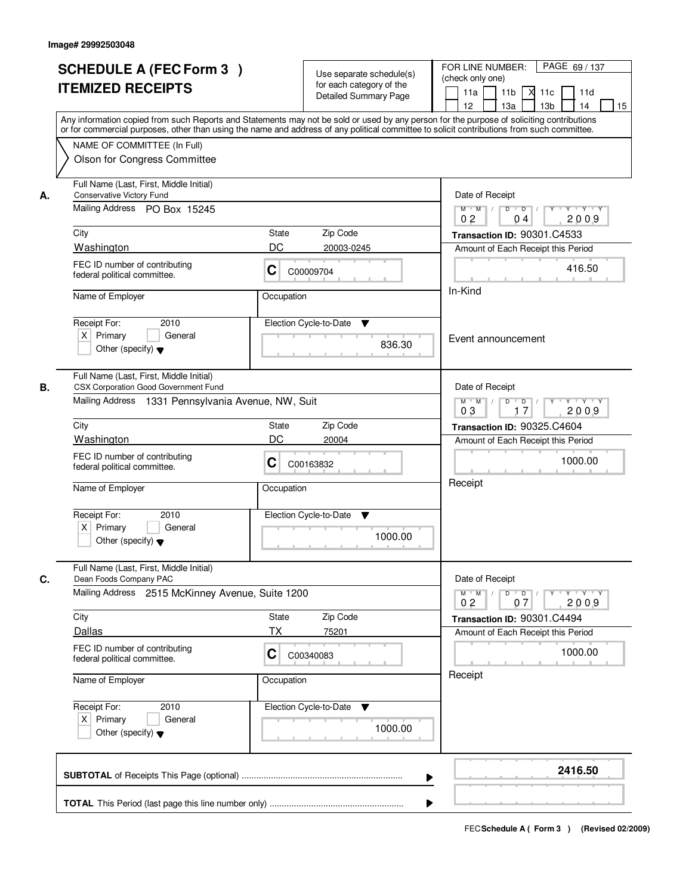| <b>SCHEDULE A (FEC Form 3)</b><br><b>ITEMIZED RECEIPTS</b>                                                 |                                                                  | Use separate schedule(s)<br>for each category of the<br><b>Detailed Summary Page</b> | PAGE 69 / 137<br>FOR LINE NUMBER:<br>(check only one)<br>11 <sub>b</sub><br>11a<br><b>X</b><br>11c<br>11d<br>13 <sub>b</sub><br>14<br>12<br>13a<br>15<br>Any information copied from such Reports and Statements may not be sold or used by any person for the purpose of soliciting contributions |
|------------------------------------------------------------------------------------------------------------|------------------------------------------------------------------|--------------------------------------------------------------------------------------|----------------------------------------------------------------------------------------------------------------------------------------------------------------------------------------------------------------------------------------------------------------------------------------------------|
| NAME OF COMMITTEE (In Full)<br>Olson for Congress Committee                                                |                                                                  |                                                                                      | or for commercial purposes, other than using the name and address of any political committee to solicit contributions from such committee.                                                                                                                                                         |
| Full Name (Last, First, Middle Initial)<br>Conservative Victory Fund<br>А.<br>Mailing Address PO Box 15245 |                                                                  | Date of Receipt<br>$D$ $D$ $I$<br>Y<br>$Y - Y - Y - Y$<br>$M$ $M$ /                  |                                                                                                                                                                                                                                                                                                    |
| City<br>Washington                                                                                         | State<br>DC                                                      | Zip Code<br>20003-0245                                                               | 2009<br>0 <sub>2</sub><br>04<br>Transaction ID: 90301.C4533<br>Amount of Each Receipt this Period                                                                                                                                                                                                  |
| FEC ID number of contributing<br>federal political committee.                                              | C                                                                | C00009704                                                                            | 416.50                                                                                                                                                                                                                                                                                             |
| Name of Employer                                                                                           | Occupation                                                       |                                                                                      | In-Kind                                                                                                                                                                                                                                                                                            |
| 2010<br>Receipt For:<br>$X$ Primary<br>General<br>Other (specify) $\blacktriangledown$                     | Election Cycle-to-Date                                           | Event announcement                                                                   |                                                                                                                                                                                                                                                                                                    |
| Full Name (Last, First, Middle Initial)<br>CSX Corporation Good Government Fund<br>В.                      | Mailing Address 1331 Pennsylvania Avenue, NW, Suit               |                                                                                      | Date of Receipt<br>$Y \vdash Y \vdash Y$<br>$M$ $M$ /<br>D<br>$\Box$<br>Y<br>03<br>17                                                                                                                                                                                                              |
| City                                                                                                       | State                                                            | Zip Code                                                                             | 2009<br>Transaction ID: 90325.C4604                                                                                                                                                                                                                                                                |
| Washington<br>FEC ID number of contributing<br>federal political committee.                                | DC<br>C                                                          | 20004<br>C00163832                                                                   | Amount of Each Receipt this Period<br>1000.00<br>Receipt                                                                                                                                                                                                                                           |
| Name of Employer<br>Receipt For:<br>2010<br>$X$ Primary<br>General<br>Other (specify) $\blacktriangledown$ | Occupation                                                       | Election Cycle-to-Date<br>Y<br>1000.00                                               |                                                                                                                                                                                                                                                                                                    |
| Full Name (Last, First, Middle Initial)<br>C.<br>Dean Foods Company PAC                                    |                                                                  |                                                                                      | Date of Receipt                                                                                                                                                                                                                                                                                    |
| City                                                                                                       | Mailing Address 2515 McKinney Avenue, Suite 1200<br><b>State</b> | Zip Code                                                                             | $M$ $M$<br>$D$ $D$ $/$<br>$Y^+$<br>$Y + Y + Y$<br>2009<br>0 <sub>2</sub><br>07<br>Transaction ID: 90301.C4494                                                                                                                                                                                      |
| Dallas                                                                                                     | ТX                                                               | 75201                                                                                | Amount of Each Receipt this Period                                                                                                                                                                                                                                                                 |
| FEC ID number of contributing<br>federal political committee.                                              | C                                                                | C00340083                                                                            | 1000.00                                                                                                                                                                                                                                                                                            |
| Name of Employer                                                                                           | Occupation                                                       |                                                                                      | Receipt                                                                                                                                                                                                                                                                                            |
| Receipt For:<br>2010<br>$X$ Primary<br>General<br>Other (specify) $\blacktriangledown$                     |                                                                  | Election Cycle-to-Date ▼<br>1000.00                                                  |                                                                                                                                                                                                                                                                                                    |
|                                                                                                            |                                                                  |                                                                                      | 2416.50                                                                                                                                                                                                                                                                                            |
|                                                                                                            |                                                                  |                                                                                      |                                                                                                                                                                                                                                                                                                    |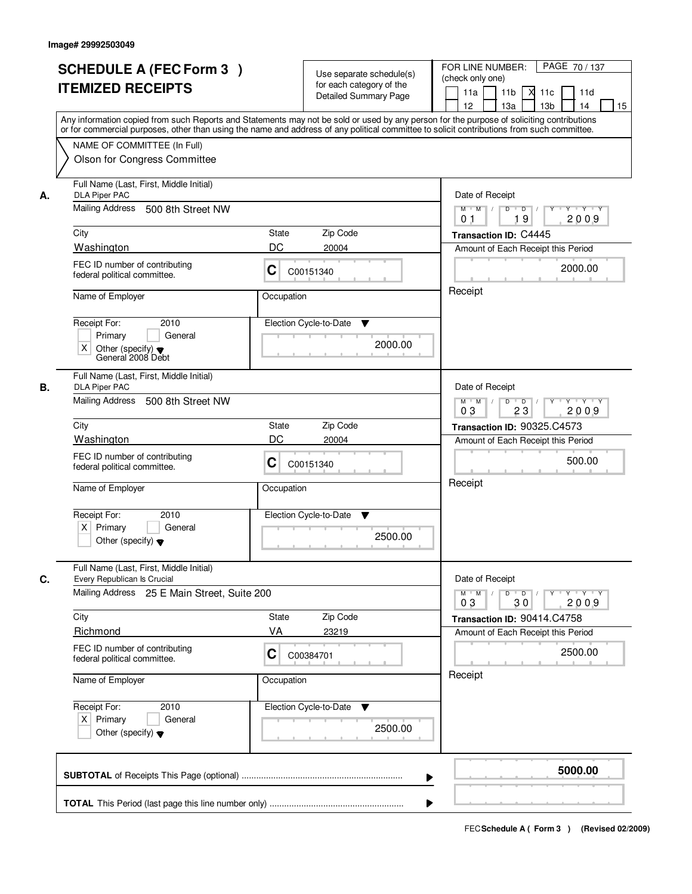|    | <b>SCHEDULE A (FEC Form 3)</b><br><b>ITEMIZED RECEIPTS</b><br>Any information copied from such Reports and Statements may not be sold or used by any person for the purpose of soliciting contributions<br>or for commercial purposes, other than using the name and address of any political committee to solicit contributions from such committee. |            | Use separate schedule(s)<br>for each category of the<br><b>Detailed Summary Page</b> | PAGE 70 / 137<br>FOR LINE NUMBER:<br>(check only one)<br>11 <sub>b</sub><br>11d<br>11a<br><b>X</b><br>11c<br>13a<br>13 <sub>b</sub><br>12<br>14<br>15 |  |  |
|----|-------------------------------------------------------------------------------------------------------------------------------------------------------------------------------------------------------------------------------------------------------------------------------------------------------------------------------------------------------|------------|--------------------------------------------------------------------------------------|-------------------------------------------------------------------------------------------------------------------------------------------------------|--|--|
|    | NAME OF COMMITTEE (In Full)<br>Olson for Congress Committee                                                                                                                                                                                                                                                                                           |            |                                                                                      |                                                                                                                                                       |  |  |
| А. | Full Name (Last, First, Middle Initial)<br><b>DLA Piper PAC</b><br>Mailing Address 500 8th Street NW                                                                                                                                                                                                                                                  |            |                                                                                      |                                                                                                                                                       |  |  |
|    | City                                                                                                                                                                                                                                                                                                                                                  | State      | Zip Code                                                                             | 19<br>2009<br>0 <sub>1</sub><br>Transaction ID: C4445                                                                                                 |  |  |
|    | Washington                                                                                                                                                                                                                                                                                                                                            | DC         | 20004                                                                                | Amount of Each Receipt this Period                                                                                                                    |  |  |
|    | FEC ID number of contributing<br>federal political committee.                                                                                                                                                                                                                                                                                         | C          | C00151340                                                                            | 2000.00                                                                                                                                               |  |  |
|    | Name of Employer                                                                                                                                                                                                                                                                                                                                      | Occupation |                                                                                      | Receipt                                                                                                                                               |  |  |
|    | 2010<br>Receipt For:<br>General<br>Primary<br>X<br>Other (specify) $\blacktriangledown$<br>General 2008 Debt                                                                                                                                                                                                                                          |            | Election Cycle-to-Date<br>▼<br>2000.00                                               |                                                                                                                                                       |  |  |
| В. | Full Name (Last, First, Middle Initial)<br><b>DLA Piper PAC</b>                                                                                                                                                                                                                                                                                       |            |                                                                                      | Date of Receipt                                                                                                                                       |  |  |
|    | Mailing Address<br>500 8th Street NW                                                                                                                                                                                                                                                                                                                  |            |                                                                                      | $Y \vdash Y \vdash Y$<br>$M$ $M$ /<br>D<br>$\overline{\phantom{0}}$ D<br>Y<br>2009<br>03<br>23                                                        |  |  |
|    | City                                                                                                                                                                                                                                                                                                                                                  | State      | Zip Code                                                                             | <b>Transaction ID: 90325.C4573</b>                                                                                                                    |  |  |
|    | Washington                                                                                                                                                                                                                                                                                                                                            | DC         | 20004                                                                                | Amount of Each Receipt this Period                                                                                                                    |  |  |
|    | FEC ID number of contributing<br>C<br>federal political committee.<br>Name of Employer<br>Occupation                                                                                                                                                                                                                                                  |            | C00151340                                                                            | 500.00                                                                                                                                                |  |  |
|    |                                                                                                                                                                                                                                                                                                                                                       |            |                                                                                      | Receipt                                                                                                                                               |  |  |
|    | Receipt For:<br>2010<br>$X$ Primary<br>General<br>Other (specify) $\blacktriangledown$                                                                                                                                                                                                                                                                |            | Election Cycle-to-Date<br>v<br>2500.00                                               |                                                                                                                                                       |  |  |
| C. | Full Name (Last, First, Middle Initial)<br>Every Republican Is Crucial<br>Mailing Address 25 E Main Street, Suite 200                                                                                                                                                                                                                                 |            |                                                                                      | Date of Receipt<br>$D$ $D$ $/$<br>$M$ $M$ /<br>$Y + Y + Y$<br>$Y^+$<br>03<br>2009<br>30                                                               |  |  |
|    | City                                                                                                                                                                                                                                                                                                                                                  | State      | Zip Code                                                                             | Transaction ID: 90414.C4758                                                                                                                           |  |  |
|    | Richmond                                                                                                                                                                                                                                                                                                                                              | VA         | 23219                                                                                | Amount of Each Receipt this Period                                                                                                                    |  |  |
|    | FEC ID number of contributing<br>federal political committee.                                                                                                                                                                                                                                                                                         | C          | C00384701                                                                            | 2500.00                                                                                                                                               |  |  |
|    | Name of Employer                                                                                                                                                                                                                                                                                                                                      | Occupation |                                                                                      | Receipt                                                                                                                                               |  |  |
|    | Receipt For:<br>2010<br>$X$ Primary<br>General<br>Other (specify) $\blacktriangledown$                                                                                                                                                                                                                                                                |            | Election Cycle-to-Date<br>v<br>2500.00                                               |                                                                                                                                                       |  |  |
|    |                                                                                                                                                                                                                                                                                                                                                       |            | ▶                                                                                    | 5000.00                                                                                                                                               |  |  |
|    |                                                                                                                                                                                                                                                                                                                                                       |            |                                                                                      |                                                                                                                                                       |  |  |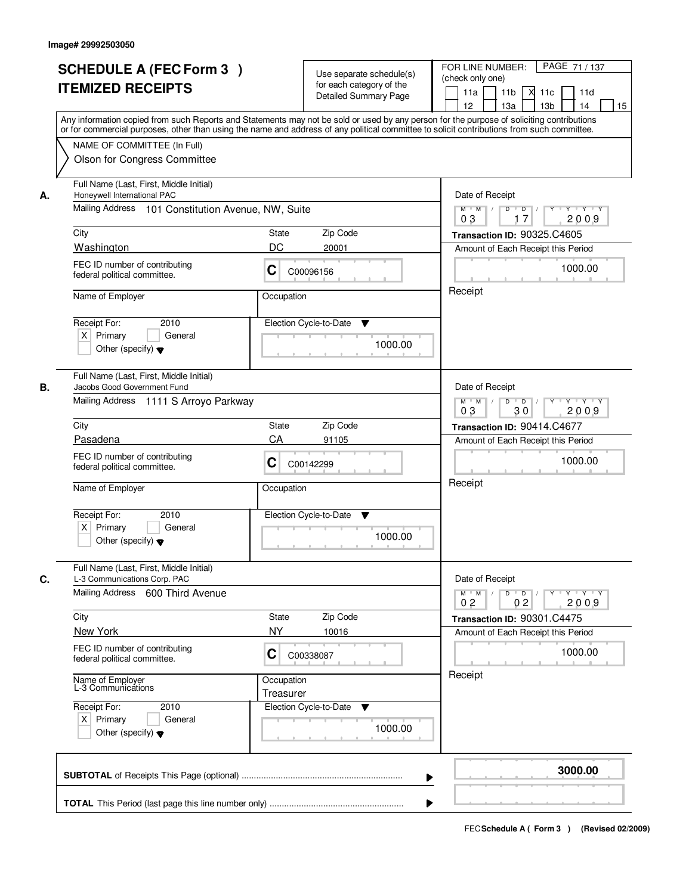|    | <b>SCHEDULE A (FEC Form 3)</b><br><b>ITEMIZED RECEIPTS</b><br>Any information copied from such Reports and Statements may not be sold or used by any person for the purpose of soliciting contributions   |                         | Use separate schedule(s)<br>for each category of the<br>Detailed Summary Page | PAGE 71 / 137<br>FOR LINE NUMBER:<br>(check only one)<br>11 <sub>b</sub><br>11a<br>11c<br>11d<br>м<br>13 <sub>b</sub><br>12 <sup>2</sup><br>13a<br>14<br>15                                                                                                                                                                                                                                                                         |
|----|-----------------------------------------------------------------------------------------------------------------------------------------------------------------------------------------------------------|-------------------------|-------------------------------------------------------------------------------|-------------------------------------------------------------------------------------------------------------------------------------------------------------------------------------------------------------------------------------------------------------------------------------------------------------------------------------------------------------------------------------------------------------------------------------|
|    | or for commercial purposes, other than using the name and address of any political committee to solicit contributions from such committee.<br>NAME OF COMMITTEE (In Full)<br>Olson for Congress Committee |                         |                                                                               |                                                                                                                                                                                                                                                                                                                                                                                                                                     |
| А. | Full Name (Last, First, Middle Initial)<br>Honeywell International PAC<br>Mailing Address 101 Constitution Avenue, NW, Suite                                                                              |                         |                                                                               | Date of Receipt<br>$\begin{array}{c c c c c c c c} \hline \rule{0pt}{1.2ex} & \rule{0pt}{2.2ex} \rule{0pt}{2.2ex} & \rule{0pt}{2.2ex} \rule{0pt}{2.2ex} & \rule{0pt}{2.2ex} & \rule{0pt}{2.2ex} & \rule{0pt}{2.2ex} & \rule{0pt}{2.2ex} & \rule{0pt}{2.2ex} & \rule{0pt}{2.2ex} & \rule{0pt}{2.2ex} & \rule{0pt}{2.2ex} & \rule{0pt}{2.2ex} & \rule{0pt}{2.2ex} & \rule{0pt}{2.2ex} & \rule{0pt}{$<br>$M$ $M$ /<br>2009<br>03<br>17 |
|    | City                                                                                                                                                                                                      | State                   | Zip Code                                                                      | Transaction ID: 90325.C4605                                                                                                                                                                                                                                                                                                                                                                                                         |
|    | Washington                                                                                                                                                                                                | DC                      | 20001                                                                         | Amount of Each Receipt this Period                                                                                                                                                                                                                                                                                                                                                                                                  |
|    | FEC ID number of contributing<br>federal political committee.                                                                                                                                             | C                       | C00096156                                                                     | 1000.00                                                                                                                                                                                                                                                                                                                                                                                                                             |
|    | Name of Employer                                                                                                                                                                                          | Occupation              |                                                                               | Receipt                                                                                                                                                                                                                                                                                                                                                                                                                             |
|    | 2010<br>Receipt For:<br>$X$ Primary<br>General<br>Other (specify) $\blacktriangledown$                                                                                                                    |                         | Election Cycle-to-Date<br>▼<br>1000.00                                        |                                                                                                                                                                                                                                                                                                                                                                                                                                     |
| В. | Full Name (Last, First, Middle Initial)<br>Jacobs Good Government Fund                                                                                                                                    |                         |                                                                               | Date of Receipt                                                                                                                                                                                                                                                                                                                                                                                                                     |
|    | Mailing Address 1111 S Arroyo Parkway                                                                                                                                                                     |                         |                                                                               | $Y - Y - Y$<br>$M$ $M$ /<br>D<br>$\overline{\phantom{0}}$<br>2009<br>03<br>30                                                                                                                                                                                                                                                                                                                                                       |
|    | City                                                                                                                                                                                                      | <b>State</b>            | Zip Code                                                                      | Transaction ID: 90414.C4677                                                                                                                                                                                                                                                                                                                                                                                                         |
|    | Pasadena                                                                                                                                                                                                  | CA                      | 91105                                                                         | Amount of Each Receipt this Period                                                                                                                                                                                                                                                                                                                                                                                                  |
|    | FEC ID number of contributing<br>С<br>federal political committee.                                                                                                                                        |                         | C00142299                                                                     | 1000.00<br>Receipt                                                                                                                                                                                                                                                                                                                                                                                                                  |
|    | Name of Employer                                                                                                                                                                                          | Occupation              |                                                                               |                                                                                                                                                                                                                                                                                                                                                                                                                                     |
|    | Receipt For:<br>2010<br>$X$ Primary<br>General<br>Other (specify) $\blacktriangledown$                                                                                                                    |                         | Election Cycle-to-Date<br>v<br>1000.00                                        |                                                                                                                                                                                                                                                                                                                                                                                                                                     |
|    | Full Name (Last, First, Middle Initial)                                                                                                                                                                   |                         |                                                                               |                                                                                                                                                                                                                                                                                                                                                                                                                                     |
| C. | L-3 Communications Corp. PAC<br>Mailing Address 600 Third Avenue                                                                                                                                          |                         |                                                                               | Date of Receipt<br>$D$ $D$ $/$<br>$M$ $M$ /<br>$Y \rightarrow Y \rightarrow Y$<br>Y<br>0 <sub>2</sub><br>02<br>2009                                                                                                                                                                                                                                                                                                                 |
|    | City                                                                                                                                                                                                      | State                   | Zip Code                                                                      | Transaction ID: 90301.C4475                                                                                                                                                                                                                                                                                                                                                                                                         |
|    | New York                                                                                                                                                                                                  | NY                      | 10016                                                                         | Amount of Each Receipt this Period                                                                                                                                                                                                                                                                                                                                                                                                  |
|    | FEC ID number of contributing<br>federal political committee.                                                                                                                                             | C                       | C00338087                                                                     | 1000.00<br>Receipt                                                                                                                                                                                                                                                                                                                                                                                                                  |
|    | Name of Employer<br>L-3 Communications                                                                                                                                                                    | Occupation<br>Treasurer |                                                                               |                                                                                                                                                                                                                                                                                                                                                                                                                                     |
|    | Receipt For:<br>2010<br>$X$ Primary<br>General<br>Other (specify) $\blacktriangledown$                                                                                                                    |                         | Election Cycle-to-Date<br>v<br>1000.00                                        |                                                                                                                                                                                                                                                                                                                                                                                                                                     |
|    |                                                                                                                                                                                                           |                         | ▶                                                                             | 3000.00                                                                                                                                                                                                                                                                                                                                                                                                                             |
|    |                                                                                                                                                                                                           |                         |                                                                               |                                                                                                                                                                                                                                                                                                                                                                                                                                     |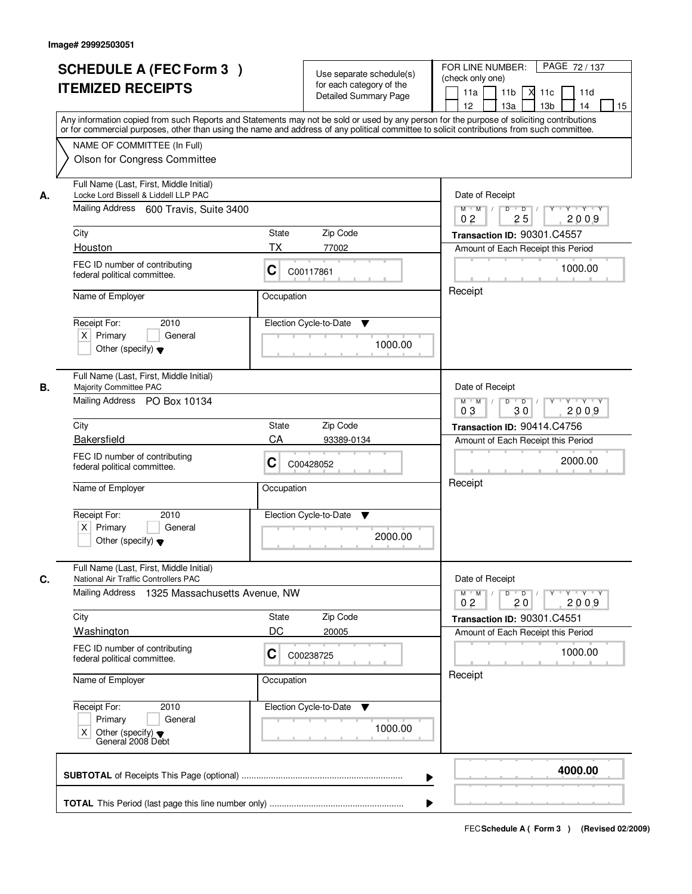|    | <b>SCHEDULE A (FEC Form 3)</b><br><b>ITEMIZED RECEIPTS</b>                                                                | Use separate schedule(s)<br>for each category of the<br><b>Detailed Summary Page</b><br>Any information copied from such Reports and Statements may not be sold or used by any person for the purpose of soliciting contributions | PAGE 72/137<br>FOR LINE NUMBER:<br>(check only one)<br>11 <sub>b</sub><br>11a<br><b>X</b><br>11c<br>11d<br>13 <sub>b</sub><br>14<br>12<br>13a<br>15 |
|----|---------------------------------------------------------------------------------------------------------------------------|-----------------------------------------------------------------------------------------------------------------------------------------------------------------------------------------------------------------------------------|-----------------------------------------------------------------------------------------------------------------------------------------------------|
|    | NAME OF COMMITTEE (In Full)<br>Olson for Congress Committee                                                               | or for commercial purposes, other than using the name and address of any political committee to solicit contributions from such committee.                                                                                        |                                                                                                                                                     |
| А. | Full Name (Last, First, Middle Initial)<br>Locke Lord Bissell & Liddell LLP PAC<br>Mailing Address 600 Travis, Suite 3400 |                                                                                                                                                                                                                                   | Date of Receipt<br>$D$ $D$<br>Y<br>$Y - Y - Y - Y$<br>$M$ $M$ /                                                                                     |
|    | City                                                                                                                      | <b>State</b><br>Zip Code                                                                                                                                                                                                          | 25<br>2009<br>0 <sub>2</sub><br>Transaction ID: 90301.C4557                                                                                         |
|    | Houston                                                                                                                   | ТX<br>77002                                                                                                                                                                                                                       | Amount of Each Receipt this Period                                                                                                                  |
|    | FEC ID number of contributing<br>federal political committee.                                                             | C<br>C00117861                                                                                                                                                                                                                    | 1000.00                                                                                                                                             |
|    | Name of Employer                                                                                                          | Occupation                                                                                                                                                                                                                        | Receipt                                                                                                                                             |
|    | 2010<br>Receipt For:<br>$X$ Primary<br>General<br>Other (specify) $\blacktriangledown$                                    | Election Cycle-to-Date<br>▼<br>1000.00                                                                                                                                                                                            |                                                                                                                                                     |
| В. | Full Name (Last, First, Middle Initial)<br>Majority Committee PAC<br>Mailing Address PO Box 10134                         |                                                                                                                                                                                                                                   | Date of Receipt<br>$Y \vdash Y \vdash Y$<br>$M$ $M$ /<br>D<br>$\overline{D}$ /<br>Y                                                                 |
|    | City                                                                                                                      | Zip Code<br>State                                                                                                                                                                                                                 | 30<br>03<br>2009<br>Transaction ID: 90414.C4756                                                                                                     |
|    | Bakersfield                                                                                                               | CA<br>93389-0134                                                                                                                                                                                                                  | Amount of Each Receipt this Period                                                                                                                  |
|    | FEC ID number of contributing<br>federal political committee.                                                             | С<br>C00428052                                                                                                                                                                                                                    | 2000.00                                                                                                                                             |
|    | Name of Employer                                                                                                          | Occupation                                                                                                                                                                                                                        | Receipt                                                                                                                                             |
|    | Receipt For:<br>2010<br>$X$ Primary<br>General<br>Other (specify) $\blacktriangledown$                                    | Election Cycle-to-Date<br>v<br>2000.00                                                                                                                                                                                            |                                                                                                                                                     |
| C. | Full Name (Last, First, Middle Initial)<br>National Air Traffic Controllers PAC                                           |                                                                                                                                                                                                                                   | Date of Receipt                                                                                                                                     |
|    | Mailing Address 1325 Massachusetts Avenue, NW                                                                             |                                                                                                                                                                                                                                   | $D$ $D$ $/$<br>$Y - Y - Y - Y$<br>$M$ $M$ /<br>$Y^+$<br>2009<br>0 <sub>2</sub><br>20                                                                |
|    | City                                                                                                                      | Zip Code<br>State                                                                                                                                                                                                                 | Transaction ID: 90301.C4551                                                                                                                         |
|    | Washington                                                                                                                | DC<br>20005                                                                                                                                                                                                                       | Amount of Each Receipt this Period                                                                                                                  |
|    | FEC ID number of contributing<br>federal political committee.                                                             | C<br>C00238725                                                                                                                                                                                                                    | 1000.00                                                                                                                                             |
|    | Name of Employer                                                                                                          | Occupation                                                                                                                                                                                                                        | Receipt                                                                                                                                             |
|    | Receipt For:<br>2010<br>Primary<br>General<br>Χ<br>Other (specify) ♥<br>General 2008 Debt                                 | Election Cycle-to-Date ▼<br>1000.00                                                                                                                                                                                               |                                                                                                                                                     |
|    |                                                                                                                           |                                                                                                                                                                                                                                   | 4000.00                                                                                                                                             |
|    |                                                                                                                           |                                                                                                                                                                                                                                   |                                                                                                                                                     |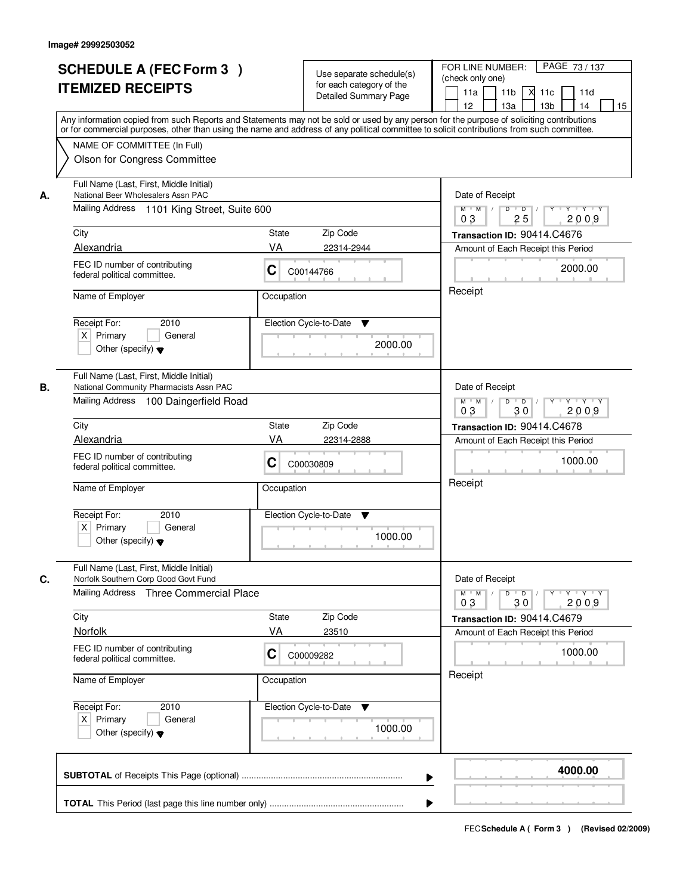|    | <b>SCHEDULE A (FEC Form 3)</b><br><b>ITEMIZED RECEIPTS</b>                                                                                                                                                                                                                                                             | Use separate schedule(s)<br>for each category of the<br><b>Detailed Summary Page</b>                       | PAGE 73/137<br>FOR LINE NUMBER:<br>(check only one)<br>11 <sub>b</sub><br>$X$ 11 $c$<br>11a<br>11d |
|----|------------------------------------------------------------------------------------------------------------------------------------------------------------------------------------------------------------------------------------------------------------------------------------------------------------------------|------------------------------------------------------------------------------------------------------------|----------------------------------------------------------------------------------------------------|
|    | Any information copied from such Reports and Statements may not be sold or used by any person for the purpose of soliciting contributions<br>or for commercial purposes, other than using the name and address of any political committee to solicit contributions from such committee.<br>NAME OF COMMITTEE (In Full) | 12<br>13a<br>13 <sub>b</sub><br>14<br>15                                                                   |                                                                                                    |
|    | Olson for Congress Committee                                                                                                                                                                                                                                                                                           |                                                                                                            |                                                                                                    |
| А. | Full Name (Last, First, Middle Initial)<br>National Beer Wholesalers Assn PAC                                                                                                                                                                                                                                          |                                                                                                            | Date of Receipt                                                                                    |
|    | Mailing Address 1101 King Street, Suite 600                                                                                                                                                                                                                                                                            | $Y - Y - Y$<br>$M$ $M$ /<br>D<br>$\overline{D}$<br>2009<br>0 <sub>3</sub><br>25                            |                                                                                                    |
|    | City                                                                                                                                                                                                                                                                                                                   | Zip Code<br>State                                                                                          | Transaction ID: 90414.C4676                                                                        |
|    | Alexandria                                                                                                                                                                                                                                                                                                             | VA<br>22314-2944                                                                                           | Amount of Each Receipt this Period                                                                 |
|    | FEC ID number of contributing<br>federal political committee.                                                                                                                                                                                                                                                          | C<br>C00144766                                                                                             | 2000.00                                                                                            |
|    | Name of Employer                                                                                                                                                                                                                                                                                                       | Occupation                                                                                                 | Receipt                                                                                            |
|    | 2010<br>Receipt For:<br>$X$ Primary<br>General<br>Other (specify) $\blacktriangledown$                                                                                                                                                                                                                                 | Election Cycle-to-Date<br>▼<br>2000.00                                                                     |                                                                                                    |
| В. | Full Name (Last, First, Middle Initial)<br>National Community Pharmacists Assn PAC                                                                                                                                                                                                                                     |                                                                                                            | Date of Receipt                                                                                    |
|    | Mailing Address 100 Daingerfield Road                                                                                                                                                                                                                                                                                  | D<br>$Y - Y - Y$<br>$M$ $M$ /<br>$\blacksquare$ D $\blacksquare$ /<br>$Y$ <sup>U</sup><br>03<br>30<br>2009 |                                                                                                    |
|    | City                                                                                                                                                                                                                                                                                                                   | Zip Code<br>State                                                                                          | Transaction ID: 90414.C4678                                                                        |
|    | Alexandria                                                                                                                                                                                                                                                                                                             | VA<br>22314-2888                                                                                           | Amount of Each Receipt this Period                                                                 |
|    | FEC ID number of contributing<br>federal political committee.                                                                                                                                                                                                                                                          | C<br>C00030809                                                                                             | 1000.00                                                                                            |
|    | Name of Employer                                                                                                                                                                                                                                                                                                       | Occupation                                                                                                 | Receipt                                                                                            |
|    | Receipt For:<br>2010<br>$X$ Primary<br>General                                                                                                                                                                                                                                                                         | Election Cycle-to-Date<br>v                                                                                |                                                                                                    |
|    | Other (specify) $\blacktriangledown$                                                                                                                                                                                                                                                                                   | 1000.00                                                                                                    |                                                                                                    |
| C. | Full Name (Last, First, Middle Initial)<br>Norfolk Southern Corp Good Govt Fund                                                                                                                                                                                                                                        |                                                                                                            | Date of Receipt                                                                                    |
|    | Mailing Address Three Commercial Place                                                                                                                                                                                                                                                                                 |                                                                                                            | $M$ M<br>$D$ $D$ $l$<br>$Y - Y - Y$<br>$\mathbb{L}$<br>$Y^+$<br>03<br>2009<br>30                   |
|    | City                                                                                                                                                                                                                                                                                                                   | Zip Code<br>State                                                                                          | Transaction ID: 90414.C4679                                                                        |
|    | Norfolk                                                                                                                                                                                                                                                                                                                | VA<br>23510                                                                                                | Amount of Each Receipt this Period                                                                 |
|    | FEC ID number of contributing<br>federal political committee.                                                                                                                                                                                                                                                          | C<br>C00009282                                                                                             | 1000.00                                                                                            |
|    | Name of Employer                                                                                                                                                                                                                                                                                                       | Occupation                                                                                                 | Receipt                                                                                            |
|    | Receipt For:<br>2010<br>$X$ Primary<br>General<br>Other (specify) $\blacktriangledown$                                                                                                                                                                                                                                 | Election Cycle-to-Date<br>v<br>1000.00                                                                     |                                                                                                    |
|    |                                                                                                                                                                                                                                                                                                                        | ▶                                                                                                          | 4000.00                                                                                            |
|    |                                                                                                                                                                                                                                                                                                                        |                                                                                                            |                                                                                                    |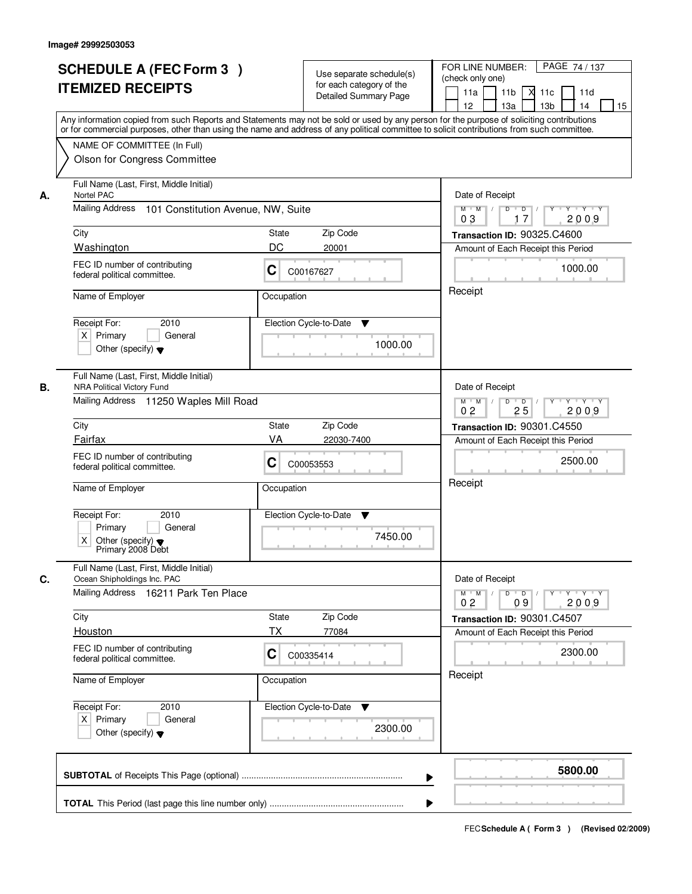|    | <b>SCHEDULE A (FEC Form 3)</b><br><b>ITEMIZED RECEIPTS</b><br>Any information copied from such Reports and Statements may not be sold or used by any person for the purpose of soliciting contributions<br>or for commercial purposes, other than using the name and address of any political committee to solicit contributions from such committee. |                                      | Use separate schedule(s)<br>for each category of the<br>Detailed Summary Page | PAGE 74 / 137<br>FOR LINE NUMBER:<br>(check only one)<br>11 <sub>b</sub><br>11a<br>11c<br>11d<br>12<br>13a<br>13 <sub>b</sub><br>15<br>14                |
|----|-------------------------------------------------------------------------------------------------------------------------------------------------------------------------------------------------------------------------------------------------------------------------------------------------------------------------------------------------------|--------------------------------------|-------------------------------------------------------------------------------|----------------------------------------------------------------------------------------------------------------------------------------------------------|
|    | NAME OF COMMITTEE (In Full)<br>Olson for Congress Committee                                                                                                                                                                                                                                                                                           |                                      |                                                                               |                                                                                                                                                          |
| А. | Full Name (Last, First, Middle Initial)<br>Nortel PAC<br>Mailing Address<br>101 Constitution Avenue, NW, Suite                                                                                                                                                                                                                                        |                                      |                                                                               | Date of Receipt<br>$\mathsf{Y} \dashv \mathsf{Y} \dashv \mathsf{Y}$<br>$D$ $D$ $/$<br>$\Gamma Y$<br>$M$ $M$ /                                            |
|    | City<br>Washington                                                                                                                                                                                                                                                                                                                                    | State<br>DC<br>20001                 | Zip Code                                                                      | 2009<br>03<br>17<br>Transaction ID: 90325.C4600<br>Amount of Each Receipt this Period                                                                    |
|    | FEC ID number of contributing<br>federal political committee.                                                                                                                                                                                                                                                                                         | C<br>C00167627                       |                                                                               | 1000.00<br>Receipt                                                                                                                                       |
|    | Name of Employer<br>Receipt For:<br>2010<br>$X$ Primary<br>General<br>Other (specify) $\blacktriangledown$                                                                                                                                                                                                                                            | Occupation<br>Election Cycle-to-Date | ▼<br>1000.00                                                                  |                                                                                                                                                          |
| В. | Full Name (Last, First, Middle Initial)<br><b>NRA Political Victory Fund</b><br>Mailing Address 11250 Waples Mill Road                                                                                                                                                                                                                                |                                      |                                                                               | Date of Receipt<br>$\mathsf{Y} \dashv \mathsf{Y} \dashv \mathsf{Y}$<br>D<br>Y<br>$M$ $M$ /<br>$\overline{\phantom{0}}$ D<br>0 <sub>2</sub><br>25<br>2009 |
|    | City                                                                                                                                                                                                                                                                                                                                                  | State                                | Zip Code                                                                      | Transaction ID: 90301.C4550                                                                                                                              |
|    | Fairfax<br>FEC ID number of contributing<br>federal political committee.<br>Name of Employer                                                                                                                                                                                                                                                          | VA<br>С<br>C00053553<br>Occupation   | 22030-7400                                                                    | Amount of Each Receipt this Period<br>2500.00<br>Receipt                                                                                                 |
|    | Receipt For:<br>2010<br>Primary<br>General<br>X<br>Other (specify) $\blacktriangledown$<br>Primary 2008 Debt                                                                                                                                                                                                                                          | Election Cycle-to-Date               | ▼<br>7450.00                                                                  |                                                                                                                                                          |
| C. | Full Name (Last, First, Middle Initial)<br>Ocean Shipholdings Inc. PAC<br>Mailing Address<br>16211 Park Ten Place                                                                                                                                                                                                                                     |                                      |                                                                               | Date of Receipt<br>D<br>$M$ $M$ /<br>$\Box$ D $\Box$<br>$Y + Y + Y$                                                                                      |
|    | City<br><b>Houston</b>                                                                                                                                                                                                                                                                                                                                | State<br>ТX                          | Zip Code<br>77084                                                             | 2009<br>0 <sub>2</sub><br>09<br>Transaction ID: 90301.C4507<br>Amount of Each Receipt this Period                                                        |
|    | FEC ID number of contributing<br>federal political committee.                                                                                                                                                                                                                                                                                         | C<br>C00335414                       |                                                                               | 2300.00                                                                                                                                                  |
|    | Name of Employer                                                                                                                                                                                                                                                                                                                                      | Occupation                           |                                                                               | Receipt                                                                                                                                                  |
|    | Receipt For:<br>2010<br>$X$ Primary<br>General<br>Other (specify) $\blacktriangledown$                                                                                                                                                                                                                                                                | Election Cycle-to-Date               | v<br>2300.00                                                                  |                                                                                                                                                          |
|    |                                                                                                                                                                                                                                                                                                                                                       |                                      | ▶                                                                             | 5800.00                                                                                                                                                  |
|    |                                                                                                                                                                                                                                                                                                                                                       |                                      |                                                                               |                                                                                                                                                          |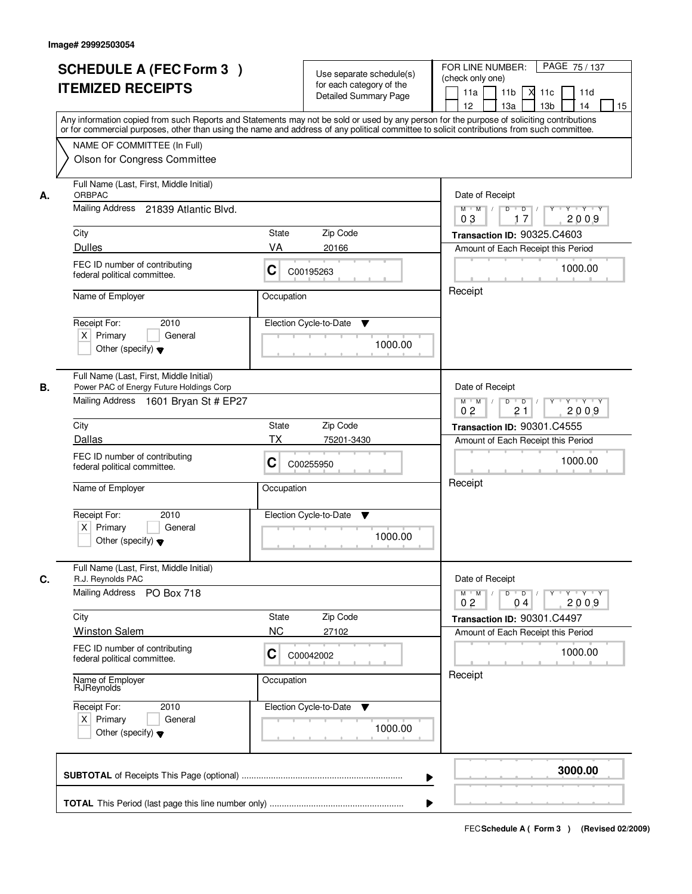|    | <b>SCHEDULE A (FEC Form 3)</b><br><b>ITEMIZED RECEIPTS</b><br>Any information copied from such Reports and Statements may not be sold or used by any person for the purpose of soliciting contributions   |                | Use separate schedule(s)<br>for each category of the<br>Detailed Summary Page | PAGE 75 / 137<br>FOR LINE NUMBER:<br>(check only one)<br>11 <sub>b</sub><br>11a<br>11c<br>11d<br>М<br>13 <sub>b</sub><br>12 <sup>2</sup><br>13a<br>14<br>15                                                                                                                                                                                                                                                                                     |
|----|-----------------------------------------------------------------------------------------------------------------------------------------------------------------------------------------------------------|----------------|-------------------------------------------------------------------------------|-------------------------------------------------------------------------------------------------------------------------------------------------------------------------------------------------------------------------------------------------------------------------------------------------------------------------------------------------------------------------------------------------------------------------------------------------|
|    | or for commercial purposes, other than using the name and address of any political committee to solicit contributions from such committee.<br>NAME OF COMMITTEE (In Full)<br>Olson for Congress Committee |                |                                                                               |                                                                                                                                                                                                                                                                                                                                                                                                                                                 |
| А. | Full Name (Last, First, Middle Initial)<br>ORBPAC<br>Mailing Address 21839 Atlantic Blvd.                                                                                                                 |                |                                                                               | Date of Receipt<br>$\begin{array}{c c c c c c c c} \hline \rule{0pt}{1.2ex} & \rule{0pt}{2.2ex} \rule{0pt}{2.2ex} & \rule{0pt}{2.2ex} \rule{0pt}{2.2ex} & \rule{0pt}{2.2ex} & \rule{0pt}{2.2ex} & \rule{0pt}{2.2ex} & \rule{0pt}{2.2ex} & \rule{0pt}{2.2ex} & \rule{0pt}{2.2ex} & \rule{0pt}{2.2ex} & \rule{0pt}{2.2ex} & \rule{0pt}{2.2ex} & \rule{0pt}{2.2ex} & \rule{0pt}{2.2ex} & \rule{0pt}{$<br>$M$ $M$ /<br>0 <sub>3</sub><br>2009<br>17 |
|    | City<br><b>Dulles</b>                                                                                                                                                                                     | State<br>VA    | Zip Code<br>20166                                                             | Transaction ID: 90325.C4603<br>Amount of Each Receipt this Period                                                                                                                                                                                                                                                                                                                                                                               |
|    | FEC ID number of contributing<br>federal political committee.                                                                                                                                             | C              | C00195263                                                                     | 1000.00                                                                                                                                                                                                                                                                                                                                                                                                                                         |
|    | Name of Employer<br>2010<br>Receipt For:<br>$X$ Primary<br>General<br>Other (specify) $\blacktriangledown$                                                                                                | Occupation     | Election Cycle-to-Date<br>▼<br>1000.00                                        | Receipt                                                                                                                                                                                                                                                                                                                                                                                                                                         |
| В. | Full Name (Last, First, Middle Initial)<br>Power PAC of Energy Future Holdings Corp<br>Mailing Address 1601 Bryan St # EP27                                                                               |                |                                                                               | Date of Receipt<br>$Y - Y - Y$<br>$M$ M<br>D<br>$\overline{D}$<br>21<br>2009<br>0 <sub>2</sub>                                                                                                                                                                                                                                                                                                                                                  |
|    | City                                                                                                                                                                                                      | <b>State</b>   | Zip Code                                                                      | Transaction ID: 90301.C4555                                                                                                                                                                                                                                                                                                                                                                                                                     |
|    | Dallas                                                                                                                                                                                                    | <b>TX</b>      | 75201-3430                                                                    | Amount of Each Receipt this Period                                                                                                                                                                                                                                                                                                                                                                                                              |
|    | FEC ID number of contributing<br>federal political committee.                                                                                                                                             | C              | C00255950                                                                     | 1000.00<br>Receipt                                                                                                                                                                                                                                                                                                                                                                                                                              |
|    | Name of Employer                                                                                                                                                                                          | Occupation     |                                                                               |                                                                                                                                                                                                                                                                                                                                                                                                                                                 |
|    | Receipt For:<br>2010<br>$X$ Primary<br>General<br>Other (specify) $\blacktriangledown$                                                                                                                    |                | Election Cycle-to-Date<br>v<br>1000.00                                        |                                                                                                                                                                                                                                                                                                                                                                                                                                                 |
| C. | Full Name (Last, First, Middle Initial)<br>R.J. Reynolds PAC                                                                                                                                              |                |                                                                               | Date of Receipt                                                                                                                                                                                                                                                                                                                                                                                                                                 |
|    | Mailing Address<br>PO Box 718                                                                                                                                                                             |                |                                                                               | $\mathsf D$<br>$M$ $M$ /<br>$\overline{D}$<br>$Y + Y + Y$<br>$Y$ <sup><math>\top</math></sup><br>02<br>2009<br>04                                                                                                                                                                                                                                                                                                                               |
|    | City                                                                                                                                                                                                      | State          | Zip Code                                                                      | Transaction ID: 90301.C4497                                                                                                                                                                                                                                                                                                                                                                                                                     |
|    | <b>Winston Salem</b><br>FEC ID number of contributing<br>federal political committee.                                                                                                                     | <b>NC</b><br>C | 27102<br>C00042002                                                            | Amount of Each Receipt this Period<br>1000.00                                                                                                                                                                                                                                                                                                                                                                                                   |
|    | Name of Employer<br>RJReynolds                                                                                                                                                                            | Occupation     |                                                                               | Receipt                                                                                                                                                                                                                                                                                                                                                                                                                                         |
|    | Receipt For:<br>2010<br>$X$ Primary<br>General<br>Other (specify) $\blacktriangledown$                                                                                                                    |                | Election Cycle-to-Date<br>v<br>1000.00                                        |                                                                                                                                                                                                                                                                                                                                                                                                                                                 |
|    |                                                                                                                                                                                                           |                | ▶                                                                             | 3000.00                                                                                                                                                                                                                                                                                                                                                                                                                                         |
|    |                                                                                                                                                                                                           |                |                                                                               |                                                                                                                                                                                                                                                                                                                                                                                                                                                 |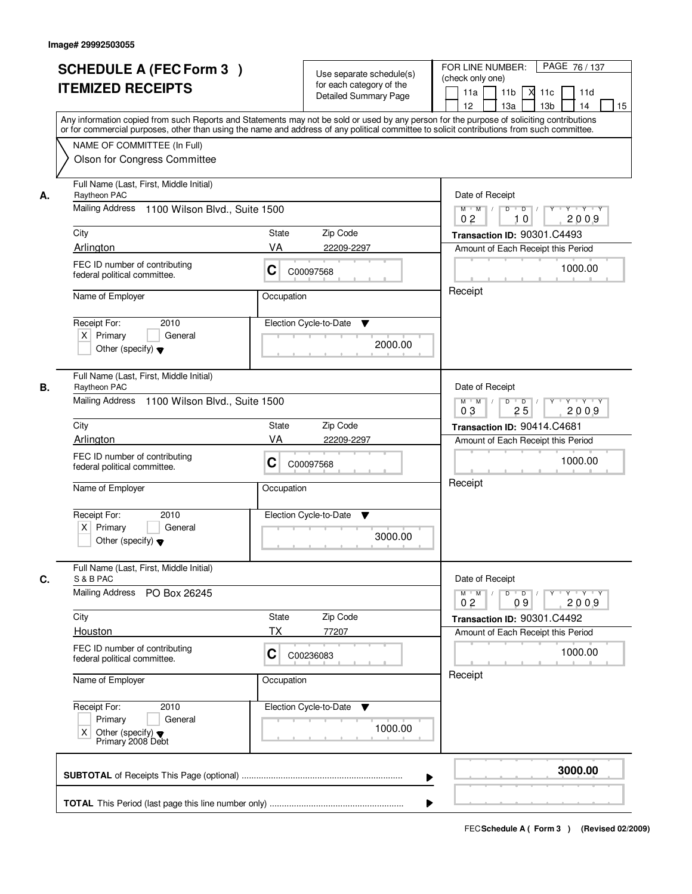|    | <b>SCHEDULE A (FEC Form 3)</b><br><b>ITEMIZED RECEIPTS</b><br>Any information copied from such Reports and Statements may not be sold or used by any person for the purpose of soliciting contributions   |                                                                          | Use separate schedule(s)<br>for each category of the<br><b>Detailed Summary Page</b> | PAGE 76 / 137<br>FOR LINE NUMBER:<br>(check only one)<br>11 <sub>b</sub><br>11a<br>-XI<br>11c<br>11d<br>13 <sub>b</sub><br>12<br>13a<br>14<br>15 |
|----|-----------------------------------------------------------------------------------------------------------------------------------------------------------------------------------------------------------|--------------------------------------------------------------------------|--------------------------------------------------------------------------------------|--------------------------------------------------------------------------------------------------------------------------------------------------|
|    | or for commercial purposes, other than using the name and address of any political committee to solicit contributions from such committee.<br>NAME OF COMMITTEE (In Full)<br>Olson for Congress Committee |                                                                          |                                                                                      |                                                                                                                                                  |
| А. | Full Name (Last, First, Middle Initial)<br>Raytheon PAC<br>Mailing Address 1100 Wilson Blvd., Suite 1500                                                                                                  | Date of Receipt<br>$D$ $D$ $1$<br>$\overline{Y}$<br>Y 'Y 'Y<br>$M$ $M$ / |                                                                                      |                                                                                                                                                  |
|    |                                                                                                                                                                                                           |                                                                          |                                                                                      | 0 <sub>2</sub><br>2009<br>10                                                                                                                     |
|    | City<br>Arlington                                                                                                                                                                                         | State<br>VA                                                              | Zip Code<br>22209-2297                                                               | Transaction ID: 90301.C4493<br>Amount of Each Receipt this Period                                                                                |
|    | FEC ID number of contributing<br>federal political committee.                                                                                                                                             | C                                                                        | C00097568                                                                            | 1000.00                                                                                                                                          |
|    | Name of Employer                                                                                                                                                                                          | Occupation                                                               |                                                                                      | Receipt                                                                                                                                          |
|    | 2010<br>Receipt For:<br>$X$ Primary<br>General<br>Other (specify) $\blacktriangledown$                                                                                                                    |                                                                          | Election Cycle-to-Date<br>▼<br>2000.00                                               |                                                                                                                                                  |
| В. | Full Name (Last, First, Middle Initial)<br>Raytheon PAC                                                                                                                                                   |                                                                          |                                                                                      | Date of Receipt                                                                                                                                  |
|    | Mailing Address 1100 Wilson Blvd., Suite 1500                                                                                                                                                             |                                                                          |                                                                                      | $Y \vdash Y \vdash Y$<br>$M$ M<br>D<br>$\blacksquare$<br>2009<br>03<br>25                                                                        |
|    | City                                                                                                                                                                                                      | State                                                                    | Zip Code                                                                             | Transaction ID: 90414.C4681                                                                                                                      |
|    | Arlington                                                                                                                                                                                                 | VA                                                                       | 22209-2297                                                                           | Amount of Each Receipt this Period                                                                                                               |
|    | FEC ID number of contributing<br>federal political committee.                                                                                                                                             | C                                                                        | C00097568                                                                            | 1000.00<br>Receipt                                                                                                                               |
|    | Name of Employer                                                                                                                                                                                          | Occupation                                                               |                                                                                      |                                                                                                                                                  |
|    | Receipt For:<br>2010<br>$X$ Primary<br>General<br>Other (specify) $\blacktriangledown$                                                                                                                    |                                                                          | Election Cycle-to-Date<br>▼<br>3000.00                                               |                                                                                                                                                  |
| C. | Full Name (Last, First, Middle Initial)<br>S & B PAC                                                                                                                                                      |                                                                          |                                                                                      | Date of Receipt                                                                                                                                  |
|    | <b>Mailing Address</b><br>PO Box 26245                                                                                                                                                                    |                                                                          |                                                                                      | $D$ $D$ $/$<br>$M$ $M$ /<br>$Y + Y + Y$<br>$Y^{\top}$<br>0 <sub>2</sub><br>09<br>2009                                                            |
|    | City                                                                                                                                                                                                      | State                                                                    | Zip Code                                                                             | Transaction ID: 90301.C4492                                                                                                                      |
|    | Houston<br>FEC ID number of contributing<br>federal political committee.                                                                                                                                  | ТX<br>C                                                                  | 77207<br>C00236083                                                                   | Amount of Each Receipt this Period<br>1000.00                                                                                                    |
|    | Name of Employer<br>Occupation                                                                                                                                                                            |                                                                          |                                                                                      | Receipt                                                                                                                                          |
|    | Receipt For:<br>2010<br>Primary<br>General<br>Other (specify) ♥<br>Primary 2008 Debt<br>X.                                                                                                                |                                                                          | Election Cycle-to-Date<br>v<br>1000.00                                               |                                                                                                                                                  |
|    |                                                                                                                                                                                                           |                                                                          | ▶                                                                                    | 3000.00                                                                                                                                          |
|    |                                                                                                                                                                                                           |                                                                          |                                                                                      |                                                                                                                                                  |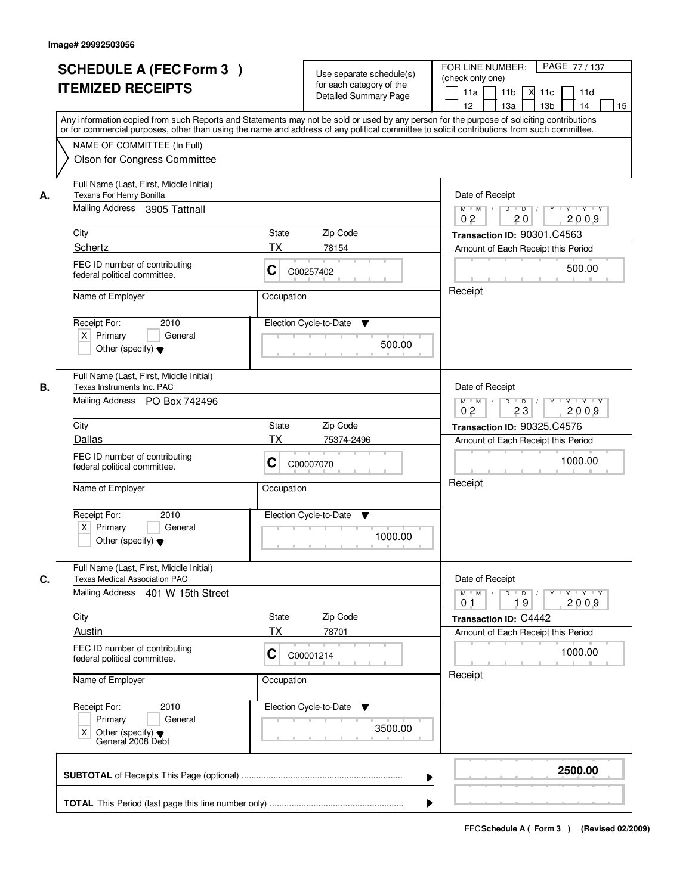|    | <b>SCHEDULE A (FEC Form 3)</b><br><b>ITEMIZED RECEIPTS</b>                                                                                                                                                | Use separate schedule(s)<br>for each category of the<br><b>Detailed Summary Page</b> | PAGE 77 / 137<br>FOR LINE NUMBER:<br>(check only one)<br>11 <sub>b</sub><br>11a<br><b>X</b><br>11c<br>11d<br>13 <sub>b</sub><br>14<br>12<br>13a<br>15<br>Any information copied from such Reports and Statements may not be sold or used by any person for the purpose of soliciting contributions |  |
|----|-----------------------------------------------------------------------------------------------------------------------------------------------------------------------------------------------------------|--------------------------------------------------------------------------------------|----------------------------------------------------------------------------------------------------------------------------------------------------------------------------------------------------------------------------------------------------------------------------------------------------|--|
|    | or for commercial purposes, other than using the name and address of any political committee to solicit contributions from such committee.<br>NAME OF COMMITTEE (In Full)<br>Olson for Congress Committee |                                                                                      |                                                                                                                                                                                                                                                                                                    |  |
| А. | Full Name (Last, First, Middle Initial)<br>Texans For Henry Bonilla<br>Mailing Address 3905 Tattnall                                                                                                      | Date of Receipt<br>$D$ $D$ $1$<br>$Y$ <sup>U</sup><br>$Y - Y - Y - Y$<br>$M$ $M$ /   |                                                                                                                                                                                                                                                                                                    |  |
|    | City<br>Schertz                                                                                                                                                                                           | State<br>Zip Code<br>ТX<br>78154                                                     | 2009<br>0 <sub>2</sub><br>20<br>Transaction ID: 90301.C4563                                                                                                                                                                                                                                        |  |
|    | FEC ID number of contributing<br>federal political committee.                                                                                                                                             | C<br>C00257402                                                                       | Amount of Each Receipt this Period<br>500.00                                                                                                                                                                                                                                                       |  |
|    | Name of Employer                                                                                                                                                                                          | Occupation                                                                           | Receipt                                                                                                                                                                                                                                                                                            |  |
|    | Receipt For:<br>2010<br>$X$ Primary<br>General<br>Other (specify) $\blacktriangledown$                                                                                                                    | Election Cycle-to-Date<br>▼<br>500.00                                                |                                                                                                                                                                                                                                                                                                    |  |
| В. | Full Name (Last, First, Middle Initial)<br>Texas Instruments Inc. PAC<br>Mailing Address PO Box 742496                                                                                                    |                                                                                      | Date of Receipt<br>$Y \vdash Y \vdash Y$<br>$M$ $M$ /<br>D<br>$\overline{D}$ /<br>Y<br>0 <sub>2</sub><br>23<br>2009                                                                                                                                                                                |  |
|    | City                                                                                                                                                                                                      | Zip Code<br>State                                                                    | <b>Transaction ID: 90325.C4576</b>                                                                                                                                                                                                                                                                 |  |
|    | Dallas<br>FEC ID number of contributing<br>federal political committee.                                                                                                                                   | ТX<br>75374-2496<br>C<br>C00007070                                                   | Amount of Each Receipt this Period<br>1000.00<br>Receipt                                                                                                                                                                                                                                           |  |
|    | Name of Employer<br>Receipt For:<br>2010<br>$X$ Primary<br>General                                                                                                                                        | Occupation<br>Election Cycle-to-Date<br>v                                            |                                                                                                                                                                                                                                                                                                    |  |
|    | Other (specify) $\blacktriangledown$                                                                                                                                                                      | 1000.00                                                                              |                                                                                                                                                                                                                                                                                                    |  |
| C. | Full Name (Last, First, Middle Initial)<br><b>Texas Medical Association PAC</b><br>Mailing Address 401 W 15th Street                                                                                      |                                                                                      | Date of Receipt<br>$M$ $M$<br>$D$ $D$ $l$<br>$Y^+$<br>$Y + Y + Y$<br>2009<br>19<br>01                                                                                                                                                                                                              |  |
|    | City                                                                                                                                                                                                      | Zip Code<br>State                                                                    | Transaction ID: C4442                                                                                                                                                                                                                                                                              |  |
|    | <b>Austin</b><br>FEC ID number of contributing<br>federal political committee.                                                                                                                            | ТX<br>78701<br>C<br>C00001214                                                        | Amount of Each Receipt this Period<br>1000.00                                                                                                                                                                                                                                                      |  |
|    | Name of Employer<br>Occupation                                                                                                                                                                            |                                                                                      | Receipt                                                                                                                                                                                                                                                                                            |  |
|    | Receipt For:<br>2010<br>Primary<br>General<br>Χ<br>Other (specify) $\blacktriangledown$<br>General 2008 Debt                                                                                              | Election Cycle-to-Date ▼<br>3500.00                                                  |                                                                                                                                                                                                                                                                                                    |  |
|    |                                                                                                                                                                                                           |                                                                                      | 2500.00<br>▶                                                                                                                                                                                                                                                                                       |  |
|    |                                                                                                                                                                                                           |                                                                                      |                                                                                                                                                                                                                                                                                                    |  |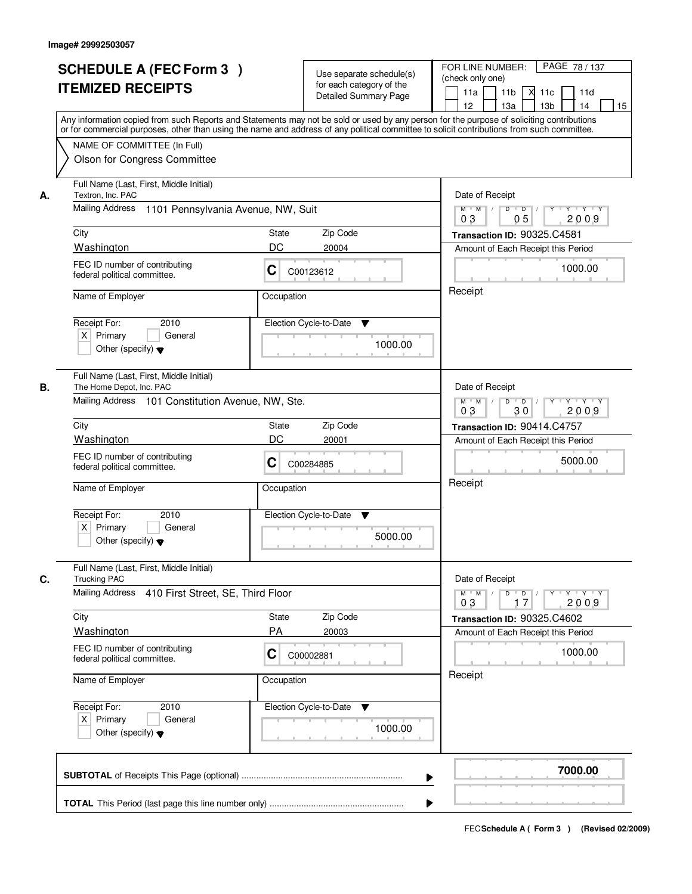|    | <b>SCHEDULE A (FEC Form 3)</b><br><b>ITEMIZED RECEIPTS</b>                                                                                                                                                                                                                              |                                                                                                                                     | Use separate schedule(s)<br>for each category of the<br><b>Detailed Summary Page</b> | PAGE 78 / 137<br>FOR LINE NUMBER:<br>(check only one)<br>11 <sub>b</sub><br>11a<br>-XI<br>11c<br>11d |
|----|-----------------------------------------------------------------------------------------------------------------------------------------------------------------------------------------------------------------------------------------------------------------------------------------|-------------------------------------------------------------------------------------------------------------------------------------|--------------------------------------------------------------------------------------|------------------------------------------------------------------------------------------------------|
|    | Any information copied from such Reports and Statements may not be sold or used by any person for the purpose of soliciting contributions<br>or for commercial purposes, other than using the name and address of any political committee to solicit contributions from such committee. |                                                                                                                                     |                                                                                      | 13 <sub>b</sub><br>12<br>13a<br>14<br>15                                                             |
|    | NAME OF COMMITTEE (In Full)<br>Olson for Congress Committee                                                                                                                                                                                                                             |                                                                                                                                     |                                                                                      |                                                                                                      |
| А. | Full Name (Last, First, Middle Initial)<br>Textron, Inc. PAC                                                                                                                                                                                                                            | Date of Receipt                                                                                                                     |                                                                                      |                                                                                                      |
|    | Mailing Address<br>1101 Pennsylvania Avenue, NW, Suit                                                                                                                                                                                                                                   | $M$ $M$<br>$D$ $D$ $/$<br>$\begin{array}{c c c c c c} \hline & Y & Y & Y & Y \\ \hline \end{array}$<br>0 <sub>3</sub><br>05<br>2009 |                                                                                      |                                                                                                      |
|    | City                                                                                                                                                                                                                                                                                    | State                                                                                                                               | Zip Code                                                                             | Transaction ID: 90325.C4581                                                                          |
|    | Washington                                                                                                                                                                                                                                                                              | DC                                                                                                                                  | 20004                                                                                | Amount of Each Receipt this Period                                                                   |
|    | FEC ID number of contributing<br>federal political committee.                                                                                                                                                                                                                           | C                                                                                                                                   | C00123612                                                                            | 1000.00                                                                                              |
|    | Name of Employer                                                                                                                                                                                                                                                                        | Occupation                                                                                                                          |                                                                                      | Receipt                                                                                              |
|    | 2010<br>Receipt For:                                                                                                                                                                                                                                                                    |                                                                                                                                     | Election Cycle-to-Date<br>▼                                                          |                                                                                                      |
|    | $X$ Primary<br>General<br>Other (specify) $\blacktriangledown$                                                                                                                                                                                                                          |                                                                                                                                     | 1000.00                                                                              |                                                                                                      |
| В. | Full Name (Last, First, Middle Initial)<br>The Home Depot, Inc. PAC                                                                                                                                                                                                                     |                                                                                                                                     |                                                                                      | Date of Receipt                                                                                      |
|    | Mailing Address 101 Constitution Avenue, NW, Ste.                                                                                                                                                                                                                                       |                                                                                                                                     |                                                                                      | $Y \vdash Y \vdash Y$<br>$M$ $M$ /<br>D<br>$\overline{D}$<br>Y<br>2009<br>03<br>30                   |
|    | City                                                                                                                                                                                                                                                                                    | State                                                                                                                               | Zip Code                                                                             | Transaction ID: 90414.C4757                                                                          |
|    | Washington                                                                                                                                                                                                                                                                              | DC                                                                                                                                  | 20001                                                                                | Amount of Each Receipt this Period                                                                   |
|    | FEC ID number of contributing<br>C<br>federal political committee.                                                                                                                                                                                                                      |                                                                                                                                     | C00284885                                                                            | 5000.00                                                                                              |
|    | Name of Employer                                                                                                                                                                                                                                                                        | Occupation                                                                                                                          |                                                                                      | Receipt                                                                                              |
|    | Receipt For:<br>2010                                                                                                                                                                                                                                                                    |                                                                                                                                     | Election Cycle-to-Date<br>▼                                                          |                                                                                                      |
|    | $X$ Primary<br>General<br>Other (specify) $\blacktriangledown$                                                                                                                                                                                                                          |                                                                                                                                     | 5000.00                                                                              |                                                                                                      |
| C. | Full Name (Last, First, Middle Initial)<br><b>Trucking PAC</b>                                                                                                                                                                                                                          |                                                                                                                                     |                                                                                      | Date of Receipt                                                                                      |
|    | Mailing Address<br>410 First Street, SE, Third Floor                                                                                                                                                                                                                                    |                                                                                                                                     |                                                                                      | $D$ $D$ $/$<br>$M$ $M$ /<br>$Y + Y + Y$<br>Y "<br>03<br>2009<br>17                                   |
|    | City                                                                                                                                                                                                                                                                                    | State                                                                                                                               | Zip Code                                                                             | Transaction ID: 90325.C4602                                                                          |
|    | <b>Washington</b>                                                                                                                                                                                                                                                                       | PA                                                                                                                                  | 20003                                                                                | Amount of Each Receipt this Period                                                                   |
|    | FEC ID number of contributing<br>federal political committee.                                                                                                                                                                                                                           | C                                                                                                                                   | C00002881                                                                            | 1000.00                                                                                              |
|    | Name of Employer<br>Occupation                                                                                                                                                                                                                                                          |                                                                                                                                     |                                                                                      | Receipt                                                                                              |
|    | Receipt For:<br>2010                                                                                                                                                                                                                                                                    |                                                                                                                                     | Election Cycle-to-Date<br>v                                                          |                                                                                                      |
|    | $X$ Primary<br>General<br>Other (specify) $\blacktriangledown$                                                                                                                                                                                                                          |                                                                                                                                     | 1000.00                                                                              |                                                                                                      |
|    |                                                                                                                                                                                                                                                                                         |                                                                                                                                     | ▶                                                                                    | 7000.00                                                                                              |
|    |                                                                                                                                                                                                                                                                                         |                                                                                                                                     |                                                                                      |                                                                                                      |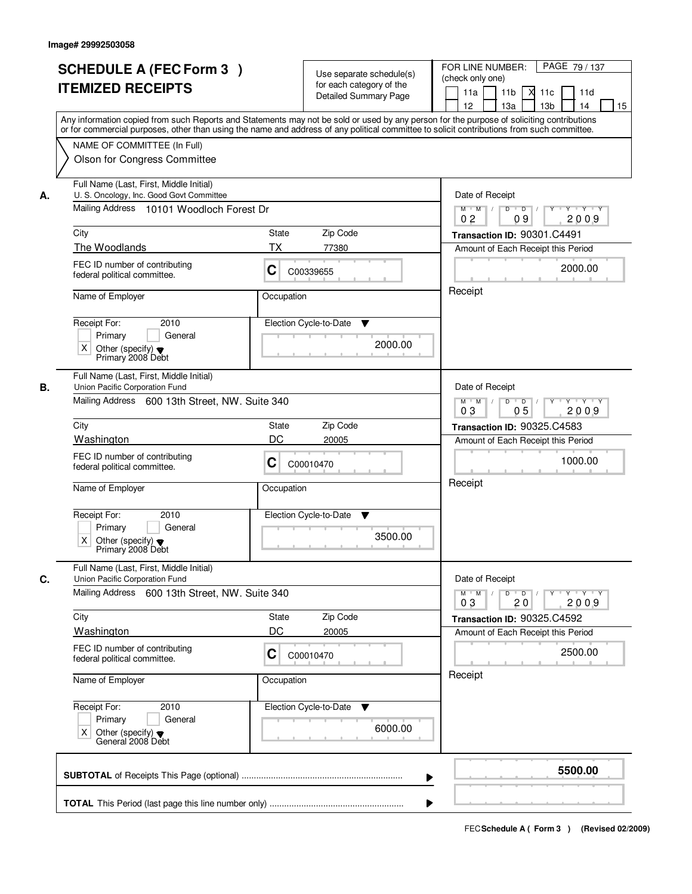|    | <b>SCHEDULE A (FEC Form 3)</b><br><b>ITEMIZED RECEIPTS</b><br>Any information copied from such Reports and Statements may not be sold or used by any person for the purpose of soliciting contributions   | Use separate schedule(s)<br>for each category of the<br><b>Detailed Summary Page</b>                               | PAGE 79 / 137<br>FOR LINE NUMBER:<br>(check only one)<br>11 <sub>b</sub><br>11a<br>-XI<br>11c<br>11d<br>13 <sub>b</sub><br>14<br>12<br>13a<br>15 |
|----|-----------------------------------------------------------------------------------------------------------------------------------------------------------------------------------------------------------|--------------------------------------------------------------------------------------------------------------------|--------------------------------------------------------------------------------------------------------------------------------------------------|
|    | or for commercial purposes, other than using the name and address of any political committee to solicit contributions from such committee.<br>NAME OF COMMITTEE (In Full)<br>Olson for Congress Committee |                                                                                                                    |                                                                                                                                                  |
| А. | Full Name (Last, First, Middle Initial)<br>U. S. Oncology, Inc. Good Govt Committee<br>Mailing Address 10101 Woodloch Forest Dr                                                                           | Date of Receipt<br>$D$ $D$ $1$<br>$Y$ <sup>U</sup><br>$Y - Y - Y - Y$<br>$M$ $M$ /<br>2009<br>0 <sub>2</sub><br>09 |                                                                                                                                                  |
|    | City                                                                                                                                                                                                      | State<br>Zip Code                                                                                                  | Transaction ID: 90301.C4491                                                                                                                      |
|    | The Woodlands                                                                                                                                                                                             | ТX<br>77380                                                                                                        | Amount of Each Receipt this Period                                                                                                               |
|    | FEC ID number of contributing<br>federal political committee.                                                                                                                                             | C<br>C00339655                                                                                                     | 2000.00                                                                                                                                          |
|    | Name of Employer                                                                                                                                                                                          | Occupation                                                                                                         | Receipt                                                                                                                                          |
|    | Receipt For:<br>2010<br>Primary<br>General<br>X<br>Other (specify) $\blacktriangledown$<br>Primary 2008 Debt                                                                                              | Election Cycle-to-Date<br>▼<br>2000.00                                                                             |                                                                                                                                                  |
| В. | Full Name (Last, First, Middle Initial)<br>Union Pacific Corporation Fund                                                                                                                                 |                                                                                                                    | Date of Receipt                                                                                                                                  |
|    | Mailing Address 600 13th Street, NW. Suite 340                                                                                                                                                            | $M$ $M$ /<br>D<br>$\Box$<br>Y<br>$Y + Y + Y$<br>03<br>0 <sub>5</sub><br>2009                                       |                                                                                                                                                  |
|    | City                                                                                                                                                                                                      | Zip Code<br>State                                                                                                  | <b>Transaction ID: 90325.C4583</b>                                                                                                               |
|    | Washington                                                                                                                                                                                                | DC<br>20005                                                                                                        | Amount of Each Receipt this Period                                                                                                               |
|    | FEC ID number of contributing<br>federal political committee.                                                                                                                                             | C<br>C00010470                                                                                                     | 1000.00                                                                                                                                          |
|    | Name of Employer                                                                                                                                                                                          | Occupation                                                                                                         | Receipt                                                                                                                                          |
|    | Receipt For:<br>2010<br>Primary<br>General<br>X<br>Other (specify) $\blacktriangledown$<br>Primary 2008 Debt                                                                                              | Election Cycle-to-Date<br>v<br>3500.00                                                                             |                                                                                                                                                  |
| C. | Full Name (Last, First, Middle Initial)<br>Union Pacific Corporation Fund                                                                                                                                 |                                                                                                                    | Date of Receipt                                                                                                                                  |
|    | Mailing Address 600 13th Street, NW. Suite 340                                                                                                                                                            |                                                                                                                    | $D$ $D$ $/$<br>$Y - Y - Y - Y$<br>$M$ $M$ /<br>$Y$ <sup>U</sup><br>2009<br>03<br>20                                                              |
|    | City                                                                                                                                                                                                      | Zip Code<br>State                                                                                                  | Transaction ID: 90325.C4592                                                                                                                      |
|    | Washington                                                                                                                                                                                                | DC<br>20005                                                                                                        | Amount of Each Receipt this Period                                                                                                               |
|    | FEC ID number of contributing<br>federal political committee.                                                                                                                                             | C<br>C00010470                                                                                                     | 2500.00                                                                                                                                          |
|    | Name of Employer                                                                                                                                                                                          | Occupation                                                                                                         | Receipt                                                                                                                                          |
|    | Receipt For:<br>2010<br>Primary<br>General<br>Other (specify) ♥<br>General 2008 Debt<br>Χ                                                                                                                 | Election Cycle-to-Date ▼<br>6000.00                                                                                |                                                                                                                                                  |
|    |                                                                                                                                                                                                           |                                                                                                                    | 5500.00                                                                                                                                          |
|    |                                                                                                                                                                                                           |                                                                                                                    |                                                                                                                                                  |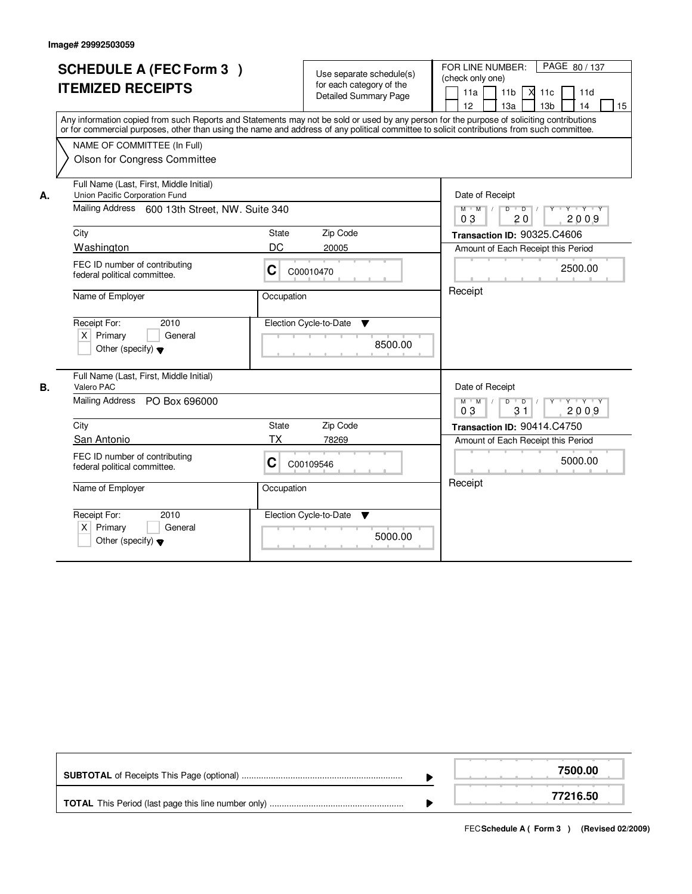|    | <b>SCHEDULE A (FEC Form 3)</b><br><b>ITEMIZED RECEIPTS</b><br>Any information copied from such Reports and Statements may not be sold or used by any person for the purpose of soliciting contributions<br>or for commercial purposes, other than using the name and address of any political committee to solicit contributions from such committee.<br>NAME OF COMMITTEE (In Full)<br><b>Olson for Congress Committee</b> |            | Use separate schedule(s)<br>for each category of the<br><b>Detailed Summary Page</b> | PAGE 80/137<br>FOR LINE NUMBER:<br>(check only one)<br>$\overline{X}$ 11c<br>11a<br>11 <sub>b</sub><br>11d<br>12<br>13a<br>13 <sub>b</sub><br>14<br>15 |
|----|-----------------------------------------------------------------------------------------------------------------------------------------------------------------------------------------------------------------------------------------------------------------------------------------------------------------------------------------------------------------------------------------------------------------------------|------------|--------------------------------------------------------------------------------------|--------------------------------------------------------------------------------------------------------------------------------------------------------|
| А. | Full Name (Last, First, Middle Initial)<br>Union Pacific Corporation Fund<br>Mailing Address 600 13th Street, NW. Suite 340                                                                                                                                                                                                                                                                                                 |            |                                                                                      | Date of Receipt<br>$M$ M<br>D<br>$\overline{D}$<br>$Y - Y - Y$<br>$\sqrt{ }$<br>03<br>20<br>2009                                                       |
|    | City                                                                                                                                                                                                                                                                                                                                                                                                                        | State      | Zip Code                                                                             | Transaction ID: 90325.C4606                                                                                                                            |
|    | Washington                                                                                                                                                                                                                                                                                                                                                                                                                  | DC         | 20005                                                                                | Amount of Each Receipt this Period                                                                                                                     |
|    | FEC ID number of contributing<br>federal political committee.                                                                                                                                                                                                                                                                                                                                                               | C          | C00010470                                                                            | 2500.00                                                                                                                                                |
|    | Name of Employer                                                                                                                                                                                                                                                                                                                                                                                                            | Occupation |                                                                                      | Receipt                                                                                                                                                |
|    | Receipt For:<br>2010<br>$X$ Primary<br>General<br>Other (specify) $\blacktriangledown$                                                                                                                                                                                                                                                                                                                                      |            | Election Cycle-to-Date<br>$\blacktriangledown$<br>8500.00                            |                                                                                                                                                        |
| В. | Full Name (Last, First, Middle Initial)<br>Valero PAC                                                                                                                                                                                                                                                                                                                                                                       |            |                                                                                      | Date of Receipt                                                                                                                                        |
|    | Mailing Address PO Box 696000                                                                                                                                                                                                                                                                                                                                                                                               |            |                                                                                      | $M$ $M$<br>$D$ $D$ $1$<br>$Y$ <sup>U</sup><br>Y 'Y 'Y<br>03<br>31<br>2009                                                                              |
|    | City                                                                                                                                                                                                                                                                                                                                                                                                                        | State      | Zip Code                                                                             | Transaction ID: 90414.C4750                                                                                                                            |
|    | <b>San Antonio</b>                                                                                                                                                                                                                                                                                                                                                                                                          | TX         | 78269                                                                                | Amount of Each Receipt this Period                                                                                                                     |
|    | FEC ID number of contributing<br>federal political committee.                                                                                                                                                                                                                                                                                                                                                               | C          | C00109546                                                                            | 5000.00                                                                                                                                                |
|    | Name of Employer                                                                                                                                                                                                                                                                                                                                                                                                            | Occupation |                                                                                      | Receipt                                                                                                                                                |
|    | Receipt For:<br>2010<br>$\times$<br>Primary<br>General<br>Other (specify) $\blacktriangledown$                                                                                                                                                                                                                                                                                                                              |            | Election Cycle-to-Date<br>v<br>5000.00                                               |                                                                                                                                                        |

|  | 7500.00  |
|--|----------|
|  | 77216.50 |

FECSchedule A (Form 3) (Revised 02/2009)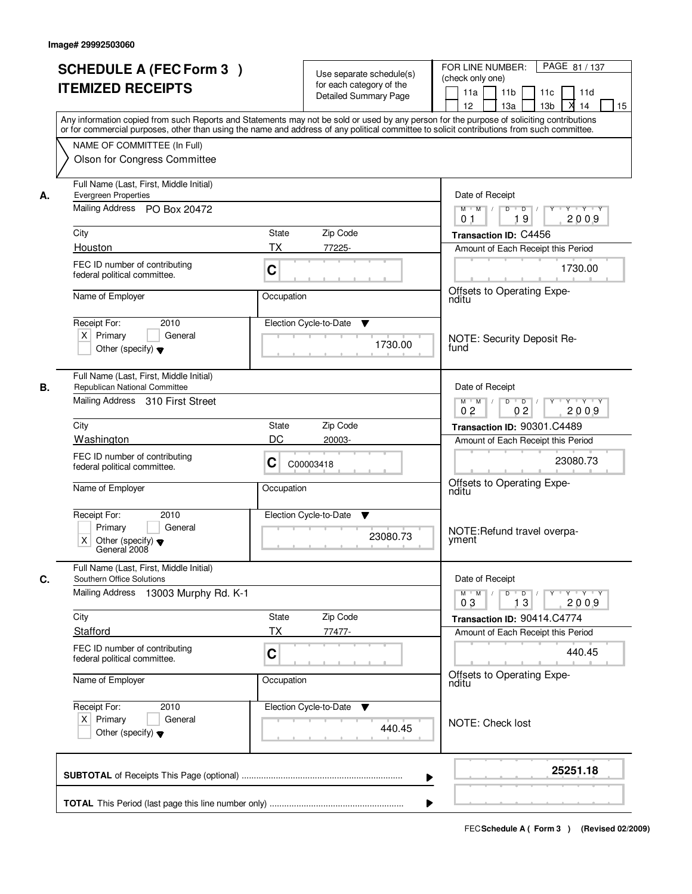| <b>ITEMIZED RECEIPTS</b>                                                             | <b>SCHEDULE A (FEC Form 3)</b>                                              |                    | Use separate schedule(s)<br>for each category of the<br>Detailed Summary Page | PAGE 81 / 137<br>FOR LINE NUMBER:<br>(check only one)<br>11 <sub>b</sub><br>11a<br>11c<br>11d<br>13 <sub>b</sub><br>X<br>14<br>15<br>12 <sup>2</sup><br>13a                                                                                                                             |
|--------------------------------------------------------------------------------------|-----------------------------------------------------------------------------|--------------------|-------------------------------------------------------------------------------|-----------------------------------------------------------------------------------------------------------------------------------------------------------------------------------------------------------------------------------------------------------------------------------------|
| NAME OF COMMITTEE (In Full)                                                          | Olson for Congress Committee                                                |                    |                                                                               | Any information copied from such Reports and Statements may not be sold or used by any person for the purpose of soliciting contributions<br>or for commercial purposes, other than using the name and address of any political committee to solicit contributions from such committee. |
| <b>Evergreen Properties</b><br>А.                                                    | Full Name (Last, First, Middle Initial)                                     | Date of Receipt    |                                                                               |                                                                                                                                                                                                                                                                                         |
|                                                                                      | Mailing Address PO Box 20472                                                |                    |                                                                               | $Y + Y + Y$<br>$M$ $M$ /<br>$D$ $D$ $1$<br>Y<br>19<br>2009<br>0 <sub>1</sub>                                                                                                                                                                                                            |
| City<br>Houston                                                                      |                                                                             | State<br><b>TX</b> | Zip Code                                                                      | Transaction ID: C4456                                                                                                                                                                                                                                                                   |
| FEC ID number of contributing<br>federal political committee.                        |                                                                             | C                  | 77225-                                                                        | Amount of Each Receipt this Period<br>1730.00                                                                                                                                                                                                                                           |
| Name of Employer                                                                     |                                                                             | Occupation         |                                                                               | Offsets to Operating Expe-<br>nditu                                                                                                                                                                                                                                                     |
| Receipt For:<br>$X$ Primary<br>Other (specify) $\blacktriangledown$                  | 2010<br>General                                                             |                    | Election Cycle-to-Date<br>▼<br>1730.00                                        | NOTE: Security Deposit Re-<br>fund                                                                                                                                                                                                                                                      |
| Republican National Committee<br>В.                                                  | Full Name (Last, First, Middle Initial)<br>Mailing Address 310 First Street |                    |                                                                               | Date of Receipt<br>$Y \vdash Y \vdash Y$<br>$M$ $M$ /<br>D<br>$\overline{D}$<br>02<br>0 <sub>2</sub><br>2009                                                                                                                                                                            |
| City                                                                                 |                                                                             | State              | Zip Code                                                                      | Transaction ID: 90301.C4489                                                                                                                                                                                                                                                             |
| Washington                                                                           |                                                                             | DC                 | 20003-                                                                        | Amount of Each Receipt this Period                                                                                                                                                                                                                                                      |
| FEC ID number of contributing<br>federal political committee.                        |                                                                             | C                  | C00003418                                                                     | 23080.73<br>Offsets to Operating Expe-                                                                                                                                                                                                                                                  |
| Name of Employer                                                                     |                                                                             | Occupation         |                                                                               | nditu                                                                                                                                                                                                                                                                                   |
| Receipt For:<br>Primary<br>Χ<br>Other (specify) $\blacktriangledown$<br>General 2008 | 2010<br>General                                                             |                    | Election Cycle-to-Date<br>▼<br>23080.73                                       | NOTE: Refund travel overpa-<br>yment                                                                                                                                                                                                                                                    |
| C.<br>Southern Office Solutions                                                      | Full Name (Last, First, Middle Initial)                                     |                    |                                                                               | Date of Receipt                                                                                                                                                                                                                                                                         |
|                                                                                      | Mailing Address 13003 Murphy Rd. K-1                                        |                    |                                                                               | $D$ $D$ $/$<br>$M = M$<br>03<br>13<br>2009                                                                                                                                                                                                                                              |
| City                                                                                 |                                                                             | State              | Zip Code                                                                      | Transaction ID: 90414.C4774                                                                                                                                                                                                                                                             |
| Stafford                                                                             |                                                                             | ТX                 | 77477-                                                                        | Amount of Each Receipt this Period                                                                                                                                                                                                                                                      |
| FEC ID number of contributing<br>federal political committee.                        |                                                                             | C                  |                                                                               | 440.45                                                                                                                                                                                                                                                                                  |
| Name of Employer                                                                     |                                                                             | Occupation         |                                                                               | Offsets to Operating Expe-<br>nditu                                                                                                                                                                                                                                                     |
| Receipt For:<br>$X$ Primary<br>Other (specify) $\blacktriangledown$                  | 2010<br>General                                                             |                    | Election Cycle-to-Date ▼<br>440.45                                            | NOTE: Check lost                                                                                                                                                                                                                                                                        |
|                                                                                      |                                                                             |                    |                                                                               | 25251.18<br>▶                                                                                                                                                                                                                                                                           |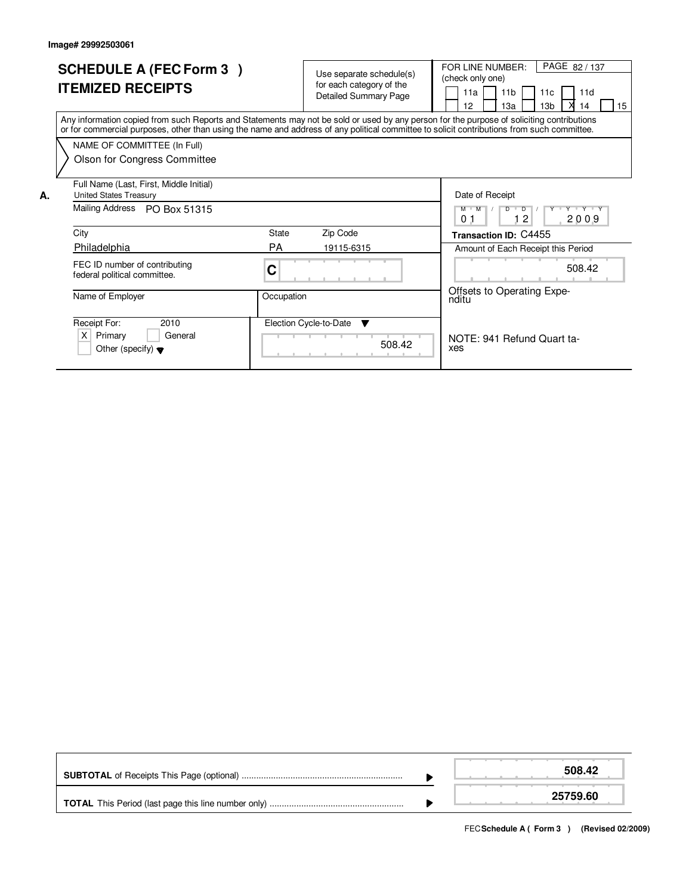|    | <b>SCHEDULE A (FEC Form 3)</b><br><b>ITEMIZED RECEIPTS</b>                                                                                                                                                                                                                              |            | Use separate schedule(s)<br>for each category of the<br><b>Detailed Summary Page</b> |        | PAGE 82 / 137<br>FOR LINE NUMBER:<br>(check only one)<br>11 <sub>b</sub><br>11a<br>11c<br>11d<br>15<br>13 <sub>b</sub><br>12<br>1За<br>14 |
|----|-----------------------------------------------------------------------------------------------------------------------------------------------------------------------------------------------------------------------------------------------------------------------------------------|------------|--------------------------------------------------------------------------------------|--------|-------------------------------------------------------------------------------------------------------------------------------------------|
|    | Any information copied from such Reports and Statements may not be sold or used by any person for the purpose of soliciting contributions<br>or for commercial purposes, other than using the name and address of any political committee to solicit contributions from such committee. |            |                                                                                      |        |                                                                                                                                           |
|    | NAME OF COMMITTEE (In Full)                                                                                                                                                                                                                                                             |            |                                                                                      |        |                                                                                                                                           |
|    | Olson for Congress Committee                                                                                                                                                                                                                                                            |            |                                                                                      |        |                                                                                                                                           |
| Α. | Full Name (Last, First, Middle Initial)<br><b>United States Treasury</b>                                                                                                                                                                                                                |            |                                                                                      |        | Date of Receipt                                                                                                                           |
|    | Mailing Address<br>PO Box 51315                                                                                                                                                                                                                                                         |            |                                                                                      |        | Y Y Y Y Y<br>$M$ $M$<br>$\overline{D}$<br>12<br>2009<br>0 <sub>1</sub>                                                                    |
|    | City                                                                                                                                                                                                                                                                                    | State      | Zip Code                                                                             |        | Transaction ID: C4455                                                                                                                     |
|    | Philadelphia                                                                                                                                                                                                                                                                            | <b>PA</b>  | 19115-6315                                                                           |        | Amount of Each Receipt this Period                                                                                                        |
|    | FEC ID number of contributing<br>federal political committee.                                                                                                                                                                                                                           | С          |                                                                                      |        | 508.42                                                                                                                                    |
|    | Name of Employer                                                                                                                                                                                                                                                                        | Occupation |                                                                                      |        | Offsets to Operating Expe-<br>nditu                                                                                                       |
|    | Receipt For:<br>2010                                                                                                                                                                                                                                                                    |            | Election Cycle-to-Date<br>▼                                                          |        |                                                                                                                                           |
|    | $\times$<br>Primary<br>General<br>Other (specify) $\blacktriangledown$                                                                                                                                                                                                                  |            |                                                                                      | 508.42 | NOTE: 941 Refund Quart ta-<br>xes                                                                                                         |

|  | 508.42   |
|--|----------|
|  | 25759.60 |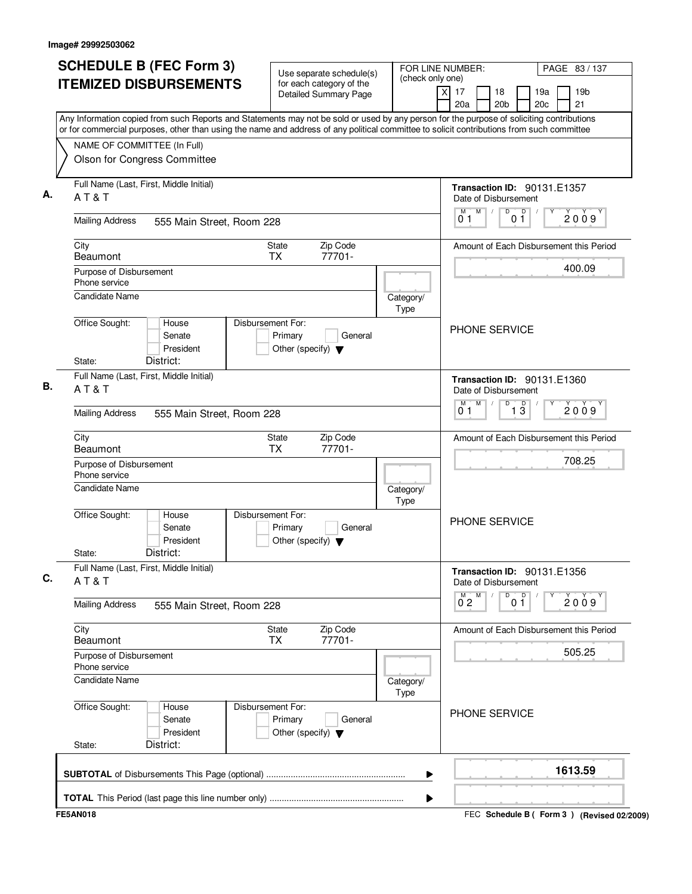| <b>SCHEDULE B (FEC Form 3)</b>                                                                                                                                                                                                                                                         | Use separate schedule(s)                                                        | FOR LINE NUMBER:<br>(check only one) |                                                            | PAGE 83/137                                     |
|----------------------------------------------------------------------------------------------------------------------------------------------------------------------------------------------------------------------------------------------------------------------------------------|---------------------------------------------------------------------------------|--------------------------------------|------------------------------------------------------------|-------------------------------------------------|
| <b>ITEMIZED DISBURSEMENTS</b>                                                                                                                                                                                                                                                          | for each category of the<br><b>Detailed Summary Page</b>                        | x                                    | 17<br>18<br>20a<br>20 <sub>b</sub>                         | 19 <sub>b</sub><br>19a<br>20 <sub>c</sub><br>21 |
| Any Information copied from such Reports and Statements may not be sold or used by any person for the purpose of soliciting contributions<br>or for commercial purposes, other than using the name and address of any political committee to solicit contributions from such committee |                                                                                 |                                      |                                                            |                                                 |
| NAME OF COMMITTEE (In Full)                                                                                                                                                                                                                                                            |                                                                                 |                                      |                                                            |                                                 |
| Olson for Congress Committee                                                                                                                                                                                                                                                           |                                                                                 |                                      |                                                            |                                                 |
| Full Name (Last, First, Middle Initial)<br>AT&T                                                                                                                                                                                                                                        |                                                                                 |                                      | <b>Transaction ID: 90131.E1357</b><br>Date of Disbursement |                                                 |
| <b>Mailing Address</b><br>555 Main Street, Room 228                                                                                                                                                                                                                                    |                                                                                 |                                      | M<br>$\overline{0}$ o $\overline{1}$<br>0 <sub>1</sub>     | 2009                                            |
| City<br><b>Beaumont</b>                                                                                                                                                                                                                                                                | Zip Code<br><b>State</b><br>77701-<br><b>TX</b>                                 |                                      |                                                            | Amount of Each Disbursement this Period         |
| Purpose of Disbursement<br>Phone service                                                                                                                                                                                                                                               |                                                                                 |                                      |                                                            | 400.09                                          |
| <b>Candidate Name</b>                                                                                                                                                                                                                                                                  |                                                                                 | Category/<br>Type                    |                                                            |                                                 |
| Office Sought:<br>House<br>Senate<br>President<br>District:<br>State:                                                                                                                                                                                                                  | Disbursement For:<br>Primary<br>General<br>Other (specify) $\blacktriangledown$ |                                      | <b>PHONE SERVICE</b>                                       |                                                 |
| Full Name (Last, First, Middle Initial)                                                                                                                                                                                                                                                |                                                                                 |                                      | Transaction ID: 90131.E1360                                |                                                 |
| AT&T                                                                                                                                                                                                                                                                                   |                                                                                 |                                      | Date of Disbursement<br>M<br>D<br>M                        |                                                 |
| <b>Mailing Address</b><br>555 Main Street, Room 228                                                                                                                                                                                                                                    |                                                                                 |                                      | $\overline{1\,3}$<br>01                                    | 2009                                            |
| City<br><b>Beaumont</b>                                                                                                                                                                                                                                                                | Zip Code<br>State<br><b>TX</b><br>77701-                                        |                                      |                                                            | Amount of Each Disbursement this Period         |
| Purpose of Disbursement<br>Phone service                                                                                                                                                                                                                                               |                                                                                 |                                      |                                                            | 708.25                                          |
| <b>Candidate Name</b>                                                                                                                                                                                                                                                                  |                                                                                 | Category/<br>Type                    |                                                            |                                                 |
| Office Sought:<br>House<br>Senate<br>President<br>District:<br>State:                                                                                                                                                                                                                  | Disbursement For:<br>Primary<br>General<br>Other (specify) $\blacktriangledown$ |                                      | PHONE SERVICE                                              |                                                 |
| Full Name (Last, First, Middle Initial)<br>AT&T                                                                                                                                                                                                                                        |                                                                                 |                                      | <b>Transaction ID: 90131.E1356</b><br>Date of Disbursement |                                                 |
| <b>Mailing Address</b><br>555 Main Street, Room 228                                                                                                                                                                                                                                    |                                                                                 |                                      | M<br>D<br>0 <sup>0</sup><br>$0^{\text{M}}$ 2               | 2009                                            |
| City<br><b>Beaumont</b>                                                                                                                                                                                                                                                                | Zip Code<br>State<br>77701-<br><b>TX</b>                                        |                                      |                                                            | Amount of Each Disbursement this Period         |
| Purpose of Disbursement<br>Phone service                                                                                                                                                                                                                                               |                                                                                 |                                      |                                                            | 505.25                                          |
| <b>Candidate Name</b>                                                                                                                                                                                                                                                                  |                                                                                 | Category/<br>Type                    |                                                            |                                                 |
| Office Sought:<br>House<br>Senate<br>President<br>District:<br>State:                                                                                                                                                                                                                  | Disbursement For:<br>Primary<br>General<br>Other (specify) $\blacktriangledown$ |                                      | PHONE SERVICE                                              |                                                 |
|                                                                                                                                                                                                                                                                                        |                                                                                 | ▶                                    |                                                            | 1613.59                                         |
|                                                                                                                                                                                                                                                                                        |                                                                                 | ▶                                    |                                                            |                                                 |
| <b>FE5AN018</b>                                                                                                                                                                                                                                                                        |                                                                                 |                                      |                                                            | FEC Schedule B ( Form 3 ) (Revised 02/2009)     |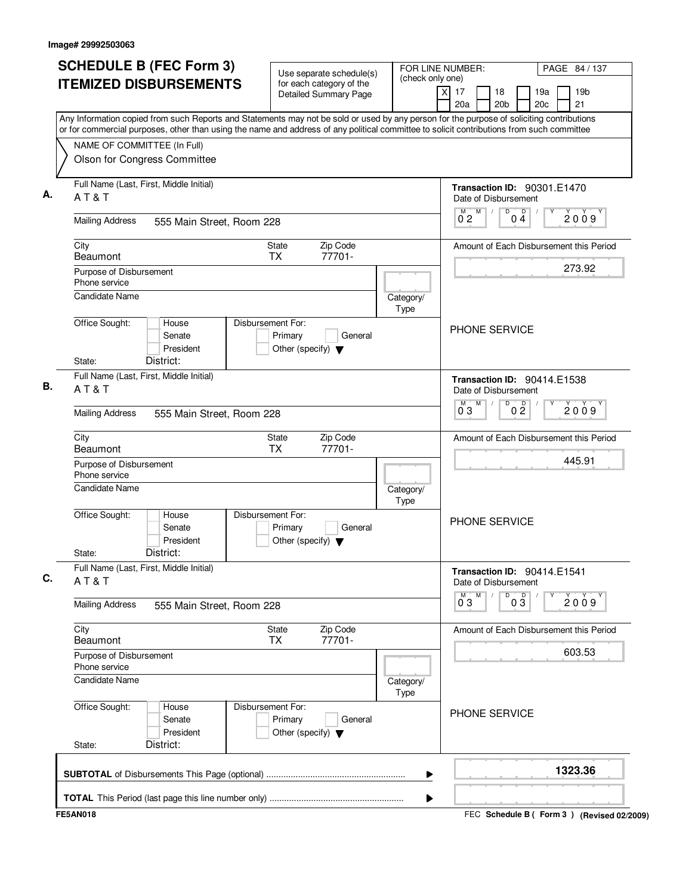| <b>SCHEDULE B (FEC Form 3)</b>                                                                                                                                                                                                                                                         | Use separate schedule(s)                                                        | FOR LINE NUMBER:<br>(check only one) |                                                                           | PAGE 84 / 137                                   |
|----------------------------------------------------------------------------------------------------------------------------------------------------------------------------------------------------------------------------------------------------------------------------------------|---------------------------------------------------------------------------------|--------------------------------------|---------------------------------------------------------------------------|-------------------------------------------------|
| <b>ITEMIZED DISBURSEMENTS</b>                                                                                                                                                                                                                                                          | for each category of the<br><b>Detailed Summary Page</b>                        | x                                    | 17<br>18<br>20a<br>20 <sub>b</sub>                                        | 19 <sub>b</sub><br>19a<br>20 <sub>c</sub><br>21 |
| Any Information copied from such Reports and Statements may not be sold or used by any person for the purpose of soliciting contributions<br>or for commercial purposes, other than using the name and address of any political committee to solicit contributions from such committee |                                                                                 |                                      |                                                                           |                                                 |
| NAME OF COMMITTEE (In Full)                                                                                                                                                                                                                                                            |                                                                                 |                                      |                                                                           |                                                 |
| Olson for Congress Committee                                                                                                                                                                                                                                                           |                                                                                 |                                      |                                                                           |                                                 |
| Full Name (Last, First, Middle Initial)<br>AT&T                                                                                                                                                                                                                                        |                                                                                 |                                      | <b>Transaction ID: 90301.E1470</b><br>Date of Disbursement                |                                                 |
| <b>Mailing Address</b><br>555 Main Street, Room 228                                                                                                                                                                                                                                    |                                                                                 |                                      | M<br>D<br>$0\frac{D}{4}$<br>$0^{M}$ 2                                     | 2009                                            |
| City<br><b>Beaumont</b>                                                                                                                                                                                                                                                                | Zip Code<br><b>State</b><br>77701-<br><b>TX</b>                                 |                                      |                                                                           | Amount of Each Disbursement this Period         |
| Purpose of Disbursement<br>Phone service                                                                                                                                                                                                                                               |                                                                                 |                                      |                                                                           | 273.92                                          |
| <b>Candidate Name</b>                                                                                                                                                                                                                                                                  |                                                                                 | Category/<br>Type                    |                                                                           |                                                 |
| Office Sought:<br>House<br>Senate<br>President<br>District:<br>State:                                                                                                                                                                                                                  | Disbursement For:<br>Primary<br>General<br>Other (specify) $\blacktriangledown$ |                                      | <b>PHONE SERVICE</b>                                                      |                                                 |
| Full Name (Last, First, Middle Initial)                                                                                                                                                                                                                                                |                                                                                 |                                      |                                                                           |                                                 |
| AT&T                                                                                                                                                                                                                                                                                   |                                                                                 |                                      | <b>Transaction ID: 90414.E1538</b><br>Date of Disbursement<br>M<br>D<br>M |                                                 |
| <b>Mailing Address</b><br>555 Main Street, Room 228                                                                                                                                                                                                                                    |                                                                                 |                                      | 0 <sup>D</sup><br>03                                                      | 2009                                            |
| City<br><b>Beaumont</b>                                                                                                                                                                                                                                                                | Zip Code<br>State<br><b>TX</b><br>77701-                                        |                                      |                                                                           | Amount of Each Disbursement this Period         |
| Purpose of Disbursement<br>Phone service                                                                                                                                                                                                                                               |                                                                                 |                                      |                                                                           | 445.91                                          |
| <b>Candidate Name</b>                                                                                                                                                                                                                                                                  |                                                                                 | Category/<br>Type                    |                                                                           |                                                 |
| Office Sought:<br>House<br>Senate<br>President<br>District:<br>State:                                                                                                                                                                                                                  | Disbursement For:<br>Primary<br>General<br>Other (specify) $\blacktriangledown$ |                                      | PHONE SERVICE                                                             |                                                 |
| Full Name (Last, First, Middle Initial)<br>AT&T                                                                                                                                                                                                                                        |                                                                                 |                                      | Transaction ID: 90414.E1541<br>Date of Disbursement                       |                                                 |
| <b>Mailing Address</b><br>555 Main Street, Room 228                                                                                                                                                                                                                                    |                                                                                 |                                      | M<br>D<br>$0^{\overline{0}}3$<br>$0\overline{3}$                          | 2009                                            |
| City<br><b>Beaumont</b>                                                                                                                                                                                                                                                                | Zip Code<br>State<br>77701-<br><b>TX</b>                                        |                                      |                                                                           | Amount of Each Disbursement this Period         |
| Purpose of Disbursement<br>Phone service                                                                                                                                                                                                                                               |                                                                                 |                                      |                                                                           | 603.53                                          |
| <b>Candidate Name</b>                                                                                                                                                                                                                                                                  |                                                                                 | Category/<br>Type                    |                                                                           |                                                 |
| Office Sought:<br>House<br>Senate<br>President<br>District:<br>State:                                                                                                                                                                                                                  | Disbursement For:<br>Primary<br>General<br>Other (specify) $\blacktriangledown$ |                                      | PHONE SERVICE                                                             |                                                 |
|                                                                                                                                                                                                                                                                                        |                                                                                 | ▶                                    |                                                                           | 1323.36                                         |
|                                                                                                                                                                                                                                                                                        |                                                                                 | ▶                                    |                                                                           |                                                 |
| <b>FE5AN018</b>                                                                                                                                                                                                                                                                        |                                                                                 |                                      |                                                                           | FEC Schedule B ( Form 3 ) (Revised 02/2009)     |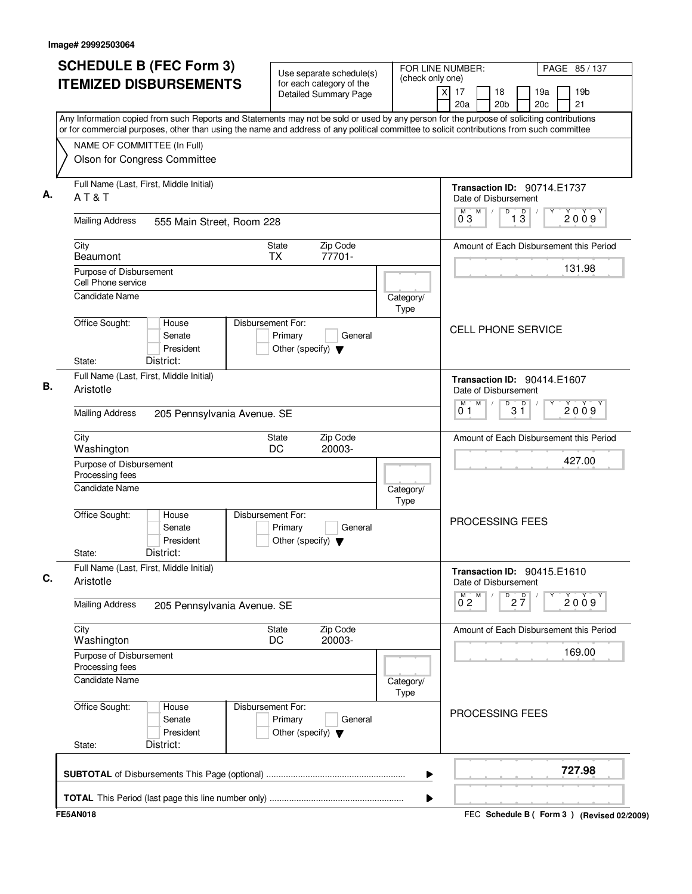| <b>SCHEDULE B (FEC Form 3)</b>                                                                                                                                                                                                                                                         | Use separate schedule(s)                                                        | (check only one)  | FOR LINE NUMBER:                                           |                                   |                               | PAGE 85 / 137 |                                           |
|----------------------------------------------------------------------------------------------------------------------------------------------------------------------------------------------------------------------------------------------------------------------------------------|---------------------------------------------------------------------------------|-------------------|------------------------------------------------------------|-----------------------------------|-------------------------------|---------------|-------------------------------------------|
| <b>ITEMIZED DISBURSEMENTS</b>                                                                                                                                                                                                                                                          | for each category of the<br><b>Detailed Summary Page</b>                        |                   | $\overline{x}$<br>17<br>20a                                | 18<br>20 <sub>b</sub>             |                               | 19a<br>20c    | 19 <sub>b</sub><br>21                     |
| Any Information copied from such Reports and Statements may not be sold or used by any person for the purpose of soliciting contributions<br>or for commercial purposes, other than using the name and address of any political committee to solicit contributions from such committee |                                                                                 |                   |                                                            |                                   |                               |               |                                           |
| NAME OF COMMITTEE (In Full)                                                                                                                                                                                                                                                            |                                                                                 |                   |                                                            |                                   |                               |               |                                           |
| Olson for Congress Committee                                                                                                                                                                                                                                                           |                                                                                 |                   |                                                            |                                   |                               |               |                                           |
| Full Name (Last, First, Middle Initial)<br>AT&T                                                                                                                                                                                                                                        |                                                                                 |                   | <b>Transaction ID: 90714.E1737</b><br>Date of Disbursement |                                   |                               |               |                                           |
| <b>Mailing Address</b><br>555 Main Street, Room 228                                                                                                                                                                                                                                    |                                                                                 |                   | M<br>M<br>03                                               | D                                 | $\overline{1}$ $\overline{3}$ |               | 2009                                      |
| City<br>Beaumont                                                                                                                                                                                                                                                                       | Zip Code<br><b>State</b><br><b>TX</b><br>77701-                                 |                   |                                                            |                                   |                               |               | Amount of Each Disbursement this Period   |
| Purpose of Disbursement<br>Cell Phone service                                                                                                                                                                                                                                          |                                                                                 |                   |                                                            |                                   |                               |               | 131.98                                    |
| Candidate Name                                                                                                                                                                                                                                                                         |                                                                                 | Category/<br>Type |                                                            |                                   |                               |               |                                           |
| Office Sought:<br>House<br>Senate<br>President<br>District:<br>State:                                                                                                                                                                                                                  | Disbursement For:<br>Primary<br>General<br>Other (specify) $\blacktriangledown$ |                   | <b>CELL PHONE SERVICE</b>                                  |                                   |                               |               |                                           |
| Full Name (Last, First, Middle Initial)<br>Aristotle                                                                                                                                                                                                                                   |                                                                                 |                   | Transaction ID: 90414.E1607<br>Date of Disbursement        |                                   |                               |               |                                           |
| <b>Mailing Address</b><br>205 Pennsylvania Avenue. SE                                                                                                                                                                                                                                  |                                                                                 |                   | M<br>м<br>01                                               | $B^D$ 3 $\overline{1}$            |                               |               | 2009                                      |
| City<br>Washington                                                                                                                                                                                                                                                                     | Zip Code<br><b>State</b><br>DC<br>20003-                                        |                   |                                                            |                                   |                               |               | Amount of Each Disbursement this Period   |
| Purpose of Disbursement<br>Processing fees                                                                                                                                                                                                                                             |                                                                                 |                   |                                                            |                                   |                               |               | 427.00                                    |
| Candidate Name                                                                                                                                                                                                                                                                         |                                                                                 | Category/<br>Type |                                                            |                                   |                               |               |                                           |
| Office Sought:<br>House<br>Senate<br>President<br>District:<br>State:                                                                                                                                                                                                                  | Disbursement For:<br>Primary<br>General<br>Other (specify) $\blacktriangledown$ |                   | PROCESSING FEES                                            |                                   |                               |               |                                           |
| Full Name (Last, First, Middle Initial)<br>Aristotle                                                                                                                                                                                                                                   |                                                                                 |                   | Transaction ID: 90415.E1610<br>Date of Disbursement        |                                   |                               |               |                                           |
| <b>Mailing Address</b><br>205 Pennsylvania Avenue. SE                                                                                                                                                                                                                                  |                                                                                 |                   | $\overline{0}^M$ 2<br>M                                    | $D^D$ <sub>2</sub> $\overline{7}$ |                               |               | 2009                                      |
| City<br>Washington                                                                                                                                                                                                                                                                     | State<br>Zip Code<br>20003-<br>DC                                               |                   |                                                            |                                   |                               |               | Amount of Each Disbursement this Period   |
| Purpose of Disbursement<br>Processing fees                                                                                                                                                                                                                                             |                                                                                 |                   |                                                            |                                   |                               |               | 169.00                                    |
| Candidate Name                                                                                                                                                                                                                                                                         |                                                                                 | Category/<br>Type |                                                            |                                   |                               |               |                                           |
| Office Sought:<br>House<br>Senate<br>President<br>District:<br>State:                                                                                                                                                                                                                  | Disbursement For:<br>Primary<br>General<br>Other (specify) $\blacktriangledown$ |                   | PROCESSING FEES                                            |                                   |                               |               |                                           |
|                                                                                                                                                                                                                                                                                        |                                                                                 | ▶                 |                                                            |                                   |                               |               | 727.98                                    |
|                                                                                                                                                                                                                                                                                        |                                                                                 | ▶                 |                                                            |                                   |                               |               |                                           |
| <b>FE5AN018</b>                                                                                                                                                                                                                                                                        |                                                                                 |                   |                                                            |                                   |                               |               | FEC Schedule B (Form 3) (Revised 02/2009) |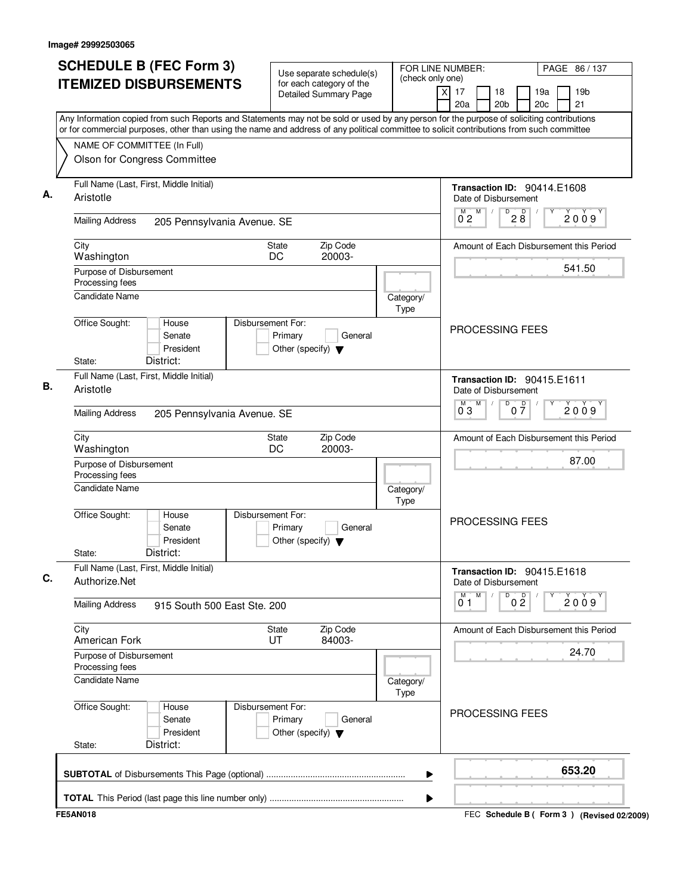| <b>SCHEDULE B (FEC Form 3)</b>                                                                                                            | Use separate schedule(s)                                                        | FOR LINE NUMBER:                   |                                                            | PAGE 86 / 137                                   |
|-------------------------------------------------------------------------------------------------------------------------------------------|---------------------------------------------------------------------------------|------------------------------------|------------------------------------------------------------|-------------------------------------------------|
| <b>ITEMIZED DISBURSEMENTS</b>                                                                                                             | for each category of the<br><b>Detailed Summary Page</b>                        | (check only one)<br>$\overline{x}$ | 17<br>18<br>20 <sub>b</sub><br>20a                         | 19 <sub>b</sub><br>19a<br>20 <sub>c</sub><br>21 |
| Any Information copied from such Reports and Statements may not be sold or used by any person for the purpose of soliciting contributions |                                                                                 |                                    |                                                            |                                                 |
| or for commercial purposes, other than using the name and address of any political committee to solicit contributions from such committee |                                                                                 |                                    |                                                            |                                                 |
| NAME OF COMMITTEE (In Full)<br>Olson for Congress Committee                                                                               |                                                                                 |                                    |                                                            |                                                 |
| Full Name (Last, First, Middle Initial)<br>Aristotle                                                                                      |                                                                                 |                                    | <b>Transaction ID: 90414.E1608</b><br>Date of Disbursement |                                                 |
| <b>Mailing Address</b><br>205 Pennsylvania Avenue. SE                                                                                     |                                                                                 |                                    | M<br>$\overline{8}$ $\overline{8}$<br>0 <sub>2</sub>       | 2009                                            |
| City<br>Washington                                                                                                                        | Zip Code<br>State<br>DC<br>20003-                                               |                                    |                                                            | Amount of Each Disbursement this Period         |
| Purpose of Disbursement<br>Processing fees                                                                                                |                                                                                 |                                    |                                                            | 541.50                                          |
| <b>Candidate Name</b>                                                                                                                     |                                                                                 | Category/<br>Type                  |                                                            |                                                 |
| Office Sought:<br>House<br>Senate<br>President                                                                                            | Disbursement For:<br>Primary<br>General<br>Other (specify) $\blacktriangledown$ |                                    | <b>PROCESSING FEES</b>                                     |                                                 |
| District:<br>State:                                                                                                                       |                                                                                 |                                    |                                                            |                                                 |
| Full Name (Last, First, Middle Initial)<br>Aristotle                                                                                      |                                                                                 |                                    | Transaction ID: 90415.E1611<br>Date of Disbursement        |                                                 |
| <b>Mailing Address</b><br>205 Pennsylvania Avenue. SE                                                                                     |                                                                                 |                                    | M<br>D<br>$0\frac{D}{7}$<br>03                             | 2009                                            |
| City<br>Washington                                                                                                                        | Zip Code<br><b>State</b><br>DC<br>20003-                                        |                                    |                                                            | Amount of Each Disbursement this Period         |
| Purpose of Disbursement<br>Processing fees                                                                                                |                                                                                 |                                    |                                                            | 87.00                                           |
| <b>Candidate Name</b>                                                                                                                     |                                                                                 | Category/<br>Type                  |                                                            |                                                 |
| Office Sought:<br>House<br>Senate<br>President<br>District:<br>State:                                                                     | Disbursement For:<br>Primary<br>General<br>Other (specify) $\blacktriangledown$ |                                    | PROCESSING FEES                                            |                                                 |
| Full Name (Last, First, Middle Initial)<br>Authorize.Net                                                                                  |                                                                                 |                                    | Transaction ID: 90415.E1618<br>Date of Disbursement        |                                                 |
| <b>Mailing Address</b><br>915 South 500 East Ste, 200                                                                                     |                                                                                 |                                    | M<br>D<br>0 <sup>0</sup><br>01                             | 2009                                            |
| City<br>American Fork                                                                                                                     | Zip Code<br>State<br>UT<br>84003-                                               |                                    |                                                            | Amount of Each Disbursement this Period         |
| Purpose of Disbursement<br>Processing fees                                                                                                |                                                                                 |                                    |                                                            | 24.70                                           |
| <b>Candidate Name</b>                                                                                                                     |                                                                                 | Category/<br>Type                  |                                                            |                                                 |
| Office Sought:<br>House<br>Senate<br>President<br>District:<br>State:                                                                     | Disbursement For:<br>Primary<br>General<br>Other (specify) $\blacktriangledown$ |                                    | PROCESSING FEES                                            |                                                 |
|                                                                                                                                           |                                                                                 |                                    |                                                            | 653.20                                          |
|                                                                                                                                           |                                                                                 | ▶                                  |                                                            |                                                 |
| <b>FE5AN018</b>                                                                                                                           |                                                                                 | ▶                                  |                                                            | FEC Schedule B ( Form 3 ) (Revised 02/2009)     |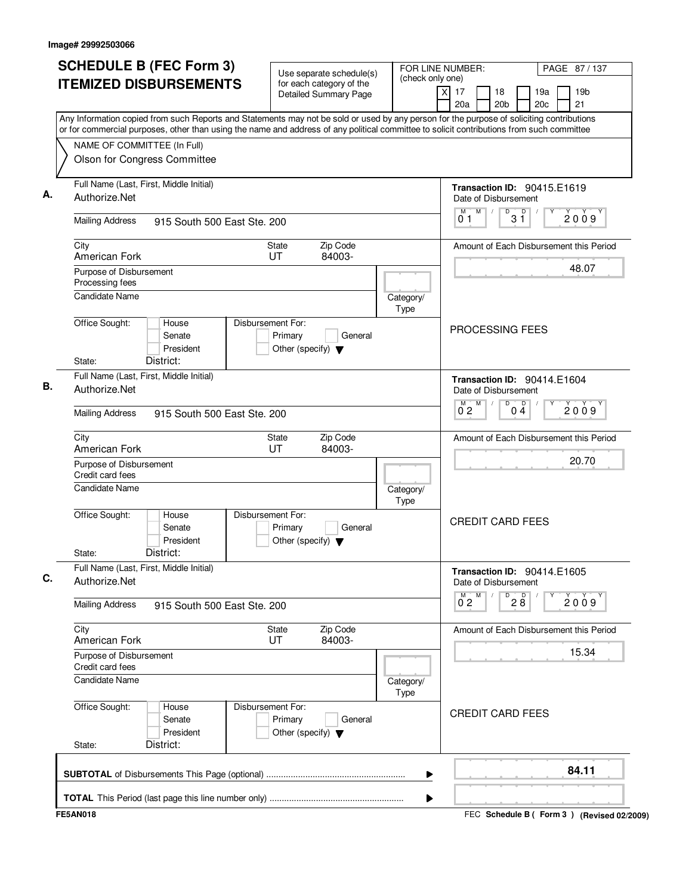| <b>SCHEDULE B (FEC Form 3)</b>                                                                                                                                                                                                                                                         | Use separate schedule(s)                                                        | FOR LINE NUMBER:  | PAGE 87/137                                                                    |
|----------------------------------------------------------------------------------------------------------------------------------------------------------------------------------------------------------------------------------------------------------------------------------------|---------------------------------------------------------------------------------|-------------------|--------------------------------------------------------------------------------|
| <b>ITEMIZED DISBURSEMENTS</b>                                                                                                                                                                                                                                                          | for each category of the<br><b>Detailed Summary Page</b>                        | (check only one)  | 19 <sub>b</sub><br>x<br>17<br>18<br>19a<br>20c<br>21<br>20a<br>20 <sub>b</sub> |
| Any Information copied from such Reports and Statements may not be sold or used by any person for the purpose of soliciting contributions<br>or for commercial purposes, other than using the name and address of any political committee to solicit contributions from such committee |                                                                                 |                   |                                                                                |
| NAME OF COMMITTEE (In Full)                                                                                                                                                                                                                                                            |                                                                                 |                   |                                                                                |
| Olson for Congress Committee                                                                                                                                                                                                                                                           |                                                                                 |                   |                                                                                |
| Full Name (Last, First, Middle Initial)<br>Authorize.Net                                                                                                                                                                                                                               |                                                                                 |                   | <b>Transaction ID: 90415.E1619</b><br>Date of Disbursement                     |
| <b>Mailing Address</b><br>915 South 500 East Ste. 200                                                                                                                                                                                                                                  |                                                                                 |                   | M<br>D<br>D<br>2009<br>3 Ĭ<br>01                                               |
| City<br>American Fork                                                                                                                                                                                                                                                                  | Zip Code<br><b>State</b><br>UT<br>84003-                                        |                   | Amount of Each Disbursement this Period                                        |
| Purpose of Disbursement<br>Processing fees                                                                                                                                                                                                                                             |                                                                                 |                   | 48.07                                                                          |
| <b>Candidate Name</b>                                                                                                                                                                                                                                                                  |                                                                                 | Category/<br>Type |                                                                                |
| Office Sought:<br>House<br>Senate<br>President<br>District:<br>State:                                                                                                                                                                                                                  | Disbursement For:<br>Primary<br>General<br>Other (specify) $\blacktriangledown$ |                   | PROCESSING FEES                                                                |
| Full Name (Last, First, Middle Initial)                                                                                                                                                                                                                                                |                                                                                 |                   | Transaction ID: 90414.E1604                                                    |
| Authorize.Net                                                                                                                                                                                                                                                                          |                                                                                 |                   | Date of Disbursement<br>M<br>D                                                 |
| <b>Mailing Address</b><br>915 South 500 East Ste. 200                                                                                                                                                                                                                                  |                                                                                 |                   | $0\stackrel{D}{4}$<br>2009<br>$0^{\degree}2$                                   |
| City<br>American Fork                                                                                                                                                                                                                                                                  | Zip Code<br>State<br>UT<br>84003-                                               |                   | Amount of Each Disbursement this Period                                        |
| Purpose of Disbursement<br>Credit card fees                                                                                                                                                                                                                                            |                                                                                 |                   | 20.70                                                                          |
| Candidate Name                                                                                                                                                                                                                                                                         |                                                                                 | Category/<br>Type |                                                                                |
| Office Sought:<br>House<br>Senate<br>President<br>District:<br>State:                                                                                                                                                                                                                  | Disbursement For:<br>Primary<br>General<br>Other (specify) $\blacktriangledown$ |                   | <b>CREDIT CARD FEES</b>                                                        |
| Full Name (Last, First, Middle Initial)<br>Authorize.Net                                                                                                                                                                                                                               |                                                                                 |                   | <b>Transaction ID: 90414.E1605</b><br>Date of Disbursement                     |
| <b>Mailing Address</b><br>915 South 500 East Ste, 200                                                                                                                                                                                                                                  |                                                                                 |                   | $\overline{0}^M$ 2<br>M<br>$D^D$ <sub>2</sub> $B$<br>2009                      |
| City<br>American Fork                                                                                                                                                                                                                                                                  | Zip Code<br>State<br>84003-<br>UT                                               |                   | Amount of Each Disbursement this Period                                        |
| Purpose of Disbursement<br>Credit card fees                                                                                                                                                                                                                                            |                                                                                 |                   | 15.34                                                                          |
| <b>Candidate Name</b>                                                                                                                                                                                                                                                                  |                                                                                 | Category/<br>Type |                                                                                |
| Office Sought:<br>House<br>Senate<br>President<br>District:<br>State:                                                                                                                                                                                                                  | Disbursement For:<br>Primary<br>General<br>Other (specify) $\blacktriangledown$ |                   | <b>CREDIT CARD FEES</b>                                                        |
|                                                                                                                                                                                                                                                                                        |                                                                                 | ▶                 | 84.11                                                                          |
|                                                                                                                                                                                                                                                                                        |                                                                                 | ▶                 |                                                                                |
| <b>FE5AN018</b>                                                                                                                                                                                                                                                                        |                                                                                 |                   | FEC Schedule B ( Form 3 ) (Revised 02/2009)                                    |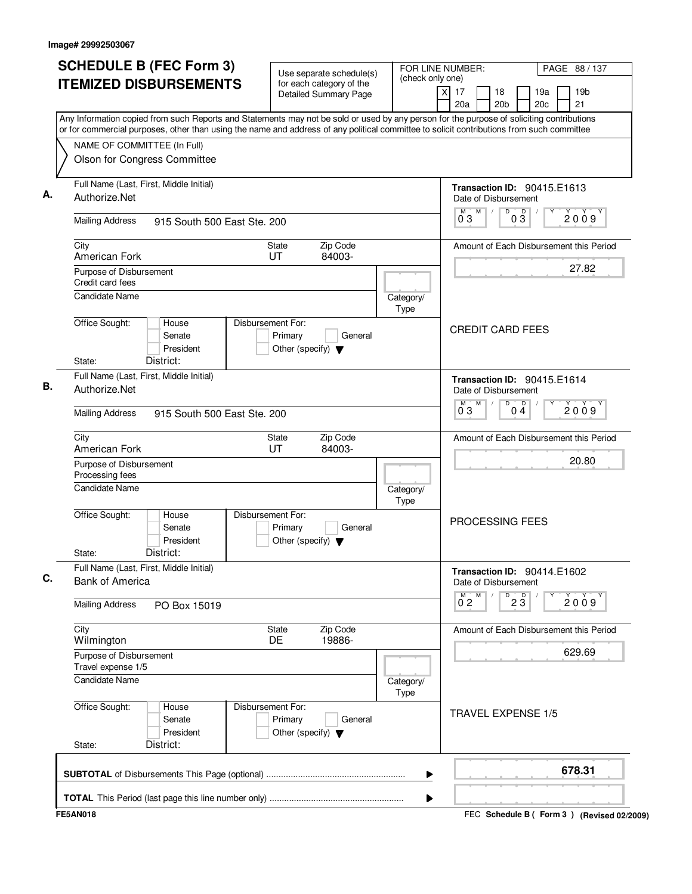| <b>SCHEDULE B (FEC Form 3)</b>                                                                                                                                                                                                                                                         | Use separate schedule(s)                                                        |                   | FOR LINE NUMBER:                                                   | PAGE 88 / 137                                   |
|----------------------------------------------------------------------------------------------------------------------------------------------------------------------------------------------------------------------------------------------------------------------------------------|---------------------------------------------------------------------------------|-------------------|--------------------------------------------------------------------|-------------------------------------------------|
| <b>ITEMIZED DISBURSEMENTS</b>                                                                                                                                                                                                                                                          | for each category of the<br><b>Detailed Summary Page</b>                        | (check only one)  | $\overline{\mathsf{x}}$<br>17<br>18<br>20 <sub>b</sub><br>20a      | 19 <sub>b</sub><br>19a<br>20 <sub>c</sub><br>21 |
| Any Information copied from such Reports and Statements may not be sold or used by any person for the purpose of soliciting contributions<br>or for commercial purposes, other than using the name and address of any political committee to solicit contributions from such committee |                                                                                 |                   |                                                                    |                                                 |
| NAME OF COMMITTEE (In Full)                                                                                                                                                                                                                                                            |                                                                                 |                   |                                                                    |                                                 |
| Olson for Congress Committee                                                                                                                                                                                                                                                           |                                                                                 |                   |                                                                    |                                                 |
| Full Name (Last, First, Middle Initial)<br>Authorize.Net                                                                                                                                                                                                                               |                                                                                 |                   | <b>Transaction ID: 90415.E1613</b><br>Date of Disbursement         |                                                 |
| <b>Mailing Address</b><br>915 South 500 East Ste, 200                                                                                                                                                                                                                                  |                                                                                 |                   | D<br>$0\overline{3}$<br>M<br>M<br>03                               | 2009                                            |
| City<br>American Fork                                                                                                                                                                                                                                                                  | Zip Code<br><b>State</b><br>84003-<br>UT                                        |                   |                                                                    | Amount of Each Disbursement this Period         |
| Purpose of Disbursement<br>Credit card fees                                                                                                                                                                                                                                            |                                                                                 |                   |                                                                    | 27.82                                           |
| Candidate Name                                                                                                                                                                                                                                                                         |                                                                                 | Category/<br>Type |                                                                    |                                                 |
| Office Sought:<br>House<br>Senate<br>President<br>District:<br>State:                                                                                                                                                                                                                  | Disbursement For:<br>Primary<br>General<br>Other (specify) $\blacktriangledown$ |                   | <b>CREDIT CARD FEES</b>                                            |                                                 |
| Full Name (Last, First, Middle Initial)                                                                                                                                                                                                                                                |                                                                                 |                   |                                                                    |                                                 |
| Authorize.Net                                                                                                                                                                                                                                                                          |                                                                                 |                   | Transaction ID: 90415.E1614<br>Date of Disbursement<br>M<br>D<br>M |                                                 |
| <b>Mailing Address</b><br>915 South 500 East Ste, 200                                                                                                                                                                                                                                  |                                                                                 |                   | $\overline{0\,4}$<br>03                                            | 2009                                            |
| City<br>American Fork                                                                                                                                                                                                                                                                  | Zip Code<br>State<br>UT<br>84003-                                               |                   |                                                                    | Amount of Each Disbursement this Period         |
| Purpose of Disbursement<br>Processing fees                                                                                                                                                                                                                                             |                                                                                 |                   |                                                                    | 20.80                                           |
| <b>Candidate Name</b>                                                                                                                                                                                                                                                                  |                                                                                 | Category/<br>Type |                                                                    |                                                 |
| Office Sought:<br>House<br>Senate<br>President<br>District:<br>State:                                                                                                                                                                                                                  | Disbursement For:<br>Primary<br>General<br>Other (specify) $\blacktriangledown$ |                   | <b>PROCESSING FEES</b>                                             |                                                 |
| Full Name (Last, First, Middle Initial)<br><b>Bank of America</b>                                                                                                                                                                                                                      |                                                                                 |                   | Transaction ID: 90414.E1602<br>Date of Disbursement                |                                                 |
| <b>Mailing Address</b><br>PO Box 15019                                                                                                                                                                                                                                                 |                                                                                 |                   | M<br>$\overline{23}$<br>$\overline{0}^M$ 2                         | Υ<br>2009                                       |
| City<br>Wilmington                                                                                                                                                                                                                                                                     | Zip Code<br>State<br>DE<br>19886-                                               |                   |                                                                    | Amount of Each Disbursement this Period         |
| Purpose of Disbursement<br>Travel expense 1/5                                                                                                                                                                                                                                          |                                                                                 |                   |                                                                    | 629.69                                          |
| <b>Candidate Name</b>                                                                                                                                                                                                                                                                  |                                                                                 | Category/<br>Type |                                                                    |                                                 |
| Office Sought:<br>House<br>Senate<br>President<br>District:<br>State:                                                                                                                                                                                                                  | Disbursement For:<br>Primary<br>General<br>Other (specify) $\blacktriangledown$ |                   | <b>TRAVEL EXPENSE 1/5</b>                                          |                                                 |
|                                                                                                                                                                                                                                                                                        |                                                                                 | ▶                 |                                                                    | 678.31                                          |
|                                                                                                                                                                                                                                                                                        |                                                                                 | ▶                 |                                                                    |                                                 |
| <b>FE5AN018</b>                                                                                                                                                                                                                                                                        |                                                                                 |                   |                                                                    | FEC Schedule B ( Form 3 ) (Revised 02/2009)     |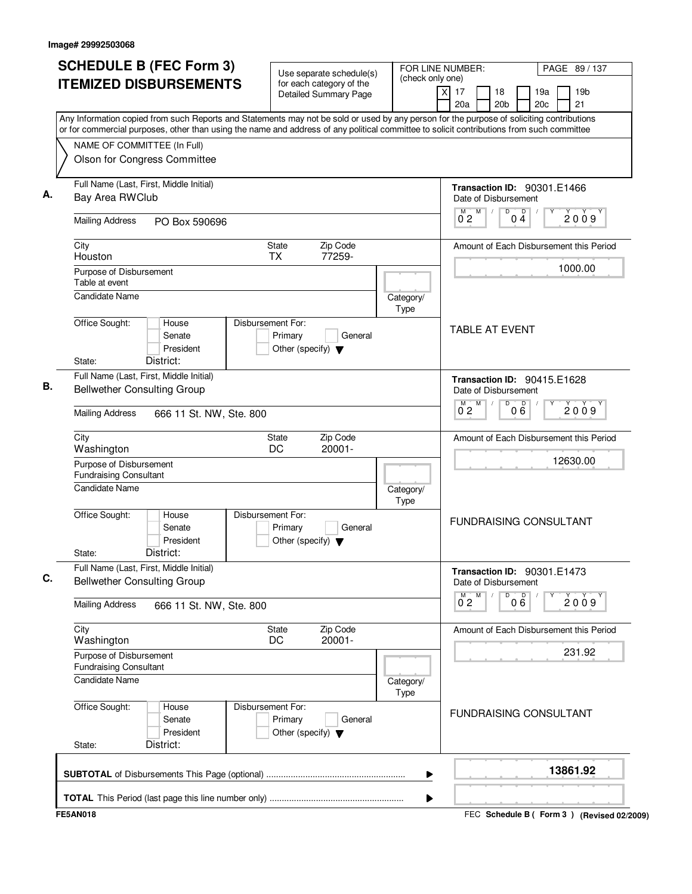| City   | Bay Area RWClub                                                            | <b>ITEMIZED DISBURSEMENTS</b><br>Any Information copied from such Reports and Statements may not be sold or used by any person for the purpose of soliciting contributions<br>or for commercial purposes, other than using the name and address of any political committee to solicit contributions from such committee<br>NAME OF COMMITTEE (In Full)<br>Olson for Congress Committee<br>Full Name (Last, First, Middle Initial) |                   |                                                 | for each category of the<br><b>Detailed Summary Page</b> | (check only one)  | $\overline{X}$ | 17<br>20a           | 18<br>20 <sub>b</sub>                                      |                   | 19a | 19 <sub>b</sub>                         |
|--------|----------------------------------------------------------------------------|-----------------------------------------------------------------------------------------------------------------------------------------------------------------------------------------------------------------------------------------------------------------------------------------------------------------------------------------------------------------------------------------------------------------------------------|-------------------|-------------------------------------------------|----------------------------------------------------------|-------------------|----------------|---------------------|------------------------------------------------------------|-------------------|-----|-----------------------------------------|
|        |                                                                            |                                                                                                                                                                                                                                                                                                                                                                                                                                   |                   |                                                 |                                                          |                   |                |                     |                                                            |                   | 20c | 21                                      |
|        |                                                                            |                                                                                                                                                                                                                                                                                                                                                                                                                                   |                   |                                                 |                                                          |                   |                |                     |                                                            |                   |     |                                         |
|        |                                                                            |                                                                                                                                                                                                                                                                                                                                                                                                                                   |                   |                                                 |                                                          |                   |                |                     |                                                            |                   |     |                                         |
|        |                                                                            |                                                                                                                                                                                                                                                                                                                                                                                                                                   |                   |                                                 |                                                          |                   |                |                     |                                                            |                   |     |                                         |
|        |                                                                            |                                                                                                                                                                                                                                                                                                                                                                                                                                   |                   |                                                 |                                                          |                   |                |                     | <b>Transaction ID: 90301.E1466</b><br>Date of Disbursement |                   |     |                                         |
|        | <b>Mailing Address</b>                                                     | PO Box 590696                                                                                                                                                                                                                                                                                                                                                                                                                     |                   |                                                 |                                                          |                   |                | M<br>02             | M<br>D                                                     | $0\overset{D}{4}$ |     | 2009                                    |
|        | Houston                                                                    |                                                                                                                                                                                                                                                                                                                                                                                                                                   |                   | State<br><b>TX</b>                              | Zip Code<br>77259-                                       |                   |                |                     |                                                            |                   |     | Amount of Each Disbursement this Period |
|        | Purpose of Disbursement<br>Table at event                                  |                                                                                                                                                                                                                                                                                                                                                                                                                                   |                   |                                                 |                                                          |                   |                |                     |                                                            |                   |     | 1000.00                                 |
|        | <b>Candidate Name</b>                                                      |                                                                                                                                                                                                                                                                                                                                                                                                                                   |                   |                                                 |                                                          | Category/<br>Type |                |                     |                                                            |                   |     |                                         |
| State: | Office Sought:                                                             | House<br>Senate<br>President<br>District:                                                                                                                                                                                                                                                                                                                                                                                         | Disbursement For: | Primary<br>Other (specify) $\blacktriangledown$ | General                                                  |                   |                |                     | <b>TABLE AT EVENT</b>                                      |                   |     |                                         |
|        |                                                                            | Full Name (Last, First, Middle Initial)<br><b>Bellwether Consulting Group</b>                                                                                                                                                                                                                                                                                                                                                     |                   |                                                 |                                                          |                   |                |                     | Transaction ID: 90415.E1628<br>Date of Disbursement        |                   |     |                                         |
|        | <b>Mailing Address</b>                                                     | 666 11 St. NW, Ste. 800                                                                                                                                                                                                                                                                                                                                                                                                           |                   |                                                 |                                                          |                   |                | м<br>0 <sub>2</sub> | M<br>D                                                     | 000               |     | 2009                                    |
| City   | Washington                                                                 |                                                                                                                                                                                                                                                                                                                                                                                                                                   |                   | State<br>DC                                     | Zip Code<br>20001-                                       |                   |                |                     |                                                            |                   |     | Amount of Each Disbursement this Period |
|        | Purpose of Disbursement<br><b>Fundraising Consultant</b><br>Candidate Name |                                                                                                                                                                                                                                                                                                                                                                                                                                   |                   |                                                 |                                                          | Category/         |                |                     |                                                            |                   |     | 12630.00                                |
| State: | Office Sought:                                                             | House<br>Senate<br>President<br>District:                                                                                                                                                                                                                                                                                                                                                                                         | Disbursement For: | Primary<br>Other (specify) $\blacktriangledown$ | General                                                  | Type              |                |                     | <b>FUNDRAISING CONSULTANT</b>                              |                   |     |                                         |
|        |                                                                            | Full Name (Last, First, Middle Initial)<br><b>Bellwether Consulting Group</b>                                                                                                                                                                                                                                                                                                                                                     |                   |                                                 |                                                          |                   |                |                     | Transaction ID: 90301.E1473<br>Date of Disbursement        |                   |     |                                         |
|        | <b>Mailing Address</b>                                                     | 666 11 St. NW, Ste. 800                                                                                                                                                                                                                                                                                                                                                                                                           |                   |                                                 |                                                          |                   |                | $\overline{0}^M$ 2  | M<br>D                                                     | 000               | Υ   | 2009                                    |
| City   | Washington                                                                 |                                                                                                                                                                                                                                                                                                                                                                                                                                   |                   | State<br>DC                                     | Zip Code<br>20001-                                       |                   |                |                     |                                                            |                   |     | Amount of Each Disbursement this Period |
|        | Purpose of Disbursement<br><b>Fundraising Consultant</b>                   |                                                                                                                                                                                                                                                                                                                                                                                                                                   |                   |                                                 |                                                          |                   |                |                     |                                                            |                   |     | 231.92                                  |
|        | Candidate Name                                                             |                                                                                                                                                                                                                                                                                                                                                                                                                                   |                   |                                                 |                                                          | Category/<br>Type |                |                     |                                                            |                   |     |                                         |
| State: | Office Sought:                                                             | House<br>Senate<br>President<br>District:                                                                                                                                                                                                                                                                                                                                                                                         | Disbursement For: | Primary<br>Other (specify) $\blacktriangledown$ | General                                                  |                   |                |                     | <b>FUNDRAISING CONSULTANT</b>                              |                   |     |                                         |
|        |                                                                            |                                                                                                                                                                                                                                                                                                                                                                                                                                   |                   |                                                 |                                                          | ▶                 |                |                     |                                                            |                   |     | 13861.92                                |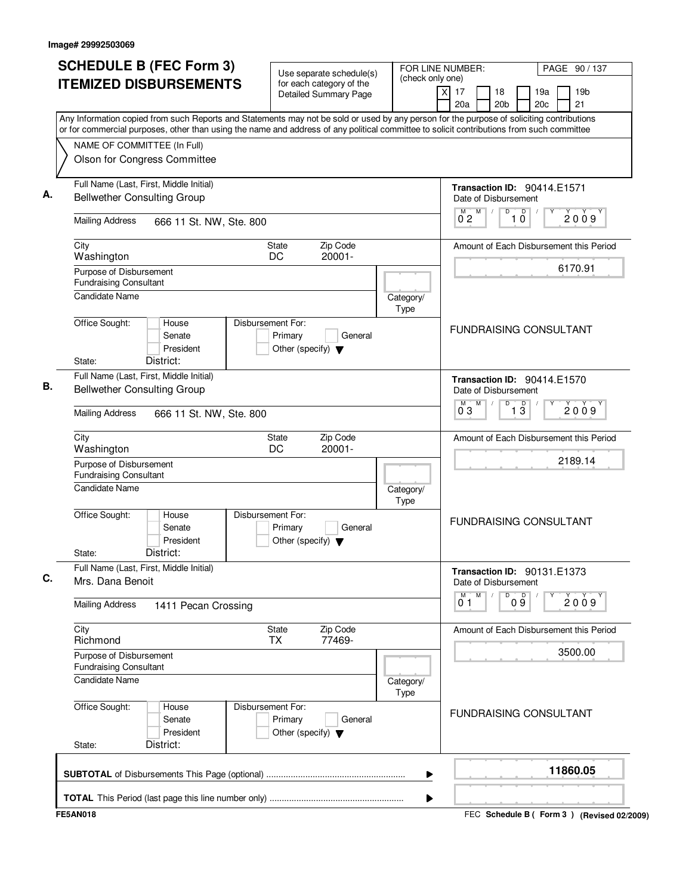| <b>ITEMIZED DISBURSEMENTS</b>                                                     |                                           | for each category of the                                                        |                   | (check only one)                                                                                                                                                                                                                                                                       |
|-----------------------------------------------------------------------------------|-------------------------------------------|---------------------------------------------------------------------------------|-------------------|----------------------------------------------------------------------------------------------------------------------------------------------------------------------------------------------------------------------------------------------------------------------------------------|
|                                                                                   |                                           | <b>Detailed Summary Page</b>                                                    |                   | $\overline{x}$<br>17<br>19 <sub>b</sub><br>18<br>19a<br>21<br>20a<br>20 <sub>b</sub><br>20 <sub>c</sub>                                                                                                                                                                                |
|                                                                                   |                                           |                                                                                 |                   | Any Information copied from such Reports and Statements may not be sold or used by any person for the purpose of soliciting contributions<br>or for commercial purposes, other than using the name and address of any political committee to solicit contributions from such committee |
| NAME OF COMMITTEE (In Full)<br>Olson for Congress Committee                       |                                           |                                                                                 |                   |                                                                                                                                                                                                                                                                                        |
| Full Name (Last, First, Middle Initial)<br><b>Bellwether Consulting Group</b>     |                                           |                                                                                 |                   | Transaction ID: 90414.E1571<br>Date of Disbursement                                                                                                                                                                                                                                    |
| <b>Mailing Address</b>                                                            | 666 11 St. NW, Ste. 800                   |                                                                                 |                   | M<br>D<br>D<br>2009<br>0 <sub>2</sub><br>10                                                                                                                                                                                                                                            |
| City<br>Washington                                                                |                                           | Zip Code<br><b>State</b><br>DC<br>20001-                                        |                   | Amount of Each Disbursement this Period                                                                                                                                                                                                                                                |
| Purpose of Disbursement<br><b>Fundraising Consultant</b><br><b>Candidate Name</b> |                                           |                                                                                 |                   | 6170.91                                                                                                                                                                                                                                                                                |
| Office Sought:                                                                    | House                                     | Disbursement For:                                                               | Category/<br>Type |                                                                                                                                                                                                                                                                                        |
| State:                                                                            | Senate<br>President<br>District:          | Primary<br>General<br>Other (specify) $\blacktriangledown$                      |                   | <b>FUNDRAISING CONSULTANT</b>                                                                                                                                                                                                                                                          |
| Full Name (Last, First, Middle Initial)<br><b>Bellwether Consulting Group</b>     |                                           |                                                                                 |                   | <b>Transaction ID: 90414.E1570</b><br>Date of Disbursement                                                                                                                                                                                                                             |
| <b>Mailing Address</b>                                                            | 666 11 St. NW, Ste. 800                   |                                                                                 |                   | M<br>M<br>D<br>$\overline{1\,3}$<br>2009<br>0 <sup>3</sup>                                                                                                                                                                                                                             |
| City<br>Washington                                                                |                                           | Zip Code<br>State<br>DC<br>20001-                                               |                   | Amount of Each Disbursement this Period                                                                                                                                                                                                                                                |
| Purpose of Disbursement<br><b>Fundraising Consultant</b><br>Candidate Name        |                                           |                                                                                 | Category/         | 2189.14                                                                                                                                                                                                                                                                                |
| Office Sought:<br>State:                                                          | House<br>Senate<br>President<br>District: | Disbursement For:<br>Primary<br>General<br>Other (specify) $\blacktriangledown$ | Type              | <b>FUNDRAISING CONSULTANT</b>                                                                                                                                                                                                                                                          |
| Full Name (Last, First, Middle Initial)<br>Mrs. Dana Benoit                       |                                           |                                                                                 |                   | <b>Transaction ID: 90131.E1373</b><br>Date of Disbursement                                                                                                                                                                                                                             |
| <b>Mailing Address</b>                                                            | 1411 Pecan Crossing                       |                                                                                 |                   | M<br>09<br>м<br>D<br>2009<br>01                                                                                                                                                                                                                                                        |
| City<br>Richmond                                                                  |                                           | Zip Code<br><b>State</b><br>77469-<br><b>TX</b>                                 |                   | Amount of Each Disbursement this Period                                                                                                                                                                                                                                                |
| Purpose of Disbursement<br><b>Fundraising Consultant</b><br>Candidate Name        |                                           |                                                                                 | Category/         | 3500.00                                                                                                                                                                                                                                                                                |
| Office Sought:<br>State:                                                          | House<br>Senate<br>President<br>District: | Disbursement For:<br>Primary<br>General<br>Other (specify) $\blacktriangledown$ | Type              | <b>FUNDRAISING CONSULTANT</b>                                                                                                                                                                                                                                                          |
|                                                                                   |                                           |                                                                                 |                   | 11860.05<br>▶                                                                                                                                                                                                                                                                          |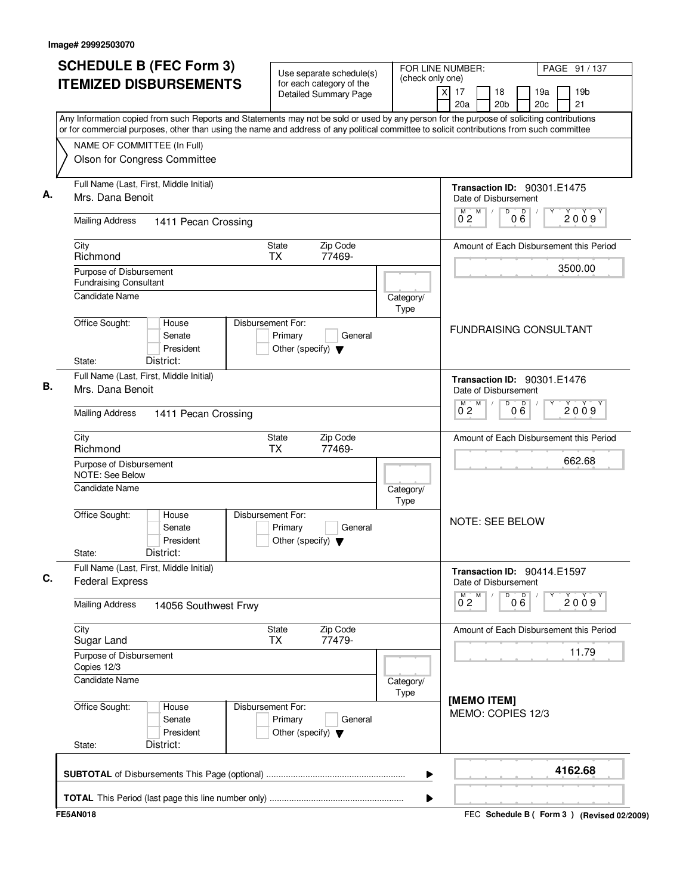| <b>SCHEDULE B (FEC Form 3)</b>                                                                                                                                                                                                                                                         | Use separate schedule(s)                                                        |                   | FOR LINE NUMBER:<br>(check only one)                       |                      |            | PAGE 91 / 137                             |  |
|----------------------------------------------------------------------------------------------------------------------------------------------------------------------------------------------------------------------------------------------------------------------------------------|---------------------------------------------------------------------------------|-------------------|------------------------------------------------------------|----------------------|------------|-------------------------------------------|--|
| <b>ITEMIZED DISBURSEMENTS</b>                                                                                                                                                                                                                                                          | for each category of the<br><b>Detailed Summary Page</b>                        |                   | x<br>17<br>18<br>20a                                       | 20 <sub>b</sub>      | 19a<br>20c | 19 <sub>b</sub><br>21                     |  |
| Any Information copied from such Reports and Statements may not be sold or used by any person for the purpose of soliciting contributions<br>or for commercial purposes, other than using the name and address of any political committee to solicit contributions from such committee |                                                                                 |                   |                                                            |                      |            |                                           |  |
| NAME OF COMMITTEE (In Full)                                                                                                                                                                                                                                                            |                                                                                 |                   |                                                            |                      |            |                                           |  |
| Olson for Congress Committee                                                                                                                                                                                                                                                           |                                                                                 |                   |                                                            |                      |            |                                           |  |
| Full Name (Last, First, Middle Initial)<br>Mrs. Dana Benoit                                                                                                                                                                                                                            |                                                                                 |                   | <b>Transaction ID: 90301.E1475</b><br>Date of Disbursement |                      |            |                                           |  |
| <b>Mailing Address</b><br>1411 Pecan Crossing                                                                                                                                                                                                                                          |                                                                                 |                   | M<br>M<br>0 <sub>2</sub>                                   | D<br>p<br>06         |            | 2009                                      |  |
| City<br>Richmond                                                                                                                                                                                                                                                                       | Zip Code<br><b>State</b><br><b>TX</b><br>77469-                                 |                   |                                                            |                      |            | Amount of Each Disbursement this Period   |  |
| Purpose of Disbursement<br><b>Fundraising Consultant</b>                                                                                                                                                                                                                               |                                                                                 |                   |                                                            |                      |            | 3500.00                                   |  |
| <b>Candidate Name</b>                                                                                                                                                                                                                                                                  |                                                                                 | Category/<br>Type |                                                            |                      |            |                                           |  |
| Office Sought:<br>House<br>Senate<br>President<br>District:<br>State:                                                                                                                                                                                                                  | Disbursement For:<br>Primary<br>General<br>Other (specify) $\blacktriangledown$ |                   | <b>FUNDRAISING CONSULTANT</b>                              |                      |            |                                           |  |
| Full Name (Last, First, Middle Initial)<br>Mrs. Dana Benoit                                                                                                                                                                                                                            |                                                                                 |                   | Transaction ID: 90301.E1476<br>Date of Disbursement        |                      |            |                                           |  |
| <b>Mailing Address</b><br>1411 Pecan Crossing                                                                                                                                                                                                                                          |                                                                                 |                   | M<br>0 <sub>2</sub>                                        | D<br>$0\overline{6}$ |            | 2009                                      |  |
| City<br>Richmond                                                                                                                                                                                                                                                                       | Zip Code<br><b>State</b><br>77469-<br><b>TX</b>                                 |                   |                                                            |                      |            | Amount of Each Disbursement this Period   |  |
| Purpose of Disbursement<br>NOTE: See Below                                                                                                                                                                                                                                             |                                                                                 |                   |                                                            |                      |            | 662.68                                    |  |
| <b>Candidate Name</b>                                                                                                                                                                                                                                                                  |                                                                                 | Category/<br>Type |                                                            |                      |            |                                           |  |
| Office Sought:<br>House<br>Senate<br>President<br>District:<br>State:                                                                                                                                                                                                                  | Disbursement For:<br>Primary<br>General<br>Other (specify) $\blacktriangledown$ |                   | <b>NOTE: SEE BELOW</b>                                     |                      |            |                                           |  |
| Full Name (Last, First, Middle Initial)<br><b>Federal Express</b>                                                                                                                                                                                                                      |                                                                                 |                   | Transaction ID: 90414.E1597<br>Date of Disbursement        |                      |            |                                           |  |
| <b>Mailing Address</b><br>14056 Southwest Frwy                                                                                                                                                                                                                                         |                                                                                 |                   | M<br>$\overline{0}^M$ 2                                    | D<br>000             |            | 2009                                      |  |
| City<br>Sugar Land                                                                                                                                                                                                                                                                     | State<br>Zip Code<br>77479-<br><b>TX</b>                                        |                   |                                                            |                      |            | Amount of Each Disbursement this Period   |  |
| Purpose of Disbursement<br>Copies 12/3                                                                                                                                                                                                                                                 |                                                                                 |                   |                                                            |                      |            | 11.79                                     |  |
| Candidate Name                                                                                                                                                                                                                                                                         |                                                                                 | Category/<br>Type | [MEMO ITEM]                                                |                      |            |                                           |  |
| Office Sought:<br>House<br>Senate<br>President<br>District:<br>State:                                                                                                                                                                                                                  | Disbursement For:<br>Primary<br>General<br>Other (specify) $\blacktriangledown$ |                   | MEMO: COPIES 12/3                                          |                      |            |                                           |  |
|                                                                                                                                                                                                                                                                                        |                                                                                 | ▶                 |                                                            |                      |            | 4162.68                                   |  |
|                                                                                                                                                                                                                                                                                        |                                                                                 | ▶                 |                                                            |                      |            |                                           |  |
| <b>FE5AN018</b>                                                                                                                                                                                                                                                                        |                                                                                 |                   |                                                            |                      |            | FEC Schedule B (Form 3) (Revised 02/2009) |  |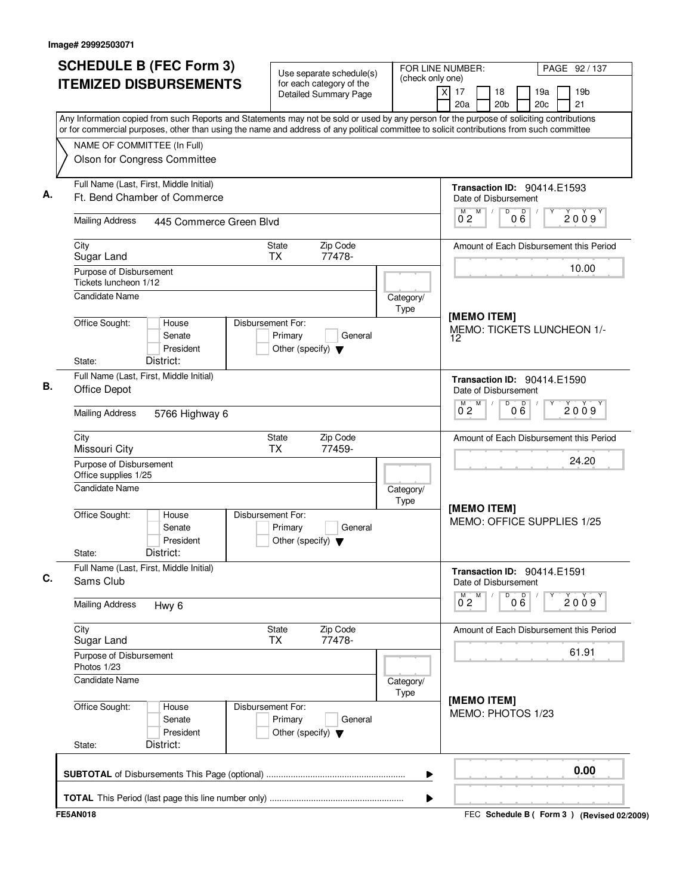| <b>ITEMIZED DISBURSEMENTS</b>                                                                                                                                                                                                                                                          | Use separate schedule(s)<br>for each category of the                            | (check only one)  | FOR LINE NUMBER:<br>PAGE 92 / 137                                                                 |
|----------------------------------------------------------------------------------------------------------------------------------------------------------------------------------------------------------------------------------------------------------------------------------------|---------------------------------------------------------------------------------|-------------------|---------------------------------------------------------------------------------------------------|
|                                                                                                                                                                                                                                                                                        | <b>Detailed Summary Page</b>                                                    |                   | $\times$<br>17<br>18<br>19a<br>19 <sub>b</sub><br>20a<br>20 <sub>b</sub><br>20 <sub>c</sub><br>21 |
| Any Information copied from such Reports and Statements may not be sold or used by any person for the purpose of soliciting contributions<br>or for commercial purposes, other than using the name and address of any political committee to solicit contributions from such committee |                                                                                 |                   |                                                                                                   |
| NAME OF COMMITTEE (In Full)                                                                                                                                                                                                                                                            |                                                                                 |                   |                                                                                                   |
| Olson for Congress Committee                                                                                                                                                                                                                                                           |                                                                                 |                   |                                                                                                   |
| Full Name (Last, First, Middle Initial)<br>Ft. Bend Chamber of Commerce                                                                                                                                                                                                                |                                                                                 |                   | Transaction ID: 90414.E1593<br>Date of Disbursement                                               |
| <b>Mailing Address</b><br>445 Commerce Green Blvd                                                                                                                                                                                                                                      |                                                                                 |                   | M<br>M<br>D<br>000<br>2009<br>$0^{\degree}2$                                                      |
| City<br>Sugar Land                                                                                                                                                                                                                                                                     | Zip Code<br>State<br><b>TX</b><br>77478-                                        |                   | Amount of Each Disbursement this Period                                                           |
| Purpose of Disbursement<br>Tickets luncheon 1/12                                                                                                                                                                                                                                       |                                                                                 |                   | 10.00                                                                                             |
| <b>Candidate Name</b>                                                                                                                                                                                                                                                                  |                                                                                 | Category/<br>Type |                                                                                                   |
| Office Sought:<br>House<br>Senate<br>President<br>District:<br>State:                                                                                                                                                                                                                  | Disbursement For:<br>Primary<br>General<br>Other (specify) $\blacktriangledown$ |                   | [MEMO ITEM]<br>MEMO: TICKETS LUNCHEON 1/-<br>12                                                   |
| Full Name (Last, First, Middle Initial)<br>Office Depot                                                                                                                                                                                                                                |                                                                                 |                   | Transaction ID: 90414.E1590<br>Date of Disbursement                                               |
| <b>Mailing Address</b><br>5766 Highway 6                                                                                                                                                                                                                                               |                                                                                 |                   | M<br>D<br>00 <sup>0</sup><br>м<br>2009<br>$0^{\degree}2$                                          |
| City<br>Missouri City                                                                                                                                                                                                                                                                  | Zip Code<br>State<br><b>TX</b><br>77459-                                        |                   | Amount of Each Disbursement this Period                                                           |
| Purpose of Disbursement<br>Office supplies 1/25                                                                                                                                                                                                                                        |                                                                                 |                   | 24.20                                                                                             |
| <b>Candidate Name</b>                                                                                                                                                                                                                                                                  |                                                                                 | Category/<br>Type |                                                                                                   |
| Office Sought:<br>House<br>Senate<br>President<br>District:<br>State:                                                                                                                                                                                                                  | Disbursement For:<br>Primary<br>General<br>Other (specify) $\blacktriangledown$ |                   | [MEMO ITEM]<br>MEMO: OFFICE SUPPLIES 1/25                                                         |
| Full Name (Last, First, Middle Initial)<br>Sams Club                                                                                                                                                                                                                                   |                                                                                 |                   | Transaction ID: 90414.E1591<br>Date of Disbursement                                               |
| <b>Mailing Address</b><br>Hwy <sub>6</sub>                                                                                                                                                                                                                                             |                                                                                 |                   | D<br>000<br>$0^{M}$ <sub>2</sub><br>Μ<br>2009                                                     |
| City<br>Sugar Land                                                                                                                                                                                                                                                                     | State<br>Zip Code<br>77478-<br>TX.                                              |                   | Amount of Each Disbursement this Period                                                           |
| Purpose of Disbursement<br>Photos 1/23                                                                                                                                                                                                                                                 |                                                                                 |                   | 61.91                                                                                             |
| <b>Candidate Name</b>                                                                                                                                                                                                                                                                  |                                                                                 | Category/<br>Type |                                                                                                   |
| Office Sought:<br>House<br>Senate<br>President<br>District:                                                                                                                                                                                                                            | Disbursement For:<br>Primary<br>General<br>Other (specify) $\blacktriangledown$ |                   | [MEMO ITEM]<br>MEMO: PHOTOS 1/23                                                                  |
| State:                                                                                                                                                                                                                                                                                 |                                                                                 |                   |                                                                                                   |
|                                                                                                                                                                                                                                                                                        |                                                                                 | ▶                 | 0.00                                                                                              |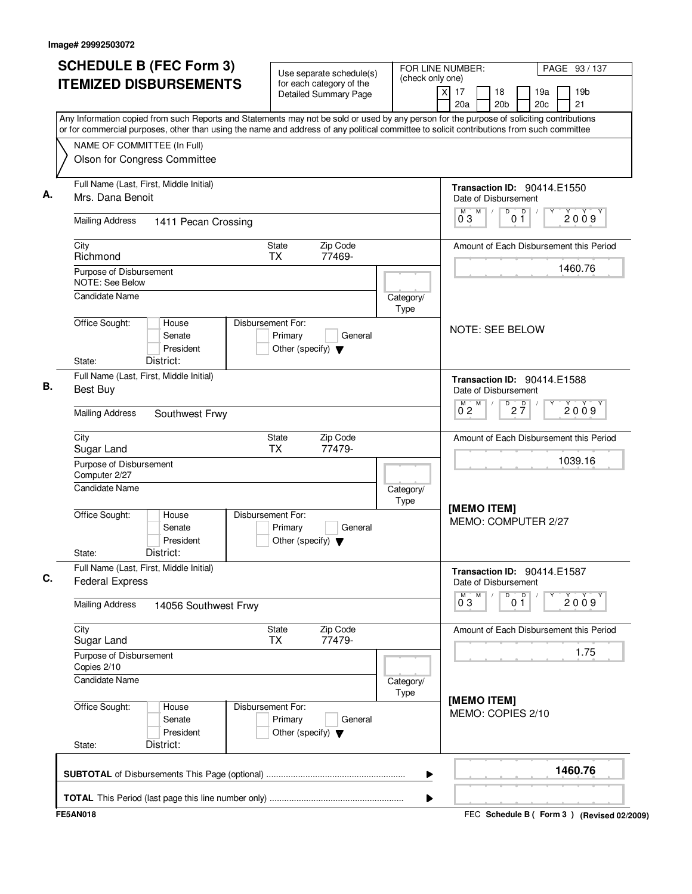| <b>SCHEDULE B (FEC Form 3)</b>                                                                                                            | Use separate schedule(s)                                                        |                   | FOR LINE NUMBER:                                              | PAGE 93 / 137                                   |
|-------------------------------------------------------------------------------------------------------------------------------------------|---------------------------------------------------------------------------------|-------------------|---------------------------------------------------------------|-------------------------------------------------|
| <b>ITEMIZED DISBURSEMENTS</b>                                                                                                             | for each category of the<br><b>Detailed Summary Page</b>                        | (check only one)  | $\overline{x}$<br>17<br>18<br>20 <sub>b</sub><br>20a          | 19 <sub>b</sub><br>19a<br>20 <sub>c</sub><br>21 |
| Any Information copied from such Reports and Statements may not be sold or used by any person for the purpose of soliciting contributions |                                                                                 |                   |                                                               |                                                 |
| or for commercial purposes, other than using the name and address of any political committee to solicit contributions from such committee |                                                                                 |                   |                                                               |                                                 |
| NAME OF COMMITTEE (In Full)<br>Olson for Congress Committee                                                                               |                                                                                 |                   |                                                               |                                                 |
|                                                                                                                                           |                                                                                 |                   |                                                               |                                                 |
| Full Name (Last, First, Middle Initial)                                                                                                   |                                                                                 |                   | <b>Transaction ID: 90414.E1550</b>                            |                                                 |
| Mrs. Dana Benoit                                                                                                                          |                                                                                 |                   | Date of Disbursement<br>D<br>$\overline{p}$<br>M              |                                                 |
| <b>Mailing Address</b><br>1411 Pecan Crossing                                                                                             |                                                                                 |                   | 03<br>0 <sub>1</sub>                                          | 2009                                            |
| City<br>Richmond                                                                                                                          | Zip Code<br>State<br>TX<br>77469-                                               |                   |                                                               | Amount of Each Disbursement this Period         |
| Purpose of Disbursement                                                                                                                   |                                                                                 |                   |                                                               | 1460.76                                         |
| NOTE: See Below                                                                                                                           |                                                                                 |                   |                                                               |                                                 |
| Candidate Name                                                                                                                            |                                                                                 | Category/<br>Type |                                                               |                                                 |
| Office Sought:<br>House                                                                                                                   | Disbursement For:                                                               |                   | <b>NOTE: SEE BELOW</b>                                        |                                                 |
| Senate                                                                                                                                    | Primary<br>General                                                              |                   |                                                               |                                                 |
| President<br>District:<br>State:                                                                                                          | Other (specify) $\blacktriangledown$                                            |                   |                                                               |                                                 |
| Full Name (Last, First, Middle Initial)                                                                                                   |                                                                                 |                   |                                                               |                                                 |
| <b>Best Buy</b>                                                                                                                           |                                                                                 |                   | Transaction ID: 90414.E1588<br>Date of Disbursement           |                                                 |
|                                                                                                                                           |                                                                                 |                   | $D$ <sub>2</sub> $\frac{D}{7}$<br>M                           |                                                 |
| <b>Mailing Address</b><br>Southwest Frwy                                                                                                  |                                                                                 |                   | 02                                                            | 2009                                            |
| City                                                                                                                                      | Zip Code<br>State                                                               |                   |                                                               | Amount of Each Disbursement this Period         |
| Sugar Land                                                                                                                                | 77479-<br><b>TX</b>                                                             |                   |                                                               | 1039.16                                         |
| Purpose of Disbursement<br>Computer 2/27                                                                                                  |                                                                                 |                   |                                                               |                                                 |
| <b>Candidate Name</b>                                                                                                                     |                                                                                 | Category/         |                                                               |                                                 |
|                                                                                                                                           |                                                                                 | Type              |                                                               |                                                 |
| Office Sought:<br>House<br>Senate<br>President<br>District:<br>State:                                                                     | Disbursement For:<br>Primary<br>General<br>Other (specify) $\blacktriangledown$ |                   | [MEMO ITEM]<br>MEMO: COMPUTER 2/27                            |                                                 |
| Full Name (Last, First, Middle Initial)                                                                                                   |                                                                                 |                   |                                                               |                                                 |
| <b>Federal Express</b>                                                                                                                    |                                                                                 |                   | Transaction ID: 90414.E1587<br>Date of Disbursement<br>M<br>D | Υ                                               |
| <b>Mailing Address</b><br>14056 Southwest Frwy                                                                                            |                                                                                 |                   | 0 <sup>D</sup><br>$0^{\degree}3$                              | 2009                                            |
| City<br>Sugar Land                                                                                                                        | Zip Code<br>State<br><b>TX</b><br>77479-                                        |                   |                                                               | Amount of Each Disbursement this Period         |
| Purpose of Disbursement<br>Copies 2/10                                                                                                    |                                                                                 |                   |                                                               | 1.75                                            |
| Candidate Name                                                                                                                            |                                                                                 | Category/<br>Type |                                                               |                                                 |
| Office Sought:<br>House<br>Senate<br>President                                                                                            | Disbursement For:<br>General<br>Primary<br>Other (specify) $\blacktriangledown$ |                   | [MEMO ITEM]<br>MEMO: COPIES 2/10                              |                                                 |
| District:<br>State:                                                                                                                       |                                                                                 |                   |                                                               |                                                 |
|                                                                                                                                           |                                                                                 |                   |                                                               | 1460.76                                         |
|                                                                                                                                           |                                                                                 | ▶                 |                                                               |                                                 |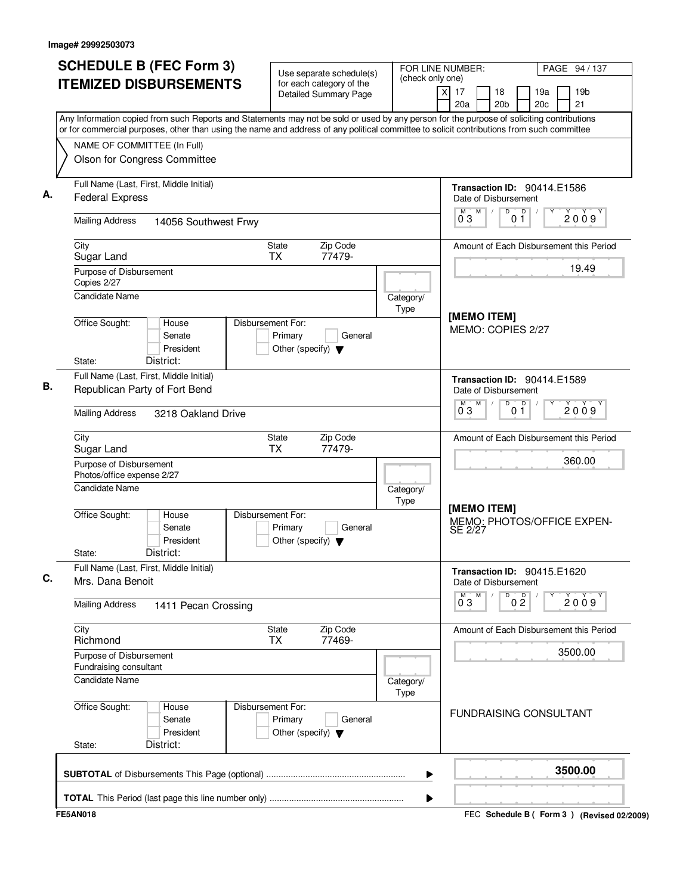| <b>SCHEDULE B (FEC Form 3)</b>                                                                                                                                           | Use separate schedule(s)                                                        |                   | FOR LINE NUMBER:                                              | PAGE 94 / 137                                   |
|--------------------------------------------------------------------------------------------------------------------------------------------------------------------------|---------------------------------------------------------------------------------|-------------------|---------------------------------------------------------------|-------------------------------------------------|
| <b>ITEMIZED DISBURSEMENTS</b>                                                                                                                                            | for each category of the<br><b>Detailed Summary Page</b>                        | (check only one)  | $\overline{\mathsf{x}}$<br>17<br>18<br>20a<br>20 <sub>b</sub> | 19 <sub>b</sub><br>19a<br>21<br>20 <sub>c</sub> |
| Any Information copied from such Reports and Statements may not be sold or used by any person for the purpose of soliciting contributions                                |                                                                                 |                   |                                                               |                                                 |
| or for commercial purposes, other than using the name and address of any political committee to solicit contributions from such committee<br>NAME OF COMMITTEE (In Full) |                                                                                 |                   |                                                               |                                                 |
| Olson for Congress Committee                                                                                                                                             |                                                                                 |                   |                                                               |                                                 |
| Full Name (Last, First, Middle Initial)<br><b>Federal Express</b>                                                                                                        |                                                                                 |                   | Transaction ID: 90414.E1586<br>Date of Disbursement           |                                                 |
| <b>Mailing Address</b><br>14056 Southwest Frwy                                                                                                                           |                                                                                 |                   | M<br>D<br>0 <sup>0</sup><br>M<br>03                           | 2009                                            |
| City<br>Sugar Land                                                                                                                                                       | State<br>Zip Code<br><b>TX</b><br>77479-                                        |                   |                                                               | Amount of Each Disbursement this Period         |
| Purpose of Disbursement<br>Copies 2/27                                                                                                                                   |                                                                                 |                   |                                                               | 19.49                                           |
| <b>Candidate Name</b>                                                                                                                                                    |                                                                                 | Category/<br>Type | [MEMO ITEM]                                                   |                                                 |
| Office Sought:<br>House<br>Senate<br>President<br>District:<br>State:                                                                                                    | Disbursement For:<br>Primary<br>General<br>Other (specify) $\blacktriangledown$ |                   | MEMO: COPIES 2/27                                             |                                                 |
| Full Name (Last, First, Middle Initial)                                                                                                                                  |                                                                                 |                   | Transaction ID: 90414.E1589                                   |                                                 |
| Republican Party of Fort Bend                                                                                                                                            |                                                                                 |                   | Date of Disbursement                                          |                                                 |
| <b>Mailing Address</b><br>3218 Oakland Drive                                                                                                                             |                                                                                 |                   | M<br>D<br>0 <sup>0</sup><br>M<br>03                           | 2009                                            |
| City<br>Sugar Land                                                                                                                                                       | Zip Code<br><b>State</b><br>77479-<br><b>TX</b>                                 |                   |                                                               | Amount of Each Disbursement this Period         |
| Purpose of Disbursement<br>Photos/office expense 2/27                                                                                                                    |                                                                                 |                   |                                                               | 360.00                                          |
| <b>Candidate Name</b>                                                                                                                                                    |                                                                                 | Category/<br>Type | [MEMO ITEM]                                                   |                                                 |
| Office Sought:<br>House<br>Senate<br>President<br>District:<br>State:                                                                                                    | Disbursement For:<br>Primary<br>General<br>Other (specify) $\blacktriangledown$ |                   | SE 2/27                                                       | MEMO: PHOTOS/OFFICE EXPEN-                      |
| Full Name (Last, First, Middle Initial)<br>Mrs. Dana Benoit                                                                                                              |                                                                                 |                   | Transaction ID: 90415.E1620<br>Date of Disbursement           |                                                 |
| <b>Mailing Address</b><br>1411 Pecan Crossing                                                                                                                            |                                                                                 |                   | M<br>D<br>0 <sup>0</sup><br>M<br>$0^{\degree}3$               | Y<br>2009                                       |
| City<br>Richmond                                                                                                                                                         | Zip Code<br>State<br><b>TX</b><br>77469-                                        |                   |                                                               | Amount of Each Disbursement this Period         |
| Purpose of Disbursement<br>Fundraising consultant                                                                                                                        |                                                                                 |                   |                                                               | 3500.00                                         |
| <b>Candidate Name</b>                                                                                                                                                    |                                                                                 | Category/<br>Type |                                                               |                                                 |
| Office Sought:<br>House<br>Senate<br>President<br>District:<br>State:                                                                                                    | Disbursement For:<br>Primary<br>General<br>Other (specify) $\blacktriangledown$ |                   | <b>FUNDRAISING CONSULTANT</b>                                 |                                                 |
|                                                                                                                                                                          |                                                                                 | ▶                 |                                                               | 3500.00                                         |
|                                                                                                                                                                          |                                                                                 | ▶                 |                                                               |                                                 |
| <b>FE5AN018</b>                                                                                                                                                          |                                                                                 |                   |                                                               | FEC Schedule B ( Form 3 ) (Revised 02/2009)     |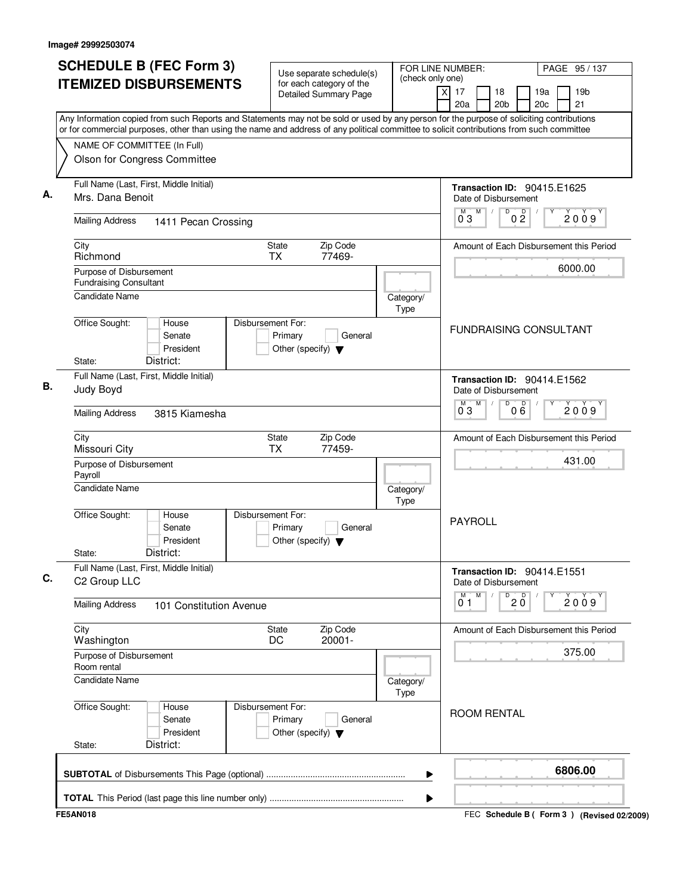| <b>SCHEDULE B (FEC Form 3)</b><br>FOR LINE NUMBER:<br>Use separate schedule(s)                                                                                                                                                                                                         |                                                                                 | PAGE 95 / 137     |                                                            |                     |            |         |                 |
|----------------------------------------------------------------------------------------------------------------------------------------------------------------------------------------------------------------------------------------------------------------------------------------|---------------------------------------------------------------------------------|-------------------|------------------------------------------------------------|---------------------|------------|---------|-----------------|
| <b>ITEMIZED DISBURSEMENTS</b>                                                                                                                                                                                                                                                          | for each category of the<br><b>Detailed Summary Page</b>                        | (check only one)  | $\overline{\mathsf{x}}$<br>17<br>18<br>20a                 | 20 <sub>b</sub>     | 19a<br>20c | 21      | 19 <sub>b</sub> |
| Any Information copied from such Reports and Statements may not be sold or used by any person for the purpose of soliciting contributions<br>or for commercial purposes, other than using the name and address of any political committee to solicit contributions from such committee |                                                                                 |                   |                                                            |                     |            |         |                 |
| NAME OF COMMITTEE (In Full)                                                                                                                                                                                                                                                            |                                                                                 |                   |                                                            |                     |            |         |                 |
| Olson for Congress Committee                                                                                                                                                                                                                                                           |                                                                                 |                   |                                                            |                     |            |         |                 |
| Full Name (Last, First, Middle Initial)<br>Mrs. Dana Benoit                                                                                                                                                                                                                            |                                                                                 |                   | <b>Transaction ID: 90415.E1625</b><br>Date of Disbursement |                     |            |         |                 |
| <b>Mailing Address</b><br>1411 Pecan Crossing                                                                                                                                                                                                                                          |                                                                                 |                   | M<br>M<br>03                                               | D<br>0 <sup>0</sup> |            | 2009    |                 |
| City<br>Richmond                                                                                                                                                                                                                                                                       | Zip Code<br>State<br><b>TX</b><br>77469-                                        |                   | Amount of Each Disbursement this Period                    |                     |            |         |                 |
| Purpose of Disbursement<br><b>Fundraising Consultant</b>                                                                                                                                                                                                                               |                                                                                 |                   |                                                            |                     |            | 6000.00 |                 |
| <b>Candidate Name</b>                                                                                                                                                                                                                                                                  |                                                                                 | Category/<br>Type |                                                            |                     |            |         |                 |
| Office Sought:<br>House<br>Senate<br>President<br>District:<br>State:                                                                                                                                                                                                                  | Disbursement For:<br>Primary<br>General<br>Other (specify) $\blacktriangledown$ |                   | <b>FUNDRAISING CONSULTANT</b>                              |                     |            |         |                 |
| Full Name (Last, First, Middle Initial)<br>Judy Boyd                                                                                                                                                                                                                                   |                                                                                 |                   | Transaction ID: 90414.E1562<br>Date of Disbursement        |                     |            |         |                 |
| <b>Mailing Address</b><br>3815 Kiamesha                                                                                                                                                                                                                                                |                                                                                 |                   | M<br>м<br>03                                               | D<br>000            |            |         | 2009            |
| City<br>Missouri City                                                                                                                                                                                                                                                                  | Zip Code<br>State<br><b>TX</b><br>77459-                                        |                   | Amount of Each Disbursement this Period                    |                     |            |         |                 |
| Purpose of Disbursement<br>Payroll                                                                                                                                                                                                                                                     |                                                                                 |                   |                                                            |                     |            | 431.00  |                 |
| Candidate Name                                                                                                                                                                                                                                                                         |                                                                                 | Category/<br>Type |                                                            |                     |            |         |                 |
| Office Sought:<br>House<br>Senate<br>President<br>District:<br>State:                                                                                                                                                                                                                  | Disbursement For:<br>Primary<br>General<br>Other (specify) $\blacktriangledown$ |                   | PAYROLL                                                    |                     |            |         |                 |
| Full Name (Last, First, Middle Initial)<br>C <sub>2</sub> Group LLC                                                                                                                                                                                                                    |                                                                                 |                   | Transaction ID: 90414.E1551<br>Date of Disbursement        |                     |            |         |                 |
| <b>Mailing Address</b><br>101 Constitution Avenue                                                                                                                                                                                                                                      |                                                                                 |                   | M<br>M<br>0 <sub>1</sub>                                   | $\overline{20}$     | Υ          | 2009    |                 |
| City<br>Washington                                                                                                                                                                                                                                                                     | State<br>Zip Code<br>20001-<br>DC                                               |                   | Amount of Each Disbursement this Period                    |                     |            |         |                 |
| Purpose of Disbursement<br>Room rental                                                                                                                                                                                                                                                 |                                                                                 |                   |                                                            |                     |            | 375.00  |                 |
| <b>Candidate Name</b>                                                                                                                                                                                                                                                                  |                                                                                 | Category/<br>Type |                                                            |                     |            |         |                 |
| Office Sought:<br>House<br>Senate<br>President<br>District:<br>State:                                                                                                                                                                                                                  | Disbursement For:<br>Primary<br>General<br>Other (specify) $\blacktriangledown$ |                   | <b>ROOM RENTAL</b>                                         |                     |            |         |                 |
|                                                                                                                                                                                                                                                                                        |                                                                                 | ▶                 |                                                            |                     |            | 6806.00 |                 |
|                                                                                                                                                                                                                                                                                        |                                                                                 | ▶                 |                                                            |                     |            |         |                 |
| <b>FE5AN018</b>                                                                                                                                                                                                                                                                        |                                                                                 |                   | FEC Schedule B ( Form 3 ) (Revised 02/2009)                |                     |            |         |                 |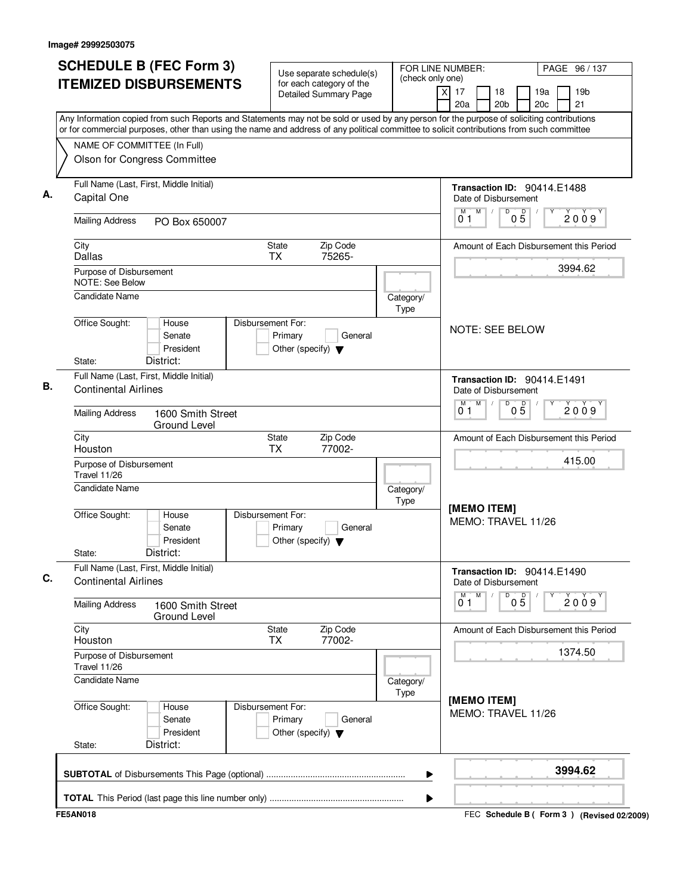| <b>SCHEDULE B (FEC Form 3)</b>                                                                                                                                                                                                                                                         | Use separate schedule(s)                                                        | FOR LINE NUMBER:<br>(check only one) | PAGE 96 / 137                                                                    |
|----------------------------------------------------------------------------------------------------------------------------------------------------------------------------------------------------------------------------------------------------------------------------------------|---------------------------------------------------------------------------------|--------------------------------------|----------------------------------------------------------------------------------|
| <b>ITEMIZED DISBURSEMENTS</b>                                                                                                                                                                                                                                                          | for each category of the<br><b>Detailed Summary Page</b>                        |                                      | 19 <sub>b</sub><br>x<br>17<br>18<br>19a<br>20c<br>21<br>20a<br>20 <sub>b</sub>   |
| Any Information copied from such Reports and Statements may not be sold or used by any person for the purpose of soliciting contributions<br>or for commercial purposes, other than using the name and address of any political committee to solicit contributions from such committee |                                                                                 |                                      |                                                                                  |
| NAME OF COMMITTEE (In Full)<br>Olson for Congress Committee                                                                                                                                                                                                                            |                                                                                 |                                      |                                                                                  |
| Full Name (Last, First, Middle Initial)<br>Capital One                                                                                                                                                                                                                                 |                                                                                 |                                      | Transaction ID: 90414.E1488<br>Date of Disbursement                              |
| <b>Mailing Address</b><br>PO Box 650007                                                                                                                                                                                                                                                |                                                                                 |                                      | M<br>$0\overline{5}$<br>D<br>2009<br>01                                          |
| City<br>Dallas                                                                                                                                                                                                                                                                         | Zip Code<br>State<br>75265-<br><b>TX</b>                                        |                                      | Amount of Each Disbursement this Period                                          |
| Purpose of Disbursement<br>NOTE: See Below                                                                                                                                                                                                                                             |                                                                                 |                                      | 3994.62                                                                          |
| Candidate Name                                                                                                                                                                                                                                                                         |                                                                                 | Category/<br>Type                    |                                                                                  |
| Office Sought:<br>House<br>Senate<br>President<br>District:<br>State:                                                                                                                                                                                                                  | Disbursement For:<br>Primary<br>General<br>Other (specify) $\blacktriangledown$ |                                      | <b>NOTE: SEE BELOW</b>                                                           |
| Full Name (Last, First, Middle Initial)                                                                                                                                                                                                                                                |                                                                                 |                                      | Transaction ID: 90414.E1491                                                      |
| <b>Continental Airlines</b><br><b>Mailing Address</b><br>1600 Smith Street                                                                                                                                                                                                             |                                                                                 |                                      | Date of Disbursement<br>M<br>D<br>М<br>$0\overline{5}$<br>2009<br>0 <sub>1</sub> |
| <b>Ground Level</b><br>City<br>Houston                                                                                                                                                                                                                                                 | Zip Code<br>State<br><b>TX</b><br>77002-                                        |                                      | Amount of Each Disbursement this Period                                          |
| Purpose of Disbursement<br><b>Travel 11/26</b>                                                                                                                                                                                                                                         |                                                                                 |                                      | 415.00                                                                           |
| <b>Candidate Name</b>                                                                                                                                                                                                                                                                  |                                                                                 | Category/<br>Type                    |                                                                                  |
| Office Sought:<br>House<br>Senate<br>President<br>District:<br>State:                                                                                                                                                                                                                  | Disbursement For:<br>Primary<br>General<br>Other (specify) $\blacktriangledown$ |                                      | [MEMO ITEM]<br>MEMO: TRAVEL 11/26                                                |
| Full Name (Last, First, Middle Initial)<br><b>Continental Airlines</b>                                                                                                                                                                                                                 |                                                                                 |                                      | Transaction ID: 90414.E1490<br>Date of Disbursement                              |
| <b>Mailing Address</b><br>1600 Smith Street<br>Ground Level                                                                                                                                                                                                                            |                                                                                 |                                      | M<br>$\overline{0}^M$ 1<br>D<br>05<br>2009                                       |
| City<br>Houston                                                                                                                                                                                                                                                                        | Zip Code<br>State<br>77002-<br><b>TX</b>                                        |                                      | Amount of Each Disbursement this Period                                          |
| Purpose of Disbursement<br>Travel 11/26                                                                                                                                                                                                                                                |                                                                                 |                                      | 1374.50                                                                          |
| <b>Candidate Name</b>                                                                                                                                                                                                                                                                  |                                                                                 | Category/<br>Type                    |                                                                                  |
| Office Sought:<br>House<br>Senate<br>President<br>District:<br>State:                                                                                                                                                                                                                  | Disbursement For:<br>Primary<br>General<br>Other (specify) $\blacktriangledown$ |                                      | [MEMO ITEM]<br>MEMO: TRAVEL 11/26                                                |
|                                                                                                                                                                                                                                                                                        |                                                                                 | ▶                                    | 3994.62                                                                          |
|                                                                                                                                                                                                                                                                                        |                                                                                 |                                      |                                                                                  |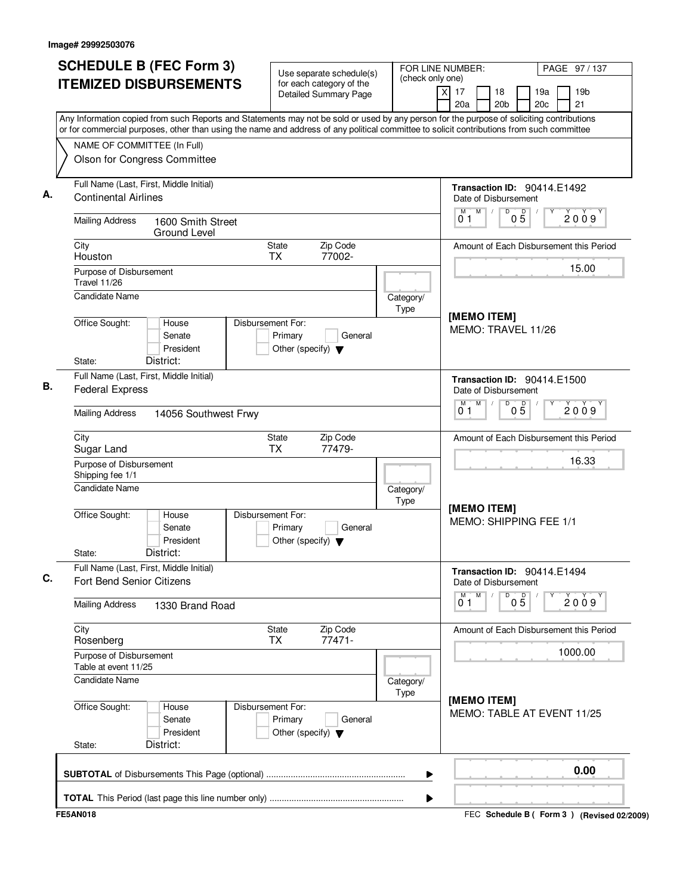| <b>SCHEDULE B (FEC Form 3)</b>                                                                                                                                                                                                                                                         | Use separate schedule(s)                                                        | FOR LINE NUMBER:<br>(check only one) | PAGE 97 / 137                                                                               |  |  |  |
|----------------------------------------------------------------------------------------------------------------------------------------------------------------------------------------------------------------------------------------------------------------------------------------|---------------------------------------------------------------------------------|--------------------------------------|---------------------------------------------------------------------------------------------|--|--|--|
| <b>ITEMIZED DISBURSEMENTS</b>                                                                                                                                                                                                                                                          | for each category of the<br><b>Detailed Summary Page</b>                        |                                      | $\overline{X}$<br>17<br>19 <sub>b</sub><br>18<br>19a<br>21<br>20a<br>20 <sub>b</sub><br>20c |  |  |  |
| Any Information copied from such Reports and Statements may not be sold or used by any person for the purpose of soliciting contributions<br>or for commercial purposes, other than using the name and address of any political committee to solicit contributions from such committee |                                                                                 |                                      |                                                                                             |  |  |  |
| NAME OF COMMITTEE (In Full)<br>Olson for Congress Committee                                                                                                                                                                                                                            |                                                                                 |                                      |                                                                                             |  |  |  |
| Full Name (Last, First, Middle Initial)<br><b>Continental Airlines</b>                                                                                                                                                                                                                 |                                                                                 |                                      | Transaction ID: 90414.E1492<br>Date of Disbursement                                         |  |  |  |
| <b>Mailing Address</b><br>1600 Smith Street                                                                                                                                                                                                                                            |                                                                                 |                                      | M<br>D<br>$0\overline{5}$<br>2009<br>01                                                     |  |  |  |
| Ground Level<br>City<br>Houston                                                                                                                                                                                                                                                        | Zip Code<br>State<br>77002-<br><b>TX</b>                                        |                                      | Amount of Each Disbursement this Period                                                     |  |  |  |
| Purpose of Disbursement<br>Travel 11/26                                                                                                                                                                                                                                                |                                                                                 |                                      | 15.00                                                                                       |  |  |  |
| <b>Candidate Name</b>                                                                                                                                                                                                                                                                  |                                                                                 | Category/<br>Type                    | [MEMO ITEM]                                                                                 |  |  |  |
| Office Sought:<br>House<br>Senate<br>President<br>District:<br>State:                                                                                                                                                                                                                  | Disbursement For:<br>Primary<br>General<br>Other (specify) $\blacktriangledown$ |                                      | MEMO: TRAVEL 11/26                                                                          |  |  |  |
| Full Name (Last, First, Middle Initial)<br><b>Federal Express</b>                                                                                                                                                                                                                      |                                                                                 |                                      | <b>Transaction ID: 90414.E1500</b><br>Date of Disbursement                                  |  |  |  |
| <b>Mailing Address</b><br>14056 Southwest Frwy                                                                                                                                                                                                                                         |                                                                                 |                                      | M<br>D<br>M<br>$0\overline{5}$<br>2009<br>01                                                |  |  |  |
| City<br>Sugar Land                                                                                                                                                                                                                                                                     | Zip Code<br>State<br><b>TX</b><br>77479-                                        |                                      | Amount of Each Disbursement this Period                                                     |  |  |  |
| Purpose of Disbursement<br>Shipping fee 1/1                                                                                                                                                                                                                                            |                                                                                 |                                      | 16.33                                                                                       |  |  |  |
| <b>Candidate Name</b>                                                                                                                                                                                                                                                                  |                                                                                 | Category/<br>Type                    | [MEMO ITEM]                                                                                 |  |  |  |
| Office Sought:<br>House<br>Senate<br>President<br>District:<br>State:                                                                                                                                                                                                                  | Disbursement For:<br>Primary<br>General<br>Other (specify) $\blacktriangledown$ |                                      | MEMO: SHIPPING FEE 1/1                                                                      |  |  |  |
| Full Name (Last, First, Middle Initial)<br><b>Fort Bend Senior Citizens</b>                                                                                                                                                                                                            |                                                                                 |                                      | Transaction ID: 90414.E1494<br>Date of Disbursement                                         |  |  |  |
| <b>Mailing Address</b><br>1330 Brand Road                                                                                                                                                                                                                                              |                                                                                 |                                      | M<br>D<br>$0\overline{5}$<br>2009<br>01                                                     |  |  |  |
| City<br>Rosenberg                                                                                                                                                                                                                                                                      | Zip Code<br>State<br>77471-<br>ТX                                               |                                      | Amount of Each Disbursement this Period                                                     |  |  |  |
| Purpose of Disbursement<br>Table at event 11/25                                                                                                                                                                                                                                        |                                                                                 |                                      | 1000.00                                                                                     |  |  |  |
| Candidate Name                                                                                                                                                                                                                                                                         |                                                                                 | Category/<br>Type                    | [MEMO ITEM]                                                                                 |  |  |  |
| Office Sought:<br>House<br>Senate<br>President<br>District:<br>State:                                                                                                                                                                                                                  | Disbursement For:<br>Primary<br>General<br>Other (specify) $\blacktriangledown$ |                                      | MEMO: TABLE AT EVENT 11/25                                                                  |  |  |  |
|                                                                                                                                                                                                                                                                                        |                                                                                 | ▶                                    | 0.00                                                                                        |  |  |  |
|                                                                                                                                                                                                                                                                                        |                                                                                 | ▶                                    |                                                                                             |  |  |  |
| <b>FE5AN018</b>                                                                                                                                                                                                                                                                        |                                                                                 |                                      | FEC Schedule B ( Form 3 ) (Revised 02/2009)                                                 |  |  |  |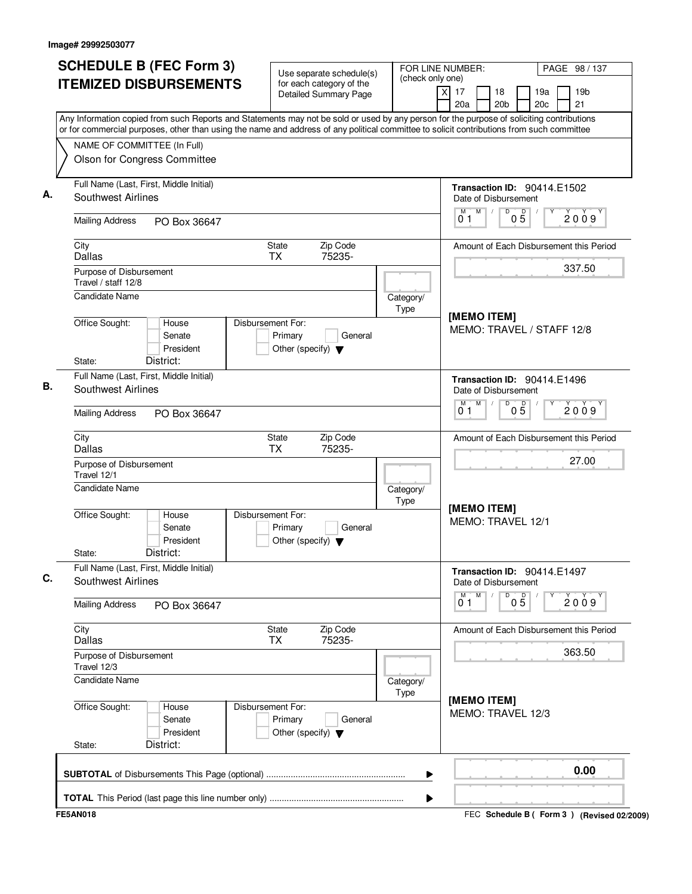| <b>SCHEDULE B (FEC Form 3)</b>                                                                                                                                                                                                                                                         | Use separate schedule(s)                                                        | (check only one)  | FOR LINE NUMBER:                                                                                    | PAGE 98 / 137                                   |  |
|----------------------------------------------------------------------------------------------------------------------------------------------------------------------------------------------------------------------------------------------------------------------------------------|---------------------------------------------------------------------------------|-------------------|-----------------------------------------------------------------------------------------------------|-------------------------------------------------|--|
| <b>ITEMIZED DISBURSEMENTS</b>                                                                                                                                                                                                                                                          | for each category of the<br><b>Detailed Summary Page</b>                        |                   | $\overline{X}$<br>17<br>18<br>20a<br>20 <sub>b</sub>                                                | 19a<br>19 <sub>b</sub><br>21<br>20 <sub>c</sub> |  |
| Any Information copied from such Reports and Statements may not be sold or used by any person for the purpose of soliciting contributions<br>or for commercial purposes, other than using the name and address of any political committee to solicit contributions from such committee |                                                                                 |                   |                                                                                                     |                                                 |  |
| NAME OF COMMITTEE (In Full)                                                                                                                                                                                                                                                            |                                                                                 |                   |                                                                                                     |                                                 |  |
| Olson for Congress Committee                                                                                                                                                                                                                                                           |                                                                                 |                   |                                                                                                     |                                                 |  |
| Full Name (Last, First, Middle Initial)<br>Southwest Airlines                                                                                                                                                                                                                          |                                                                                 |                   | <b>Transaction ID: 90414.E1502</b><br>Date of Disbursement                                          |                                                 |  |
| <b>Mailing Address</b><br>PO Box 36647                                                                                                                                                                                                                                                 |                                                                                 |                   | M<br>D<br>M<br>05<br>01                                                                             | 2009                                            |  |
| City<br>Dallas                                                                                                                                                                                                                                                                         | Zip Code<br>State<br>75235-<br><b>TX</b>                                        |                   |                                                                                                     | Amount of Each Disbursement this Period         |  |
| Purpose of Disbursement<br>Travel / staff 12/8                                                                                                                                                                                                                                         |                                                                                 |                   |                                                                                                     | 337.50                                          |  |
| Candidate Name                                                                                                                                                                                                                                                                         |                                                                                 | Category/<br>Type | [MEMO ITEM]                                                                                         |                                                 |  |
| Office Sought:<br>House<br>Senate<br>President<br>District:<br>State:                                                                                                                                                                                                                  | Disbursement For:<br>Primary<br>General<br>Other (specify) $\blacktriangledown$ |                   | MEMO: TRAVEL / STAFF 12/8                                                                           |                                                 |  |
| Full Name (Last, First, Middle Initial)<br><b>Southwest Airlines</b>                                                                                                                                                                                                                   |                                                                                 |                   | Transaction ID: 90414.E1496<br>Date of Disbursement<br>M<br>D<br>м<br>$0\overline{5}$<br>2009<br>01 |                                                 |  |
| <b>Mailing Address</b><br>PO Box 36647                                                                                                                                                                                                                                                 |                                                                                 |                   |                                                                                                     |                                                 |  |
| City<br><b>Dallas</b>                                                                                                                                                                                                                                                                  | Zip Code<br>State<br>75235-<br><b>TX</b>                                        |                   | Amount of Each Disbursement this Period                                                             |                                                 |  |
| Purpose of Disbursement<br>Travel 12/1                                                                                                                                                                                                                                                 |                                                                                 |                   |                                                                                                     | 27.00                                           |  |
| Candidate Name                                                                                                                                                                                                                                                                         |                                                                                 | Category/<br>Type | [MEMO ITEM]                                                                                         |                                                 |  |
| Office Sought:<br>House<br>Senate<br>President<br>District:<br>State:                                                                                                                                                                                                                  | Disbursement For:<br>Primary<br>General<br>Other (specify) $\blacktriangledown$ |                   | MEMO: TRAVEL 12/1                                                                                   |                                                 |  |
| Full Name (Last, First, Middle Initial)<br>Southwest Airlines                                                                                                                                                                                                                          |                                                                                 |                   | Transaction ID: 90414.E1497<br>Date of Disbursement                                                 |                                                 |  |
| <b>Mailing Address</b><br>PO Box 36647                                                                                                                                                                                                                                                 |                                                                                 |                   | M<br>M<br>D<br>$0\overline{5}$<br>$0^{\degree}1$                                                    | Υ<br>2009                                       |  |
| City<br><b>Dallas</b>                                                                                                                                                                                                                                                                  | Zip Code<br>State<br><b>TX</b><br>75235-                                        |                   |                                                                                                     | Amount of Each Disbursement this Period         |  |
| Purpose of Disbursement<br>Travel 12/3                                                                                                                                                                                                                                                 |                                                                                 |                   |                                                                                                     | 363.50                                          |  |
| <b>Candidate Name</b>                                                                                                                                                                                                                                                                  |                                                                                 | Category/<br>Type | [MEMO ITEM]                                                                                         |                                                 |  |
| Office Sought:<br>House<br>Senate<br>President<br>District:<br>State:                                                                                                                                                                                                                  | Disbursement For:<br>Primary<br>General<br>Other (specify) $\blacktriangledown$ |                   | MEMO: TRAVEL 12/3                                                                                   |                                                 |  |
|                                                                                                                                                                                                                                                                                        |                                                                                 | ▶                 |                                                                                                     | 0.00                                            |  |
|                                                                                                                                                                                                                                                                                        |                                                                                 | ▶                 |                                                                                                     |                                                 |  |
| <b>FE5AN018</b>                                                                                                                                                                                                                                                                        |                                                                                 |                   |                                                                                                     | FEC Schedule B ( Form 3 ) (Revised 02/2009)     |  |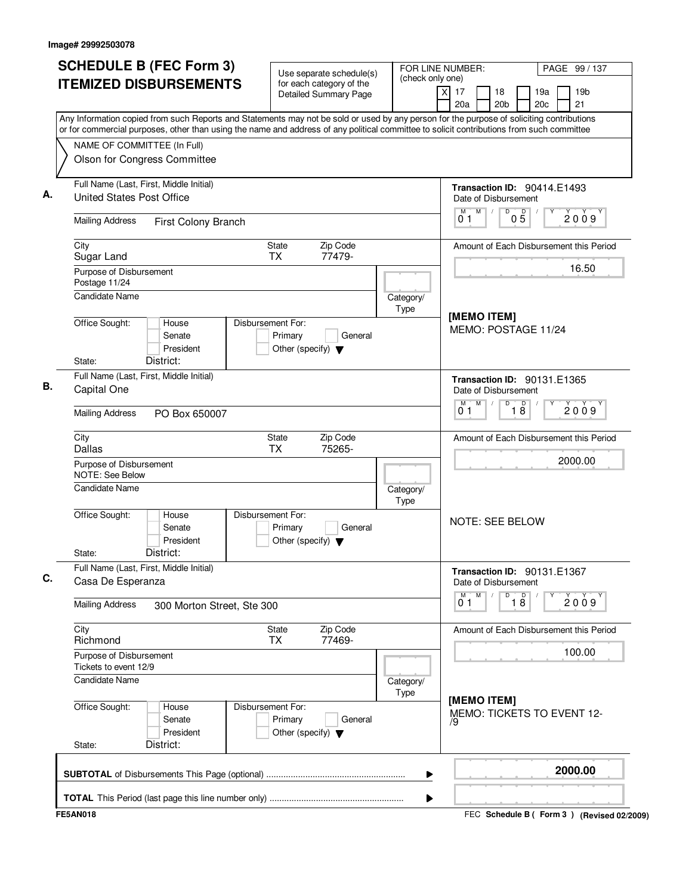| <b>SCHEDULE B (FEC Form 3)</b>                                                                                                                                                                                                                                                         | Use separate schedule(s)                                                        | FOR LINE NUMBER:<br>(check only one) |                                                            | PAGE 99 / 137                               |
|----------------------------------------------------------------------------------------------------------------------------------------------------------------------------------------------------------------------------------------------------------------------------------------|---------------------------------------------------------------------------------|--------------------------------------|------------------------------------------------------------|---------------------------------------------|
| <b>ITEMIZED DISBURSEMENTS</b>                                                                                                                                                                                                                                                          | for each category of the<br>Detailed Summary Page                               |                                      | $\overline{X}$<br>17<br>18<br>20a<br>20 <sub>b</sub>       | 19 <sub>b</sub><br>19a<br>21<br>20c         |
| Any Information copied from such Reports and Statements may not be sold or used by any person for the purpose of soliciting contributions<br>or for commercial purposes, other than using the name and address of any political committee to solicit contributions from such committee |                                                                                 |                                      |                                                            |                                             |
| NAME OF COMMITTEE (In Full)<br>Olson for Congress Committee                                                                                                                                                                                                                            |                                                                                 |                                      |                                                            |                                             |
|                                                                                                                                                                                                                                                                                        |                                                                                 |                                      |                                                            |                                             |
| Full Name (Last, First, Middle Initial)<br><b>United States Post Office</b>                                                                                                                                                                                                            |                                                                                 |                                      | Transaction ID: 90414.E1493<br>Date of Disbursement<br>M   |                                             |
| <b>Mailing Address</b><br>First Colony Branch                                                                                                                                                                                                                                          |                                                                                 |                                      | D<br>$0\overline{5}$<br>01                                 | 2009                                        |
| City<br>Sugar Land                                                                                                                                                                                                                                                                     | Zip Code<br>State<br><b>TX</b><br>77479-                                        |                                      |                                                            | Amount of Each Disbursement this Period     |
| Purpose of Disbursement<br>Postage 11/24                                                                                                                                                                                                                                               |                                                                                 |                                      |                                                            | 16.50                                       |
| Candidate Name                                                                                                                                                                                                                                                                         |                                                                                 | Category/<br>Type                    | [MEMO ITEM]                                                |                                             |
| Office Sought:<br>House<br>Senate<br>President<br>District:<br>State:                                                                                                                                                                                                                  | Disbursement For:<br>Primary<br>General<br>Other (specify) $\blacktriangledown$ |                                      | MEMO: POSTAGE 11/24                                        |                                             |
| Full Name (Last, First, Middle Initial)<br>Capital One                                                                                                                                                                                                                                 |                                                                                 |                                      | Transaction ID: 90131.E1365<br>Date of Disbursement        |                                             |
| <b>Mailing Address</b><br>PO Box 650007                                                                                                                                                                                                                                                |                                                                                 |                                      | M<br>D<br>M<br>$\overline{18}$<br>01                       | 2009                                        |
| City<br><b>Dallas</b>                                                                                                                                                                                                                                                                  | Zip Code<br>State<br>ТX<br>75265-                                               |                                      |                                                            | Amount of Each Disbursement this Period     |
| Purpose of Disbursement<br><b>NOTE: See Below</b>                                                                                                                                                                                                                                      |                                                                                 |                                      |                                                            | 2000.00                                     |
| <b>Candidate Name</b>                                                                                                                                                                                                                                                                  |                                                                                 | Category/<br>Type                    |                                                            |                                             |
| Office Sought:<br>House<br>Senate<br>President<br>District:<br>State:                                                                                                                                                                                                                  | Disbursement For:<br>Primary<br>General<br>Other (specify) $\blacktriangledown$ |                                      | <b>NOTE: SEE BELOW</b>                                     |                                             |
| Full Name (Last, First, Middle Initial)<br>Casa De Esperanza                                                                                                                                                                                                                           |                                                                                 |                                      | <b>Transaction ID: 90131.E1367</b><br>Date of Disbursement |                                             |
| <b>Mailing Address</b><br>300 Morton Street, Ste 300                                                                                                                                                                                                                                   |                                                                                 |                                      | M<br>D<br>$\overline{18}$<br>01                            | 2009                                        |
| City<br>Richmond                                                                                                                                                                                                                                                                       | Zip Code<br>State<br>77469-<br>ТX                                               |                                      |                                                            | Amount of Each Disbursement this Period     |
| Purpose of Disbursement<br>Tickets to event 12/9                                                                                                                                                                                                                                       |                                                                                 |                                      |                                                            | 100.00                                      |
| Candidate Name                                                                                                                                                                                                                                                                         |                                                                                 | Category/<br>Type                    |                                                            |                                             |
| Office Sought:<br>House<br>Senate<br>President<br>District:<br>State:                                                                                                                                                                                                                  | Disbursement For:<br>Primary<br>General<br>Other (specify) $\blacktriangledown$ |                                      | [MEMO ITEM]<br>79                                          | MEMO: TICKETS TO EVENT 12-                  |
|                                                                                                                                                                                                                                                                                        |                                                                                 | ▶                                    |                                                            | 2000.00                                     |
|                                                                                                                                                                                                                                                                                        |                                                                                 | ▶                                    |                                                            |                                             |
| <b>FE5AN018</b>                                                                                                                                                                                                                                                                        |                                                                                 |                                      |                                                            | FEC Schedule B ( Form 3 ) (Revised 02/2009) |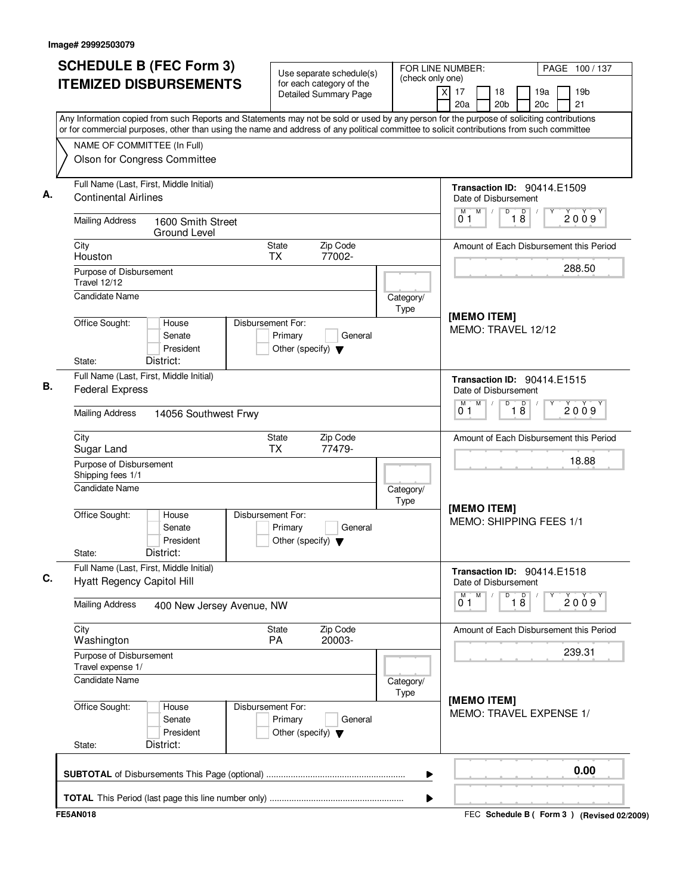| <b>SCHEDULE B (FEC Form 3)</b>                                                                                                                                                                                                                                                         | Use separate schedule(s)                                                        | FOR LINE NUMBER:<br>(check only one) | PAGE 100 / 137                                                                              |
|----------------------------------------------------------------------------------------------------------------------------------------------------------------------------------------------------------------------------------------------------------------------------------------|---------------------------------------------------------------------------------|--------------------------------------|---------------------------------------------------------------------------------------------|
| <b>ITEMIZED DISBURSEMENTS</b>                                                                                                                                                                                                                                                          | for each category of the<br><b>Detailed Summary Page</b>                        |                                      | $\overline{X}$<br>17<br>19 <sub>b</sub><br>18<br>19a<br>21<br>20a<br>20 <sub>b</sub><br>20c |
| Any Information copied from such Reports and Statements may not be sold or used by any person for the purpose of soliciting contributions<br>or for commercial purposes, other than using the name and address of any political committee to solicit contributions from such committee |                                                                                 |                                      |                                                                                             |
| NAME OF COMMITTEE (In Full)<br>Olson for Congress Committee                                                                                                                                                                                                                            |                                                                                 |                                      |                                                                                             |
| Full Name (Last, First, Middle Initial)<br><b>Continental Airlines</b>                                                                                                                                                                                                                 |                                                                                 |                                      | Transaction ID: 90414.E1509<br>Date of Disbursement                                         |
| <b>Mailing Address</b><br>1600 Smith Street<br>Ground Level                                                                                                                                                                                                                            |                                                                                 |                                      | M<br>D<br>D<br>2009<br>18<br>01                                                             |
| City<br>Houston                                                                                                                                                                                                                                                                        | Zip Code<br>State<br>77002-<br><b>TX</b>                                        |                                      | Amount of Each Disbursement this Period                                                     |
| Purpose of Disbursement<br><b>Travel 12/12</b><br><b>Candidate Name</b>                                                                                                                                                                                                                |                                                                                 | Category/                            | 288.50                                                                                      |
| Office Sought:<br>House<br>Senate<br>President<br>District:<br>State:                                                                                                                                                                                                                  | Disbursement For:<br>Primary<br>General<br>Other (specify) $\blacktriangledown$ | Type                                 | [MEMO ITEM]<br>MEMO: TRAVEL 12/12                                                           |
| Full Name (Last, First, Middle Initial)<br><b>Federal Express</b>                                                                                                                                                                                                                      |                                                                                 |                                      | <b>Transaction ID: 90414.E1515</b><br>Date of Disbursement                                  |
| <b>Mailing Address</b><br>14056 Southwest Frwy                                                                                                                                                                                                                                         |                                                                                 |                                      | M<br>D<br>M<br>$\overline{18}$<br>2009<br>01                                                |
| City<br>Sugar Land                                                                                                                                                                                                                                                                     | Zip Code<br>State<br><b>TX</b><br>77479-                                        |                                      | Amount of Each Disbursement this Period                                                     |
| Purpose of Disbursement<br>Shipping fees 1/1                                                                                                                                                                                                                                           |                                                                                 |                                      | 18.88                                                                                       |
| <b>Candidate Name</b>                                                                                                                                                                                                                                                                  |                                                                                 | Category/<br>Type                    | [MEMO ITEM]                                                                                 |
| Office Sought:<br>House<br>Senate<br>President<br>District:<br>State:                                                                                                                                                                                                                  | Disbursement For:<br>Primary<br>General<br>Other (specify) $\blacktriangledown$ |                                      | MEMO: SHIPPING FEES 1/1                                                                     |
| Full Name (Last, First, Middle Initial)<br><b>Hyatt Regency Capitol Hill</b>                                                                                                                                                                                                           |                                                                                 |                                      | Transaction ID: 90414.E1518<br>Date of Disbursement                                         |
| <b>Mailing Address</b><br>400 New Jersey Avenue, NW                                                                                                                                                                                                                                    |                                                                                 |                                      | M<br>D<br>$\overline{18}$<br>2009<br>01                                                     |
| City<br>Washington                                                                                                                                                                                                                                                                     | Zip Code<br>State<br>20003-<br>PA                                               |                                      | Amount of Each Disbursement this Period                                                     |
| Purpose of Disbursement<br>Travel expense 1/                                                                                                                                                                                                                                           |                                                                                 |                                      | 239.31                                                                                      |
| Candidate Name                                                                                                                                                                                                                                                                         |                                                                                 | Category/<br>Type                    |                                                                                             |
| Office Sought:<br>House<br>Senate<br>President<br>District:<br>State:                                                                                                                                                                                                                  | Disbursement For:<br>Primary<br>General<br>Other (specify) $\blacktriangledown$ |                                      | [MEMO ITEM]<br>MEMO: TRAVEL EXPENSE 1/                                                      |
|                                                                                                                                                                                                                                                                                        |                                                                                 | ▶                                    | 0.00                                                                                        |
|                                                                                                                                                                                                                                                                                        |                                                                                 | ▶                                    |                                                                                             |
| <b>FE5AN018</b>                                                                                                                                                                                                                                                                        |                                                                                 |                                      | FEC Schedule B ( Form 3 ) (Revised 02/2009)                                                 |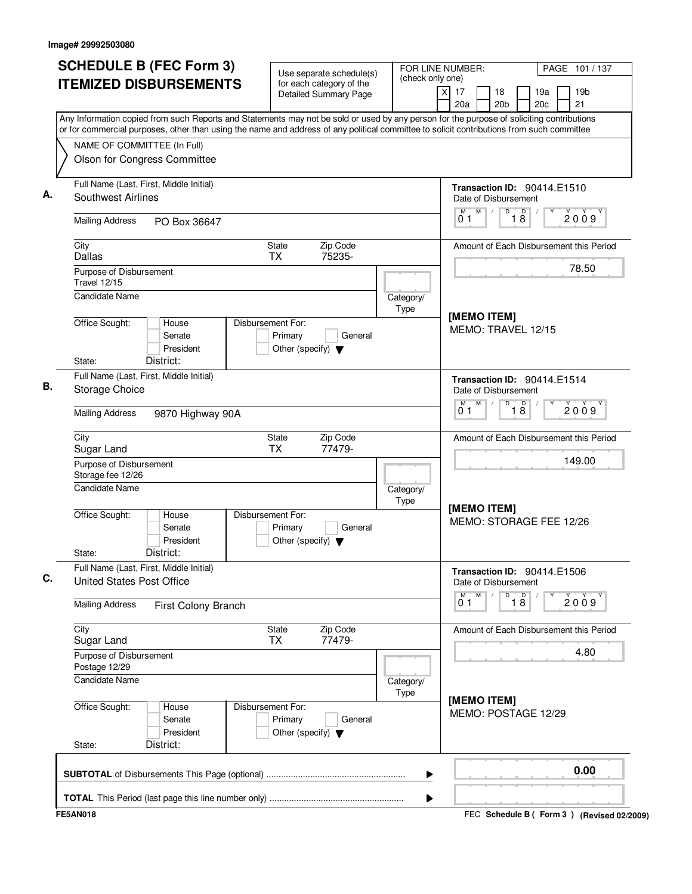| <b>SCHEDULE B (FEC Form 3)</b>                                                                                                                                                                                                                                                         | Use separate schedule(s)                                                        | FOR LINE NUMBER:<br>(check only one) |                                                            | PAGE 101 / 137                              |  |  |
|----------------------------------------------------------------------------------------------------------------------------------------------------------------------------------------------------------------------------------------------------------------------------------------|---------------------------------------------------------------------------------|--------------------------------------|------------------------------------------------------------|---------------------------------------------|--|--|
| <b>ITEMIZED DISBURSEMENTS</b>                                                                                                                                                                                                                                                          | for each category of the<br>Detailed Summary Page                               |                                      | $\overline{X}$<br>17<br>18<br>20a<br>20 <sub>b</sub>       | 19 <sub>b</sub><br>19a<br>21<br>20c         |  |  |
| Any Information copied from such Reports and Statements may not be sold or used by any person for the purpose of soliciting contributions<br>or for commercial purposes, other than using the name and address of any political committee to solicit contributions from such committee |                                                                                 |                                      |                                                            |                                             |  |  |
| NAME OF COMMITTEE (In Full)<br>Olson for Congress Committee                                                                                                                                                                                                                            |                                                                                 |                                      |                                                            |                                             |  |  |
|                                                                                                                                                                                                                                                                                        |                                                                                 |                                      |                                                            |                                             |  |  |
| Full Name (Last, First, Middle Initial)<br><b>Southwest Airlines</b>                                                                                                                                                                                                                   |                                                                                 |                                      | Transaction ID: 90414.E1510<br>Date of Disbursement        |                                             |  |  |
| <b>Mailing Address</b><br>PO Box 36647                                                                                                                                                                                                                                                 |                                                                                 |                                      | M<br>D<br>D<br>18<br>01                                    | 2009                                        |  |  |
| City<br><b>Dallas</b>                                                                                                                                                                                                                                                                  | Zip Code<br>State<br><b>TX</b><br>75235-                                        |                                      |                                                            | Amount of Each Disbursement this Period     |  |  |
| Purpose of Disbursement<br><b>Travel 12/15</b>                                                                                                                                                                                                                                         |                                                                                 |                                      |                                                            | 78.50                                       |  |  |
| <b>Candidate Name</b>                                                                                                                                                                                                                                                                  |                                                                                 | Category/<br>Type                    | [MEMO ITEM]                                                |                                             |  |  |
| Office Sought:<br>House<br>Senate<br>President<br>District:<br>State:                                                                                                                                                                                                                  | Disbursement For:<br>Primary<br>General<br>Other (specify) $\blacktriangledown$ |                                      | MEMO: TRAVEL 12/15                                         |                                             |  |  |
| Full Name (Last, First, Middle Initial)                                                                                                                                                                                                                                                |                                                                                 |                                      | Transaction ID: 90414.E1514                                |                                             |  |  |
| Storage Choice                                                                                                                                                                                                                                                                         |                                                                                 |                                      | Date of Disbursement<br>M<br>D<br>M                        |                                             |  |  |
| <b>Mailing Address</b><br>9870 Highway 90A                                                                                                                                                                                                                                             |                                                                                 |                                      | $\overline{18}$<br>01                                      | 2009                                        |  |  |
| City<br>Sugar Land                                                                                                                                                                                                                                                                     | Zip Code<br>State<br><b>TX</b><br>77479-                                        |                                      | Amount of Each Disbursement this Period<br>149.00          |                                             |  |  |
| Purpose of Disbursement<br>Storage fee 12/26                                                                                                                                                                                                                                           |                                                                                 |                                      |                                                            |                                             |  |  |
| <b>Candidate Name</b>                                                                                                                                                                                                                                                                  |                                                                                 | Category/<br>Type                    |                                                            |                                             |  |  |
| Office Sought:<br>House<br>Senate<br>President<br>District:<br>State:                                                                                                                                                                                                                  | Disbursement For:<br>Primary<br>General<br>Other (specify) $\blacktriangledown$ |                                      | [MEMO ITEM]<br>MEMO: STORAGE FEE 12/26                     |                                             |  |  |
| Full Name (Last, First, Middle Initial)<br>United States Post Office                                                                                                                                                                                                                   |                                                                                 |                                      | <b>Transaction ID: 90414.E1506</b><br>Date of Disbursement |                                             |  |  |
| <b>Mailing Address</b><br>First Colony Branch                                                                                                                                                                                                                                          |                                                                                 |                                      | M<br>D<br>$\overline{18}$<br>01                            | 2009                                        |  |  |
| City<br>Sugar Land                                                                                                                                                                                                                                                                     | Zip Code<br>State<br>77479-<br>ТX                                               |                                      |                                                            | Amount of Each Disbursement this Period     |  |  |
| Purpose of Disbursement<br>Postage 12/29                                                                                                                                                                                                                                               |                                                                                 |                                      |                                                            | 4.80                                        |  |  |
| <b>Candidate Name</b>                                                                                                                                                                                                                                                                  |                                                                                 | Category/<br>Type                    |                                                            |                                             |  |  |
| Office Sought:<br>House<br>Senate<br>President<br>District:<br>State:                                                                                                                                                                                                                  | Disbursement For:<br>Primary<br>General<br>Other (specify) $\blacktriangledown$ |                                      | [MEMO ITEM]<br>MEMO: POSTAGE 12/29                         |                                             |  |  |
|                                                                                                                                                                                                                                                                                        |                                                                                 | ▶                                    |                                                            | 0.00                                        |  |  |
|                                                                                                                                                                                                                                                                                        |                                                                                 | ▶                                    |                                                            |                                             |  |  |
| <b>FE5AN018</b>                                                                                                                                                                                                                                                                        |                                                                                 |                                      |                                                            | FEC Schedule B ( Form 3 ) (Revised 02/2009) |  |  |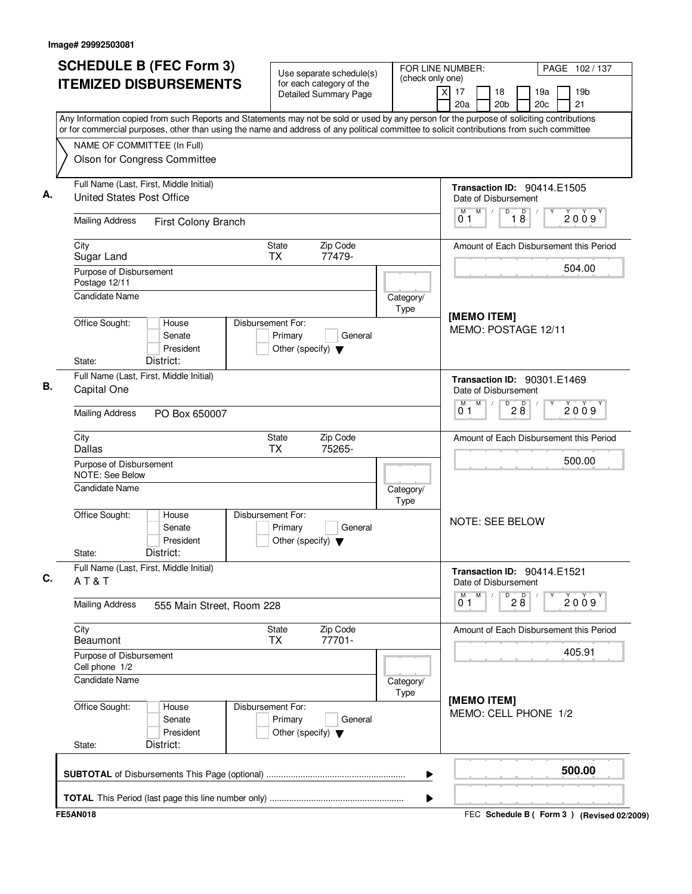|                                                                                                                                                                                                                                                                                        | Use separate schedule(s)                                                        | FOR LINE NUMBER:<br>(check only one) |                                                                    | PAGE 102/137          |
|----------------------------------------------------------------------------------------------------------------------------------------------------------------------------------------------------------------------------------------------------------------------------------------|---------------------------------------------------------------------------------|--------------------------------------|--------------------------------------------------------------------|-----------------------|
| <b>ITEMIZED DISBURSEMENTS</b>                                                                                                                                                                                                                                                          | for each category of the<br><b>Detailed Summary Page</b>                        |                                      | $\overline{X}$<br>17<br>18<br>19a<br>20a<br>20 <sub>b</sub><br>20c | 19 <sub>b</sub><br>21 |
| Any Information copied from such Reports and Statements may not be sold or used by any person for the purpose of soliciting contributions<br>or for commercial purposes, other than using the name and address of any political committee to solicit contributions from such committee |                                                                                 |                                      |                                                                    |                       |
| NAME OF COMMITTEE (In Full)                                                                                                                                                                                                                                                            |                                                                                 |                                      |                                                                    |                       |
| Olson for Congress Committee                                                                                                                                                                                                                                                           |                                                                                 |                                      |                                                                    |                       |
| Full Name (Last, First, Middle Initial)<br><b>United States Post Office</b>                                                                                                                                                                                                            |                                                                                 |                                      | Transaction ID: 90414.E1505<br>Date of Disbursement                |                       |
| <b>Mailing Address</b><br>First Colony Branch                                                                                                                                                                                                                                          |                                                                                 |                                      | M<br>D<br>D<br>18<br>01                                            | 2009                  |
| City<br>Sugar Land                                                                                                                                                                                                                                                                     | Zip Code<br>State<br><b>TX</b><br>77479-                                        |                                      | Amount of Each Disbursement this Period                            |                       |
| Purpose of Disbursement<br>Postage 12/11                                                                                                                                                                                                                                               |                                                                                 |                                      |                                                                    | 504.00                |
| <b>Candidate Name</b>                                                                                                                                                                                                                                                                  |                                                                                 | Category/<br>Type                    |                                                                    |                       |
| Office Sought:<br>House<br>Senate<br>President<br>District:<br>State:                                                                                                                                                                                                                  | Disbursement For:<br>Primary<br>General<br>Other (specify) $\blacktriangledown$ |                                      | [MEMO ITEM]<br>MEMO: POSTAGE 12/11                                 |                       |
| Full Name (Last, First, Middle Initial)<br>Capital One                                                                                                                                                                                                                                 |                                                                                 |                                      | <b>Transaction ID: 90301.E1469</b><br>Date of Disbursement         |                       |
| <b>Mailing Address</b><br>PO Box 650007                                                                                                                                                                                                                                                |                                                                                 |                                      | M<br>M<br>D<br>28<br>01                                            | 2009                  |
| City<br>Dallas                                                                                                                                                                                                                                                                         | Zip Code<br>State<br>ТX<br>75265-                                               |                                      | Amount of Each Disbursement this Period                            |                       |
| Purpose of Disbursement<br><b>NOTE: See Below</b>                                                                                                                                                                                                                                      |                                                                                 |                                      |                                                                    | 500.00                |
| <b>Candidate Name</b>                                                                                                                                                                                                                                                                  |                                                                                 | Category/<br>Type                    |                                                                    |                       |
| Office Sought:<br>House<br>Senate<br>President<br>District:<br>State:                                                                                                                                                                                                                  | Disbursement For:<br>Primary<br>General<br>Other (specify) $\blacktriangledown$ |                                      | <b>NOTE: SEE BELOW</b>                                             |                       |
| Full Name (Last, First, Middle Initial)<br>AT&T                                                                                                                                                                                                                                        |                                                                                 |                                      | Transaction ID: 90414.E1521<br>Date of Disbursement                |                       |
| <b>Mailing Address</b><br>555 Main Street, Room 228                                                                                                                                                                                                                                    |                                                                                 |                                      | M<br>28<br>D<br>01                                                 | 2009                  |
| City<br>Beaumont                                                                                                                                                                                                                                                                       | Zip Code<br>State<br>77701-<br>ТX                                               |                                      | Amount of Each Disbursement this Period                            |                       |
| Purpose of Disbursement<br>Cell phone 1/2                                                                                                                                                                                                                                              |                                                                                 |                                      |                                                                    | 405.91                |
| <b>Candidate Name</b>                                                                                                                                                                                                                                                                  |                                                                                 | Category/<br>Type                    |                                                                    |                       |
| Office Sought:<br>House<br>Senate<br>President<br>District:<br>State:                                                                                                                                                                                                                  | Disbursement For:<br>Primary<br>General<br>Other (specify) $\blacktriangledown$ |                                      | [MEMO ITEM]<br>MEMO: CELL PHONE 1/2                                |                       |
|                                                                                                                                                                                                                                                                                        |                                                                                 |                                      |                                                                    |                       |
|                                                                                                                                                                                                                                                                                        |                                                                                 | ▶                                    |                                                                    | 500.00                |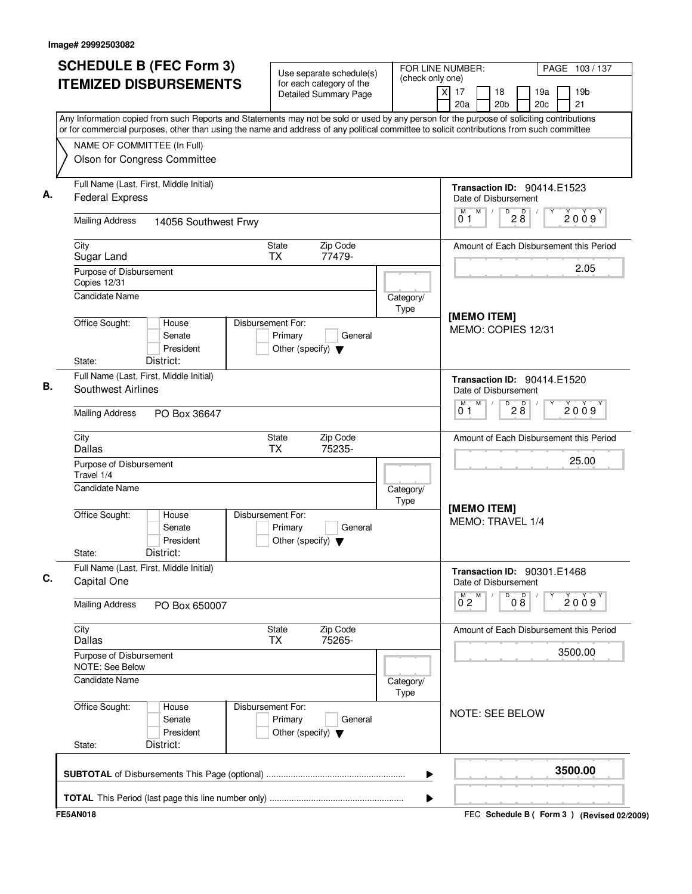| (check only one)<br><b>ITEMIZED DISBURSEMENTS</b><br>for each category of the<br>$\times$<br>17<br>18<br>19a<br>19 <sub>b</sub><br><b>Detailed Summary Page</b><br>20a<br>20 <sub>b</sub><br>20c<br>21<br>Any Information copied from such Reports and Statements may not be sold or used by any person for the purpose of soliciting contributions<br>or for commercial purposes, other than using the name and address of any political committee to solicit contributions from such committee<br>NAME OF COMMITTEE (In Full)<br>Olson for Congress Committee<br>Full Name (Last, First, Middle Initial)<br><b>Transaction ID: 90414.E1523</b><br><b>Federal Express</b><br>Date of Disbursement<br>M<br>$\overline{P}$ 2 8<br>M<br>2009<br>01<br><b>Mailing Address</b><br>14056 Southwest Frwy<br><b>State</b><br>Zip Code<br>City<br>Sugar Land<br><b>TX</b><br>77479-<br>2.05<br>Purpose of Disbursement<br>Copies 12/31<br><b>Candidate Name</b><br>Category/<br>Type<br>[MEMO ITEM]<br>Office Sought:<br>Disbursement For:<br>House<br>MEMO: COPIES 12/31<br>Primary<br>Senate<br>General<br>President<br>Other (specify) $\blacktriangledown$<br>District:<br>State:<br>Full Name (Last, First, Middle Initial)<br>Transaction ID: 90414.E1520<br><b>Southwest Airlines</b><br>Date of Disbursement<br>$\overline{P}$ 2 8<br>M<br>м<br>2009<br>01<br><b>Mailing Address</b><br>PO Box 36647<br>City<br>Zip Code<br>State<br><b>Dallas</b><br><b>TX</b><br>75235-<br>25.00<br>Purpose of Disbursement<br>Travel 1/4<br><b>Candidate Name</b><br>Category/<br>Type<br>[MEMO ITEM]<br>Office Sought:<br>Disbursement For:<br>House<br>MEMO: TRAVEL 1/4<br>Senate<br>Primary<br>General<br>President<br>Other (specify) $\blacktriangledown$<br>District:<br>State:<br>Full Name (Last, First, Middle Initial)<br>Transaction ID: 90301.E1468<br>Capital One<br>Date of Disbursement<br>000<br>M<br>$\overline{0}^M$ 2<br>Υ<br>2009<br><b>Mailing Address</b><br>PO Box 650007<br>City<br>State<br>Zip Code<br><b>Dallas</b><br>75265-<br><b>TX</b><br>3500.00<br>Purpose of Disbursement<br><b>NOTE: See Below</b><br><b>Candidate Name</b><br>Category/<br>Type<br>Office Sought:<br>Disbursement For:<br>House<br>NOTE: SEE BELOW<br>Senate<br>Primary<br>General<br>President<br>Other (specify) $\blacktriangledown$<br>District:<br>State:<br>3500.00<br>▶ | <b>SCHEDULE B (FEC Form 3)</b> | Use separate schedule(s) | FOR LINE NUMBER:<br>PAGE 103/137        |
|-----------------------------------------------------------------------------------------------------------------------------------------------------------------------------------------------------------------------------------------------------------------------------------------------------------------------------------------------------------------------------------------------------------------------------------------------------------------------------------------------------------------------------------------------------------------------------------------------------------------------------------------------------------------------------------------------------------------------------------------------------------------------------------------------------------------------------------------------------------------------------------------------------------------------------------------------------------------------------------------------------------------------------------------------------------------------------------------------------------------------------------------------------------------------------------------------------------------------------------------------------------------------------------------------------------------------------------------------------------------------------------------------------------------------------------------------------------------------------------------------------------------------------------------------------------------------------------------------------------------------------------------------------------------------------------------------------------------------------------------------------------------------------------------------------------------------------------------------------------------------------------------------------------------------------------------------------------------------------------------------------------------------------------------------------------------------------------------------------------------------------------------------------------------------------------------------------------------------------------------------------------------------------------------------------------------------------------------------------------------------|--------------------------------|--------------------------|-----------------------------------------|
|                                                                                                                                                                                                                                                                                                                                                                                                                                                                                                                                                                                                                                                                                                                                                                                                                                                                                                                                                                                                                                                                                                                                                                                                                                                                                                                                                                                                                                                                                                                                                                                                                                                                                                                                                                                                                                                                                                                                                                                                                                                                                                                                                                                                                                                                                                                                                                       |                                |                          |                                         |
|                                                                                                                                                                                                                                                                                                                                                                                                                                                                                                                                                                                                                                                                                                                                                                                                                                                                                                                                                                                                                                                                                                                                                                                                                                                                                                                                                                                                                                                                                                                                                                                                                                                                                                                                                                                                                                                                                                                                                                                                                                                                                                                                                                                                                                                                                                                                                                       |                                |                          |                                         |
|                                                                                                                                                                                                                                                                                                                                                                                                                                                                                                                                                                                                                                                                                                                                                                                                                                                                                                                                                                                                                                                                                                                                                                                                                                                                                                                                                                                                                                                                                                                                                                                                                                                                                                                                                                                                                                                                                                                                                                                                                                                                                                                                                                                                                                                                                                                                                                       |                                |                          |                                         |
|                                                                                                                                                                                                                                                                                                                                                                                                                                                                                                                                                                                                                                                                                                                                                                                                                                                                                                                                                                                                                                                                                                                                                                                                                                                                                                                                                                                                                                                                                                                                                                                                                                                                                                                                                                                                                                                                                                                                                                                                                                                                                                                                                                                                                                                                                                                                                                       |                                |                          |                                         |
|                                                                                                                                                                                                                                                                                                                                                                                                                                                                                                                                                                                                                                                                                                                                                                                                                                                                                                                                                                                                                                                                                                                                                                                                                                                                                                                                                                                                                                                                                                                                                                                                                                                                                                                                                                                                                                                                                                                                                                                                                                                                                                                                                                                                                                                                                                                                                                       |                                |                          |                                         |
|                                                                                                                                                                                                                                                                                                                                                                                                                                                                                                                                                                                                                                                                                                                                                                                                                                                                                                                                                                                                                                                                                                                                                                                                                                                                                                                                                                                                                                                                                                                                                                                                                                                                                                                                                                                                                                                                                                                                                                                                                                                                                                                                                                                                                                                                                                                                                                       |                                |                          |                                         |
|                                                                                                                                                                                                                                                                                                                                                                                                                                                                                                                                                                                                                                                                                                                                                                                                                                                                                                                                                                                                                                                                                                                                                                                                                                                                                                                                                                                                                                                                                                                                                                                                                                                                                                                                                                                                                                                                                                                                                                                                                                                                                                                                                                                                                                                                                                                                                                       |                                |                          | Amount of Each Disbursement this Period |
|                                                                                                                                                                                                                                                                                                                                                                                                                                                                                                                                                                                                                                                                                                                                                                                                                                                                                                                                                                                                                                                                                                                                                                                                                                                                                                                                                                                                                                                                                                                                                                                                                                                                                                                                                                                                                                                                                                                                                                                                                                                                                                                                                                                                                                                                                                                                                                       |                                |                          |                                         |
|                                                                                                                                                                                                                                                                                                                                                                                                                                                                                                                                                                                                                                                                                                                                                                                                                                                                                                                                                                                                                                                                                                                                                                                                                                                                                                                                                                                                                                                                                                                                                                                                                                                                                                                                                                                                                                                                                                                                                                                                                                                                                                                                                                                                                                                                                                                                                                       |                                |                          |                                         |
|                                                                                                                                                                                                                                                                                                                                                                                                                                                                                                                                                                                                                                                                                                                                                                                                                                                                                                                                                                                                                                                                                                                                                                                                                                                                                                                                                                                                                                                                                                                                                                                                                                                                                                                                                                                                                                                                                                                                                                                                                                                                                                                                                                                                                                                                                                                                                                       |                                |                          |                                         |
|                                                                                                                                                                                                                                                                                                                                                                                                                                                                                                                                                                                                                                                                                                                                                                                                                                                                                                                                                                                                                                                                                                                                                                                                                                                                                                                                                                                                                                                                                                                                                                                                                                                                                                                                                                                                                                                                                                                                                                                                                                                                                                                                                                                                                                                                                                                                                                       |                                |                          |                                         |
|                                                                                                                                                                                                                                                                                                                                                                                                                                                                                                                                                                                                                                                                                                                                                                                                                                                                                                                                                                                                                                                                                                                                                                                                                                                                                                                                                                                                                                                                                                                                                                                                                                                                                                                                                                                                                                                                                                                                                                                                                                                                                                                                                                                                                                                                                                                                                                       |                                |                          |                                         |
|                                                                                                                                                                                                                                                                                                                                                                                                                                                                                                                                                                                                                                                                                                                                                                                                                                                                                                                                                                                                                                                                                                                                                                                                                                                                                                                                                                                                                                                                                                                                                                                                                                                                                                                                                                                                                                                                                                                                                                                                                                                                                                                                                                                                                                                                                                                                                                       |                                |                          |                                         |
|                                                                                                                                                                                                                                                                                                                                                                                                                                                                                                                                                                                                                                                                                                                                                                                                                                                                                                                                                                                                                                                                                                                                                                                                                                                                                                                                                                                                                                                                                                                                                                                                                                                                                                                                                                                                                                                                                                                                                                                                                                                                                                                                                                                                                                                                                                                                                                       |                                |                          | Amount of Each Disbursement this Period |
|                                                                                                                                                                                                                                                                                                                                                                                                                                                                                                                                                                                                                                                                                                                                                                                                                                                                                                                                                                                                                                                                                                                                                                                                                                                                                                                                                                                                                                                                                                                                                                                                                                                                                                                                                                                                                                                                                                                                                                                                                                                                                                                                                                                                                                                                                                                                                                       |                                |                          |                                         |
|                                                                                                                                                                                                                                                                                                                                                                                                                                                                                                                                                                                                                                                                                                                                                                                                                                                                                                                                                                                                                                                                                                                                                                                                                                                                                                                                                                                                                                                                                                                                                                                                                                                                                                                                                                                                                                                                                                                                                                                                                                                                                                                                                                                                                                                                                                                                                                       |                                |                          |                                         |
|                                                                                                                                                                                                                                                                                                                                                                                                                                                                                                                                                                                                                                                                                                                                                                                                                                                                                                                                                                                                                                                                                                                                                                                                                                                                                                                                                                                                                                                                                                                                                                                                                                                                                                                                                                                                                                                                                                                                                                                                                                                                                                                                                                                                                                                                                                                                                                       |                                |                          |                                         |
|                                                                                                                                                                                                                                                                                                                                                                                                                                                                                                                                                                                                                                                                                                                                                                                                                                                                                                                                                                                                                                                                                                                                                                                                                                                                                                                                                                                                                                                                                                                                                                                                                                                                                                                                                                                                                                                                                                                                                                                                                                                                                                                                                                                                                                                                                                                                                                       |                                |                          |                                         |
|                                                                                                                                                                                                                                                                                                                                                                                                                                                                                                                                                                                                                                                                                                                                                                                                                                                                                                                                                                                                                                                                                                                                                                                                                                                                                                                                                                                                                                                                                                                                                                                                                                                                                                                                                                                                                                                                                                                                                                                                                                                                                                                                                                                                                                                                                                                                                                       |                                |                          |                                         |
|                                                                                                                                                                                                                                                                                                                                                                                                                                                                                                                                                                                                                                                                                                                                                                                                                                                                                                                                                                                                                                                                                                                                                                                                                                                                                                                                                                                                                                                                                                                                                                                                                                                                                                                                                                                                                                                                                                                                                                                                                                                                                                                                                                                                                                                                                                                                                                       |                                |                          | Amount of Each Disbursement this Period |
|                                                                                                                                                                                                                                                                                                                                                                                                                                                                                                                                                                                                                                                                                                                                                                                                                                                                                                                                                                                                                                                                                                                                                                                                                                                                                                                                                                                                                                                                                                                                                                                                                                                                                                                                                                                                                                                                                                                                                                                                                                                                                                                                                                                                                                                                                                                                                                       |                                |                          |                                         |
|                                                                                                                                                                                                                                                                                                                                                                                                                                                                                                                                                                                                                                                                                                                                                                                                                                                                                                                                                                                                                                                                                                                                                                                                                                                                                                                                                                                                                                                                                                                                                                                                                                                                                                                                                                                                                                                                                                                                                                                                                                                                                                                                                                                                                                                                                                                                                                       |                                |                          |                                         |
|                                                                                                                                                                                                                                                                                                                                                                                                                                                                                                                                                                                                                                                                                                                                                                                                                                                                                                                                                                                                                                                                                                                                                                                                                                                                                                                                                                                                                                                                                                                                                                                                                                                                                                                                                                                                                                                                                                                                                                                                                                                                                                                                                                                                                                                                                                                                                                       |                                |                          |                                         |
|                                                                                                                                                                                                                                                                                                                                                                                                                                                                                                                                                                                                                                                                                                                                                                                                                                                                                                                                                                                                                                                                                                                                                                                                                                                                                                                                                                                                                                                                                                                                                                                                                                                                                                                                                                                                                                                                                                                                                                                                                                                                                                                                                                                                                                                                                                                                                                       |                                |                          |                                         |
|                                                                                                                                                                                                                                                                                                                                                                                                                                                                                                                                                                                                                                                                                                                                                                                                                                                                                                                                                                                                                                                                                                                                                                                                                                                                                                                                                                                                                                                                                                                                                                                                                                                                                                                                                                                                                                                                                                                                                                                                                                                                                                                                                                                                                                                                                                                                                                       |                                |                          |                                         |
|                                                                                                                                                                                                                                                                                                                                                                                                                                                                                                                                                                                                                                                                                                                                                                                                                                                                                                                                                                                                                                                                                                                                                                                                                                                                                                                                                                                                                                                                                                                                                                                                                                                                                                                                                                                                                                                                                                                                                                                                                                                                                                                                                                                                                                                                                                                                                                       |                                |                          |                                         |

FEC **Schedule B ( ) Form 3 FE5AN018 (Revised 02/2009)**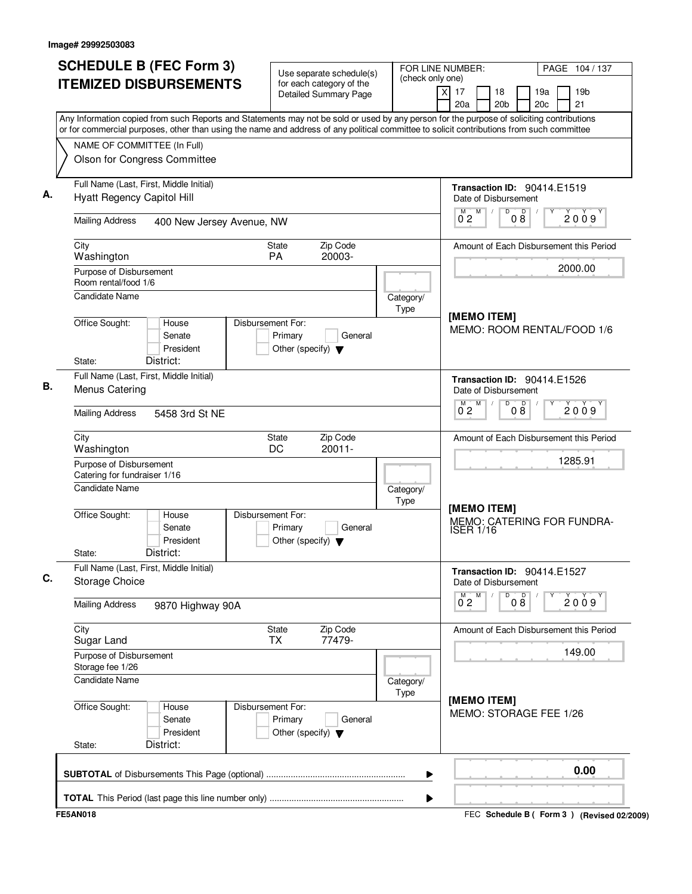| <b>SCHEDULE B (FEC Form 3)</b>                                                                                                                                                                                                                                                         | Use separate schedule(s)                                                        | FOR LINE NUMBER:<br>(check only one) |                                                      | PAGE 104 / 137                              |
|----------------------------------------------------------------------------------------------------------------------------------------------------------------------------------------------------------------------------------------------------------------------------------------|---------------------------------------------------------------------------------|--------------------------------------|------------------------------------------------------|---------------------------------------------|
| <b>ITEMIZED DISBURSEMENTS</b>                                                                                                                                                                                                                                                          | for each category of the<br>Detailed Summary Page                               |                                      | $\overline{x}$<br>17<br>18<br>20a<br>20 <sub>b</sub> | 19 <sub>b</sub><br>19a<br>21<br>20c         |
| Any Information copied from such Reports and Statements may not be sold or used by any person for the purpose of soliciting contributions<br>or for commercial purposes, other than using the name and address of any political committee to solicit contributions from such committee |                                                                                 |                                      |                                                      |                                             |
| NAME OF COMMITTEE (In Full)                                                                                                                                                                                                                                                            |                                                                                 |                                      |                                                      |                                             |
| Olson for Congress Committee                                                                                                                                                                                                                                                           |                                                                                 |                                      |                                                      |                                             |
| Full Name (Last, First, Middle Initial)<br>Hyatt Regency Capitol Hill                                                                                                                                                                                                                  |                                                                                 |                                      | Transaction ID: 90414.E1519<br>Date of Disbursement  |                                             |
| <b>Mailing Address</b><br>400 New Jersey Avenue, NW                                                                                                                                                                                                                                    |                                                                                 |                                      | M<br>D<br>D<br>$0^{\degree}2$<br>08                  | 2009                                        |
| City<br>Washington                                                                                                                                                                                                                                                                     | Zip Code<br><b>State</b><br><b>PA</b><br>20003-                                 |                                      |                                                      | Amount of Each Disbursement this Period     |
| Purpose of Disbursement<br>Room rental/food 1/6                                                                                                                                                                                                                                        |                                                                                 |                                      |                                                      | 2000.00                                     |
| Candidate Name                                                                                                                                                                                                                                                                         |                                                                                 | Category/<br>Type                    |                                                      |                                             |
| Office Sought:<br>House<br>Senate<br>President<br>District:<br>State:                                                                                                                                                                                                                  | Disbursement For:<br>Primary<br>General<br>Other (specify) $\blacktriangledown$ |                                      | [MEMO ITEM]                                          | MEMO: ROOM RENTAL/FOOD 1/6                  |
| Full Name (Last, First, Middle Initial)                                                                                                                                                                                                                                                |                                                                                 |                                      | <b>Transaction ID: 90414.E1526</b>                   |                                             |
| Menus Catering                                                                                                                                                                                                                                                                         |                                                                                 |                                      | Date of Disbursement                                 |                                             |
| <b>Mailing Address</b><br>5458 3rd St NE                                                                                                                                                                                                                                               |                                                                                 |                                      | M<br>D<br>08<br>2009<br>$0^{\degree}2$               |                                             |
| City<br>Washington                                                                                                                                                                                                                                                                     | Zip Code<br>State<br>DC<br>$20011 -$                                            |                                      |                                                      | Amount of Each Disbursement this Period     |
| Purpose of Disbursement<br>Catering for fundraiser 1/16                                                                                                                                                                                                                                |                                                                                 |                                      | 1285.91                                              |                                             |
| Candidate Name                                                                                                                                                                                                                                                                         |                                                                                 | Category/<br>Type                    |                                                      |                                             |
| Office Sought:<br>House<br>Senate<br>President<br>District:<br>State:                                                                                                                                                                                                                  | Disbursement For:<br>Primary<br>General<br>Other (specify) $\blacktriangledown$ |                                      | [MEMO ITEM]<br><b>ISER 1/16</b>                      | MEMO: CATERING FOR FUNDRA-                  |
| Full Name (Last, First, Middle Initial)<br>Storage Choice                                                                                                                                                                                                                              |                                                                                 |                                      | Transaction ID: 90414.E1527<br>Date of Disbursement  |                                             |
| <b>Mailing Address</b><br>9870 Highway 90A                                                                                                                                                                                                                                             |                                                                                 |                                      | 08<br>M<br>D<br>$0^{\text{M}}$ 2                     | 2009                                        |
| City<br>Sugar Land                                                                                                                                                                                                                                                                     | Zip Code<br><b>State</b><br>77479-<br>TX                                        |                                      |                                                      | Amount of Each Disbursement this Period     |
| Purpose of Disbursement<br>Storage fee 1/26                                                                                                                                                                                                                                            |                                                                                 |                                      |                                                      | 149.00                                      |
| Candidate Name                                                                                                                                                                                                                                                                         |                                                                                 | Category/<br>Type                    |                                                      |                                             |
| Office Sought:<br>House<br>Senate<br>President<br>District:<br>State:                                                                                                                                                                                                                  | Disbursement For:<br>Primary<br>General<br>Other (specify) $\blacktriangledown$ |                                      | [MEMO ITEM]<br>MEMO: STORAGE FEE 1/26                |                                             |
|                                                                                                                                                                                                                                                                                        |                                                                                 |                                      |                                                      | 0.00                                        |
|                                                                                                                                                                                                                                                                                        |                                                                                 | ▶                                    |                                                      |                                             |
| <b>FE5AN018</b>                                                                                                                                                                                                                                                                        |                                                                                 |                                      |                                                      | FEC Schedule B ( Form 3 ) (Revised 02/2009) |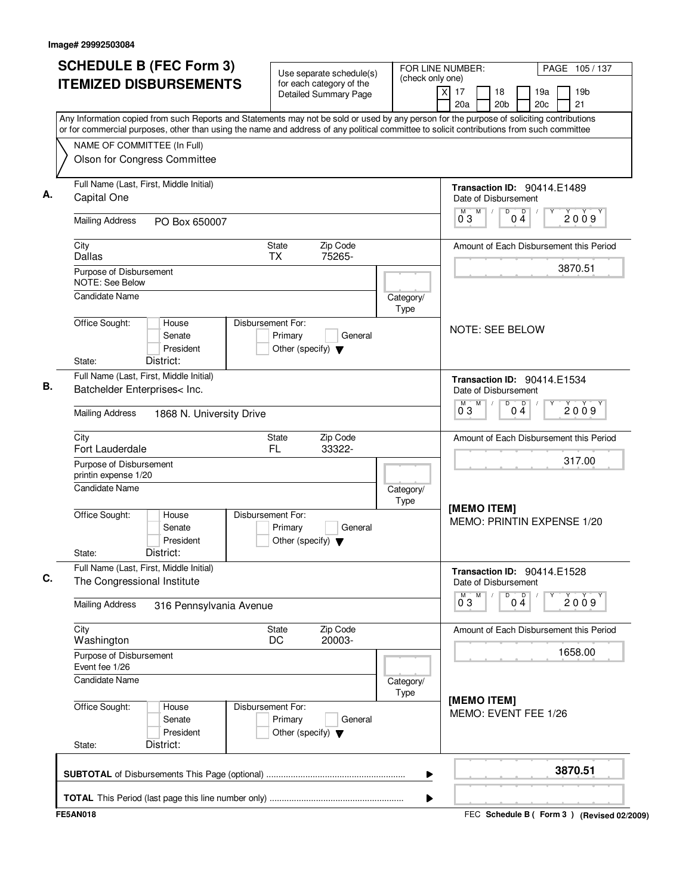| <b>SCHEDULE B (FEC Form 3)</b>                                                                                                                                                                                                                                                         | Use separate schedule(s)<br>for each category of the                            | FOR LINE NUMBER:<br>(check only one) |                                                            | PAGE 105/137                                |  |
|----------------------------------------------------------------------------------------------------------------------------------------------------------------------------------------------------------------------------------------------------------------------------------------|---------------------------------------------------------------------------------|--------------------------------------|------------------------------------------------------------|---------------------------------------------|--|
| <b>ITEMIZED DISBURSEMENTS</b>                                                                                                                                                                                                                                                          | Detailed Summary Page                                                           |                                      | $\overline{X}$<br>17<br>18<br>20a<br>20 <sub>b</sub>       | 19 <sub>b</sub><br>19a<br>21<br>20c         |  |
| Any Information copied from such Reports and Statements may not be sold or used by any person for the purpose of soliciting contributions<br>or for commercial purposes, other than using the name and address of any political committee to solicit contributions from such committee |                                                                                 |                                      |                                                            |                                             |  |
| NAME OF COMMITTEE (In Full)<br>Olson for Congress Committee                                                                                                                                                                                                                            |                                                                                 |                                      |                                                            |                                             |  |
| Full Name (Last, First, Middle Initial)<br>Capital One                                                                                                                                                                                                                                 |                                                                                 |                                      | Transaction ID: 90414.E1489<br>Date of Disbursement        |                                             |  |
| <b>Mailing Address</b><br>PO Box 650007                                                                                                                                                                                                                                                |                                                                                 |                                      | M<br>D<br>$0^{\degree}3$<br>04                             | D<br>2009                                   |  |
| City<br><b>Dallas</b>                                                                                                                                                                                                                                                                  | Zip Code<br>State<br><b>TX</b><br>75265-                                        |                                      |                                                            | Amount of Each Disbursement this Period     |  |
| Purpose of Disbursement<br><b>NOTE: See Below</b>                                                                                                                                                                                                                                      |                                                                                 |                                      |                                                            | 3870.51                                     |  |
| <b>Candidate Name</b>                                                                                                                                                                                                                                                                  |                                                                                 | Category/<br>Type                    |                                                            |                                             |  |
| Office Sought:<br>House<br>Senate<br>President<br>District:<br>State:                                                                                                                                                                                                                  | Disbursement For:<br>Primary<br>General<br>Other (specify) $\blacktriangledown$ |                                      | <b>NOTE: SEE BELOW</b>                                     |                                             |  |
| Full Name (Last, First, Middle Initial)<br>Batchelder Enterprises< Inc.                                                                                                                                                                                                                |                                                                                 |                                      | Transaction ID: 90414.E1534<br>Date of Disbursement        |                                             |  |
| <b>Mailing Address</b><br>1868 N. University Drive                                                                                                                                                                                                                                     |                                                                                 |                                      | M<br>D<br>M<br>$0\frac{D}{4}$<br>0 <sub>3</sub>            | 2009                                        |  |
| City<br>Fort Lauderdale                                                                                                                                                                                                                                                                | Zip Code<br>State<br>FL<br>33322-                                               |                                      | Amount of Each Disbursement this Period                    |                                             |  |
| Purpose of Disbursement<br>printin expense 1/20                                                                                                                                                                                                                                        |                                                                                 |                                      | 317.00                                                     |                                             |  |
| <b>Candidate Name</b>                                                                                                                                                                                                                                                                  |                                                                                 | Category/<br>Type                    |                                                            |                                             |  |
| Office Sought:<br>House<br>Senate<br>President<br>District:<br>State:                                                                                                                                                                                                                  | Disbursement For:<br>Primary<br>General<br>Other (specify) $\blacktriangledown$ |                                      | [MEMO ITEM]                                                | MEMO: PRINTIN EXPENSE 1/20                  |  |
| Full Name (Last, First, Middle Initial)<br>The Congressional Institute                                                                                                                                                                                                                 |                                                                                 |                                      | <b>Transaction ID: 90414.E1528</b><br>Date of Disbursement |                                             |  |
| <b>Mailing Address</b><br>316 Pennsylvania Avenue                                                                                                                                                                                                                                      |                                                                                 |                                      | $0\frac{D}{4}$<br>$0^{\circ}3$<br>M<br>D                   | 2009                                        |  |
| City<br>Washington                                                                                                                                                                                                                                                                     | Zip Code<br>State<br>20003-<br>DC                                               |                                      |                                                            | Amount of Each Disbursement this Period     |  |
| Purpose of Disbursement<br>Event fee 1/26                                                                                                                                                                                                                                              |                                                                                 |                                      |                                                            | 1658.00                                     |  |
| Candidate Name                                                                                                                                                                                                                                                                         |                                                                                 | Category/<br>Type                    |                                                            |                                             |  |
| Office Sought:<br>House<br>Senate<br>President<br>District:<br>State:                                                                                                                                                                                                                  | Disbursement For:<br>Primary<br>General<br>Other (specify) $\blacktriangledown$ |                                      | [MEMO ITEM]<br>MEMO: EVENT FEE 1/26                        |                                             |  |
|                                                                                                                                                                                                                                                                                        |                                                                                 | ▶                                    |                                                            | 3870.51                                     |  |
|                                                                                                                                                                                                                                                                                        |                                                                                 | ▶                                    |                                                            |                                             |  |
| <b>FE5AN018</b>                                                                                                                                                                                                                                                                        |                                                                                 |                                      |                                                            | FEC Schedule B ( Form 3 ) (Revised 02/2009) |  |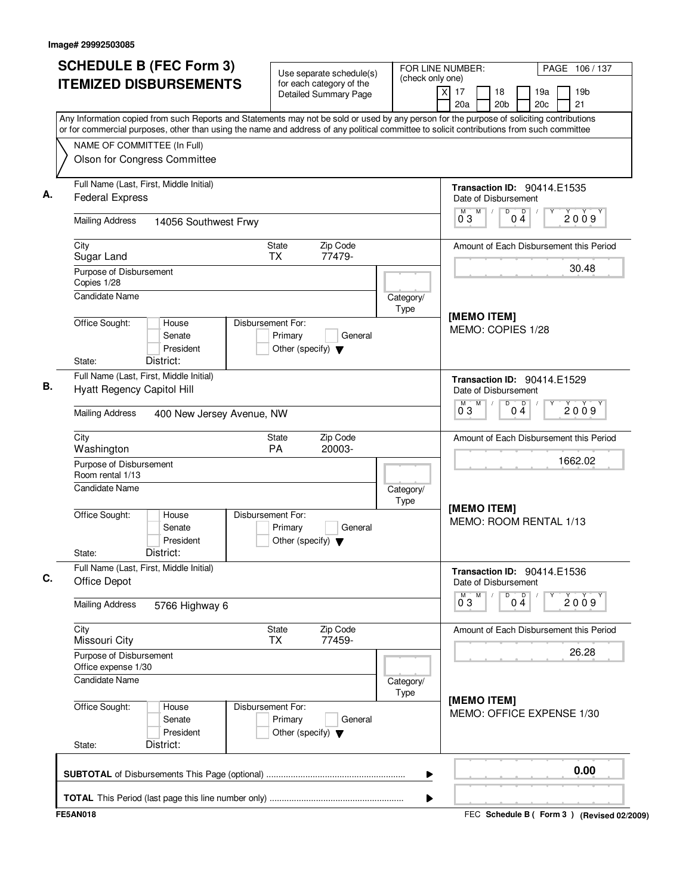| <b>SCHEDULE B (FEC Form 3)</b>                                                                                                                                                                                                                                                         | Use separate schedule(s)                                                        | FOR LINE NUMBER:                            |                                                            | PAGE 106/137                                    |
|----------------------------------------------------------------------------------------------------------------------------------------------------------------------------------------------------------------------------------------------------------------------------------------|---------------------------------------------------------------------------------|---------------------------------------------|------------------------------------------------------------|-------------------------------------------------|
| <b>ITEMIZED DISBURSEMENTS</b>                                                                                                                                                                                                                                                          | for each category of the<br><b>Detailed Summary Page</b>                        | (check only one)<br>$\overline{\mathsf{x}}$ | 17<br>18<br>20 <sub>b</sub><br>20a                         | 19 <sub>b</sub><br>19a<br>21<br>20 <sub>c</sub> |
| Any Information copied from such Reports and Statements may not be sold or used by any person for the purpose of soliciting contributions<br>or for commercial purposes, other than using the name and address of any political committee to solicit contributions from such committee |                                                                                 |                                             |                                                            |                                                 |
| NAME OF COMMITTEE (In Full)                                                                                                                                                                                                                                                            |                                                                                 |                                             |                                                            |                                                 |
| Olson for Congress Committee                                                                                                                                                                                                                                                           |                                                                                 |                                             |                                                            |                                                 |
| Full Name (Last, First, Middle Initial)<br><b>Federal Express</b>                                                                                                                                                                                                                      |                                                                                 |                                             | <b>Transaction ID: 90414.E1535</b><br>Date of Disbursement |                                                 |
| <b>Mailing Address</b><br>14056 Southwest Frwy                                                                                                                                                                                                                                         |                                                                                 |                                             | D<br>M<br>M<br>$0\overset{D}{4}$<br>03                     | 2009                                            |
| City<br>Sugar Land                                                                                                                                                                                                                                                                     | State<br>Zip Code<br><b>TX</b><br>77479-                                        |                                             |                                                            | Amount of Each Disbursement this Period         |
| Purpose of Disbursement<br>Copies 1/28<br><b>Candidate Name</b>                                                                                                                                                                                                                        |                                                                                 |                                             |                                                            | 30.48                                           |
|                                                                                                                                                                                                                                                                                        |                                                                                 | Category/<br>Type                           | [MEMO ITEM]                                                |                                                 |
| Office Sought:<br>House<br>Senate<br>President<br>District:<br>State:                                                                                                                                                                                                                  | Disbursement For:<br>Primary<br>General<br>Other (specify) $\blacktriangledown$ |                                             | MEMO: COPIES 1/28                                          |                                                 |
| Full Name (Last, First, Middle Initial)                                                                                                                                                                                                                                                |                                                                                 |                                             | <b>Transaction ID: 90414.E1529</b>                         |                                                 |
| <b>Hyatt Regency Capitol Hill</b>                                                                                                                                                                                                                                                      |                                                                                 |                                             | Date of Disbursement                                       |                                                 |
| <b>Mailing Address</b><br>400 New Jersey Avenue, NW                                                                                                                                                                                                                                    |                                                                                 |                                             | D<br>$\overline{0\,4}$<br>M<br>М<br>03                     | 2009                                            |
| City<br>Washington                                                                                                                                                                                                                                                                     | Zip Code<br>State<br><b>PA</b><br>20003-                                        |                                             |                                                            | Amount of Each Disbursement this Period         |
| Purpose of Disbursement<br>Room rental 1/13                                                                                                                                                                                                                                            |                                                                                 |                                             |                                                            | 1662.02                                         |
| Candidate Name                                                                                                                                                                                                                                                                         |                                                                                 | Category/<br>Type                           |                                                            |                                                 |
| Office Sought:<br>House<br>Senate<br>President<br>District:<br>State:                                                                                                                                                                                                                  | Disbursement For:<br>Primary<br>General<br>Other (specify) $\blacktriangledown$ |                                             | [MEMO ITEM]<br>MEMO: ROOM RENTAL 1/13                      |                                                 |
| Full Name (Last, First, Middle Initial)<br>Office Depot                                                                                                                                                                                                                                |                                                                                 |                                             | Transaction ID: 90414.E1536<br>Date of Disbursement        |                                                 |
| <b>Mailing Address</b><br>5766 Highway 6                                                                                                                                                                                                                                               |                                                                                 |                                             | M<br>D<br>$0\stackrel{D}{4}$<br>M<br>$0^{\degree}3$        | Y<br>2009                                       |
| City<br>Missouri City                                                                                                                                                                                                                                                                  | Zip Code<br>State<br><b>TX</b><br>77459-                                        |                                             |                                                            | Amount of Each Disbursement this Period         |
| Purpose of Disbursement<br>Office expense 1/30                                                                                                                                                                                                                                         |                                                                                 |                                             |                                                            | 26.28                                           |
| <b>Candidate Name</b>                                                                                                                                                                                                                                                                  |                                                                                 | Category/<br>Type                           |                                                            |                                                 |
| Office Sought:<br>House<br>Senate<br>President<br>District:<br>State:                                                                                                                                                                                                                  | Disbursement For:<br>Primary<br>General<br>Other (specify) $\blacktriangledown$ |                                             | [MEMO ITEM]<br>MEMO: OFFICE EXPENSE 1/30                   |                                                 |
|                                                                                                                                                                                                                                                                                        |                                                                                 | ▶                                           |                                                            | 0.00                                            |
|                                                                                                                                                                                                                                                                                        |                                                                                 | ▶                                           |                                                            |                                                 |
| <b>FE5AN018</b>                                                                                                                                                                                                                                                                        |                                                                                 |                                             |                                                            | FEC Schedule B ( Form 3 ) (Revised 02/2009)     |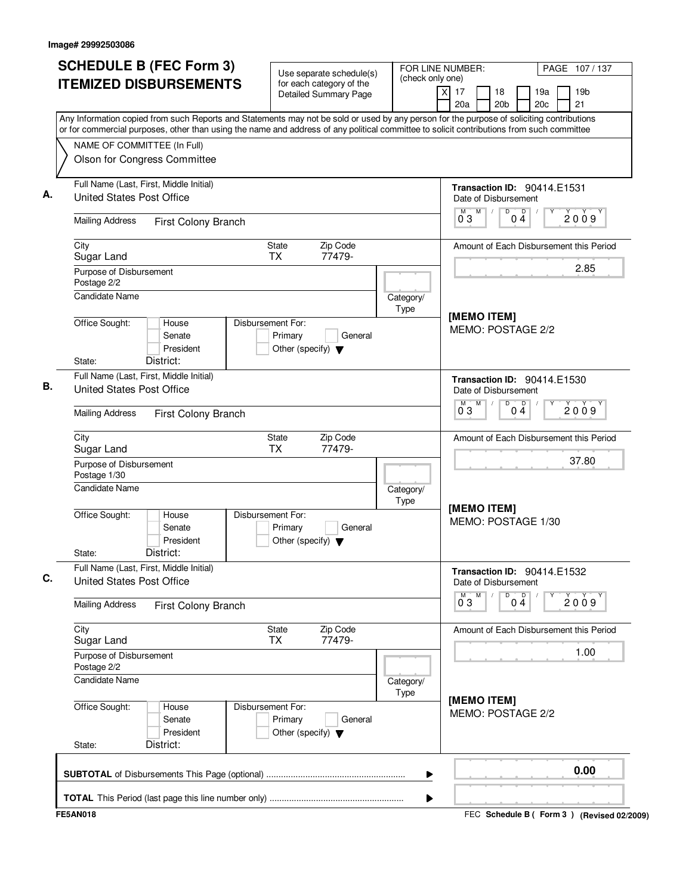| <b>SCHEDULE B (FEC Form 3)</b><br><b>ITEMIZED DISBURSEMENTS</b>                                                                                                                                                                                                                        | Use separate schedule(s)<br>for each category of the                                          | (check only one)  | FOR LINE NUMBER:<br>PAGE 107/137                                                           |  |  |
|----------------------------------------------------------------------------------------------------------------------------------------------------------------------------------------------------------------------------------------------------------------------------------------|-----------------------------------------------------------------------------------------------|-------------------|--------------------------------------------------------------------------------------------|--|--|
|                                                                                                                                                                                                                                                                                        | <b>Detailed Summary Page</b>                                                                  |                   | 19 <sub>b</sub><br>X<br>17<br>18<br>19a<br>20 <sub>c</sub><br>21<br>20a<br>20 <sub>b</sub> |  |  |
| Any Information copied from such Reports and Statements may not be sold or used by any person for the purpose of soliciting contributions<br>or for commercial purposes, other than using the name and address of any political committee to solicit contributions from such committee |                                                                                               |                   |                                                                                            |  |  |
| NAME OF COMMITTEE (In Full)                                                                                                                                                                                                                                                            |                                                                                               |                   |                                                                                            |  |  |
| Olson for Congress Committee                                                                                                                                                                                                                                                           |                                                                                               |                   |                                                                                            |  |  |
| Full Name (Last, First, Middle Initial)<br><b>United States Post Office</b>                                                                                                                                                                                                            | <b>Transaction ID: 90414.E1531</b><br>Date of Disbursement<br>D<br>D<br>M<br>2009<br>03<br>04 |                   |                                                                                            |  |  |
| <b>Mailing Address</b><br>First Colony Branch                                                                                                                                                                                                                                          |                                                                                               |                   |                                                                                            |  |  |
| Zip Code<br>City<br>State<br>77479-<br>Sugar Land<br><b>TX</b>                                                                                                                                                                                                                         |                                                                                               |                   | Amount of Each Disbursement this Period                                                    |  |  |
| Purpose of Disbursement<br>Postage 2/2                                                                                                                                                                                                                                                 |                                                                                               |                   | 2.85                                                                                       |  |  |
| <b>Candidate Name</b>                                                                                                                                                                                                                                                                  |                                                                                               | Category/<br>Type | [MEMO ITEM]<br>MEMO: POSTAGE 2/2                                                           |  |  |
| Office Sought:<br>House<br>Senate<br>President<br>District:<br>State:                                                                                                                                                                                                                  | Disbursement For:<br>Primary<br>General<br>Other (specify) $\blacktriangledown$               |                   |                                                                                            |  |  |
| Full Name (Last, First, Middle Initial)                                                                                                                                                                                                                                                |                                                                                               |                   | <b>Transaction ID: 90414.E1530</b>                                                         |  |  |
| United States Post Office                                                                                                                                                                                                                                                              | Date of Disbursement<br>M<br>D<br>$0^{\circ}$<br>$\overline{0}^M$ 3<br>2009                   |                   |                                                                                            |  |  |
| <b>Mailing Address</b><br>First Colony Branch                                                                                                                                                                                                                                          |                                                                                               |                   |                                                                                            |  |  |
| City<br>Sugar Land                                                                                                                                                                                                                                                                     | Zip Code<br>State<br><b>TX</b><br>77479-                                                      |                   | Amount of Each Disbursement this Period                                                    |  |  |
| Purpose of Disbursement<br>Postage 1/30                                                                                                                                                                                                                                                | 37.80                                                                                         |                   |                                                                                            |  |  |
| <b>Candidate Name</b><br>Category/<br>Type                                                                                                                                                                                                                                             |                                                                                               |                   |                                                                                            |  |  |
| Office Sought:<br>House<br>Senate<br>President<br>District:<br>State:                                                                                                                                                                                                                  | Disbursement For:<br>Primary<br>General<br>Other (specify) $\blacktriangledown$               |                   | [MEMO ITEM]<br>MEMO: POSTAGE 1/30                                                          |  |  |
| Full Name (Last, First, Middle Initial)<br><b>United States Post Office</b>                                                                                                                                                                                                            | <b>Transaction ID: 90414.E1532</b><br>Date of Disbursement                                    |                   |                                                                                            |  |  |
| <b>Mailing Address</b><br>First Colony Branch                                                                                                                                                                                                                                          | M<br>D<br>$0\frac{D}{4}$<br>2009<br>03                                                        |                   |                                                                                            |  |  |
| City<br>Sugar Land                                                                                                                                                                                                                                                                     | Zip Code<br>State<br><b>TX</b><br>77479-                                                      |                   | Amount of Each Disbursement this Period                                                    |  |  |
| Purpose of Disbursement<br>Postage 2/2                                                                                                                                                                                                                                                 |                                                                                               |                   | 1.00                                                                                       |  |  |
| <b>Candidate Name</b>                                                                                                                                                                                                                                                                  |                                                                                               | Category/<br>Type |                                                                                            |  |  |
| Office Sought:<br>House<br>Senate<br>President<br>District:<br>State:                                                                                                                                                                                                                  | Disbursement For:<br>Primary<br>General<br>Other (specify) $\blacktriangledown$               |                   | [MEMO ITEM]<br>MEMO: POSTAGE 2/2                                                           |  |  |
|                                                                                                                                                                                                                                                                                        |                                                                                               | ▶                 | 0.00                                                                                       |  |  |
|                                                                                                                                                                                                                                                                                        |                                                                                               | ▶                 |                                                                                            |  |  |
| <b>FE5AN018</b>                                                                                                                                                                                                                                                                        |                                                                                               |                   | FEC Schedule B ( Form 3 ) (Revised 02/2009)                                                |  |  |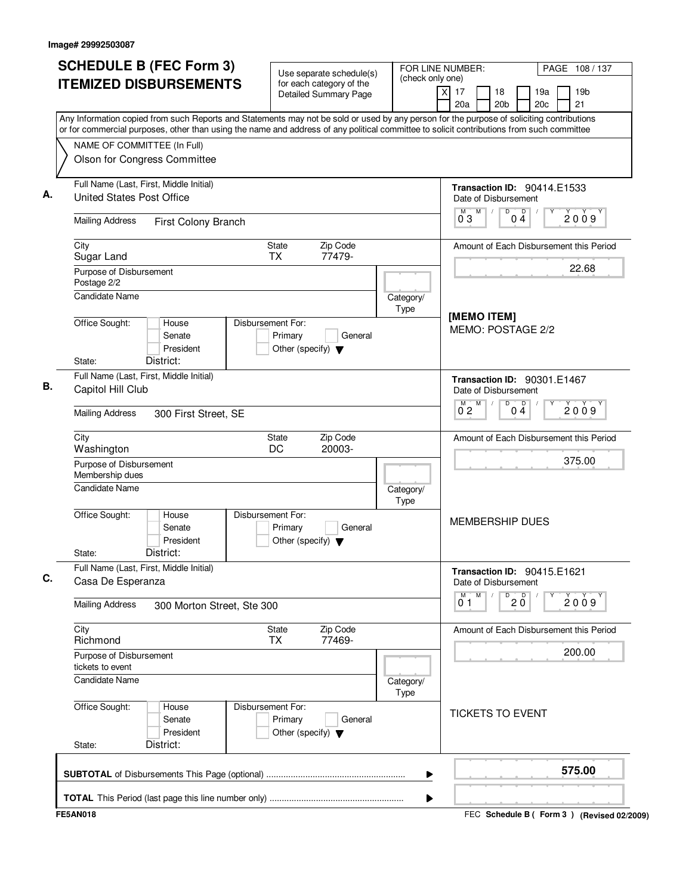| <b>SCHEDULE B (FEC Form 3)</b>                                                                                                                                                                                                                                                         | Use separate schedule(s)                                                        | FOR LINE NUMBER:<br>(check only one)                       |                                                      | PAGE 108 / 137                              |  |
|----------------------------------------------------------------------------------------------------------------------------------------------------------------------------------------------------------------------------------------------------------------------------------------|---------------------------------------------------------------------------------|------------------------------------------------------------|------------------------------------------------------|---------------------------------------------|--|
| <b>ITEMIZED DISBURSEMENTS</b>                                                                                                                                                                                                                                                          | for each category of the<br>Detailed Summary Page                               |                                                            | $\overline{X}$<br>17<br>18<br>20a<br>20 <sub>b</sub> | 19 <sub>b</sub><br>19a<br>21<br>20c         |  |
| Any Information copied from such Reports and Statements may not be sold or used by any person for the purpose of soliciting contributions<br>or for commercial purposes, other than using the name and address of any political committee to solicit contributions from such committee |                                                                                 |                                                            |                                                      |                                             |  |
| NAME OF COMMITTEE (In Full)<br>Olson for Congress Committee                                                                                                                                                                                                                            |                                                                                 |                                                            |                                                      |                                             |  |
| Full Name (Last, First, Middle Initial)<br><b>United States Post Office</b>                                                                                                                                                                                                            |                                                                                 |                                                            | Transaction ID: 90414.E1533<br>Date of Disbursement  |                                             |  |
| <b>Mailing Address</b><br>First Colony Branch                                                                                                                                                                                                                                          |                                                                                 |                                                            | M<br>D<br>D<br>$0^{\degree}3$<br>04                  | 2009                                        |  |
| City<br>Sugar Land                                                                                                                                                                                                                                                                     | Zip Code<br>State<br><b>TX</b><br>77479-                                        |                                                            |                                                      | Amount of Each Disbursement this Period     |  |
| Purpose of Disbursement<br>Postage 2/2                                                                                                                                                                                                                                                 |                                                                                 |                                                            |                                                      | 22.68                                       |  |
| <b>Candidate Name</b><br>Category/<br>Type                                                                                                                                                                                                                                             |                                                                                 |                                                            | [MEMO ITEM]                                          |                                             |  |
| Office Sought:<br>House<br>Senate<br>President<br>District:<br>State:                                                                                                                                                                                                                  | Disbursement For:<br>Primary<br>General<br>Other (specify) $\blacktriangledown$ |                                                            | MEMO: POSTAGE 2/2                                    |                                             |  |
| Full Name (Last, First, Middle Initial)<br>Capitol Hill Club                                                                                                                                                                                                                           |                                                                                 | <b>Transaction ID: 90301.E1467</b><br>Date of Disbursement |                                                      |                                             |  |
| <b>Mailing Address</b><br>300 First Street, SE                                                                                                                                                                                                                                         |                                                                                 |                                                            | M<br>D<br>$0\stackrel{D}{4}$<br>$0^{\circ}2$         | 2009                                        |  |
| City<br>Washington                                                                                                                                                                                                                                                                     | Zip Code<br>State<br>DC<br>20003-                                               |                                                            |                                                      | Amount of Each Disbursement this Period     |  |
| Purpose of Disbursement<br>Membership dues                                                                                                                                                                                                                                             |                                                                                 |                                                            | 375.00                                               |                                             |  |
| <b>Candidate Name</b>                                                                                                                                                                                                                                                                  |                                                                                 | Category/<br>Type                                          |                                                      |                                             |  |
| Office Sought:<br>House<br>Senate<br>President<br>District:<br>State:                                                                                                                                                                                                                  | Disbursement For:<br>Primary<br>General<br>Other (specify) $\blacktriangledown$ |                                                            | <b>MEMBERSHIP DUES</b>                               |                                             |  |
| Full Name (Last, First, Middle Initial)<br>Casa De Esperanza                                                                                                                                                                                                                           | Transaction ID: 90415.E1621<br>Date of Disbursement                             |                                                            |                                                      |                                             |  |
| <b>Mailing Address</b><br>300 Morton Street, Ste 300                                                                                                                                                                                                                                   |                                                                                 |                                                            | M<br>$20^{\circ}$<br>D<br>01                         | 2009                                        |  |
| City<br>Richmond                                                                                                                                                                                                                                                                       | Zip Code<br>State<br>77469-<br>ТX                                               |                                                            |                                                      | Amount of Each Disbursement this Period     |  |
| Purpose of Disbursement<br>tickets to event                                                                                                                                                                                                                                            |                                                                                 |                                                            | 200.00                                               |                                             |  |
| Candidate Name                                                                                                                                                                                                                                                                         |                                                                                 | Category/<br>Type                                          |                                                      |                                             |  |
| Office Sought:<br>House<br>Senate<br>President<br>District:<br>State:                                                                                                                                                                                                                  | Disbursement For:<br>Primary<br>General<br>Other (specify) $\blacktriangledown$ |                                                            |                                                      | <b>TICKETS TO EVENT</b>                     |  |
|                                                                                                                                                                                                                                                                                        |                                                                                 | ▶                                                          |                                                      | 575.00                                      |  |
|                                                                                                                                                                                                                                                                                        |                                                                                 | ▶                                                          |                                                      |                                             |  |
| <b>FE5AN018</b>                                                                                                                                                                                                                                                                        |                                                                                 |                                                            |                                                      | FEC Schedule B ( Form 3 ) (Revised 02/2009) |  |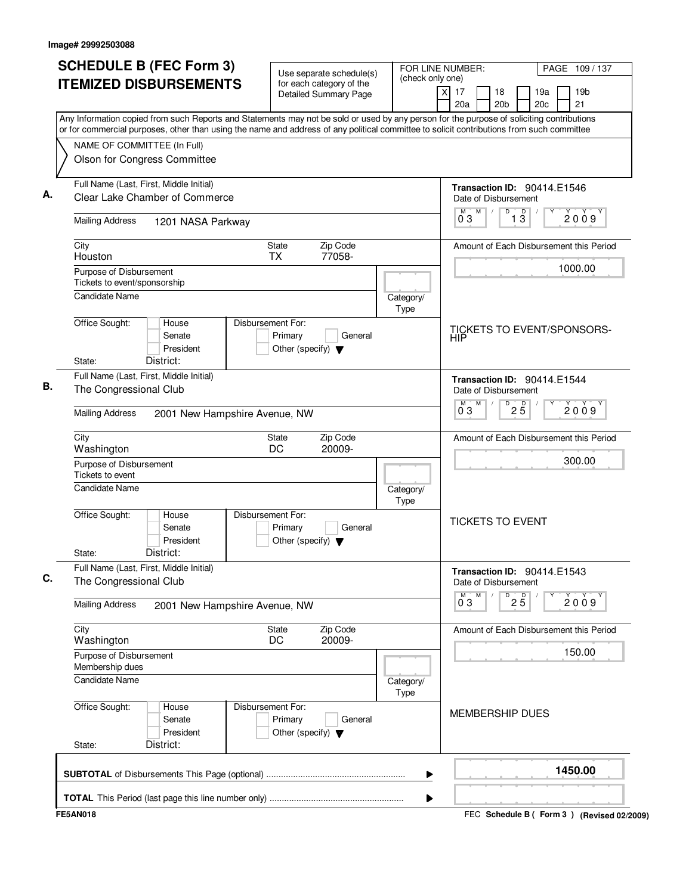| City<br>Houston | <b>Mailing Address</b><br>Purpose of Disbursement<br>Tickets to event/sponsorship<br><b>Candidate Name</b> | Any Information copied from such Reports and Statements may not be sold or used by any person for the purpose of soliciting contributions<br>or for commercial purposes, other than using the name and address of any political committee to solicit contributions from such committee<br>NAME OF COMMITTEE (In Full)<br>Olson for Congress Committee<br>Full Name (Last, First, Middle Initial)<br>Clear Lake Chamber of Commerce<br>1201 NASA Parkway | State<br><b>TX</b>           | <b>Detailed Summary Page</b><br>Zip Code        |                          | $\times$<br>17<br>20a | Date of Disbursement<br>M | 18<br>20 <sub>b</sub> |                               | 19a<br>20 <sub>c</sub><br>Transaction ID: 90414.E1546 | 19 <sub>b</sub><br>21                   |
|-----------------|------------------------------------------------------------------------------------------------------------|---------------------------------------------------------------------------------------------------------------------------------------------------------------------------------------------------------------------------------------------------------------------------------------------------------------------------------------------------------------------------------------------------------------------------------------------------------|------------------------------|-------------------------------------------------|--------------------------|-----------------------|---------------------------|-----------------------|-------------------------------|-------------------------------------------------------|-----------------------------------------|
|                 |                                                                                                            |                                                                                                                                                                                                                                                                                                                                                                                                                                                         |                              |                                                 |                          |                       |                           |                       |                               |                                                       |                                         |
|                 |                                                                                                            |                                                                                                                                                                                                                                                                                                                                                                                                                                                         |                              |                                                 |                          |                       |                           |                       |                               |                                                       |                                         |
|                 |                                                                                                            |                                                                                                                                                                                                                                                                                                                                                                                                                                                         |                              |                                                 |                          |                       |                           |                       |                               |                                                       |                                         |
|                 |                                                                                                            |                                                                                                                                                                                                                                                                                                                                                                                                                                                         |                              |                                                 |                          |                       |                           |                       |                               |                                                       |                                         |
|                 |                                                                                                            |                                                                                                                                                                                                                                                                                                                                                                                                                                                         |                              |                                                 |                          | 03                    |                           | D                     | $\overline{1}$ $\overline{3}$ |                                                       | 2009                                    |
|                 |                                                                                                            |                                                                                                                                                                                                                                                                                                                                                                                                                                                         |                              | 77058-                                          |                          |                       |                           |                       |                               |                                                       | Amount of Each Disbursement this Period |
|                 |                                                                                                            |                                                                                                                                                                                                                                                                                                                                                                                                                                                         |                              |                                                 |                          |                       |                           |                       |                               |                                                       | 1000.00                                 |
|                 |                                                                                                            |                                                                                                                                                                                                                                                                                                                                                                                                                                                         |                              |                                                 | Category/<br><b>Type</b> |                       |                           |                       |                               |                                                       |                                         |
| State:          | Office Sought:                                                                                             | House<br>Senate<br>President<br>District:                                                                                                                                                                                                                                                                                                                                                                                                               | Disbursement For:<br>Primary | General<br>Other (specify) $\blacktriangledown$ |                          | <b>HIP</b>            |                           |                       |                               |                                                       | <b>TICKETS TO EVENT/SPONSORS-</b>       |
|                 |                                                                                                            | Full Name (Last, First, Middle Initial)                                                                                                                                                                                                                                                                                                                                                                                                                 |                              |                                                 |                          |                       |                           |                       |                               | Transaction ID: 90414.E1544                           |                                         |
|                 | The Congressional Club                                                                                     |                                                                                                                                                                                                                                                                                                                                                                                                                                                         |                              |                                                 |                          |                       | Date of Disbursement<br>M | D                     | $2\overline{5}$               |                                                       |                                         |
|                 | <b>Mailing Address</b>                                                                                     | 2001 New Hampshire Avenue, NW                                                                                                                                                                                                                                                                                                                                                                                                                           |                              |                                                 |                          | 03                    |                           |                       |                               |                                                       | 2009                                    |
| City            | Washington                                                                                                 |                                                                                                                                                                                                                                                                                                                                                                                                                                                         | <b>State</b><br>DC           | Zip Code<br>20009-                              |                          |                       |                           |                       |                               |                                                       | Amount of Each Disbursement this Period |
|                 | Purpose of Disbursement<br>Tickets to event                                                                |                                                                                                                                                                                                                                                                                                                                                                                                                                                         |                              |                                                 |                          |                       |                           |                       |                               |                                                       | 300.00                                  |
|                 | <b>Candidate Name</b>                                                                                      |                                                                                                                                                                                                                                                                                                                                                                                                                                                         |                              |                                                 | Category/<br>Type        |                       |                           |                       |                               |                                                       |                                         |
| State:          | Office Sought:                                                                                             | House<br>Senate<br>President<br>District:                                                                                                                                                                                                                                                                                                                                                                                                               | Disbursement For:<br>Primary | General<br>Other (specify) $\blacktriangledown$ |                          |                       | <b>TICKETS TO EVENT</b>   |                       |                               |                                                       |                                         |
|                 | The Congressional Club                                                                                     | Full Name (Last, First, Middle Initial)                                                                                                                                                                                                                                                                                                                                                                                                                 |                              |                                                 |                          |                       | Date of Disbursement      |                       |                               | Transaction ID: 90414.E1543                           |                                         |
|                 | <b>Mailing Address</b>                                                                                     | 2001 New Hampshire Avenue, NW                                                                                                                                                                                                                                                                                                                                                                                                                           |                              |                                                 |                          | 03                    | M                         |                       | $^D$ 2 $\overline{5}$         |                                                       | 2009                                    |
| City            | Washington                                                                                                 |                                                                                                                                                                                                                                                                                                                                                                                                                                                         | State<br>DC                  | Zip Code<br>20009-                              |                          |                       |                           |                       |                               |                                                       | Amount of Each Disbursement this Period |
|                 | Purpose of Disbursement<br>Membership dues                                                                 |                                                                                                                                                                                                                                                                                                                                                                                                                                                         |                              |                                                 |                          |                       |                           |                       |                               |                                                       | 150.00                                  |
|                 | <b>Candidate Name</b>                                                                                      |                                                                                                                                                                                                                                                                                                                                                                                                                                                         |                              |                                                 | Category/<br>Type        |                       |                           |                       |                               |                                                       |                                         |
| State:          | Office Sought:                                                                                             | House<br>Senate<br>President<br>District:                                                                                                                                                                                                                                                                                                                                                                                                               | Disbursement For:<br>Primary | General<br>Other (specify) $\blacktriangledown$ |                          |                       | <b>MEMBERSHIP DUES</b>    |                       |                               |                                                       |                                         |
|                 |                                                                                                            |                                                                                                                                                                                                                                                                                                                                                                                                                                                         |                              |                                                 | ▶                        |                       |                           |                       |                               |                                                       | 1450.00                                 |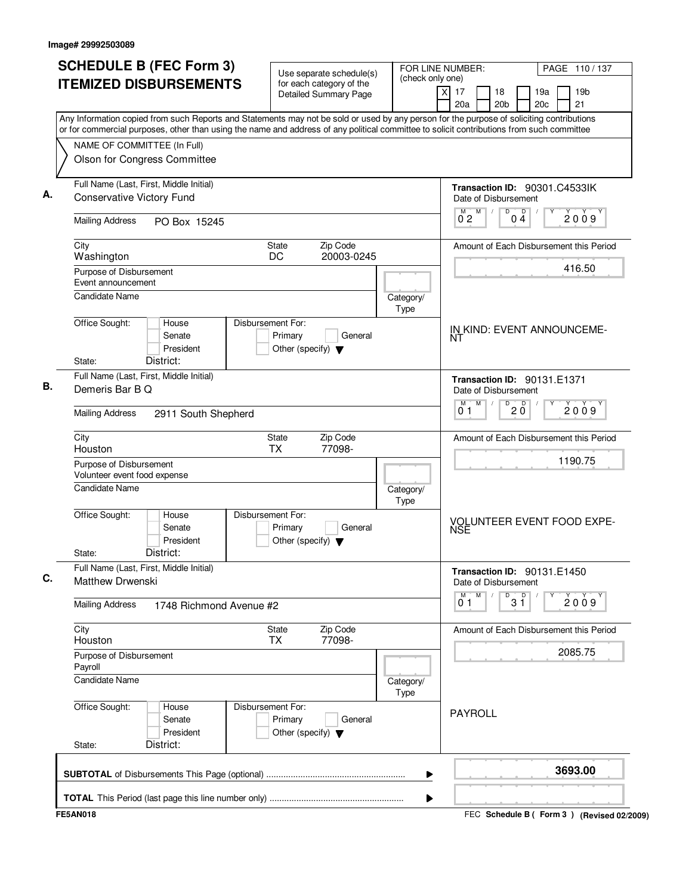|                                                         | <b>SCHEDULE B (FEC Form 3)</b>            | Use separate schedule(s)                                                        | (check only one)         | FOR LINE NUMBER:<br>PAGE 110/137                                                                                                                                                                                                                                                       |
|---------------------------------------------------------|-------------------------------------------|---------------------------------------------------------------------------------|--------------------------|----------------------------------------------------------------------------------------------------------------------------------------------------------------------------------------------------------------------------------------------------------------------------------------|
|                                                         | <b>ITEMIZED DISBURSEMENTS</b>             | for each category of the<br><b>Detailed Summary Page</b>                        |                          | x<br>17<br>18<br>19a<br>19 <sub>b</sub><br>20 <sub>b</sub><br>20 <sub>c</sub><br>21<br>20a                                                                                                                                                                                             |
|                                                         |                                           |                                                                                 |                          | Any Information copied from such Reports and Statements may not be sold or used by any person for the purpose of soliciting contributions<br>or for commercial purposes, other than using the name and address of any political committee to solicit contributions from such committee |
| NAME OF COMMITTEE (In Full)                             |                                           |                                                                                 |                          |                                                                                                                                                                                                                                                                                        |
|                                                         | Olson for Congress Committee              |                                                                                 |                          |                                                                                                                                                                                                                                                                                        |
| <b>Conservative Victory Fund</b>                        | Full Name (Last, First, Middle Initial)   |                                                                                 |                          | Transaction ID: 90301.C4533IK<br>Date of Disbursement                                                                                                                                                                                                                                  |
| <b>Mailing Address</b>                                  | PO Box 15245                              |                                                                                 |                          | M<br>$\overline{D}$<br>D<br>M<br>2009<br>0 <sub>2</sub><br>04                                                                                                                                                                                                                          |
| City<br>Washington                                      |                                           | Zip Code<br>State<br>DC<br>20003-0245                                           |                          | Amount of Each Disbursement this Period                                                                                                                                                                                                                                                |
| Purpose of Disbursement<br>Event announcement           |                                           |                                                                                 |                          | 416.50                                                                                                                                                                                                                                                                                 |
| <b>Candidate Name</b>                                   |                                           |                                                                                 | Category/<br>Type        |                                                                                                                                                                                                                                                                                        |
| Office Sought:<br>State:                                | House<br>Senate<br>President<br>District: | Disbursement For:<br>Primary<br>General<br>Other (specify) $\blacktriangledown$ |                          | IN KIND: EVENT ANNOUNCEME-<br>NT                                                                                                                                                                                                                                                       |
| Demeris Bar B Q                                         | Full Name (Last, First, Middle Initial)   |                                                                                 |                          | <b>Transaction ID: 90131.E1371</b><br>Date of Disbursement                                                                                                                                                                                                                             |
| <b>Mailing Address</b>                                  | 2911 South Shepherd                       |                                                                                 |                          | M<br>D<br>$20^{\circ}$<br>2009<br>0 <sub>1</sub>                                                                                                                                                                                                                                       |
| City<br>Houston                                         |                                           | Zip Code<br>State<br><b>TX</b><br>77098-                                        |                          | Amount of Each Disbursement this Period                                                                                                                                                                                                                                                |
| Purpose of Disbursement<br>Volunteer event food expense |                                           |                                                                                 |                          | 1190.75                                                                                                                                                                                                                                                                                |
| Candidate Name                                          |                                           |                                                                                 | Category/<br><b>Type</b> |                                                                                                                                                                                                                                                                                        |
| Office Sought:<br>State:                                | House<br>Senate<br>President<br>District: | Disbursement For:<br>Primary<br>General<br>Other (specify) $\blacktriangledown$ |                          | VOLUNTEER EVENT FOOD EXPE-<br>NSE                                                                                                                                                                                                                                                      |
| Matthew Drwenski                                        | Full Name (Last, First, Middle Initial)   |                                                                                 |                          | Transaction ID: 90131.E1450<br>Date of Disbursement                                                                                                                                                                                                                                    |
| <b>Mailing Address</b>                                  | 1748 Richmond Avenue #2                   |                                                                                 |                          | M<br>$3^{\circ}$<br>М<br>D<br>2009<br>01                                                                                                                                                                                                                                               |
| City<br>Houston                                         |                                           | Zip Code<br>State<br>77098-<br>TX                                               |                          | Amount of Each Disbursement this Period                                                                                                                                                                                                                                                |
| Purpose of Disbursement<br>Payroll                      |                                           |                                                                                 |                          | 2085.75                                                                                                                                                                                                                                                                                |
| <b>Candidate Name</b>                                   |                                           |                                                                                 | Category/<br><b>Type</b> |                                                                                                                                                                                                                                                                                        |
| Office Sought:<br>State:                                | House<br>Senate<br>President<br>District: | Disbursement For:<br>Primary<br>General<br>Other (specify) $\blacktriangledown$ |                          | <b>PAYROLL</b>                                                                                                                                                                                                                                                                         |
|                                                         |                                           |                                                                                 | ▶                        | 3693.00                                                                                                                                                                                                                                                                                |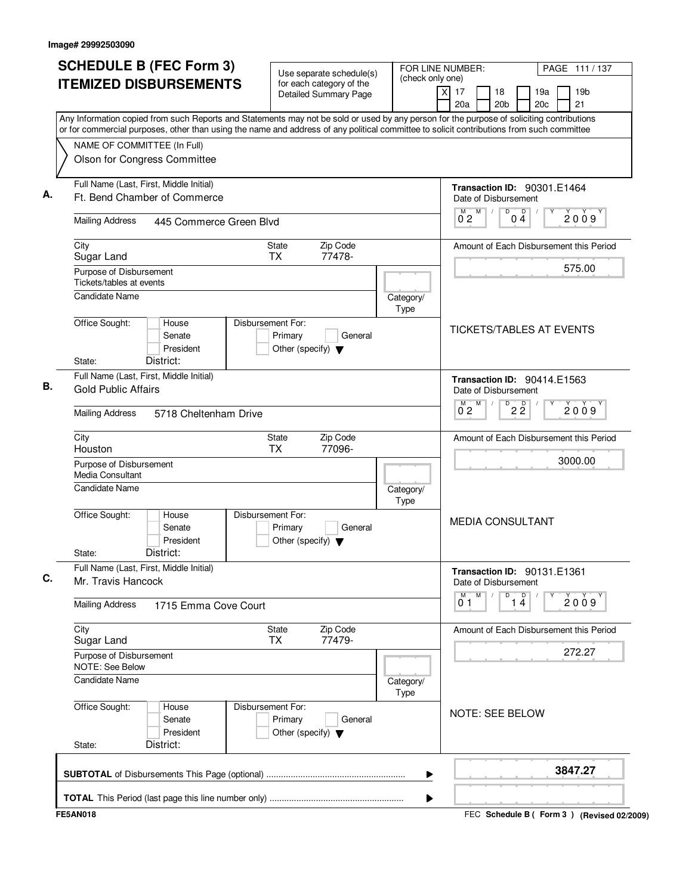| <b>SCHEDULE B (FEC Form 3)</b>                                                                                                                                                                                                                                                         | Use separate schedule(s)                                                        | FOR LINE NUMBER:         | PAGE 111 / 137                                                                                                   |
|----------------------------------------------------------------------------------------------------------------------------------------------------------------------------------------------------------------------------------------------------------------------------------------|---------------------------------------------------------------------------------|--------------------------|------------------------------------------------------------------------------------------------------------------|
| <b>ITEMIZED DISBURSEMENTS</b>                                                                                                                                                                                                                                                          | for each category of the<br><b>Detailed Summary Page</b>                        | (check only one)         | $\overline{\mathsf{x}}$<br>17<br>19a<br>19 <sub>b</sub><br>18<br>20a<br>20 <sub>b</sub><br>20 <sub>c</sub><br>21 |
| Any Information copied from such Reports and Statements may not be sold or used by any person for the purpose of soliciting contributions<br>or for commercial purposes, other than using the name and address of any political committee to solicit contributions from such committee |                                                                                 |                          |                                                                                                                  |
| NAME OF COMMITTEE (In Full)                                                                                                                                                                                                                                                            |                                                                                 |                          |                                                                                                                  |
| Olson for Congress Committee                                                                                                                                                                                                                                                           |                                                                                 |                          |                                                                                                                  |
| Full Name (Last, First, Middle Initial)<br>Ft. Bend Chamber of Commerce                                                                                                                                                                                                                |                                                                                 |                          | <b>Transaction ID: 90301.E1464</b><br>Date of Disbursement                                                       |
| <b>Mailing Address</b><br>445 Commerce Green Blvd                                                                                                                                                                                                                                      |                                                                                 |                          | M<br>$\overline{D}$<br>M<br>Ď<br>2009<br>0 <sub>2</sub><br>04                                                    |
| City<br>Sugar Land                                                                                                                                                                                                                                                                     | Zip Code<br><b>State</b><br>77478-<br>TX.                                       |                          | Amount of Each Disbursement this Period                                                                          |
| Purpose of Disbursement<br>Tickets/tables at events                                                                                                                                                                                                                                    |                                                                                 |                          | 575.00                                                                                                           |
| <b>Candidate Name</b>                                                                                                                                                                                                                                                                  |                                                                                 | Category/<br><b>Type</b> |                                                                                                                  |
| Office Sought:<br>House<br>Senate<br>President<br>District:<br>State:                                                                                                                                                                                                                  | Disbursement For:<br>Primary<br>General<br>Other (specify) $\blacktriangledown$ |                          | <b>TICKETS/TABLES AT EVENTS</b>                                                                                  |
| Full Name (Last, First, Middle Initial)<br><b>Gold Public Affairs</b>                                                                                                                                                                                                                  |                                                                                 |                          | <b>Transaction ID: 90414.E1563</b><br>Date of Disbursement                                                       |
| <b>Mailing Address</b><br>5718 Cheltenham Drive                                                                                                                                                                                                                                        |                                                                                 |                          | M<br>D<br>$2\overline{2}$<br>2009<br>$0^{\degree}2$                                                              |
| City<br>Houston                                                                                                                                                                                                                                                                        | Zip Code<br>State<br><b>TX</b><br>77096-                                        |                          | Amount of Each Disbursement this Period                                                                          |
| Purpose of Disbursement<br><b>Media Consultant</b>                                                                                                                                                                                                                                     |                                                                                 |                          | 3000.00                                                                                                          |
| <b>Candidate Name</b>                                                                                                                                                                                                                                                                  |                                                                                 | Category/<br><b>Type</b> |                                                                                                                  |
| Office Sought:<br>House<br>Senate<br>President<br>District:<br>State:                                                                                                                                                                                                                  | Disbursement For:<br>Primary<br>General<br>Other (specify) $\blacktriangledown$ |                          | <b>MEDIA CONSULTANT</b>                                                                                          |
| Full Name (Last, First, Middle Initial)<br>Mr. Travis Hancock                                                                                                                                                                                                                          |                                                                                 |                          | Transaction ID: 90131.E1361<br>Date of Disbursement                                                              |
| <b>Mailing Address</b><br>1715 Emma Cove Court                                                                                                                                                                                                                                         |                                                                                 |                          | M<br>D<br>$\overline{1\,4}$<br>2009<br>01                                                                        |
| City<br>Sugar Land                                                                                                                                                                                                                                                                     | State<br>Zip Code<br>77479-<br>ТX                                               |                          | Amount of Each Disbursement this Period                                                                          |
| Purpose of Disbursement<br>NOTE: See Below                                                                                                                                                                                                                                             |                                                                                 |                          | 272.27                                                                                                           |
| <b>Candidate Name</b>                                                                                                                                                                                                                                                                  |                                                                                 | Category/<br><b>Type</b> |                                                                                                                  |
| Office Sought:<br>House<br>Senate<br>President<br>District:<br>State:                                                                                                                                                                                                                  | Disbursement For:<br>Primary<br>General<br>Other (specify) $\blacktriangledown$ |                          | <b>NOTE: SEE BELOW</b>                                                                                           |
|                                                                                                                                                                                                                                                                                        |                                                                                 | ▶                        | 3847.27                                                                                                          |
|                                                                                                                                                                                                                                                                                        |                                                                                 | ▶                        |                                                                                                                  |
| <b>FE5AN018</b>                                                                                                                                                                                                                                                                        |                                                                                 |                          | FEC Schedule B ( Form 3 ) (Revised 02/2009)                                                                      |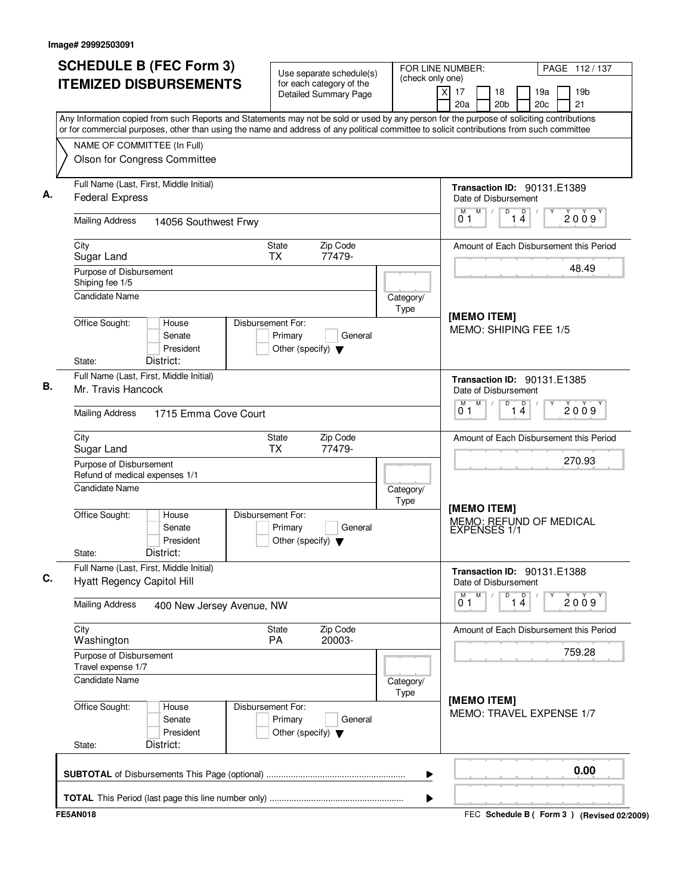|                                                                                                                                                                                                                                                                                        | <b>SCHEDULE B (FEC Form 3)</b><br>FOR LINE NUMBER:<br>Use separate schedule(s)<br>(check only one) |           |                                                            |                       |                 |   | PAGE 112/137 |                                         |
|----------------------------------------------------------------------------------------------------------------------------------------------------------------------------------------------------------------------------------------------------------------------------------------|----------------------------------------------------------------------------------------------------|-----------|------------------------------------------------------------|-----------------------|-----------------|---|--------------|-----------------------------------------|
| <b>ITEMIZED DISBURSEMENTS</b>                                                                                                                                                                                                                                                          | for each category of the<br><b>Detailed Summary Page</b>                                           |           | $\overline{X}$<br>17<br>20a                                | 18<br>20 <sub>b</sub> | 19a<br>20c      |   |              | 19 <sub>b</sub><br>21                   |
| Any Information copied from such Reports and Statements may not be sold or used by any person for the purpose of soliciting contributions<br>or for commercial purposes, other than using the name and address of any political committee to solicit contributions from such committee |                                                                                                    |           |                                                            |                       |                 |   |              |                                         |
| NAME OF COMMITTEE (In Full)                                                                                                                                                                                                                                                            |                                                                                                    |           |                                                            |                       |                 |   |              |                                         |
| Olson for Congress Committee                                                                                                                                                                                                                                                           |                                                                                                    |           |                                                            |                       |                 |   |              |                                         |
|                                                                                                                                                                                                                                                                                        |                                                                                                    |           |                                                            |                       |                 |   |              |                                         |
| Full Name (Last, First, Middle Initial)                                                                                                                                                                                                                                                |                                                                                                    |           | Transaction ID: 90131.E1389                                |                       |                 |   |              |                                         |
| <b>Federal Express</b>                                                                                                                                                                                                                                                                 |                                                                                                    |           | Date of Disbursement                                       |                       |                 |   |              |                                         |
| <b>Mailing Address</b><br>14056 Southwest Frwy                                                                                                                                                                                                                                         |                                                                                                    |           | M<br>M<br>01                                               | D                     | 1 <sup>D</sup>  |   |              | 2009                                    |
| City                                                                                                                                                                                                                                                                                   | Zip Code<br>State                                                                                  |           |                                                            |                       |                 |   |              | Amount of Each Disbursement this Period |
| Sugar Land                                                                                                                                                                                                                                                                             | <b>TX</b><br>77479-                                                                                |           |                                                            |                       |                 |   |              |                                         |
| Purpose of Disbursement<br>Shiping fee 1/5                                                                                                                                                                                                                                             |                                                                                                    |           |                                                            |                       |                 |   |              | 48.49                                   |
| <b>Candidate Name</b>                                                                                                                                                                                                                                                                  |                                                                                                    | Category/ |                                                            |                       |                 |   |              |                                         |
|                                                                                                                                                                                                                                                                                        |                                                                                                    | Type      |                                                            |                       |                 |   |              |                                         |
| Office Sought:<br>House                                                                                                                                                                                                                                                                | Disbursement For:                                                                                  |           | [MEMO ITEM]<br>MEMO: SHIPING FEE 1/5                       |                       |                 |   |              |                                         |
| Senate                                                                                                                                                                                                                                                                                 | Primary<br>General                                                                                 |           |                                                            |                       |                 |   |              |                                         |
| President<br>District:                                                                                                                                                                                                                                                                 | Other (specify) $\blacktriangledown$                                                               |           |                                                            |                       |                 |   |              |                                         |
| State:<br>Full Name (Last, First, Middle Initial)                                                                                                                                                                                                                                      |                                                                                                    |           |                                                            |                       |                 |   |              |                                         |
| Mr. Travis Hancock                                                                                                                                                                                                                                                                     |                                                                                                    |           | <b>Transaction ID: 90131.E1385</b><br>Date of Disbursement |                       |                 |   |              |                                         |
|                                                                                                                                                                                                                                                                                        |                                                                                                    |           | M<br>м                                                     | D                     |                 |   |              |                                         |
| <b>Mailing Address</b><br>1715 Emma Cove Court                                                                                                                                                                                                                                         |                                                                                                    |           | $\overline{1\,4}$<br>2009<br>01                            |                       |                 |   |              |                                         |
| City                                                                                                                                                                                                                                                                                   | Zip Code<br>State                                                                                  |           |                                                            |                       |                 |   |              | Amount of Each Disbursement this Period |
| Sugar Land                                                                                                                                                                                                                                                                             | <b>TX</b><br>77479-                                                                                |           | 270.93                                                     |                       |                 |   |              |                                         |
| Purpose of Disbursement<br>Refund of medical expenses 1/1                                                                                                                                                                                                                              |                                                                                                    |           |                                                            |                       |                 |   |              |                                         |
| Candidate Name                                                                                                                                                                                                                                                                         |                                                                                                    | Category/ |                                                            |                       |                 |   |              |                                         |
|                                                                                                                                                                                                                                                                                        |                                                                                                    | Type      | [MEMO ITEM]<br>MEMO: REFUND OF MEDICAL                     |                       |                 |   |              |                                         |
| Office Sought:<br>House                                                                                                                                                                                                                                                                | Disbursement For:                                                                                  |           |                                                            |                       |                 |   |              |                                         |
| Senate<br>President                                                                                                                                                                                                                                                                    | Primary<br>General<br>Other (specify) $\blacktriangledown$                                         |           | EXPENSES 1/1                                               |                       |                 |   |              |                                         |
| District:<br>State:                                                                                                                                                                                                                                                                    |                                                                                                    |           |                                                            |                       |                 |   |              |                                         |
| Full Name (Last, First, Middle Initial)                                                                                                                                                                                                                                                |                                                                                                    |           | Transaction ID: 90131.E1388                                |                       |                 |   |              |                                         |
| <b>Hyatt Regency Capitol Hill</b>                                                                                                                                                                                                                                                      |                                                                                                    |           | Date of Disbursement                                       |                       |                 |   |              |                                         |
| <b>Mailing Address</b><br>400 New Jersey Avenue, NW                                                                                                                                                                                                                                    |                                                                                                    |           | M<br>M<br>0 <sub>1</sub>                                   | D                     | $\overline{14}$ | Υ |              | 2009                                    |
|                                                                                                                                                                                                                                                                                        |                                                                                                    |           |                                                            |                       |                 |   |              |                                         |
| City                                                                                                                                                                                                                                                                                   | Zip Code<br>State                                                                                  |           |                                                            |                       |                 |   |              | Amount of Each Disbursement this Period |
| Washington                                                                                                                                                                                                                                                                             | PA<br>20003-                                                                                       |           |                                                            |                       |                 |   |              | 759.28                                  |
| Purpose of Disbursement<br>Travel expense 1/7                                                                                                                                                                                                                                          |                                                                                                    |           |                                                            |                       |                 |   |              |                                         |
| <b>Candidate Name</b>                                                                                                                                                                                                                                                                  |                                                                                                    | Category/ |                                                            |                       |                 |   |              |                                         |
|                                                                                                                                                                                                                                                                                        |                                                                                                    | Type      | [MEMO ITEM]                                                |                       |                 |   |              |                                         |
| Office Sought:<br>House                                                                                                                                                                                                                                                                | Disbursement For:                                                                                  |           | MEMO: TRAVEL EXPENSE 1/7                                   |                       |                 |   |              |                                         |
| Senate                                                                                                                                                                                                                                                                                 | Primary<br>General                                                                                 |           |                                                            |                       |                 |   |              |                                         |
| President<br>District:<br>State:                                                                                                                                                                                                                                                       | Other (specify) $\blacktriangledown$                                                               |           |                                                            |                       |                 |   |              |                                         |
|                                                                                                                                                                                                                                                                                        |                                                                                                    |           |                                                            |                       |                 |   |              |                                         |
|                                                                                                                                                                                                                                                                                        |                                                                                                    | ▶         |                                                            |                       |                 |   |              | 0.00                                    |
|                                                                                                                                                                                                                                                                                        |                                                                                                    |           |                                                            |                       |                 |   |              |                                         |
|                                                                                                                                                                                                                                                                                        |                                                                                                    | ▶         |                                                            |                       |                 |   |              |                                         |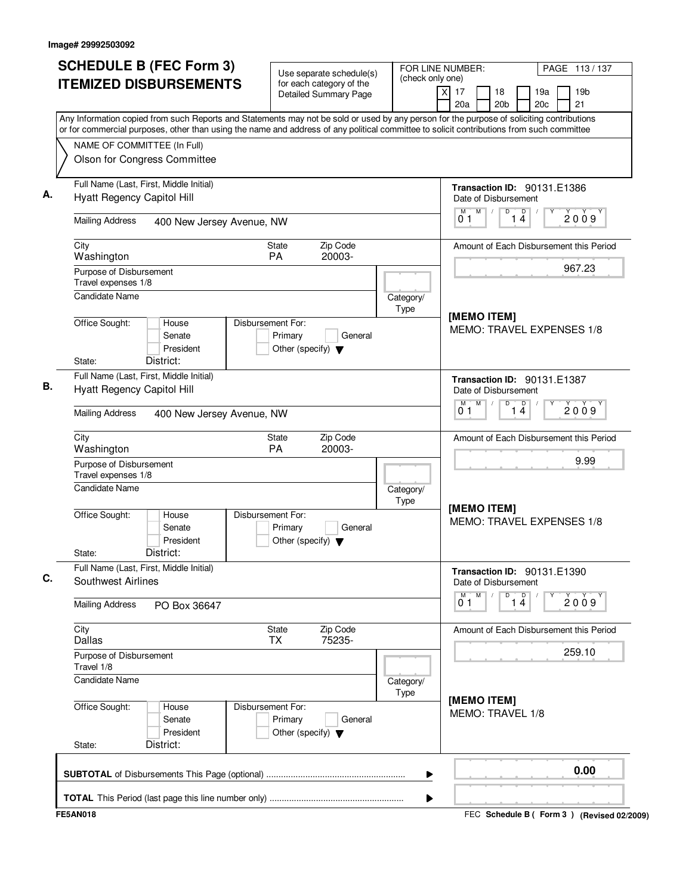| <b>SCHEDULE B (FEC Form 3)</b>                                                                                                                                                                                                                                                         | Use separate schedule(s)                                                        | FOR LINE NUMBER:<br>(check only one) |                                                                | PAGE 113/137                                |  |
|----------------------------------------------------------------------------------------------------------------------------------------------------------------------------------------------------------------------------------------------------------------------------------------|---------------------------------------------------------------------------------|--------------------------------------|----------------------------------------------------------------|---------------------------------------------|--|
| <b>ITEMIZED DISBURSEMENTS</b>                                                                                                                                                                                                                                                          | for each category of the<br>Detailed Summary Page                               |                                      | $\overline{X}$<br>17<br>18<br>20a<br>20 <sub>b</sub>           | 19 <sub>b</sub><br>19a<br>21<br>20c         |  |
| Any Information copied from such Reports and Statements may not be sold or used by any person for the purpose of soliciting contributions<br>or for commercial purposes, other than using the name and address of any political committee to solicit contributions from such committee |                                                                                 |                                      |                                                                |                                             |  |
| NAME OF COMMITTEE (In Full)<br>Olson for Congress Committee                                                                                                                                                                                                                            |                                                                                 |                                      |                                                                |                                             |  |
| Full Name (Last, First, Middle Initial)<br>Hyatt Regency Capitol Hill                                                                                                                                                                                                                  |                                                                                 |                                      | <b>Transaction ID: 90131.E1386</b><br>Date of Disbursement     |                                             |  |
| <b>Mailing Address</b><br>400 New Jersey Avenue, NW                                                                                                                                                                                                                                    |                                                                                 |                                      | M<br>D<br>D<br>14<br>01                                        | 2009                                        |  |
| City<br>Washington                                                                                                                                                                                                                                                                     | Zip Code<br>State<br>PA<br>20003-                                               |                                      |                                                                | Amount of Each Disbursement this Period     |  |
| Purpose of Disbursement<br>Travel expenses 1/8                                                                                                                                                                                                                                         |                                                                                 |                                      |                                                                | 967.23                                      |  |
| <b>Candidate Name</b><br>Office Sought:<br>House<br>Senate                                                                                                                                                                                                                             | Disbursement For:<br>Primary<br>General                                         | Category/<br>Type                    | [MEMO ITEM]<br>MEMO: TRAVEL EXPENSES 1/8                       |                                             |  |
| President<br>District:<br>State:                                                                                                                                                                                                                                                       | Other (specify) $\blacktriangledown$                                            |                                      |                                                                |                                             |  |
| Full Name (Last, First, Middle Initial)<br>Hyatt Regency Capitol Hill                                                                                                                                                                                                                  |                                                                                 |                                      | <b>Transaction ID: 90131.E1387</b><br>Date of Disbursement     |                                             |  |
| <b>Mailing Address</b><br>400 New Jersey Avenue, NW                                                                                                                                                                                                                                    |                                                                                 |                                      | M<br>D<br>M<br>$\overline{1\,4}$<br>01                         | 2009                                        |  |
| City<br>Washington                                                                                                                                                                                                                                                                     | Zip Code<br>State<br>PA<br>20003-                                               |                                      | Amount of Each Disbursement this Period<br>9.99<br>[MEMO ITEM] |                                             |  |
| Purpose of Disbursement<br>Travel expenses 1/8                                                                                                                                                                                                                                         |                                                                                 |                                      |                                                                |                                             |  |
| <b>Candidate Name</b>                                                                                                                                                                                                                                                                  |                                                                                 | Category/<br>Type                    |                                                                |                                             |  |
| Office Sought:<br>House<br>Senate<br>President<br>District:<br>State:                                                                                                                                                                                                                  | Disbursement For:<br>Primary<br>General<br>Other (specify) $\blacktriangledown$ |                                      | MEMO: TRAVEL EXPENSES 1/8                                      |                                             |  |
| Full Name (Last, First, Middle Initial)<br>Southwest Airlines                                                                                                                                                                                                                          |                                                                                 |                                      | <b>Transaction ID: 90131.E1390</b><br>Date of Disbursement     |                                             |  |
| <b>Mailing Address</b><br>PO Box 36647                                                                                                                                                                                                                                                 |                                                                                 |                                      | $\overline{1\ 4}$ <sup>1</sup><br>M<br>D<br>01                 | 2009                                        |  |
| City<br><b>Dallas</b>                                                                                                                                                                                                                                                                  | Zip Code<br>State<br>75235-<br>ТX                                               |                                      |                                                                | Amount of Each Disbursement this Period     |  |
| Purpose of Disbursement<br>Travel 1/8                                                                                                                                                                                                                                                  |                                                                                 |                                      |                                                                | 259.10                                      |  |
| Candidate Name                                                                                                                                                                                                                                                                         |                                                                                 | Category/<br>Type                    | [MEMO ITEM]                                                    |                                             |  |
| Office Sought:<br>House<br>Senate<br>President<br>District:<br>State:                                                                                                                                                                                                                  | Disbursement For:<br>Primary<br>General<br>Other (specify) $\blacktriangledown$ |                                      | MEMO: TRAVEL 1/8                                               |                                             |  |
|                                                                                                                                                                                                                                                                                        |                                                                                 | ▶                                    |                                                                | 0.00                                        |  |
|                                                                                                                                                                                                                                                                                        |                                                                                 | ▶                                    |                                                                |                                             |  |
| <b>FE5AN018</b>                                                                                                                                                                                                                                                                        |                                                                                 |                                      |                                                                | FEC Schedule B ( Form 3 ) (Revised 02/2009) |  |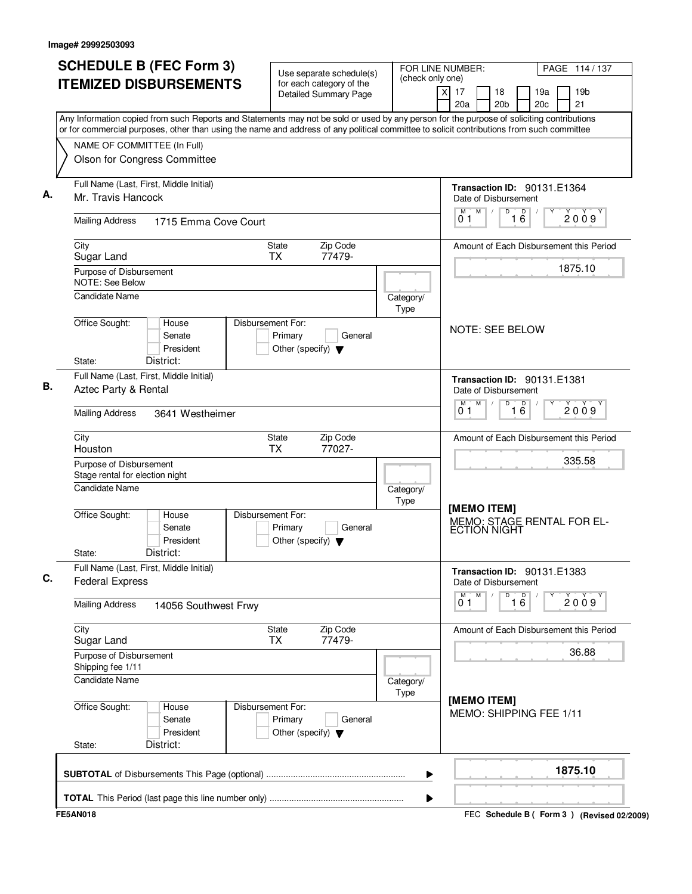| <b>SCHEDULE B (FEC Form 3)</b>                                                                                                                                                                                                                                                         | FOR LINE NUMBER:<br>Use separate schedule(s)<br>(check only one)                |                          |                                      |                                                     | PAGE 114 / 137       |                        |                                             |
|----------------------------------------------------------------------------------------------------------------------------------------------------------------------------------------------------------------------------------------------------------------------------------------|---------------------------------------------------------------------------------|--------------------------|--------------------------------------|-----------------------------------------------------|----------------------|------------------------|---------------------------------------------|
| <b>ITEMIZED DISBURSEMENTS</b>                                                                                                                                                                                                                                                          | for each category of the<br><b>Detailed Summary Page</b>                        |                          | $\overline{\mathsf{x}}$<br>17<br>20a | 18<br>20 <sub>b</sub>                               |                      | 19a<br>20 <sub>c</sub> | 19 <sub>b</sub><br>21                       |
| Any Information copied from such Reports and Statements may not be sold or used by any person for the purpose of soliciting contributions<br>or for commercial purposes, other than using the name and address of any political committee to solicit contributions from such committee |                                                                                 |                          |                                      |                                                     |                      |                        |                                             |
| NAME OF COMMITTEE (In Full)                                                                                                                                                                                                                                                            |                                                                                 |                          |                                      |                                                     |                      |                        |                                             |
| Olson for Congress Committee                                                                                                                                                                                                                                                           |                                                                                 |                          |                                      |                                                     |                      |                        |                                             |
| Full Name (Last, First, Middle Initial)                                                                                                                                                                                                                                                |                                                                                 |                          |                                      | Transaction ID: 90131.E1364                         |                      |                        |                                             |
| Mr. Travis Hancock                                                                                                                                                                                                                                                                     |                                                                                 |                          |                                      | Date of Disbursement                                |                      |                        |                                             |
| <b>Mailing Address</b><br>1715 Emma Cove Court                                                                                                                                                                                                                                         |                                                                                 |                          | M<br>01                              | M<br>D                                              | $\overline{D}$<br>16 |                        | 2009                                        |
| City                                                                                                                                                                                                                                                                                   | Zip Code<br>State                                                               |                          |                                      |                                                     |                      |                        | Amount of Each Disbursement this Period     |
| Sugar Land                                                                                                                                                                                                                                                                             | 77479-<br>TX                                                                    |                          |                                      |                                                     |                      |                        | 1875.10                                     |
| Purpose of Disbursement<br><b>NOTE: See Below</b>                                                                                                                                                                                                                                      |                                                                                 |                          |                                      |                                                     |                      |                        |                                             |
| <b>Candidate Name</b>                                                                                                                                                                                                                                                                  |                                                                                 | Category/<br><b>Type</b> |                                      |                                                     |                      |                        |                                             |
| Office Sought:<br>House<br>Senate                                                                                                                                                                                                                                                      | Disbursement For:<br>Primary<br>General                                         |                          |                                      | <b>NOTE: SEE BELOW</b>                              |                      |                        |                                             |
| President                                                                                                                                                                                                                                                                              | Other (specify) $\blacktriangledown$                                            |                          |                                      |                                                     |                      |                        |                                             |
| District:<br>State:                                                                                                                                                                                                                                                                    |                                                                                 |                          |                                      |                                                     |                      |                        |                                             |
| Full Name (Last, First, Middle Initial)<br>Aztec Party & Rental                                                                                                                                                                                                                        |                                                                                 |                          |                                      | <b>Transaction ID: 90131.E1381</b>                  |                      |                        |                                             |
|                                                                                                                                                                                                                                                                                        |                                                                                 |                          | M                                    | Date of Disbursement<br>M<br>D                      |                      |                        |                                             |
| <b>Mailing Address</b><br>3641 Westheimer                                                                                                                                                                                                                                              |                                                                                 |                          | 01                                   |                                                     | $\overline{16}$      |                        | 2009                                        |
| City<br>Houston                                                                                                                                                                                                                                                                        | Zip Code<br>State<br><b>TX</b><br>77027-                                        |                          |                                      |                                                     |                      |                        | Amount of Each Disbursement this Period     |
| Purpose of Disbursement<br>Stage rental for election night                                                                                                                                                                                                                             |                                                                                 |                          |                                      |                                                     |                      |                        | 335.58                                      |
| Candidate Name                                                                                                                                                                                                                                                                         |                                                                                 | Category/<br><b>Type</b> |                                      |                                                     |                      |                        |                                             |
| Office Sought:<br>House<br>Senate<br>President<br>District:<br>State:                                                                                                                                                                                                                  | Disbursement For:<br>Primary<br>General<br>Other (specify) $\blacktriangledown$ |                          |                                      | [MEMO ITEM]<br><b>ECTION NIGHT</b>                  |                      |                        | MEMO: STAGE RENTAL FOR EL-                  |
| Full Name (Last, First, Middle Initial)<br><b>Federal Express</b>                                                                                                                                                                                                                      |                                                                                 |                          |                                      | Transaction ID: 90131.E1383<br>Date of Disbursement |                      |                        |                                             |
| <b>Mailing Address</b><br>14056 Southwest Frwy                                                                                                                                                                                                                                         |                                                                                 |                          | 01                                   | M<br>D                                              | 16                   | Υ                      | 2009                                        |
| City<br>Sugar Land                                                                                                                                                                                                                                                                     | Zip Code<br>State<br>77479-<br><b>TX</b>                                        |                          |                                      |                                                     |                      |                        | Amount of Each Disbursement this Period     |
| Purpose of Disbursement<br>Shipping fee 1/11                                                                                                                                                                                                                                           |                                                                                 |                          |                                      |                                                     |                      |                        | 36.88                                       |
| <b>Candidate Name</b>                                                                                                                                                                                                                                                                  |                                                                                 | Category/<br>Type        |                                      |                                                     |                      |                        |                                             |
| Office Sought:<br>House<br>Senate<br>President<br>District:<br>State:                                                                                                                                                                                                                  | Disbursement For:<br>Primary<br>General<br>Other (specify) $\blacktriangledown$ |                          |                                      | [MEMO ITEM]<br>MEMO: SHIPPING FEE 1/11              |                      |                        |                                             |
|                                                                                                                                                                                                                                                                                        |                                                                                 | ▶                        |                                      |                                                     |                      |                        | 1875.10                                     |
|                                                                                                                                                                                                                                                                                        |                                                                                 | ▶                        |                                      |                                                     |                      |                        |                                             |
| <b>FE5AN018</b>                                                                                                                                                                                                                                                                        |                                                                                 |                          |                                      |                                                     |                      |                        | FEC Schedule B ( Form 3 ) (Revised 02/2009) |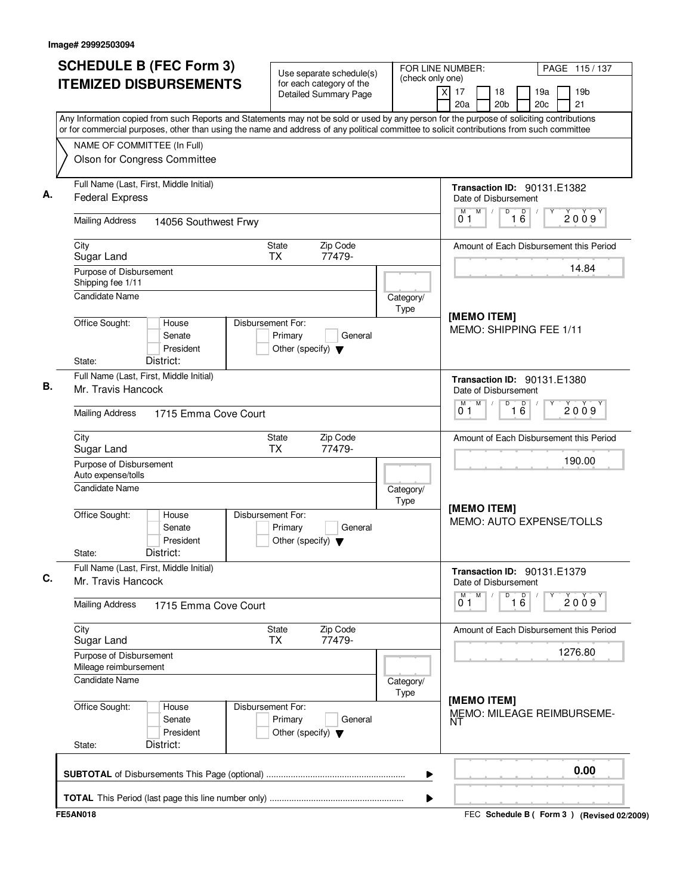| <b>SCHEDULE B (FEC Form 3)</b>                                                                                                                                                                                                                                                         | Use separate schedule(s)<br>(check only one)                                    |                   | FOR LINE NUMBER:                                         | PAGE 115/137                              |  |  |
|----------------------------------------------------------------------------------------------------------------------------------------------------------------------------------------------------------------------------------------------------------------------------------------|---------------------------------------------------------------------------------|-------------------|----------------------------------------------------------|-------------------------------------------|--|--|
| <b>ITEMIZED DISBURSEMENTS</b>                                                                                                                                                                                                                                                          | for each category of the<br><b>Detailed Summary Page</b>                        |                   | $\overline{x}$<br>17<br>18<br>20a<br>20 <sub>b</sub>     | 19a<br>19 <sub>b</sub><br>21<br>20c       |  |  |
| Any Information copied from such Reports and Statements may not be sold or used by any person for the purpose of soliciting contributions<br>or for commercial purposes, other than using the name and address of any political committee to solicit contributions from such committee |                                                                                 |                   |                                                          |                                           |  |  |
| NAME OF COMMITTEE (In Full)                                                                                                                                                                                                                                                            |                                                                                 |                   |                                                          |                                           |  |  |
| Olson for Congress Committee                                                                                                                                                                                                                                                           |                                                                                 |                   |                                                          |                                           |  |  |
| Full Name (Last, First, Middle Initial)<br><b>Federal Express</b>                                                                                                                                                                                                                      |                                                                                 |                   | Transaction ID: 90131.E1382<br>Date of Disbursement      |                                           |  |  |
| <b>Mailing Address</b><br>14056 Southwest Frwy                                                                                                                                                                                                                                         |                                                                                 |                   | M<br>16<br>M<br>D<br>01                                  | 2009                                      |  |  |
| City<br>Sugar Land                                                                                                                                                                                                                                                                     | Zip Code<br>State<br><b>TX</b><br>77479-                                        |                   |                                                          | Amount of Each Disbursement this Period   |  |  |
| Purpose of Disbursement<br>Shipping fee 1/11                                                                                                                                                                                                                                           |                                                                                 |                   |                                                          | 14.84                                     |  |  |
| <b>Candidate Name</b>                                                                                                                                                                                                                                                                  |                                                                                 | Category/<br>Type | [MEMO ITEM]                                              |                                           |  |  |
| Office Sought:<br>House<br>Senate<br>President<br>District:<br>State:                                                                                                                                                                                                                  | Disbursement For:<br>Primary<br>General<br>Other (specify) $\blacktriangledown$ |                   | MEMO: SHIPPING FEE 1/11                                  |                                           |  |  |
| Full Name (Last, First, Middle Initial)<br>Mr. Travis Hancock                                                                                                                                                                                                                          |                                                                                 |                   | Transaction ID: 90131.E1380<br>Date of Disbursement      |                                           |  |  |
| <b>Mailing Address</b><br>1715 Emma Cove Court                                                                                                                                                                                                                                         |                                                                                 |                   | M<br>D<br>м<br>$\overline{16}$<br>2009<br>0 <sub>1</sub> |                                           |  |  |
| City<br>Sugar Land                                                                                                                                                                                                                                                                     | Zip Code<br>State<br><b>TX</b><br>77479-                                        |                   | Amount of Each Disbursement this Period                  |                                           |  |  |
| Purpose of Disbursement<br>Auto expense/tolls                                                                                                                                                                                                                                          |                                                                                 |                   | 190.00                                                   |                                           |  |  |
| <b>Candidate Name</b>                                                                                                                                                                                                                                                                  |                                                                                 | Category/<br>Type | [MEMO ITEM]<br>MEMO: AUTO EXPENSE/TOLLS                  |                                           |  |  |
| Office Sought:<br>House<br>Senate<br>President<br>District:<br>State:                                                                                                                                                                                                                  | Disbursement For:<br>Primary<br>General<br>Other (specify) $\blacktriangledown$ |                   |                                                          |                                           |  |  |
| Full Name (Last, First, Middle Initial)<br>Mr. Travis Hancock                                                                                                                                                                                                                          |                                                                                 |                   | Transaction ID: 90131.E1379<br>Date of Disbursement      |                                           |  |  |
| <b>Mailing Address</b><br>1715 Emma Cove Court                                                                                                                                                                                                                                         |                                                                                 |                   | M<br>D<br>$\overline{16}$<br>0 <sub>1</sub>              | 2009                                      |  |  |
| City<br>Sugar Land                                                                                                                                                                                                                                                                     | State<br>Zip Code<br>77479-<br><b>TX</b>                                        |                   |                                                          | Amount of Each Disbursement this Period   |  |  |
| Purpose of Disbursement<br>Mileage reimbursement                                                                                                                                                                                                                                       |                                                                                 |                   |                                                          | 1276.80                                   |  |  |
| Candidate Name                                                                                                                                                                                                                                                                         |                                                                                 | Category/<br>Type | [MEMO ITEM]                                              |                                           |  |  |
| Office Sought:<br>House<br>Senate<br>President<br>District:<br>State:                                                                                                                                                                                                                  | Disbursement For:<br>Primary<br>General<br>Other (specify) $\blacktriangledown$ |                   | NΤ                                                       | MEMO: MILEAGE REIMBURSEME-                |  |  |
|                                                                                                                                                                                                                                                                                        |                                                                                 | ▶                 |                                                          | 0.00                                      |  |  |
|                                                                                                                                                                                                                                                                                        |                                                                                 | ▶                 |                                                          |                                           |  |  |
| <b>FE5AN018</b>                                                                                                                                                                                                                                                                        |                                                                                 |                   |                                                          | FEC Schedule B (Form 3) (Revised 02/2009) |  |  |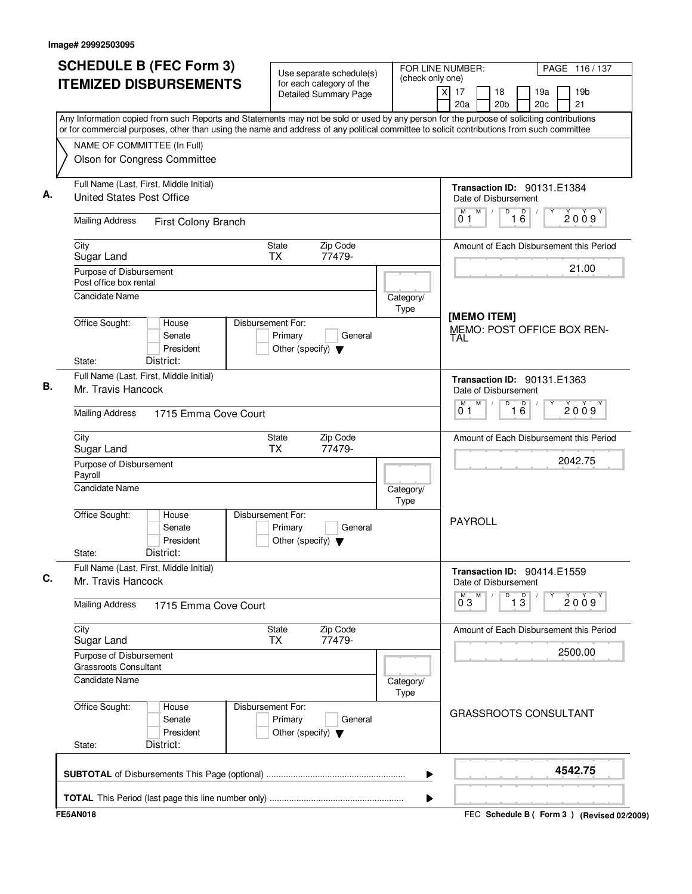| <b>ITEMIZED DISBURSEMENTS</b><br>for each category of the<br>Detailed Summary Page<br>Any Information copied from such Reports and Statements may not be sold or used by any person for the purpose of soliciting contributions<br>or for commercial purposes, other than using the name and address of any political committee to solicit contributions from such committee<br>NAME OF COMMITTEE (In Full)<br>Olson for Congress Committee<br>Full Name (Last, First, Middle Initial)<br><b>United States Post Office</b><br><b>Mailing Address</b><br>First Colony Branch<br>Zip Code<br>City<br>State<br><b>TX</b><br>77479-<br>Sugar Land<br>Purpose of Disbursement<br>Post office box rental<br><b>Candidate Name</b><br>Office Sought:<br>House<br>Disbursement For:<br>Senate<br>Primary<br>General<br>President<br>Other (specify) $\blacktriangledown$<br>District:<br>State:<br>Full Name (Last, First, Middle Initial)<br>Mr. Travis Hancock<br><b>Mailing Address</b><br>1715 Emma Cove Court<br>Zip Code<br>City<br>State<br>Sugar Land<br><b>TX</b><br>77479-<br>Purpose of Disbursement<br>Payroll<br><b>Candidate Name</b><br>Office Sought:<br>Disbursement For:<br>House<br>Senate<br>Primary<br>General<br>President<br>Other (specify) $\blacktriangledown$<br>District:<br>State:<br>Full Name (Last, First, Middle Initial)<br>Mr. Travis Hancock<br><b>Mailing Address</b><br>1715 Emma Cove Court<br>City<br>Zip Code<br>State<br>77479-<br>ТX<br>Sugar Land<br>Purpose of Disbursement<br>Grassroots Consultant<br>Candidate Name | (check only one)<br>$\overline{X}$<br>17<br>19 <sub>b</sub><br>18<br>19a<br>21<br>20a<br>20 <sub>b</sub><br>20c |
|-------------------------------------------------------------------------------------------------------------------------------------------------------------------------------------------------------------------------------------------------------------------------------------------------------------------------------------------------------------------------------------------------------------------------------------------------------------------------------------------------------------------------------------------------------------------------------------------------------------------------------------------------------------------------------------------------------------------------------------------------------------------------------------------------------------------------------------------------------------------------------------------------------------------------------------------------------------------------------------------------------------------------------------------------------------------------------------------------------------------------------------------------------------------------------------------------------------------------------------------------------------------------------------------------------------------------------------------------------------------------------------------------------------------------------------------------------------------------------------------------------------------------------------------------------------|-----------------------------------------------------------------------------------------------------------------|
|                                                                                                                                                                                                                                                                                                                                                                                                                                                                                                                                                                                                                                                                                                                                                                                                                                                                                                                                                                                                                                                                                                                                                                                                                                                                                                                                                                                                                                                                                                                                                             |                                                                                                                 |
|                                                                                                                                                                                                                                                                                                                                                                                                                                                                                                                                                                                                                                                                                                                                                                                                                                                                                                                                                                                                                                                                                                                                                                                                                                                                                                                                                                                                                                                                                                                                                             |                                                                                                                 |
|                                                                                                                                                                                                                                                                                                                                                                                                                                                                                                                                                                                                                                                                                                                                                                                                                                                                                                                                                                                                                                                                                                                                                                                                                                                                                                                                                                                                                                                                                                                                                             |                                                                                                                 |
|                                                                                                                                                                                                                                                                                                                                                                                                                                                                                                                                                                                                                                                                                                                                                                                                                                                                                                                                                                                                                                                                                                                                                                                                                                                                                                                                                                                                                                                                                                                                                             | Transaction ID: 90131.E1384<br>Date of Disbursement                                                             |
|                                                                                                                                                                                                                                                                                                                                                                                                                                                                                                                                                                                                                                                                                                                                                                                                                                                                                                                                                                                                                                                                                                                                                                                                                                                                                                                                                                                                                                                                                                                                                             | M<br>D<br>D<br>2009<br>16<br>01                                                                                 |
|                                                                                                                                                                                                                                                                                                                                                                                                                                                                                                                                                                                                                                                                                                                                                                                                                                                                                                                                                                                                                                                                                                                                                                                                                                                                                                                                                                                                                                                                                                                                                             | Amount of Each Disbursement this Period                                                                         |
|                                                                                                                                                                                                                                                                                                                                                                                                                                                                                                                                                                                                                                                                                                                                                                                                                                                                                                                                                                                                                                                                                                                                                                                                                                                                                                                                                                                                                                                                                                                                                             | 21.00                                                                                                           |
|                                                                                                                                                                                                                                                                                                                                                                                                                                                                                                                                                                                                                                                                                                                                                                                                                                                                                                                                                                                                                                                                                                                                                                                                                                                                                                                                                                                                                                                                                                                                                             | Category/<br>Type<br>[MEMO ITEM]<br>MEMO: POST OFFICE BOX REN-<br>TAL                                           |
|                                                                                                                                                                                                                                                                                                                                                                                                                                                                                                                                                                                                                                                                                                                                                                                                                                                                                                                                                                                                                                                                                                                                                                                                                                                                                                                                                                                                                                                                                                                                                             | Transaction ID: 90131.E1363                                                                                     |
|                                                                                                                                                                                                                                                                                                                                                                                                                                                                                                                                                                                                                                                                                                                                                                                                                                                                                                                                                                                                                                                                                                                                                                                                                                                                                                                                                                                                                                                                                                                                                             | Date of Disbursement<br>M<br>D<br>M<br>$\overline{16}$<br>2009<br>01                                            |
|                                                                                                                                                                                                                                                                                                                                                                                                                                                                                                                                                                                                                                                                                                                                                                                                                                                                                                                                                                                                                                                                                                                                                                                                                                                                                                                                                                                                                                                                                                                                                             | Amount of Each Disbursement this Period                                                                         |
|                                                                                                                                                                                                                                                                                                                                                                                                                                                                                                                                                                                                                                                                                                                                                                                                                                                                                                                                                                                                                                                                                                                                                                                                                                                                                                                                                                                                                                                                                                                                                             | 2042.75                                                                                                         |
|                                                                                                                                                                                                                                                                                                                                                                                                                                                                                                                                                                                                                                                                                                                                                                                                                                                                                                                                                                                                                                                                                                                                                                                                                                                                                                                                                                                                                                                                                                                                                             | Category/<br>Type                                                                                               |
|                                                                                                                                                                                                                                                                                                                                                                                                                                                                                                                                                                                                                                                                                                                                                                                                                                                                                                                                                                                                                                                                                                                                                                                                                                                                                                                                                                                                                                                                                                                                                             | <b>PAYROLL</b>                                                                                                  |
|                                                                                                                                                                                                                                                                                                                                                                                                                                                                                                                                                                                                                                                                                                                                                                                                                                                                                                                                                                                                                                                                                                                                                                                                                                                                                                                                                                                                                                                                                                                                                             | <b>Transaction ID: 90414.E1559</b><br>Date of Disbursement                                                      |
|                                                                                                                                                                                                                                                                                                                                                                                                                                                                                                                                                                                                                                                                                                                                                                                                                                                                                                                                                                                                                                                                                                                                                                                                                                                                                                                                                                                                                                                                                                                                                             | D<br>$\overline{13}$<br>$0^{\circ}3$<br>M<br>2009                                                               |
|                                                                                                                                                                                                                                                                                                                                                                                                                                                                                                                                                                                                                                                                                                                                                                                                                                                                                                                                                                                                                                                                                                                                                                                                                                                                                                                                                                                                                                                                                                                                                             | Amount of Each Disbursement this Period                                                                         |
|                                                                                                                                                                                                                                                                                                                                                                                                                                                                                                                                                                                                                                                                                                                                                                                                                                                                                                                                                                                                                                                                                                                                                                                                                                                                                                                                                                                                                                                                                                                                                             | 2500.00                                                                                                         |
|                                                                                                                                                                                                                                                                                                                                                                                                                                                                                                                                                                                                                                                                                                                                                                                                                                                                                                                                                                                                                                                                                                                                                                                                                                                                                                                                                                                                                                                                                                                                                             | Category/<br>Type                                                                                               |
| Office Sought:<br>Disbursement For:<br>House<br>Senate<br>Primary<br>General<br>President<br>Other (specify) $\blacktriangledown$<br>District:<br>State:                                                                                                                                                                                                                                                                                                                                                                                                                                                                                                                                                                                                                                                                                                                                                                                                                                                                                                                                                                                                                                                                                                                                                                                                                                                                                                                                                                                                    | <b>GRASSROOTS CONSULTANT</b>                                                                                    |
|                                                                                                                                                                                                                                                                                                                                                                                                                                                                                                                                                                                                                                                                                                                                                                                                                                                                                                                                                                                                                                                                                                                                                                                                                                                                                                                                                                                                                                                                                                                                                             | 4542.75<br>▶                                                                                                    |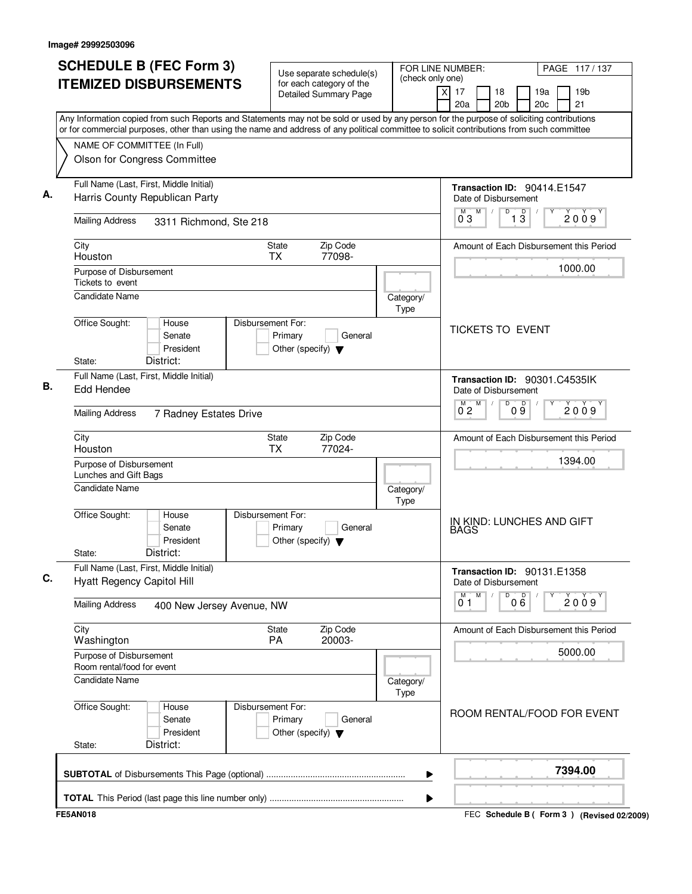| <b>ITEMIZED DISBURSEMENTS</b><br>for each category of the<br>$\times$<br>17<br>18<br>19a<br>19 <sub>b</sub><br><b>Detailed Summary Page</b><br>20a<br>20 <sub>b</sub><br>20 <sub>c</sub><br>21<br>Any Information copied from such Reports and Statements may not be sold or used by any person for the purpose of soliciting contributions<br>or for commercial purposes, other than using the name and address of any political committee to solicit contributions from such committee<br>NAME OF COMMITTEE (In Full)<br>Olson for Congress Committee<br>Full Name (Last, First, Middle Initial)<br>Transaction ID: 90414.E1547<br>Harris County Republican Party<br>Date of Disbursement<br>M<br>M<br>D<br>$\overline{13}$<br>2009<br>$0^{\degree}3$<br><b>Mailing Address</b><br>3311 Richmond, Ste 218<br>Zip Code<br>City<br>State<br><b>TX</b><br>77098-<br>Houston<br>1000.00<br>Purpose of Disbursement<br>Tickets to event<br>Candidate Name<br>Category/<br>Type<br>Office Sought:<br>Disbursement For:<br>House<br><b>TICKETS TO EVENT</b><br>Primary<br>Senate<br>General<br>President<br>Other (specify) $\blacktriangledown$<br>District:<br>State:<br>Full Name (Last, First, Middle Initial)<br>Transaction ID: 90301.C4535IK<br>Edd Hendee<br>Date of Disbursement<br>M<br>D<br>09<br>м<br>2009<br>$0^{\degree}2$<br><b>Mailing Address</b><br>7 Radney Estates Drive<br>Zip Code<br>City<br>State<br><b>TX</b><br>77024-<br>Houston<br>1394.00<br>Purpose of Disbursement<br>Lunches and Gift Bags<br>Candidate Name<br>Category/<br>Type<br>Office Sought:<br>Disbursement For:<br>House<br>IN KIND: LUNCHES AND GIFT<br>Senate<br>Primary<br>General<br><b>BAGS</b><br>President<br>Other (specify) $\blacktriangledown$<br>District:<br>State:<br>Full Name (Last, First, Middle Initial)<br>Transaction ID: 90131.E1358<br><b>Hyatt Regency Capitol Hill</b><br>Date of Disbursement<br>M<br>D<br>000<br>м<br>2009<br>01<br><b>Mailing Address</b><br>400 New Jersey Avenue, NW<br>City<br>Zip Code<br><b>State</b><br>PA<br>20003-<br>Washington<br>5000.00<br>Purpose of Disbursement<br>Room rental/food for event<br>Candidate Name<br>Category/<br>Type<br>Office Sought:<br>Disbursement For:<br>House<br>Primary<br>Senate<br>General<br>President<br>Other (specify) $\blacktriangledown$<br>District:<br>State: | <b>SCHEDULE B (FEC Form 3)</b> | Use separate schedule(s) | FOR LINE NUMBER:<br>(check only one) | PAGE 117/137                                |
|-------------------------------------------------------------------------------------------------------------------------------------------------------------------------------------------------------------------------------------------------------------------------------------------------------------------------------------------------------------------------------------------------------------------------------------------------------------------------------------------------------------------------------------------------------------------------------------------------------------------------------------------------------------------------------------------------------------------------------------------------------------------------------------------------------------------------------------------------------------------------------------------------------------------------------------------------------------------------------------------------------------------------------------------------------------------------------------------------------------------------------------------------------------------------------------------------------------------------------------------------------------------------------------------------------------------------------------------------------------------------------------------------------------------------------------------------------------------------------------------------------------------------------------------------------------------------------------------------------------------------------------------------------------------------------------------------------------------------------------------------------------------------------------------------------------------------------------------------------------------------------------------------------------------------------------------------------------------------------------------------------------------------------------------------------------------------------------------------------------------------------------------------------------------------------------------------------------------------------------------------------------------------------------------------------------------------------------------------|--------------------------------|--------------------------|--------------------------------------|---------------------------------------------|
|                                                                                                                                                                                                                                                                                                                                                                                                                                                                                                                                                                                                                                                                                                                                                                                                                                                                                                                                                                                                                                                                                                                                                                                                                                                                                                                                                                                                                                                                                                                                                                                                                                                                                                                                                                                                                                                                                                                                                                                                                                                                                                                                                                                                                                                                                                                                                 |                                |                          |                                      |                                             |
|                                                                                                                                                                                                                                                                                                                                                                                                                                                                                                                                                                                                                                                                                                                                                                                                                                                                                                                                                                                                                                                                                                                                                                                                                                                                                                                                                                                                                                                                                                                                                                                                                                                                                                                                                                                                                                                                                                                                                                                                                                                                                                                                                                                                                                                                                                                                                 |                                |                          |                                      |                                             |
|                                                                                                                                                                                                                                                                                                                                                                                                                                                                                                                                                                                                                                                                                                                                                                                                                                                                                                                                                                                                                                                                                                                                                                                                                                                                                                                                                                                                                                                                                                                                                                                                                                                                                                                                                                                                                                                                                                                                                                                                                                                                                                                                                                                                                                                                                                                                                 |                                |                          |                                      |                                             |
|                                                                                                                                                                                                                                                                                                                                                                                                                                                                                                                                                                                                                                                                                                                                                                                                                                                                                                                                                                                                                                                                                                                                                                                                                                                                                                                                                                                                                                                                                                                                                                                                                                                                                                                                                                                                                                                                                                                                                                                                                                                                                                                                                                                                                                                                                                                                                 |                                |                          |                                      |                                             |
|                                                                                                                                                                                                                                                                                                                                                                                                                                                                                                                                                                                                                                                                                                                                                                                                                                                                                                                                                                                                                                                                                                                                                                                                                                                                                                                                                                                                                                                                                                                                                                                                                                                                                                                                                                                                                                                                                                                                                                                                                                                                                                                                                                                                                                                                                                                                                 |                                |                          |                                      |                                             |
|                                                                                                                                                                                                                                                                                                                                                                                                                                                                                                                                                                                                                                                                                                                                                                                                                                                                                                                                                                                                                                                                                                                                                                                                                                                                                                                                                                                                                                                                                                                                                                                                                                                                                                                                                                                                                                                                                                                                                                                                                                                                                                                                                                                                                                                                                                                                                 |                                |                          |                                      |                                             |
|                                                                                                                                                                                                                                                                                                                                                                                                                                                                                                                                                                                                                                                                                                                                                                                                                                                                                                                                                                                                                                                                                                                                                                                                                                                                                                                                                                                                                                                                                                                                                                                                                                                                                                                                                                                                                                                                                                                                                                                                                                                                                                                                                                                                                                                                                                                                                 |                                |                          |                                      | Amount of Each Disbursement this Period     |
|                                                                                                                                                                                                                                                                                                                                                                                                                                                                                                                                                                                                                                                                                                                                                                                                                                                                                                                                                                                                                                                                                                                                                                                                                                                                                                                                                                                                                                                                                                                                                                                                                                                                                                                                                                                                                                                                                                                                                                                                                                                                                                                                                                                                                                                                                                                                                 |                                |                          |                                      |                                             |
|                                                                                                                                                                                                                                                                                                                                                                                                                                                                                                                                                                                                                                                                                                                                                                                                                                                                                                                                                                                                                                                                                                                                                                                                                                                                                                                                                                                                                                                                                                                                                                                                                                                                                                                                                                                                                                                                                                                                                                                                                                                                                                                                                                                                                                                                                                                                                 |                                |                          |                                      |                                             |
|                                                                                                                                                                                                                                                                                                                                                                                                                                                                                                                                                                                                                                                                                                                                                                                                                                                                                                                                                                                                                                                                                                                                                                                                                                                                                                                                                                                                                                                                                                                                                                                                                                                                                                                                                                                                                                                                                                                                                                                                                                                                                                                                                                                                                                                                                                                                                 |                                |                          |                                      |                                             |
|                                                                                                                                                                                                                                                                                                                                                                                                                                                                                                                                                                                                                                                                                                                                                                                                                                                                                                                                                                                                                                                                                                                                                                                                                                                                                                                                                                                                                                                                                                                                                                                                                                                                                                                                                                                                                                                                                                                                                                                                                                                                                                                                                                                                                                                                                                                                                 |                                |                          |                                      |                                             |
|                                                                                                                                                                                                                                                                                                                                                                                                                                                                                                                                                                                                                                                                                                                                                                                                                                                                                                                                                                                                                                                                                                                                                                                                                                                                                                                                                                                                                                                                                                                                                                                                                                                                                                                                                                                                                                                                                                                                                                                                                                                                                                                                                                                                                                                                                                                                                 |                                |                          |                                      |                                             |
|                                                                                                                                                                                                                                                                                                                                                                                                                                                                                                                                                                                                                                                                                                                                                                                                                                                                                                                                                                                                                                                                                                                                                                                                                                                                                                                                                                                                                                                                                                                                                                                                                                                                                                                                                                                                                                                                                                                                                                                                                                                                                                                                                                                                                                                                                                                                                 |                                |                          |                                      | Amount of Each Disbursement this Period     |
|                                                                                                                                                                                                                                                                                                                                                                                                                                                                                                                                                                                                                                                                                                                                                                                                                                                                                                                                                                                                                                                                                                                                                                                                                                                                                                                                                                                                                                                                                                                                                                                                                                                                                                                                                                                                                                                                                                                                                                                                                                                                                                                                                                                                                                                                                                                                                 |                                |                          |                                      |                                             |
|                                                                                                                                                                                                                                                                                                                                                                                                                                                                                                                                                                                                                                                                                                                                                                                                                                                                                                                                                                                                                                                                                                                                                                                                                                                                                                                                                                                                                                                                                                                                                                                                                                                                                                                                                                                                                                                                                                                                                                                                                                                                                                                                                                                                                                                                                                                                                 |                                |                          |                                      |                                             |
|                                                                                                                                                                                                                                                                                                                                                                                                                                                                                                                                                                                                                                                                                                                                                                                                                                                                                                                                                                                                                                                                                                                                                                                                                                                                                                                                                                                                                                                                                                                                                                                                                                                                                                                                                                                                                                                                                                                                                                                                                                                                                                                                                                                                                                                                                                                                                 |                                |                          |                                      |                                             |
|                                                                                                                                                                                                                                                                                                                                                                                                                                                                                                                                                                                                                                                                                                                                                                                                                                                                                                                                                                                                                                                                                                                                                                                                                                                                                                                                                                                                                                                                                                                                                                                                                                                                                                                                                                                                                                                                                                                                                                                                                                                                                                                                                                                                                                                                                                                                                 |                                |                          |                                      |                                             |
|                                                                                                                                                                                                                                                                                                                                                                                                                                                                                                                                                                                                                                                                                                                                                                                                                                                                                                                                                                                                                                                                                                                                                                                                                                                                                                                                                                                                                                                                                                                                                                                                                                                                                                                                                                                                                                                                                                                                                                                                                                                                                                                                                                                                                                                                                                                                                 |                                |                          |                                      |                                             |
|                                                                                                                                                                                                                                                                                                                                                                                                                                                                                                                                                                                                                                                                                                                                                                                                                                                                                                                                                                                                                                                                                                                                                                                                                                                                                                                                                                                                                                                                                                                                                                                                                                                                                                                                                                                                                                                                                                                                                                                                                                                                                                                                                                                                                                                                                                                                                 |                                |                          |                                      | Amount of Each Disbursement this Period     |
|                                                                                                                                                                                                                                                                                                                                                                                                                                                                                                                                                                                                                                                                                                                                                                                                                                                                                                                                                                                                                                                                                                                                                                                                                                                                                                                                                                                                                                                                                                                                                                                                                                                                                                                                                                                                                                                                                                                                                                                                                                                                                                                                                                                                                                                                                                                                                 |                                |                          |                                      |                                             |
|                                                                                                                                                                                                                                                                                                                                                                                                                                                                                                                                                                                                                                                                                                                                                                                                                                                                                                                                                                                                                                                                                                                                                                                                                                                                                                                                                                                                                                                                                                                                                                                                                                                                                                                                                                                                                                                                                                                                                                                                                                                                                                                                                                                                                                                                                                                                                 |                                |                          |                                      |                                             |
|                                                                                                                                                                                                                                                                                                                                                                                                                                                                                                                                                                                                                                                                                                                                                                                                                                                                                                                                                                                                                                                                                                                                                                                                                                                                                                                                                                                                                                                                                                                                                                                                                                                                                                                                                                                                                                                                                                                                                                                                                                                                                                                                                                                                                                                                                                                                                 |                                |                          |                                      | ROOM RENTAL/FOOD FOR EVENT                  |
| ▶                                                                                                                                                                                                                                                                                                                                                                                                                                                                                                                                                                                                                                                                                                                                                                                                                                                                                                                                                                                                                                                                                                                                                                                                                                                                                                                                                                                                                                                                                                                                                                                                                                                                                                                                                                                                                                                                                                                                                                                                                                                                                                                                                                                                                                                                                                                                               |                                |                          |                                      | 7394.00                                     |
|                                                                                                                                                                                                                                                                                                                                                                                                                                                                                                                                                                                                                                                                                                                                                                                                                                                                                                                                                                                                                                                                                                                                                                                                                                                                                                                                                                                                                                                                                                                                                                                                                                                                                                                                                                                                                                                                                                                                                                                                                                                                                                                                                                                                                                                                                                                                                 | <b>FE5AN018</b>                |                          |                                      | FEC Schedule B ( Form 3 ) (Revised 02/2009) |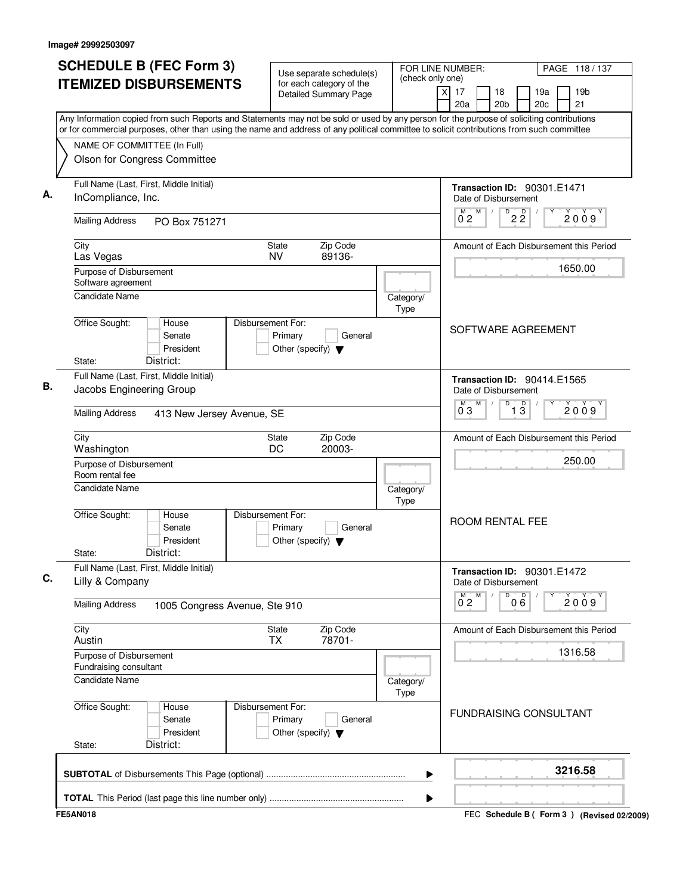| <b>SCHEDULE B (FEC Form 3)</b>                                                                                                                                                                                                                                                         | Use separate schedule(s)<br>(check only one)                                    |                   | FOR LINE NUMBER:                                     | PAGE 118 / 137                            |
|----------------------------------------------------------------------------------------------------------------------------------------------------------------------------------------------------------------------------------------------------------------------------------------|---------------------------------------------------------------------------------|-------------------|------------------------------------------------------|-------------------------------------------|
| <b>ITEMIZED DISBURSEMENTS</b>                                                                                                                                                                                                                                                          | for each category of the<br><b>Detailed Summary Page</b>                        |                   | $\overline{x}$<br>17<br>18<br>20a<br>20 <sub>b</sub> | 19a<br>19 <sub>b</sub><br>20c<br>21       |
| Any Information copied from such Reports and Statements may not be sold or used by any person for the purpose of soliciting contributions<br>or for commercial purposes, other than using the name and address of any political committee to solicit contributions from such committee |                                                                                 |                   |                                                      |                                           |
| NAME OF COMMITTEE (In Full)                                                                                                                                                                                                                                                            |                                                                                 |                   |                                                      |                                           |
| Olson for Congress Committee                                                                                                                                                                                                                                                           |                                                                                 |                   |                                                      |                                           |
| Full Name (Last, First, Middle Initial)<br>InCompliance, Inc.                                                                                                                                                                                                                          |                                                                                 |                   | Date of Disbursement                                 | Transaction ID: 90301.E1471               |
| <b>Mailing Address</b><br>PO Box 751271                                                                                                                                                                                                                                                |                                                                                 |                   | M<br>M<br>0 <sub>2</sub>                             | D<br>$2\overline{2}$<br>2009              |
| City<br>Las Vegas                                                                                                                                                                                                                                                                      | Zip Code<br>State<br><b>NV</b><br>89136-                                        |                   |                                                      | Amount of Each Disbursement this Period   |
| Purpose of Disbursement<br>Software agreement                                                                                                                                                                                                                                          |                                                                                 |                   |                                                      | 1650.00                                   |
| <b>Candidate Name</b>                                                                                                                                                                                                                                                                  |                                                                                 | Category/<br>Type |                                                      |                                           |
| Office Sought:<br>House<br>Senate<br>President<br>District:<br>State:                                                                                                                                                                                                                  | Disbursement For:<br>Primary<br>General<br>Other (specify) $\blacktriangledown$ |                   |                                                      | SOFTWARE AGREEMENT                        |
| Full Name (Last, First, Middle Initial)<br>Jacobs Engineering Group                                                                                                                                                                                                                    |                                                                                 |                   | Date of Disbursement                                 | Transaction ID: 90414.E1565               |
| <b>Mailing Address</b><br>413 New Jersey Avenue, SE                                                                                                                                                                                                                                    |                                                                                 |                   | M<br>0 <sub>3</sub>                                  | D<br>$\overline{1\,3}$<br>2009            |
| City<br>Washington                                                                                                                                                                                                                                                                     | Zip Code<br>State<br>DC<br>20003-                                               |                   |                                                      | Amount of Each Disbursement this Period   |
| Purpose of Disbursement<br>Room rental fee                                                                                                                                                                                                                                             |                                                                                 |                   |                                                      | 250.00                                    |
| <b>Candidate Name</b>                                                                                                                                                                                                                                                                  |                                                                                 | Category/<br>Type |                                                      |                                           |
| Office Sought:<br>House<br>Senate<br>President<br>District:<br>State:                                                                                                                                                                                                                  | Disbursement For:<br>Primary<br>General<br>Other (specify) $\blacktriangledown$ |                   | <b>ROOM RENTAL FEE</b>                               |                                           |
| Full Name (Last, First, Middle Initial)<br>Lilly & Company                                                                                                                                                                                                                             |                                                                                 |                   | Date of Disbursement                                 | Transaction ID: 90301.E1472               |
| <b>Mailing Address</b><br>1005 Congress Avenue, Ste 910                                                                                                                                                                                                                                |                                                                                 |                   | $\overline{0}^M$ 2<br>M                              | D<br>000<br>2009                          |
| City<br>Austin                                                                                                                                                                                                                                                                         | State<br>Zip Code<br>78701-<br><b>TX</b>                                        |                   |                                                      | Amount of Each Disbursement this Period   |
| Purpose of Disbursement<br>Fundraising consultant                                                                                                                                                                                                                                      |                                                                                 |                   |                                                      | 1316.58                                   |
| Candidate Name                                                                                                                                                                                                                                                                         |                                                                                 | Category/<br>Type |                                                      |                                           |
| Office Sought:<br>House<br>Senate<br>President<br>District:<br>State:                                                                                                                                                                                                                  | Disbursement For:<br>Primary<br>General<br>Other (specify) $\blacktriangledown$ |                   |                                                      | <b>FUNDRAISING CONSULTANT</b>             |
|                                                                                                                                                                                                                                                                                        |                                                                                 | ▶                 |                                                      | 3216.58                                   |
|                                                                                                                                                                                                                                                                                        |                                                                                 | ▶                 |                                                      |                                           |
| <b>FE5AN018</b>                                                                                                                                                                                                                                                                        |                                                                                 |                   |                                                      | FEC Schedule B (Form 3) (Revised 02/2009) |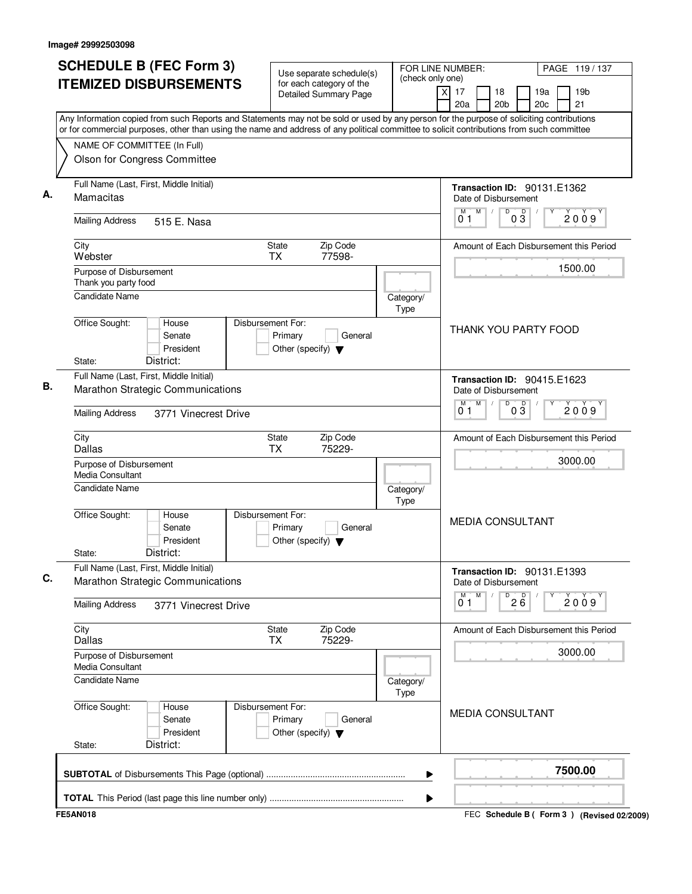| <b>SCHEDULE B (FEC Form 3)</b>                                                                                                                                                                                                                                                         | Use separate schedule(s)                                                        | FOR LINE NUMBER:<br>(check only one) |                                                            | PAGE 119/137                                |
|----------------------------------------------------------------------------------------------------------------------------------------------------------------------------------------------------------------------------------------------------------------------------------------|---------------------------------------------------------------------------------|--------------------------------------|------------------------------------------------------------|---------------------------------------------|
| <b>ITEMIZED DISBURSEMENTS</b>                                                                                                                                                                                                                                                          | for each category of the<br>Detailed Summary Page                               |                                      | $\overline{X}$<br>17<br>18<br>20a<br>20 <sub>b</sub>       | 19 <sub>b</sub><br>19a<br>21<br>20c         |
| Any Information copied from such Reports and Statements may not be sold or used by any person for the purpose of soliciting contributions<br>or for commercial purposes, other than using the name and address of any political committee to solicit contributions from such committee |                                                                                 |                                      |                                                            |                                             |
| NAME OF COMMITTEE (In Full)                                                                                                                                                                                                                                                            |                                                                                 |                                      |                                                            |                                             |
| Olson for Congress Committee                                                                                                                                                                                                                                                           |                                                                                 |                                      |                                                            |                                             |
| Full Name (Last, First, Middle Initial)<br>Mamacitas                                                                                                                                                                                                                                   |                                                                                 |                                      | <b>Transaction ID: 90131.E1362</b><br>Date of Disbursement |                                             |
| <b>Mailing Address</b><br>515 E. Nasa                                                                                                                                                                                                                                                  |                                                                                 |                                      | M<br>D<br>D<br>$0\bar{3}$<br>01                            | 2009                                        |
| City<br>Webster                                                                                                                                                                                                                                                                        | Zip Code<br>State<br><b>TX</b><br>77598-                                        |                                      |                                                            | Amount of Each Disbursement this Period     |
| Purpose of Disbursement<br>Thank you party food                                                                                                                                                                                                                                        |                                                                                 |                                      |                                                            | 1500.00                                     |
| <b>Candidate Name</b>                                                                                                                                                                                                                                                                  |                                                                                 | Category/<br>Type                    |                                                            |                                             |
| Office Sought:<br>House<br>Senate<br>President<br>District:<br>State:                                                                                                                                                                                                                  | Disbursement For:<br>Primary<br>General<br>Other (specify) $\blacktriangledown$ |                                      | THANK YOU PARTY FOOD                                       |                                             |
| Full Name (Last, First, Middle Initial)                                                                                                                                                                                                                                                |                                                                                 |                                      | <b>Transaction ID: 90415.E1623</b>                         |                                             |
| Marathon Strategic Communications                                                                                                                                                                                                                                                      |                                                                                 |                                      | Date of Disbursement                                       |                                             |
| <b>Mailing Address</b><br>3771 Vinecrest Drive                                                                                                                                                                                                                                         |                                                                                 |                                      | M<br>D<br>M<br>$0\overline{3}$<br>01                       | 2009                                        |
| City<br>Dallas                                                                                                                                                                                                                                                                         | Zip Code<br>State<br>ТX<br>75229-                                               |                                      |                                                            | Amount of Each Disbursement this Period     |
| Purpose of Disbursement<br>Media Consultant                                                                                                                                                                                                                                            |                                                                                 |                                      |                                                            | 3000.00                                     |
| <b>Candidate Name</b>                                                                                                                                                                                                                                                                  |                                                                                 | Category/<br>Type                    |                                                            |                                             |
| Office Sought:<br>House<br>Senate<br>President<br>District:<br>State:                                                                                                                                                                                                                  | Disbursement For:<br>Primary<br>General<br>Other (specify) $\blacktriangledown$ |                                      | <b>MEDIA CONSULTANT</b>                                    |                                             |
| Full Name (Last, First, Middle Initial)                                                                                                                                                                                                                                                |                                                                                 |                                      | <b>Transaction ID: 90131.E1393</b>                         |                                             |
| Marathon Strategic Communications                                                                                                                                                                                                                                                      |                                                                                 |                                      | Date of Disbursement<br>M<br>D                             |                                             |
| <b>Mailing Address</b><br>3771 Vinecrest Drive                                                                                                                                                                                                                                         |                                                                                 |                                      | $2\overline{6}$<br>0 <sub>1</sub>                          | 2009                                        |
| City<br><b>Dallas</b>                                                                                                                                                                                                                                                                  | Zip Code<br>State<br>75229-<br>ТX                                               |                                      |                                                            | Amount of Each Disbursement this Period     |
| Purpose of Disbursement<br>Media Consultant                                                                                                                                                                                                                                            |                                                                                 |                                      |                                                            | 3000.00                                     |
| <b>Candidate Name</b>                                                                                                                                                                                                                                                                  |                                                                                 | Category/<br>Type                    |                                                            |                                             |
| Office Sought:<br>House<br>Senate<br>President<br>District:<br>State:                                                                                                                                                                                                                  | Disbursement For:<br>Primary<br>General<br>Other (specify) $\blacktriangledown$ |                                      | <b>MEDIA CONSULTANT</b>                                    |                                             |
|                                                                                                                                                                                                                                                                                        |                                                                                 | ▶                                    |                                                            | 7500.00                                     |
|                                                                                                                                                                                                                                                                                        |                                                                                 | ▶                                    |                                                            |                                             |
| <b>FE5AN018</b>                                                                                                                                                                                                                                                                        |                                                                                 |                                      |                                                            | FEC Schedule B ( Form 3 ) (Revised 02/2009) |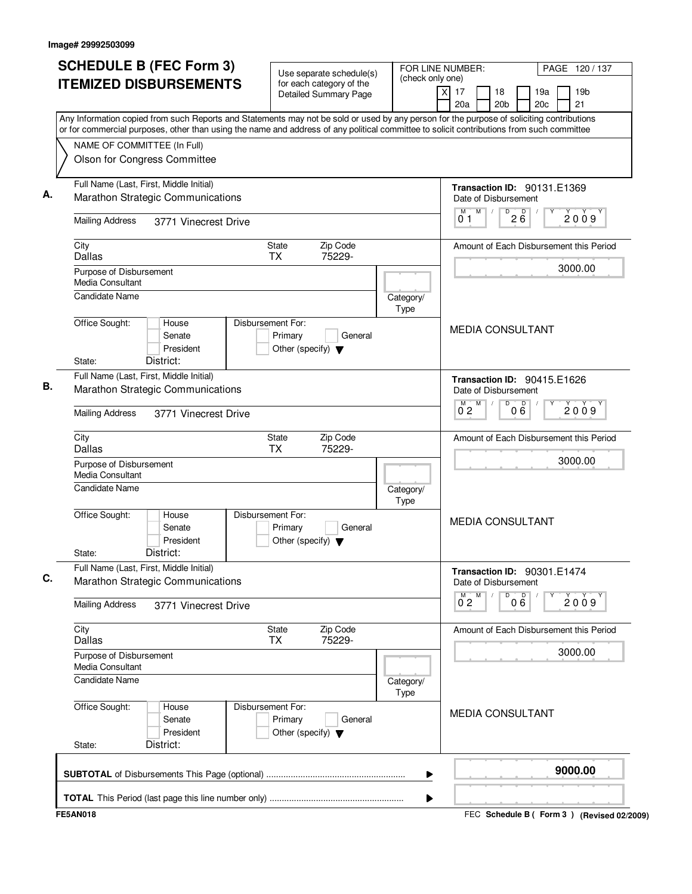| <b>SCHEDULE B (FEC Form 3)</b><br><b>ITEMIZED DISBURSEMENTS</b>                                                                                                                                                                                                                        | Use separate schedule(s)<br>for each category of the                            | (check only one)         | FOR LINE NUMBER:<br>PAGE 120 / 137                                                                                 |  |  |  |  |
|----------------------------------------------------------------------------------------------------------------------------------------------------------------------------------------------------------------------------------------------------------------------------------------|---------------------------------------------------------------------------------|--------------------------|--------------------------------------------------------------------------------------------------------------------|--|--|--|--|
|                                                                                                                                                                                                                                                                                        | <b>Detailed Summary Page</b>                                                    |                          | $\boldsymbol{\mathsf{x}}$<br>17<br>18<br>19a<br>19 <sub>b</sub><br>20a<br>20 <sub>b</sub><br>20 <sub>c</sub><br>21 |  |  |  |  |
| Any Information copied from such Reports and Statements may not be sold or used by any person for the purpose of soliciting contributions<br>or for commercial purposes, other than using the name and address of any political committee to solicit contributions from such committee |                                                                                 |                          |                                                                                                                    |  |  |  |  |
| NAME OF COMMITTEE (In Full)                                                                                                                                                                                                                                                            |                                                                                 |                          |                                                                                                                    |  |  |  |  |
| Olson for Congress Committee                                                                                                                                                                                                                                                           |                                                                                 |                          |                                                                                                                    |  |  |  |  |
|                                                                                                                                                                                                                                                                                        |                                                                                 |                          |                                                                                                                    |  |  |  |  |
| Full Name (Last, First, Middle Initial)<br>Marathon Strategic Communications                                                                                                                                                                                                           |                                                                                 |                          | <b>Transaction ID: 90131.E1369</b><br>Date of Disbursement                                                         |  |  |  |  |
| <b>Mailing Address</b><br>3771 Vinecrest Drive                                                                                                                                                                                                                                         |                                                                                 |                          | M<br>D<br>M<br>$2\overline{6}$<br>2009<br>01                                                                       |  |  |  |  |
| City<br>Dallas                                                                                                                                                                                                                                                                         | Zip Code<br><b>State</b><br><b>TX</b><br>75229-                                 |                          | Amount of Each Disbursement this Period                                                                            |  |  |  |  |
| Purpose of Disbursement<br><b>Media Consultant</b>                                                                                                                                                                                                                                     |                                                                                 |                          | 3000.00                                                                                                            |  |  |  |  |
| <b>Candidate Name</b>                                                                                                                                                                                                                                                                  |                                                                                 | Category/<br><b>Type</b> |                                                                                                                    |  |  |  |  |
| Office Sought:<br>House<br>Senate<br>President<br>District:<br>State:                                                                                                                                                                                                                  | Disbursement For:<br>Primary<br>General<br>Other (specify) $\blacktriangledown$ |                          | <b>MEDIA CONSULTANT</b>                                                                                            |  |  |  |  |
| Full Name (Last, First, Middle Initial)                                                                                                                                                                                                                                                |                                                                                 |                          |                                                                                                                    |  |  |  |  |
| Marathon Strategic Communications                                                                                                                                                                                                                                                      |                                                                                 |                          | Transaction ID: 90415.E1626<br>Date of Disbursement                                                                |  |  |  |  |
| <b>Mailing Address</b><br>3771 Vinecrest Drive                                                                                                                                                                                                                                         |                                                                                 |                          | M<br>000<br>D<br>2009<br>$0^{\circ}2$                                                                              |  |  |  |  |
| City<br>Dallas                                                                                                                                                                                                                                                                         | Zip Code<br>State<br><b>TX</b><br>75229-                                        |                          | Amount of Each Disbursement this Period                                                                            |  |  |  |  |
| Purpose of Disbursement<br>Media Consultant                                                                                                                                                                                                                                            |                                                                                 |                          | 3000.00                                                                                                            |  |  |  |  |
| <b>Candidate Name</b>                                                                                                                                                                                                                                                                  |                                                                                 | Category/<br>Type        |                                                                                                                    |  |  |  |  |
| Office Sought:<br>House<br>Senate<br>President<br>District:<br>State:                                                                                                                                                                                                                  | Disbursement For:<br>Primary<br>General<br>Other (specify) $\blacktriangledown$ |                          | <b>MEDIA CONSULTANT</b>                                                                                            |  |  |  |  |
| Full Name (Last, First, Middle Initial)                                                                                                                                                                                                                                                |                                                                                 |                          | Transaction ID: 90301.E1474                                                                                        |  |  |  |  |
| Marathon Strategic Communications                                                                                                                                                                                                                                                      |                                                                                 |                          | Date of Disbursement<br>M<br>D                                                                                     |  |  |  |  |
| <b>Mailing Address</b><br>3771 Vinecrest Drive                                                                                                                                                                                                                                         |                                                                                 |                          | 000<br>2009<br>$0^{\degree}2$                                                                                      |  |  |  |  |
| City<br>Dallas                                                                                                                                                                                                                                                                         | Zip Code<br>State<br>75229-<br><b>TX</b>                                        |                          | Amount of Each Disbursement this Period                                                                            |  |  |  |  |
| Purpose of Disbursement<br>Media Consultant                                                                                                                                                                                                                                            |                                                                                 |                          | 3000.00                                                                                                            |  |  |  |  |
| <b>Candidate Name</b>                                                                                                                                                                                                                                                                  |                                                                                 | Category/<br><b>Type</b> |                                                                                                                    |  |  |  |  |
| Office Sought:<br>House<br>Senate<br>President<br>District:<br>State:                                                                                                                                                                                                                  | Disbursement For:<br>Primary<br>General<br>Other (specify) $\blacktriangledown$ |                          | <b>MEDIA CONSULTANT</b>                                                                                            |  |  |  |  |
|                                                                                                                                                                                                                                                                                        |                                                                                 | ▶                        | 9000.00                                                                                                            |  |  |  |  |
|                                                                                                                                                                                                                                                                                        |                                                                                 | ▶                        |                                                                                                                    |  |  |  |  |
| <b>FE5AN018</b>                                                                                                                                                                                                                                                                        |                                                                                 |                          | FEC Schedule B (Form 3) (Revised 02/2009)                                                                          |  |  |  |  |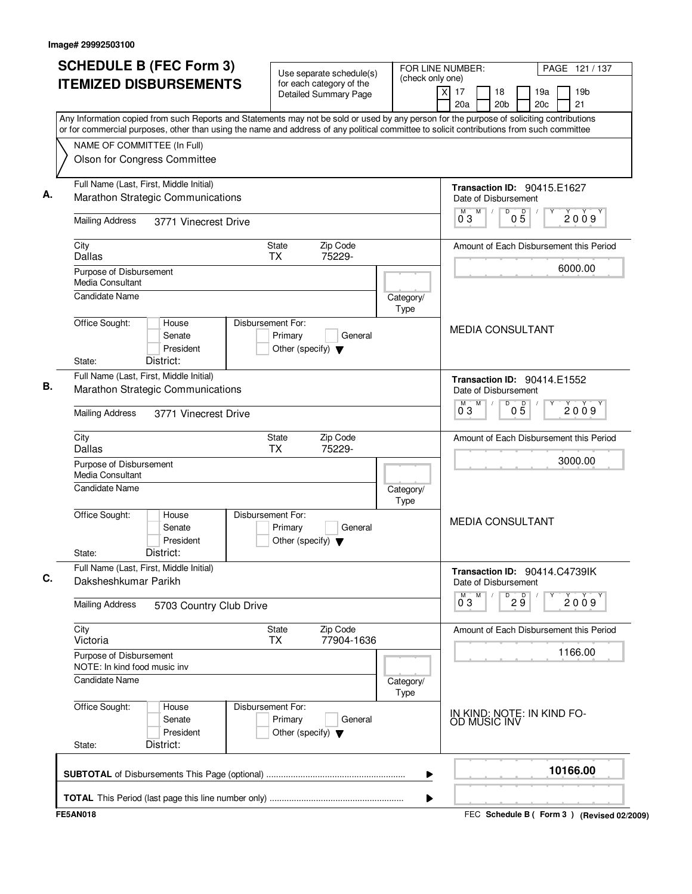| Any Information copied from such Reports and Statements may not be sold or used by any person for the purpose of soliciting contributions<br>or for commercial purposes, other than using the name and address of any political committee to solicit contributions from such committee<br>NAME OF COMMITTEE (In Full)<br>Olson for Congress Committee<br>Full Name (Last, First, Middle Initial)<br>Transaction ID: 90415.E1627<br>Marathon Strategic Communications<br>Date of Disbursement<br>M<br>D<br>M<br>05<br>03<br><b>Mailing Address</b><br>3771 Vinecrest Drive<br>Zip Code<br>City<br>State<br>Amount of Each Disbursement this Period<br>75229-<br>Dallas<br><b>TX</b><br>Purpose of Disbursement<br><b>Media Consultant</b><br><b>Candidate Name</b><br>Category/<br>Type<br>Office Sought:<br>Disbursement For:<br>House<br><b>MEDIA CONSULTANT</b><br>Primary<br>Senate<br>General<br>President<br>Other (specify) $\blacktriangledown$<br>District:<br>State:<br>Full Name (Last, First, Middle Initial)<br><b>Transaction ID: 90414.E1552</b><br>Marathon Strategic Communications<br>Date of Disbursement<br>M<br>$0\overline{5}$<br>$\overline{0}^M$ 3<br>D<br><b>Mailing Address</b><br>3771 Vinecrest Drive<br>City<br>Zip Code<br><b>State</b><br>Amount of Each Disbursement this Period<br>Dallas<br><b>TX</b><br>75229-<br>3000.00<br>Purpose of Disbursement<br>Media Consultant<br><b>Candidate Name</b><br>Category/<br>Type<br>Office Sought:<br>Disbursement For:<br>House<br><b>MEDIA CONSULTANT</b><br>Senate<br>Primary<br>General<br>President<br>Other (specify) $\blacktriangledown$<br>District:<br>State:<br>Full Name (Last, First, Middle Initial)<br>Transaction ID: 90414.C4739IK<br>Daksheshkumar Parikh<br>Date of Disbursement<br>м<br>M<br>D<br>29<br>$0^{\degree}3$<br><b>Mailing Address</b><br>5703 Country Club Drive<br>Zip Code<br>City<br><b>State</b><br>Amount of Each Disbursement this Period<br>77904-1636<br>Victoria<br><b>TX</b><br>Purpose of Disbursement<br>NOTE: In kind food music inv | PAGE 121 / 137<br>19 <sub>b</sub><br>21 |
|----------------------------------------------------------------------------------------------------------------------------------------------------------------------------------------------------------------------------------------------------------------------------------------------------------------------------------------------------------------------------------------------------------------------------------------------------------------------------------------------------------------------------------------------------------------------------------------------------------------------------------------------------------------------------------------------------------------------------------------------------------------------------------------------------------------------------------------------------------------------------------------------------------------------------------------------------------------------------------------------------------------------------------------------------------------------------------------------------------------------------------------------------------------------------------------------------------------------------------------------------------------------------------------------------------------------------------------------------------------------------------------------------------------------------------------------------------------------------------------------------------------------------------------------------------------------------------------------------------------------------------------------------------------------------------------------------------------------------------------------------------------------------------------------------------------------------------------------------------------------------------------------------------------------------------------------------------------------------------------------------------------------------------------------------------|-----------------------------------------|
|                                                                                                                                                                                                                                                                                                                                                                                                                                                                                                                                                                                                                                                                                                                                                                                                                                                                                                                                                                                                                                                                                                                                                                                                                                                                                                                                                                                                                                                                                                                                                                                                                                                                                                                                                                                                                                                                                                                                                                                                                                                          |                                         |
|                                                                                                                                                                                                                                                                                                                                                                                                                                                                                                                                                                                                                                                                                                                                                                                                                                                                                                                                                                                                                                                                                                                                                                                                                                                                                                                                                                                                                                                                                                                                                                                                                                                                                                                                                                                                                                                                                                                                                                                                                                                          |                                         |
|                                                                                                                                                                                                                                                                                                                                                                                                                                                                                                                                                                                                                                                                                                                                                                                                                                                                                                                                                                                                                                                                                                                                                                                                                                                                                                                                                                                                                                                                                                                                                                                                                                                                                                                                                                                                                                                                                                                                                                                                                                                          |                                         |
|                                                                                                                                                                                                                                                                                                                                                                                                                                                                                                                                                                                                                                                                                                                                                                                                                                                                                                                                                                                                                                                                                                                                                                                                                                                                                                                                                                                                                                                                                                                                                                                                                                                                                                                                                                                                                                                                                                                                                                                                                                                          | 2009                                    |
|                                                                                                                                                                                                                                                                                                                                                                                                                                                                                                                                                                                                                                                                                                                                                                                                                                                                                                                                                                                                                                                                                                                                                                                                                                                                                                                                                                                                                                                                                                                                                                                                                                                                                                                                                                                                                                                                                                                                                                                                                                                          |                                         |
|                                                                                                                                                                                                                                                                                                                                                                                                                                                                                                                                                                                                                                                                                                                                                                                                                                                                                                                                                                                                                                                                                                                                                                                                                                                                                                                                                                                                                                                                                                                                                                                                                                                                                                                                                                                                                                                                                                                                                                                                                                                          | 6000.00                                 |
|                                                                                                                                                                                                                                                                                                                                                                                                                                                                                                                                                                                                                                                                                                                                                                                                                                                                                                                                                                                                                                                                                                                                                                                                                                                                                                                                                                                                                                                                                                                                                                                                                                                                                                                                                                                                                                                                                                                                                                                                                                                          |                                         |
|                                                                                                                                                                                                                                                                                                                                                                                                                                                                                                                                                                                                                                                                                                                                                                                                                                                                                                                                                                                                                                                                                                                                                                                                                                                                                                                                                                                                                                                                                                                                                                                                                                                                                                                                                                                                                                                                                                                                                                                                                                                          |                                         |
|                                                                                                                                                                                                                                                                                                                                                                                                                                                                                                                                                                                                                                                                                                                                                                                                                                                                                                                                                                                                                                                                                                                                                                                                                                                                                                                                                                                                                                                                                                                                                                                                                                                                                                                                                                                                                                                                                                                                                                                                                                                          |                                         |
|                                                                                                                                                                                                                                                                                                                                                                                                                                                                                                                                                                                                                                                                                                                                                                                                                                                                                                                                                                                                                                                                                                                                                                                                                                                                                                                                                                                                                                                                                                                                                                                                                                                                                                                                                                                                                                                                                                                                                                                                                                                          |                                         |
|                                                                                                                                                                                                                                                                                                                                                                                                                                                                                                                                                                                                                                                                                                                                                                                                                                                                                                                                                                                                                                                                                                                                                                                                                                                                                                                                                                                                                                                                                                                                                                                                                                                                                                                                                                                                                                                                                                                                                                                                                                                          | 2009                                    |
|                                                                                                                                                                                                                                                                                                                                                                                                                                                                                                                                                                                                                                                                                                                                                                                                                                                                                                                                                                                                                                                                                                                                                                                                                                                                                                                                                                                                                                                                                                                                                                                                                                                                                                                                                                                                                                                                                                                                                                                                                                                          |                                         |
|                                                                                                                                                                                                                                                                                                                                                                                                                                                                                                                                                                                                                                                                                                                                                                                                                                                                                                                                                                                                                                                                                                                                                                                                                                                                                                                                                                                                                                                                                                                                                                                                                                                                                                                                                                                                                                                                                                                                                                                                                                                          |                                         |
|                                                                                                                                                                                                                                                                                                                                                                                                                                                                                                                                                                                                                                                                                                                                                                                                                                                                                                                                                                                                                                                                                                                                                                                                                                                                                                                                                                                                                                                                                                                                                                                                                                                                                                                                                                                                                                                                                                                                                                                                                                                          |                                         |
|                                                                                                                                                                                                                                                                                                                                                                                                                                                                                                                                                                                                                                                                                                                                                                                                                                                                                                                                                                                                                                                                                                                                                                                                                                                                                                                                                                                                                                                                                                                                                                                                                                                                                                                                                                                                                                                                                                                                                                                                                                                          |                                         |
|                                                                                                                                                                                                                                                                                                                                                                                                                                                                                                                                                                                                                                                                                                                                                                                                                                                                                                                                                                                                                                                                                                                                                                                                                                                                                                                                                                                                                                                                                                                                                                                                                                                                                                                                                                                                                                                                                                                                                                                                                                                          |                                         |
|                                                                                                                                                                                                                                                                                                                                                                                                                                                                                                                                                                                                                                                                                                                                                                                                                                                                                                                                                                                                                                                                                                                                                                                                                                                                                                                                                                                                                                                                                                                                                                                                                                                                                                                                                                                                                                                                                                                                                                                                                                                          | 2009                                    |
|                                                                                                                                                                                                                                                                                                                                                                                                                                                                                                                                                                                                                                                                                                                                                                                                                                                                                                                                                                                                                                                                                                                                                                                                                                                                                                                                                                                                                                                                                                                                                                                                                                                                                                                                                                                                                                                                                                                                                                                                                                                          |                                         |
|                                                                                                                                                                                                                                                                                                                                                                                                                                                                                                                                                                                                                                                                                                                                                                                                                                                                                                                                                                                                                                                                                                                                                                                                                                                                                                                                                                                                                                                                                                                                                                                                                                                                                                                                                                                                                                                                                                                                                                                                                                                          | 1166.00                                 |
| Candidate Name<br>Category/<br>Type                                                                                                                                                                                                                                                                                                                                                                                                                                                                                                                                                                                                                                                                                                                                                                                                                                                                                                                                                                                                                                                                                                                                                                                                                                                                                                                                                                                                                                                                                                                                                                                                                                                                                                                                                                                                                                                                                                                                                                                                                      |                                         |
| Office Sought:<br>Disbursement For:<br>House<br>IN KIND: NOTE: IN KIND FO-<br>Primary<br>Senate<br>General<br>OD MUSIC INV<br>President<br>Other (specify) $\blacktriangledown$<br>District:<br>State:                                                                                                                                                                                                                                                                                                                                                                                                                                                                                                                                                                                                                                                                                                                                                                                                                                                                                                                                                                                                                                                                                                                                                                                                                                                                                                                                                                                                                                                                                                                                                                                                                                                                                                                                                                                                                                                   |                                         |
| 10166.00<br>▶                                                                                                                                                                                                                                                                                                                                                                                                                                                                                                                                                                                                                                                                                                                                                                                                                                                                                                                                                                                                                                                                                                                                                                                                                                                                                                                                                                                                                                                                                                                                                                                                                                                                                                                                                                                                                                                                                                                                                                                                                                            |                                         |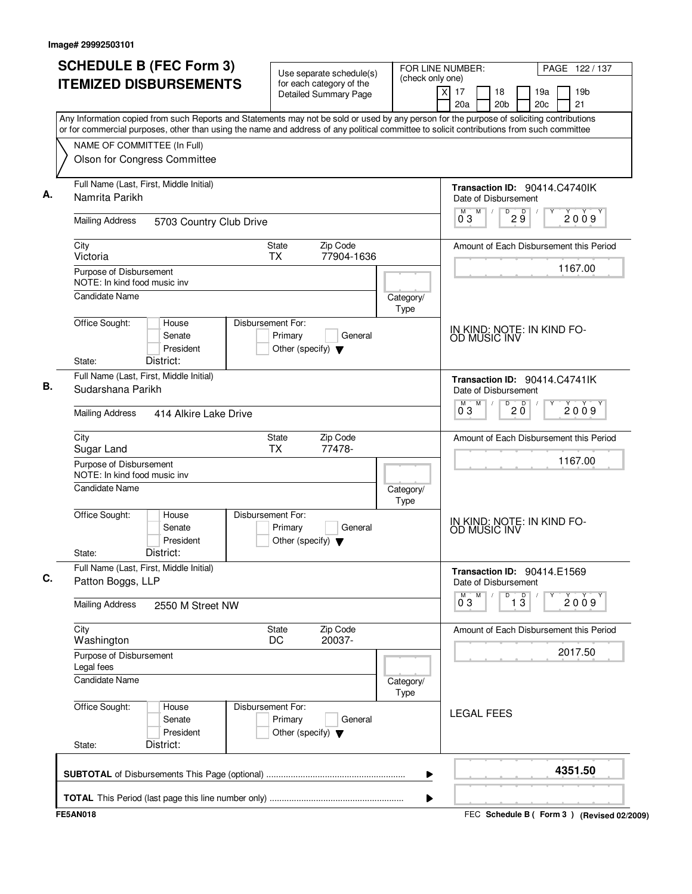| <b>SCHEDULE B (FEC Form 3)</b>                                                                                                                                                                                                                                                         | Use separate schedule(s)                                                        | (check only one)  | FOR LINE NUMBER:                                              | PAGE 122/137                                    |
|----------------------------------------------------------------------------------------------------------------------------------------------------------------------------------------------------------------------------------------------------------------------------------------|---------------------------------------------------------------------------------|-------------------|---------------------------------------------------------------|-------------------------------------------------|
| <b>ITEMIZED DISBURSEMENTS</b>                                                                                                                                                                                                                                                          | for each category of the<br>Detailed Summary Page                               |                   | $\overline{\mathsf{x}}$<br>17<br>18<br>20a<br>20 <sub>b</sub> | 19a<br>19 <sub>b</sub><br>21<br>20 <sub>c</sub> |
| Any Information copied from such Reports and Statements may not be sold or used by any person for the purpose of soliciting contributions<br>or for commercial purposes, other than using the name and address of any political committee to solicit contributions from such committee |                                                                                 |                   |                                                               |                                                 |
| NAME OF COMMITTEE (In Full)                                                                                                                                                                                                                                                            |                                                                                 |                   |                                                               |                                                 |
| Olson for Congress Committee                                                                                                                                                                                                                                                           |                                                                                 |                   |                                                               |                                                 |
| Full Name (Last, First, Middle Initial)<br>Namrita Parikh                                                                                                                                                                                                                              |                                                                                 |                   | Date of Disbursement                                          | Transaction ID: 90414.C4740IK                   |
| <b>Mailing Address</b><br>5703 Country Club Drive                                                                                                                                                                                                                                      |                                                                                 |                   | M<br>D<br>$2\overset{D}{9}$<br>M<br>03                        | 2009                                            |
| City<br>Victoria                                                                                                                                                                                                                                                                       | Zip Code<br><b>State</b><br>77904-1636<br><b>TX</b>                             |                   |                                                               | Amount of Each Disbursement this Period         |
| Purpose of Disbursement<br>NOTE: In kind food music inv                                                                                                                                                                                                                                |                                                                                 |                   |                                                               | 1167.00                                         |
| Candidate Name                                                                                                                                                                                                                                                                         |                                                                                 | Category/<br>Type |                                                               |                                                 |
| Office Sought:<br>House<br>Senate<br>President<br>District:<br>State:                                                                                                                                                                                                                  | Disbursement For:<br>Primary<br>General<br>Other (specify) $\blacktriangledown$ |                   | IN KIND: NOTE: IN KIND FO-<br>OD MUSIC INV                    |                                                 |
| Full Name (Last, First, Middle Initial)                                                                                                                                                                                                                                                |                                                                                 |                   |                                                               | Transaction ID: 90414.C4741IK                   |
| Sudarshana Parikh                                                                                                                                                                                                                                                                      |                                                                                 |                   | Date of Disbursement<br>M<br>D<br>М                           |                                                 |
| <b>Mailing Address</b><br>414 Alkire Lake Drive                                                                                                                                                                                                                                        |                                                                                 |                   | $20^{\circ}$<br>03                                            | 2009                                            |
| City<br>Sugar Land                                                                                                                                                                                                                                                                     | Zip Code<br>State<br>77478-<br>TX                                               |                   |                                                               | Amount of Each Disbursement this Period         |
| Purpose of Disbursement<br>NOTE: In kind food music inv                                                                                                                                                                                                                                |                                                                                 |                   | 1167.00                                                       |                                                 |
| Candidate Name                                                                                                                                                                                                                                                                         |                                                                                 | Category/<br>Type |                                                               |                                                 |
| Office Sought:<br>House<br>Senate<br>President<br>District:<br>State:                                                                                                                                                                                                                  | Disbursement For:<br>Primary<br>General<br>Other (specify) $\blacktriangledown$ |                   | IN KIND: NOTE: IN KIND FO-<br>OD MUSIC INV                    |                                                 |
| Full Name (Last, First, Middle Initial)<br>Patton Boggs, LLP                                                                                                                                                                                                                           |                                                                                 |                   | <b>Transaction ID: 90414.E1569</b><br>Date of Disbursement    |                                                 |
| <b>Mailing Address</b><br>2550 M Street NW                                                                                                                                                                                                                                             |                                                                                 |                   | M<br>D<br>$\overline{1\,3}$<br>$\overline{0}^M$ 3             | 2009                                            |
| City<br>Washington                                                                                                                                                                                                                                                                     | Zip Code<br>State<br>DC<br>20037-                                               |                   |                                                               | Amount of Each Disbursement this Period         |
| Purpose of Disbursement<br>Legal fees                                                                                                                                                                                                                                                  |                                                                                 |                   |                                                               | 2017.50                                         |
| <b>Candidate Name</b>                                                                                                                                                                                                                                                                  |                                                                                 | Category/<br>Type |                                                               |                                                 |
| Office Sought:<br>House<br>Senate<br>President<br>District:<br>State:                                                                                                                                                                                                                  | Disbursement For:<br>Primary<br>General<br>Other (specify) $\blacktriangledown$ |                   | <b>LEGAL FEES</b>                                             |                                                 |
|                                                                                                                                                                                                                                                                                        |                                                                                 | ▶                 |                                                               | 4351.50                                         |
|                                                                                                                                                                                                                                                                                        |                                                                                 | ▶                 |                                                               |                                                 |
| <b>FE5AN018</b>                                                                                                                                                                                                                                                                        |                                                                                 |                   |                                                               | FEC Schedule B ( Form 3 ) (Revised 02/2009)     |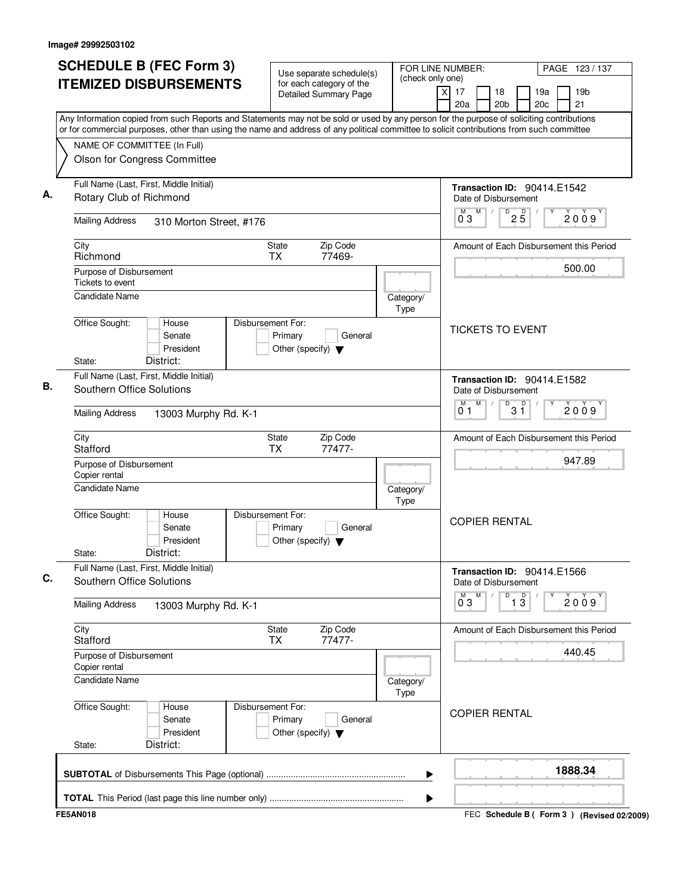| <b>SCHEDULE B (FEC Form 3)</b>                                                                                                                                                                                                                                                         | Use separate schedule(s)                                                        | (check only one)         | FOR LINE NUMBER:                     |                                                     |                    |                        | PAGE 123/137                            |
|----------------------------------------------------------------------------------------------------------------------------------------------------------------------------------------------------------------------------------------------------------------------------------------|---------------------------------------------------------------------------------|--------------------------|--------------------------------------|-----------------------------------------------------|--------------------|------------------------|-----------------------------------------|
| <b>ITEMIZED DISBURSEMENTS</b>                                                                                                                                                                                                                                                          | for each category of the<br><b>Detailed Summary Page</b>                        |                          | $\overline{\mathsf{x}}$<br>17<br>20a | 18<br>20 <sub>b</sub>                               |                    | 19a<br>20 <sub>c</sub> | 19 <sub>b</sub><br>21                   |
| Any Information copied from such Reports and Statements may not be sold or used by any person for the purpose of soliciting contributions<br>or for commercial purposes, other than using the name and address of any political committee to solicit contributions from such committee |                                                                                 |                          |                                      |                                                     |                    |                        |                                         |
| NAME OF COMMITTEE (In Full)                                                                                                                                                                                                                                                            |                                                                                 |                          |                                      |                                                     |                    |                        |                                         |
| Olson for Congress Committee                                                                                                                                                                                                                                                           |                                                                                 |                          |                                      |                                                     |                    |                        |                                         |
| Full Name (Last, First, Middle Initial)<br>Rotary Club of Richmond                                                                                                                                                                                                                     |                                                                                 |                          |                                      | Transaction ID: 90414.E1542<br>Date of Disbursement |                    |                        |                                         |
| <b>Mailing Address</b><br>310 Morton Street, #176                                                                                                                                                                                                                                      |                                                                                 |                          | 03                                   | M                                                   | $\overline{P}$ 2 5 |                        | 2009                                    |
| City<br>Richmond                                                                                                                                                                                                                                                                       | Zip Code<br>State<br>TX<br>77469-                                               |                          |                                      |                                                     |                    |                        | Amount of Each Disbursement this Period |
| Purpose of Disbursement<br>Tickets to event                                                                                                                                                                                                                                            |                                                                                 |                          |                                      |                                                     |                    |                        | 500.00                                  |
| <b>Candidate Name</b>                                                                                                                                                                                                                                                                  |                                                                                 | Category/<br>Type        |                                      |                                                     |                    |                        |                                         |
| Office Sought:<br>House<br>Senate<br>President<br>District:<br>State:                                                                                                                                                                                                                  | Disbursement For:<br>Primary<br>General<br>Other (specify) $\blacktriangledown$ |                          |                                      | <b>TICKETS TO EVENT</b>                             |                    |                        |                                         |
| Full Name (Last, First, Middle Initial)                                                                                                                                                                                                                                                |                                                                                 |                          |                                      | Transaction ID: 90414.E1582                         |                    |                        |                                         |
| <b>Southern Office Solutions</b>                                                                                                                                                                                                                                                       |                                                                                 |                          | M                                    | Date of Disbursement<br>M                           |                    |                        |                                         |
| <b>Mailing Address</b><br>13003 Murphy Rd. K-1                                                                                                                                                                                                                                         |                                                                                 |                          | 01                                   | D                                                   | $3^{\circ}$        |                        | 2009                                    |
| City<br>Stafford                                                                                                                                                                                                                                                                       | Zip Code<br>State<br><b>TX</b><br>77477-                                        |                          |                                      |                                                     |                    |                        | Amount of Each Disbursement this Period |
| Purpose of Disbursement<br>Copier rental                                                                                                                                                                                                                                               |                                                                                 |                          |                                      |                                                     |                    |                        | 947.89                                  |
| Candidate Name                                                                                                                                                                                                                                                                         |                                                                                 | Category/<br><b>Type</b> |                                      |                                                     |                    |                        |                                         |
| Office Sought:<br>House<br>Senate<br>President<br>District:<br>State:                                                                                                                                                                                                                  | Disbursement For:<br>Primary<br>General<br>Other (specify) $\blacktriangledown$ |                          |                                      | <b>COPIER RENTAL</b>                                |                    |                        |                                         |
| Full Name (Last, First, Middle Initial)<br>Southern Office Solutions                                                                                                                                                                                                                   |                                                                                 |                          |                                      | Transaction ID: 90414.E1566<br>Date of Disbursement |                    |                        |                                         |
| <b>Mailing Address</b><br>13003 Murphy Rd. K-1                                                                                                                                                                                                                                         |                                                                                 |                          | $0^{M}$ 3                            | D<br>M                                              | $\overline{1\,3}$  | Y                      | 2009                                    |
| City<br>Stafford                                                                                                                                                                                                                                                                       | Zip Code<br>State<br>77477-<br><b>TX</b>                                        |                          |                                      |                                                     |                    |                        | Amount of Each Disbursement this Period |
| Purpose of Disbursement<br>Copier rental                                                                                                                                                                                                                                               |                                                                                 |                          |                                      |                                                     |                    |                        | 440.45                                  |
| <b>Candidate Name</b>                                                                                                                                                                                                                                                                  |                                                                                 | Category/<br><b>Type</b> |                                      |                                                     |                    |                        |                                         |
| Office Sought:<br>House<br>Senate<br>President<br>District:<br>State:                                                                                                                                                                                                                  | Disbursement For:<br>Primary<br>General<br>Other (specify) $\blacktriangledown$ |                          |                                      | <b>COPIER RENTAL</b>                                |                    |                        |                                         |
|                                                                                                                                                                                                                                                                                        |                                                                                 | ▶                        |                                      |                                                     |                    |                        | 1888.34                                 |
|                                                                                                                                                                                                                                                                                        |                                                                                 |                          |                                      |                                                     |                    |                        |                                         |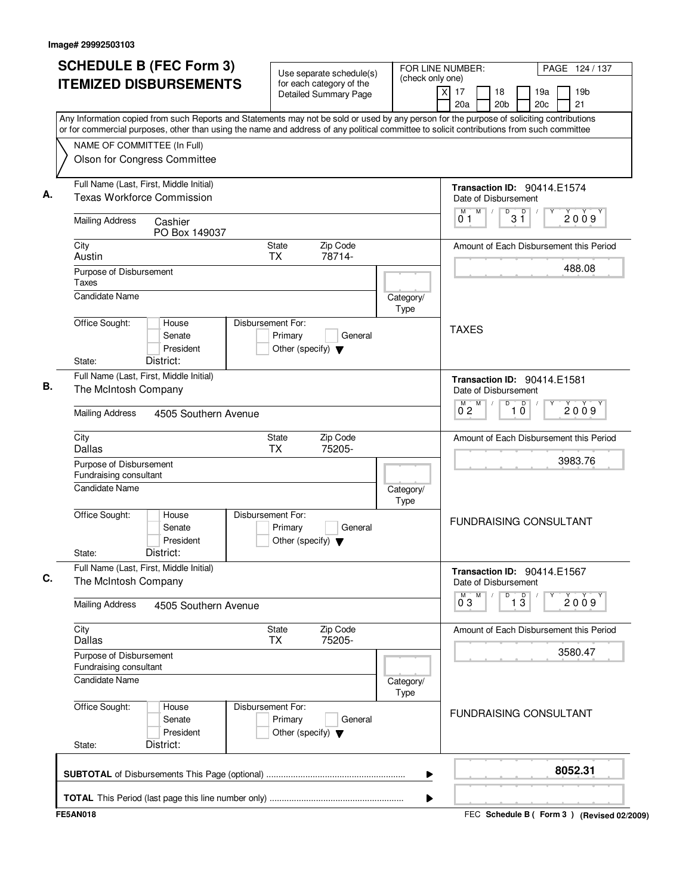| Any Information copied from such Reports and Statements may not be sold or used by any person for the purpose of soliciting contributions<br>or for commercial purposes, other than using the name and address of any political committee to solicit contributions from such committee<br>NAME OF COMMITTEE (In Full)<br>Olson for Congress Committee<br>Full Name (Last, First, Middle Initial)<br><b>Transaction ID: 90414.E1574</b><br><b>Texas Workforce Commission</b><br>Date of Disbursement<br>M<br>$\overline{31}$<br>M<br>2009<br>0 <sub>1</sub><br><b>Mailing Address</b><br>Cashier<br>PO Box 149037<br>Zip Code<br>City<br><b>State</b><br>Amount of Each Disbursement this Period<br>78714-<br>Austin<br><b>TX</b><br>488.08<br>Purpose of Disbursement<br>Taxes<br><b>Candidate Name</b><br>Category/<br>Type<br>Office Sought:<br>House<br>Disbursement For:<br><b>TAXES</b><br>Senate<br>Primary<br>General<br>President<br>Other (specify) $\blacktriangledown$<br>District:<br>State:<br>Full Name (Last, First, Middle Initial)<br>Transaction ID: 90414.E1581<br>The McIntosh Company<br>Date of Disbursement<br>M<br>$\overline{10}$<br>$\overline{0}^M$ <sub>2</sub><br>D<br>2009<br><b>Mailing Address</b><br>4505 Southern Avenue<br>City<br>State<br>Zip Code<br>Amount of Each Disbursement this Period<br><b>Dallas</b><br><b>TX</b><br>75205-<br>3983.76<br>Purpose of Disbursement<br>Fundraising consultant<br>Candidate Name<br>Category/<br>Type<br>Office Sought:<br>Disbursement For:<br>House<br><b>FUNDRAISING CONSULTANT</b><br>Senate<br>Primary<br>General<br>President<br>Other (specify) $\blacktriangledown$<br>District:<br>State:<br>Full Name (Last, First, Middle Initial)<br>Transaction ID: 90414.E1567<br>The McIntosh Company<br>Date of Disbursement<br>M<br>$\overline{1}$ $\overline{3}$<br>D<br>2009<br>$0^{\circ}3$<br><b>Mailing Address</b><br>4505 Southern Avenue<br>Zip Code<br>City<br><b>State</b><br>Amount of Each Disbursement this Period<br>75205-<br>Dallas<br>TX<br>3580.47<br>Purpose of Disbursement<br>Fundraising consultant<br>Candidate Name<br>Category/<br>Type<br>Office Sought:<br>House<br>Disbursement For:<br><b>FUNDRAISING CONSULTANT</b> | PAGE 124 / 137<br>19 <sub>b</sub><br>21 |
|--------------------------------------------------------------------------------------------------------------------------------------------------------------------------------------------------------------------------------------------------------------------------------------------------------------------------------------------------------------------------------------------------------------------------------------------------------------------------------------------------------------------------------------------------------------------------------------------------------------------------------------------------------------------------------------------------------------------------------------------------------------------------------------------------------------------------------------------------------------------------------------------------------------------------------------------------------------------------------------------------------------------------------------------------------------------------------------------------------------------------------------------------------------------------------------------------------------------------------------------------------------------------------------------------------------------------------------------------------------------------------------------------------------------------------------------------------------------------------------------------------------------------------------------------------------------------------------------------------------------------------------------------------------------------------------------------------------------------------------------------------------------------------------------------------------------------------------------------------------------------------------------------------------------------------------------------------------------------------------------------------------------------------------------------------------------------------------------------------------------------------------------------------------------------------------------------------------------------------|-----------------------------------------|
|                                                                                                                                                                                                                                                                                                                                                                                                                                                                                                                                                                                                                                                                                                                                                                                                                                                                                                                                                                                                                                                                                                                                                                                                                                                                                                                                                                                                                                                                                                                                                                                                                                                                                                                                                                                                                                                                                                                                                                                                                                                                                                                                                                                                                                |                                         |
|                                                                                                                                                                                                                                                                                                                                                                                                                                                                                                                                                                                                                                                                                                                                                                                                                                                                                                                                                                                                                                                                                                                                                                                                                                                                                                                                                                                                                                                                                                                                                                                                                                                                                                                                                                                                                                                                                                                                                                                                                                                                                                                                                                                                                                |                                         |
|                                                                                                                                                                                                                                                                                                                                                                                                                                                                                                                                                                                                                                                                                                                                                                                                                                                                                                                                                                                                                                                                                                                                                                                                                                                                                                                                                                                                                                                                                                                                                                                                                                                                                                                                                                                                                                                                                                                                                                                                                                                                                                                                                                                                                                |                                         |
|                                                                                                                                                                                                                                                                                                                                                                                                                                                                                                                                                                                                                                                                                                                                                                                                                                                                                                                                                                                                                                                                                                                                                                                                                                                                                                                                                                                                                                                                                                                                                                                                                                                                                                                                                                                                                                                                                                                                                                                                                                                                                                                                                                                                                                |                                         |
|                                                                                                                                                                                                                                                                                                                                                                                                                                                                                                                                                                                                                                                                                                                                                                                                                                                                                                                                                                                                                                                                                                                                                                                                                                                                                                                                                                                                                                                                                                                                                                                                                                                                                                                                                                                                                                                                                                                                                                                                                                                                                                                                                                                                                                |                                         |
|                                                                                                                                                                                                                                                                                                                                                                                                                                                                                                                                                                                                                                                                                                                                                                                                                                                                                                                                                                                                                                                                                                                                                                                                                                                                                                                                                                                                                                                                                                                                                                                                                                                                                                                                                                                                                                                                                                                                                                                                                                                                                                                                                                                                                                |                                         |
|                                                                                                                                                                                                                                                                                                                                                                                                                                                                                                                                                                                                                                                                                                                                                                                                                                                                                                                                                                                                                                                                                                                                                                                                                                                                                                                                                                                                                                                                                                                                                                                                                                                                                                                                                                                                                                                                                                                                                                                                                                                                                                                                                                                                                                |                                         |
|                                                                                                                                                                                                                                                                                                                                                                                                                                                                                                                                                                                                                                                                                                                                                                                                                                                                                                                                                                                                                                                                                                                                                                                                                                                                                                                                                                                                                                                                                                                                                                                                                                                                                                                                                                                                                                                                                                                                                                                                                                                                                                                                                                                                                                |                                         |
|                                                                                                                                                                                                                                                                                                                                                                                                                                                                                                                                                                                                                                                                                                                                                                                                                                                                                                                                                                                                                                                                                                                                                                                                                                                                                                                                                                                                                                                                                                                                                                                                                                                                                                                                                                                                                                                                                                                                                                                                                                                                                                                                                                                                                                |                                         |
|                                                                                                                                                                                                                                                                                                                                                                                                                                                                                                                                                                                                                                                                                                                                                                                                                                                                                                                                                                                                                                                                                                                                                                                                                                                                                                                                                                                                                                                                                                                                                                                                                                                                                                                                                                                                                                                                                                                                                                                                                                                                                                                                                                                                                                |                                         |
|                                                                                                                                                                                                                                                                                                                                                                                                                                                                                                                                                                                                                                                                                                                                                                                                                                                                                                                                                                                                                                                                                                                                                                                                                                                                                                                                                                                                                                                                                                                                                                                                                                                                                                                                                                                                                                                                                                                                                                                                                                                                                                                                                                                                                                |                                         |
|                                                                                                                                                                                                                                                                                                                                                                                                                                                                                                                                                                                                                                                                                                                                                                                                                                                                                                                                                                                                                                                                                                                                                                                                                                                                                                                                                                                                                                                                                                                                                                                                                                                                                                                                                                                                                                                                                                                                                                                                                                                                                                                                                                                                                                |                                         |
|                                                                                                                                                                                                                                                                                                                                                                                                                                                                                                                                                                                                                                                                                                                                                                                                                                                                                                                                                                                                                                                                                                                                                                                                                                                                                                                                                                                                                                                                                                                                                                                                                                                                                                                                                                                                                                                                                                                                                                                                                                                                                                                                                                                                                                |                                         |
|                                                                                                                                                                                                                                                                                                                                                                                                                                                                                                                                                                                                                                                                                                                                                                                                                                                                                                                                                                                                                                                                                                                                                                                                                                                                                                                                                                                                                                                                                                                                                                                                                                                                                                                                                                                                                                                                                                                                                                                                                                                                                                                                                                                                                                |                                         |
|                                                                                                                                                                                                                                                                                                                                                                                                                                                                                                                                                                                                                                                                                                                                                                                                                                                                                                                                                                                                                                                                                                                                                                                                                                                                                                                                                                                                                                                                                                                                                                                                                                                                                                                                                                                                                                                                                                                                                                                                                                                                                                                                                                                                                                |                                         |
|                                                                                                                                                                                                                                                                                                                                                                                                                                                                                                                                                                                                                                                                                                                                                                                                                                                                                                                                                                                                                                                                                                                                                                                                                                                                                                                                                                                                                                                                                                                                                                                                                                                                                                                                                                                                                                                                                                                                                                                                                                                                                                                                                                                                                                |                                         |
|                                                                                                                                                                                                                                                                                                                                                                                                                                                                                                                                                                                                                                                                                                                                                                                                                                                                                                                                                                                                                                                                                                                                                                                                                                                                                                                                                                                                                                                                                                                                                                                                                                                                                                                                                                                                                                                                                                                                                                                                                                                                                                                                                                                                                                |                                         |
|                                                                                                                                                                                                                                                                                                                                                                                                                                                                                                                                                                                                                                                                                                                                                                                                                                                                                                                                                                                                                                                                                                                                                                                                                                                                                                                                                                                                                                                                                                                                                                                                                                                                                                                                                                                                                                                                                                                                                                                                                                                                                                                                                                                                                                |                                         |
|                                                                                                                                                                                                                                                                                                                                                                                                                                                                                                                                                                                                                                                                                                                                                                                                                                                                                                                                                                                                                                                                                                                                                                                                                                                                                                                                                                                                                                                                                                                                                                                                                                                                                                                                                                                                                                                                                                                                                                                                                                                                                                                                                                                                                                |                                         |
|                                                                                                                                                                                                                                                                                                                                                                                                                                                                                                                                                                                                                                                                                                                                                                                                                                                                                                                                                                                                                                                                                                                                                                                                                                                                                                                                                                                                                                                                                                                                                                                                                                                                                                                                                                                                                                                                                                                                                                                                                                                                                                                                                                                                                                |                                         |
| Senate<br>Primary<br>General<br>President<br>Other (specify) $\blacktriangledown$<br>District:<br>State:                                                                                                                                                                                                                                                                                                                                                                                                                                                                                                                                                                                                                                                                                                                                                                                                                                                                                                                                                                                                                                                                                                                                                                                                                                                                                                                                                                                                                                                                                                                                                                                                                                                                                                                                                                                                                                                                                                                                                                                                                                                                                                                       |                                         |
| 8052.31<br>▶                                                                                                                                                                                                                                                                                                                                                                                                                                                                                                                                                                                                                                                                                                                                                                                                                                                                                                                                                                                                                                                                                                                                                                                                                                                                                                                                                                                                                                                                                                                                                                                                                                                                                                                                                                                                                                                                                                                                                                                                                                                                                                                                                                                                                   |                                         |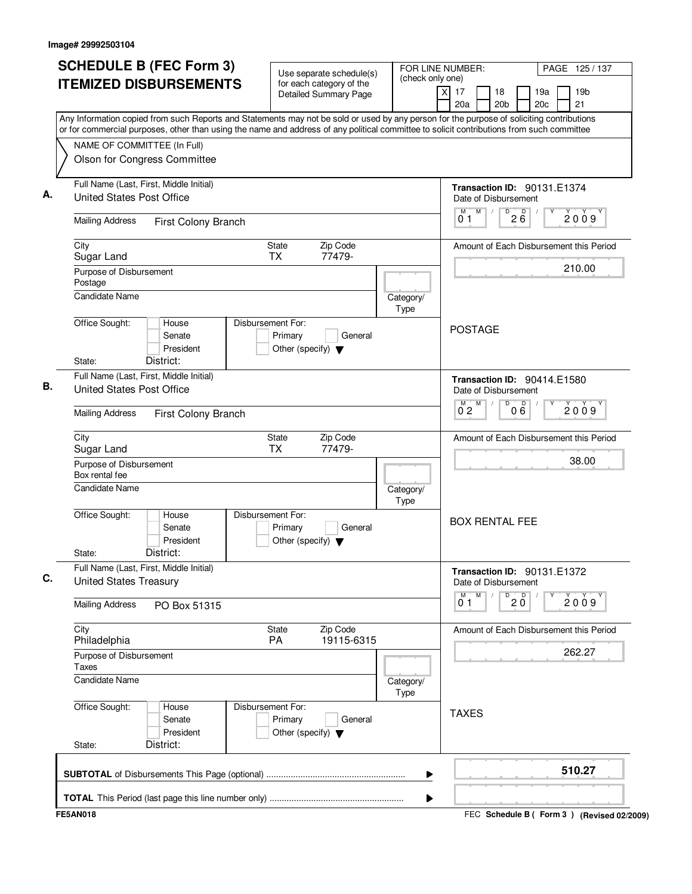| <b>ITEMIZED DISBURSEMENTS</b><br>for each category of the<br>$\overline{X}$<br>17<br>19 <sub>b</sub><br>18<br>19a<br><b>Detailed Summary Page</b><br>21<br>20a<br>20 <sub>b</sub><br>20c<br>Any Information copied from such Reports and Statements may not be sold or used by any person for the purpose of soliciting contributions<br>or for commercial purposes, other than using the name and address of any political committee to solicit contributions from such committee<br>NAME OF COMMITTEE (In Full)<br>Olson for Congress Committee<br>Full Name (Last, First, Middle Initial)<br><b>Transaction ID: 90131.E1374</b><br><b>United States Post Office</b><br>Date of Disbursement<br>M<br>D<br>$2\overline{6}$<br>2009<br>01<br><b>Mailing Address</b><br>First Colony Branch<br>Zip Code<br>City<br>State<br>Amount of Each Disbursement this Period<br><b>TX</b><br>77479-<br>Sugar Land<br>210.00<br>Purpose of Disbursement<br>Postage<br><b>Candidate Name</b><br>Category/<br>Type<br>Office Sought:<br>House<br>Disbursement For:<br><b>POSTAGE</b><br>Primary<br>Senate<br>General<br>President<br>Other (specify) $\blacktriangledown$<br>District:<br>State:<br>Full Name (Last, First, Middle Initial)<br>Transaction ID: 90414.E1580<br><b>United States Post Office</b><br>Date of Disbursement<br>M<br>D<br>000<br>2009<br>$0^{\circ}2$<br><b>Mailing Address</b><br>First Colony Branch<br>Zip Code<br>City<br>State<br>Amount of Each Disbursement this Period<br>Sugar Land<br>ТX<br>77479-<br>38.00<br>Purpose of Disbursement<br>Box rental fee<br><b>Candidate Name</b><br>Category/<br>Type<br>Office Sought:<br>Disbursement For:<br>House<br><b>BOX RENTAL FEE</b><br>Senate<br>Primary<br>General<br>President<br>Other (specify) $\blacktriangledown$<br>District:<br>State:<br>Full Name (Last, First, Middle Initial)<br><b>Transaction ID: 90131.E1372</b><br><b>United States Treasury</b><br>Date of Disbursement<br>M<br>$20^{\circ}$<br>D<br>2009<br>01<br><b>Mailing Address</b><br>PO Box 51315<br>City<br>Zip Code<br>State<br>Amount of Each Disbursement this Period<br>19115-6315<br>Philadelphia<br>PA<br>262.27<br>Purpose of Disbursement<br>Taxes<br>Candidate Name<br>Category/<br>Type<br>Office Sought:<br>Disbursement For:<br>House<br><b>TAXES</b><br>Senate<br>Primary<br>General<br>President<br>Other (specify) $\blacktriangledown$<br>District:<br>State:<br>510.27<br>▶ | <b>SCHEDULE B (FEC Form 3)</b> | Use separate schedule(s) | FOR LINE NUMBER:<br>(check only one) | PAGE 125 / 137                              |
|--------------------------------------------------------------------------------------------------------------------------------------------------------------------------------------------------------------------------------------------------------------------------------------------------------------------------------------------------------------------------------------------------------------------------------------------------------------------------------------------------------------------------------------------------------------------------------------------------------------------------------------------------------------------------------------------------------------------------------------------------------------------------------------------------------------------------------------------------------------------------------------------------------------------------------------------------------------------------------------------------------------------------------------------------------------------------------------------------------------------------------------------------------------------------------------------------------------------------------------------------------------------------------------------------------------------------------------------------------------------------------------------------------------------------------------------------------------------------------------------------------------------------------------------------------------------------------------------------------------------------------------------------------------------------------------------------------------------------------------------------------------------------------------------------------------------------------------------------------------------------------------------------------------------------------------------------------------------------------------------------------------------------------------------------------------------------------------------------------------------------------------------------------------------------------------------------------------------------------------------------------------------------------------------------------------------------------------------------------------------------------------------------------------------------------------------|--------------------------------|--------------------------|--------------------------------------|---------------------------------------------|
|                                                                                                                                                                                                                                                                                                                                                                                                                                                                                                                                                                                                                                                                                                                                                                                                                                                                                                                                                                                                                                                                                                                                                                                                                                                                                                                                                                                                                                                                                                                                                                                                                                                                                                                                                                                                                                                                                                                                                                                                                                                                                                                                                                                                                                                                                                                                                                                                                                            |                                |                          |                                      |                                             |
|                                                                                                                                                                                                                                                                                                                                                                                                                                                                                                                                                                                                                                                                                                                                                                                                                                                                                                                                                                                                                                                                                                                                                                                                                                                                                                                                                                                                                                                                                                                                                                                                                                                                                                                                                                                                                                                                                                                                                                                                                                                                                                                                                                                                                                                                                                                                                                                                                                            |                                |                          |                                      |                                             |
|                                                                                                                                                                                                                                                                                                                                                                                                                                                                                                                                                                                                                                                                                                                                                                                                                                                                                                                                                                                                                                                                                                                                                                                                                                                                                                                                                                                                                                                                                                                                                                                                                                                                                                                                                                                                                                                                                                                                                                                                                                                                                                                                                                                                                                                                                                                                                                                                                                            |                                |                          |                                      |                                             |
|                                                                                                                                                                                                                                                                                                                                                                                                                                                                                                                                                                                                                                                                                                                                                                                                                                                                                                                                                                                                                                                                                                                                                                                                                                                                                                                                                                                                                                                                                                                                                                                                                                                                                                                                                                                                                                                                                                                                                                                                                                                                                                                                                                                                                                                                                                                                                                                                                                            |                                |                          |                                      |                                             |
|                                                                                                                                                                                                                                                                                                                                                                                                                                                                                                                                                                                                                                                                                                                                                                                                                                                                                                                                                                                                                                                                                                                                                                                                                                                                                                                                                                                                                                                                                                                                                                                                                                                                                                                                                                                                                                                                                                                                                                                                                                                                                                                                                                                                                                                                                                                                                                                                                                            |                                |                          |                                      |                                             |
|                                                                                                                                                                                                                                                                                                                                                                                                                                                                                                                                                                                                                                                                                                                                                                                                                                                                                                                                                                                                                                                                                                                                                                                                                                                                                                                                                                                                                                                                                                                                                                                                                                                                                                                                                                                                                                                                                                                                                                                                                                                                                                                                                                                                                                                                                                                                                                                                                                            |                                |                          |                                      |                                             |
|                                                                                                                                                                                                                                                                                                                                                                                                                                                                                                                                                                                                                                                                                                                                                                                                                                                                                                                                                                                                                                                                                                                                                                                                                                                                                                                                                                                                                                                                                                                                                                                                                                                                                                                                                                                                                                                                                                                                                                                                                                                                                                                                                                                                                                                                                                                                                                                                                                            |                                |                          |                                      |                                             |
|                                                                                                                                                                                                                                                                                                                                                                                                                                                                                                                                                                                                                                                                                                                                                                                                                                                                                                                                                                                                                                                                                                                                                                                                                                                                                                                                                                                                                                                                                                                                                                                                                                                                                                                                                                                                                                                                                                                                                                                                                                                                                                                                                                                                                                                                                                                                                                                                                                            |                                |                          |                                      |                                             |
|                                                                                                                                                                                                                                                                                                                                                                                                                                                                                                                                                                                                                                                                                                                                                                                                                                                                                                                                                                                                                                                                                                                                                                                                                                                                                                                                                                                                                                                                                                                                                                                                                                                                                                                                                                                                                                                                                                                                                                                                                                                                                                                                                                                                                                                                                                                                                                                                                                            |                                |                          |                                      |                                             |
|                                                                                                                                                                                                                                                                                                                                                                                                                                                                                                                                                                                                                                                                                                                                                                                                                                                                                                                                                                                                                                                                                                                                                                                                                                                                                                                                                                                                                                                                                                                                                                                                                                                                                                                                                                                                                                                                                                                                                                                                                                                                                                                                                                                                                                                                                                                                                                                                                                            |                                |                          |                                      |                                             |
|                                                                                                                                                                                                                                                                                                                                                                                                                                                                                                                                                                                                                                                                                                                                                                                                                                                                                                                                                                                                                                                                                                                                                                                                                                                                                                                                                                                                                                                                                                                                                                                                                                                                                                                                                                                                                                                                                                                                                                                                                                                                                                                                                                                                                                                                                                                                                                                                                                            |                                |                          |                                      |                                             |
|                                                                                                                                                                                                                                                                                                                                                                                                                                                                                                                                                                                                                                                                                                                                                                                                                                                                                                                                                                                                                                                                                                                                                                                                                                                                                                                                                                                                                                                                                                                                                                                                                                                                                                                                                                                                                                                                                                                                                                                                                                                                                                                                                                                                                                                                                                                                                                                                                                            |                                |                          |                                      |                                             |
|                                                                                                                                                                                                                                                                                                                                                                                                                                                                                                                                                                                                                                                                                                                                                                                                                                                                                                                                                                                                                                                                                                                                                                                                                                                                                                                                                                                                                                                                                                                                                                                                                                                                                                                                                                                                                                                                                                                                                                                                                                                                                                                                                                                                                                                                                                                                                                                                                                            |                                |                          |                                      |                                             |
|                                                                                                                                                                                                                                                                                                                                                                                                                                                                                                                                                                                                                                                                                                                                                                                                                                                                                                                                                                                                                                                                                                                                                                                                                                                                                                                                                                                                                                                                                                                                                                                                                                                                                                                                                                                                                                                                                                                                                                                                                                                                                                                                                                                                                                                                                                                                                                                                                                            |                                |                          |                                      |                                             |
|                                                                                                                                                                                                                                                                                                                                                                                                                                                                                                                                                                                                                                                                                                                                                                                                                                                                                                                                                                                                                                                                                                                                                                                                                                                                                                                                                                                                                                                                                                                                                                                                                                                                                                                                                                                                                                                                                                                                                                                                                                                                                                                                                                                                                                                                                                                                                                                                                                            |                                |                          |                                      |                                             |
|                                                                                                                                                                                                                                                                                                                                                                                                                                                                                                                                                                                                                                                                                                                                                                                                                                                                                                                                                                                                                                                                                                                                                                                                                                                                                                                                                                                                                                                                                                                                                                                                                                                                                                                                                                                                                                                                                                                                                                                                                                                                                                                                                                                                                                                                                                                                                                                                                                            |                                |                          |                                      |                                             |
|                                                                                                                                                                                                                                                                                                                                                                                                                                                                                                                                                                                                                                                                                                                                                                                                                                                                                                                                                                                                                                                                                                                                                                                                                                                                                                                                                                                                                                                                                                                                                                                                                                                                                                                                                                                                                                                                                                                                                                                                                                                                                                                                                                                                                                                                                                                                                                                                                                            |                                |                          |                                      |                                             |
|                                                                                                                                                                                                                                                                                                                                                                                                                                                                                                                                                                                                                                                                                                                                                                                                                                                                                                                                                                                                                                                                                                                                                                                                                                                                                                                                                                                                                                                                                                                                                                                                                                                                                                                                                                                                                                                                                                                                                                                                                                                                                                                                                                                                                                                                                                                                                                                                                                            |                                |                          |                                      |                                             |
|                                                                                                                                                                                                                                                                                                                                                                                                                                                                                                                                                                                                                                                                                                                                                                                                                                                                                                                                                                                                                                                                                                                                                                                                                                                                                                                                                                                                                                                                                                                                                                                                                                                                                                                                                                                                                                                                                                                                                                                                                                                                                                                                                                                                                                                                                                                                                                                                                                            |                                |                          |                                      |                                             |
|                                                                                                                                                                                                                                                                                                                                                                                                                                                                                                                                                                                                                                                                                                                                                                                                                                                                                                                                                                                                                                                                                                                                                                                                                                                                                                                                                                                                                                                                                                                                                                                                                                                                                                                                                                                                                                                                                                                                                                                                                                                                                                                                                                                                                                                                                                                                                                                                                                            |                                |                          |                                      |                                             |
|                                                                                                                                                                                                                                                                                                                                                                                                                                                                                                                                                                                                                                                                                                                                                                                                                                                                                                                                                                                                                                                                                                                                                                                                                                                                                                                                                                                                                                                                                                                                                                                                                                                                                                                                                                                                                                                                                                                                                                                                                                                                                                                                                                                                                                                                                                                                                                                                                                            |                                |                          |                                      |                                             |
|                                                                                                                                                                                                                                                                                                                                                                                                                                                                                                                                                                                                                                                                                                                                                                                                                                                                                                                                                                                                                                                                                                                                                                                                                                                                                                                                                                                                                                                                                                                                                                                                                                                                                                                                                                                                                                                                                                                                                                                                                                                                                                                                                                                                                                                                                                                                                                                                                                            | <b>FE5AN018</b>                |                          |                                      | FEC Schedule B ( Form 3 ) (Revised 02/2009) |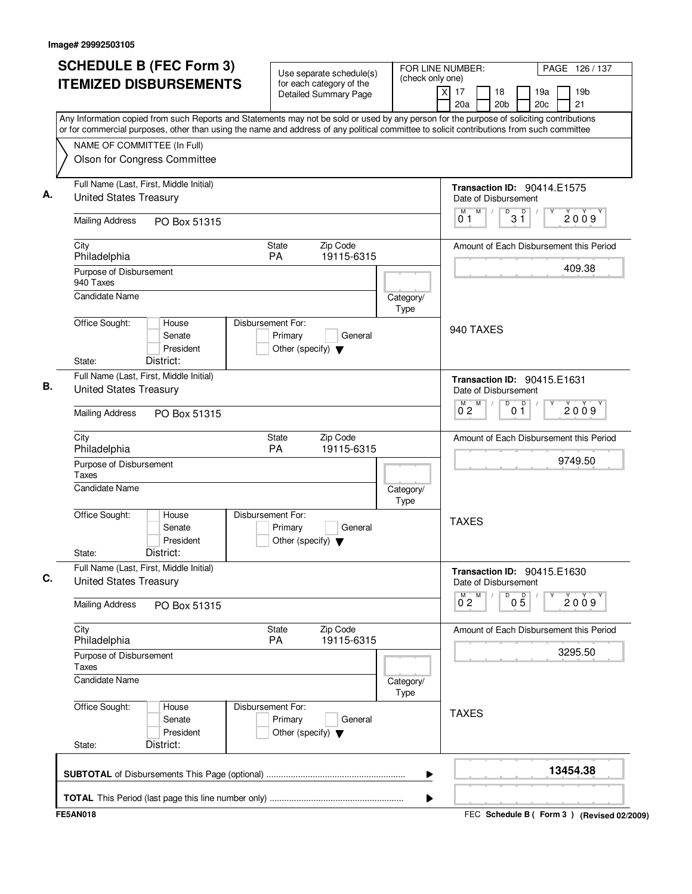| <b>SCHEDULE B (FEC Form 3)</b>                                                                                                                                                                                                                                                         | Use separate schedule(s)                                                        | FOR LINE NUMBER:                   | PAGE 126 / 137                                                      |
|----------------------------------------------------------------------------------------------------------------------------------------------------------------------------------------------------------------------------------------------------------------------------------------|---------------------------------------------------------------------------------|------------------------------------|---------------------------------------------------------------------|
| <b>ITEMIZED DISBURSEMENTS</b>                                                                                                                                                                                                                                                          | for each category of the<br><b>Detailed Summary Page</b>                        | (check only one)<br>$\times$<br>17 | 19 <sub>b</sub><br>18<br>19a<br>20 <sub>b</sub><br>20c<br>21<br>20a |
| Any Information copied from such Reports and Statements may not be sold or used by any person for the purpose of soliciting contributions<br>or for commercial purposes, other than using the name and address of any political committee to solicit contributions from such committee |                                                                                 |                                    |                                                                     |
| NAME OF COMMITTEE (In Full)                                                                                                                                                                                                                                                            |                                                                                 |                                    |                                                                     |
| Olson for Congress Committee                                                                                                                                                                                                                                                           |                                                                                 |                                    |                                                                     |
| Full Name (Last, First, Middle Initial)<br><b>United States Treasury</b>                                                                                                                                                                                                               |                                                                                 |                                    | Transaction ID: 90414.E1575<br>Date of Disbursement                 |
| <b>Mailing Address</b><br>PO Box 51315                                                                                                                                                                                                                                                 |                                                                                 |                                    | M<br>D<br>D<br>M<br>$\sqrt{2}$<br>2009<br>3 Ĭ<br>01                 |
| City<br>Philadelphia                                                                                                                                                                                                                                                                   | State<br>Zip Code<br>PA<br>19115-6315                                           |                                    | Amount of Each Disbursement this Period                             |
| Purpose of Disbursement<br>940 Taxes                                                                                                                                                                                                                                                   |                                                                                 |                                    | 409.38                                                              |
| Candidate Name                                                                                                                                                                                                                                                                         |                                                                                 | Category/<br>Type                  |                                                                     |
| Office Sought:<br>House<br>Senate<br>President                                                                                                                                                                                                                                         | Disbursement For:<br>Primary<br>General<br>Other (specify) $\blacktriangledown$ |                                    | 940 TAXES                                                           |
| District:<br>State:                                                                                                                                                                                                                                                                    |                                                                                 |                                    |                                                                     |
| Full Name (Last, First, Middle Initial)<br><b>United States Treasury</b>                                                                                                                                                                                                               |                                                                                 |                                    | <b>Transaction ID: 90415.E1631</b><br>Date of Disbursement          |
| <b>Mailing Address</b><br>PO Box 51315                                                                                                                                                                                                                                                 |                                                                                 |                                    | $\overline{D}$<br>M<br>0 <sup>0</sup><br>2009<br>$0^{\degree}2$     |
| City<br>Philadelphia                                                                                                                                                                                                                                                                   | Zip Code<br>State<br>PA<br>19115-6315                                           |                                    | Amount of Each Disbursement this Period                             |
| Purpose of Disbursement<br>Taxes                                                                                                                                                                                                                                                       |                                                                                 |                                    | 9749.50                                                             |
| <b>Candidate Name</b>                                                                                                                                                                                                                                                                  |                                                                                 | Category/<br><b>Type</b>           |                                                                     |
| Office Sought:<br>House<br>Senate<br>President                                                                                                                                                                                                                                         | Disbursement For:<br>Primary<br>General<br>Other (specify) $\blacktriangledown$ |                                    | <b>TAXES</b>                                                        |
| District:<br>State:<br>Full Name (Last, First, Middle Initial)                                                                                                                                                                                                                         |                                                                                 |                                    |                                                                     |
| <b>United States Treasury</b>                                                                                                                                                                                                                                                          |                                                                                 |                                    | <b>Transaction ID: 90415.E1630</b><br>Date of Disbursement<br>D     |
| <b>Mailing Address</b><br>PO Box 51315                                                                                                                                                                                                                                                 |                                                                                 |                                    | $0^M2$ <sup>M</sup><br>$0\overline{5}$<br>2009                      |
| City<br>Philadelphia                                                                                                                                                                                                                                                                   | State<br>Zip Code<br>PA<br>19115-6315                                           |                                    | Amount of Each Disbursement this Period                             |
| Purpose of Disbursement<br>Taxes                                                                                                                                                                                                                                                       |                                                                                 |                                    | 3295.50                                                             |
| <b>Candidate Name</b>                                                                                                                                                                                                                                                                  |                                                                                 | Category/<br>Type                  |                                                                     |
| Office Sought:<br>House<br>Senate<br>President                                                                                                                                                                                                                                         | Disbursement For:<br>Primary<br>General<br>Other (specify) $\blacktriangledown$ |                                    | <b>TAXES</b>                                                        |
| District:<br>State:                                                                                                                                                                                                                                                                    |                                                                                 |                                    |                                                                     |
|                                                                                                                                                                                                                                                                                        |                                                                                 | ▶                                  | 13454.38                                                            |
|                                                                                                                                                                                                                                                                                        |                                                                                 |                                    |                                                                     |

FEC **Schedule B ( ) Form 3 FE5AN018 (Revised 02/2009)**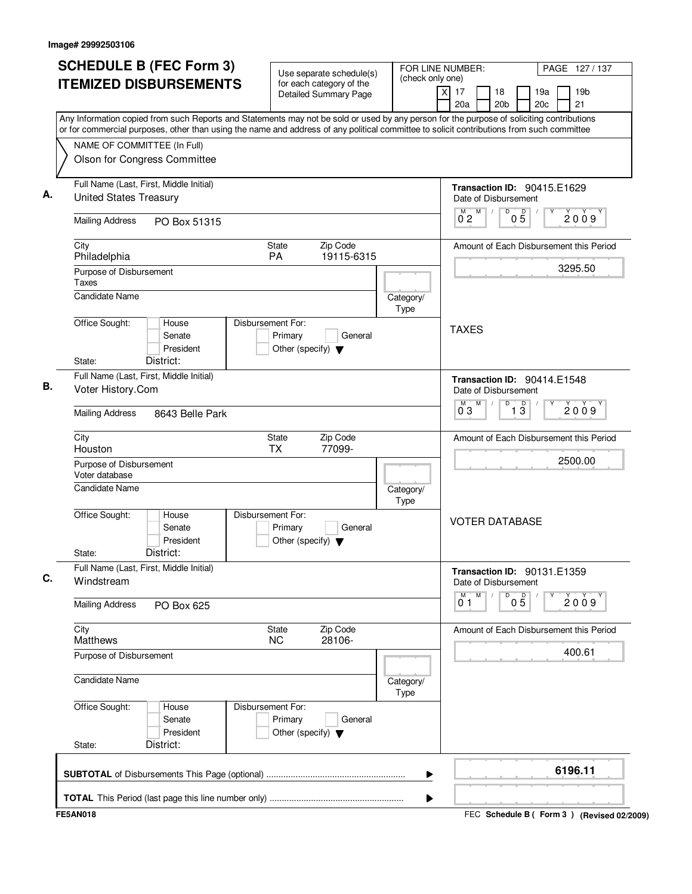| <b>SCHEDULE B (FEC Form 3)</b><br><b>ITEMIZED DISBURSEMENTS</b>                                                                                                                                                                                                                        | Use separate schedule(s)<br>for each category of the<br><b>Detailed Summary Page</b> | (check only one)         | FOR LINE NUMBER:<br>PAGE 127/137<br>19 <sub>b</sub><br>$\times$<br>17<br>18<br>19a<br>20c<br>21<br>20a<br>20 <sub>b</sub> |
|----------------------------------------------------------------------------------------------------------------------------------------------------------------------------------------------------------------------------------------------------------------------------------------|--------------------------------------------------------------------------------------|--------------------------|---------------------------------------------------------------------------------------------------------------------------|
| Any Information copied from such Reports and Statements may not be sold or used by any person for the purpose of soliciting contributions<br>or for commercial purposes, other than using the name and address of any political committee to solicit contributions from such committee |                                                                                      |                          |                                                                                                                           |
| NAME OF COMMITTEE (In Full)<br>Olson for Congress Committee                                                                                                                                                                                                                            |                                                                                      |                          |                                                                                                                           |
| Full Name (Last, First, Middle Initial)<br><b>United States Treasury</b>                                                                                                                                                                                                               |                                                                                      |                          | Transaction ID: 90415.E1629<br>Date of Disbursement                                                                       |
| <b>Mailing Address</b><br>PO Box 51315                                                                                                                                                                                                                                                 |                                                                                      |                          | D<br>$\mathsf D$<br>M<br>M<br>$\sqrt{2}$<br>2009<br>0 <sub>2</sub><br>$0\bar{5}$                                          |
| City<br>Philadelphia                                                                                                                                                                                                                                                                   | State<br>Zip Code<br><b>PA</b><br>19115-6315                                         |                          | Amount of Each Disbursement this Period                                                                                   |
| Purpose of Disbursement<br>Taxes                                                                                                                                                                                                                                                       |                                                                                      |                          | 3295.50                                                                                                                   |
| <b>Candidate Name</b>                                                                                                                                                                                                                                                                  |                                                                                      | Category/<br><b>Type</b> |                                                                                                                           |
| Office Sought:<br>House<br>Senate<br>President<br>District:<br>State:                                                                                                                                                                                                                  | Disbursement For:<br>Primary<br>General<br>Other (specify) $\blacktriangledown$      |                          | <b>TAXES</b>                                                                                                              |
| Full Name (Last, First, Middle Initial)<br>Voter History.Com                                                                                                                                                                                                                           |                                                                                      |                          | Transaction ID: 90414.E1548<br>Date of Disbursement<br>M<br>D<br>M                                                        |
| <b>Mailing Address</b><br>8643 Belle Park                                                                                                                                                                                                                                              |                                                                                      |                          | $\overline{1\,3}$<br>2009<br>03                                                                                           |
| City<br>Houston                                                                                                                                                                                                                                                                        | Zip Code<br>State<br><b>TX</b><br>77099-                                             |                          | Amount of Each Disbursement this Period                                                                                   |
| Purpose of Disbursement<br>Voter database                                                                                                                                                                                                                                              |                                                                                      |                          | 2500.00                                                                                                                   |
| <b>Candidate Name</b>                                                                                                                                                                                                                                                                  |                                                                                      | Category/<br>Type        |                                                                                                                           |
| Office Sought:<br>House<br>Senate<br>President<br>District:<br>State:                                                                                                                                                                                                                  | Disbursement For:<br>Primary<br>General<br>Other (specify) $\blacktriangledown$      |                          | <b>VOTER DATABASE</b>                                                                                                     |
| Full Name (Last, First, Middle Initial)<br>Windstream                                                                                                                                                                                                                                  |                                                                                      |                          | Transaction ID: 90131.E1359<br>Date of Disbursement                                                                       |
| <b>Mailing Address</b><br>PO Box 625                                                                                                                                                                                                                                                   |                                                                                      |                          | M<br>D<br>M<br>05<br>2009<br>0 1                                                                                          |
| City<br><b>Matthews</b>                                                                                                                                                                                                                                                                | Zip Code<br>State<br>28106-<br><b>NC</b>                                             |                          | Amount of Each Disbursement this Period                                                                                   |
| Purpose of Disbursement                                                                                                                                                                                                                                                                |                                                                                      |                          | 400.61                                                                                                                    |
| <b>Candidate Name</b>                                                                                                                                                                                                                                                                  |                                                                                      | Category/<br><b>Type</b> |                                                                                                                           |
| Office Sought:<br>House<br>Senate<br>President                                                                                                                                                                                                                                         | Disbursement For:<br>Primary<br>General<br>Other (specify) $\blacktriangledown$      |                          |                                                                                                                           |
| District:<br>State:                                                                                                                                                                                                                                                                    |                                                                                      |                          |                                                                                                                           |
|                                                                                                                                                                                                                                                                                        |                                                                                      | ▶                        | 6196.11                                                                                                                   |

FEC **Schedule B ( ) Form 3 FE5AN018 (Revised 02/2009)**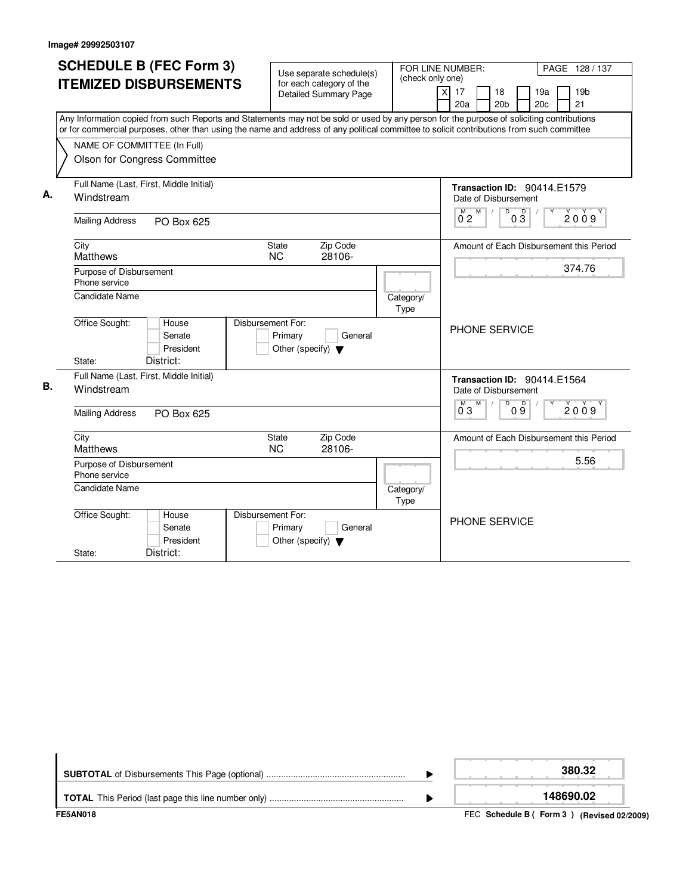|    | <b>SCHEDULE B (FEC Form 3)</b><br><b>ITEMIZED DISBURSEMENTS</b><br>Any Information copied from such Reports and Statements may not be sold or used by any person for the purpose of soliciting contributions<br>or for commercial purposes, other than using the name and address of any political committee to solicit contributions from such committee<br>NAME OF COMMITTEE (In Full)<br>Olson for Congress Committee | Use separate schedule(s)<br>for each category of the<br><b>Detailed Summary Page</b> | FOR LINE NUMBER:<br>(check only one)<br>$\overline{\mathsf{x}}$ | PAGE 128 / 137<br>19 <sub>b</sub><br>17<br>18<br>19a<br>20a<br>20 <sub>b</sub><br>20c<br>21                                           |
|----|--------------------------------------------------------------------------------------------------------------------------------------------------------------------------------------------------------------------------------------------------------------------------------------------------------------------------------------------------------------------------------------------------------------------------|--------------------------------------------------------------------------------------|-----------------------------------------------------------------|---------------------------------------------------------------------------------------------------------------------------------------|
| А. | Full Name (Last, First, Middle Initial)<br>Windstream<br><b>Mailing Address</b><br>PO Box 625                                                                                                                                                                                                                                                                                                                            |                                                                                      |                                                                 | Transaction ID: 90414.E1579<br>Date of Disbursement<br>$\overline{D}$<br>$\begin{bmatrix} 0 & 2 \\ 0 & 2 \end{bmatrix}$<br>03<br>2009 |
|    | City<br>Matthews<br>Purpose of Disbursement<br>Phone service                                                                                                                                                                                                                                                                                                                                                             | <b>State</b><br>Zip Code<br><b>NC</b><br>28106-                                      |                                                                 | Amount of Each Disbursement this Period<br>374.76                                                                                     |
|    | <b>Candidate Name</b><br>Office Sought:<br>House<br>Senate<br>President<br>District:<br>State:                                                                                                                                                                                                                                                                                                                           | Disbursement For:<br>Primary<br>General<br>Other (specify) $\blacktriangledown$      | Category/<br>Type                                               | PHONE SERVICE                                                                                                                         |
| В. | Full Name (Last, First, Middle Initial)<br>Windstream<br><b>Mailing Address</b><br>PO Box 625                                                                                                                                                                                                                                                                                                                            |                                                                                      |                                                                 | Transaction ID: 90414.E1564<br>Date of Disbursement<br>$\overline{D}$<br>$\mathsf D$<br>M<br>M<br>2009<br>03<br>09                    |
|    | City<br><b>Matthews</b><br>Purpose of Disbursement<br>Phone service<br>Candidate Name                                                                                                                                                                                                                                                                                                                                    | Zip Code<br><b>State</b><br><b>NC</b><br>28106-                                      | Category/<br>Type                                               | Amount of Each Disbursement this Period<br>5.56                                                                                       |
|    | Office Sought:<br>House<br>Senate<br>President<br>District:<br>State:                                                                                                                                                                                                                                                                                                                                                    | Disbursement For:<br>Primary<br>General<br>Other (specify) $\blacktriangledown$      |                                                                 | <b>PHONE SERVICE</b>                                                                                                                  |

| FE5AN018 | FEC Schedule B (Form 3) (Revised 02/2009) |
|----------|-------------------------------------------|
|          | 148690.02                                 |
|          | 380.32                                    |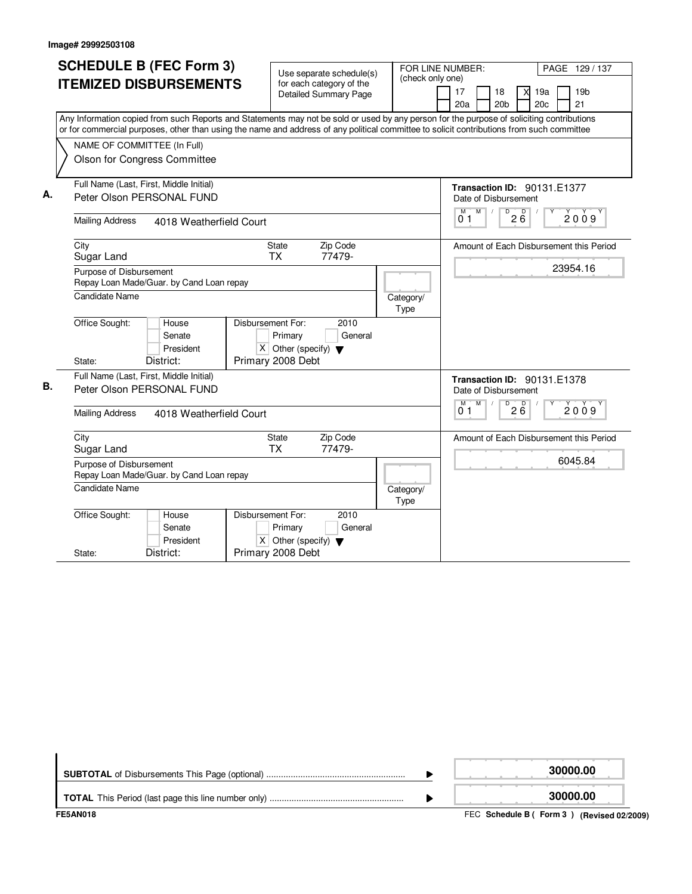|    | <b>SCHEDULE B (FEC Form 3)</b><br><b>ITEMIZED DISBURSEMENTS</b><br>Any Information copied from such Reports and Statements may not be sold or used by any person for the purpose of soliciting contributions<br>or for commercial purposes, other than using the name and address of any political committee to solicit contributions from such committee<br>NAME OF COMMITTEE (In Full) | Use separate schedule(s)<br>for each category of the<br><b>Detailed Summary Page</b>                                        | (check only one)  | FOR LINE NUMBER:<br>PAGE 129 / 137<br>17<br>19a<br>19 <sub>b</sub><br>18<br>X<br>20 <sub>b</sub><br>20 <sub>c</sub><br>21<br>20a |
|----|------------------------------------------------------------------------------------------------------------------------------------------------------------------------------------------------------------------------------------------------------------------------------------------------------------------------------------------------------------------------------------------|-----------------------------------------------------------------------------------------------------------------------------|-------------------|----------------------------------------------------------------------------------------------------------------------------------|
| А. | Olson for Congress Committee<br>Full Name (Last, First, Middle Initial)<br>Peter Olson PERSONAL FUND                                                                                                                                                                                                                                                                                     |                                                                                                                             |                   | Transaction ID: 90131.E1377<br>Date of Disbursement                                                                              |
|    | <b>Mailing Address</b><br>4018 Weatherfield Court                                                                                                                                                                                                                                                                                                                                        |                                                                                                                             |                   | M<br>$\sqrt{2}$<br>$\mathsf D$<br>$2\overline{6}$<br>M<br>2009<br>0 <sub>1</sub>                                                 |
|    | City<br>Sugar Land<br>Purpose of Disbursement<br>Repay Loan Made/Guar. by Cand Loan repay<br><b>Candidate Name</b>                                                                                                                                                                                                                                                                       | Zip Code<br><b>State</b><br>77479-<br><b>TX</b>                                                                             | Category/<br>Type | Amount of Each Disbursement this Period<br>23954.16                                                                              |
|    | Office Sought:<br>House<br>Senate<br>President<br>District:<br>State:                                                                                                                                                                                                                                                                                                                    | Disbursement For:<br>2010<br>Primary<br>General<br>$\overline{X}$ Other (specify) $\blacktriangledown$<br>Primary 2008 Debt |                   |                                                                                                                                  |
| В. | Full Name (Last, First, Middle Initial)<br>Peter Olson PERSONAL FUND<br><b>Mailing Address</b><br>4018 Weatherfield Court                                                                                                                                                                                                                                                                |                                                                                                                             |                   | <b>Transaction ID: 90131.E1378</b><br>Date of Disbursement<br>M<br>$\overline{D}$<br>M<br>$2\overline{6}$<br>2009<br>01          |
|    | City<br>Sugar Land<br>Purpose of Disbursement<br>Repay Loan Made/Guar. by Cand Loan repay<br><b>Candidate Name</b>                                                                                                                                                                                                                                                                       | Zip Code<br>State<br><b>TX</b><br>77479-                                                                                    | Category/<br>Type | Amount of Each Disbursement this Period<br>6045.84                                                                               |
|    | Office Sought:<br>House<br>Senate<br>President<br>District:<br>State:                                                                                                                                                                                                                                                                                                                    | Disbursement For:<br>2010<br>General<br>Primary<br>$X$ Other (specify) $\blacktriangledown$<br>Primary 2008 Debt            |                   |                                                                                                                                  |

|                 | 30000.00                                  |
|-----------------|-------------------------------------------|
|                 | 30000.00                                  |
| <b>FE5AN018</b> | FEC Schedule B (Form 3) (Revised 02/2009) |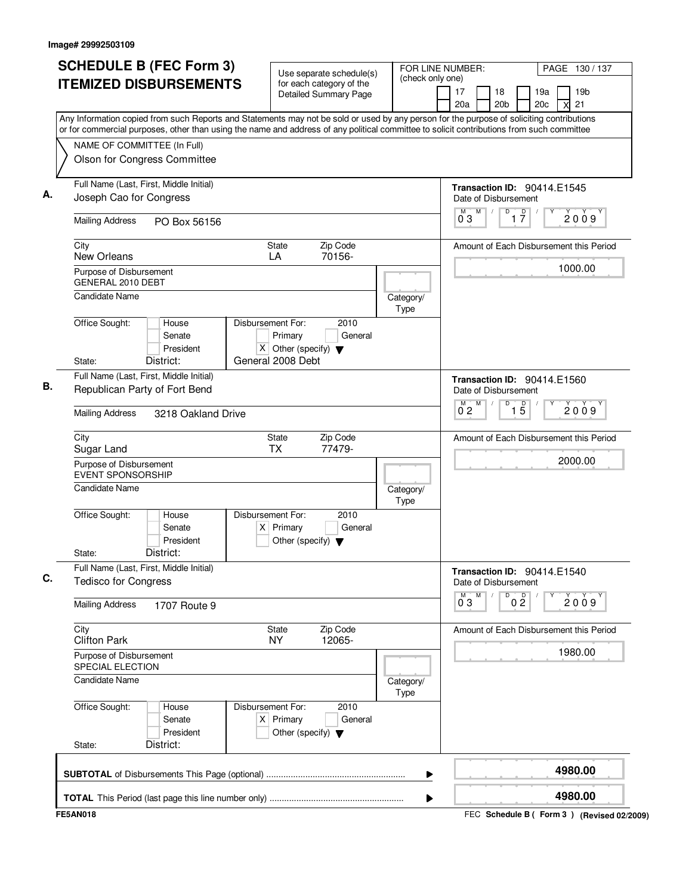| <b>ITEMIZED DISBURSEMENTS</b><br>for each category of the<br>17<br>19a<br>19 <sub>b</sub><br>18<br><b>Detailed Summary Page</b><br>20a<br>20 <sub>b</sub><br>21<br>20 <sub>c</sub><br>Any Information copied from such Reports and Statements may not be sold or used by any person for the purpose of soliciting contributions<br>or for commercial purposes, other than using the name and address of any political committee to solicit contributions from such committee<br>NAME OF COMMITTEE (In Full)<br>Olson for Congress Committee<br>Full Name (Last, First, Middle Initial)<br>Transaction ID: 90414.E1545<br>Joseph Cao for Congress<br>Date of Disbursement<br>$\overline{D}$<br>M<br>$\overline{1}$ $\overline{7}$<br>M<br>$\sqrt{2}$<br>03<br><b>Mailing Address</b><br>PO Box 56156<br>Zip Code<br>City<br>State<br>New Orleans<br>70156-<br>LA<br>1000.00<br>Purpose of Disbursement<br>GENERAL 2010 DEBT<br><b>Candidate Name</b><br>Category/<br>Type<br>Office Sought:<br>House<br>Disbursement For:<br>2010<br>Primary<br>General<br>Senate<br>X Other (specify) $\blacktriangledown$<br>President<br>General 2008 Debt<br>District:<br>State:<br>Full Name (Last, First, Middle Initial)<br>Transaction ID: 90414.E1560<br>Republican Party of Fort Bend<br>Date of Disbursement<br>M<br>D<br>$\overline{15}$<br>М<br>$0^{\degree}2$<br><b>Mailing Address</b><br>3218 Oakland Drive<br>City<br>State<br>Zip Code<br><b>TX</b><br>77479-<br>Sugar Land<br>2000.00<br>Purpose of Disbursement<br><b>EVENT SPONSORSHIP</b><br><b>Candidate Name</b><br>Category/<br>Type<br>Office Sought:<br>Disbursement For:<br>2010<br>House<br>Senate<br>$X$ Primary<br>General<br>President<br>Other (specify) $\blacktriangledown$<br>District:<br>State:<br>Full Name (Last, First, Middle Initial)<br>Transaction ID: 90414.E1540<br><b>Tedisco for Congress</b><br>Date of Disbursement<br>M<br>D<br>0 <sup>0</sup><br>$\overline{0}^M$ 3<br><b>Mailing Address</b><br>1707 Route 9<br>City<br>State<br>Zip Code<br><b>Clifton Park</b><br><b>NY</b><br>12065-<br>1980.00<br>Purpose of Disbursement<br><b>SPECIAL ELECTION</b><br><b>Candidate Name</b><br>Category/<br>Type<br>Office Sought:<br>Disbursement For:<br>2010<br>House<br>$X$ Primary<br>General<br>Senate<br>President<br>Other (specify) $\blacktriangledown$<br>District:<br>State:<br>4980.00<br>▶ | <b>SCHEDULE B (FEC Form 3)</b> | Use separate schedule(s) | FOR LINE NUMBER:<br>(check only one) | PAGE 130/137                            |
|-------------------------------------------------------------------------------------------------------------------------------------------------------------------------------------------------------------------------------------------------------------------------------------------------------------------------------------------------------------------------------------------------------------------------------------------------------------------------------------------------------------------------------------------------------------------------------------------------------------------------------------------------------------------------------------------------------------------------------------------------------------------------------------------------------------------------------------------------------------------------------------------------------------------------------------------------------------------------------------------------------------------------------------------------------------------------------------------------------------------------------------------------------------------------------------------------------------------------------------------------------------------------------------------------------------------------------------------------------------------------------------------------------------------------------------------------------------------------------------------------------------------------------------------------------------------------------------------------------------------------------------------------------------------------------------------------------------------------------------------------------------------------------------------------------------------------------------------------------------------------------------------------------------------------------------------------------------------------------------------------------------------------------------------------------------------------------------------------------------------------------------------------------------------------------------------------------------------------------------------------------------------------------------------------------------------------------------------------------------------------------------|--------------------------------|--------------------------|--------------------------------------|-----------------------------------------|
|                                                                                                                                                                                                                                                                                                                                                                                                                                                                                                                                                                                                                                                                                                                                                                                                                                                                                                                                                                                                                                                                                                                                                                                                                                                                                                                                                                                                                                                                                                                                                                                                                                                                                                                                                                                                                                                                                                                                                                                                                                                                                                                                                                                                                                                                                                                                                                                     |                                |                          |                                      |                                         |
|                                                                                                                                                                                                                                                                                                                                                                                                                                                                                                                                                                                                                                                                                                                                                                                                                                                                                                                                                                                                                                                                                                                                                                                                                                                                                                                                                                                                                                                                                                                                                                                                                                                                                                                                                                                                                                                                                                                                                                                                                                                                                                                                                                                                                                                                                                                                                                                     |                                |                          |                                      |                                         |
|                                                                                                                                                                                                                                                                                                                                                                                                                                                                                                                                                                                                                                                                                                                                                                                                                                                                                                                                                                                                                                                                                                                                                                                                                                                                                                                                                                                                                                                                                                                                                                                                                                                                                                                                                                                                                                                                                                                                                                                                                                                                                                                                                                                                                                                                                                                                                                                     |                                |                          |                                      |                                         |
|                                                                                                                                                                                                                                                                                                                                                                                                                                                                                                                                                                                                                                                                                                                                                                                                                                                                                                                                                                                                                                                                                                                                                                                                                                                                                                                                                                                                                                                                                                                                                                                                                                                                                                                                                                                                                                                                                                                                                                                                                                                                                                                                                                                                                                                                                                                                                                                     |                                |                          |                                      |                                         |
|                                                                                                                                                                                                                                                                                                                                                                                                                                                                                                                                                                                                                                                                                                                                                                                                                                                                                                                                                                                                                                                                                                                                                                                                                                                                                                                                                                                                                                                                                                                                                                                                                                                                                                                                                                                                                                                                                                                                                                                                                                                                                                                                                                                                                                                                                                                                                                                     |                                |                          |                                      |                                         |
|                                                                                                                                                                                                                                                                                                                                                                                                                                                                                                                                                                                                                                                                                                                                                                                                                                                                                                                                                                                                                                                                                                                                                                                                                                                                                                                                                                                                                                                                                                                                                                                                                                                                                                                                                                                                                                                                                                                                                                                                                                                                                                                                                                                                                                                                                                                                                                                     |                                |                          |                                      | 2009                                    |
|                                                                                                                                                                                                                                                                                                                                                                                                                                                                                                                                                                                                                                                                                                                                                                                                                                                                                                                                                                                                                                                                                                                                                                                                                                                                                                                                                                                                                                                                                                                                                                                                                                                                                                                                                                                                                                                                                                                                                                                                                                                                                                                                                                                                                                                                                                                                                                                     |                                |                          |                                      | Amount of Each Disbursement this Period |
|                                                                                                                                                                                                                                                                                                                                                                                                                                                                                                                                                                                                                                                                                                                                                                                                                                                                                                                                                                                                                                                                                                                                                                                                                                                                                                                                                                                                                                                                                                                                                                                                                                                                                                                                                                                                                                                                                                                                                                                                                                                                                                                                                                                                                                                                                                                                                                                     |                                |                          |                                      |                                         |
|                                                                                                                                                                                                                                                                                                                                                                                                                                                                                                                                                                                                                                                                                                                                                                                                                                                                                                                                                                                                                                                                                                                                                                                                                                                                                                                                                                                                                                                                                                                                                                                                                                                                                                                                                                                                                                                                                                                                                                                                                                                                                                                                                                                                                                                                                                                                                                                     |                                |                          |                                      |                                         |
|                                                                                                                                                                                                                                                                                                                                                                                                                                                                                                                                                                                                                                                                                                                                                                                                                                                                                                                                                                                                                                                                                                                                                                                                                                                                                                                                                                                                                                                                                                                                                                                                                                                                                                                                                                                                                                                                                                                                                                                                                                                                                                                                                                                                                                                                                                                                                                                     |                                |                          |                                      |                                         |
|                                                                                                                                                                                                                                                                                                                                                                                                                                                                                                                                                                                                                                                                                                                                                                                                                                                                                                                                                                                                                                                                                                                                                                                                                                                                                                                                                                                                                                                                                                                                                                                                                                                                                                                                                                                                                                                                                                                                                                                                                                                                                                                                                                                                                                                                                                                                                                                     |                                |                          |                                      |                                         |
|                                                                                                                                                                                                                                                                                                                                                                                                                                                                                                                                                                                                                                                                                                                                                                                                                                                                                                                                                                                                                                                                                                                                                                                                                                                                                                                                                                                                                                                                                                                                                                                                                                                                                                                                                                                                                                                                                                                                                                                                                                                                                                                                                                                                                                                                                                                                                                                     |                                |                          |                                      |                                         |
|                                                                                                                                                                                                                                                                                                                                                                                                                                                                                                                                                                                                                                                                                                                                                                                                                                                                                                                                                                                                                                                                                                                                                                                                                                                                                                                                                                                                                                                                                                                                                                                                                                                                                                                                                                                                                                                                                                                                                                                                                                                                                                                                                                                                                                                                                                                                                                                     |                                |                          |                                      | 2009                                    |
|                                                                                                                                                                                                                                                                                                                                                                                                                                                                                                                                                                                                                                                                                                                                                                                                                                                                                                                                                                                                                                                                                                                                                                                                                                                                                                                                                                                                                                                                                                                                                                                                                                                                                                                                                                                                                                                                                                                                                                                                                                                                                                                                                                                                                                                                                                                                                                                     |                                |                          |                                      | Amount of Each Disbursement this Period |
|                                                                                                                                                                                                                                                                                                                                                                                                                                                                                                                                                                                                                                                                                                                                                                                                                                                                                                                                                                                                                                                                                                                                                                                                                                                                                                                                                                                                                                                                                                                                                                                                                                                                                                                                                                                                                                                                                                                                                                                                                                                                                                                                                                                                                                                                                                                                                                                     |                                |                          |                                      |                                         |
|                                                                                                                                                                                                                                                                                                                                                                                                                                                                                                                                                                                                                                                                                                                                                                                                                                                                                                                                                                                                                                                                                                                                                                                                                                                                                                                                                                                                                                                                                                                                                                                                                                                                                                                                                                                                                                                                                                                                                                                                                                                                                                                                                                                                                                                                                                                                                                                     |                                |                          |                                      |                                         |
|                                                                                                                                                                                                                                                                                                                                                                                                                                                                                                                                                                                                                                                                                                                                                                                                                                                                                                                                                                                                                                                                                                                                                                                                                                                                                                                                                                                                                                                                                                                                                                                                                                                                                                                                                                                                                                                                                                                                                                                                                                                                                                                                                                                                                                                                                                                                                                                     |                                |                          |                                      |                                         |
|                                                                                                                                                                                                                                                                                                                                                                                                                                                                                                                                                                                                                                                                                                                                                                                                                                                                                                                                                                                                                                                                                                                                                                                                                                                                                                                                                                                                                                                                                                                                                                                                                                                                                                                                                                                                                                                                                                                                                                                                                                                                                                                                                                                                                                                                                                                                                                                     |                                |                          |                                      |                                         |
|                                                                                                                                                                                                                                                                                                                                                                                                                                                                                                                                                                                                                                                                                                                                                                                                                                                                                                                                                                                                                                                                                                                                                                                                                                                                                                                                                                                                                                                                                                                                                                                                                                                                                                                                                                                                                                                                                                                                                                                                                                                                                                                                                                                                                                                                                                                                                                                     |                                |                          |                                      | 2009                                    |
|                                                                                                                                                                                                                                                                                                                                                                                                                                                                                                                                                                                                                                                                                                                                                                                                                                                                                                                                                                                                                                                                                                                                                                                                                                                                                                                                                                                                                                                                                                                                                                                                                                                                                                                                                                                                                                                                                                                                                                                                                                                                                                                                                                                                                                                                                                                                                                                     |                                |                          |                                      | Amount of Each Disbursement this Period |
|                                                                                                                                                                                                                                                                                                                                                                                                                                                                                                                                                                                                                                                                                                                                                                                                                                                                                                                                                                                                                                                                                                                                                                                                                                                                                                                                                                                                                                                                                                                                                                                                                                                                                                                                                                                                                                                                                                                                                                                                                                                                                                                                                                                                                                                                                                                                                                                     |                                |                          |                                      |                                         |
|                                                                                                                                                                                                                                                                                                                                                                                                                                                                                                                                                                                                                                                                                                                                                                                                                                                                                                                                                                                                                                                                                                                                                                                                                                                                                                                                                                                                                                                                                                                                                                                                                                                                                                                                                                                                                                                                                                                                                                                                                                                                                                                                                                                                                                                                                                                                                                                     |                                |                          |                                      |                                         |
|                                                                                                                                                                                                                                                                                                                                                                                                                                                                                                                                                                                                                                                                                                                                                                                                                                                                                                                                                                                                                                                                                                                                                                                                                                                                                                                                                                                                                                                                                                                                                                                                                                                                                                                                                                                                                                                                                                                                                                                                                                                                                                                                                                                                                                                                                                                                                                                     |                                |                          |                                      |                                         |
|                                                                                                                                                                                                                                                                                                                                                                                                                                                                                                                                                                                                                                                                                                                                                                                                                                                                                                                                                                                                                                                                                                                                                                                                                                                                                                                                                                                                                                                                                                                                                                                                                                                                                                                                                                                                                                                                                                                                                                                                                                                                                                                                                                                                                                                                                                                                                                                     |                                |                          |                                      |                                         |
|                                                                                                                                                                                                                                                                                                                                                                                                                                                                                                                                                                                                                                                                                                                                                                                                                                                                                                                                                                                                                                                                                                                                                                                                                                                                                                                                                                                                                                                                                                                                                                                                                                                                                                                                                                                                                                                                                                                                                                                                                                                                                                                                                                                                                                                                                                                                                                                     |                                |                          |                                      |                                         |
|                                                                                                                                                                                                                                                                                                                                                                                                                                                                                                                                                                                                                                                                                                                                                                                                                                                                                                                                                                                                                                                                                                                                                                                                                                                                                                                                                                                                                                                                                                                                                                                                                                                                                                                                                                                                                                                                                                                                                                                                                                                                                                                                                                                                                                                                                                                                                                                     |                                |                          |                                      | 4980.00                                 |

FEC **Schedule B ( ) Form 3 FE5AN018 (Revised 02/2009)**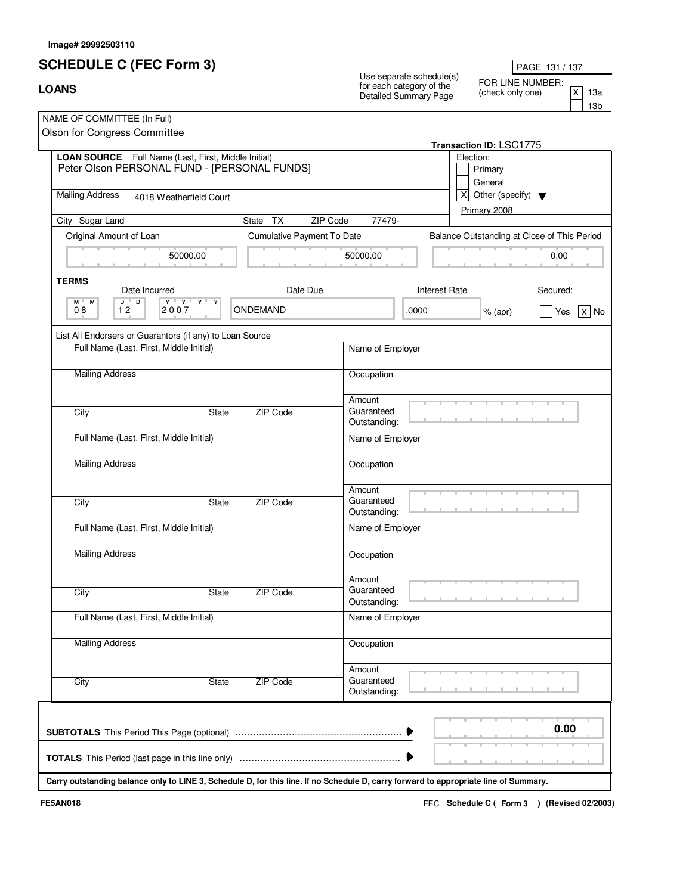| <b>LOANS</b> |                                                                                                                                      |                            |                                      | $110 - 1011 101$<br>Use separate schedule(s)<br>FOR LINE NUMBER:<br>for each category of the<br>X<br>(check only one)<br>13a<br>Detailed Summary Page<br>13 <sub>b</sub> |                                                          |  |  |
|--------------|--------------------------------------------------------------------------------------------------------------------------------------|----------------------------|--------------------------------------|--------------------------------------------------------------------------------------------------------------------------------------------------------------------------|----------------------------------------------------------|--|--|
|              | NAME OF COMMITTEE (In Full)<br>Olson for Congress Committee                                                                          |                            |                                      |                                                                                                                                                                          | Transaction ID: LSC1775                                  |  |  |
|              | LOAN SOURCE Full Name (Last, First, Middle Initial)<br>Peter Olson PERSONAL FUND - [PERSONAL FUNDS]                                  |                            |                                      |                                                                                                                                                                          | Election:<br>Primary<br>General                          |  |  |
|              | <b>Mailing Address</b><br>4018 Weatherfield Court                                                                                    |                            |                                      |                                                                                                                                                                          | $X$ Other (specify) $\blacktriangledown$<br>Primary 2008 |  |  |
|              | City Sugar Land                                                                                                                      | State TX<br>ZIP Code       | 77479-                               |                                                                                                                                                                          |                                                          |  |  |
|              | Original Amount of Loan                                                                                                              | Cumulative Payment To Date |                                      |                                                                                                                                                                          | Balance Outstanding at Close of This Period              |  |  |
|              | 50000.00                                                                                                                             |                            | 50000.00                             |                                                                                                                                                                          | 0.00                                                     |  |  |
|              | <b>TERMS</b><br>Date Incurred                                                                                                        | Date Due                   |                                      | <b>Interest Rate</b>                                                                                                                                                     | Secured:                                                 |  |  |
|              | $D$ $D$<br>$\mathbf{Y} + \mathbf{Y} + \mathbf{X} + \mathbf{X}$<br>M M<br>12<br>2007<br>08                                            | ONDEMAND                   |                                      | .0000                                                                                                                                                                    | $%$ (apr)<br>$X $ No<br>Yes                              |  |  |
|              | List All Endorsers or Guarantors (if any) to Loan Source                                                                             |                            |                                      |                                                                                                                                                                          |                                                          |  |  |
|              | Full Name (Last, First, Middle Initial)                                                                                              |                            | Name of Employer                     |                                                                                                                                                                          |                                                          |  |  |
|              | <b>Mailing Address</b>                                                                                                               |                            | Occupation                           |                                                                                                                                                                          |                                                          |  |  |
|              |                                                                                                                                      |                            | Amount                               |                                                                                                                                                                          |                                                          |  |  |
|              | City<br><b>State</b>                                                                                                                 | ZIP Code                   | Guaranteed<br>Outstanding:           |                                                                                                                                                                          |                                                          |  |  |
|              | Full Name (Last, First, Middle Initial)                                                                                              |                            | Name of Employer                     |                                                                                                                                                                          |                                                          |  |  |
|              | <b>Mailing Address</b>                                                                                                               |                            | Occupation                           |                                                                                                                                                                          |                                                          |  |  |
|              | City<br>State                                                                                                                        | ZIP Code                   | Amount<br>Guaranteed                 |                                                                                                                                                                          |                                                          |  |  |
|              | Full Name (Last, First, Middle Initial)                                                                                              |                            | Outstanding:<br>Name of Employer     |                                                                                                                                                                          |                                                          |  |  |
|              | <b>Mailing Address</b>                                                                                                               |                            |                                      |                                                                                                                                                                          |                                                          |  |  |
|              |                                                                                                                                      |                            | Occupation                           |                                                                                                                                                                          |                                                          |  |  |
|              | City<br>State                                                                                                                        | ZIP Code                   | Amount<br>Guaranteed<br>Outstanding: |                                                                                                                                                                          |                                                          |  |  |
|              | Full Name (Last, First, Middle Initial)                                                                                              |                            | Name of Employer                     |                                                                                                                                                                          |                                                          |  |  |
|              | <b>Mailing Address</b>                                                                                                               |                            | Occupation                           |                                                                                                                                                                          |                                                          |  |  |
|              |                                                                                                                                      |                            | Amount                               |                                                                                                                                                                          |                                                          |  |  |
|              | City<br>State                                                                                                                        | ZIP Code                   | Guaranteed<br>Outstanding:           |                                                                                                                                                                          |                                                          |  |  |
|              |                                                                                                                                      |                            |                                      |                                                                                                                                                                          | 0.00                                                     |  |  |
|              |                                                                                                                                      |                            |                                      |                                                                                                                                                                          |                                                          |  |  |
|              |                                                                                                                                      |                            |                                      |                                                                                                                                                                          |                                                          |  |  |
|              | Carry outstanding balance only to LINE 3, Schedule D, for this line. If no Schedule D, carry forward to appropriate line of Summary. |                            |                                      |                                                                                                                                                                          |                                                          |  |  |

FEC **Schedule C ( ) Form 3 FE5AN018 (Revised 02/2003)**

PAGE 131 / 137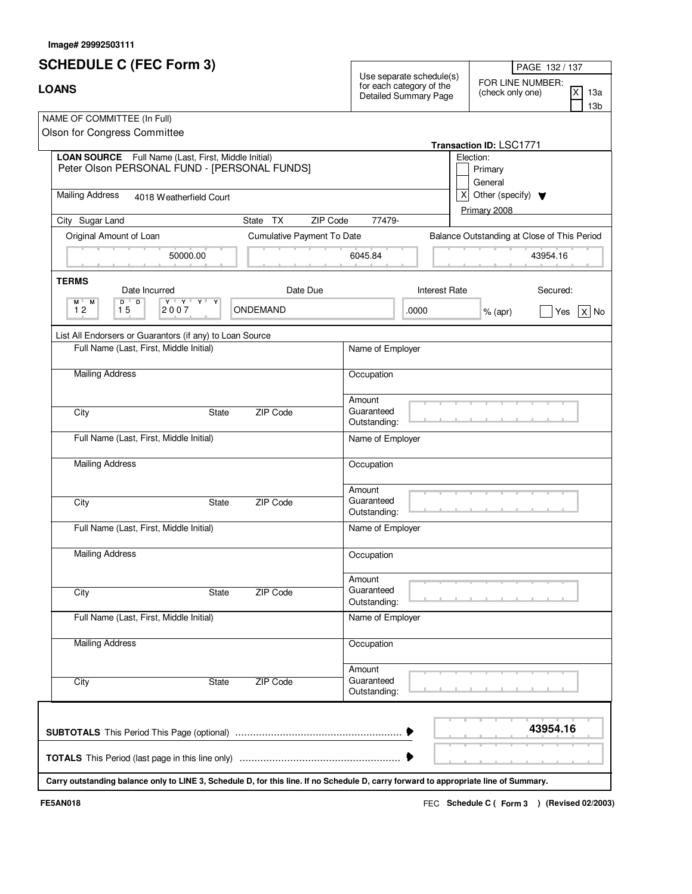| <b>SCHEDULE C (FEC Form 3)</b>                                                                                         |                            |                            | PAGE 132 / 137                                                                |                                                                 |                 |
|------------------------------------------------------------------------------------------------------------------------|----------------------------|----------------------------|-------------------------------------------------------------------------------|-----------------------------------------------------------------|-----------------|
| <b>LOANS</b>                                                                                                           |                            |                            | Use separate schedule(s)<br>for each category of the<br>Detailed Summary Page | FOR LINE NUMBER:<br>$\overline{\mathsf{x}}$<br>(check only one) |                 |
| NAME OF COMMITTEE (In Full)                                                                                            |                            |                            |                                                                               |                                                                 | 13 <sub>b</sub> |
| Olson for Congress Committee                                                                                           |                            |                            |                                                                               |                                                                 |                 |
| LOAN SOURCE Full Name (Last, First, Middle Initial)                                                                    |                            |                            |                                                                               | Transaction ID: LSC1771<br>Election:                            |                 |
| Peter Olson PERSONAL FUND - [PERSONAL FUNDS]                                                                           |                            |                            |                                                                               | Primary                                                         |                 |
|                                                                                                                        |                            |                            |                                                                               | General                                                         |                 |
| <b>Mailing Address</b><br>4018 Weatherfield Court                                                                      |                            |                            | $\vert X \vert$                                                               | Other (specify) $\blacktriangledown$                            |                 |
| City Sugar Land                                                                                                        | State TX<br>ZIP Code       | 77479-                     |                                                                               | Primary 2008                                                    |                 |
| Original Amount of Loan                                                                                                | Cumulative Payment To Date |                            |                                                                               | Balance Outstanding at Close of This Period                     |                 |
| 50000.00                                                                                                               |                            | 6045.84                    |                                                                               |                                                                 | 43954.16        |
|                                                                                                                        |                            |                            |                                                                               |                                                                 |                 |
| <b>TERMS</b><br>Date Incurred                                                                                          | Date Due                   |                            | <b>Interest Rate</b>                                                          |                                                                 | Secured:        |
| $\overline{D}$<br>$D$ <sup><math>\top</math></sup><br>$\mathbf{Y} + \mathbf{X} + \mathbf{X} +$<br>Y<br>M M<br>12<br>15 | ONDEMAND                   |                            |                                                                               |                                                                 |                 |
| 2007                                                                                                                   |                            |                            | .0000                                                                         | $%$ (apr)                                                       | $X $ No<br>Yes  |
| List All Endorsers or Guarantors (if any) to Loan Source                                                               |                            |                            |                                                                               |                                                                 |                 |
| Full Name (Last, First, Middle Initial)                                                                                |                            | Name of Employer           |                                                                               |                                                                 |                 |
| <b>Mailing Address</b>                                                                                                 |                            | Occupation                 |                                                                               |                                                                 |                 |
|                                                                                                                        |                            |                            |                                                                               |                                                                 |                 |
|                                                                                                                        |                            | Amount                     |                                                                               |                                                                 |                 |
| City<br>State                                                                                                          | ZIP Code                   | Guaranteed<br>Outstanding: |                                                                               |                                                                 |                 |
| Full Name (Last, First, Middle Initial)                                                                                |                            | Name of Employer           |                                                                               |                                                                 |                 |
|                                                                                                                        |                            |                            |                                                                               |                                                                 |                 |
| <b>Mailing Address</b>                                                                                                 |                            | Occupation                 |                                                                               |                                                                 |                 |
|                                                                                                                        |                            | Amount                     |                                                                               |                                                                 |                 |
| City<br>State                                                                                                          | ZIP Code                   | Guaranteed                 |                                                                               |                                                                 |                 |
|                                                                                                                        |                            | Outstanding:               |                                                                               |                                                                 |                 |
| Full Name (Last, First, Middle Initial)                                                                                |                            | Name of Employer           |                                                                               |                                                                 |                 |
| <b>Mailing Address</b>                                                                                                 |                            | Occupation                 |                                                                               |                                                                 |                 |
|                                                                                                                        |                            |                            |                                                                               |                                                                 |                 |
|                                                                                                                        |                            | Amount<br>Guaranteed       |                                                                               |                                                                 |                 |
| City<br>State                                                                                                          | ZIP Code                   | Outstanding:               |                                                                               |                                                                 |                 |
| Full Name (Last, First, Middle Initial)                                                                                |                            | Name of Employer           |                                                                               |                                                                 |                 |
|                                                                                                                        |                            |                            |                                                                               |                                                                 |                 |
| <b>Mailing Address</b>                                                                                                 |                            | Occupation                 |                                                                               |                                                                 |                 |
|                                                                                                                        |                            | Amount                     |                                                                               |                                                                 |                 |
| City<br>State                                                                                                          | ZIP Code                   | Guaranteed                 |                                                                               |                                                                 |                 |
|                                                                                                                        |                            | Outstanding:               |                                                                               |                                                                 |                 |
|                                                                                                                        |                            |                            |                                                                               |                                                                 |                 |
|                                                                                                                        |                            |                            |                                                                               |                                                                 | 43954.16        |
|                                                                                                                        |                            |                            |                                                                               |                                                                 |                 |
|                                                                                                                        |                            |                            |                                                                               |                                                                 |                 |

**Carry outstanding balance only to LINE 3, Schedule D, for this line. If no Schedule D, carry forward to appropriate line of Summary.**

FEC **Schedule C ( ) Form 3 FE5AN018 (Revised 02/2003)**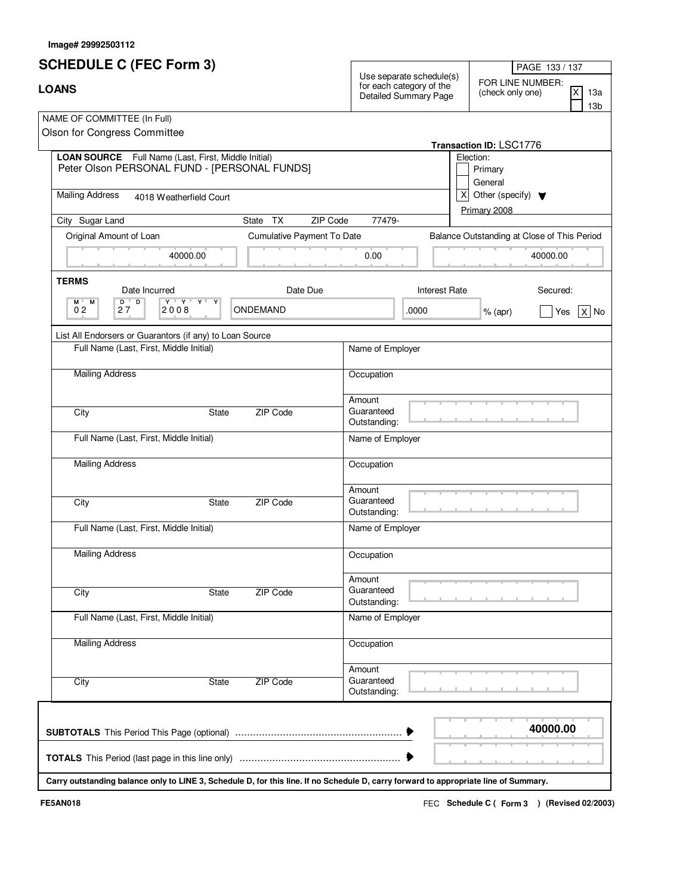## **SCHEDULE C (FEC Form 3)**

| ΩAN' |  |  |
|------|--|--|

| <b>SCHEDULE C (FEC Form 3)</b><br><b>LOANS</b>                                                             |          |                                   | Use separate schedule(s)<br>for each category of the<br><b>Detailed Summary Page</b> |  | PAGE 133 / 137<br>FOR LINE NUMBER:<br>ΙX<br>(check only one) |                                             |             |
|------------------------------------------------------------------------------------------------------------|----------|-----------------------------------|--------------------------------------------------------------------------------------|--|--------------------------------------------------------------|---------------------------------------------|-------------|
|                                                                                                            |          |                                   |                                                                                      |  |                                                              |                                             | 13a<br>l 3b |
| NAME OF COMMITTEE (In Full)                                                                                |          |                                   |                                                                                      |  |                                                              |                                             |             |
| Olson for Congress Committee                                                                               |          |                                   |                                                                                      |  |                                                              |                                             |             |
|                                                                                                            |          |                                   |                                                                                      |  | <b>Transaction ID: LSC1776</b>                               |                                             |             |
| <b>LOAN SOURCE</b> Full Name (Last, First, Middle Initial)<br>Peter Olson PERSONAL FUND - [PERSONAL FUNDS] |          |                                   |                                                                                      |  | Election:<br>Primary<br>General                              |                                             |             |
| <b>Mailing Address</b><br>4018 Weatherfield Court                                                          |          |                                   |                                                                                      |  | Other (specify) $\blacktriangledown$<br>Primary 2008         |                                             |             |
| City Sugar Land                                                                                            | State TX | ZIP Code                          | 77479-                                                                               |  |                                                              |                                             |             |
| Original Amount of Loan                                                                                    |          | <b>Cumulative Payment To Date</b> |                                                                                      |  |                                                              | Balance Outstanding at Close of This Period |             |

| Original Amount of Loan                                                                                                                 | Cumulative Payment To Date |                            | Balance Outstanding at Close of This Period |           |                |  |
|-----------------------------------------------------------------------------------------------------------------------------------------|----------------------------|----------------------------|---------------------------------------------|-----------|----------------|--|
| 40000.00                                                                                                                                |                            | 0.00                       |                                             |           | 40000.00       |  |
| <b>TERMS</b><br>Date Incurred<br>$\overline{D}$<br>$M$ $M$<br>$D$ <sup><math>\overline{ }</math></sup><br>$Y$ $Y$ $Y$ $Y$<br>$Y^+$<br>Y | Date Due                   |                            | <b>Interest Rate</b>                        |           | Secured:       |  |
| 0 <sub>2</sub><br>2008<br>27                                                                                                            | ONDEMAND                   |                            | .0000                                       | $%$ (apr) | $X $ No<br>Yes |  |
| List All Endorsers or Guarantors (if any) to Loan Source                                                                                |                            |                            |                                             |           |                |  |
| Full Name (Last, First, Middle Initial)                                                                                                 |                            | Name of Employer           |                                             |           |                |  |
| <b>Mailing Address</b>                                                                                                                  |                            | Occupation                 |                                             |           |                |  |
|                                                                                                                                         |                            | Amount                     |                                             |           |                |  |
| City<br><b>State</b>                                                                                                                    | <b>ZIP Code</b>            | Guaranteed<br>Outstanding: |                                             |           |                |  |
| Full Name (Last, First, Middle Initial)                                                                                                 |                            | Name of Employer           |                                             |           |                |  |
| <b>Mailing Address</b>                                                                                                                  |                            | Occupation                 |                                             |           |                |  |
|                                                                                                                                         |                            | Amount                     |                                             |           |                |  |
| State<br>City                                                                                                                           | ZIP Code                   | Guaranteed<br>Outstanding: |                                             |           |                |  |
| Full Name (Last, First, Middle Initial)                                                                                                 |                            | Name of Employer           |                                             |           |                |  |
| <b>Mailing Address</b>                                                                                                                  |                            | Occupation                 |                                             |           |                |  |
|                                                                                                                                         |                            | Amount                     |                                             |           |                |  |
| State<br>City                                                                                                                           | ZIP Code                   | Guaranteed<br>Outstanding: |                                             |           |                |  |
| Full Name (Last, First, Middle Initial)                                                                                                 |                            | Name of Employer           |                                             |           |                |  |
| <b>Mailing Address</b>                                                                                                                  |                            | Occupation                 |                                             |           |                |  |
|                                                                                                                                         |                            | Amount                     |                                             |           |                |  |
| City<br><b>State</b>                                                                                                                    | <b>ZIP Code</b>            | Guaranteed<br>Outstanding: |                                             |           |                |  |
|                                                                                                                                         |                            |                            |                                             |           |                |  |
|                                                                                                                                         |                            |                            |                                             |           | 40000.00       |  |
|                                                                                                                                         |                            |                            |                                             |           |                |  |

**Carry outstanding balance only to LINE 3, Schedule D, for this line. If no Schedule D, carry forward to appropriate line of Summary.**

FEC **Schedule C ( ) Form 3 FE5AN018 (Revised 02/2003)**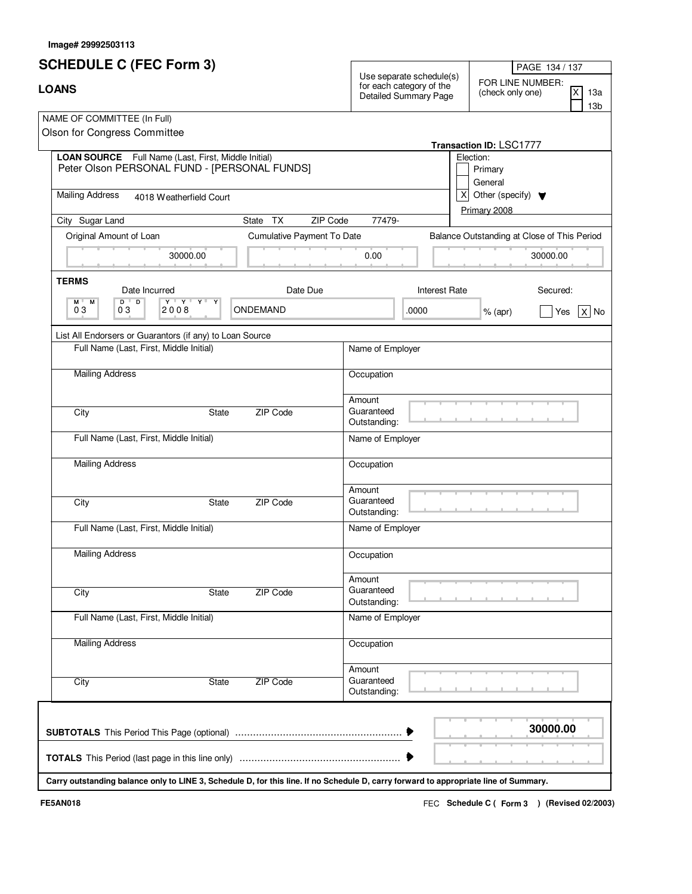|                                                             | <b>LOANS</b> |                    |  |  |  |  |
|-------------------------------------------------------------|--------------|--------------------|--|--|--|--|
| NAME OF COMMITTEE (In Full)<br>Olson for Congress Committee |              |                    |  |  |  |  |
|                                                             | OAN SOLIRCE  | Full Name (Last Fi |  |  |  |  |

|                                                                                                                                      |                            |                      |                                             |              | 13b     |  |  |
|--------------------------------------------------------------------------------------------------------------------------------------|----------------------------|----------------------|---------------------------------------------|--------------|---------|--|--|
| NAME OF COMMITTEE (In Full)                                                                                                          |                            |                      |                                             |              |         |  |  |
| Olson for Congress Committee                                                                                                         |                            |                      |                                             |              |         |  |  |
|                                                                                                                                      |                            |                      | Transaction ID: LSC1777                     |              |         |  |  |
| LOAN SOURCE Full Name (Last, First, Middle Initial)<br>Peter Olson PERSONAL FUND - [PERSONAL FUNDS]                                  |                            |                      | Election:                                   |              |         |  |  |
|                                                                                                                                      |                            |                      | Primary<br>General                          |              |         |  |  |
| <b>Mailing Address</b>                                                                                                               |                            | $\mathsf{x}$         | Other (specify) $\blacktriangledown$        |              |         |  |  |
| 4018 Weatherfield Court                                                                                                              |                            |                      |                                             | Primary 2008 |         |  |  |
| State TX<br>ZIP Code<br>City Sugar Land                                                                                              | 77479-                     |                      |                                             |              |         |  |  |
| Original Amount of Loan<br>Cumulative Payment To Date                                                                                |                            |                      | Balance Outstanding at Close of This Period |              |         |  |  |
| 30000.00                                                                                                                             | 0.00                       |                      |                                             | 30000.00     |         |  |  |
| <b>TERMS</b>                                                                                                                         |                            |                      |                                             |              |         |  |  |
| Date Due<br>Date Incurred                                                                                                            |                            | <b>Interest Rate</b> |                                             | Secured:     |         |  |  |
| $D$ $D$<br>$\mathbf{Y} \perp \mathbf{X} \perp \mathbf{A} \perp \mathbf{A}$<br>M M<br>03<br>2008<br>ONDEMAND<br>03                    |                            | .0000                | $%$ (apr)                                   | Yes          | No<br>X |  |  |
| List All Endorsers or Guarantors (if any) to Loan Source                                                                             |                            |                      |                                             |              |         |  |  |
| Full Name (Last, First, Middle Initial)                                                                                              | Name of Employer           |                      |                                             |              |         |  |  |
|                                                                                                                                      |                            |                      |                                             |              |         |  |  |
| <b>Mailing Address</b>                                                                                                               | Occupation                 |                      |                                             |              |         |  |  |
|                                                                                                                                      | Amount                     |                      |                                             |              |         |  |  |
| ZIP Code<br>City<br>State                                                                                                            | Guaranteed<br>Outstanding: |                      |                                             |              |         |  |  |
| Full Name (Last, First, Middle Initial)                                                                                              | Name of Employer           |                      |                                             |              |         |  |  |
| <b>Mailing Address</b>                                                                                                               | Occupation                 |                      |                                             |              |         |  |  |
|                                                                                                                                      | Amount                     |                      |                                             |              |         |  |  |
| ZIP Code<br>City<br>State                                                                                                            | Guaranteed<br>Outstanding: |                      |                                             |              |         |  |  |
| Full Name (Last, First, Middle Initial)                                                                                              | Name of Employer           |                      |                                             |              |         |  |  |
| <b>Mailing Address</b>                                                                                                               | Occupation                 |                      |                                             |              |         |  |  |
|                                                                                                                                      | Amount                     |                      |                                             |              |         |  |  |
| State<br>ZIP Code<br>City                                                                                                            | Guaranteed<br>Outstanding: |                      |                                             |              |         |  |  |
| Full Name (Last, First, Middle Initial)                                                                                              | Name of Employer           |                      |                                             |              |         |  |  |
| <b>Mailing Address</b>                                                                                                               | Occupation                 |                      |                                             |              |         |  |  |
|                                                                                                                                      | Amount                     |                      |                                             |              |         |  |  |
| ZIP Code<br>City<br>State                                                                                                            | Guaranteed<br>Outstanding: |                      |                                             |              |         |  |  |
|                                                                                                                                      |                            |                      |                                             |              |         |  |  |
|                                                                                                                                      |                            |                      |                                             | 30000.00     |         |  |  |
|                                                                                                                                      |                            |                      |                                             |              |         |  |  |
| Carry outstanding balance only to LINE 3, Schedule D, for this line. If no Schedule D, carry forward to appropriate line of Summary. |                            |                      |                                             |              |         |  |  |
|                                                                                                                                      |                            |                      |                                             |              |         |  |  |

PAGE 134 / 137

13a

X

Use separate schedule(s)

FOR LINE NUMBER:<br>for each category of the Detailed Summary Page (check only one)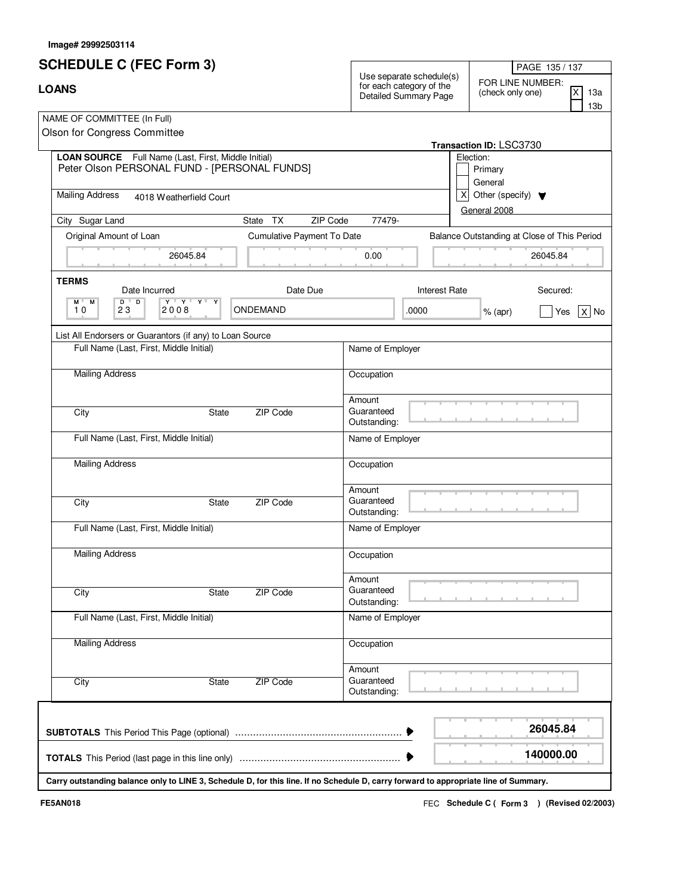| <b>LOANS</b> |  |
|--------------|--|
|              |  |

| <b>LOANS</b>                                                                                                                           |                            | 11001100100<br>Use separate schedule(s)<br>FOR LINE NUMBER:<br>for each category of the<br>ΙX<br>(check only one)<br>13а<br>Detailed Summary Page |                               |                                                          |  |  |
|----------------------------------------------------------------------------------------------------------------------------------------|----------------------------|---------------------------------------------------------------------------------------------------------------------------------------------------|-------------------------------|----------------------------------------------------------|--|--|
| NAME OF COMMITTEE (In Full)<br>Olson for Congress Committee                                                                            |                            |                                                                                                                                                   |                               | Transaction ID: LSC3730                                  |  |  |
| LOAN SOURCE Full Name (Last, First, Middle Initial)<br>Peter Olson PERSONAL FUND - [PERSONAL FUNDS]                                    |                            |                                                                                                                                                   |                               | Election:<br>Primary<br>General                          |  |  |
| <b>Mailing Address</b><br>4018 Weatherfield Court                                                                                      |                            |                                                                                                                                                   |                               | $X$ Other (specify) $\blacktriangledown$<br>General 2008 |  |  |
| City Sugar Land                                                                                                                        | State TX<br>ZIP Code       | 77479-                                                                                                                                            |                               |                                                          |  |  |
| Original Amount of Loan<br>26045.84                                                                                                    | Cumulative Payment To Date | 0.00                                                                                                                                              |                               | Balance Outstanding at Close of This Period<br>26045.84  |  |  |
| <b>TERMS</b><br>Date Incurred<br>$\mathbf{Y} \perp \mathbf{A} \perp \mathbf{A} \perp \mathbf{A}$<br>$D$ $D$<br>M M<br>23<br>2008<br>10 | Date Due<br>ONDEMAND       |                                                                                                                                                   | <b>Interest Rate</b><br>.0000 | Secured:<br>$x $ No<br>$%$ (apr)<br>Yes                  |  |  |
|                                                                                                                                        |                            |                                                                                                                                                   |                               |                                                          |  |  |
| List All Endorsers or Guarantors (if any) to Loan Source<br>Full Name (Last, First, Middle Initial)                                    |                            | Name of Employer                                                                                                                                  |                               |                                                          |  |  |
| <b>Mailing Address</b>                                                                                                                 |                            | Occupation                                                                                                                                        |                               |                                                          |  |  |
| City                                                                                                                                   | ZIP Code<br>State          | Amount<br>Guaranteed<br>Outstanding:                                                                                                              |                               |                                                          |  |  |
| Full Name (Last, First, Middle Initial)                                                                                                |                            | Name of Employer                                                                                                                                  |                               |                                                          |  |  |
| <b>Mailing Address</b>                                                                                                                 |                            | Occupation                                                                                                                                        |                               |                                                          |  |  |
| City                                                                                                                                   | ZIP Code<br>State          | Amount<br>Guaranteed<br>Outstanding:                                                                                                              |                               |                                                          |  |  |
| Full Name (Last, First, Middle Initial)                                                                                                |                            | Name of Employer                                                                                                                                  |                               |                                                          |  |  |
| <b>Mailing Address</b>                                                                                                                 |                            | Occupation                                                                                                                                        |                               |                                                          |  |  |
| City                                                                                                                                   | ZIP Code<br>State          | Amount<br>Guaranteed<br>Outstanding:                                                                                                              |                               |                                                          |  |  |
| Full Name (Last, First, Middle Initial)                                                                                                |                            | Name of Employer                                                                                                                                  |                               |                                                          |  |  |
| <b>Mailing Address</b>                                                                                                                 |                            | Occupation                                                                                                                                        |                               |                                                          |  |  |
| City                                                                                                                                   | ZIP Code<br>State          | Amount<br>Guaranteed<br>Outstanding:                                                                                                              |                               |                                                          |  |  |
|                                                                                                                                        |                            |                                                                                                                                                   |                               | 26045.84                                                 |  |  |
|                                                                                                                                        |                            |                                                                                                                                                   |                               | 140000.00                                                |  |  |
| Carry outstanding balance only to LINE 3, Schedule D, for this line. If no Schedule D, carry forward to appropriate line of Summary.   |                            |                                                                                                                                                   |                               |                                                          |  |  |

FEC **Schedule C ( ) Form 3 FE5AN018 (Revised 02/2003)**

PAGE 135 / 137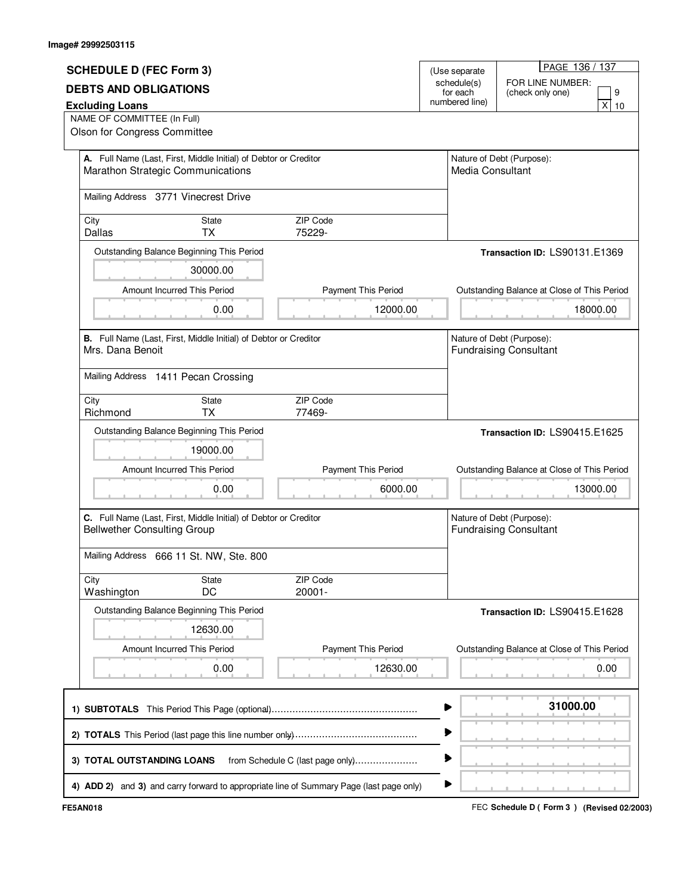|                                                                                                        |                                                                     |                                                                                         |   |                              | PAGE 136 / 137                                             |  |  |
|--------------------------------------------------------------------------------------------------------|---------------------------------------------------------------------|-----------------------------------------------------------------------------------------|---|------------------------------|------------------------------------------------------------|--|--|
| <b>SCHEDULE D (FEC Form 3)</b>                                                                         |                                                                     |                                                                                         |   | (Use separate<br>schedule(s) | FOR LINE NUMBER:                                           |  |  |
| <b>DEBTS AND OBLIGATIONS</b>                                                                           |                                                                     |                                                                                         |   | for each                     | 9<br>(check only one)                                      |  |  |
| <b>Excluding Loans</b>                                                                                 |                                                                     |                                                                                         |   | numbered line)               | x<br>10                                                    |  |  |
| NAME OF COMMITTEE (In Full)<br>Olson for Congress Committee                                            |                                                                     |                                                                                         |   |                              |                                                            |  |  |
|                                                                                                        |                                                                     |                                                                                         |   |                              |                                                            |  |  |
| A. Full Name (Last, First, Middle Initial) of Debtor or Creditor<br>Marathon Strategic Communications  |                                                                     |                                                                                         |   | Media Consultant             | Nature of Debt (Purpose):                                  |  |  |
| Mailing Address 3771 Vinecrest Drive                                                                   |                                                                     |                                                                                         |   |                              |                                                            |  |  |
| City<br><b>Dallas</b>                                                                                  | State<br><b>TX</b>                                                  | ZIP Code<br>75229-                                                                      |   |                              |                                                            |  |  |
| Outstanding Balance Beginning This Period                                                              |                                                                     |                                                                                         |   |                              | Transaction ID: LS90131.E1369                              |  |  |
|                                                                                                        | 30000.00                                                            |                                                                                         |   |                              |                                                            |  |  |
| Amount Incurred This Period                                                                            |                                                                     | Payment This Period                                                                     |   |                              | Outstanding Balance at Close of This Period                |  |  |
|                                                                                                        | 0.00                                                                | 12000.00                                                                                |   |                              | 18000.00                                                   |  |  |
|                                                                                                        |                                                                     |                                                                                         |   |                              |                                                            |  |  |
| B. Full Name (Last, First, Middle Initial) of Debtor or Creditor<br>Mrs. Dana Benoit                   |                                                                     |                                                                                         |   |                              | Nature of Debt (Purpose):<br><b>Fundraising Consultant</b> |  |  |
| Mailing Address 1411 Pecan Crossing                                                                    |                                                                     |                                                                                         |   |                              |                                                            |  |  |
| City<br>Richmond                                                                                       | State<br><b>TX</b>                                                  | <b>ZIP Code</b><br>77469-                                                               |   |                              |                                                            |  |  |
| Outstanding Balance Beginning This Period                                                              |                                                                     |                                                                                         |   |                              | Transaction ID: LS90415.E1625                              |  |  |
|                                                                                                        | 19000.00                                                            |                                                                                         |   |                              |                                                            |  |  |
| Amount Incurred This Period                                                                            |                                                                     | Payment This Period                                                                     |   |                              | Outstanding Balance at Close of This Period                |  |  |
|                                                                                                        | 0.00                                                                | 6000.00                                                                                 |   |                              | 13000.00                                                   |  |  |
|                                                                                                        |                                                                     |                                                                                         |   |                              |                                                            |  |  |
| C. Full Name (Last, First, Middle Initial) of Debtor or Creditor<br><b>Bellwether Consulting Group</b> |                                                                     |                                                                                         |   |                              | Nature of Debt (Purpose):<br><b>Fundraising Consultant</b> |  |  |
| Mailing Address 666 11 St. NW, Ste. 800                                                                |                                                                     |                                                                                         |   |                              |                                                            |  |  |
| City                                                                                                   | State                                                               | ZIP Code                                                                                |   |                              |                                                            |  |  |
| Washington                                                                                             | DC                                                                  | 20001-                                                                                  |   |                              |                                                            |  |  |
| Outstanding Balance Beginning This Period                                                              |                                                                     |                                                                                         |   |                              | Transaction ID: LS90415.E1628                              |  |  |
|                                                                                                        | 12630.00                                                            |                                                                                         |   |                              |                                                            |  |  |
| Amount Incurred This Period                                                                            |                                                                     | Payment This Period                                                                     |   |                              | Outstanding Balance at Close of This Period                |  |  |
|                                                                                                        | 0.00                                                                | 12630.00                                                                                |   |                              | 0.00                                                       |  |  |
|                                                                                                        |                                                                     |                                                                                         |   |                              | 31000.00                                                   |  |  |
|                                                                                                        |                                                                     |                                                                                         | ▶ |                              |                                                            |  |  |
|                                                                                                        | ▶<br>3) TOTAL OUTSTANDING LOANS<br>from Schedule C (last page only) |                                                                                         |   |                              |                                                            |  |  |
|                                                                                                        |                                                                     | 4) ADD 2) and 3) and carry forward to appropriate line of Summary Page (last page only) | ▶ |                              |                                                            |  |  |

FEC **Schedule D ( ) FE5AN018 Form 3 (Revised 02/2003)**